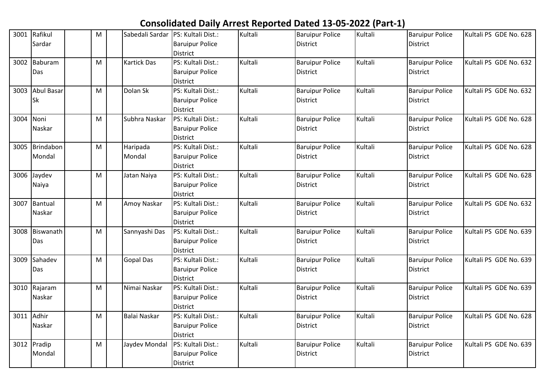## **Consolidated Daily Arrest Reported Dated 13-05-2022 (Part-1)**

|           | 3001 Rafikul    | M | Sabedali Sardar    | PS: Kultali Dist.:     | Kultali | <b>Baruipur Police</b> | Kultali | <b>Baruipur Police</b> | Kultali PS GDE No. 628 |
|-----------|-----------------|---|--------------------|------------------------|---------|------------------------|---------|------------------------|------------------------|
|           | Sardar          |   |                    | <b>Baruipur Police</b> |         | <b>District</b>        |         | District               |                        |
|           |                 |   |                    | <b>District</b>        |         |                        |         |                        |                        |
|           | 3002 Baburam    | M | <b>Kartick Das</b> | PS: Kultali Dist.:     | Kultali | <b>Baruipur Police</b> | Kultali | <b>Baruipur Police</b> | Kultali PS GDE No. 632 |
|           | Das             |   |                    | <b>Baruipur Police</b> |         | <b>District</b>        |         | <b>District</b>        |                        |
|           |                 |   |                    | <b>District</b>        |         |                        |         |                        |                        |
|           | 3003 Abul Basar | M | Dolan Sk           | PS: Kultali Dist.:     | Kultali | <b>Baruipur Police</b> | Kultali | <b>Baruipur Police</b> | Kultali PS GDE No. 632 |
|           | <b>Sk</b>       |   |                    | <b>Baruipur Police</b> |         | <b>District</b>        |         | <b>District</b>        |                        |
|           |                 |   |                    | <b>District</b>        |         |                        |         |                        |                        |
| 3004 Noni |                 | M | Subhra Naskar      | PS: Kultali Dist.:     | Kultali | <b>Baruipur Police</b> | Kultali | <b>Baruipur Police</b> | Kultali PS GDE No. 628 |
|           | Naskar          |   |                    | <b>Baruipur Police</b> |         | District               |         | District               |                        |
|           |                 |   |                    | <b>District</b>        |         |                        |         |                        |                        |
|           | 3005 Brindabon  | M | Haripada           | PS: Kultali Dist.:     | Kultali | <b>Baruipur Police</b> | Kultali | <b>Baruipur Police</b> | Kultali PS GDE No. 628 |
|           | Mondal          |   | Mondal             | <b>Baruipur Police</b> |         | District               |         | District               |                        |
|           |                 |   |                    | <b>District</b>        |         |                        |         |                        |                        |
|           | 3006 Jaydev     | M | Jatan Naiya        | PS: Kultali Dist.:     | Kultali | <b>Baruipur Police</b> | Kultali | <b>Baruipur Police</b> | Kultali PS GDE No. 628 |
|           | Naiya           |   |                    | <b>Baruipur Police</b> |         | <b>District</b>        |         | <b>District</b>        |                        |
|           |                 |   |                    | <b>District</b>        |         |                        |         |                        |                        |
|           | 3007 Bantual    | M | Amoy Naskar        | PS: Kultali Dist.:     | Kultali | <b>Baruipur Police</b> | Kultali | <b>Baruipur Police</b> | Kultali PS GDE No. 632 |
|           | Naskar          |   |                    | <b>Baruipur Police</b> |         | District               |         | <b>District</b>        |                        |
|           |                 |   |                    | <b>District</b>        |         |                        |         |                        |                        |
|           | 3008 Biswanath  | M | Sannyashi Das      | PS: Kultali Dist.:     | Kultali | <b>Baruipur Police</b> | Kultali | <b>Baruipur Police</b> | Kultali PS GDE No. 639 |
|           | Das             |   |                    | <b>Baruipur Police</b> |         | District               |         | District               |                        |
|           |                 |   |                    | <b>District</b>        |         |                        |         |                        |                        |
|           | 3009 Sahadev    | M | <b>Gopal Das</b>   | PS: Kultali Dist.:     | Kultali | <b>Baruipur Police</b> | Kultali | <b>Baruipur Police</b> | Kultali PS GDE No. 639 |
|           | Das             |   |                    | <b>Baruipur Police</b> |         | District               |         | <b>District</b>        |                        |
|           |                 |   |                    | <b>District</b>        |         |                        |         |                        |                        |
|           | 3010 Rajaram    | M | Nimai Naskar       | PS: Kultali Dist.:     | Kultali | <b>Baruipur Police</b> | Kultali | <b>Baruipur Police</b> | Kultali PS GDE No. 639 |
|           | Naskar          |   |                    | <b>Baruipur Police</b> |         | <b>District</b>        |         | District               |                        |
|           |                 |   |                    | <b>District</b>        |         |                        |         |                        |                        |
| 3011      | Adhir           | M | Balai Naskar       | PS: Kultali Dist.:     | Kultali | <b>Baruipur Police</b> | Kultali | <b>Baruipur Police</b> | Kultali PS GDE No. 628 |
|           | Naskar          |   |                    | <b>Baruipur Police</b> |         | District               |         | <b>District</b>        |                        |
|           |                 |   |                    | <b>District</b>        |         |                        |         |                        |                        |
|           | 3012 Pradip     | M | Jaydev Mondal      | PS: Kultali Dist.:     | Kultali | <b>Baruipur Police</b> | Kultali | <b>Baruipur Police</b> | Kultali PS GDE No. 639 |
|           | Mondal          |   |                    | <b>Baruipur Police</b> |         | District               |         | District               |                        |
|           |                 |   |                    | District               |         |                        |         |                        |                        |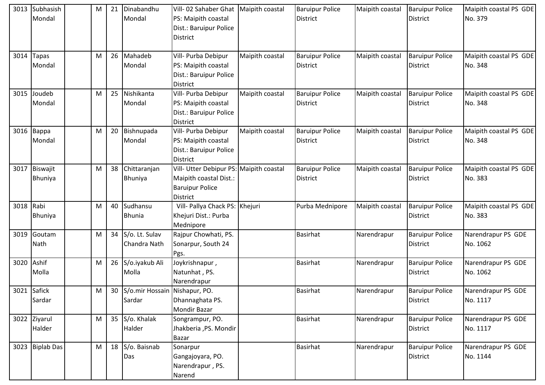| 3013      | Subhasish<br>Mondal    | M | 21 | Dinabandhu<br>Mondal                       | Vill-02 Sahaber Ghat   Maipith coastal<br>PS: Maipith coastal<br>Dist.: Baruipur Police<br>District     |                 | <b>Baruipur Police</b><br><b>District</b> | Maipith coastal | <b>Baruipur Police</b><br><b>District</b> | Maipith coastal PS GDE<br>No. 379 |
|-----------|------------------------|---|----|--------------------------------------------|---------------------------------------------------------------------------------------------------------|-----------------|-------------------------------------------|-----------------|-------------------------------------------|-----------------------------------|
| 3014      | <b>Tapas</b><br>Mondal | M | 26 | Mahadeb<br>Mondal                          | Vill- Purba Debipur<br>PS: Maipith coastal<br>Dist.: Baruipur Police<br>District                        | Maipith coastal | <b>Baruipur Police</b><br><b>District</b> | Maipith coastal | <b>Baruipur Police</b><br><b>District</b> | Maipith coastal PS GDE<br>No. 348 |
|           | 3015 Joudeb<br>Mondal  | м | 25 | Nishikanta<br>Mondal                       | Vill- Purba Debipur<br>PS: Maipith coastal<br>Dist.: Baruipur Police<br><b>District</b>                 | Maipith coastal | <b>Baruipur Police</b><br>District        | Maipith coastal | <b>Baruipur Police</b><br><b>District</b> | Maipith coastal PS GDE<br>No. 348 |
|           | $3016$ Bappa<br>Mondal | M |    | 20 Bishnupada<br>Mondal                    | Vill- Purba Debipur<br>PS: Maipith coastal<br>Dist.: Baruipur Police<br><b>District</b>                 | Maipith coastal | <b>Baruipur Police</b><br>District        | Maipith coastal | <b>Baruipur Police</b><br><b>District</b> | Maipith coastal PS GDE<br>No. 348 |
| 3017      | Biswajit<br>Bhuniya    | M | 38 | Chittaranjan<br>Bhuniya                    | Vill- Utter Debipur PS: Maipith coastal<br>Maipith coastal Dist.:<br><b>Baruipur Police</b><br>District |                 | <b>Baruipur Police</b><br>District        | Maipith coastal | <b>Baruipur Police</b><br><b>District</b> | Maipith coastal PS GDE<br>No. 383 |
| 3018 Rabi | Bhuniya                | M |    | 40 Sudhansu<br><b>Bhunia</b>               | Vill- Pallya Chack PS: Khejuri<br>Khejuri Dist.: Purba<br>Mednipore                                     |                 | Purba Mednipore                           | Maipith coastal | <b>Baruipur Police</b><br><b>District</b> | Maipith coastal PS GDE<br>No. 383 |
| 3019      | Goutam<br>Nath         | M |    | 34 S/o. Lt. Sulav<br>Chandra Nath          | Rajpur Chowhati, PS.<br>Sonarpur, South 24<br>Pgs.                                                      |                 | <b>Basirhat</b>                           | Narendrapur     | <b>Baruipur Police</b><br><b>District</b> | Narendrapur PS GDE<br>No. 1062    |
| 3020      | Ashif<br>Molla         | M | 26 | S/o.iyakub Ali<br>Molla                    | Joykrishnapur,<br>Natunhat, PS.<br>Narendrapur                                                          |                 | <b>Basirhat</b>                           | Narendrapur     | <b>Baruipur Police</b><br><b>District</b> | Narendrapur PS GDE<br>No. 1062    |
|           | 3021 Safick<br>Sardar  | M |    | 30 S/o.mir Hossain Nishapur, PO.<br>Sardar | Dhannaghata PS.<br><b>Mondir Bazar</b>                                                                  |                 | <b>Basirhat</b>                           | Narendrapur     | <b>Baruipur Police</b><br><b>District</b> | Narendrapur PS GDE<br>No. 1117    |
|           | 3022 Ziyarul<br>Halder | M |    | 35 S/o. Khalak<br>Halder                   | Songrampur, PO.<br>Jhakberia , PS. Mondir<br><b>Bazar</b>                                               |                 | <b>Basirhat</b>                           | Narendrapur     | <b>Baruipur Police</b><br><b>District</b> | Narendrapur PS GDE<br>No. 1117    |
|           | 3023 Biplab Das        | M |    | 18 S/o. Baisnab<br>Das                     | Sonarpur<br>Gangajoyara, PO.<br>Narendrapur, PS.<br>Narend                                              |                 | <b>Basirhat</b>                           | Narendrapur     | <b>Baruipur Police</b><br>District        | Narendrapur PS GDE<br>No. 1144    |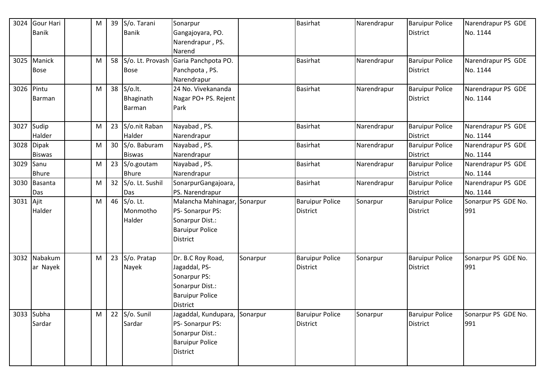| 3024      | Gour Hari     | M | 39 S/o. Tarani      | Sonarpur                      |          | <b>Basirhat</b>        | Narendrapur | <b>Baruipur Police</b> | Narendrapur PS GDE  |
|-----------|---------------|---|---------------------|-------------------------------|----------|------------------------|-------------|------------------------|---------------------|
|           | <b>Banik</b>  |   | <b>Banik</b>        | Gangajoyara, PO.              |          |                        |             | <b>District</b>        | No. 1144            |
|           |               |   |                     | Narendrapur, PS.              |          |                        |             |                        |                     |
|           |               |   |                     | Narend                        |          |                        |             |                        |                     |
|           | 3025 Manick   | M | 58 S/o. Lt. Provash | Garia Panchpota PO.           |          | Basirhat               | Narendrapur | <b>Baruipur Police</b> | Narendrapur PS GDE  |
|           | <b>Bose</b>   |   | <b>Bose</b>         | Panchpota, PS.                |          |                        |             | <b>District</b>        | No. 1144            |
|           |               |   |                     | Narendrapur                   |          |                        |             |                        |                     |
| 3026      | Pintu         | M | 38 S/o.lt.          | 24 No. Vivekananda            |          | <b>Basirhat</b>        | Narendrapur | <b>Baruipur Police</b> | Narendrapur PS GDE  |
|           | Barman        |   | Bhaginath           | Nagar PO+ PS. Rejent          |          |                        |             | <b>District</b>        | No. 1144            |
|           |               |   | <b>Barman</b>       | Park                          |          |                        |             |                        |                     |
|           |               |   |                     |                               |          |                        |             |                        |                     |
| 3027      | Sudip         | M | 23 S/o.nit Raban    | Nayabad, PS.                  |          | <b>Basirhat</b>        | Narendrapur | <b>Baruipur Police</b> | Narendrapur PS GDE  |
|           | Halder        |   | Halder              | Narendrapur                   |          |                        |             | <b>District</b>        | No. 1144            |
| 3028      | <b>Dipak</b>  | M | 30 S/o. Baburam     | Nayabad, PS.                  |          | <b>Basirhat</b>        | Narendrapur | <b>Baruipur Police</b> | Narendrapur PS GDE  |
|           | <b>Biswas</b> |   | <b>Biswas</b>       | Narendrapur                   |          |                        |             | <b>District</b>        | No. 1144            |
| 3029      | Sanu          | M | 23 S/o.goutam       | Nayabad, PS.                  |          | <b>Basirhat</b>        | Narendrapur | <b>Baruipur Police</b> | Narendrapur PS GDE  |
|           | <b>Bhure</b>  |   | <b>Bhure</b>        | Narendrapur                   |          |                        |             | <b>District</b>        | No. 1144            |
| 3030      | Basanta       | M | 32 S/o. Lt. Sushil  | SonarpurGangajoara,           |          | Basirhat               | Narendrapur | <b>Baruipur Police</b> | Narendrapur PS GDE  |
|           | Das           |   | Das                 | PS. Narendrapur               |          |                        |             | <b>District</b>        | No. 1144            |
| 3031 Ajit |               | M | 46 S/o. Lt.         | Malancha Mahinagar, Sonarpur  |          | <b>Baruipur Police</b> | Sonarpur    | <b>Baruipur Police</b> | Sonarpur PS GDE No. |
|           | Halder        |   | Monmotho            | PS-Sonarpur PS:               |          | District               |             | <b>District</b>        | 991                 |
|           |               |   | Halder              | Sonarpur Dist.:               |          |                        |             |                        |                     |
|           |               |   |                     | <b>Baruipur Police</b>        |          |                        |             |                        |                     |
|           |               |   |                     | District                      |          |                        |             |                        |                     |
|           |               |   |                     |                               |          |                        |             |                        |                     |
| 3032      | Nabakum       | M | 23 $S$ /o. Pratap   | Dr. B.C Roy Road,             | Sonarpur | <b>Baruipur Police</b> | Sonarpur    | <b>Baruipur Police</b> | Sonarpur PS GDE No. |
|           | ar Nayek      |   | Nayek               | Jagaddal, PS-                 |          | District               |             | <b>District</b>        | 991                 |
|           |               |   |                     | Sonarpur PS:                  |          |                        |             |                        |                     |
|           |               |   |                     | Sonarpur Dist.:               |          |                        |             |                        |                     |
|           |               |   |                     | <b>Baruipur Police</b>        |          |                        |             |                        |                     |
|           |               |   |                     | <b>District</b>               |          |                        |             |                        |                     |
|           | 3033 Subha    | M | 22 $S$ /o. Sunil    | Jagaddal, Kundupara, Sonarpur |          | <b>Baruipur Police</b> | Sonarpur    | <b>Baruipur Police</b> | Sonarpur PS GDE No. |
|           | Sardar        |   | Sardar              | PS-Sonarpur PS:               |          | <b>District</b>        |             | District               | 991                 |
|           |               |   |                     | Sonarpur Dist.:               |          |                        |             |                        |                     |
|           |               |   |                     | <b>Baruipur Police</b>        |          |                        |             |                        |                     |
|           |               |   |                     | District                      |          |                        |             |                        |                     |
|           |               |   |                     |                               |          |                        |             |                        |                     |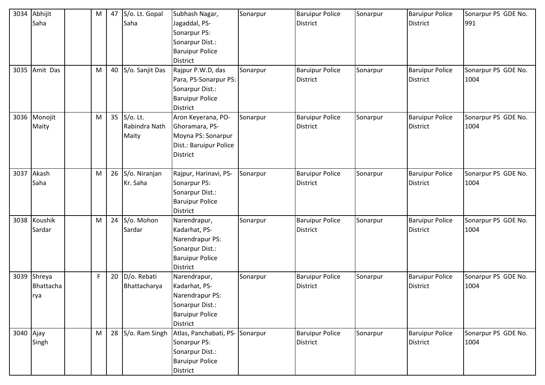| 3034      | Abhijit       | M  | 47 S/o. Lt. Gopal  | Subhash Nagar,                     | Sonarpur | <b>Baruipur Police</b> | Sonarpur | <b>Baruipur Police</b> | Sonarpur PS GDE No. |
|-----------|---------------|----|--------------------|------------------------------------|----------|------------------------|----------|------------------------|---------------------|
|           | Saha          |    | Saha               | Jagaddal, PS-                      |          | <b>District</b>        |          | <b>District</b>        | 991                 |
|           |               |    |                    | Sonarpur PS:                       |          |                        |          |                        |                     |
|           |               |    |                    | Sonarpur Dist.:                    |          |                        |          |                        |                     |
|           |               |    |                    | <b>Baruipur Police</b>             |          |                        |          |                        |                     |
|           |               |    |                    | District                           |          |                        |          |                        |                     |
|           | 3035 Amit Das | M  | 40 S/o. Sanjit Das | Rajpur P.W.D, das                  | Sonarpur | <b>Baruipur Police</b> | Sonarpur | <b>Baruipur Police</b> | Sonarpur PS GDE No. |
|           |               |    |                    | Para, PS-Sonarpur PS:              |          | <b>District</b>        |          | <b>District</b>        | 1004                |
|           |               |    |                    | Sonarpur Dist.:                    |          |                        |          |                        |                     |
|           |               |    |                    | <b>Baruipur Police</b>             |          |                        |          |                        |                     |
|           |               |    |                    | <b>District</b>                    |          |                        |          |                        |                     |
|           | 3036 Monojit  | M  | 35 S/o. Lt.        | Aron Keyerana, PO-                 | Sonarpur | <b>Baruipur Police</b> | Sonarpur | <b>Baruipur Police</b> | Sonarpur PS GDE No. |
|           | Maity         |    | Rabindra Nath      | Ghoramara, PS-                     |          | <b>District</b>        |          | <b>District</b>        | 1004                |
|           |               |    | Maity              | Moyna PS: Sonarpur                 |          |                        |          |                        |                     |
|           |               |    |                    | Dist.: Baruipur Police             |          |                        |          |                        |                     |
|           |               |    |                    | <b>District</b>                    |          |                        |          |                        |                     |
|           |               |    |                    |                                    |          |                        |          |                        |                     |
| 3037      | Akash         | M  | 26 S/o. Niranjan   | Rajpur, Harinavi, PS-              | Sonarpur | <b>Baruipur Police</b> | Sonarpur | <b>Baruipur Police</b> | Sonarpur PS GDE No. |
|           | Saha          |    | Kr. Saha           | Sonarpur PS:                       |          | <b>District</b>        |          | <b>District</b>        | 1004                |
|           |               |    |                    | Sonarpur Dist.:                    |          |                        |          |                        |                     |
|           |               |    |                    | <b>Baruipur Police</b><br>District |          |                        |          |                        |                     |
|           | 3038 Koushik  | M  | 24 S/o. Mohon      | Narendrapur,                       | Sonarpur | <b>Baruipur Police</b> | Sonarpur | <b>Baruipur Police</b> | Sonarpur PS GDE No. |
|           | Sardar        |    | Sardar             | Kadarhat, PS-                      |          | District               |          | <b>District</b>        | 1004                |
|           |               |    |                    | Narendrapur PS:                    |          |                        |          |                        |                     |
|           |               |    |                    | Sonarpur Dist.:                    |          |                        |          |                        |                     |
|           |               |    |                    | <b>Baruipur Police</b>             |          |                        |          |                        |                     |
|           |               |    |                    | District                           |          |                        |          |                        |                     |
| 3039      | Shreya        | F. | 20   D/o. Rebati   | Narendrapur,                       | Sonarpur | <b>Baruipur Police</b> | Sonarpur | <b>Baruipur Police</b> | Sonarpur PS GDE No. |
|           | Bhattacha     |    | Bhattacharya       | Kadarhat, PS-                      |          | <b>District</b>        |          | <b>District</b>        | 1004                |
|           | rya           |    |                    | Narendrapur PS:                    |          |                        |          |                        |                     |
|           |               |    |                    | Sonarpur Dist.:                    |          |                        |          |                        |                     |
|           |               |    |                    | <b>Baruipur Police</b>             |          |                        |          |                        |                     |
|           |               |    |                    | District                           |          |                        |          |                        |                     |
| 3040 Ajay |               | M  | 28 S/o. Ram Singh  | Atlas, Panchabati, PS- Sonarpur    |          | <b>Baruipur Police</b> | Sonarpur | <b>Baruipur Police</b> | Sonarpur PS GDE No. |
|           | Singh         |    |                    | Sonarpur PS:                       |          | District               |          | <b>District</b>        | 1004                |
|           |               |    |                    | Sonarpur Dist.:                    |          |                        |          |                        |                     |
|           |               |    |                    | <b>Baruipur Police</b>             |          |                        |          |                        |                     |
|           |               |    |                    | District                           |          |                        |          |                        |                     |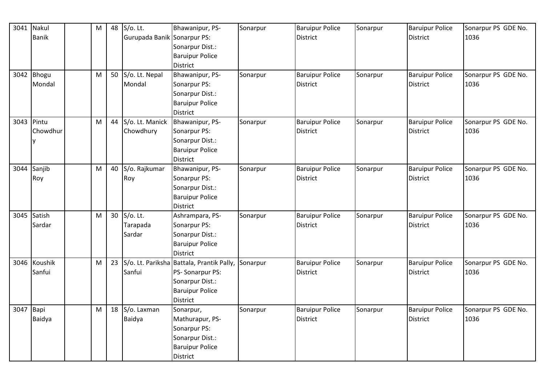| 3041       | Nakul        | M | 48              | $S/O$ . Lt.                 | Bhawanipur, PS-                           | Sonarpur | <b>Baruipur Police</b> | Sonarpur | <b>Baruipur Police</b> | Sonarpur PS GDE No. |
|------------|--------------|---|-----------------|-----------------------------|-------------------------------------------|----------|------------------------|----------|------------------------|---------------------|
|            | <b>Banik</b> |   |                 | Gurupada Banik Sonarpur PS: |                                           |          | <b>District</b>        |          | <b>District</b>        | 1036                |
|            |              |   |                 |                             | Sonarpur Dist.:                           |          |                        |          |                        |                     |
|            |              |   |                 |                             | <b>Baruipur Police</b>                    |          |                        |          |                        |                     |
|            |              |   |                 |                             | <b>District</b>                           |          |                        |          |                        |                     |
|            | 3042 Bhogu   | M | 50              | S/o. Lt. Nepal              | Bhawanipur, PS-                           | Sonarpur | <b>Baruipur Police</b> | Sonarpur | <b>Baruipur Police</b> | Sonarpur PS GDE No. |
|            | Mondal       |   |                 | Mondal                      | Sonarpur PS:                              |          | <b>District</b>        |          | <b>District</b>        | 1036                |
|            |              |   |                 |                             | Sonarpur Dist.:                           |          |                        |          |                        |                     |
|            |              |   |                 |                             | <b>Baruipur Police</b>                    |          |                        |          |                        |                     |
|            |              |   |                 |                             | <b>District</b>                           |          |                        |          |                        |                     |
| 3043 Pintu |              | M | 44              | S/o. Lt. Manick             | Bhawanipur, PS-                           | Sonarpur | <b>Baruipur Police</b> | Sonarpur | <b>Baruipur Police</b> | Sonarpur PS GDE No. |
|            | Chowdhur     |   |                 | Chowdhury                   | Sonarpur PS:                              |          | <b>District</b>        |          | District               | 1036                |
|            | ٧            |   |                 |                             | Sonarpur Dist.:                           |          |                        |          |                        |                     |
|            |              |   |                 |                             | <b>Baruipur Police</b>                    |          |                        |          |                        |                     |
|            |              |   |                 |                             | <b>District</b>                           |          |                        |          |                        |                     |
| 3044       | Sanjib       | M | 40              | S/o. Rajkumar               | Bhawanipur, PS-                           | Sonarpur | <b>Baruipur Police</b> | Sonarpur | <b>Baruipur Police</b> | Sonarpur PS GDE No. |
|            | Roy          |   |                 | Roy                         | Sonarpur PS:                              |          | <b>District</b>        |          | <b>District</b>        | 1036                |
|            |              |   |                 |                             | Sonarpur Dist.:                           |          |                        |          |                        |                     |
|            |              |   |                 |                             | <b>Baruipur Police</b>                    |          |                        |          |                        |                     |
|            |              |   |                 |                             | <b>District</b>                           |          |                        |          |                        |                     |
|            | 3045 Satish  | M |                 | 30 S/o. Lt.                 | Ashrampara, PS-                           | Sonarpur | <b>Baruipur Police</b> | Sonarpur | <b>Baruipur Police</b> | Sonarpur PS GDE No. |
|            | Sardar       |   |                 | Tarapada                    | Sonarpur PS:                              |          | <b>District</b>        |          | District               | 1036                |
|            |              |   |                 | Sardar                      | Sonarpur Dist.:                           |          |                        |          |                        |                     |
|            |              |   |                 |                             | <b>Baruipur Police</b>                    |          |                        |          |                        |                     |
|            |              |   |                 |                             | <b>District</b>                           |          |                        |          |                        |                     |
|            | 3046 Koushik | M | 23 <sup>1</sup> |                             | S/o. Lt. Pariksha Battala, Prantik Pally, | Sonarpur | <b>Baruipur Police</b> | Sonarpur | <b>Baruipur Police</b> | Sonarpur PS GDE No. |
|            | Sanfui       |   |                 | Sanfui                      | PS-Sonarpur PS:                           |          | <b>District</b>        |          | <b>District</b>        | 1036                |
|            |              |   |                 |                             | Sonarpur Dist.:                           |          |                        |          |                        |                     |
|            |              |   |                 |                             | <b>Baruipur Police</b>                    |          |                        |          |                        |                     |
|            |              |   |                 |                             | <b>District</b>                           |          |                        |          |                        |                     |
| 3047       | Bapi         | M | 18              | S/o. Laxman                 | Sonarpur,                                 | Sonarpur | <b>Baruipur Police</b> | Sonarpur | <b>Baruipur Police</b> | Sonarpur PS GDE No. |
|            | Baidya       |   |                 | Baidya                      | Mathurapur, PS-                           |          | <b>District</b>        |          | <b>District</b>        | 1036                |
|            |              |   |                 |                             | Sonarpur PS:                              |          |                        |          |                        |                     |
|            |              |   |                 |                             | Sonarpur Dist.:                           |          |                        |          |                        |                     |
|            |              |   |                 |                             | <b>Baruipur Police</b>                    |          |                        |          |                        |                     |
|            |              |   |                 |                             | <b>District</b>                           |          |                        |          |                        |                     |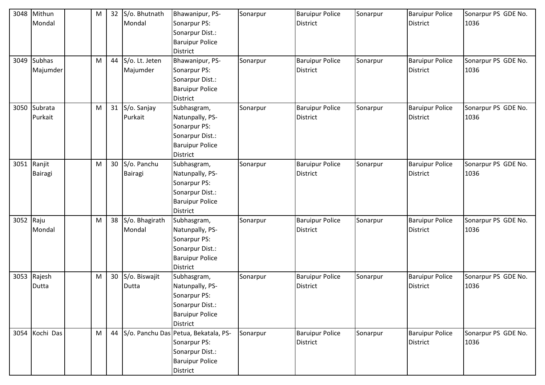| 3048 | Mithun         | M         |                 | 32 S/o. Bhutnath | Bhawanipur, PS-                         | Sonarpur | <b>Baruipur Police</b> | Sonarpur | <b>Baruipur Police</b> | Sonarpur PS GDE No. |
|------|----------------|-----------|-----------------|------------------|-----------------------------------------|----------|------------------------|----------|------------------------|---------------------|
|      | Mondal         |           |                 | Mondal           | Sonarpur PS:                            |          | <b>District</b>        |          | <b>District</b>        | 1036                |
|      |                |           |                 |                  | Sonarpur Dist.:                         |          |                        |          |                        |                     |
|      |                |           |                 |                  | <b>Baruipur Police</b>                  |          |                        |          |                        |                     |
|      |                |           |                 |                  | <b>District</b>                         |          |                        |          |                        |                     |
| 3049 | <b>Subhas</b>  | ${\sf M}$ | 44              | S/o. Lt. Jeten   | Bhawanipur, PS-                         | Sonarpur | <b>Baruipur Police</b> | Sonarpur | <b>Baruipur Police</b> | Sonarpur PS GDE No. |
|      | Majumder       |           |                 | Majumder         | Sonarpur PS:                            |          | <b>District</b>        |          | <b>District</b>        | 1036                |
|      |                |           |                 |                  | Sonarpur Dist.:                         |          |                        |          |                        |                     |
|      |                |           |                 |                  | <b>Baruipur Police</b>                  |          |                        |          |                        |                     |
|      |                |           |                 |                  | <b>District</b>                         |          |                        |          |                        |                     |
|      | 3050 Subrata   | M         |                 | 31 S/o. Sanjay   | Subhasgram,                             | Sonarpur | <b>Baruipur Police</b> | Sonarpur | <b>Baruipur Police</b> | Sonarpur PS GDE No. |
|      | Purkait        |           |                 | Purkait          | Natunpally, PS-                         |          | <b>District</b>        |          | <b>District</b>        | 1036                |
|      |                |           |                 |                  | Sonarpur PS:                            |          |                        |          |                        |                     |
|      |                |           |                 |                  | Sonarpur Dist.:                         |          |                        |          |                        |                     |
|      |                |           |                 |                  | <b>Baruipur Police</b>                  |          |                        |          |                        |                     |
|      |                |           |                 |                  | <b>District</b>                         |          |                        |          |                        |                     |
|      | 3051 Ranjit    | M         |                 | 30 S/o. Panchu   | Subhasgram,                             | Sonarpur | <b>Baruipur Police</b> | Sonarpur | <b>Baruipur Police</b> | Sonarpur PS GDE No. |
|      | Bairagi        |           |                 | <b>Bairagi</b>   | Natunpally, PS-                         |          | <b>District</b>        |          | <b>District</b>        | 1036                |
|      |                |           |                 |                  | Sonarpur PS:                            |          |                        |          |                        |                     |
|      |                |           |                 |                  | Sonarpur Dist.:                         |          |                        |          |                        |                     |
|      |                |           |                 |                  | <b>Baruipur Police</b>                  |          |                        |          |                        |                     |
|      |                |           |                 |                  | <b>District</b>                         |          |                        |          |                        |                     |
| 3052 | Raju           | M         | 38              | S/o. Bhagirath   | Subhasgram,                             | Sonarpur | <b>Baruipur Police</b> | Sonarpur | <b>Baruipur Police</b> | Sonarpur PS GDE No. |
|      | Mondal         |           |                 | Mondal           | Natunpally, PS-                         |          | <b>District</b>        |          | <b>District</b>        | 1036                |
|      |                |           |                 |                  | Sonarpur PS:                            |          |                        |          |                        |                     |
|      |                |           |                 |                  | Sonarpur Dist.:                         |          |                        |          |                        |                     |
|      |                |           |                 |                  | <b>Baruipur Police</b>                  |          |                        |          |                        |                     |
|      |                |           |                 |                  | District                                |          |                        |          |                        |                     |
|      | 3053 Rajesh    | M         | 30 <sup>°</sup> | S/o. Biswajit    | Subhasgram,                             | Sonarpur | <b>Baruipur Police</b> | Sonarpur | <b>Baruipur Police</b> | Sonarpur PS GDE No. |
|      | Dutta          |           |                 | Dutta            | Natunpally, PS-                         |          | <b>District</b>        |          | <b>District</b>        | 1036                |
|      |                |           |                 |                  | Sonarpur PS:                            |          |                        |          |                        |                     |
|      |                |           |                 |                  | Sonarpur Dist.:                         |          |                        |          |                        |                     |
|      |                |           |                 |                  | <b>Baruipur Police</b>                  |          |                        |          |                        |                     |
|      |                |           |                 |                  | <b>District</b>                         |          |                        |          |                        |                     |
|      | 3054 Kochi Das | M         |                 |                  | 44 S/o. Panchu Das Petua, Bekatala, PS- | Sonarpur | <b>Baruipur Police</b> | Sonarpur | <b>Baruipur Police</b> | Sonarpur PS GDE No. |
|      |                |           |                 |                  | Sonarpur PS:                            |          | <b>District</b>        |          | <b>District</b>        | 1036                |
|      |                |           |                 |                  | Sonarpur Dist.:                         |          |                        |          |                        |                     |
|      |                |           |                 |                  | <b>Baruipur Police</b>                  |          |                        |          |                        |                     |
|      |                |           |                 |                  | District                                |          |                        |          |                        |                     |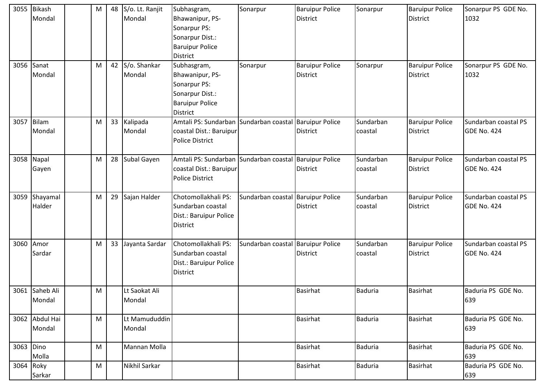| 3055      | <b>Bikash</b>  | M | 48 | S/o. Lt. Ranjit | Subhasgram,                                            | Sonarpur                          | <b>Baruipur Police</b> | Sonarpur       | <b>Baruipur Police</b> | Sonarpur PS GDE No.  |
|-----------|----------------|---|----|-----------------|--------------------------------------------------------|-----------------------------------|------------------------|----------------|------------------------|----------------------|
|           | Mondal         |   |    | Mondal          | Bhawanipur, PS-                                        |                                   | <b>District</b>        |                | <b>District</b>        | 1032                 |
|           |                |   |    |                 | Sonarpur PS:                                           |                                   |                        |                |                        |                      |
|           |                |   |    |                 | Sonarpur Dist.:                                        |                                   |                        |                |                        |                      |
|           |                |   |    |                 | <b>Baruipur Police</b>                                 |                                   |                        |                |                        |                      |
|           |                |   |    |                 | <b>District</b>                                        |                                   |                        |                |                        |                      |
|           | 3056 Sanat     | M | 42 | S/o. Shankar    | Subhasgram,                                            | Sonarpur                          | <b>Baruipur Police</b> | Sonarpur       | <b>Baruipur Police</b> | Sonarpur PS GDE No.  |
|           | Mondal         |   |    | Mondal          | Bhawanipur, PS-                                        |                                   | <b>District</b>        |                | <b>District</b>        | 1032                 |
|           |                |   |    |                 | Sonarpur PS:                                           |                                   |                        |                |                        |                      |
|           |                |   |    |                 | Sonarpur Dist.:                                        |                                   |                        |                |                        |                      |
|           |                |   |    |                 | <b>Baruipur Police</b>                                 |                                   |                        |                |                        |                      |
|           |                |   |    |                 | District                                               |                                   |                        |                |                        |                      |
| 3057      | <b>Bilam</b>   | M | 33 | Kalipada        | Amtali PS: Sundarban Sundarban coastal Baruipur Police |                                   |                        | Sundarban      | <b>Baruipur Police</b> | Sundarban coastal PS |
|           | Mondal         |   |    | Mondal          | coastal Dist.: Baruipur                                |                                   | <b>District</b>        | coastal        | <b>District</b>        | <b>GDE No. 424</b>   |
|           |                |   |    |                 | <b>Police District</b>                                 |                                   |                        |                |                        |                      |
|           |                |   |    |                 |                                                        |                                   |                        |                |                        |                      |
|           | 3058 Napal     | M | 28 | Subal Gayen     | Amtali PS: Sundarban Sundarban coastal Baruipur Police |                                   |                        | Sundarban      | <b>Baruipur Police</b> | Sundarban coastal PS |
|           | Gayen          |   |    |                 | coastal Dist.: Baruipur                                |                                   | <b>District</b>        | coastal        | <b>District</b>        | <b>GDE No. 424</b>   |
|           |                |   |    |                 | <b>Police District</b>                                 |                                   |                        |                |                        |                      |
|           |                |   |    |                 |                                                        |                                   |                        |                |                        |                      |
| 3059      | Shayamal       | M | 29 | Sajan Halder    | Chotomollakhali PS:                                    | Sundarban coastal                 | <b>Baruipur Police</b> | Sundarban      | <b>Baruipur Police</b> | Sundarban coastal PS |
|           | Halder         |   |    |                 | Sundarban coastal                                      |                                   | District               | coastal        | <b>District</b>        | <b>GDE No. 424</b>   |
|           |                |   |    |                 | Dist.: Baruipur Police                                 |                                   |                        |                |                        |                      |
|           |                |   |    |                 | <b>District</b>                                        |                                   |                        |                |                        |                      |
|           |                |   |    |                 |                                                        |                                   |                        |                |                        |                      |
| 3060      | Amor           | M | 33 | Jayanta Sardar  | Chotomollakhali PS:                                    | Sundarban coastal Baruipur Police |                        | Sundarban      | <b>Baruipur Police</b> | Sundarban coastal PS |
|           | Sardar         |   |    |                 | Sundarban coastal                                      |                                   | <b>District</b>        | coastal        | <b>District</b>        | <b>GDE No. 424</b>   |
|           |                |   |    |                 | Dist.: Baruipur Police                                 |                                   |                        |                |                        |                      |
|           |                |   |    |                 | <b>District</b>                                        |                                   |                        |                |                        |                      |
|           |                |   |    |                 |                                                        |                                   |                        |                |                        |                      |
|           | 3061 Saheb Ali | M |    | Lt Saokat Ali   |                                                        |                                   | <b>Basirhat</b>        | <b>Baduria</b> | <b>Basirhat</b>        | Baduria PS GDE No.   |
|           | Mondal         |   |    | Mondal          |                                                        |                                   |                        |                |                        | 639                  |
|           |                |   |    |                 |                                                        |                                   |                        |                |                        |                      |
|           | 3062 Abdul Hai | M |    | Lt Mamududdin   |                                                        |                                   | <b>Basirhat</b>        | Baduria        | <b>Basirhat</b>        | Baduria PS GDE No.   |
|           | Mondal         |   |    | Mondal          |                                                        |                                   |                        |                |                        | 639                  |
|           |                |   |    |                 |                                                        |                                   |                        |                |                        |                      |
| 3063      | Dino           | M |    | Mannan Molla    |                                                        |                                   | <b>Basirhat</b>        | Baduria        | <b>Basirhat</b>        | Baduria PS GDE No.   |
|           | Molla          |   |    |                 |                                                        |                                   |                        |                |                        | 639                  |
| 3064 Roky |                | M |    | Nikhil Sarkar   |                                                        |                                   | <b>Basirhat</b>        | Baduria        | <b>Basirhat</b>        | Baduria PS GDE No.   |
|           | Sarkar         |   |    |                 |                                                        |                                   |                        |                |                        | 639                  |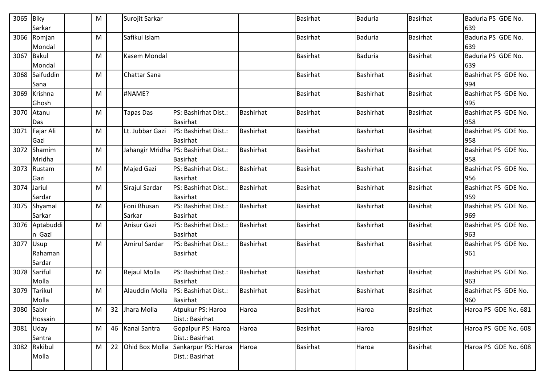| 3065 Biky   | Sarkar                   | M |    | Surojit Sarkar        |                                                         |                  | <b>Basirhat</b> | <b>Baduria</b>   | Basirhat        | Baduria PS GDE No.<br>639   |
|-------------|--------------------------|---|----|-----------------------|---------------------------------------------------------|------------------|-----------------|------------------|-----------------|-----------------------------|
|             | 3066 Romjan<br>Mondal    | M |    | Safikul Islam         |                                                         |                  | <b>Basirhat</b> | <b>Baduria</b>   | <b>Basirhat</b> | Baduria PS GDE No.<br>639   |
|             | 3067 Bakul<br>Mondal     | M |    | Kasem Mondal          |                                                         |                  | <b>Basirhat</b> | <b>Baduria</b>   | <b>Basirhat</b> | Baduria PS GDE No.<br>639   |
|             | 3068 Saifuddin<br>Sana   | M |    | <b>Chattar Sana</b>   |                                                         |                  | <b>Basirhat</b> | <b>Bashirhat</b> | <b>Basirhat</b> | Bashirhat PS GDE No.<br>994 |
|             | 3069 Krishna<br>Ghosh    | M |    | #NAME?                |                                                         |                  | <b>Basirhat</b> | Bashirhat        | <b>Basirhat</b> | Bashirhat PS GDE No.<br>995 |
|             | 3070 Atanu<br>Das        | M |    | <b>Tapas Das</b>      | PS: Bashirhat Dist.:<br><b>Basirhat</b>                 | <b>Bashirhat</b> | <b>Basirhat</b> | <b>Bashirhat</b> | <b>Basirhat</b> | Bashirhat PS GDE No.<br>958 |
|             | 3071 Fajar Ali<br>Gazi   | M |    | Lt. Jubbar Gazi       | PS: Bashirhat Dist.:<br><b>Basirhat</b>                 | <b>Bashirhat</b> | <b>Basirhat</b> | <b>Bashirhat</b> | <b>Basirhat</b> | Bashirhat PS GDE No.<br>958 |
|             | 3072 Shamim<br>Mridha    | M |    |                       | Jahangir Mridha PS: Bashirhat Dist.:<br><b>Basirhat</b> | <b>Bashirhat</b> | <b>Basirhat</b> | <b>Bashirhat</b> | <b>Basirhat</b> | Bashirhat PS GDE No.<br>958 |
|             | 3073 Rustam<br>Gazi      | M |    | <b>Majed Gazi</b>     | PS: Bashirhat Dist.:<br><b>Basirhat</b>                 | <b>Bashirhat</b> | <b>Basirhat</b> | <b>Bashirhat</b> | <b>Basirhat</b> | Bashirhat PS GDE No.<br>956 |
| 3074 Jariul | Sardar                   | M |    | Sirajul Sardar        | PS: Bashirhat Dist.:<br><b>Basirhat</b>                 | Bashirhat        | <b>Basirhat</b> | <b>Bashirhat</b> | <b>Basirhat</b> | Bashirhat PS GDE No.<br>959 |
|             | 3075 Shyamal<br>Sarkar   | M |    | Foni Bhusan<br>Sarkar | PS: Bashirhat Dist.:<br><b>Basirhat</b>                 | Bashirhat        | <b>Basirhat</b> | <b>Bashirhat</b> | <b>Basirhat</b> | Bashirhat PS GDE No.<br>969 |
|             | 3076 Aptabuddi<br>n Gazi | M |    | Anisur Gazi           | PS: Bashirhat Dist.:<br><b>Basirhat</b>                 | Bashirhat        | <b>Basirhat</b> | <b>Bashirhat</b> | <b>Basirhat</b> | Bashirhat PS GDE No.<br>963 |
| 3077 Usup   | Rahaman<br>Sardar        | M |    | Amirul Sardar         | PS: Bashirhat Dist.:<br><b>Basirhat</b>                 | <b>Bashirhat</b> | <b>Basirhat</b> | <b>Bashirhat</b> | <b>Basirhat</b> | Bashirhat PS GDE No.<br>961 |
|             | 3078 Sariful<br>Molla    | M |    | Rejaul Molla          | PS: Bashirhat Dist.:<br><b>Basirhat</b>                 | Bashirhat        | <b>Basirhat</b> | <b>Bashirhat</b> | <b>Basirhat</b> | Bashirhat PS GDE No.<br>963 |
|             | 3079 Tarikul<br>Molla    | M |    | Alauddin Molla        | PS: Bashirhat Dist.:<br><b>Basirhat</b>                 | <b>Bashirhat</b> | <b>Basirhat</b> | <b>Bashirhat</b> | <b>Basirhat</b> | Bashirhat PS GDE No.<br>960 |
| 3080 Sabir  | Hossain                  | M |    | 32 Jhara Molla        | Atpukur PS: Haroa<br>Dist.: Basirhat                    | Haroa            | <b>Basirhat</b> | Haroa            | Basirhat        | Haroa PS GDE No. 681        |
| 3081 Uday   | Santra                   | M |    | 46 Kanai Santra       | Gopalpur PS: Haroa<br>Dist.: Basirhat                   | Haroa            | Basirhat        | Haroa            | Basirhat        | Haroa PS GDE No. 608        |
|             | 3082 Rakibul<br>Molla    | M | 22 | Ohid Box Molla        | Sankarpur PS: Haroa<br>Dist.: Basirhat                  | Haroa            | <b>Basirhat</b> | Haroa            | Basirhat        | Haroa PS GDE No. 608        |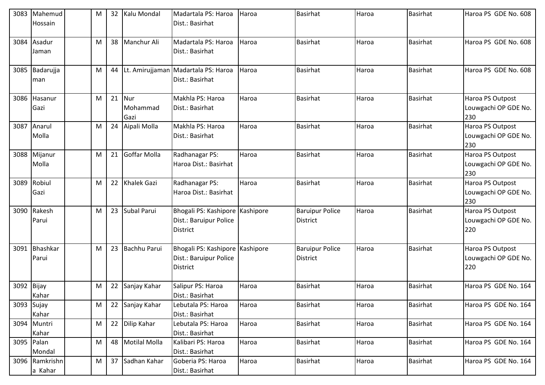| 3083 | Mahemud<br>Hossain        | M | 32 | Kalu Mondal                | Madartala PS: Haroa<br>Dist.: Basirhat                             | Haroa     | <b>Basirhat</b>                           | Haroa | <b>Basirhat</b> | Haroa PS GDE No. 608                            |
|------|---------------------------|---|----|----------------------------|--------------------------------------------------------------------|-----------|-------------------------------------------|-------|-----------------|-------------------------------------------------|
| 3084 | Asadur<br>Jaman           | M | 38 | Manchur Ali                | Madartala PS: Haroa<br>Dist.: Basirhat                             | Haroa     | <b>Basirhat</b>                           | Haroa | <b>Basirhat</b> | Haroa PS GDE No. 608                            |
| 3085 | Badarujja<br>man          | M | 44 |                            | Lt. Amirujjaman Madartala PS: Haroa<br>Dist.: Basirhat             | Haroa     | <b>Basirhat</b>                           | Haroa | <b>Basirhat</b> | Haroa PS GDE No. 608                            |
| 3086 | Hasanur<br>Gazi           | M |    | 21 Nur<br>Mohammad<br>Gazi | Makhla PS: Haroa<br>Dist.: Basirhat                                | Haroa     | <b>Basirhat</b>                           | Haroa | <b>Basirhat</b> | Haroa PS Outpost<br>Louwgachi OP GDE No.<br>230 |
| 3087 | Anarul<br>Molla           | M | 24 | Aipali Molla               | Makhla PS: Haroa<br>Dist.: Basirhat                                | Haroa     | <b>Basirhat</b>                           | Haroa | <b>Basirhat</b> | Haroa PS Outpost<br>Louwgachi OP GDE No.<br>230 |
|      | 3088 Mijanur<br>Molla     | M |    | 21 Goffar Molla            | Radhanagar PS:<br>Haroa Dist.: Basirhat                            | Haroa     | <b>Basirhat</b>                           | Haroa | <b>Basirhat</b> | Haroa PS Outpost<br>Louwgachi OP GDE No.<br>230 |
| 3089 | Robiul<br>Gazi            | M | 22 | <b>Khalek Gazi</b>         | Radhanagar PS:<br>Haroa Dist.: Basirhat                            | Haroa     | <b>Basirhat</b>                           | Haroa | <b>Basirhat</b> | Haroa PS Outpost<br>Louwgachi OP GDE No.<br>230 |
| 3090 | Rakesh<br>Parui           | M | 23 | Subal Parui                | Bhogali PS: Kashipore<br>Dist.: Baruipur Police<br>District        | Kashipore | <b>Baruipur Police</b><br><b>District</b> | Haroa | <b>Basirhat</b> | Haroa PS Outpost<br>Louwgachi OP GDE No.<br>220 |
| 3091 | Bhashkar<br>Parui         | M |    | 23 Bachhu Parui            | Bhogali PS: Kashipore<br>Dist.: Baruipur Police<br><b>District</b> | Kashipore | <b>Baruipur Police</b><br>District        | Haroa | <b>Basirhat</b> | Haroa PS Outpost<br>Louwgachi OP GDE No.<br>220 |
| 3092 | Bijay<br>Kahar            | M | 22 | Sanjay Kahar               | Salipur PS: Haroa<br>Dist.: Basirhat                               | Haroa     | <b>Basirhat</b>                           | Haroa | <b>Basirhat</b> | Haroa PS GDE No. 164                            |
| 3093 | Sujay<br>Kahar            | M |    | 22 Sanjay Kahar            | Lebutala PS: Haroa<br>Dist.: Basirhat                              | Haroa     | Basirhat                                  | Haroa | <b>Basirhat</b> | Haroa PS GDE No. 164                            |
|      | 3094 Muntri<br>Kahar      | M | 22 | Dilip Kahar                | Lebutala PS: Haroa<br>Dist.: Basirhat                              | Haroa     | Basirhat                                  | Haroa | <b>Basirhat</b> | Haroa PS GDE No. 164                            |
|      | 3095 Palan<br>Mondal      | M |    | 48 Motilal Molla           | Kalibari PS: Haroa<br>Dist.: Basirhat                              | Haroa     | <b>Basirhat</b>                           | Haroa | <b>Basirhat</b> | Haroa PS GDE No. 164                            |
|      | 3096 Ramkrishn<br>a Kahar | M |    | 37 Sadhan Kahar            | Goberia PS: Haroa<br>Dist.: Basirhat                               | Haroa     | <b>Basirhat</b>                           | Haroa | <b>Basirhat</b> | Haroa PS GDE No. 164                            |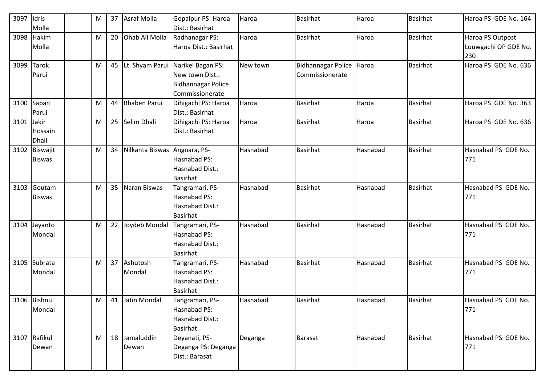| 3097 | Idris<br>Molla            | M |    | 37 Asraf Molla         | Gopalpur PS: Haroa<br>Dist.: Basirhat                                                | Haroa    | <b>Basirhat</b>                             | Haroa    | Basirhat        | Haroa PS GDE No. 164                            |
|------|---------------------------|---|----|------------------------|--------------------------------------------------------------------------------------|----------|---------------------------------------------|----------|-----------------|-------------------------------------------------|
| 3098 | Hakim<br>Molla            | M | 20 | Ohab Ali Molla         | Radhanagar PS:<br>Haroa Dist.: Basirhat                                              | Haroa    | <b>Basirhat</b>                             | Haroa    | <b>Basirhat</b> | Haroa PS Outpost<br>Louwgachi OP GDE No.<br>230 |
| 3099 | <b>Tarok</b><br>Parui     | M |    | 45 Lt. Shyam Parui     | Narikel Bagan PS:<br>New town Dist.:<br><b>Bidhannagar Police</b><br>Commissionerate | New town | Bidhannagar Police Haroa<br>Commissionerate |          | Basirhat        | Haroa PS GDE No. 636                            |
| 3100 | Sapan<br>Parui            | M | 44 | <b>Bhaben Parui</b>    | Dihigachi PS: Haroa<br>Dist.: Basirhat                                               | Haroa    | <b>Basirhat</b>                             | Haroa    | <b>Basirhat</b> | Haroa PS GDE No. 363                            |
| 3101 | Jakir<br>Hossain<br>Dhali | M |    | 25 Selim Dhali         | Dihigachi PS: Haroa<br>Dist.: Basirhat                                               | Haroa    | <b>Basirhat</b>                             | Haroa    | <b>Basirhat</b> | Haroa PS GDE No. 636                            |
| 3102 | Biswajit<br><b>Biswas</b> | M | 34 | Nilkanta Biswas        | Angnara, PS-<br>Hasnabad PS:<br>Hasnabad Dist.:<br>Basirhat                          | Hasnabad | <b>Basirhat</b>                             | Hasnabad | <b>Basirhat</b> | Hasnabad PS GDE No.<br>771                      |
| 3103 | Goutam<br><b>Biswas</b>   | M |    | 35 Naran Biswas        | Tangramari, PS-<br><b>Hasnabad PS:</b><br>Hasnabad Dist.:<br><b>Basirhat</b>         | Hasnabad | <b>Basirhat</b>                             | Hasnabad | <b>Basirhat</b> | Hasnabad PS GDE No.<br>771                      |
| 3104 | Jayanto<br>Mondal         | M |    | 22 Joydeb Mondal       | Tangramari, PS-<br>Hasnabad PS:<br>Hasnabad Dist.:<br><b>Basirhat</b>                | Hasnabad | <b>Basirhat</b>                             | Hasnabad | <b>Basirhat</b> | Hasnabad PS GDE No.<br>771                      |
| 3105 | Subrata<br>Mondal         | M |    | 37 Ashutosh<br>Mondal  | Tangramari, PS-<br>Hasnabad PS:<br>Hasnabad Dist.:<br>Basirhat                       | Hasnabad | <b>Basirhat</b>                             | Hasnabad | <b>Basirhat</b> | Hasnabad PS GDE No.<br>771                      |
|      | 3106 Bishnu<br>Mondal     | M |    | 41 Jatin Mondal        | Tangramari, PS-<br>Hasnabad PS:<br>Hasnabad Dist.:<br>Basirhat                       | Hasnabad | <b>Basirhat</b>                             | Hasnabad | <b>Basirhat</b> | Hasnabad PS GDE No.<br>771                      |
|      | 3107 Rafikul<br>Dewan     | M |    | 18 Jamaluddin<br>Dewan | Deyanati, PS-<br>Deganga PS: Deganga<br>Dist.: Barasat                               | Deganga  | Barasat                                     | Hasnabad | <b>Basirhat</b> | Hasnabad PS GDE No.<br>771                      |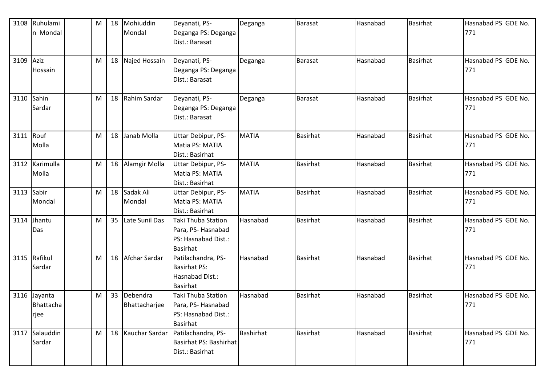| 3108 | Ruhulami<br>n Mondal         | M | 18              | Mohiuddin<br>Mondal          | Deyanati, PS-<br>Deganga PS: Deganga<br>Dist.: Barasat                                   | Deganga          | <b>Barasat</b>  | Hasnabad | <b>Basirhat</b> | Hasnabad PS GDE No.<br>771 |
|------|------------------------------|---|-----------------|------------------------------|------------------------------------------------------------------------------------------|------------------|-----------------|----------|-----------------|----------------------------|
| 3109 | Aziz<br>Hossain              | M |                 | 18 Najed Hossain             | Deyanati, PS-<br>Deganga PS: Deganga<br>Dist.: Barasat                                   | Deganga          | <b>Barasat</b>  | Hasnabad | <b>Basirhat</b> | Hasnabad PS GDE No.<br>771 |
| 3110 | Sahin<br>Sardar              | M |                 | 18 Rahim Sardar              | Deyanati, PS-<br>Deganga PS: Deganga<br>Dist.: Barasat                                   | Deganga          | <b>Barasat</b>  | Hasnabad | <b>Basirhat</b> | Hasnabad PS GDE No.<br>771 |
| 3111 | Rouf<br>Molla                | M | 18              | Janab Molla                  | Uttar Debipur, PS-<br>Matia PS: MATIA<br>Dist.: Basirhat                                 | <b>MATIA</b>     | <b>Basirhat</b> | Hasnabad | <b>Basirhat</b> | Hasnabad PS GDE No.<br>771 |
| 3112 | Karimulla<br>Molla           | M |                 | 18 Alamgir Molla             | Uttar Debipur, PS-<br>Matia PS: MATIA<br>Dist.: Basirhat                                 | <b>MATIA</b>     | <b>Basirhat</b> | Hasnabad | <b>Basirhat</b> | Hasnabad PS GDE No.<br>771 |
| 3113 | Sabir<br>Mondal              | M |                 | 18 Sadak Ali<br>Mondal       | Uttar Debipur, PS-<br>Matia PS: MATIA<br>Dist.: Basirhat                                 | <b>MATIA</b>     | <b>Basirhat</b> | Hasnabad | <b>Basirhat</b> | Hasnabad PS GDE No.<br>771 |
| 3114 | Jhantu<br>Das                | M | 35 <sub>2</sub> | Late Sunil Das               | <b>Taki Thuba Station</b><br>Para, PS-Hasnabad<br>PS: Hasnabad Dist.:<br><b>Basirhat</b> | Hasnabad         | <b>Basirhat</b> | Hasnabad | <b>Basirhat</b> | Hasnabad PS GDE No.<br>771 |
|      | 3115 Rafikul<br>Sardar       | M | 18              | Afchar Sardar                | Patilachandra, PS-<br><b>Basirhat PS:</b><br>Hasnabad Dist.:<br><b>Basirhat</b>          | Hasnabad         | <b>Basirhat</b> | Hasnabad | <b>Basirhat</b> | Hasnabad PS GDE No.<br>771 |
| 3116 | Jayanta<br>Bhattacha<br>rjee | M |                 | 33 Debendra<br>Bhattacharjee | <b>Taki Thuba Station</b><br>Para, PS-Hasnabad<br>PS: Hasnabad Dist.:<br><b>Basirhat</b> | Hasnabad         | <b>Basirhat</b> | Hasnabad | <b>Basirhat</b> | Hasnabad PS GDE No.<br>771 |
| 3117 | Salauddin<br>Sardar          | M |                 | 18 Kauchar Sardar            | Patilachandra, PS-<br>Basirhat PS: Bashirhat<br>Dist.: Basirhat                          | <b>Bashirhat</b> | Basirhat        | Hasnabad | <b>Basirhat</b> | Hasnabad PS GDE No.<br>771 |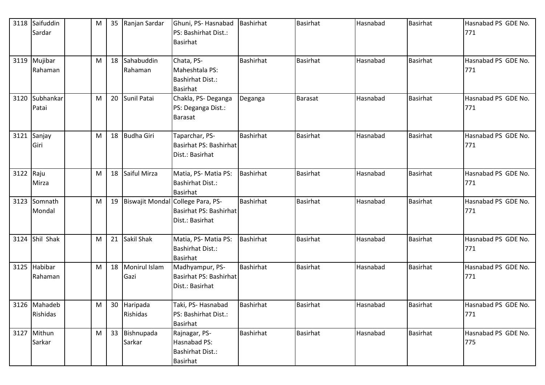| 3118      | Saifuddin<br>Sardar      | M | 35              | Ranjan Sardar           | Ghuni, PS- Hasnabad<br>PS: Bashirhat Dist.:<br><b>Basirhat</b>                 | Bashirhat        | <b>Basirhat</b> | Hasnabad | Basirhat        | Hasnabad PS GDE No.<br>771 |
|-----------|--------------------------|---|-----------------|-------------------------|--------------------------------------------------------------------------------|------------------|-----------------|----------|-----------------|----------------------------|
|           | 3119 Mujibar<br>Rahaman  | M | 18 <sup>1</sup> | Sahabuddin<br>Rahaman   | Chata, PS-<br>Maheshtala PS:<br><b>Bashirhat Dist.:</b><br><b>Basirhat</b>     | <b>Bashirhat</b> | <b>Basirhat</b> | Hasnabad | <b>Basirhat</b> | Hasnabad PS GDE No.<br>771 |
| 3120      | Subhankar<br>Patai       | м | 20 <sup>1</sup> | Sunil Patai             | Chakla, PS-Deganga<br>PS: Deganga Dist.:<br><b>Barasat</b>                     | Deganga          | <b>Barasat</b>  | Hasnabad | <b>Basirhat</b> | Hasnabad PS GDE No.<br>771 |
| 3121      | Sanjay<br>Giri           | M | 18              | <b>Budha Giri</b>       | Taparchar, PS-<br>Basirhat PS: Bashirhat<br>Dist.: Basirhat                    | Bashirhat        | <b>Basirhat</b> | Hasnabad | <b>Basirhat</b> | Hasnabad PS GDE No.<br>771 |
| 3122 Raju | Mirza                    | M | 18              | Saiful Mirza            | Matia, PS-Matia PS:<br><b>Bashirhat Dist.:</b><br><b>Basirhat</b>              | <b>Bashirhat</b> | <b>Basirhat</b> | Hasnabad | <b>Basirhat</b> | Hasnabad PS GDE No.<br>771 |
|           | 3123 Somnath<br>Mondal   | M | 19              |                         | Biswajit Mondal College Para, PS-<br>Basirhat PS: Bashirhat<br>Dist.: Basirhat | <b>Bashirhat</b> | <b>Basirhat</b> | Hasnabad | <b>Basirhat</b> | Hasnabad PS GDE No.<br>771 |
|           | 3124 Shil Shak           | M |                 | 21 Sakil Shak           | Matia, PS-Matia PS:<br><b>Bashirhat Dist.:</b><br><b>Basirhat</b>              | <b>Bashirhat</b> | <b>Basirhat</b> | Hasnabad | <b>Basirhat</b> | Hasnabad PS GDE No.<br>771 |
| 3125      | Habibar<br>Rahaman       | M | 18              | Monirul Islam<br>Gazi   | Madhyampur, PS-<br>Basirhat PS: Bashirhat<br>Dist.: Basirhat                   | <b>Bashirhat</b> | <b>Basirhat</b> | Hasnabad | <b>Basirhat</b> | Hasnabad PS GDE No.<br>771 |
|           | 3126 Mahadeb<br>Rishidas | M |                 | 30 Haripada<br>Rishidas | Taki, PS-Hasnabad<br>PS: Bashirhat Dist.:<br><b>Basirhat</b>                   | Bashirhat        | <b>Basirhat</b> | Hasnabad | <b>Basirhat</b> | Hasnabad PS GDE No.<br>771 |
|           | 3127 Mithun<br>Sarkar    | M |                 | 33 Bishnupada<br>Sarkar | Rajnagar, PS-<br>Hasnabad PS:<br><b>Bashirhat Dist.:</b><br><b>Basirhat</b>    | <b>Bashirhat</b> | Basirhat        | Hasnabad | <b>Basirhat</b> | Hasnabad PS GDE No.<br>775 |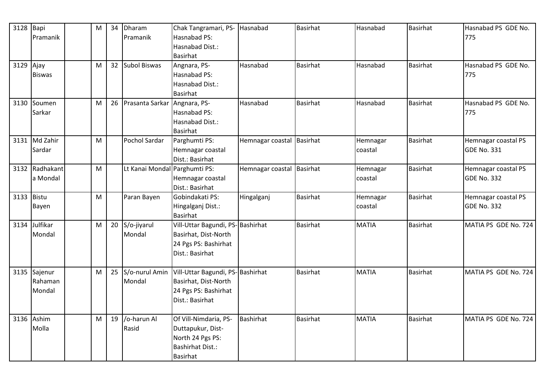| 3128 Bapi  |                | M | 34 | Dharam                          | Chak Tangramari, PS-             | Hasnabad                  | <b>Basirhat</b> | Hasnabad     | <b>Basirhat</b> | Hasnabad PS GDE No.  |
|------------|----------------|---|----|---------------------------------|----------------------------------|---------------------------|-----------------|--------------|-----------------|----------------------|
|            | Pramanik       |   |    | Pramanik                        | Hasnabad PS:                     |                           |                 |              |                 | 775                  |
|            |                |   |    |                                 | Hasnabad Dist.:                  |                           |                 |              |                 |                      |
|            |                |   |    |                                 | <b>Basirhat</b>                  |                           |                 |              |                 |                      |
| 3129 Ajay  |                | M |    | 32 Subol Biswas                 | Angnara, PS-                     | Hasnabad                  | <b>Basirhat</b> | Hasnabad     | <b>Basirhat</b> | Hasnabad PS GDE No.  |
|            | <b>Biswas</b>  |   |    |                                 | Hasnabad PS:                     |                           |                 |              |                 | 775                  |
|            |                |   |    |                                 | Hasnabad Dist.:                  |                           |                 |              |                 |                      |
|            |                |   |    |                                 | <b>Basirhat</b>                  |                           |                 |              |                 |                      |
|            | 3130 Soumen    | M |    | 26 Prasanta Sarkar Angnara, PS- |                                  | Hasnabad                  | <b>Basirhat</b> | Hasnabad     | <b>Basirhat</b> | Hasnabad PS GDE No.  |
|            | Sarkar         |   |    |                                 | Hasnabad PS:                     |                           |                 |              |                 | 775                  |
|            |                |   |    |                                 | Hasnabad Dist.:                  |                           |                 |              |                 |                      |
|            |                |   |    |                                 | <b>Basirhat</b>                  |                           |                 |              |                 |                      |
|            | 3131 Md Zahir  | M |    | Pochol Sardar                   | Parghumti PS:                    | Hemnagar coastal Basirhat |                 | Hemnagar     | <b>Basirhat</b> | Hemnagar coastal PS  |
|            | Sardar         |   |    |                                 | Hemnagar coastal                 |                           |                 | coastal      |                 | <b>GDE No. 331</b>   |
|            |                |   |    |                                 | Dist.: Basirhat                  |                           |                 |              |                 |                      |
|            | 3132 Radhakant | M |    | Lt Kanai Mondal Parghumti PS:   |                                  | Hemnagar coastal Basirhat |                 | Hemnagar     | <b>Basirhat</b> | Hemnagar coastal PS  |
|            | a Mondal       |   |    |                                 | Hemnagar coastal                 |                           |                 | coastal      |                 | <b>GDE No. 332</b>   |
|            |                |   |    |                                 | Dist.: Basirhat                  |                           |                 |              |                 |                      |
| 3133 Bistu |                | M |    | Paran Bayen                     | Gobindakati PS:                  | Hingalganj                | <b>Basirhat</b> | Hemnagar     | <b>Basirhat</b> | Hemnagar coastal PS  |
|            | Bayen          |   |    |                                 | Hingalganj Dist.:                |                           |                 | coastal      |                 | <b>GDE No. 332</b>   |
|            |                |   |    |                                 | Basirhat                         |                           |                 |              |                 |                      |
|            | 3134 Julfikar  | M |    | 20 S/o-jiyarul                  | Vill-Uttar Bagundi, PS-Bashirhat |                           | <b>Basirhat</b> | <b>MATIA</b> | <b>Basirhat</b> | MATIA PS GDE No. 724 |
|            | Mondal         |   |    | Mondal                          | Basirhat, Dist-North             |                           |                 |              |                 |                      |
|            |                |   |    |                                 | 24 Pgs PS: Bashirhat             |                           |                 |              |                 |                      |
|            |                |   |    |                                 | Dist.: Basirhat                  |                           |                 |              |                 |                      |
|            |                |   |    |                                 |                                  |                           |                 |              |                 |                      |
|            | 3135 Sajenur   | M |    | 25 S/o-nurul Amin               | Vill-Uttar Bagundi, PS-Bashirhat |                           | <b>Basirhat</b> | <b>MATIA</b> | <b>Basirhat</b> | MATIA PS GDE No. 724 |
|            | Rahaman        |   |    | Mondal                          | Basirhat, Dist-North             |                           |                 |              |                 |                      |
|            | Mondal         |   |    |                                 | 24 Pgs PS: Bashirhat             |                           |                 |              |                 |                      |
|            |                |   |    |                                 | Dist.: Basirhat                  |                           |                 |              |                 |                      |
|            | 3136 Ashim     |   |    | 19 /o-harun Al                  |                                  | Bashirhat                 | <b>Basirhat</b> | <b>MATIA</b> |                 | MATIA PS GDE No. 724 |
|            |                | M |    |                                 | Of Vill-Nimdaria, PS-            |                           |                 |              | <b>Basirhat</b> |                      |
|            | Molla          |   |    | Rasid                           | Duttapukur, Dist-                |                           |                 |              |                 |                      |
|            |                |   |    |                                 | North 24 Pgs PS:                 |                           |                 |              |                 |                      |
|            |                |   |    |                                 | <b>Bashirhat Dist.:</b>          |                           |                 |              |                 |                      |
|            |                |   |    |                                 | <b>Basirhat</b>                  |                           |                 |              |                 |                      |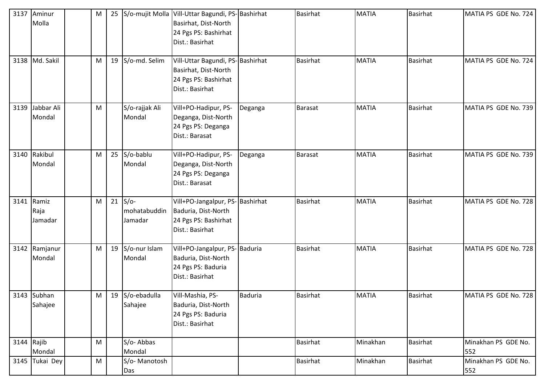| 3137         | Aminur         | M |                  | 25 S/o-mujit Molla Vill-Uttar Bagundi, PS-Bashirhat |                | <b>Basirhat</b> | <b>MATIA</b> | <b>Basirhat</b> | MATIA PS GDE No. 724 |
|--------------|----------------|---|------------------|-----------------------------------------------------|----------------|-----------------|--------------|-----------------|----------------------|
|              | Molla          |   |                  | Basirhat, Dist-North                                |                |                 |              |                 |                      |
|              |                |   |                  | 24 Pgs PS: Bashirhat                                |                |                 |              |                 |                      |
|              |                |   |                  | Dist.: Basirhat                                     |                |                 |              |                 |                      |
|              |                |   |                  |                                                     |                |                 |              |                 |                      |
|              | 3138 Md. Sakil | M | 19 S/o-md. Selim | Vill-Uttar Bagundi, PS-Bashirhat                    |                | <b>Basirhat</b> | <b>MATIA</b> | <b>Basirhat</b> | MATIA PS GDE No. 724 |
|              |                |   |                  | Basirhat, Dist-North                                |                |                 |              |                 |                      |
|              |                |   |                  | 24 Pgs PS: Bashirhat                                |                |                 |              |                 |                      |
|              |                |   |                  | Dist.: Basirhat                                     |                |                 |              |                 |                      |
|              |                |   |                  |                                                     |                |                 |              |                 |                      |
| 3139         | Jabbar Ali     | M | S/o-rajjak Ali   | Vill+PO-Hadipur, PS-                                | Deganga        | <b>Barasat</b>  | <b>MATIA</b> | <b>Basirhat</b> | MATIA PS GDE No. 739 |
|              | Mondal         |   | Mondal           | Deganga, Dist-North                                 |                |                 |              |                 |                      |
|              |                |   |                  | 24 Pgs PS: Deganga                                  |                |                 |              |                 |                      |
|              |                |   |                  | Dist.: Barasat                                      |                |                 |              |                 |                      |
|              | 3140 Rakibul   | M | $25$ S/o-bablu   | Vill+PO-Hadipur, PS-                                | Deganga        | <b>Barasat</b>  | <b>MATIA</b> | <b>Basirhat</b> | MATIA PS GDE No. 739 |
|              | Mondal         |   | Mondal           | Deganga, Dist-North                                 |                |                 |              |                 |                      |
|              |                |   |                  | 24 Pgs PS: Deganga                                  |                |                 |              |                 |                      |
|              |                |   |                  | Dist.: Barasat                                      |                |                 |              |                 |                      |
|              |                |   |                  |                                                     |                |                 |              |                 |                      |
|              | 3141 Ramiz     | M | $21$ S/o-        | Vill+PO-Jangalpur, PS-Bashirhat                     |                | <b>Basirhat</b> | <b>MATIA</b> | <b>Basirhat</b> | MATIA PS GDE No. 728 |
|              | Raja           |   | mohatabuddin     | Baduria, Dist-North                                 |                |                 |              |                 |                      |
|              | Jamadar        |   | Jamadar          | 24 Pgs PS: Bashirhat                                |                |                 |              |                 |                      |
|              |                |   |                  | Dist.: Basirhat                                     |                |                 |              |                 |                      |
|              |                |   |                  |                                                     |                |                 |              |                 |                      |
|              | 3142 Ramjanur  | M | 19 S/o-nur Islam | Vill+PO-Jangalpur, PS-Baduria                       |                | <b>Basirhat</b> | <b>MATIA</b> | <b>Basirhat</b> | MATIA PS GDE No. 728 |
|              | Mondal         |   | Mondal           | Baduria, Dist-North                                 |                |                 |              |                 |                      |
|              |                |   |                  | 24 Pgs PS: Baduria                                  |                |                 |              |                 |                      |
|              |                |   |                  | Dist.: Basirhat                                     |                |                 |              |                 |                      |
|              | 3143 Subhan    | M | 19 S/o-ebadulla  | Vill-Mashia, PS-                                    | <b>Baduria</b> | <b>Basirhat</b> | <b>MATIA</b> | <b>Basirhat</b> | MATIA PS GDE No. 728 |
|              | Sahajee        |   | Sahajee          | Baduria, Dist-North                                 |                |                 |              |                 |                      |
|              |                |   |                  | 24 Pgs PS: Baduria                                  |                |                 |              |                 |                      |
|              |                |   |                  | Dist.: Basirhat                                     |                |                 |              |                 |                      |
|              |                |   |                  |                                                     |                |                 |              |                 |                      |
| $3144$ Rajib |                | M | S/o-Abbas        |                                                     |                | <b>Basirhat</b> | Minakhan     | <b>Basirhat</b> | Minakhan PS GDE No.  |
|              | Mondal         |   | Mondal           |                                                     |                |                 |              |                 | 552                  |
|              | 3145 Tukai Dey | M | S/o-Manotosh     |                                                     |                | <b>Basirhat</b> | Minakhan     | <b>Basirhat</b> | Minakhan PS GDE No.  |
|              |                |   | Das              |                                                     |                |                 |              |                 | 552                  |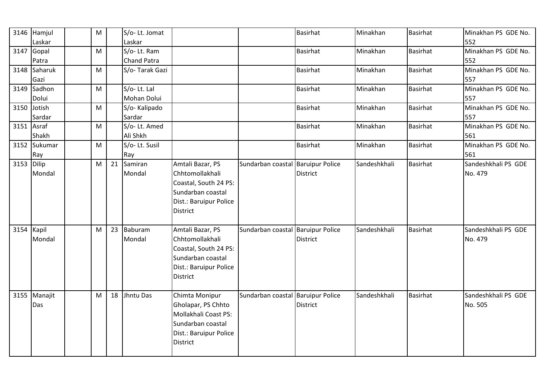|      | 3146 Hamjul<br>Laskar | M | S/o-Lt. Jomat<br>Laskar |                        |                                   | <b>Basirhat</b> | Minakhan     | <b>Basirhat</b> | Minakhan PS GDE No.<br>552 |
|------|-----------------------|---|-------------------------|------------------------|-----------------------------------|-----------------|--------------|-----------------|----------------------------|
|      |                       |   |                         |                        |                                   | <b>Basirhat</b> | Minakhan     |                 | Minakhan PS GDE No.        |
| 3147 | Gopal                 | M | S/o-Lt. Ram             |                        |                                   |                 |              | <b>Basirhat</b> |                            |
|      | Patra                 |   | <b>Chand Patra</b>      |                        |                                   |                 |              |                 | 552                        |
|      | 3148 Saharuk<br>Gazi  | M | S/o-Tarak Gazi          |                        |                                   | <b>Basirhat</b> | Minakhan     | Basirhat        | Minakhan PS GDE No.<br>557 |
| 3149 | Sadhon                | M | S/o-Lt. Lal             |                        |                                   | <b>Basirhat</b> | Minakhan     | <b>Basirhat</b> | Minakhan PS GDE No.        |
|      | Dolui                 |   | Mohan Dolui             |                        |                                   |                 |              |                 | 557                        |
| 3150 | Jotish                | M | S/o-Kalipado            |                        |                                   | <b>Basirhat</b> | Minakhan     | Basirhat        | Minakhan PS GDE No.        |
|      | Sardar                |   | Sardar                  |                        |                                   |                 |              |                 | 557                        |
|      | $3151$ Asraf          | M | S/o-Lt. Amed            |                        |                                   | <b>Basirhat</b> | Minakhan     | <b>Basirhat</b> | Minakhan PS GDE No.        |
|      | Shakh                 |   | Ali Shkh                |                        |                                   |                 |              |                 | 561                        |
| 3152 | Sukumar               | M | S/o-Lt. Susil           |                        |                                   | <b>Basirhat</b> | Minakhan     | <b>Basirhat</b> | Minakhan PS GDE No.        |
|      | Ray                   |   | Ray                     |                        |                                   |                 |              |                 | 561                        |
| 3153 | Dilip                 | M | 21 Samiran              | Amtali Bazar, PS       | Sundarban coastal Baruipur Police |                 | Sandeshkhali | <b>Basirhat</b> | Sandeshkhali PS GDE        |
|      | Mondal                |   | Mondal                  | Chhtomollakhali        |                                   | <b>District</b> |              |                 | No. 479                    |
|      |                       |   |                         | Coastal, South 24 PS:  |                                   |                 |              |                 |                            |
|      |                       |   |                         | Sundarban coastal      |                                   |                 |              |                 |                            |
|      |                       |   |                         | Dist.: Baruipur Police |                                   |                 |              |                 |                            |
|      |                       |   |                         | <b>District</b>        |                                   |                 |              |                 |                            |
|      |                       |   |                         |                        |                                   |                 |              |                 |                            |
|      | 3154 Kapil            | M | 23 Baburam              | Amtali Bazar, PS       | Sundarban coastal Baruipur Police |                 | Sandeshkhali | <b>Basirhat</b> | Sandeshkhali PS GDE        |
|      | Mondal                |   | Mondal                  | Chhtomollakhali        |                                   | District        |              |                 | No. 479                    |
|      |                       |   |                         | Coastal, South 24 PS:  |                                   |                 |              |                 |                            |
|      |                       |   |                         | Sundarban coastal      |                                   |                 |              |                 |                            |
|      |                       |   |                         | Dist.: Baruipur Police |                                   |                 |              |                 |                            |
|      |                       |   |                         | District               |                                   |                 |              |                 |                            |
|      |                       |   |                         |                        |                                   |                 |              |                 |                            |
| 3155 | Manajit               | M | 18 Jhntu Das            | Chimta Monipur         | Sundarban coastal Baruipur Police |                 | Sandeshkhali | <b>Basirhat</b> | Sandeshkhali PS GDE        |
|      | Das                   |   |                         | Gholapar, PS Chhto     |                                   | District        |              |                 | No. 505                    |
|      |                       |   |                         | Mollakhali Coast PS:   |                                   |                 |              |                 |                            |
|      |                       |   |                         | Sundarban coastal      |                                   |                 |              |                 |                            |
|      |                       |   |                         | Dist.: Baruipur Police |                                   |                 |              |                 |                            |
|      |                       |   |                         | <b>District</b>        |                                   |                 |              |                 |                            |
|      |                       |   |                         |                        |                                   |                 |              |                 |                            |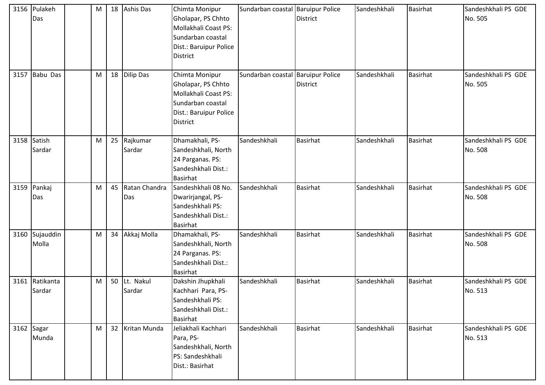|      | 3156 Pulakeh<br>Das      | M         |    | 18 Ashis Das           | Chimta Monipur<br>Gholapar, PS Chhto<br>Mollakhali Coast PS:<br>Sundarban coastal<br>Dist.: Baruipur Police<br><b>District</b> | Sundarban coastal Baruipur Police | <b>District</b> | Sandeshkhali | <b>Basirhat</b> | Sandeshkhali PS GDE<br>No. 505 |
|------|--------------------------|-----------|----|------------------------|--------------------------------------------------------------------------------------------------------------------------------|-----------------------------------|-----------------|--------------|-----------------|--------------------------------|
| 3157 | Babu Das                 | M         |    | 18 Dilip Das           | Chimta Monipur<br>Gholapar, PS Chhto<br>Mollakhali Coast PS:<br>Sundarban coastal<br>Dist.: Baruipur Police<br><b>District</b> | Sundarban coastal Baruipur Police | <b>District</b> | Sandeshkhali | <b>Basirhat</b> | Sandeshkhali PS GDE<br>No. 505 |
|      | 3158 Satish<br>Sardar    | ${\sf M}$ |    | 25 Rajkumar<br>Sardar  | Dhamakhali, PS-<br>Sandeshkhali, North<br>24 Parganas. PS:<br>Sandeshkhali Dist.:<br><b>Basirhat</b>                           | Sandeshkhali                      | <b>Basirhat</b> | Sandeshkhali | <b>Basirhat</b> | Sandeshkhali PS GDE<br>No. 508 |
|      | 3159 Pankaj<br>Das       | M         | 45 | Ratan Chandra<br>Das   | Sandeshkhali 08 No.<br>Dwarirjangal, PS-<br>Sandeshkhali PS:<br>Sandeshkhali Dist.:<br>Basirhat                                | Sandeshkhali                      | <b>Basirhat</b> | Sandeshkhali | <b>Basirhat</b> | Sandeshkhali PS GDE<br>No. 508 |
| 3160 | Sujauddin<br>Molla       | M         |    | 34 Akkaj Molla         | Dhamakhali, PS-<br>Sandeshkhali, North<br>24 Parganas. PS:<br>Sandeshkhali Dist.:<br>Basirhat                                  | Sandeshkhali                      | <b>Basirhat</b> | Sandeshkhali | <b>Basirhat</b> | Sandeshkhali PS GDE<br>No. 508 |
|      | 3161 Ratikanta<br>Sardar | Μ         |    | 50 Lt. Nakul<br>Sardar | Dakshin Jhupkhali<br>Kachhari Para, PS-<br>Sandeshkhali PS:<br>Sandeshkhali Dist.:<br>Basirhat                                 | Sandeshkhali                      | <b>Basirhat</b> | Sandeshkhali | <b>Basirhat</b> | Sandeshkhali PS GDE<br>No. 513 |
|      | 3162 Sagar<br>Munda      | M         |    | 32 Kritan Munda        | Jeliakhali Kachhari<br>Para, PS-<br>Sandeshkhali, North<br>PS: Sandeshkhali<br>Dist.: Basirhat                                 | Sandeshkhali                      | <b>Basirhat</b> | Sandeshkhali | <b>Basirhat</b> | Sandeshkhali PS GDE<br>No. 513 |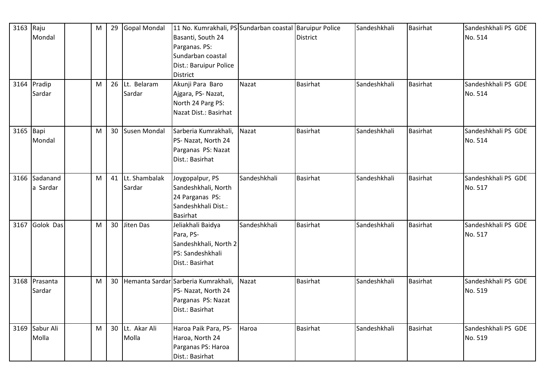| 3163 Raju | Mondal<br>3164 Pradip   | M<br>M | 29 | Gopal Mondal<br>26 Lt. Belaram | 11 No. Kumrakhali, PS Sundarban coastal Baruipur Police<br>Basanti, South 24<br>Parganas. PS:<br>Sundarban coastal<br>Dist.: Baruipur Police<br><b>District</b><br>Akunji Para Baro | Nazat        | <b>District</b><br><b>Basirhat</b> | Sandeshkhali<br>Sandeshkhali | <b>Basirhat</b><br><b>Basirhat</b> | Sandeshkhali PS GDE<br>No. 514<br>Sandeshkhali PS GDE |
|-----------|-------------------------|--------|----|--------------------------------|-------------------------------------------------------------------------------------------------------------------------------------------------------------------------------------|--------------|------------------------------------|------------------------------|------------------------------------|-------------------------------------------------------|
|           | Sardar                  |        |    | Sardar                         | Ajgara, PS-Nazat,<br>North 24 Parg PS:<br>Nazat Dist.: Basirhat                                                                                                                     |              |                                    |                              |                                    | No. 514                                               |
| 3165 Bapi | Mondal                  | M      |    | 30 Susen Mondal                | Sarberia Kumrakhali,<br>PS- Nazat, North 24<br>Parganas PS: Nazat<br>Dist.: Basirhat                                                                                                | Nazat        | <b>Basirhat</b>                    | Sandeshkhali                 | <b>Basirhat</b>                    | Sandeshkhali PS GDE<br>No. 514                        |
| 3166      | Sadanand<br>a Sardar    | M      |    | 41 Lt. Shambalak<br>Sardar     | Joygopalpur, PS<br>Sandeshkhali, North<br>24 Parganas PS:<br>Sandeshkhali Dist.:<br><b>Basirhat</b>                                                                                 | Sandeshkhali | <b>Basirhat</b>                    | Sandeshkhali                 | <b>Basirhat</b>                    | Sandeshkhali PS GDE<br>No. 517                        |
|           | 3167 Golok Das          | M      |    | 30 Jiten Das                   | Jeliakhali Baidya<br>Para, PS-<br>Sandeshkhali, North 2<br>PS: Sandeshkhali<br>Dist.: Basirhat                                                                                      | Sandeshkhali | <b>Basirhat</b>                    | Sandeshkhali                 | <b>Basirhat</b>                    | Sandeshkhali PS GDE<br>No. 517                        |
| 3168      | Prasanta<br>Sardar      | M      |    |                                | 30 Hemanta Sardar Sarberia Kumrakhali,<br>PS- Nazat, North 24<br>Parganas PS: Nazat<br>Dist.: Basirhat                                                                              | Nazat        | <b>Basirhat</b>                    | Sandeshkhali                 | <b>Basirhat</b>                    | Sandeshkhali PS GDE<br>No. 519                        |
|           | 3169 Sabur Ali<br>Molla | M      |    | 30 Lt. Akar Ali<br>Molla       | Haroa Paik Para, PS-<br>Haroa, North 24<br>Parganas PS: Haroa<br>Dist.: Basirhat                                                                                                    | Haroa        | <b>Basirhat</b>                    | Sandeshkhali                 | <b>Basirhat</b>                    | Sandeshkhali PS GDE<br>No. 519                        |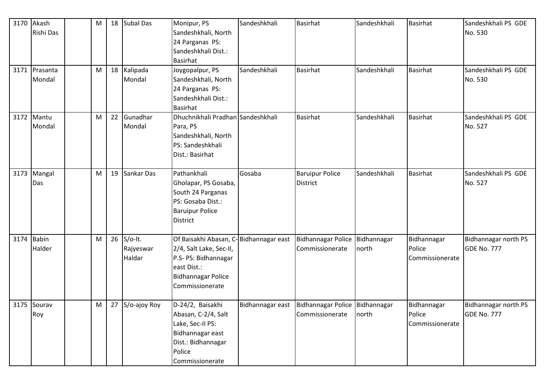| 3170 | Akash<br>Rishi Das      | M | 18 <sup>1</sup> | <b>Subal Das</b>                    | Monipur, PS<br>Sandeshkhali, North<br>24 Parganas PS:<br>Sandeshkhali Dist.:<br>Basirhat                                                                 | Sandeshkhali | <b>Basirhat</b>                                                        | Sandeshkhali         | <b>Basirhat</b>                          | Sandeshkhali PS GDE<br>No. 530      |
|------|-------------------------|---|-----------------|-------------------------------------|----------------------------------------------------------------------------------------------------------------------------------------------------------|--------------|------------------------------------------------------------------------|----------------------|------------------------------------------|-------------------------------------|
|      | 3171 Prasanta<br>Mondal | M | 18              | Kalipada<br>Mondal                  | Joygopalpur, PS<br>Sandeshkhali, North<br>24 Parganas PS:<br>Sandeshkhali Dist.:<br><b>Basirhat</b>                                                      | Sandeshkhali | <b>Basirhat</b>                                                        | Sandeshkhali         | <b>Basirhat</b>                          | Sandeshkhali PS GDE<br>No. 530      |
|      | 3172 Mantu<br>Mondal    | M | 22              | Gunadhar<br>Mondal                  | Dhuchnikhali Pradhan Sandeshkhali<br>Para, PS<br>Sandeshkhali, North<br>PS: Sandeshkhali<br>Dist.: Basirhat                                              |              | <b>Basirhat</b>                                                        | Sandeshkhali         | <b>Basirhat</b>                          | Sandeshkhali PS GDE<br>No. 527      |
| 3173 | Mangal<br>Das           | M | 19              | Sankar Das                          | Pathankhali<br>Gholapar, PS Gosaba,<br>South 24 Parganas<br>PS: Gosaba Dist.:<br><b>Baruipur Police</b><br><b>District</b>                               | Gosaba       | <b>Baruipur Police</b><br><b>District</b>                              | Sandeshkhali         | <b>Basirhat</b>                          | Sandeshkhali PS GDE<br>No. 527      |
| 3174 | <b>Babin</b><br>Halder  | M |                 | $26$ S/o-It.<br>Rajyeswar<br>Haldar | Of Baisakhi Abasan, C-Bidhannagar east<br>2/4, Salt Lake, Sec-II,<br>P.S- PS: Bidhannagar<br>east Dist.:<br><b>Bidhannagar Police</b><br>Commissionerate |              | Bidhannagar Police<br>Commissionerate                                  | Bidhannagar<br>north | Bidhannagar<br>Police<br>Commissionerate | Bidhannagar north PS<br>GDE No. 777 |
|      | 3175 Sourav<br>Roy      | M |                 | 27 S/o-ajoy Roy                     | D-24/2, Baisakhi<br>Abasan, C-2/4, Salt<br>Lake, Sec-II PS:<br>Bidhannagar east<br>Dist.: Bidhannagar<br>Police<br>Commissionerate                       |              | Bidhannagar east   Bidhannagar Police   Bidhannagar<br>Commissionerate | north                | Bidhannagar<br>Police<br>Commissionerate | Bidhannagar north PS<br>GDE No. 777 |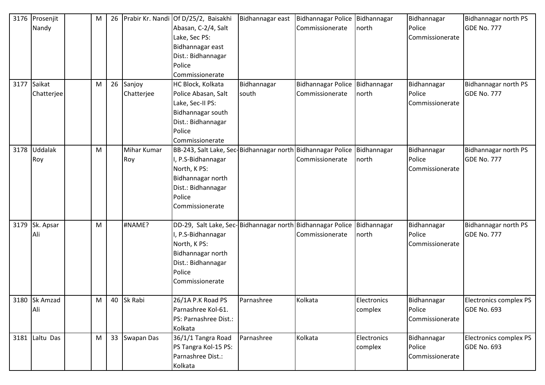| 3176 | Prosenjit      | M | 26 |             | Prabir Kr. Nandi Of D/25/2, Baisakhi                                      | Bidhannagar east | Bidhannagar Police Bidhannagar   |             | Bidhannagar     | Bidhannagar north PS   |
|------|----------------|---|----|-------------|---------------------------------------------------------------------------|------------------|----------------------------------|-------------|-----------------|------------------------|
|      | Nandy          |   |    |             | Abasan, C-2/4, Salt                                                       |                  | Commissionerate                  | north       | Police          | <b>GDE No. 777</b>     |
|      |                |   |    |             | Lake, Sec PS:                                                             |                  |                                  |             | Commissionerate |                        |
|      |                |   |    |             | Bidhannagar east                                                          |                  |                                  |             |                 |                        |
|      |                |   |    |             | Dist.: Bidhannagar                                                        |                  |                                  |             |                 |                        |
|      |                |   |    |             | Police                                                                    |                  |                                  |             |                 |                        |
|      |                |   |    |             | Commissionerate                                                           |                  |                                  |             |                 |                        |
| 3177 | Saikat         | M | 26 | Sanjoy      | HC Block, Kolkata                                                         | Bidhannagar      | Bidhannagar Police   Bidhannagar |             | Bidhannagar     | Bidhannagar north PS   |
|      | Chatterjee     |   |    | Chatterjee  | Police Abasan, Salt                                                       | south            | Commissionerate                  | north       | Police          | <b>GDE No. 777</b>     |
|      |                |   |    |             | Lake, Sec-II PS:                                                          |                  |                                  |             | Commissionerate |                        |
|      |                |   |    |             | Bidhannagar south                                                         |                  |                                  |             |                 |                        |
|      |                |   |    |             | Dist.: Bidhannagar                                                        |                  |                                  |             |                 |                        |
|      |                |   |    |             | Police                                                                    |                  |                                  |             |                 |                        |
|      |                |   |    |             | Commissionerate                                                           |                  |                                  |             |                 |                        |
|      | 3178 Uddalak   | M |    | Mihar Kumar | BB-243, Salt Lake, Sec-Bidhannagar north Bidhannagar Police   Bidhannagar |                  |                                  |             | Bidhannagar     | Bidhannagar north PS   |
|      | Roy            |   |    | Roy         | I, P.S-Bidhannagar                                                        |                  | Commissionerate                  | north       | Police          | <b>GDE No. 777</b>     |
|      |                |   |    |             | North, K PS:                                                              |                  |                                  |             | Commissionerate |                        |
|      |                |   |    |             | Bidhannagar north                                                         |                  |                                  |             |                 |                        |
|      |                |   |    |             | Dist.: Bidhannagar                                                        |                  |                                  |             |                 |                        |
|      |                |   |    |             | Police                                                                    |                  |                                  |             |                 |                        |
|      |                |   |    |             | Commissionerate                                                           |                  |                                  |             |                 |                        |
|      |                |   |    |             |                                                                           |                  |                                  |             |                 |                        |
| 3179 | Sk. Apsar      | M |    | #NAME?      | DD-29, Salt Lake, Sec-Bidhannagar north Bidhannagar Police Bidhannagar    |                  |                                  |             | Bidhannagar     | Bidhannagar north PS   |
|      | Ali            |   |    |             | I, P.S-Bidhannagar                                                        |                  | Commissionerate                  | north       | Police          | <b>GDE No. 777</b>     |
|      |                |   |    |             | North, K PS:                                                              |                  |                                  |             | Commissionerate |                        |
|      |                |   |    |             | Bidhannagar north                                                         |                  |                                  |             |                 |                        |
|      |                |   |    |             | Dist.: Bidhannagar                                                        |                  |                                  |             |                 |                        |
|      |                |   |    |             | Police                                                                    |                  |                                  |             |                 |                        |
|      |                |   |    |             | Commissionerate                                                           |                  |                                  |             |                 |                        |
|      |                |   |    |             |                                                                           |                  |                                  |             |                 |                        |
|      | 3180 Sk Amzad  | M |    | 40 Sk Rabi  | 26/1A P.K Road PS                                                         | Parnashree       | Kolkata                          | Electronics | Bidhannagar     | Electronics complex PS |
|      | Ali            |   |    |             | Parnashree Kol-61.                                                        |                  |                                  | complex     | Police          | <b>GDE No. 693</b>     |
|      |                |   |    |             | PS: Parnashree Dist.:                                                     |                  |                                  |             | Commissionerate |                        |
|      |                |   |    |             | Kolkata                                                                   |                  |                                  |             |                 |                        |
|      | 3181 Laltu Das | M | 33 | Swapan Das  | 36/1/1 Tangra Road                                                        | Parnashree       | Kolkata                          | Electronics | Bidhannagar     | Electronics complex PS |
|      |                |   |    |             | PS Tangra Kol-15 PS:                                                      |                  |                                  | complex     | Police          | <b>GDE No. 693</b>     |
|      |                |   |    |             | Parnashree Dist.:                                                         |                  |                                  |             | Commissionerate |                        |
|      |                |   |    |             | Kolkata                                                                   |                  |                                  |             |                 |                        |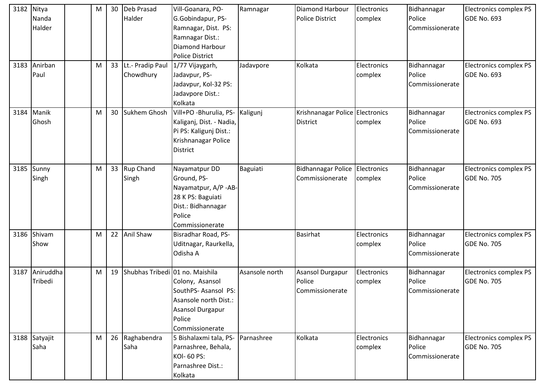| 3182 | Nitya         | М | 30 | Deb Prasad       | Vill-Goanara, PO-               | Ramnagar       | <b>Diamond Harbour</b>          | Electronics | Bidhannagar     | Electronics complex PS        |
|------|---------------|---|----|------------------|---------------------------------|----------------|---------------------------------|-------------|-----------------|-------------------------------|
|      | Nanda         |   |    | Halder           | G.Gobindapur, PS-               |                | <b>Police District</b>          | complex     | Police          | <b>GDE No. 693</b>            |
|      | Halder        |   |    |                  | Ramnagar, Dist. PS:             |                |                                 |             | Commissionerate |                               |
|      |               |   |    |                  | Ramnagar Dist.:                 |                |                                 |             |                 |                               |
|      |               |   |    |                  | <b>Diamond Harbour</b>          |                |                                 |             |                 |                               |
|      |               |   |    |                  | <b>Police District</b>          |                |                                 |             |                 |                               |
| 3183 | Anirban       | M | 33 | Lt.- Pradip Paul | 1/77 Vijaygarh,                 | Jadavpore      | Kolkata                         | Electronics | Bidhannagar     | Electronics complex PS        |
|      | Paul          |   |    | Chowdhury        | Jadavpur, PS-                   |                |                                 | complex     | Police          | <b>GDE No. 693</b>            |
|      |               |   |    |                  | Jadavpur, Kol-32 PS:            |                |                                 |             | Commissionerate |                               |
|      |               |   |    |                  | Jadavpore Dist.:                |                |                                 |             |                 |                               |
|      |               |   |    |                  | Kolkata                         |                |                                 |             |                 |                               |
| 3184 | Manik         | M | 30 | Sukhem Ghosh     | Vill+PO -Bhurulia, PS-          | Kaligunj       | Krishnanagar Police Electronics |             | Bidhannagar     | Electronics complex PS        |
|      | Ghosh         |   |    |                  | Kaliganj, Dist. - Nadia,        |                | <b>District</b>                 | complex     | Police          | <b>GDE No. 693</b>            |
|      |               |   |    |                  | Pi PS: Kaligunj Dist.:          |                |                                 |             | Commissionerate |                               |
|      |               |   |    |                  | Krishnanagar Police             |                |                                 |             |                 |                               |
|      |               |   |    |                  | <b>District</b>                 |                |                                 |             |                 |                               |
|      |               |   |    |                  |                                 |                |                                 |             |                 |                               |
| 3185 | Sunny         | M | 33 | Rup Chand        | Nayamatpur DD                   | Baguiati       | <b>Bidhannagar Police</b>       | Electronics | Bidhannagar     | <b>Electronics complex PS</b> |
|      | Singh         |   |    | Singh            | Ground, PS-                     |                | Commissionerate                 | complex     | Police          | <b>GDE No. 705</b>            |
|      |               |   |    |                  | Nayamatpur, A/P -AB-            |                |                                 |             | Commissionerate |                               |
|      |               |   |    |                  | 28 K PS: Baguiati               |                |                                 |             |                 |                               |
|      |               |   |    |                  | Dist.: Bidhannagar              |                |                                 |             |                 |                               |
|      |               |   |    |                  | Police                          |                |                                 |             |                 |                               |
|      |               |   |    |                  | Commissionerate                 |                |                                 |             |                 |                               |
| 3186 | Shivam        | M | 22 | Anil Shaw        | Bisradhar Road, PS-             |                | <b>Basirhat</b>                 | Electronics | Bidhannagar     | Electronics complex PS        |
|      | Show          |   |    |                  | Uditnagar, Raurkella,           |                |                                 | complex     | Police          | <b>GDE No. 705</b>            |
|      |               |   |    |                  | Odisha A                        |                |                                 |             | Commissionerate |                               |
|      |               |   |    |                  |                                 |                |                                 |             |                 |                               |
| 3187 | Aniruddha     | М | 19 |                  | Shubhas Tribedi 01 no. Maishila | Asansole north | Asansol Durgapur                | Electronics | Bidhannagar     | <b>Electronics complex PS</b> |
|      | Tribedi       |   |    |                  | Colony, Asansol                 |                | Police                          | complex     | Police          | <b>GDE No. 705</b>            |
|      |               |   |    |                  | SouthPS-Asansol PS:             |                | Commissionerate                 |             | Commissionerate |                               |
|      |               |   |    |                  | Asansole north Dist.:           |                |                                 |             |                 |                               |
|      |               |   |    |                  | Asansol Durgapur                |                |                                 |             |                 |                               |
|      |               |   |    |                  | Police                          |                |                                 |             |                 |                               |
|      |               |   |    |                  | Commissionerate                 |                |                                 |             |                 |                               |
|      | 3188 Satyajit | M | 26 | Raghabendra      | 5 Bishalaxmi tala, PS-          | Parnashree     | Kolkata                         | Electronics | Bidhannagar     | Electronics complex PS        |
|      | Saha          |   |    | Saha             | Parnashree, Behala,             |                |                                 | complex     | Police          | <b>GDE No. 705</b>            |
|      |               |   |    |                  | KOI- 60 PS:                     |                |                                 |             | Commissionerate |                               |
|      |               |   |    |                  | Parnashree Dist.:               |                |                                 |             |                 |                               |
|      |               |   |    |                  | Kolkata                         |                |                                 |             |                 |                               |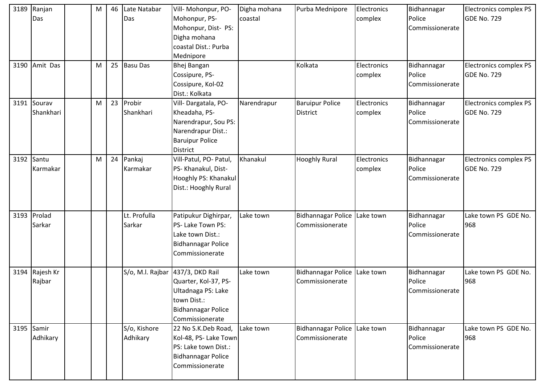| 3189 | Ranjan     | M | 46 | Late Natabar     | Vill- Mohonpur, PO-       | Digha mohana | Purba Mednipore              | Electronics | Bidhannagar     | Electronics complex PS        |
|------|------------|---|----|------------------|---------------------------|--------------|------------------------------|-------------|-----------------|-------------------------------|
|      | Das        |   |    | Das              | Mohonpur, PS-             | coastal      |                              | complex     | Police          | GDE No. 729                   |
|      |            |   |    |                  | Mohonpur, Dist- PS:       |              |                              |             | Commissionerate |                               |
|      |            |   |    |                  | Digha mohana              |              |                              |             |                 |                               |
|      |            |   |    |                  | coastal Dist.: Purba      |              |                              |             |                 |                               |
|      |            |   |    |                  | Mednipore                 |              |                              |             |                 |                               |
| 3190 | Amit Das   | M |    | 25 Basu Das      | <b>Bhej Bangan</b>        |              | Kolkata                      | Electronics | Bidhannagar     | <b>Electronics complex PS</b> |
|      |            |   |    |                  | Cossipure, PS-            |              |                              | complex     | Police          | <b>GDE No. 729</b>            |
|      |            |   |    |                  | Cossipure, Kol-02         |              |                              |             | Commissionerate |                               |
|      |            |   |    |                  | Dist.: Kolkata            |              |                              |             |                 |                               |
| 3191 | Sourav     | M | 23 | Probir           | Vill-Dargatala, PO-       | Narendrapur  | <b>Baruipur Police</b>       | Electronics | Bidhannagar     | Electronics complex PS        |
|      | Shankhari  |   |    | Shankhari        | Kheadaha, PS-             |              | <b>District</b>              | complex     | Police          | GDE No. 729                   |
|      |            |   |    |                  | Narendrapur, Sou PS:      |              |                              |             | Commissionerate |                               |
|      |            |   |    |                  | Narendrapur Dist.:        |              |                              |             |                 |                               |
|      |            |   |    |                  | <b>Baruipur Police</b>    |              |                              |             |                 |                               |
|      |            |   |    |                  | <b>District</b>           |              |                              |             |                 |                               |
| 3192 | Santu      | M | 24 | Pankaj           | Vill-Patul, PO- Patul,    | Khanakul     | <b>Hooghly Rural</b>         | Electronics | Bidhannagar     | Electronics complex PS        |
|      | Karmakar   |   |    | Karmakar         | PS-Khanakul, Dist-        |              |                              | complex     | Police          | <b>GDE No. 729</b>            |
|      |            |   |    |                  | Hooghly PS: Khanakul      |              |                              |             | Commissionerate |                               |
|      |            |   |    |                  | Dist.: Hooghly Rural      |              |                              |             |                 |                               |
|      |            |   |    |                  |                           |              |                              |             |                 |                               |
|      |            |   |    |                  |                           |              |                              |             |                 |                               |
| 3193 | Prolad     |   |    | Lt. Profulla     | Patipukur Dighirpar,      | Lake town    | Bidhannagar Police           | Lake town   | Bidhannagar     | Lake town PS GDE No.          |
|      | Sarkar     |   |    | Sarkar           | PS- Lake Town PS:         |              | Commissionerate              |             | Police          | 968                           |
|      |            |   |    |                  | Lake town Dist.:          |              |                              |             | Commissionerate |                               |
|      |            |   |    |                  | <b>Bidhannagar Police</b> |              |                              |             |                 |                               |
|      |            |   |    |                  | Commissionerate           |              |                              |             |                 |                               |
|      |            |   |    |                  |                           |              |                              |             |                 |                               |
| 3194 | Rajesh Kr  |   |    | S/o, M.l. Rajbar | 437/3, DKD Rail           | Lake town    | Bidhannagar Police           | Lake town   | Bidhannagar     | Lake town PS GDE No.          |
|      | Rajbar     |   |    |                  | Quarter, Kol-37, PS-      |              | Commissionerate              |             | Police          | 968                           |
|      |            |   |    |                  | Ultadnaga PS: Lake        |              |                              |             | Commissionerate |                               |
|      |            |   |    |                  | town Dist.:               |              |                              |             |                 |                               |
|      |            |   |    |                  | <b>Bidhannagar Police</b> |              |                              |             |                 |                               |
|      |            |   |    |                  | Commissionerate           |              |                              |             |                 |                               |
|      | 3195 Samir |   |    | S/o, Kishore     | 22 No S.K.Deb Road,       | Lake town    | Bidhannagar Police Lake town |             | Bidhannagar     | Lake town PS GDE No.          |
|      | Adhikary   |   |    | Adhikary         | Kol-48, PS- Lake Town     |              | Commissionerate              |             | Police          | 968                           |
|      |            |   |    |                  | PS: Lake town Dist.:      |              |                              |             | Commissionerate |                               |
|      |            |   |    |                  | <b>Bidhannagar Police</b> |              |                              |             |                 |                               |
|      |            |   |    |                  | Commissionerate           |              |                              |             |                 |                               |
|      |            |   |    |                  |                           |              |                              |             |                 |                               |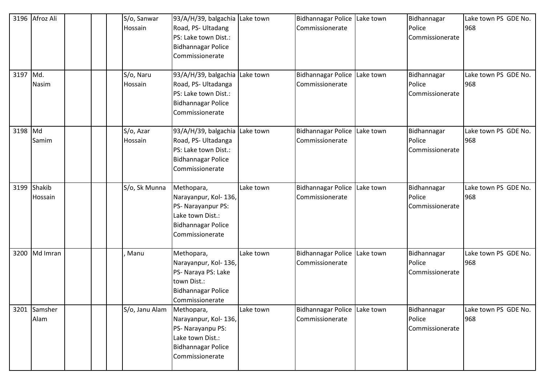| 3196<br>3197 Md. | Afroz Ali<br>Nasim     |  | S/o, Sanwar<br>Hossain<br>S/o, Naru<br>Hossain | 93/A/H/39, balgachia Lake town<br>Road, PS- Ultadang<br>PS: Lake town Dist.:<br><b>Bidhannagar Police</b><br>Commissionerate<br>93/A/H/39, balgachia<br>Road, PS- Ultadanga<br>PS: Lake town Dist.:<br><b>Bidhannagar Police</b><br>Commissionerate | Lake town | Bidhannagar Police Lake town<br>Commissionerate<br><b>Bidhannagar Police</b><br>Commissionerate | Lake town | Bidhannagar<br>Police<br>Commissionerate<br>Bidhannagar<br>Police<br>Commissionerate | Lake town PS GDE No.<br>968<br>Lake town PS GDE No.<br>968 |
|------------------|------------------------|--|------------------------------------------------|-----------------------------------------------------------------------------------------------------------------------------------------------------------------------------------------------------------------------------------------------------|-----------|-------------------------------------------------------------------------------------------------|-----------|--------------------------------------------------------------------------------------|------------------------------------------------------------|
| 3198 Md          | Samim                  |  | S/o, Azar<br>Hossain                           | 93/A/H/39, balgachia<br>Road, PS- Ultadanga<br>PS: Lake town Dist.:<br><b>Bidhannagar Police</b><br>Commissionerate                                                                                                                                 | Lake town | <b>Bidhannagar Police</b><br>Commissionerate                                                    | Lake town | Bidhannagar<br>Police<br>Commissionerate                                             | Lake town PS GDE No.<br>968                                |
|                  | 3199 Shakib<br>Hossain |  | S/o, Sk Munna                                  | Methopara,<br>Narayanpur, Kol- 136,<br>PS- Narayanpur PS:<br>Lake town Dist.:<br><b>Bidhannagar Police</b><br>Commissionerate                                                                                                                       | Lake town | <b>Bidhannagar Police</b><br>Commissionerate                                                    | Lake town | Bidhannagar<br>Police<br>Commissionerate                                             | Lake town PS GDE No.<br>968                                |
|                  | 3200 Md Imran          |  | Manu                                           | Methopara,<br>Narayanpur, Kol- 136,<br>PS- Naraya PS: Lake<br>town Dist.:<br><b>Bidhannagar Police</b><br>Commissionerate                                                                                                                           | Lake town | Bidhannagar Police<br>Commissionerate                                                           | Lake town | Bidhannagar<br>Police<br>Commissionerate                                             | Lake town PS GDE No.<br>968                                |
| 3201             | Samsher<br>Alam        |  | S/o, Janu Alam                                 | Methopara,<br>Narayanpur, Kol- 136,<br>PS- Narayanpu PS:<br>Lake town Dist.:<br><b>Bidhannagar Police</b><br>Commissionerate                                                                                                                        | Lake town | Bidhannagar Police Lake town<br>Commissionerate                                                 |           | Bidhannagar<br>Police<br>Commissionerate                                             | Lake town PS GDE No.<br>968                                |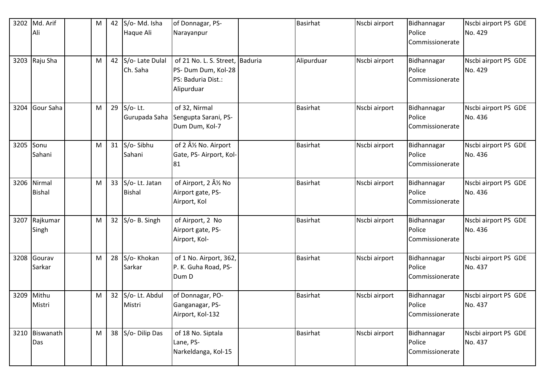| 3202 | Md. Arif       | M | 42              | S/o-Md. Isha    | of Donnagar, PS-                               | <b>Basirhat</b> | Nscbi airport | Bidhannagar           | Nscbi airport PS GDE            |
|------|----------------|---|-----------------|-----------------|------------------------------------------------|-----------------|---------------|-----------------------|---------------------------------|
|      | Ali            |   |                 | Haque Ali       | Narayanpur                                     |                 |               | Police                | No. 429                         |
|      |                |   |                 |                 |                                                |                 |               | Commissionerate       |                                 |
|      |                |   |                 |                 |                                                |                 |               |                       |                                 |
|      | 3203 Raju Sha  | M | 42              | S/o- Late Dulal | of 21 No. L. S. Street, Baduria                | Alipurduar      | Nscbi airport | Bidhannagar           | Nscbi airport PS GDE            |
|      |                |   |                 | Ch. Saha        | PS- Dum Dum, Kol-28                            |                 |               | Police                | No. 429                         |
|      |                |   |                 |                 | PS: Baduria Dist.:                             |                 |               | Commissionerate       |                                 |
|      |                |   |                 |                 | Alipurduar                                     |                 |               |                       |                                 |
| 3204 | Gour Saha      | M | 29              | $S/O-Lt.$       | of 32, Nirmal                                  | <b>Basirhat</b> | Nscbi airport |                       |                                 |
|      |                |   |                 | Gurupada Saha   | Sengupta Sarani, PS-                           |                 |               | Bidhannagar<br>Police | Nscbi airport PS GDE<br>No. 436 |
|      |                |   |                 |                 | Dum Dum, Kol-7                                 |                 |               | Commissionerate       |                                 |
|      |                |   |                 |                 |                                                |                 |               |                       |                                 |
| 3205 | Sonu           | M | 31              | S/o-Sibhu       | of 2 Â <sup>1</sup> / <sub>2</sub> No. Airport | <b>Basirhat</b> | Nscbi airport | Bidhannagar           | Nscbi airport PS GDE            |
|      | Sahani         |   |                 | Sahani          | Gate, PS-Airport, Kol-                         |                 |               | Police                | No. 436                         |
|      |                |   |                 |                 | 81                                             |                 |               | Commissionerate       |                                 |
|      |                |   |                 |                 |                                                |                 |               |                       |                                 |
| 3206 | Nirmal         | M | 33              | S/o-Lt. Jatan   | of Airport, 2 Â <sup>1</sup> / <sub>2</sub> No | <b>Basirhat</b> | Nscbi airport | Bidhannagar           | Nscbi airport PS GDE            |
|      | <b>Bishal</b>  |   |                 | <b>Bishal</b>   | Airport gate, PS-                              |                 |               | Police                | No. 436                         |
|      |                |   |                 |                 | Airport, Kol                                   |                 |               | Commissionerate       |                                 |
|      |                |   |                 |                 |                                                |                 |               |                       |                                 |
| 3207 | Rajkumar       | M | 32 <sup>2</sup> | S/o- B. Singh   | of Airport, 2 No                               | <b>Basirhat</b> | Nscbi airport | Bidhannagar           | Nscbi airport PS GDE            |
|      | Singh          |   |                 |                 | Airport gate, PS-                              |                 |               | Police                | No. 436                         |
|      |                |   |                 |                 | Airport, Kol-                                  |                 |               | Commissionerate       |                                 |
|      | 3208 Gourav    | M | 28              | S/o-Khokan      | of 1 No. Airport, 362,                         | <b>Basirhat</b> | Nscbi airport | Bidhannagar           | Nscbi airport PS GDE            |
|      | Sarkar         |   |                 | Sarkar          | P. K. Guha Road, PS-                           |                 |               | Police                | No. 437                         |
|      |                |   |                 |                 | Dum D                                          |                 |               | Commissionerate       |                                 |
|      |                |   |                 |                 |                                                |                 |               |                       |                                 |
| 3209 | Mithu          | М | 32 <sup>2</sup> | S/o-Lt. Abdul   | of Donnagar, PO-                               | <b>Basirhat</b> | Nscbi airport | Bidhannagar           | Nscbi airport PS GDE            |
|      | Mistri         |   |                 | Mistri          | Ganganagar, PS-                                |                 |               | Police                | No. 437                         |
|      |                |   |                 |                 | Airport, Kol-132                               |                 |               | Commissionerate       |                                 |
|      |                |   |                 |                 |                                                |                 |               |                       |                                 |
|      | 3210 Biswanath | M | 38              | S/o- Dilip Das  | of 18 No. Siptala                              | Basirhat        | Nscbi airport | Bidhannagar           | Nscbi airport PS GDE            |
|      | Das            |   |                 |                 | Lane, PS-                                      |                 |               | Police                | No. 437                         |
|      |                |   |                 |                 | Narkeldanga, Kol-15                            |                 |               | Commissionerate       |                                 |
|      |                |   |                 |                 |                                                |                 |               |                       |                                 |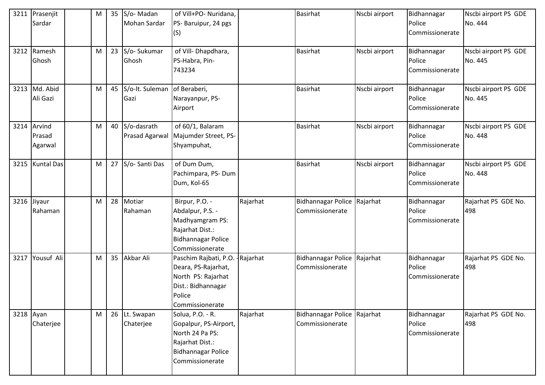|           | 3211 Prasenjit<br>Sardar | M | 35 S/o-Madan<br>Mohan Sardar    | of Vill+PO- Nuridana,<br>PS- Baruipur, 24 pgs |           | <b>Basirhat</b>                                | Nscbi airport | Bidhannagar<br>Police | Nscbi airport PS GDE<br>No. 444 |
|-----------|--------------------------|---|---------------------------------|-----------------------------------------------|-----------|------------------------------------------------|---------------|-----------------------|---------------------------------|
|           |                          |   |                                 | (S)                                           |           |                                                |               | Commissionerate       |                                 |
|           | 3212 Ramesh              | M | 23 S/o-Sukumar                  | of Vill-Dhapdhara,                            |           | <b>Basirhat</b>                                | Nscbi airport | Bidhannagar           | Nscbi airport PS GDE            |
|           | Ghosh                    |   | Ghosh                           | PS-Habra, Pin-                                |           |                                                |               | Police                | No. 445                         |
|           |                          |   |                                 | 743234                                        |           |                                                |               | Commissionerate       |                                 |
|           | 3213 Md. Abid            | M | 45 S/o-It. Suleman of Beraberi, |                                               |           | <b>Basirhat</b>                                | Nscbi airport | Bidhannagar           | Nscbi airport PS GDE            |
|           | Ali Gazi                 |   | Gazi                            | Narayanpur, PS-                               |           |                                                |               | Police                | No. 445                         |
|           |                          |   |                                 | Airport                                       |           |                                                |               | Commissionerate       |                                 |
| 3214      | Arvind                   | M | 40 S/o-dasrath                  | of 60/1, Balaram                              |           | <b>Basirhat</b>                                | Nscbi airport | Bidhannagar           | Nscbi airport PS GDE            |
|           | Prasad                   |   | Prasad Agarwal                  | Majumder Street, PS-                          |           |                                                |               | Police                | No. 448                         |
|           | Agarwal                  |   |                                 | Shyampuhat,                                   |           |                                                |               | Commissionerate       |                                 |
|           | 3215 Kuntal Das          | M | 27 S/o-Santi Das                | of Dum Dum,                                   |           | <b>Basirhat</b>                                | Nscbi airport | Bidhannagar           | Nscbi airport PS GDE            |
|           |                          |   |                                 | Pachimpara, PS-Dum                            |           |                                                |               | Police                | No. 448                         |
|           |                          |   |                                 | Dum, Kol-65                                   |           |                                                |               | Commissionerate       |                                 |
|           | 3216 Jiyaur              | M | 28 Motiar                       | Birpur, P.O. -                                | Rajarhat  | Bidhannagar Police Rajarhat                    |               | Bidhannagar           | Rajarhat PS GDE No.             |
|           | Rahaman                  |   | Rahaman                         | Abdalpur, P.S. -                              |           | Commissionerate                                |               | Police                | 498                             |
|           |                          |   |                                 | Madhyamgram PS:                               |           |                                                |               | Commissionerate       |                                 |
|           |                          |   |                                 | Rajarhat Dist.:                               |           |                                                |               |                       |                                 |
|           |                          |   |                                 | <b>Bidhannagar Police</b>                     |           |                                                |               |                       |                                 |
|           | Yousuf Ali               |   | 35 Akbar Ali                    | Commissionerate                               |           |                                                |               |                       |                                 |
| 3217      |                          | M |                                 | Paschim Rajbati, P.O.<br>Deara, PS-Rajarhat,  | -Rajarhat | Bidhannagar Police Rajarhat<br>Commissionerate |               | Bidhannagar<br>Police | Rajarhat PS GDE No.<br>498      |
|           |                          |   |                                 | North PS: Rajarhat                            |           |                                                |               | Commissionerate       |                                 |
|           |                          |   |                                 | Dist.: Bidhannagar                            |           |                                                |               |                       |                                 |
|           |                          |   |                                 | Police                                        |           |                                                |               |                       |                                 |
|           |                          |   |                                 | Commissionerate                               |           |                                                |               |                       |                                 |
| 3218 Ayan |                          | M | 26 Lt. Swapan                   | Solua, P.O. - R.                              | Rajarhat  | Bidhannagar Police Rajarhat                    |               | Bidhannagar           | Rajarhat PS GDE No.             |
|           | Chaterjee                |   | Chaterjee                       | Gopalpur, PS-Airport,                         |           | Commissionerate                                |               | Police                | 498                             |
|           |                          |   |                                 | North 24 Pa PS:                               |           |                                                |               | Commissionerate       |                                 |
|           |                          |   |                                 | Rajarhat Dist.:                               |           |                                                |               |                       |                                 |
|           |                          |   |                                 | <b>Bidhannagar Police</b>                     |           |                                                |               |                       |                                 |
|           |                          |   |                                 | Commissionerate                               |           |                                                |               |                       |                                 |
|           |                          |   |                                 |                                               |           |                                                |               |                       |                                 |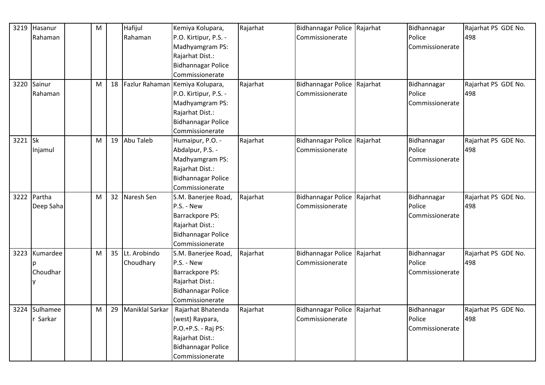| 3219    | Hasanur   | M |    | Hafijul         | Kemiya Kolupara,                   | Rajarhat | Bidhannagar Police Rajarhat | Bidhannagar     | Rajarhat PS GDE No. |
|---------|-----------|---|----|-----------------|------------------------------------|----------|-----------------------------|-----------------|---------------------|
|         | Rahaman   |   |    | Rahaman         | P.O. Kirtipur, P.S. -              |          | Commissionerate             | Police          | 498                 |
|         |           |   |    |                 | Madhyamgram PS:                    |          |                             | Commissionerate |                     |
|         |           |   |    |                 | Rajarhat Dist.:                    |          |                             |                 |                     |
|         |           |   |    |                 | <b>Bidhannagar Police</b>          |          |                             |                 |                     |
|         |           |   |    |                 | Commissionerate                    |          |                             |                 |                     |
| 3220    | Sainur    | M |    |                 | 18 Fazlur Rahaman Kemiya Kolupara, | Rajarhat | Bidhannagar Police Rajarhat | Bidhannagar     | Rajarhat PS GDE No. |
|         | Rahaman   |   |    |                 | P.O. Kirtipur, P.S. -              |          | Commissionerate             | Police          | 498                 |
|         |           |   |    |                 | Madhyamgram PS:                    |          |                             | Commissionerate |                     |
|         |           |   |    |                 | Rajarhat Dist.:                    |          |                             |                 |                     |
|         |           |   |    |                 | <b>Bidhannagar Police</b>          |          |                             |                 |                     |
|         |           |   |    |                 | Commissionerate                    |          |                             |                 |                     |
| 3221 Sk |           | M | 19 | Abu Taleb       | Humaipur, P.O. -                   | Rajarhat | Bidhannagar Police Rajarhat | Bidhannagar     | Rajarhat PS GDE No. |
|         | Injamul   |   |    |                 | Abdalpur, P.S. -                   |          | Commissionerate             | Police          | 498                 |
|         |           |   |    |                 | Madhyamgram PS:                    |          |                             | Commissionerate |                     |
|         |           |   |    |                 | Rajarhat Dist.:                    |          |                             |                 |                     |
|         |           |   |    |                 | <b>Bidhannagar Police</b>          |          |                             |                 |                     |
|         |           |   |    |                 | Commissionerate                    |          |                             |                 |                     |
| 3222    | Partha    | M |    | 32 Naresh Sen   | S.M. Banerjee Road,                | Rajarhat | Bidhannagar Police Rajarhat | Bidhannagar     | Rajarhat PS GDE No. |
|         | Deep Saha |   |    |                 | P.S. - New                         |          | Commissionerate             | Police          | 498                 |
|         |           |   |    |                 | <b>Barrackpore PS:</b>             |          |                             | Commissionerate |                     |
|         |           |   |    |                 | Rajarhat Dist.:                    |          |                             |                 |                     |
|         |           |   |    |                 | <b>Bidhannagar Police</b>          |          |                             |                 |                     |
|         |           |   |    |                 | Commissionerate                    |          |                             |                 |                     |
| 3223    | Kumardee  | M |    | 35 Lt. Arobindo | S.M. Banerjee Road,                | Rajarhat | Bidhannagar Police Rajarhat | Bidhannagar     | Rajarhat PS GDE No. |
|         |           |   |    | Choudhary       | P.S. - New                         |          | Commissionerate             | Police          | 498                 |
|         | Choudhar  |   |    |                 | Barrackpore PS:                    |          |                             | Commissionerate |                     |
|         |           |   |    |                 | Rajarhat Dist.:                    |          |                             |                 |                     |
|         |           |   |    |                 | <b>Bidhannagar Police</b>          |          |                             |                 |                     |
|         |           |   |    |                 | Commissionerate                    |          |                             |                 |                     |
| 3224    | Sulhamee  | M | 29 | Maniklal Sarkar | Rajarhat Bhatenda                  | Rajarhat | Bidhannagar Police Rajarhat | Bidhannagar     | Rajarhat PS GDE No. |
|         | r Sarkar  |   |    |                 | (west) Raypara,                    |          | Commissionerate             | Police          | 498                 |
|         |           |   |    |                 | P.O.+P.S. - Raj PS:                |          |                             | Commissionerate |                     |
|         |           |   |    |                 |                                    |          |                             |                 |                     |
|         |           |   |    |                 | Rajarhat Dist.:                    |          |                             |                 |                     |
|         |           |   |    |                 | <b>Bidhannagar Police</b>          |          |                             |                 |                     |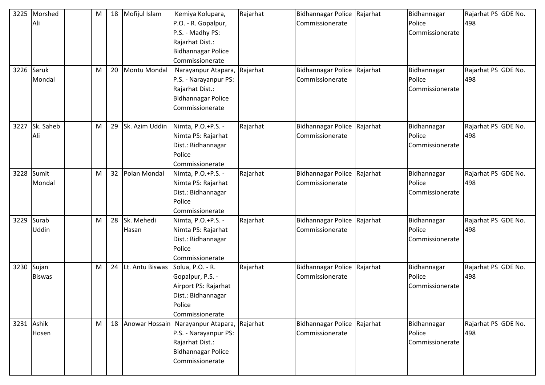| 3225 | Morshed<br>Ali<br>3226 Saruk<br>Mondal | M<br>М | 18<br>20        | Mofijul Islam<br>Montu Mondal    | Kemiya Kolupara,<br>P.O. - R. Gopalpur,<br>P.S. - Madhy PS:<br>Rajarhat Dist.:<br><b>Bidhannagar Police</b><br>Commissionerate<br>Narayanpur Atapara, Rajarhat<br>P.S. - Narayanpur PS:<br>Rajarhat Dist.:<br><b>Bidhannagar Police</b> | Rajarhat | Bidhannagar Police Rajarhat<br>Commissionerate<br>Bidhannagar Police Rajarhat<br>Commissionerate | Bidhannagar<br>Police<br>Commissionerate<br>Bidhannagar<br>Police<br>Commissionerate | Rajarhat PS GDE No.<br>498<br>Rajarhat PS GDE No.<br>498 |
|------|----------------------------------------|--------|-----------------|----------------------------------|-----------------------------------------------------------------------------------------------------------------------------------------------------------------------------------------------------------------------------------------|----------|--------------------------------------------------------------------------------------------------|--------------------------------------------------------------------------------------|----------------------------------------------------------|
|      |                                        |        |                 |                                  | Commissionerate                                                                                                                                                                                                                         |          |                                                                                                  |                                                                                      |                                                          |
| 3227 | Sk. Saheb<br>Ali                       | M      | 29              | Sk. Azim Uddin                   | Nimta, P.O.+P.S. -<br>Nimta PS: Rajarhat<br>Dist.: Bidhannagar<br>Police<br>Commissionerate                                                                                                                                             | Rajarhat | Bidhannagar Police Rajarhat<br>Commissionerate                                                   | Bidhannagar<br>Police<br>Commissionerate                                             | Rajarhat PS GDE No.<br>498                               |
| 3228 | Sumit<br>Mondal                        | M      | 32 <sup>2</sup> | Polan Mondal                     | Nimta, P.O.+P.S. -<br>Nimta PS: Rajarhat<br>Dist.: Bidhannagar<br>Police<br>Commissionerate                                                                                                                                             | Rajarhat | Bidhannagar Police Rajarhat<br>Commissionerate                                                   | Bidhannagar<br>Police<br>Commissionerate                                             | Rajarhat PS GDE No.<br>498                               |
| 3229 | Surab<br>Uddin                         | M      | 28              | Sk. Mehedi<br>Hasan              | Nimta, P.O.+P.S. -<br>Nimta PS: Rajarhat<br>Dist.: Bidhannagar<br>Police<br>Commissionerate                                                                                                                                             | Rajarhat | Bidhannagar Police Rajarhat<br>Commissionerate                                                   | Bidhannagar<br>Police<br>Commissionerate                                             | Rajarhat PS GDE No.<br>498                               |
|      | 3230 Sujan<br><b>Biswas</b>            | M      | 24              | Lt. Antu Biswas Solua, P.O. - R. | Gopalpur, P.S. -<br>Airport PS: Rajarhat<br>Dist.: Bidhannagar<br>Police<br>Commissionerate                                                                                                                                             | Rajarhat | Bidhannagar Police Rajarhat<br>Commissionerate                                                   | Bidhannagar<br>Police<br>Commissionerate                                             | Rajarhat PS GDE No.<br>498                               |
|      | 3231 Ashik<br>Hosen                    | M      |                 |                                  | 18   Anowar Hossain   Narayanpur Atapara, Rajarhat<br>P.S. - Narayanpur PS:<br>Rajarhat Dist.:<br>Bidhannagar Police<br>Commissionerate                                                                                                 |          | Bidhannagar Police Rajarhat<br>Commissionerate                                                   | Bidhannagar<br>Police<br>Commissionerate                                             | Rajarhat PS GDE No.<br>498                               |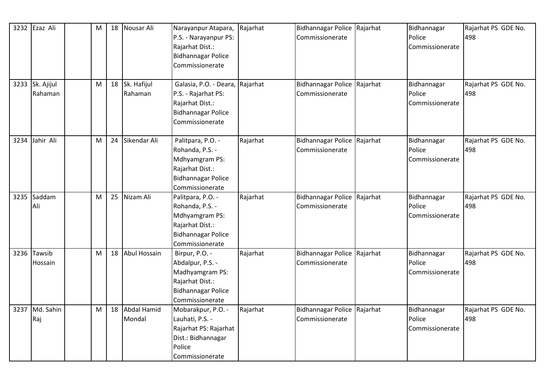|      | 3232 Ezaz Ali   | M |    | 18 Nousar Ali   | Narayanpur Atapara,             | Rajarhat | Bidhannagar Police Rajarhat | Bidhannagar     | Rajarhat PS GDE No. |
|------|-----------------|---|----|-----------------|---------------------------------|----------|-----------------------------|-----------------|---------------------|
|      |                 |   |    |                 | P.S. - Narayanpur PS:           |          | Commissionerate             | Police          | 498                 |
|      |                 |   |    |                 | Rajarhat Dist.:                 |          |                             | Commissionerate |                     |
|      |                 |   |    |                 | <b>Bidhannagar Police</b>       |          |                             |                 |                     |
|      |                 |   |    |                 | Commissionerate                 |          |                             |                 |                     |
|      |                 |   |    |                 |                                 |          |                             |                 |                     |
|      | 3233 Sk. Ajijul | M |    | 18 Sk. Hafijul  | Galasia, P.O. - Deara, Rajarhat |          | Bidhannagar Police Rajarhat | Bidhannagar     | Rajarhat PS GDE No. |
|      | Rahaman         |   |    | Rahaman         | P.S. - Rajarhat PS:             |          | Commissionerate             | Police          | 498                 |
|      |                 |   |    |                 | Rajarhat Dist.:                 |          |                             | Commissionerate |                     |
|      |                 |   |    |                 | <b>Bidhannagar Police</b>       |          |                             |                 |                     |
|      |                 |   |    |                 | Commissionerate                 |          |                             |                 |                     |
|      |                 |   |    |                 |                                 |          |                             |                 |                     |
| 3234 | Jahir Ali       | M |    | 24 Sikendar Ali | Palitpara, P.O. -               | Rajarhat | Bidhannagar Police Rajarhat | Bidhannagar     | Rajarhat PS GDE No. |
|      |                 |   |    |                 | Rohanda, P.S. -                 |          | Commissionerate             | Police          | 498                 |
|      |                 |   |    |                 | Mdhyamgram PS:                  |          |                             | Commissionerate |                     |
|      |                 |   |    |                 | Rajarhat Dist.:                 |          |                             |                 |                     |
|      |                 |   |    |                 | <b>Bidhannagar Police</b>       |          |                             |                 |                     |
|      |                 |   |    |                 | Commissionerate                 |          |                             |                 |                     |
| 3235 | Saddam          | м | 25 | Nizam Ali       | Palitpara, P.O. -               | Rajarhat | Bidhannagar Police Rajarhat | Bidhannagar     | Rajarhat PS GDE No. |
|      | Ali             |   |    |                 | Rohanda, P.S. -                 |          | Commissionerate             | Police          | 498                 |
|      |                 |   |    |                 | Mdhyamgram PS:                  |          |                             | Commissionerate |                     |
|      |                 |   |    |                 | Rajarhat Dist.:                 |          |                             |                 |                     |
|      |                 |   |    |                 | <b>Bidhannagar Police</b>       |          |                             |                 |                     |
|      |                 |   |    |                 | Commissionerate                 |          |                             |                 |                     |
| 3236 | Tawsib          | M |    | 18 Abul Hossain | Birpur, P.O. -                  | Rajarhat | Bidhannagar Police Rajarhat | Bidhannagar     | Rajarhat PS GDE No. |
|      | Hossain         |   |    |                 | Abdalpur, P.S. -                |          | Commissionerate             | Police          | 498                 |
|      |                 |   |    |                 | Madhyamgram PS:                 |          |                             | Commissionerate |                     |
|      |                 |   |    |                 | Rajarhat Dist.:                 |          |                             |                 |                     |
|      |                 |   |    |                 | Bidhannagar Police              |          |                             |                 |                     |
|      |                 |   |    |                 | Commissionerate                 |          |                             |                 |                     |
| 3237 | Md. Sahin       | M |    | 18 Abdal Hamid  | Mobarakpur, P.O. -              | Rajarhat | Bidhannagar Police Rajarhat | Bidhannagar     | Rajarhat PS GDE No. |
|      | Raj             |   |    | Mondal          | Lauhati, P.S. -                 |          | Commissionerate             | Police          | 498                 |
|      |                 |   |    |                 | Rajarhat PS: Rajarhat           |          |                             | Commissionerate |                     |
|      |                 |   |    |                 | Dist.: Bidhannagar              |          |                             |                 |                     |
|      |                 |   |    |                 | Police                          |          |                             |                 |                     |
|      |                 |   |    |                 | Commissionerate                 |          |                             |                 |                     |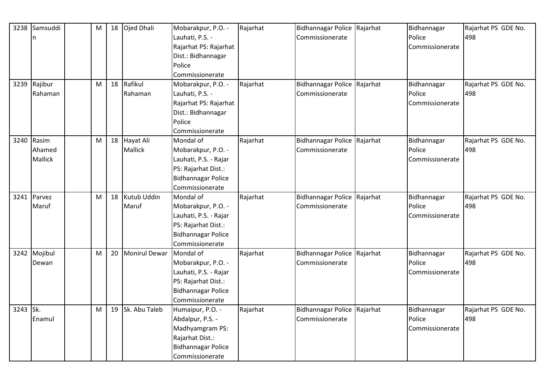|          | 3238 Samsuddi  | M |    | 18 Ojed Dhali        | Mobarakpur, P.O. -                           | Rajarhat | Bidhannagar Police Rajarhat | Bidhannagar     | Rajarhat PS GDE No. |
|----------|----------------|---|----|----------------------|----------------------------------------------|----------|-----------------------------|-----------------|---------------------|
|          | n              |   |    |                      | Lauhati, P.S. -                              |          | Commissionerate             | Police          | 498                 |
|          |                |   |    |                      | Rajarhat PS: Rajarhat                        |          |                             | Commissionerate |                     |
|          |                |   |    |                      | Dist.: Bidhannagar                           |          |                             |                 |                     |
|          |                |   |    |                      | Police                                       |          |                             |                 |                     |
|          |                |   |    |                      | Commissionerate                              |          |                             |                 |                     |
|          | 3239 Rajibur   | M |    | 18 Rafikul           | Mobarakpur, P.O. -                           | Rajarhat | Bidhannagar Police Rajarhat | Bidhannagar     | Rajarhat PS GDE No. |
|          | Rahaman        |   |    | Rahaman              | Lauhati, P.S. -                              |          | Commissionerate             | Police          | 498                 |
|          |                |   |    |                      | Rajarhat PS: Rajarhat                        |          |                             | Commissionerate |                     |
|          |                |   |    |                      | Dist.: Bidhannagar                           |          |                             |                 |                     |
|          |                |   |    |                      | Police                                       |          |                             |                 |                     |
|          |                |   |    |                      | Commissionerate                              |          |                             |                 |                     |
| 3240     | Rasim          | M |    | 18 Hayat Ali         | Mondal of                                    | Rajarhat | Bidhannagar Police Rajarhat | Bidhannagar     | Rajarhat PS GDE No. |
|          | Ahamed         |   |    | <b>Mallick</b>       | Mobarakpur, P.O. -                           |          | Commissionerate             | Police          | 498                 |
|          | <b>Mallick</b> |   |    |                      | Lauhati, P.S. - Rajar                        |          |                             | Commissionerate |                     |
|          |                |   |    |                      | PS: Rajarhat Dist.:                          |          |                             |                 |                     |
|          |                |   |    |                      | <b>Bidhannagar Police</b>                    |          |                             |                 |                     |
|          |                |   |    |                      | Commissionerate                              |          |                             |                 |                     |
| 3241     | Parvez         | M | 18 | Kutub Uddin          | Mondal of                                    | Rajarhat | Bidhannagar Police Rajarhat | Bidhannagar     | Rajarhat PS GDE No. |
|          | Maruf          |   |    | Maruf                | Mobarakpur, P.O. -                           |          | Commissionerate             | Police          | 498                 |
|          |                |   |    |                      | Lauhati, P.S. - Rajar                        |          |                             | Commissionerate |                     |
|          |                |   |    |                      | PS: Rajarhat Dist.:                          |          |                             |                 |                     |
|          |                |   |    |                      | <b>Bidhannagar Police</b>                    |          |                             |                 |                     |
|          |                |   |    |                      | Commissionerate                              |          |                             |                 |                     |
|          | 3242 Mojibul   | M | 20 | <b>Monirul Dewar</b> | Mondal of                                    | Rajarhat | Bidhannagar Police Rajarhat | Bidhannagar     | Rajarhat PS GDE No. |
|          | Dewan          |   |    |                      | Mobarakpur, P.O. -                           |          | Commissionerate             | Police          | 498                 |
|          |                |   |    |                      | Lauhati, P.S. - Rajar                        |          |                             | Commissionerate |                     |
|          |                |   |    |                      | PS: Rajarhat Dist.:                          |          |                             |                 |                     |
|          |                |   |    |                      | <b>Bidhannagar Police</b>                    |          |                             |                 |                     |
|          |                |   |    |                      | Commissionerate                              |          |                             |                 |                     |
| 3243 Sk. |                | M |    | 19 Sk. Abu Taleb     | Humaipur, P.O. -                             | Rajarhat | Bidhannagar Police Rajarhat | Bidhannagar     | Rajarhat PS GDE No. |
|          | Enamul         |   |    |                      | Abdalpur, P.S. -                             |          | Commissionerate             | Police          | 498                 |
|          |                |   |    |                      | Madhyamgram PS:                              |          |                             | Commissionerate |                     |
|          |                |   |    |                      |                                              |          |                             |                 |                     |
|          |                |   |    |                      | Rajarhat Dist.:                              |          |                             |                 |                     |
|          |                |   |    |                      | <b>Bidhannagar Police</b><br>Commissionerate |          |                             |                 |                     |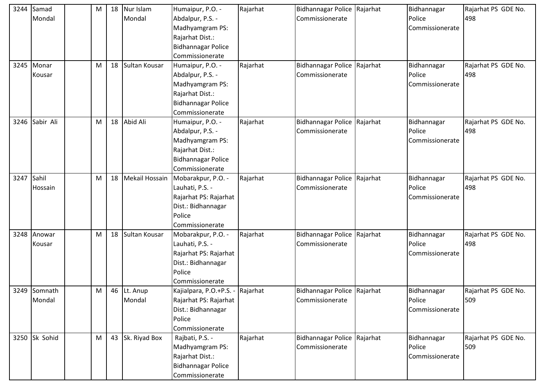| 3244 | Samad          | M |    | 18 Nur Islam      | Humaipur, P.O. -                 | Rajarhat | Bidhannagar Police Rajarhat | Bidhannagar     | Rajarhat PS GDE No. |
|------|----------------|---|----|-------------------|----------------------------------|----------|-----------------------------|-----------------|---------------------|
|      | Mondal         |   |    | Mondal            | Abdalpur, P.S. -                 |          | Commissionerate             | Police          | 498                 |
|      |                |   |    |                   | Madhyamgram PS:                  |          |                             | Commissionerate |                     |
|      |                |   |    |                   | Rajarhat Dist.:                  |          |                             |                 |                     |
|      |                |   |    |                   | <b>Bidhannagar Police</b>        |          |                             |                 |                     |
|      |                |   |    |                   | Commissionerate                  |          |                             |                 |                     |
|      | 3245 Monar     | M | 18 | Sultan Kousar     | Humaipur, P.O. -                 | Rajarhat | Bidhannagar Police Rajarhat | Bidhannagar     | Rajarhat PS GDE No. |
|      | Kousar         |   |    |                   | Abdalpur, P.S. -                 |          | Commissionerate             | Police          | 498                 |
|      |                |   |    |                   | Madhyamgram PS:                  |          |                             | Commissionerate |                     |
|      |                |   |    |                   | Rajarhat Dist.:                  |          |                             |                 |                     |
|      |                |   |    |                   | <b>Bidhannagar Police</b>        |          |                             |                 |                     |
|      |                |   |    |                   | Commissionerate                  |          |                             |                 |                     |
|      | 3246 Sabir Ali | M |    | 18 Abid Ali       | Humaipur, P.O. -                 | Rajarhat | Bidhannagar Police Rajarhat | Bidhannagar     | Rajarhat PS GDE No. |
|      |                |   |    |                   | Abdalpur, P.S. -                 |          | Commissionerate             | Police          | 498                 |
|      |                |   |    |                   | Madhyamgram PS:                  |          |                             | Commissionerate |                     |
|      |                |   |    |                   | Rajarhat Dist.:                  |          |                             |                 |                     |
|      |                |   |    |                   | <b>Bidhannagar Police</b>        |          |                             |                 |                     |
|      |                |   |    |                   | Commissionerate                  |          |                             |                 |                     |
| 3247 | Sahil          | M |    | 18 Mekail Hossain | Mobarakpur, P.O. -               | Rajarhat | Bidhannagar Police Rajarhat | Bidhannagar     | Rajarhat PS GDE No. |
|      | Hossain        |   |    |                   | Lauhati, P.S. -                  |          | Commissionerate             | Police          | 498                 |
|      |                |   |    |                   | Rajarhat PS: Rajarhat            |          |                             | Commissionerate |                     |
|      |                |   |    |                   | Dist.: Bidhannagar               |          |                             |                 |                     |
|      |                |   |    |                   | Police                           |          |                             |                 |                     |
|      |                |   |    |                   | Commissionerate                  |          |                             |                 |                     |
| 3248 | Anowar         | M | 18 | Sultan Kousar     | Mobarakpur, P.O. -               | Rajarhat | Bidhannagar Police Rajarhat | Bidhannagar     | Rajarhat PS GDE No. |
|      | Kousar         |   |    |                   | Lauhati, P.S. -                  |          | Commissionerate             | Police          | 498                 |
|      |                |   |    |                   | Rajarhat PS: Rajarhat            |          |                             | Commissionerate |                     |
|      |                |   |    |                   | Dist.: Bidhannagar               |          |                             |                 |                     |
|      |                |   |    |                   | Police                           |          |                             |                 |                     |
|      |                |   |    |                   | Commissionerate                  |          |                             |                 |                     |
|      | 3249 Somnath   | M |    | 46 Lt. Anup       | Kajialpara, P.O.+P.S. - Rajarhat |          | Bidhannagar Police Rajarhat | Bidhannagar     | Rajarhat PS GDE No. |
|      | Mondal         |   |    | Mondal            | Rajarhat PS: Rajarhat            |          | Commissionerate             | Police          | 509                 |
|      |                |   |    |                   | Dist.: Bidhannagar               |          |                             | Commissionerate |                     |
|      |                |   |    |                   | Police                           |          |                             |                 |                     |
|      |                |   |    |                   | Commissionerate                  |          |                             |                 |                     |
|      | 3250 Sk Sohid  | M |    | 43 Sk. Riyad Box  | Rajbati, P.S. -                  | Rajarhat | Bidhannagar Police Rajarhat | Bidhannagar     | Rajarhat PS GDE No. |
|      |                |   |    |                   | Madhyamgram PS:                  |          | Commissionerate             | Police          | 509                 |
|      |                |   |    |                   | Rajarhat Dist.:                  |          |                             | Commissionerate |                     |
|      |                |   |    |                   | <b>Bidhannagar Police</b>        |          |                             |                 |                     |
|      |                |   |    |                   | Commissionerate                  |          |                             |                 |                     |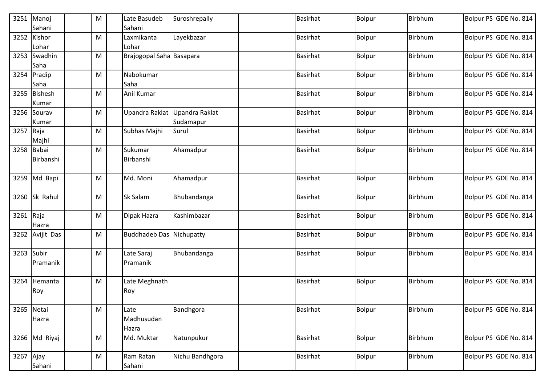|            | 3251 Manoj<br>Sahani    | M | Late Basudeb<br>Sahani          | Suroshrepally               | <b>Basirhat</b> | Bolpur        | Birbhum | Bolpur PS GDE No. 814 |
|------------|-------------------------|---|---------------------------------|-----------------------------|-----------------|---------------|---------|-----------------------|
|            | 3252 Kishor<br>Lohar    | M | Laxmikanta<br>Lohar             | Layekbazar                  | <b>Basirhat</b> | Bolpur        | Birbhum | Bolpur PS GDE No. 814 |
|            | 3253 Swadhin<br>Saha    | M | Brajogopal Saha Basapara        |                             | <b>Basirhat</b> | Bolpur        | Birbhum | Bolpur PS GDE No. 814 |
|            | 3254 Pradip<br>Saha     | M | Nabokumar<br>Saha               |                             | <b>Basirhat</b> | Bolpur        | Birbhum | Bolpur PS GDE No. 814 |
|            | 3255 Bishesh<br>Kumar   | M | Anil Kumar                      |                             | <b>Basirhat</b> | <b>Bolpur</b> | Birbhum | Bolpur PS GDE No. 814 |
|            | 3256 Sourav<br>Kumar    | M | Upandra Raklat                  | Upandra Raklat<br>Sudamapur | <b>Basirhat</b> | <b>Bolpur</b> | Birbhum | Bolpur PS GDE No. 814 |
| 3257 Raja  | Majhi                   | M | Subhas Majhi                    | Surul                       | <b>Basirhat</b> | Bolpur        | Birbhum | Bolpur PS GDE No. 814 |
|            | 3258 Babai<br>Birbanshi | M | Sukumar<br>Birbanshi            | Ahamadpur                   | <b>Basirhat</b> | <b>Bolpur</b> | Birbhum | Bolpur PS GDE No. 814 |
|            | 3259 Md Bapi            | M | Md. Moni                        | Ahamadpur                   | <b>Basirhat</b> | Bolpur        | Birbhum | Bolpur PS GDE No. 814 |
|            | 3260 Sk Rahul           | M | <b>Sk Salam</b>                 | Bhubandanga                 | <b>Basirhat</b> | <b>Bolpur</b> | Birbhum | Bolpur PS GDE No. 814 |
| 3261 Raja  | Hazra                   | M | Dipak Hazra                     | Kashimbazar                 | <b>Basirhat</b> | Bolpur        | Birbhum | Bolpur PS GDE No. 814 |
|            | 3262 Avijit Das         | M | <b>Buddhadeb Das Nichupatty</b> |                             | <b>Basirhat</b> | Bolpur        | Birbhum | Bolpur PS GDE No. 814 |
| 3263 Subir | Pramanik                | M | Late Saraj<br>Pramanik          | Bhubandanga                 | <b>Basirhat</b> | Bolpur        | Birbhum | Bolpur PS GDE No. 814 |
| 3264       | Hemanta<br>Roy          | M | Late Meghnath<br>Roy            |                             | <b>Basirhat</b> | Bolpur        | Birbhum | Bolpur PS GDE No. 814 |
| 3265 Netai | Hazra                   | M | Late<br>Madhusudan<br>Hazra     | Bandhgora                   | <b>Basirhat</b> | Bolpur        | Birbhum | Bolpur PS GDE No. 814 |
|            | 3266 Md Riyaj           | M | Md. Muktar                      | Natunpukur                  | <b>Basirhat</b> | Bolpur        | Birbhum | Bolpur PS GDE No. 814 |
| 3267 Ajay  | Sahani                  | M | Ram Ratan<br>Sahani             | Nichu Bandhgora             | <b>Basirhat</b> | Bolpur        | Birbhum | Bolpur PS GDE No. 814 |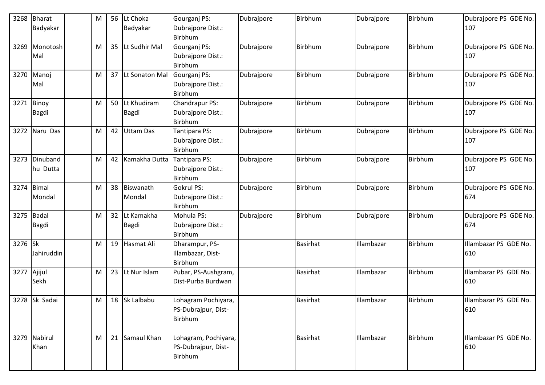| 3268 | <b>Bharat</b><br>Badyakar    | M | 56              | Lt Choka<br>Badyakar       | Gourganj PS:<br>Dubrajpore Dist.:<br>Birbhum           | Dubrajpore | Birbhum         | Dubrajpore | Birbhum | Dubrajpore PS GDE No.<br>107 |
|------|------------------------------|---|-----------------|----------------------------|--------------------------------------------------------|------------|-----------------|------------|---------|------------------------------|
| 3269 | Monotosh<br>Mal              | M | 35              | Lt Sudhir Mal              | Gourganj PS:<br>Dubrajpore Dist.:<br>Birbhum           | Dubrajpore | <b>Birbhum</b>  | Dubrajpore | Birbhum | Dubrajpore PS GDE No.<br>107 |
| 3270 | Manoj<br>Mal                 | M |                 | 37 Lt Sonaton Mal          | Gourganj PS:<br>Dubrajpore Dist.:<br>Birbhum           | Dubrajpore | Birbhum         | Dubrajpore | Birbhum | Dubrajpore PS GDE No.<br>107 |
| 3271 | Binoy<br>Bagdi               | M | 50              | Lt Khudiram<br>Bagdi       | Chandrapur PS:<br>Dubrajpore Dist.:<br>Birbhum         | Dubrajpore | <b>Birbhum</b>  | Dubrajpore | Birbhum | Dubrajpore PS GDE No.<br>107 |
| 3272 | Naru Das                     | M | 42              | Uttam Das                  | Tantipara PS:<br>Dubrajpore Dist.:<br>Birbhum          | Dubrajpore | <b>Birbhum</b>  | Dubrajpore | Birbhum | Dubrajpore PS GDE No.<br>107 |
| 3273 | Dinuband<br>hu Dutta         | M |                 | 42 Kamakha Dutta           | Tantipara PS:<br>Dubrajpore Dist.:<br>Birbhum          | Dubrajpore | <b>Birbhum</b>  | Dubrajpore | Birbhum | Dubrajpore PS GDE No.<br>107 |
| 3274 | Bimal<br>Mondal              | M |                 | 38 Biswanath<br>Mondal     | <b>Gokrul PS:</b><br>Dubrajpore Dist.:<br>Birbhum      | Dubrajpore | Birbhum         | Dubrajpore | Birbhum | Dubrajpore PS GDE No.<br>674 |
| 3275 | <b>Badal</b><br><b>Bagdi</b> | M | 32 <sup>2</sup> | Lt Kamakha<br><b>Bagdi</b> | Mohula PS:<br>Dubrajpore Dist.:<br>Birbhum             | Dubrajpore | Birbhum         | Dubrajpore | Birbhum | Dubrajpore PS GDE No.<br>674 |
| 3276 | <b>Sk</b><br>Jahiruddin      | M | 19              | Hasmat Ali                 | Dharampur, PS-<br>Illambazar, Dist-<br>Birbhum         |            | <b>Basirhat</b> | Illambazar | Birbhum | Illambazar PS GDE No.<br>610 |
| 3277 | Ajijul<br>Sekh               | M | 23              | Lt Nur Islam               | Pubar, PS-Aushgram,<br>Dist-Purba Burdwan              |            | <b>Basirhat</b> | Illambazar | Birbhum | Illambazar PS GDE No.<br>610 |
|      | 3278 Sk Sadai                | M |                 | 18 Sk Lalbabu              | Lohagram Pochiyara,<br>PS-Dubrajpur, Dist-<br>Birbhum  |            | <b>Basirhat</b> | Illambazar | Birbhum | Illambazar PS GDE No.<br>610 |
|      | 3279 Nabirul<br>Khan         | M |                 | 21 Samaul Khan             | Lohagram, Pochiyara,<br>PS-Dubrajpur, Dist-<br>Birbhum |            | <b>Basirhat</b> | Illambazar | Birbhum | Illambazar PS GDE No.<br>610 |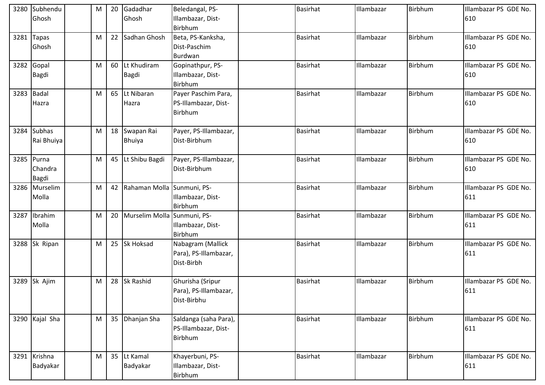|      | 3280 Subhendu<br>Ghosh                | M | 20 Gadadhar<br>Ghosh           | Beledangal, PS-<br>Illambazar, Dist-<br>Birbhum          | <b>Basirhat</b> | Illambazar | Birbhum | Illambazar PS GDE No.<br>610 |
|------|---------------------------------------|---|--------------------------------|----------------------------------------------------------|-----------------|------------|---------|------------------------------|
| 3281 | <b>Tapas</b><br>Ghosh                 | M | 22 Sadhan Ghosh                | Beta, PS-Kanksha,<br>Dist-Paschim<br>Burdwan             | <b>Basirhat</b> | Illambazar | Birbhum | Illambazar PS GDE No.<br>610 |
|      | 3282 Gopal<br><b>Bagdi</b>            | M | 60 Lt Khudiram<br><b>Bagdi</b> | Gopinathpur, PS-<br>Illambazar, Dist-<br>Birbhum         | <b>Basirhat</b> | Illambazar | Birbhum | Illambazar PS GDE No.<br>610 |
|      | 3283 Badal<br>Hazra                   | M | 65 Lt Nibaran<br>Hazra         | Payer Paschim Para,<br>PS-Illambazar, Dist-<br>Birbhum   | <b>Basirhat</b> | Illambazar | Birbhum | Illambazar PS GDE No.<br>610 |
| 3284 | <b>Subhas</b><br>Rai Bhuiya           | M | 18 Swapan Rai<br><b>Bhuiya</b> | Payer, PS-Illambazar,<br>Dist-Birbhum                    | <b>Basirhat</b> | Illambazar | Birbhum | Illambazar PS GDE No.<br>610 |
|      | 3285 Purna<br>Chandra<br><b>Bagdi</b> | M | 45 Lt Shibu Bagdi              | Payer, PS-Illambazar,<br>Dist-Birbhum                    | <b>Basirhat</b> | Illambazar | Birbhum | Illambazar PS GDE No.<br>610 |
|      | 3286 Murselim<br>Molla                | M | 42 Rahaman Molla Sunmuni, PS-  | Illambazar, Dist-<br>Birbhum                             | <b>Basirhat</b> | Illambazar | Birbhum | Illambazar PS GDE No.<br>611 |
| 3287 | Ibrahim<br>Molla                      | M | 20 Murselim Molla Sunmuni, PS- | Illambazar, Dist-<br>Birbhum                             | <b>Basirhat</b> | Illambazar | Birbhum | Illambazar PS GDE No.<br>611 |
|      | 3288 Sk Ripan                         | M | 25 Sk Hoksad                   | Nabagram (Mallick<br>Para), PS-Illambazar,<br>Dist-Birbh | <b>Basirhat</b> | Illambazar | Birbhum | Illambazar PS GDE No.<br>611 |
|      | 3289 Sk Ajim                          | M | 28 Sk Rashid                   | Ghurisha (Sripur<br>Para), PS-Illambazar,<br>Dist-Birbhu | <b>Basirhat</b> | Illambazar | Birbhum | Illambazar PS GDE No.<br>611 |
|      | 3290 Kajal Sha                        | M | 35 Dhanjan Sha                 | Saldanga (saha Para),<br>PS-Illambazar, Dist-<br>Birbhum | <b>Basirhat</b> | Illambazar | Birbhum | Illambazar PS GDE No.<br>611 |
|      | 3291 Krishna<br>Badyakar              | M | 35 Lt Kamal<br>Badyakar        | Khayerbuni, PS-<br>Illambazar, Dist-<br>Birbhum          | <b>Basirhat</b> | Illambazar | Birbhum | Illambazar PS GDE No.<br>611 |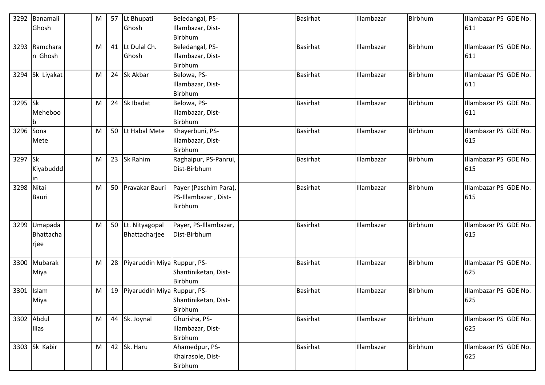| 3292       | Banamali      | M | 57 | Lt Bhupati                  | Beledangal, PS-       | <b>Basirhat</b> | Illambazar | <b>Birbhum</b> | Illambazar PS GDE No. |
|------------|---------------|---|----|-----------------------------|-----------------------|-----------------|------------|----------------|-----------------------|
|            | Ghosh         |   |    | Ghosh                       | Illambazar, Dist-     |                 |            |                | 611                   |
|            |               |   |    |                             | Birbhum               |                 |            |                |                       |
|            | 3293 Ramchara | M | 41 | Lt Dulal Ch.                | Beledangal, PS-       | <b>Basirhat</b> | Illambazar | <b>Birbhum</b> | Illambazar PS GDE No. |
|            | n Ghosh       |   |    | Ghosh                       | Illambazar, Dist-     |                 |            |                | 611                   |
|            |               |   |    |                             | Birbhum               |                 |            |                |                       |
| 3294       | Sk Liyakat    | M | 24 | Sk Akbar                    | Belowa, PS-           | <b>Basirhat</b> | Illambazar | <b>Birbhum</b> | Illambazar PS GDE No. |
|            |               |   |    |                             | Illambazar, Dist-     |                 |            |                | 611                   |
|            |               |   |    |                             | Birbhum               |                 |            |                |                       |
| 3295 Sk    |               | M | 24 | Sk Ibadat                   | Belowa, PS-           | <b>Basirhat</b> | Illambazar | Birbhum        | Illambazar PS GDE No. |
|            | Meheboo       |   |    |                             | Illambazar, Dist-     |                 |            |                | 611                   |
|            |               |   |    |                             | Birbhum               |                 |            |                |                       |
| 3296       | Sona          | M | 50 | Lt Habal Mete               | Khayerbuni, PS-       | <b>Basirhat</b> | Illambazar | Birbhum        | Illambazar PS GDE No. |
|            | Mete          |   |    |                             | Illambazar, Dist-     |                 |            |                | 615                   |
|            |               |   |    |                             | Birbhum               |                 |            |                |                       |
| 3297 Sk    |               | M | 23 | Sk Rahim                    | Raghaipur, PS-Panrui, | <b>Basirhat</b> | Illambazar | <b>Birbhum</b> | Illambazar PS GDE No. |
|            | Kiyabuddd     |   |    |                             | Dist-Birbhum          |                 |            |                | 615                   |
|            | in            |   |    |                             |                       |                 |            |                |                       |
| 3298 Nitai |               | M | 50 | Pravakar Bauri              | Payer (Paschim Para), | <b>Basirhat</b> | Illambazar | Birbhum        | Illambazar PS GDE No. |
|            | <b>Bauri</b>  |   |    |                             | PS-Illambazar, Dist-  |                 |            |                | 615                   |
|            |               |   |    |                             | Birbhum               |                 |            |                |                       |
|            |               |   |    |                             |                       |                 |            |                |                       |
| 3299       | Umapada       | M | 50 | Lt. Nityagopal              | Payer, PS-Illambazar, | <b>Basirhat</b> | Illambazar | <b>Birbhum</b> | Illambazar PS GDE No. |
|            | Bhattacha     |   |    | Bhattacharjee               | Dist-Birbhum          |                 |            |                | 615                   |
|            | rjee          |   |    |                             |                       |                 |            |                |                       |
|            |               |   |    |                             |                       |                 |            |                |                       |
| 3300       | Mubarak       | М | 28 | Piyaruddin Miya Ruppur, PS- |                       | <b>Basirhat</b> | Illambazar | Birbhum        | Illambazar PS GDE No. |
|            | Miya          |   |    |                             | Shantiniketan, Dist-  |                 |            |                | 625                   |
|            |               |   |    |                             | Birbhum               |                 |            |                |                       |
|            | 3301 Islam    | M | 19 | Piyaruddin Miya Ruppur, PS- |                       | <b>Basirhat</b> | Illambazar | Birbhum        | Illambazar PS GDE No. |
|            | Miya          |   |    |                             | Shantiniketan, Dist-  |                 |            |                | 625                   |
|            |               |   |    |                             | Birbhum               |                 |            |                |                       |
|            | 3302 Abdul    | M |    | 44 Sk. Joynal               | Ghurisha, PS-         | <b>Basirhat</b> | Illambazar | Birbhum        | Illambazar PS GDE No. |
|            | Ilias         |   |    |                             | Illambazar, Dist-     |                 |            |                | 625                   |
|            |               |   |    |                             | Birbhum               |                 |            |                |                       |
|            | 3303 Sk Kabir | M |    | 42 Sk. Haru                 | Ahamedpur, PS-        | <b>Basirhat</b> | Illambazar | <b>Birbhum</b> | Illambazar PS GDE No. |
|            |               |   |    |                             | Khairasole, Dist-     |                 |            |                | 625                   |
|            |               |   |    |                             | Birbhum               |                 |            |                |                       |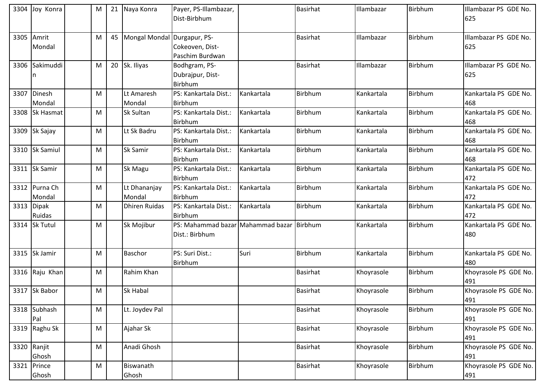|      | 3304 Joy Konra | M | 21 Naya Konra        | Payer, PS-Illambazar,                     |            | <b>Basirhat</b> | Illambazar | Birbhum | Illambazar PS GDE No. |
|------|----------------|---|----------------------|-------------------------------------------|------------|-----------------|------------|---------|-----------------------|
|      |                |   |                      | Dist-Birbhum                              |            |                 |            |         | 625                   |
|      |                |   |                      |                                           |            |                 |            |         |                       |
| 3305 | Amrit          | M | 45 Mongal Mondal     | Durgapur, PS-                             |            | <b>Basirhat</b> | Illambazar | Birbhum | Illambazar PS GDE No. |
|      | Mondal         |   |                      | Cokeoven, Dist-                           |            |                 |            |         | 625                   |
|      |                |   |                      | Paschim Burdwan                           |            |                 |            |         |                       |
|      | 3306 Sakimuddi | M | 20 Sk. Iliyas        | Bodhgram, PS-                             |            | <b>Basirhat</b> | Illambazar | Birbhum | Illambazar PS GDE No. |
|      | n              |   |                      | Dubrajpur, Dist-                          |            |                 |            |         | 625                   |
|      |                |   |                      | Birbhum                                   |            |                 |            |         |                       |
| 3307 | Dinesh         | M | Lt Amaresh           | PS: Kankartala Dist.:                     | Kankartala | Birbhum         | Kankartala | Birbhum | Kankartala PS GDE No. |
|      | Mondal         |   | Mondal               | Birbhum                                   |            |                 |            |         | 468                   |
|      | 3308 Sk Hasmat | M | Sk Sultan            | PS: Kankartala Dist.:                     | Kankartala | <b>Birbhum</b>  | Kankartala | Birbhum | Kankartala PS GDE No. |
|      |                |   |                      | Birbhum                                   |            |                 |            |         | 468                   |
|      | 3309 Sk Sajay  | м | Lt Sk Badru          | PS: Kankartala Dist.:                     | Kankartala | Birbhum         | Kankartala | Birbhum | Kankartala PS GDE No. |
|      |                |   |                      | Birbhum                                   |            |                 |            |         | 468                   |
|      | 3310 Sk Samiul | M | Sk Samir             | PS: Kankartala Dist.:                     | Kankartala | Birbhum         | Kankartala | Birbhum | Kankartala PS GDE No. |
|      |                |   |                      | Birbhum                                   |            |                 |            |         | 468                   |
|      | 3311 Sk Samir  | м | Sk Magu              | PS: Kankartala Dist.:                     | Kankartala | Birbhum         | Kankartala | Birbhum | Kankartala PS GDE No. |
|      |                |   |                      | Birbhum                                   |            |                 |            |         | 472                   |
|      | 3312 Purna Ch  | M | Lt Dhananjay         | PS: Kankartala Dist.:                     | Kankartala | Birbhum         | Kankartala | Birbhum | Kankartala PS GDE No. |
|      | Mondal         |   | Mondal               | Birbhum                                   |            |                 |            |         | 472                   |
|      | 3313 Dipak     | M | <b>Dhiren Ruidas</b> | PS: Kankartala Dist.:                     | Kankartala | Birbhum         | Kankartala | Birbhum | Kankartala PS GDE No. |
|      | Ruidas         |   |                      | <b>Birbhum</b>                            |            |                 |            |         | 472                   |
|      | 3314 Sk Tutul  | м | Sk Mojibur           | PS: Mahammad bazar Mahammad bazar Birbhum |            |                 | Kankartala | Birbhum | Kankartala PS GDE No. |
|      |                |   |                      | Dist.: Birbhum                            |            |                 |            |         | 480                   |
|      |                |   |                      |                                           |            |                 |            |         |                       |
|      | 3315 Sk Jamir  | M | <b>Baschor</b>       | PS: Suri Dist.:                           | Suri       | Birbhum         | Kankartala | Birbhum | Kankartala PS GDE No. |
|      |                |   |                      | Birbhum                                   |            |                 |            |         | 480                   |
|      | 3316 Raju Khan | M | Rahim Khan           |                                           |            | <b>Basirhat</b> | Khoyrasole | Birbhum | Khoyrasole PS GDE No. |
|      |                |   |                      |                                           |            |                 |            |         | 491                   |
|      | 3317 Sk Babor  | M | <b>Sk Habal</b>      |                                           |            | <b>Basirhat</b> | Khoyrasole | Birbhum | Khoyrasole PS GDE No. |
|      |                |   |                      |                                           |            |                 |            |         | 491                   |
|      | 3318 Subhash   | M | Lt. Joydev Pal       |                                           |            | <b>Basirhat</b> | Khoyrasole | Birbhum | Khoyrasole PS GDE No. |
|      | Pal            |   |                      |                                           |            |                 |            |         | 491                   |
| 3319 | Raghu Sk       | M | Ajahar Sk            |                                           |            | <b>Basirhat</b> | Khoyrasole | Birbhum | Khoyrasole PS GDE No. |
|      |                |   |                      |                                           |            |                 |            |         | 491                   |
|      | 3320 Ranjit    | M | Anadi Ghosh          |                                           |            | <b>Basirhat</b> | Khoyrasole | Birbhum | Khoyrasole PS GDE No. |
|      | Ghosh          |   |                      |                                           |            |                 |            |         | 491                   |
| 3321 | Prince         | M | Biswanath            |                                           |            | <b>Basirhat</b> | Khoyrasole | Birbhum | Khoyrasole PS GDE No. |
|      | Ghosh          |   | Ghosh                |                                           |            |                 |            |         | 491                   |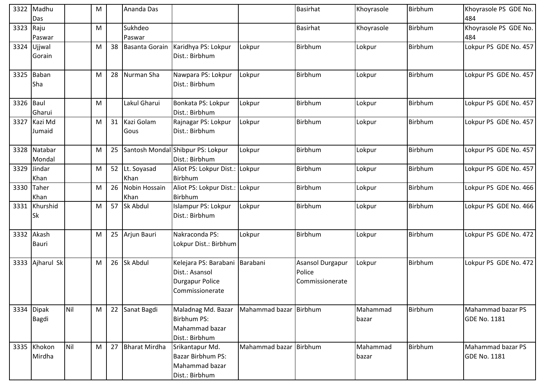| 3322      | Madhu<br>Das               |     | M |    | Ananda Das            |                                                                                               |                        | <b>Basirhat</b>                               | Khoyrasole        | Birbhum | Khoyrasole PS GDE No.<br>484             |
|-----------|----------------------------|-----|---|----|-----------------------|-----------------------------------------------------------------------------------------------|------------------------|-----------------------------------------------|-------------------|---------|------------------------------------------|
| 3323      | Raju<br>Paswar             |     | M |    | Sukhdeo<br>Paswar     |                                                                                               |                        | <b>Basirhat</b>                               | Khoyrasole        | Birbhum | Khoyrasole PS GDE No.<br>484             |
|           | 3324 Ujjwal<br>Gorain      |     | M | 38 |                       | Basanta Gorain Karidhya PS: Lokpur<br>Dist.: Birbhum                                          | Lokpur                 | Birbhum                                       | Lokpur            | Birbhum | Lokpur PS GDE No. 457                    |
| 3325      | Baban<br>Sha               |     | M | 28 | Nurman Sha            | Nawpara PS: Lokpur<br>Dist.: Birbhum                                                          | Lokpur                 | Birbhum                                       | Lokpur            | Birbhum | Lokpur PS GDE No. 457                    |
| 3326 Baul | Gharui                     |     | M |    | Lakul Gharui          | Bonkata PS: Lokpur<br>Dist.: Birbhum                                                          | Lokpur                 | Birbhum                                       | Lokpur            | Birbhum | Lokpur PS GDE No. 457                    |
|           | 3327 Kazi Md<br>Jumaid     |     | M | 31 | Kazi Golam<br>Gous    | Rajnagar PS: Lokpur<br>Dist.: Birbhum                                                         | Lokpur                 | Birbhum                                       | Lokpur            | Birbhum | Lokpur PS GDE No. 457                    |
|           | 3328 Natabar<br>Mondal     |     | M | 25 |                       | Santosh Mondal Shibpur PS: Lokpur<br>Dist.: Birbhum                                           | Lokpur                 | Birbhum                                       | Lokpur            | Birbhum | Lokpur PS GDE No. 457                    |
| 3329      | Jindar<br>Khan             |     | M | 52 | Lt. Soyasad<br>Khan   | Aliot PS: Lokpur Dist.:<br>Birbhum                                                            | Lokpur                 | Birbhum                                       | Lokpur            | Birbhum | Lokpur PS GDE No. 457                    |
| 3330      | <b>Taher</b><br>Khan       |     | M | 26 | Nobin Hossain<br>Khan | Aliot PS: Lokpur Dist.:<br>Birbhum                                                            | Lokpur                 | Birbhum                                       | Lokpur            | Birbhum | Lokpur PS GDE No. 466                    |
|           | 3331 Khurshid<br><b>Sk</b> |     | M | 57 | Sk Abdul              | Islampur PS: Lokpur<br>Dist.: Birbhum                                                         | Lokpur                 | Birbhum                                       | Lokpur            | Birbhum | Lokpur PS GDE No. 466                    |
|           | 3332 Akash<br>Bauri        |     | M | 25 | Arjun Bauri           | Nakraconda PS:<br>Lokpur Dist.: Birbhum                                                       | Lokpur                 | Birbhum                                       | Lokpur            | Birbhum | Lokpur PS GDE No. 472                    |
| 3333      | Ajharul Sk                 |     | M | 26 | Sk Abdul              | Kelejara PS: Barabani Barabani<br>Dist.: Asansol<br><b>Durgapur Police</b><br>Commissionerate |                        | Asansol Durgapur<br>Police<br>Commissionerate | Lokpur            | Birbhum | Lokpur PS GDE No. 472                    |
|           | 3334 Dipak<br>Bagdi        | Nil | M |    | 22 Sanat Bagdi        | Maladnag Md. Bazar<br>Birbhum PS:<br>Mahammad bazar<br>Dist.: Birbhum                         | Mahammad bazar Birbhum |                                               | Mahammad<br>bazar | Birbhum | Mahammad bazar PS<br><b>GDE No. 1181</b> |
|           | 3335 Khokon<br>Mirdha      | Nil | M | 27 | <b>Bharat Mirdha</b>  | Srikantapur Md.<br>Bazar Birbhum PS:<br>Mahammad bazar<br>Dist.: Birbhum                      | Mahammad bazar Birbhum |                                               | Mahammad<br>bazar | Birbhum | Mahammad bazar PS<br><b>GDE No. 1181</b> |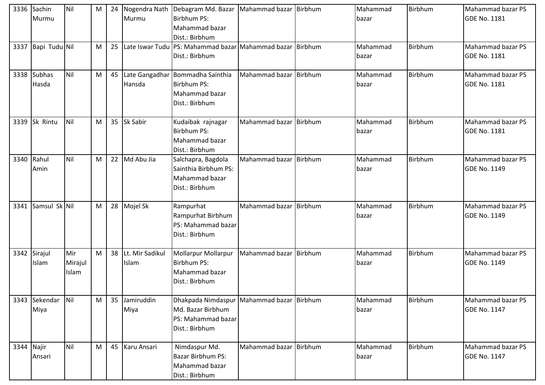| 3336       | Sachin<br>Murmu        | Nil                     | M |    | 24 Nogendra Nath<br>Murmu   | Debagram Md. Bazar   Mahammad bazar   Birbhum<br>Birbhum PS:<br>Mahammad bazar<br>Dist.: Birbhum       |                        | Mahammad<br>bazar | Birbhum | Mahammad bazar PS<br><b>GDE No. 1181</b> |
|------------|------------------------|-------------------------|---|----|-----------------------------|--------------------------------------------------------------------------------------------------------|------------------------|-------------------|---------|------------------------------------------|
|            | 3337 Bapi Tudu Nil     |                         | M |    |                             | 25 Late Iswar Tudu PS: Mahammad bazar Mahammad bazar Birbhum<br>Dist.: Birbhum                         |                        | Mahammad<br>bazar | Birbhum | Mahammad bazar PS<br><b>GDE No. 1181</b> |
| 3338       | <b>Subhas</b><br>Hasda | Nil                     | M |    | Hansda                      | 45 Late Gangadhar Bommadha Sainthia<br>Birbhum PS:<br>Mahammad bazar<br>Dist.: Birbhum                 | Mahammad bazar Birbhum | Mahammad<br>bazar | Birbhum | Mahammad bazar PS<br><b>GDE No. 1181</b> |
| 3339       | Sk Rintu               | Nil                     | M |    | 35 Sk Sabir                 | Kudaibak rajnagar<br>Birbhum PS:<br>Mahammad bazar<br>Dist.: Birbhum                                   | Mahammad bazar Birbhum | Mahammad<br>bazar | Birbhum | Mahammad bazar PS<br><b>GDE No. 1181</b> |
| 3340 Rahul | Amin                   | Nil                     | M |    | 22 Md Abu Jia               | Salchapra, Bagdola<br>Sainthia Birbhum PS:<br>Mahammad bazar<br>Dist.: Birbhum                         | Mahammad bazar Birbhum | Mahammad<br>bazar | Birbhum | Mahammad bazar PS<br><b>GDE No. 1149</b> |
| 3341       | Samsul Sk Nil          |                         | M |    | 28 Mojel Sk                 | Rampurhat<br>Rampurhat Birbhum<br>PS: Mahammad bazar<br>Dist.: Birbhum                                 | Mahammad bazar Birbhum | Mahammad<br>bazar | Birbhum | Mahammad bazar PS<br><b>GDE No. 1149</b> |
| 3342       | Sirajul<br>Islam       | Mir<br>Mirajul<br>Islam | M |    | 38 Lt. Mir Sadikul<br>Islam | Mollarpur Mollarpur<br>Birbhum PS:<br>Mahammad bazar<br>Dist.: Birbhum                                 | Mahammad bazar Birbhum | Mahammad<br>bazar | Birbhum | Mahammad bazar PS<br><b>GDE No. 1149</b> |
| 3343       | Sekendar Nil<br>Miya   |                         | M | 35 | Jamiruddin<br>Miya          | Dhakpada Nimdaspur Mahammad bazar Birbhum<br>Md. Bazar Birbhum<br>PS: Mahammad bazar<br>Dist.: Birbhum |                        | Mahammad<br>bazar | Birbhum | Mahammad bazar PS<br><b>GDE No. 1147</b> |
| 3344 Najir | Ansari                 | Nil                     | M |    | 45 Karu Ansari              | Nimdaspur Md.<br>Bazar Birbhum PS:<br>Mahammad bazar<br>Dist.: Birbhum                                 | Mahammad bazar Birbhum | Mahammad<br>bazar | Birbhum | Mahammad bazar PS<br><b>GDE No. 1147</b> |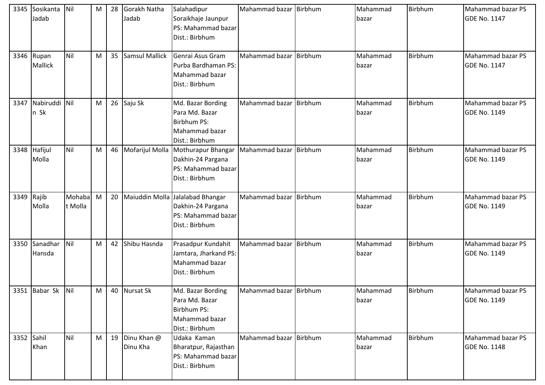| 3345       | Sosikanta<br>Jadab    | Nil               | M | 28 | Gorakh Natha<br>Jadab      | Salahadipur<br>Soraikhaje Jaunpur<br>PS: Mahammad bazar<br>Dist.: Birbhum                     | Mahammad bazar Birbhum | Mahammad<br>bazar | Birbhum | Mahammad bazar PS<br><b>GDE No. 1147</b> |
|------------|-----------------------|-------------------|---|----|----------------------------|-----------------------------------------------------------------------------------------------|------------------------|-------------------|---------|------------------------------------------|
|            | 3346 Rupan<br>Mallick | Nil               | M | 35 | <b>Samsul Mallick</b>      | Genrai Asus Gram<br>Purba Bardhaman PS:<br>Mahammad bazar<br>Dist.: Birbhum                   | Mahammad bazar Birbhum | Mahammad<br>bazar | Birbhum | Mahammad bazar PS<br><b>GDE No. 1147</b> |
| 3347       | Nabiruddi Nil<br>n Sk |                   | M |    | 26 Saju Sk                 | Md. Bazar Bording<br>Para Md. Bazar<br><b>Birbhum PS:</b><br>Mahammad bazar<br>Dist.: Birbhum | Mahammad bazar Birbhum | Mahammad<br>bazar | Birbhum | Mahammad bazar PS<br><b>GDE No. 1149</b> |
|            | 3348 Hafijul<br>Molla | Nil               | M |    | 46 Mofarijul Molla         | Mothurapur Bhangar<br>Dakhin-24 Pargana<br>PS: Mahammad bazar<br>Dist.: Birbhum               | Mahammad bazar Birbhum | Mahammad<br>bazar | Birbhum | Mahammad bazar PS<br><b>GDE No. 1149</b> |
| 3349       | Rajib<br>Molla        | Mohaba<br>t Molla | M |    | 20 Maiuddin Molla          | Jalalabad Bhangar<br>Dakhin-24 Pargana<br>PS: Mahammad bazar<br>Dist.: Birbhum                | Mahammad bazar Birbhum | Mahammad<br>bazar | Birbhum | Mahammad bazar PS<br><b>GDE No. 1149</b> |
| 3350       | Sanadhar<br>Hansda    | Nil               | M | 42 | Shibu Hasnda               | Prasadpur Kundahit<br>Jamtara, Jharkand PS:<br>Mahammad bazar<br>Dist.: Birbhum               | Mahammad bazar Birbhum | Mahammad<br>bazar | Birbhum | Mahammad bazar PS<br><b>GDE No. 1149</b> |
|            | 3351 Babar Sk Nil     |                   | M |    | 40 Nursat Sk               | Md. Bazar Bording<br>Para Md. Bazar<br><b>Birbhum PS:</b><br>Mahammad bazar<br>Dist.: Birbhum | Mahammad bazar Birbhum | Mahammad<br>bazar | Birbhum | Mahammad bazar PS<br><b>GDE No. 1149</b> |
| 3352 Sahil | Khan                  | Nil               | M |    | 19 Dinu Khan @<br>Dinu Kha | Udaka Kaman<br>Bharatpur, Rajasthan<br>PS: Mahammad bazar<br>Dist.: Birbhum                   | Mahammad bazar Birbhum | Mahammad<br>bazar | Birbhum | Mahammad bazar PS<br><b>GDE No. 1148</b> |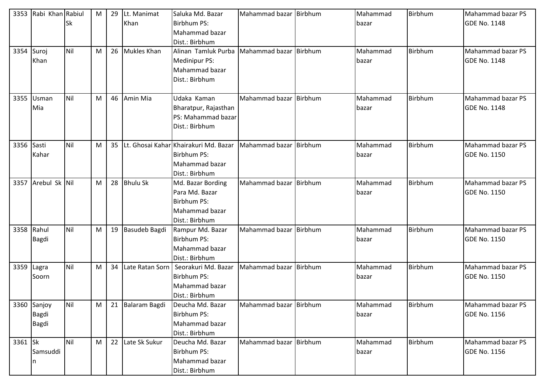| 3353       | Rabi Khan Rabiul   |           | M | 29 | Lt. Manimat      | Saluka Md. Bazar                         | Mahammad bazar Birbhum | Mahammad | Birbhum | Mahammad bazar PS        |
|------------|--------------------|-----------|---|----|------------------|------------------------------------------|------------------------|----------|---------|--------------------------|
|            |                    | <b>Sk</b> |   |    | Khan             | <b>Birbhum PS:</b>                       |                        | bazar    |         | <b>GDE No. 1148</b>      |
|            |                    |           |   |    |                  | Mahammad bazar                           |                        |          |         |                          |
|            |                    |           |   |    |                  | Dist.: Birbhum                           |                        |          |         |                          |
| 3354       | Suroj              | Nil       | M |    | 26 Mukles Khan   | Alinan Tamluk Purba                      | Mahammad bazar Birbhum | Mahammad | Birbhum | Mahammad bazar PS        |
|            | Khan               |           |   |    |                  | Medinipur PS:                            |                        | bazar    |         | <b>GDE No. 1148</b>      |
|            |                    |           |   |    |                  | Mahammad bazar                           |                        |          |         |                          |
|            |                    |           |   |    |                  | Dist.: Birbhum                           |                        |          |         |                          |
|            |                    |           |   |    |                  |                                          |                        |          |         |                          |
|            | 3355 Usman         | Nil       | M |    | 46 Amin Mia      | Udaka Kaman                              | Mahammad bazar Birbhum | Mahammad | Birbhum | Mahammad bazar PS        |
|            | Mia                |           |   |    |                  | Bharatpur, Rajasthan                     |                        | bazar    |         | <b>GDE No. 1148</b>      |
|            |                    |           |   |    |                  | PS: Mahammad bazar                       |                        |          |         |                          |
|            |                    |           |   |    |                  | Dist.: Birbhum                           |                        |          |         |                          |
|            |                    |           |   |    |                  |                                          |                        |          |         |                          |
| 3356 Sasti |                    | Nil       | M |    |                  | 35 Lt. Ghosai Kahar Khairakuri Md. Bazar | Mahammad bazar Birbhum | Mahammad | Birbhum | Mahammad bazar PS        |
|            | Kahar              |           |   |    |                  | <b>Birbhum PS:</b>                       |                        | bazar    |         | <b>GDE No. 1150</b>      |
|            |                    |           |   |    |                  | Mahammad bazar                           |                        |          |         |                          |
|            |                    |           |   |    |                  | Dist.: Birbhum                           |                        |          |         |                          |
|            | 3357 Arebul Sk Nil |           | M |    | 28 Bhulu Sk      | Md. Bazar Bording                        | Mahammad bazar Birbhum | Mahammad | Birbhum | Mahammad bazar PS        |
|            |                    |           |   |    |                  | Para Md. Bazar                           |                        | bazar    |         | <b>GDE No. 1150</b>      |
|            |                    |           |   |    |                  | <b>Birbhum PS:</b>                       |                        |          |         |                          |
|            |                    |           |   |    |                  | Mahammad bazar                           |                        |          |         |                          |
|            |                    |           |   |    |                  | Dist.: Birbhum                           |                        |          |         |                          |
| 3358 Rahul |                    | Nil       | M |    | 19 Basudeb Bagdi | Rampur Md. Bazar                         | Mahammad bazar Birbhum | Mahammad | Birbhum | Mahammad bazar PS        |
|            | Bagdi              |           |   |    |                  | Birbhum PS:                              |                        | bazar    |         | <b>GDE No. 1150</b>      |
|            |                    |           |   |    |                  | Mahammad bazar                           |                        |          |         |                          |
|            |                    |           |   |    |                  | Dist.: Birbhum                           |                        |          |         |                          |
| 3359 Lagra |                    | Nil       | M | 34 | Late Ratan Sorn  | Seorakuri Md. Bazar                      | Mahammad bazar Birbhum | Mahammad | Birbhum | <b>Mahammad bazar PS</b> |
|            | Soorn              |           |   |    |                  | <b>Birbhum PS:</b>                       |                        | bazar    |         | <b>GDE No. 1150</b>      |
|            |                    |           |   |    |                  | Mahammad bazar                           |                        |          |         |                          |
|            |                    |           |   |    |                  | Dist.: Birbhum                           |                        |          |         |                          |
|            | 3360 Sanjoy        | Nil       | M |    | 21 Balaram Bagdi | Deucha Md. Bazar                         | Mahammad bazar Birbhum | Mahammad | Birbhum | Mahammad bazar PS        |
|            | <b>Bagdi</b>       |           |   |    |                  | Birbhum PS:                              |                        | bazar    |         | <b>GDE No. 1156</b>      |
|            | <b>Bagdi</b>       |           |   |    |                  | Mahammad bazar                           |                        |          |         |                          |
|            |                    |           |   |    |                  | Dist.: Birbhum                           |                        |          |         |                          |
| 3361 Sk    |                    | Nil       | M |    | 22 Late Sk Sukur | Deucha Md. Bazar                         | Mahammad bazar Birbhum | Mahammad | Birbhum | Mahammad bazar PS        |
|            | Samsuddi           |           |   |    |                  | <b>Birbhum PS:</b>                       |                        | bazar    |         | <b>GDE No. 1156</b>      |
|            | n                  |           |   |    |                  | Mahammad bazar                           |                        |          |         |                          |
|            |                    |           |   |    |                  | Dist.: Birbhum                           |                        |          |         |                          |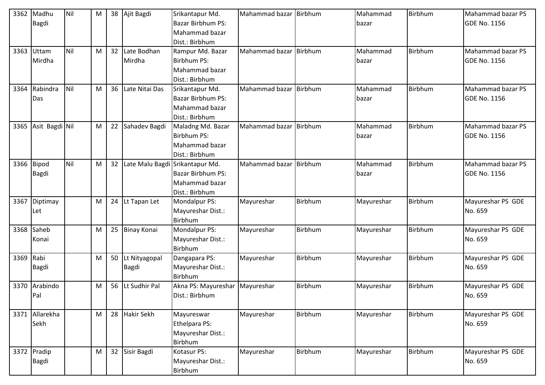| 3362       | Madhu<br>Bagdi | Nil | M |    | 38 Ajit Bagdi  | Srikantapur Md.<br><b>Bazar Birbhum PS:</b><br>Mahammad bazar | Mahammad bazar Birbhum |                | Mahammad<br>bazar | Birbhum | <b>Mahammad bazar PS</b><br><b>GDE No. 1156</b> |
|------------|----------------|-----|---|----|----------------|---------------------------------------------------------------|------------------------|----------------|-------------------|---------|-------------------------------------------------|
|            |                |     |   |    |                | Dist.: Birbhum                                                |                        |                |                   |         |                                                 |
| 3363       | Uttam          | Nil | M | 32 | Late Bodhan    | Rampur Md. Bazar                                              | Mahammad bazar Birbhum |                | Mahammad          | Birbhum | Mahammad bazar PS                               |
|            | Mirdha         |     |   |    | Mirdha         | <b>Birbhum PS:</b>                                            |                        |                | bazar             |         | <b>GDE No. 1156</b>                             |
|            |                |     |   |    |                | Mahammad bazar                                                |                        |                |                   |         |                                                 |
|            |                |     |   |    |                | Dist.: Birbhum                                                |                        |                |                   |         |                                                 |
| 3364       | Rabindra       | Nil | M | 36 | Late Nitai Das | Srikantapur Md.                                               | Mahammad bazar         | Birbhum        | Mahammad          | Birbhum | Mahammad bazar PS                               |
|            | Das            |     |   |    |                | <b>Bazar Birbhum PS:</b>                                      |                        |                | bazar             |         | <b>GDE No. 1156</b>                             |
|            |                |     |   |    |                | Mahammad bazar                                                |                        |                |                   |         |                                                 |
|            |                |     |   |    |                | Dist.: Birbhum                                                |                        |                |                   |         |                                                 |
| 3365       | Asit Bagdi Nil |     | M | 22 | Sahadev Bagdi  | Maladng Md. Bazar                                             | Mahammad bazar Birbhum |                | Mahammad          | Birbhum | <b>Mahammad bazar PS</b>                        |
|            |                |     |   |    |                | <b>Birbhum PS:</b>                                            |                        |                | bazar             |         | <b>GDE No. 1156</b>                             |
|            |                |     |   |    |                | Mahammad bazar                                                |                        |                |                   |         |                                                 |
|            |                |     |   |    |                | Dist.: Birbhum                                                |                        |                |                   |         |                                                 |
| 3366 Bipod |                | Nil | M | 32 |                | Late Malu Bagdi Srikantapur Md.                               | Mahammad bazar Birbhum |                | Mahammad          | Birbhum | Mahammad bazar PS                               |
|            | Bagdi          |     |   |    |                | <b>Bazar Birbhum PS:</b>                                      |                        |                | bazar             |         | <b>GDE No. 1156</b>                             |
|            |                |     |   |    |                | Mahammad bazar                                                |                        |                |                   |         |                                                 |
|            |                |     |   |    |                | Dist.: Birbhum                                                |                        |                |                   |         |                                                 |
| 3367       | Diptimay       |     | M | 24 | Lt Tapan Let   | Mondalpur PS:                                                 | Mayureshar             | Birbhum        | Mayureshar        | Birbhum | Mayureshar PS GDE                               |
|            | Let            |     |   |    |                | Mayureshar Dist.:                                             |                        |                |                   |         | No. 659                                         |
|            |                |     |   |    |                | <b>Birbhum</b>                                                |                        |                |                   |         |                                                 |
| 3368       | Saheb          |     | M |    | 25 Binay Konai | Mondalpur PS:                                                 | Mayureshar             | Birbhum        | Mayureshar        | Birbhum | Mayureshar PS GDE                               |
|            | Konai          |     |   |    |                | Mayureshar Dist.:                                             |                        |                |                   |         | No. 659                                         |
|            |                |     |   |    |                | <b>Birbhum</b>                                                |                        |                |                   |         |                                                 |
| 3369       | Rabi           |     | M | 50 | Lt Nityagopal  | Dangapara PS:                                                 | Mayureshar             | <b>Birbhum</b> | Mayureshar        | Birbhum | Mayureshar PS GDE                               |
|            | Bagdi          |     |   |    | Bagdi          | Mayureshar Dist.:                                             |                        |                |                   |         | No. 659                                         |
|            |                |     |   |    |                | Birbhum                                                       |                        |                |                   |         |                                                 |
| 3370       | Arabindo       |     | M | 56 | Lt Sudhir Pal  | Akna PS: Mayureshar                                           | Mayureshar             | Birbhum        | Mayureshar        | Birbhum | Mayureshar PS GDE                               |
|            | Pal            |     |   |    |                | Dist.: Birbhum                                                |                        |                |                   |         | No. 659                                         |
|            |                |     |   |    |                |                                                               |                        |                |                   |         |                                                 |
|            | 3371 Allarekha |     | M | 28 | Hakir Sekh     | Mayureswar                                                    | Mayureshar             | Birbhum        | Mayureshar        | Birbhum | Mayureshar PS GDE                               |
|            | Sekh           |     |   |    |                | Ethelpara PS:                                                 |                        |                |                   |         | No. 659                                         |
|            |                |     |   |    |                | Mayureshar Dist.:                                             |                        |                |                   |         |                                                 |
|            |                |     |   |    |                | <b>Birbhum</b>                                                |                        |                |                   |         |                                                 |
|            | 3372 Pradip    |     | M |    | 32 Sisir Bagdi | Kotasur PS:                                                   | Mayureshar             | Birbhum        | Mayureshar        | Birbhum | Mayureshar PS GDE                               |
|            | Bagdi          |     |   |    |                | Mayureshar Dist.:                                             |                        |                |                   |         | No. 659                                         |
|            |                |     |   |    |                | Birbhum                                                       |                        |                |                   |         |                                                 |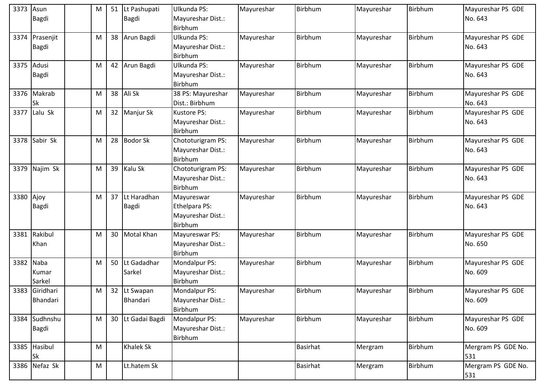| 3373       | Asun<br>Bagdi              | M | 51              | Lt Pashupati<br>Bagdi    | Ulkunda PS:<br>Mayureshar Dist.:<br>Birbhum                 | Mayureshar | Birbhum         | Mayureshar | Birbhum | Mayureshar PS GDE<br>No. 643 |
|------------|----------------------------|---|-----------------|--------------------------|-------------------------------------------------------------|------------|-----------------|------------|---------|------------------------------|
| 3374       | Prasenjit<br><b>Bagdi</b>  | M | 38              | Arun Bagdi               | Ulkunda PS:<br>Mayureshar Dist.:<br>Birbhum                 | Mayureshar | Birbhum         | Mayureshar | Birbhum | Mayureshar PS GDE<br>No. 643 |
| 3375 Adusi | <b>Bagdi</b>               | M |                 | 42 Arun Bagdi            | Ulkunda PS:<br>Mayureshar Dist.:<br>Birbhum                 | Mayureshar | Birbhum         | Mayureshar | Birbhum | Mayureshar PS GDE<br>No. 643 |
|            | 3376 Makrab<br>Sk          | M | 38              | Ali Sk                   | 38 PS: Mayureshar<br>Dist.: Birbhum                         | Mayureshar | Birbhum         | Mayureshar | Birbhum | Mayureshar PS GDE<br>No. 643 |
| 3377       | Lalu Sk                    | M | 32              | Manjur Sk                | <b>Kustore PS:</b><br>Mayureshar Dist.:<br>Birbhum          | Mayureshar | Birbhum         | Mayureshar | Birbhum | Mayureshar PS GDE<br>No. 643 |
| 3378       | Sabir Sk                   | M | 28              | <b>Bodor Sk</b>          | Chototurigram PS:<br>Mayureshar Dist.:<br><b>Birbhum</b>    | Mayureshar | Birbhum         | Mayureshar | Birbhum | Mayureshar PS GDE<br>No. 643 |
| 3379       | Najim Sk                   | M | 39              | Kalu Sk                  | Chototurigram PS:<br>Mayureshar Dist.:<br>Birbhum           | Mayureshar | Birbhum         | Mayureshar | Birbhum | Mayureshar PS GDE<br>No. 643 |
| 3380       | Ajoy<br><b>Bagdi</b>       | M | 37              | Lt Haradhan<br>Bagdi     | Mayureswar<br>Ethelpara PS:<br>Mayureshar Dist.:<br>Birbhum | Mayureshar | Birbhum         | Mayureshar | Birbhum | Mayureshar PS GDE<br>No. 643 |
|            | 3381 Rakibul<br>Khan       | M | 30 <sup>°</sup> | <b>Motal Khan</b>        | Mayureswar PS:<br>Mayureshar Dist.:<br>Birbhum              | Mayureshar | Birbhum         | Mayureshar | Birbhum | Mayureshar PS GDE<br>No. 650 |
| 3382       | Naba<br>Kumar<br>Sarkel    | M | 50              | Lt Gadadhar<br>Sarkel    | Mondalpur PS:<br>Mayureshar Dist.:<br>Birbhum               | Mayureshar | Birbhum         | Mayureshar | Birbhum | Mayureshar PS GDE<br>No. 609 |
|            | 3383 Giridhari<br>Bhandari | M |                 | 32 Lt Swapan<br>Bhandari | Mondalpur PS:<br>Mayureshar Dist.:<br>Birbhum               | Mayureshar | Birbhum         | Mayureshar | Birbhum | Mayureshar PS GDE<br>No. 609 |
|            | 3384 Sudhnshu<br>Bagdi     | M | 30 <sup>°</sup> | Lt Gadai Bagdi           | Mondalpur PS:<br>Mayureshar Dist.:<br>Birbhum               | Mayureshar | Birbhum         | Mayureshar | Birbhum | Mayureshar PS GDE<br>No. 609 |
|            | 3385 Hasibul<br><b>Sk</b>  | M |                 | Khalek Sk                |                                                             |            | <b>Basirhat</b> | Mergram    | Birbhum | Mergram PS GDE No.<br>531    |
|            | 3386 Nefaz Sk              | M |                 | Lt.hatem Sk              |                                                             |            | <b>Basirhat</b> | Mergram    | Birbhum | Mergram PS GDE No.<br>531    |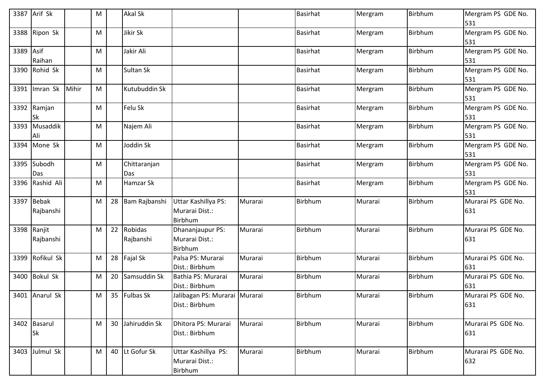|           | 3387 Arif Sk              |       | M |    | <b>Akal Sk</b>       |                                                  |         | <b>Basirhat</b> | Mergram | Birbhum        | Mergram PS GDE No.<br>531 |
|-----------|---------------------------|-------|---|----|----------------------|--------------------------------------------------|---------|-----------------|---------|----------------|---------------------------|
|           | 3388 Ripon Sk             |       | M |    | Jikir Sk             |                                                  |         | <b>Basirhat</b> | Mergram | Birbhum        | Mergram PS GDE No.<br>531 |
| 3389 Asif | Raihan                    |       | M |    | Jakir Ali            |                                                  |         | <b>Basirhat</b> | Mergram | Birbhum        | Mergram PS GDE No.<br>531 |
|           | 3390 Rohid Sk             |       | M |    | Sultan Sk            |                                                  |         | <b>Basirhat</b> | Mergram | <b>Birbhum</b> | Mergram PS GDE No.<br>531 |
| 3391      | Imran Sk                  | Mihir | M |    | Kutubuddin Sk        |                                                  |         | <b>Basirhat</b> | Mergram | Birbhum        | Mergram PS GDE No.<br>531 |
|           | 3392 Ramjan<br><b>Sk</b>  |       | M |    | Felu Sk              |                                                  |         | <b>Basirhat</b> | Mergram | Birbhum        | Mergram PS GDE No.<br>531 |
| 3393      | Musaddik<br>Ali           |       | M |    | Najem Ali            |                                                  |         | <b>Basirhat</b> | Mergram | Birbhum        | Mergram PS GDE No.<br>531 |
| 3394      | Mone Sk                   |       | M |    | Joddin Sk            |                                                  |         | <b>Basirhat</b> | Mergram | Birbhum        | Mergram PS GDE No.<br>531 |
|           | 3395 Subodh<br>Das        |       | M |    | Chittaranjan<br>Das  |                                                  |         | <b>Basirhat</b> | Mergram | Birbhum        | Mergram PS GDE No.<br>531 |
|           | 3396 Rashid Ali           |       | M |    | Hamzar Sk            |                                                  |         | <b>Basirhat</b> | Mergram | Birbhum        | Mergram PS GDE No.<br>531 |
|           | 3397 Bebak<br>Rajbanshi   |       | M | 28 | Bam Rajbanshi        | Uttar Kashillya PS:<br>Murarai Dist.:<br>Birbhum | Murarai | Birbhum         | Murarai | Birbhum        | Murarai PS GDE No.<br>631 |
|           | 3398 Ranjit<br>Rajbanshi  |       | M | 22 | Robidas<br>Rajbanshi | Dhananjaupur PS:<br>Murarai Dist.:<br>Birbhum    | Murarai | Birbhum         | Murarai | Birbhum        | Murarai PS GDE No.<br>631 |
|           | 3399 Rofikul Sk           |       | M | 28 | Fajal Sk             | Palsa PS: Murarai<br>Dist.: Birbhum              | Murarai | Birbhum         | Murarai | Birbhum        | Murarai PS GDE No.<br>631 |
|           | 3400 Bokul Sk             |       | M | 20 | Samsuddin Sk         | Bathia PS: Murarai<br>Dist.: Birbhum             | Murarai | <b>Birbhum</b>  | Murarai | Birbhum        | Murarai PS GDE No.<br>631 |
|           | 3401 Anarul Sk            |       | M |    | 35 Fulbas Sk         | Jalibagan PS: Murarai Murarai<br>Dist.: Birbhum  |         | Birbhum         | Murarai | Birbhum        | Murarai PS GDE No.<br>631 |
|           | 3402 Basarul<br><b>Sk</b> |       | M | 30 | Jahiruddin Sk        | Dhitora PS: Murarai<br>Dist.: Birbhum            | Murarai | <b>Birbhum</b>  | Murarai | Birbhum        | Murarai PS GDE No.<br>631 |
|           | 3403 Julmul Sk            |       | M | 40 | Lt Gofur Sk          | Uttar Kashillya PS:<br>Murarai Dist.:<br>Birbhum | Murarai | Birbhum         | Murarai | Birbhum        | Murarai PS GDE No.<br>632 |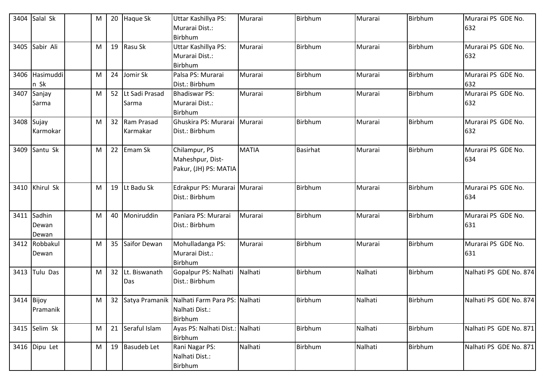| 3404       | Salal Sk                      | M | 20              | Haque Sk                  | Uttar Kashillya PS:<br>Murarai Dist.:<br><b>Birbhum</b>                             | Murarai      | Birbhum  | Murarai | Birbhum        | Murarai PS GDE No.<br>632 |
|------------|-------------------------------|---|-----------------|---------------------------|-------------------------------------------------------------------------------------|--------------|----------|---------|----------------|---------------------------|
| 3405       | Sabir Ali                     | M |                 | 19 Rasu Sk                | Uttar Kashillya PS:<br>Murarai Dist.:<br><b>Birbhum</b>                             | Murarai      | Birbhum  | Murarai | Birbhum        | Murarai PS GDE No.<br>632 |
|            | 3406 Hasimuddi<br>n Sk        | M | 24              | Jomir Sk                  | Palsa PS: Murarai<br>Dist.: Birbhum                                                 | Murarai      | Birbhum  | Murarai | <b>Birbhum</b> | Murarai PS GDE No.<br>632 |
|            | 3407 Sanjay<br>Sarma          | M | 52              | Lt Sadi Prasad<br>Sarma   | <b>Bhadiswar PS:</b><br>Murarai Dist.:<br><b>Birbhum</b>                            | Murarai      | Birbhum  | Murarai | Birbhum        | Murarai PS GDE No.<br>632 |
| 3408 Sujay | Karmokar                      | M |                 | 32 Ram Prasad<br>Karmakar | Ghuskira PS: Murarai<br>Dist.: Birbhum                                              | Murarai      | Birbhum  | Murarai | Birbhum        | Murarai PS GDE No.<br>632 |
|            | 3409 Santu Sk                 | M | 22              | Emam Sk                   | Chilampur, PS<br>Maheshpur, Dist-<br>Pakur, (JH) PS: MATIA                          | <b>MATIA</b> | Basirhat | Murarai | Birbhum        | Murarai PS GDE No.<br>634 |
|            | 3410 Khirul Sk                | M |                 | 19 Lt Badu Sk             | Edrakpur PS: Murarai Murarai<br>Dist.: Birbhum                                      |              | Birbhum  | Murarai | Birbhum        | Murarai PS GDE No.<br>634 |
|            | 3411 Sadhin<br>Dewan<br>Dewan | M | 40              | Moniruddin                | Paniara PS: Murarai<br>Dist.: Birbhum                                               | Murarai      | Birbhum  | Murarai | Birbhum        | Murarai PS GDE No.<br>631 |
|            | 3412 Robbakul<br>Dewan        | M | 35 <sub>2</sub> | Saifor Dewan              | Mohulladanga PS:<br>Murarai Dist.:<br><b>Birbhum</b>                                | Murarai      | Birbhum  | Murarai | Birbhum        | Murarai PS GDE No.<br>631 |
| 3413       | Tulu Das                      | M | 32 <sup>2</sup> | Lt. Biswanath<br>Das      | Gopalpur PS: Nalhati<br>Dist.: Birbhum                                              | Nalhati      | Birbhum  | Nalhati | Birbhum        | Nalhati PS GDE No. 874    |
| 3414 Bijoy | Pramanik                      | M |                 |                           | 32 Satya Pramanik Nalhati Farm Para PS: Nalhati<br>Nalhati Dist.:<br><b>Birbhum</b> |              | Birbhum  | Nalhati | Birbhum        | Nalhati PS GDE No. 874    |
|            | 3415 Selim Sk                 | M |                 | 21 Seraful Islam          | Ayas PS: Nalhati Dist.: Nalhati<br><b>Birbhum</b>                                   |              | Birbhum  | Nalhati | Birbhum        | Nalhati PS GDE No. 871    |
|            | 3416 Dipu Let                 | M |                 | 19 Basudeb Let            | Rani Nagar PS:<br>Nalhati Dist.:<br>Birbhum                                         | Nalhati      | Birbhum  | Nalhati | Birbhum        | Nalhati PS GDE No. 871    |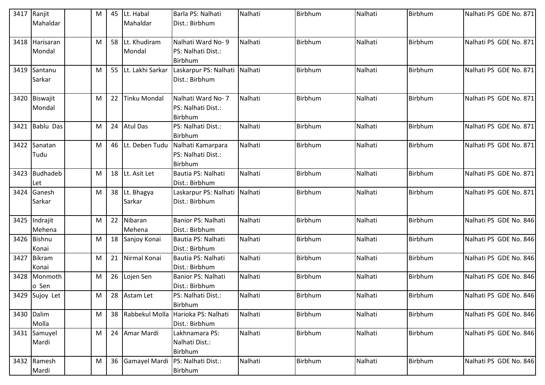|      | 3417 Ranjit<br>Mahaldar | M | 45 | Lt. Habal<br>Mahaldar     | Barla PS: Nalhati<br>Dist.: Birbhum                       | Nalhati | Birbhum | Nalhati | Birbhum | Nalhati PS GDE No. 871 |
|------|-------------------------|---|----|---------------------------|-----------------------------------------------------------|---------|---------|---------|---------|------------------------|
|      |                         |   |    |                           |                                                           |         |         |         |         |                        |
| 3418 | Harisaran<br>Mondal     | M |    | 58 Lt. Khudiram<br>Mondal | Nalhati Ward No-9<br>PS: Nalhati Dist.:<br><b>Birbhum</b> | Nalhati | Birbhum | Nalhati | Birbhum | Nalhati PS GDE No. 871 |
|      | 3419 Santanu<br>Sarkar  | M |    | 55 Lt. Lakhi Sarkar       | Laskarpur PS: Nalhati Nalhati<br>Dist.: Birbhum           |         | Birbhum | Nalhati | Birbhum | Nalhati PS GDE No. 871 |
|      | 3420 Biswajit<br>Mondal | M | 22 | <b>Tinku Mondal</b>       | Nalhati Ward No- 7<br>PS: Nalhati Dist.:<br>Birbhum       | Nalhati | Birbhum | Nalhati | Birbhum | Nalhati PS GDE No. 871 |
| 3421 | Bablu Das               | M | 24 | <b>Atul Das</b>           | PS: Nalhati Dist.:<br><b>Birbhum</b>                      | Nalhati | Birbhum | Nalhati | Birbhum | Nalhati PS GDE No. 871 |
|      | 3422 Sanatan<br>Tudu    | M |    | 46 Lt. Deben Tudu         | Nalhati Kamarpara<br>PS: Nalhati Dist.:<br>Birbhum        | Nalhati | Birbhum | Nalhati | Birbhum | Nalhati PS GDE No. 871 |
| 3423 | Budhadeb<br>Let         | M |    | 18 Lt. Asit Let           | Bautia PS: Nalhati<br>Dist.: Birbhum                      | Nalhati | Birbhum | Nalhati | Birbhum | Nalhati PS GDE No. 871 |
| 3424 | Ganesh<br>Sarkar        | M |    | 38 Lt. Bhagya<br>Sarkar   | Laskarpur PS: Nalhati Nalhati<br>Dist.: Birbhum           |         | Birbhum | Nalhati | Birbhum | Nalhati PS GDE No. 871 |
| 3425 | Indrajit<br>Mehena      | M | 22 | Nibaran<br>Mehena         | Banior PS: Nalhati<br>Dist.: Birbhum                      | Nalhati | Birbhum | Nalhati | Birbhum | Nalhati PS GDE No. 846 |
|      | 3426 Bishnu<br>Konai    | M | 18 | Sanjoy Konai              | Bautia PS: Nalhati<br>Dist.: Birbhum                      | Nalhati | Birbhum | Nalhati | Birbhum | Nalhati PS GDE No. 846 |
| 3427 | <b>Bikram</b><br>Konai  | M | 21 | Nirmal Konai              | Bautia PS: Nalhati<br>Dist.: Birbhum                      | Nalhati | Birbhum | Nalhati | Birbhum | Nalhati PS GDE No. 846 |
|      | 3428 Monmoth<br>o Sen   | M |    | 26 Lojen Sen              | Banior PS: Nalhati<br>Dist.: Birbhum                      | Nalhati | Birbhum | Nalhati | Birbhum | Nalhati PS GDE No. 846 |
|      | 3429 Sujoy Let          | M |    | 28 Astam Let              | PS: Nalhati Dist.:<br><b>Birbhum</b>                      | Nalhati | Birbhum | Nalhati | Birbhum | Nalhati PS GDE No. 846 |
|      | 3430 Dalim<br>Molla     | M | 38 |                           | Rabbekul Molla Harioka PS: Nalhati<br>Dist.: Birbhum      | Nalhati | Birbhum | Nalhati | Birbhum | Nalhati PS GDE No. 846 |
|      | 3431 Samuyel<br>Mardi   | M | 24 | Amar Mardi                | Lakhnamara PS:<br>Nalhati Dist.:<br><b>Birbhum</b>        | Nalhati | Birbhum | Nalhati | Birbhum | Nalhati PS GDE No. 846 |
|      | 3432 Ramesh<br>Mardi    | M | 36 | Gamayel Mardi             | PS: Nalhati Dist.:<br>Birbhum                             | Nalhati | Birbhum | Nalhati | Birbhum | Nalhati PS GDE No. 846 |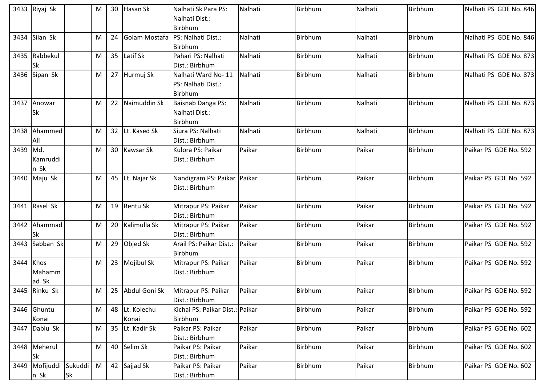|          | 3433 Riyaj Sk             |           | M | 30              | Hasan Sk         | Nalhati Sk Para PS:                 | Nalhati | Birbhum        | Nalhati | Birbhum | Nalhati PS GDE No. 846 |
|----------|---------------------------|-----------|---|-----------------|------------------|-------------------------------------|---------|----------------|---------|---------|------------------------|
|          |                           |           |   |                 |                  | Nalhati Dist.:                      |         |                |         |         |                        |
|          |                           |           |   |                 |                  | Birbhum                             |         |                |         |         |                        |
| 3434     | Silan Sk                  |           | M | 24              | Golam Mostafa    | PS: Nalhati Dist.:                  | Nalhati | Birbhum        | Nalhati | Birbhum | Nalhati PS GDE No. 846 |
|          |                           |           |   |                 |                  | Birbhum                             |         |                |         |         |                        |
|          | 3435 Rabbekul             |           | M | 35              | Latif Sk         | Pahari PS: Nalhati                  | Nalhati | Birbhum        | Nalhati | Birbhum | Nalhati PS GDE No. 873 |
|          | <b>Sk</b>                 |           |   |                 |                  | Dist.: Birbhum                      |         |                |         |         |                        |
|          | 3436 Sipan Sk             |           | M |                 | 27 Hurmuj Sk     | Nalhati Ward No-11                  | Nalhati | Birbhum        | Nalhati | Birbhum | Nalhati PS GDE No. 873 |
|          |                           |           |   |                 |                  | PS: Nalhati Dist.:                  |         |                |         |         |                        |
|          |                           |           |   |                 |                  | Birbhum                             |         |                |         |         |                        |
| 3437     | Anowar                    |           | M |                 | 22 Naimuddin Sk  | Baisnab Danga PS:                   | Nalhati | Birbhum        | Nalhati | Birbhum | Nalhati PS GDE No. 873 |
|          | <b>Sk</b>                 |           |   |                 |                  | Nalhati Dist.:                      |         |                |         |         |                        |
|          |                           |           |   |                 |                  | Birbhum                             |         |                |         |         |                        |
| 3438     | Ahammed                   |           | M | 32 <sup>2</sup> | Lt. Kased Sk     | Siura PS: Nalhati                   | Nalhati | Birbhum        | Nalhati | Birbhum | Nalhati PS GDE No. 873 |
|          | Ali                       |           |   |                 |                  | Dist.: Birbhum                      |         |                |         |         |                        |
| 3439 Md. |                           |           | M |                 | 30 Kawsar Sk     | Kulora PS: Paikar                   | Paikar  | Birbhum        | Paikar  | Birbhum | Paikar PS GDE No. 592  |
|          | Kamruddi                  |           |   |                 |                  | Dist.: Birbhum                      |         |                |         |         |                        |
|          | n Sk                      |           |   |                 |                  |                                     |         |                |         |         |                        |
| 3440     | Maju Sk                   |           | M |                 | 45 Lt. Najar Sk  | Nandigram PS: Paikar Paikar         |         | Birbhum        | Paikar  | Birbhum | Paikar PS GDE No. 592  |
|          |                           |           |   |                 |                  | Dist.: Birbhum                      |         |                |         |         |                        |
|          |                           |           |   |                 |                  |                                     |         |                |         |         |                        |
|          | 3441 Rasel Sk             |           | M |                 | 19 Rentu Sk      | Mitrapur PS: Paikar                 | Paikar  | Birbhum        | Paikar  | Birbhum | Paikar PS GDE No. 592  |
|          |                           |           |   |                 |                  | Dist.: Birbhum                      |         |                |         |         |                        |
| 3442     | Ahammad                   |           | M |                 | 20 Kalimulla Sk  | Mitrapur PS: Paikar                 | Paikar  | Birbhum        | Paikar  | Birbhum | Paikar PS GDE No. 592  |
|          | Sk                        |           |   |                 |                  | Dist.: Birbhum                      |         |                |         |         |                        |
| 3443     | Sabban Sk                 |           | M |                 | 29 Objed Sk      | Arail PS: Paikar Dist.:             | Paikar  | <b>Birbhum</b> | Paikar  | Birbhum | Paikar PS GDE No. 592  |
|          |                           |           |   |                 |                  | Birbhum                             |         |                |         |         |                        |
| 3444     | Khos                      |           | M |                 | 23 Mojibul Sk    | Mitrapur PS: Paikar                 | Paikar  | Birbhum        | Paikar  | Birbhum | Paikar PS GDE No. 592  |
|          | Mahamm                    |           |   |                 |                  | Dist.: Birbhum                      |         |                |         |         |                        |
|          | ad Sk                     |           |   |                 |                  |                                     |         |                |         |         |                        |
|          | 3445 Rinku Sk             |           | M |                 | 25 Abdul Goni Sk | Mitrapur PS: Paikar                 | Paikar  | Birbhum        | Paikar  | Birbhum | Paikar PS GDE No. 592  |
|          |                           |           |   |                 |                  | Dist.: Birbhum                      |         |                |         |         |                        |
|          | 3446 Ghuntu               |           | M |                 | 48 Lt. Kolechu   | Kichai PS: Paikar Dist.: Paikar     |         | Birbhum        | Paikar  | Birbhum | Paikar PS GDE No. 592  |
|          | Konai                     |           |   |                 | Konai            | Birbhum                             |         |                |         |         |                        |
| 3447     | Dablu Sk                  |           | M |                 | 35 Lt. Kadir Sk  | Paikar PS: Paikar                   | Paikar  | Birbhum        | Paikar  | Birbhum | Paikar PS GDE No. 602  |
|          |                           |           |   |                 |                  | Dist.: Birbhum                      |         |                | Paikar  | Birbhum |                        |
|          | 3448 Meherul<br><b>Sk</b> |           | M |                 | 40 Selim Sk      | Paikar PS: Paikar<br>Dist.: Birbhum | Paikar  | Birbhum        |         |         | Paikar PS GDE No. 602  |
| 3449     | Mofijuddi Sukuddi         |           | M |                 |                  | Paikar PS: Paikar                   | Paikar  | <b>Birbhum</b> | Paikar  | Birbhum | Paikar PS GDE No. 602  |
|          |                           |           |   |                 | 42 Sajjad Sk     |                                     |         |                |         |         |                        |
|          | n Sk                      | <b>Sk</b> |   |                 |                  | Dist.: Birbhum                      |         |                |         |         |                        |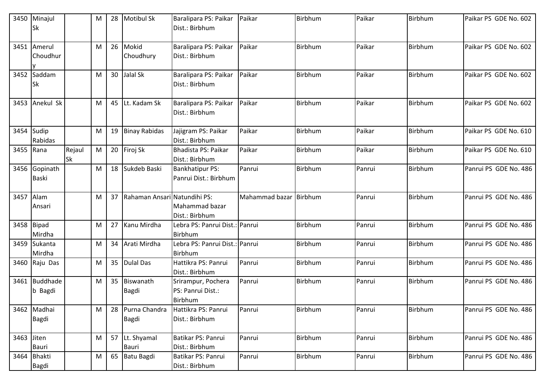|             | 3450 Minajul<br><b>Sk</b>     |                     | M | 28              | <b>Motibul Sk</b>            | Baralipara PS: Paikar<br>Dist.: Birbhum            | Paikar         | Birbhum | Paikar | Birbhum | Paikar PS GDE No. 602 |
|-------------|-------------------------------|---------------------|---|-----------------|------------------------------|----------------------------------------------------|----------------|---------|--------|---------|-----------------------|
|             | 3451 Amerul<br>Choudhur       |                     | M |                 | 26 Mokid<br>Choudhury        | Baralipara PS: Paikar<br>Dist.: Birbhum            | Paikar         | Birbhum | Paikar | Birbhum | Paikar PS GDE No. 602 |
|             | 3452 Saddam<br><b>Sk</b>      |                     | M | 30 <sup>°</sup> | Jalal Sk                     | Baralipara PS: Paikar<br>Dist.: Birbhum            | Paikar         | Birbhum | Paikar | Birbhum | Paikar PS GDE No. 602 |
|             | 3453 Anekul Sk                |                     | M | 45              | Lt. Kadam Sk                 | Baralipara PS: Paikar<br>Dist.: Birbhum            | Paikar         | Birbhum | Paikar | Birbhum | Paikar PS GDE No. 602 |
|             | 3454 Sudip<br>Rabidas         |                     | M | 19              | <b>Binay Rabidas</b>         | Jajigram PS: Paikar<br>Dist.: Birbhum              | Paikar         | Birbhum | Paikar | Birbhum | Paikar PS GDE No. 610 |
| 3455 Rana   |                               | Rejaul<br><b>Sk</b> | M |                 | 20 Firoj Sk                  | Bhadista PS: Paikar<br>Dist.: Birbhum              | Paikar         | Birbhum | Paikar | Birbhum | Paikar PS GDE No. 610 |
|             | 3456 Gopinath<br><b>Baski</b> |                     | M | 18              | Sukdeb Baski                 | <b>Bankhatipur PS:</b><br>Panrui Dist.: Birbhum    | Panrui         | Birbhum | Panrui | Birbhum | Panrui PS GDE No. 486 |
| 3457 Alam   | Ansari                        |                     | M | 37              | Rahaman Ansari Natundihi PS: | Mahammad bazar<br>Dist.: Birbhum                   | Mahammad bazar | Birbhum | Panrui | Birbhum | Panrui PS GDE No. 486 |
|             | 3458 Bipad<br>Mirdha          |                     | M | 27              | Kanu Mirdha                  | Lebra PS: Panrui Dist.: Panrui<br>Birbhum          |                | Birbhum | Panrui | Birbhum | Panrui PS GDE No. 486 |
|             | 3459 Sukanta<br>Mirdha        |                     | M | 34              | Arati Mirdha                 | Lebra PS: Panrui Dist.: Panrui<br>Birbhum          |                | Birbhum | Panrui | Birbhum | Panrui PS GDE No. 486 |
|             | 3460 Raju Das                 |                     | M | 35              | <b>Dulal Das</b>             | Hattikra PS: Panrui<br>Dist.: Birbhum              | Panrui         | Birbhum | Panrui | Birbhum | Panrui PS GDE No. 486 |
|             | 3461 Buddhade<br>b Bagdi      |                     | M |                 | 35 Biswanath<br>Bagdi        | Srirampur, Pochera<br>PS: Panrui Dist.:<br>Birbhum | Panrui         | Birbhum | Panrui | Birbhum | Panrui PS GDE No. 486 |
|             | 3462 Madhai<br><b>Bagdi</b>   |                     | M | 28              | Purna Chandra<br>Bagdi       | Hattikra PS: Panrui<br>Dist.: Birbhum              | Panrui         | Birbhum | Panrui | Birbhum | Panrui PS GDE No. 486 |
| 3463 Jiten  | <b>Bauri</b>                  |                     | M |                 | 57 Lt. Shyamal<br>Bauri      | Batikar PS: Panrui<br>Dist.: Birbhum               | Panrui         | Birbhum | Panrui | Birbhum | Panrui PS GDE No. 486 |
| 3464 Bhakti |                               |                     |   |                 |                              |                                                    | Panrui         |         |        |         |                       |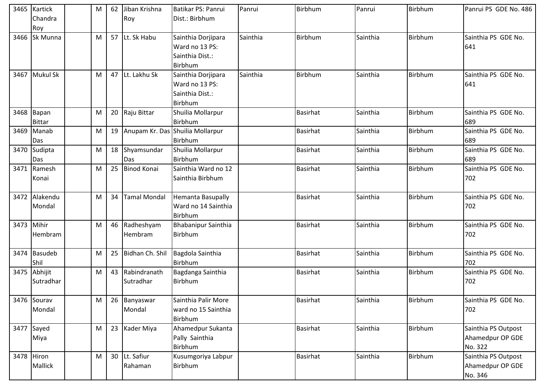|            | 3465 Kartick<br>Chandra     | M         | 62 | Jiban Krishna<br>Roy      | Batikar PS: Panrui<br>Dist.: Birbhum                               | Panrui   | Birbhum         | Panrui   | Birbhum        | Panrui PS GDE No. 486                              |
|------------|-----------------------------|-----------|----|---------------------------|--------------------------------------------------------------------|----------|-----------------|----------|----------------|----------------------------------------------------|
|            | Roy                         |           |    |                           |                                                                    |          |                 |          |                |                                                    |
| 3466       | Sk Munna                    | M         |    | 57 Lt. Sk Habu            | Sainthia Dorjipara<br>Ward no 13 PS:<br>Sainthia Dist.:<br>Birbhum | Sainthia | Birbhum         | Sainthia | Birbhum        | Sainthia PS GDE No.<br>641                         |
| 3467       | <b>Mukul Sk</b>             | M         |    | 47 Lt. Lakhu Sk           | Sainthia Dorjipara<br>Ward no 13 PS:<br>Sainthia Dist.:<br>Birbhum | Sainthia | Birbhum         | Sainthia | Birbhum        | Sainthia PS GDE No.<br>641                         |
|            | 3468 Bapan<br><b>Bittar</b> | M         |    | 20 Raju Bittar            | Shuilia Mollarpur<br><b>Birbhum</b>                                |          | <b>Basirhat</b> | Sainthia | Birbhum        | Sainthia PS GDE No.<br>689                         |
| 3469       | Manab<br>Das                | M         |    |                           | 19   Anupam Kr. Das   Shuilia Mollarpur<br>Birbhum                 |          | <b>Basirhat</b> | Sainthia | Birbhum        | Sainthia PS GDE No.<br>689                         |
| 3470       | Sudipta<br>Das              | M         | 18 | Shyamsundar<br>Das        | Shuilia Mollarpur<br>Birbhum                                       |          | <b>Basirhat</b> | Sainthia | Birbhum        | Sainthia PS GDE No.<br>689                         |
| 3471       | Ramesh<br>Konai             | М         | 25 | <b>Binod Konai</b>        | Sainthia Ward no 12<br>Sainthia Birbhum                            |          | <b>Basirhat</b> | Sainthia | Birbhum        | Sainthia PS GDE No.<br>702                         |
|            | 3472 Alakendu<br>Mondal     | M         | 34 | <b>Tamal Mondal</b>       | <b>Hemanta Basupally</b><br>Ward no 14 Sainthia<br>Birbhum         |          | <b>Basirhat</b> | Sainthia | Birbhum        | Sainthia PS GDE No.<br>702                         |
| 3473 Mihir | Hembram                     | M         | 46 | Radheshyam<br>Hembram     | <b>Bhabanipur Sainthia</b><br>Birbhum                              |          | <b>Basirhat</b> | Sainthia | Birbhum        | Sainthia PS GDE No.<br>702                         |
|            | 3474 Basudeb<br>Shil        | M         | 25 | Bidhan Ch. Shil           | Bagdola Sainthia<br>Birbhum                                        |          | <b>Basirhat</b> | Sainthia | Birbhum        | Sainthia PS GDE No.<br>702                         |
|            | 3475 Abhijit<br>Sutradhar   | M         | 43 | Rabindranath<br>Sutradhar | Bagdanga Sainthia<br>Birbhum                                       |          | <b>Basirhat</b> | Sainthia | Birbhum        | Sainthia PS GDE No.<br>702                         |
|            | 3476 Sourav<br>Mondal       | ${\sf M}$ |    | 26 Banyaswar<br>Mondal    | Sainthia Palir More<br>ward no 15 Sainthia<br>Birbhum              |          | <b>Basirhat</b> | Sainthia | <b>Birbhum</b> | Sainthia PS GDE No.<br>702                         |
|            | 3477 Sayed<br>Miya          | M         |    | 23 Kader Miya             | Ahamedpur Sukanta<br>Pally Sainthia<br>Birbhum                     |          | <b>Basirhat</b> | Sainthia | Birbhum        | Sainthia PS Outpost<br>Ahamedpur OP GDE<br>No. 322 |
|            | 3478 Hiron<br>Mallick       | M         |    | 30 Lt. Safiur<br>Rahaman  | Kusumgoriya Labpur<br>Birbhum                                      |          | <b>Basirhat</b> | Sainthia | Birbhum        | Sainthia PS Outpost<br>Ahamedpur OP GDE<br>No. 346 |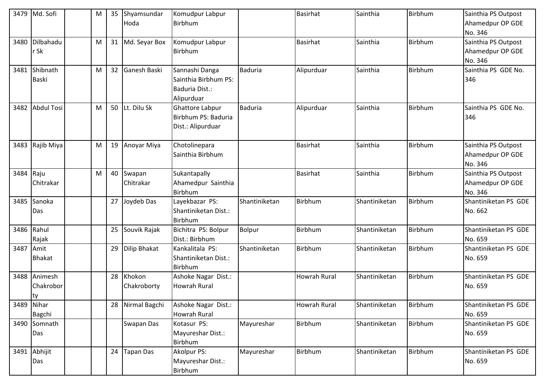| 3479      | Md. Sofi          | M |    | 35 Shyamsundar<br>Hoda | Komudpur Labpur<br><b>Birbhum</b> |                | <b>Basirhat</b> | Sainthia      | Birbhum | Sainthia PS Outpost<br>Ahamedpur OP GDE |
|-----------|-------------------|---|----|------------------------|-----------------------------------|----------------|-----------------|---------------|---------|-----------------------------------------|
|           |                   |   |    |                        |                                   |                |                 |               |         | No. 346                                 |
| 3480      | Dilbahadu         | M |    | 31 Md. Seyar Box       | Komudpur Labpur                   |                | <b>Basirhat</b> | Sainthia      | Birbhum | Sainthia PS Outpost                     |
|           | r Sk              |   |    |                        | Birbhum                           |                |                 |               |         | Ahamedpur OP GDE                        |
|           |                   |   |    |                        |                                   |                |                 |               |         | No. 346                                 |
| 3481      | Shibnath          | M |    | 32 Ganesh Baski        | Sannashi Danga                    | <b>Baduria</b> | Alipurduar      | Sainthia      | Birbhum | Sainthia PS GDE No.                     |
|           | <b>Baski</b>      |   |    |                        | Sainthia Birbhum PS:              |                |                 |               |         | 346                                     |
|           |                   |   |    |                        | Baduria Dist.:<br>Alipurduar      |                |                 |               |         |                                         |
| 3482      | <b>Abdul Tosi</b> | M |    | 50 Lt. Dilu Sk         | Ghattore Labpur                   | <b>Baduria</b> | Alipurduar      | Sainthia      | Birbhum | Sainthia PS GDE No.                     |
|           |                   |   |    |                        | Birbhum PS: Baduria               |                |                 |               |         | 346                                     |
|           |                   |   |    |                        | Dist.: Alipurduar                 |                |                 |               |         |                                         |
|           |                   |   |    |                        |                                   |                |                 |               |         |                                         |
| 3483      | Rajib Miya        | M |    | 19 Anoyar Miya         | Chotolinepara                     |                | <b>Basirhat</b> | Sainthia      | Birbhum | Sainthia PS Outpost                     |
|           |                   |   |    |                        | Sainthia Birbhum                  |                |                 |               |         | Ahamedpur OP GDE                        |
|           |                   |   |    |                        |                                   |                |                 |               |         | No. 346                                 |
| 3484      | Raju              | M | 40 | Swapan                 | Sukantapally                      |                | <b>Basirhat</b> | Sainthia      | Birbhum | Sainthia PS Outpost                     |
|           | Chitrakar         |   |    | Chitrakar              | Ahamedpur Sainthia                |                |                 |               |         | Ahamedpur OP GDE                        |
|           |                   |   |    |                        | Birbhum                           |                |                 |               |         | No. 346                                 |
| 3485      | Sanoka            |   |    | 27 Joydeb Das          | Layekbazar PS:                    | Shantiniketan  | Birbhum         | Shantiniketan | Birbhum | Shantiniketan PS GDE                    |
|           | Das               |   |    |                        | Shantiniketan Dist.:<br>Birbhum   |                |                 |               |         | No. 662                                 |
|           | 3486 Rahul        |   | 25 | Souvik Rajak           | Bichitra PS: Bolpur               | Bolpur         | Birbhum         | Shantiniketan | Birbhum | Shantiniketan PS GDE                    |
|           | Rajak             |   |    |                        | Dist.: Birbhum                    |                |                 |               |         | No. 659                                 |
| 3487 Amit |                   |   |    | 29 Dilip Bhakat        | Kankalitala PS:                   | Shantiniketan  | Birbhum         | Shantiniketan | Birbhum | Shantiniketan PS GDE                    |
|           | <b>Bhakat</b>     |   |    |                        | Shantiniketan Dist.:              |                |                 |               |         | No. 659                                 |
|           |                   |   |    |                        | Birbhum                           |                |                 |               |         |                                         |
| 3488      | Animesh           |   |    | 28 Khokon              | Ashoke Nagar Dist.:               |                | Howrah Rural    | Shantiniketan | Birbhum | Shantiniketan PS GDE                    |
|           | Chakrobor         |   |    | Chakroborty            | <b>Howrah Rural</b>               |                |                 |               |         | No. 659                                 |
|           | <b>Ity</b>        |   |    |                        |                                   |                |                 |               |         |                                         |
| 3489      | Nihar             |   |    | 28 Nirmal Bagchi       | Ashoke Nagar Dist.:               |                | Howrah Rural    | Shantiniketan | Birbhum | Shantiniketan PS GDE                    |
|           | <b>Bagchi</b>     |   |    |                        | Howrah Rural                      |                |                 |               |         | No. 659                                 |
| 3490      | Somnath<br>Das    |   |    | Swapan Das             | Kotasur PS:<br>Mayureshar Dist.:  | Mayureshar     | Birbhum         | Shantiniketan | Birbhum | Shantiniketan PS GDE<br>No. 659         |
|           |                   |   |    |                        | Birbhum                           |                |                 |               |         |                                         |
|           | 3491 Abhijit      |   | 24 | Tapan Das              | Akolpur PS:                       | Mayureshar     | Birbhum         | Shantiniketan | Birbhum | Shantiniketan PS GDE                    |
|           | Das               |   |    |                        | Mayureshar Dist.:                 |                |                 |               |         | No. 659                                 |
|           |                   |   |    |                        | Birbhum                           |                |                 |               |         |                                         |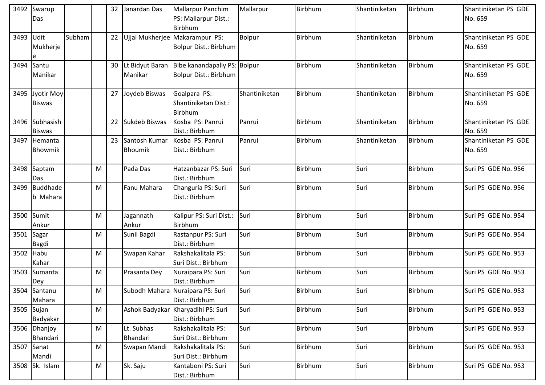| 3492 | Swarup          |        |   | 32 | Janardan Das     | <b>Mallarpur Panchim</b>                        | Mallarpur     | <b>Birbhum</b> | Shantiniketan | Birbhum | Shantiniketan PS GDE |
|------|-----------------|--------|---|----|------------------|-------------------------------------------------|---------------|----------------|---------------|---------|----------------------|
|      | Das             |        |   |    |                  | PS: Mallarpur Dist.:                            |               |                |               |         | No. 659              |
|      |                 |        |   |    |                  | Birbhum                                         |               |                |               |         |                      |
| 3493 | Udit            | Subham |   |    |                  | 22 Ujjal Mukherjee Makarampur PS:               | <b>Bolpur</b> | Birbhum        | Shantiniketan | Birbhum | Shantiniketan PS GDE |
|      | Mukherje        |        |   |    |                  | Bolpur Dist.: Birbhum                           |               |                |               |         | No. 659              |
|      | e               |        |   |    |                  |                                                 |               |                |               |         |                      |
| 3494 | Santu           |        |   |    |                  | 30 Lt Bidyut Baran Bibe kanandapally PS: Bolpur |               | Birbhum        | Shantiniketan | Birbhum | Shantiniketan PS GDE |
|      | Manikar         |        |   |    | Manikar          | <b>Bolpur Dist.: Birbhum</b>                    |               |                |               |         | No. 659              |
|      |                 |        |   |    |                  |                                                 |               |                |               |         |                      |
| 3495 | Jyotir Moy      |        |   |    | 27 Joydeb Biswas | Goalpara PS:                                    | Shantiniketan | Birbhum        | Shantiniketan | Birbhum | Shantiniketan PS GDE |
|      | <b>Biswas</b>   |        |   |    |                  | Shantiniketan Dist.:                            |               |                |               |         | No. 659              |
|      |                 |        |   |    |                  | Birbhum                                         |               |                |               |         |                      |
| 3496 | Subhasish       |        |   | 22 | Sukdeb Biswas    | Kosba PS: Panrui                                | Panrui        | Birbhum        | Shantiniketan | Birbhum | Shantiniketan PS GDE |
|      | <b>Biswas</b>   |        |   |    |                  | Dist.: Birbhum                                  |               |                |               |         | No. 659              |
| 3497 | Hemanta         |        |   | 23 | Santosh Kumar    | Kosba PS: Panrui                                | Panrui        | Birbhum        | Shantiniketan | Birbhum | Shantiniketan PS GDE |
|      | Bhowmik         |        |   |    | <b>Bhoumik</b>   | Dist.: Birbhum                                  |               |                |               |         | No. 659              |
|      |                 |        |   |    |                  |                                                 |               |                |               |         |                      |
| 3498 | Saptam          |        | M |    | Pada Das         | Hatzanbazar PS: Suri                            | Suri          | Birbhum        | Suri          | Birbhum | Suri PS GDE No. 956  |
|      | Das             |        |   |    |                  | Dist.: Birbhum                                  |               |                |               |         |                      |
| 3499 | <b>Buddhade</b> |        | M |    | Fanu Mahara      | Changuria PS: Suri                              | Suri          | Birbhum        | Suri          | Birbhum | Suri PS GDE No. 956  |
|      | b Mahara        |        |   |    |                  | Dist.: Birbhum                                  |               |                |               |         |                      |
|      |                 |        |   |    |                  |                                                 |               |                |               |         |                      |
| 3500 | Sumit           |        | M |    | Jagannath        | Kalipur PS: Suri Dist.:                         | Suri          | Birbhum        | Suri          | Birbhum | Suri PS GDE No. 954  |
|      | Ankur           |        |   |    | Ankur            | Birbhum                                         |               |                |               |         |                      |
| 3501 | Sagar           |        | M |    | Sunil Bagdi      | Rastanpur PS: Suri                              | Suri          | Birbhum        | Suri          | Birbhum | Suri PS GDE No. 954  |
|      | Bagdi           |        |   |    |                  | Dist.: Birbhum                                  |               |                |               |         |                      |
| 3502 | Habu            |        | M |    | Swapan Kahar     | Rakshakalitala PS:                              | Suri          | Birbhum        | Suri          | Birbhum | Suri PS GDE No. 953  |
|      | Kahar           |        |   |    |                  | Suri Dist.: Birbhum                             |               |                |               |         |                      |
| 3503 | Sumanta         |        | M |    | Prasanta Dey     | Nuraipara PS: Suri                              | Suri          | Birbhum        | Suri          | Birbhum | Suri PS GDE No. 953  |
|      | Dey             |        |   |    |                  | Dist.: Birbhum                                  |               |                |               |         |                      |
|      | 3504 Santanu    |        | M |    |                  | Subodh Mahara Nuraipara PS: Suri                | Suri          | Birbhum        | Suri          | Birbhum | Suri PS GDE No. 953  |
|      | Mahara          |        |   |    |                  | Dist.: Birbhum                                  |               |                |               |         |                      |
|      | 3505 Sujan      |        | M |    |                  | Ashok Badyakar Kharyadihi PS: Suri              | Suri          | Birbhum        | Suri          | Birbhum | Suri PS GDE No. 953  |
|      | Badyakar        |        |   |    |                  | Dist.: Birbhum                                  |               |                |               |         |                      |
|      | 3506 Dhanjoy    |        | M |    | Lt. Subhas       | Rakshakalitala PS:                              | Suri          | Birbhum        | Suri          | Birbhum | Suri PS GDE No. 953  |
|      | Bhandari        |        |   |    | Bhandari         | Suri Dist.: Birbhum                             |               |                |               |         |                      |
|      | 3507 Sanat      |        | M |    | Swapan Mandi     | Rakshakalitala PS:                              | Suri          | <b>Birbhum</b> | Suri          | Birbhum | Suri PS GDE No. 953  |
|      | Mandi           |        |   |    |                  | Suri Dist.: Birbhum                             |               |                |               |         |                      |
|      | 3508 Sk. Islam  |        | M |    | Sk. Saju         | Kantaboni PS: Suri                              | Suri          | Birbhum        | Suri          | Birbhum | Suri PS GDE No. 953  |
|      |                 |        |   |    |                  | Dist.: Birbhum                                  |               |                |               |         |                      |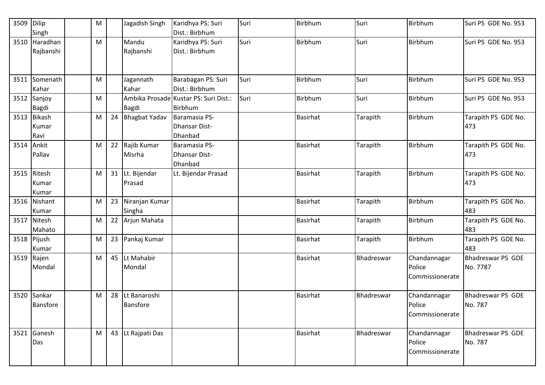| 3509       | Dilip<br>Singh                 | ${\sf M}$ |    | Jagadish Singh                  | Karidhya PS: Suri<br>Dist.: Birbhum              | Suri | Birbhum         | Suri       | Birbhum                                   | Suri PS GDE No. 953                  |
|------------|--------------------------------|-----------|----|---------------------------------|--------------------------------------------------|------|-----------------|------------|-------------------------------------------|--------------------------------------|
|            | 3510 Haradhan<br>Rajbanshi     | M         |    | Mandu<br>Rajbanshi              | Karidhya PS: Suri<br>Dist.: Birbhum              | Suri | Birbhum         | Suri       | Birbhum                                   | Suri PS GDE No. 953                  |
|            | 3511 Somenath<br>Kahar         | M         |    | Jagannath<br>Kahar              | Barabagan PS: Suri<br>Dist.: Birbhum             | Suri | <b>Birbhum</b>  | Suri       | Birbhum                                   | Suri PS GDE No. 953                  |
|            | 3512 Sanjoy<br>Bagdi           | M         |    | <b>Bagdi</b>                    | Ambika Prosade Kustar PS: Suri Dist.:<br>Birbhum | Suri | Birbhum         | Suri       | Birbhum                                   | Suri PS GDE No. 953                  |
|            | 3513 Bikash<br>Kumar<br>Ravi   | M         | 24 | <b>Bhagbat Yadav</b>            | Baramasia PS-<br>Dhansar Dist-<br>Dhanbad        |      | <b>Basirhat</b> | Tarapith   | Birbhum                                   | Tarapith PS GDE No.<br>473           |
| 3514 Ankit | Pallav                         | M         | 22 | Rajib Kumar<br>Misrha           | Baramasia PS-<br>Dhansar Dist-<br>Dhanbad        |      | <b>Basirhat</b> | Tarapith   | Birbhum                                   | Tarapith PS GDE No.<br>473           |
|            | 3515 Ritesh<br>Kumar<br>Kumar  | M         |    | 31 Lt. Bijendar<br>Prasad       | Lt. Bijendar Prasad                              |      | <b>Basirhat</b> | Tarapith   | <b>Birbhum</b>                            | Tarapith PS GDE No.<br>473           |
|            | 3516 Nishant<br>Kumar          | M         | 23 | Niranjan Kumar<br>Singha        |                                                  |      | <b>Basirhat</b> | Tarapith   | Birbhum                                   | Tarapith PS GDE No.<br>483           |
|            | 3517 Nitesh<br>Mahato          | M         | 22 | Arjun Mahata                    |                                                  |      | <b>Basirhat</b> | Tarapith   | Birbhum                                   | Tarapith PS GDE No.<br>483           |
|            | 3518 Pijush<br>Kumar           | M         | 23 | Pankaj Kumar                    |                                                  |      | <b>Basirhat</b> | Tarapith   | Birbhum                                   | Tarapith PS GDE No.<br>483           |
| 3519 Rajen | Mondal                         | M         |    | 45 Lt Mahabir<br>Mondal         |                                                  |      | <b>Basirhat</b> | Bhadreswar | Chandannagar<br>Police<br>Commissionerate | <b>Bhadreswar PS GDE</b><br>No. 7787 |
|            | 3520 Sankar<br><b>Bansfore</b> | M         | 28 | Lt Banaroshi<br><b>Bansfore</b> |                                                  |      | <b>Basirhat</b> | Bhadreswar | Chandannagar<br>Police<br>Commissionerate | <b>Bhadreswar PS GDE</b><br>No. 787  |
|            | 3521 Ganesh<br>Das             | M         | 43 | Lt Rajpati Das                  |                                                  |      | <b>Basirhat</b> | Bhadreswar | Chandannagar<br>Police<br>Commissionerate | <b>Bhadreswar PS GDE</b><br>No. 787  |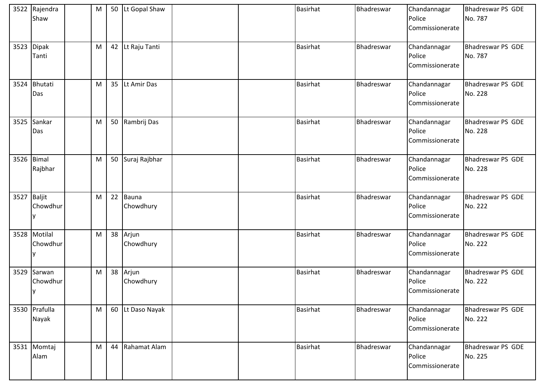|             | 3522 Rajendra<br>Shaw    | M |    | 50 Lt Gopal Shaw      |  | <b>Basirhat</b> | Bhadreswar | Chandannagar<br>Police<br>Commissionerate | <b>Bhadreswar PS GDE</b><br>No. 787 |
|-------------|--------------------------|---|----|-----------------------|--|-----------------|------------|-------------------------------------------|-------------------------------------|
|             | 3523 Dipak<br>Tanti      | M |    | 42 Lt Raju Tanti      |  | <b>Basirhat</b> | Bhadreswar | Chandannagar<br>Police<br>Commissionerate | <b>Bhadreswar PS GDE</b><br>No. 787 |
|             | 3524 Bhutati<br>Das      | M |    | 35 Lt Amir Das        |  | <b>Basirhat</b> | Bhadreswar | Chandannagar<br>Police<br>Commissionerate | <b>Bhadreswar PS GDE</b><br>No. 228 |
| 3525        | Sankar<br>Das            | M | 50 | Rambrij Das           |  | <b>Basirhat</b> | Bhadreswar | Chandannagar<br>Police<br>Commissionerate | <b>Bhadreswar PS GDE</b><br>No. 228 |
|             | 3526 Bimal<br>Rajbhar    | M |    | 50 Suraj Rajbhar      |  | <b>Basirhat</b> | Bhadreswar | Chandannagar<br>Police<br>Commissionerate | <b>Bhadreswar PS GDE</b><br>No. 228 |
| 3527 Baljit | Chowdhur                 | M | 22 | Bauna<br>Chowdhury    |  | <b>Basirhat</b> | Bhadreswar | Chandannagar<br>Police<br>Commissionerate | <b>Bhadreswar PS GDE</b><br>No. 222 |
|             | 3528 Motilal<br>Chowdhur | M |    | 38 Arjun<br>Chowdhury |  | <b>Basirhat</b> | Bhadreswar | Chandannagar<br>Police<br>Commissionerate | <b>Bhadreswar PS GDE</b><br>No. 222 |
| 3529        | Sarwan<br>Chowdhur<br>y  | M |    | 38 Arjun<br>Chowdhury |  | <b>Basirhat</b> | Bhadreswar | Chandannagar<br>Police<br>Commissionerate | <b>Bhadreswar PS GDE</b><br>No. 222 |
|             | 3530 Prafulla<br>Nayak   | M |    | 60 Lt Daso Nayak      |  | <b>Basirhat</b> | Bhadreswar | Chandannagar<br>Police<br>Commissionerate | <b>Bhadreswar PS GDE</b><br>No. 222 |
|             | 3531 Momtaj<br>Alam      | M | 44 | Rahamat Alam          |  | <b>Basirhat</b> | Bhadreswar | Chandannagar<br>Police<br>Commissionerate | <b>Bhadreswar PS GDE</b><br>No. 225 |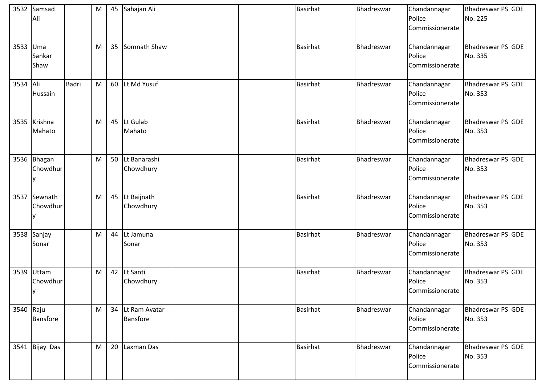|           | 3532 Samsad<br>Ali          |              | M |    | 45 Sahajan Ali                      |  | <b>Basirhat</b> | Bhadreswar | Chandannagar<br>Police<br>Commissionerate | <b>Bhadreswar PS GDE</b><br>No. 225 |
|-----------|-----------------------------|--------------|---|----|-------------------------------------|--|-----------------|------------|-------------------------------------------|-------------------------------------|
| 3533      | Uma<br>Sankar<br>Shaw       |              | M | 35 | Somnath Shaw                        |  | <b>Basirhat</b> | Bhadreswar | Chandannagar<br>Police<br>Commissionerate | Bhadreswar PS GDE<br>No. 335        |
| 3534 Ali  | Hussain                     | <b>Badri</b> | M |    | 60 Lt Md Yusuf                      |  | <b>Basirhat</b> | Bhadreswar | Chandannagar<br>Police<br>Commissionerate | <b>Bhadreswar PS GDE</b><br>No. 353 |
|           | 3535 Krishna<br>Mahato      |              | M |    | 45 Lt Gulab<br>Mahato               |  | <b>Basirhat</b> | Bhadreswar | Chandannagar<br>Police<br>Commissionerate | Bhadreswar PS GDE<br>No. 353        |
|           | 3536 Bhagan<br>Chowdhur     |              | M |    | 50 Lt Banarashi<br>Chowdhury        |  | <b>Basirhat</b> | Bhadreswar | Chandannagar<br>Police<br>Commissionerate | Bhadreswar PS GDE<br>No. 353        |
|           | 3537 Sewnath<br>Chowdhur    |              | M |    | 45 Lt Baijnath<br>Chowdhury         |  | Basirhat        | Bhadreswar | Chandannagar<br>Police<br>Commissionerate | <b>Bhadreswar PS GDE</b><br>No. 353 |
| 3538      | Sanjay<br>Sonar             |              | M |    | 44 Lt Jamuna<br>Sonar               |  | <b>Basirhat</b> | Bhadreswar | Chandannagar<br>Police<br>Commissionerate | <b>Bhadreswar PS GDE</b><br>No. 353 |
|           | 3539 Uttam<br>Chowdhur<br>y |              | M |    | 42 Lt Santi<br>Chowdhury            |  | <b>Basirhat</b> | Bhadreswar | Chandannagar<br>Police<br>Commissionerate | <b>Bhadreswar PS GDE</b><br>No. 353 |
| 3540 Raju | <b>Bansfore</b>             |              | M |    | 34 Lt Ram Avatar<br><b>Bansfore</b> |  | <b>Basirhat</b> | Bhadreswar | Chandannagar<br>Police<br>Commissionerate | Bhadreswar PS GDE<br>No. 353        |
|           | 3541 Bijay Das              |              | M | 20 | Laxman Das                          |  | <b>Basirhat</b> | Bhadreswar | Chandannagar<br>Police<br>Commissionerate | Bhadreswar PS GDE<br>No. 353        |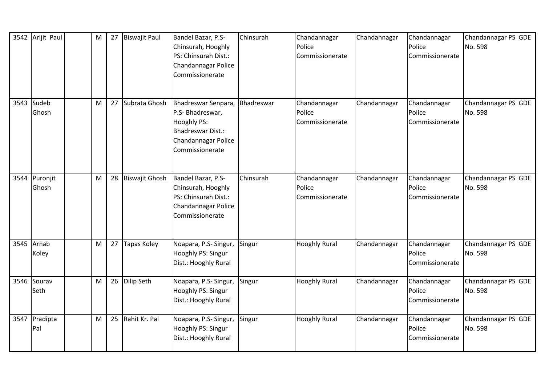|      | 3542 Arijit Paul    | M | 27 | <b>Biswajit Paul</b>  | Bandel Bazar, P.S-<br>Chinsurah, Hooghly<br>PS: Chinsurah Dist.:<br>Chandannagar Police<br>Commissionerate            | Chinsurah  | Chandannagar<br>Police<br>Commissionerate | Chandannagar | Chandannagar<br>Police<br>Commissionerate | Chandannagar PS GDE<br>No. 598 |
|------|---------------------|---|----|-----------------------|-----------------------------------------------------------------------------------------------------------------------|------------|-------------------------------------------|--------------|-------------------------------------------|--------------------------------|
| 3543 | Sudeb<br>Ghosh      | M | 27 | Subrata Ghosh         | Bhadreswar Senpara,<br>P.S- Bhadreswar,<br>Hooghly PS:<br>Bhadreswar Dist.:<br>Chandannagar Police<br>Commissionerate | Bhadreswar | Chandannagar<br>Police<br>Commissionerate | Chandannagar | Chandannagar<br>Police<br>Commissionerate | Chandannagar PS GDE<br>No. 598 |
| 3544 | Puronjit<br>Ghosh   | M | 28 | <b>Biswajit Ghosh</b> | Bandel Bazar, P.S-<br>Chinsurah, Hooghly<br>PS: Chinsurah Dist.:<br>Chandannagar Police<br>Commissionerate            | Chinsurah  | Chandannagar<br>Police<br>Commissionerate | Chandannagar | Chandannagar<br>Police<br>Commissionerate | Chandannagar PS GDE<br>No. 598 |
|      | 3545 Arnab<br>Koley | M | 27 | <b>Tapas Koley</b>    | Noapara, P.S- Singur,<br>Hooghly PS: Singur<br>Dist.: Hooghly Rural                                                   | Singur     | <b>Hooghly Rural</b>                      | Chandannagar | Chandannagar<br>Police<br>Commissionerate | Chandannagar PS GDE<br>No. 598 |
| 3546 | Sourav<br>Seth      | M | 26 | Dilip Seth            | Noapara, P.S- Singur,<br>Hooghly PS: Singur<br>Dist.: Hooghly Rural                                                   | Singur     | <b>Hooghly Rural</b>                      | Chandannagar | Chandannagar<br>Police<br>Commissionerate | Chandannagar PS GDE<br>No. 598 |
| 3547 | Pradipta<br>Pal     | M | 25 | Rahit Kr. Pal         | Noapara, P.S- Singur,<br>Hooghly PS: Singur<br>Dist.: Hooghly Rural                                                   | Singur     | <b>Hooghly Rural</b>                      | Chandannagar | Chandannagar<br>Police<br>Commissionerate | Chandannagar PS GDE<br>No. 598 |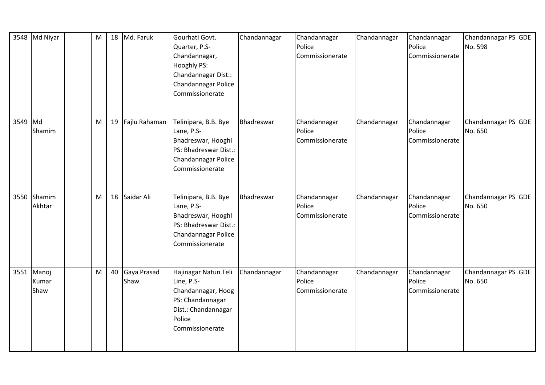|         | 3548 Md Niyar               | M |    | 18 Md. Faruk        | Gourhati Govt.<br>Quarter, P.S-<br>Chandannagar,<br>Hooghly PS:<br>Chandannagar Dist.:<br>Chandannagar Police<br>Commissionerate | Chandannagar | Chandannagar<br>Police<br>Commissionerate | Chandannagar | Chandannagar<br>Police<br>Commissionerate | Chandannagar PS GDE<br>No. 598 |
|---------|-----------------------------|---|----|---------------------|----------------------------------------------------------------------------------------------------------------------------------|--------------|-------------------------------------------|--------------|-------------------------------------------|--------------------------------|
| 3549 Md | Shamim                      | M |    | 19 Fajlu Rahaman    | Telinipara, B.B. Bye<br>Lane, P.S-<br>Bhadreswar, Hooghl<br>PS: Bhadreswar Dist.:<br>Chandannagar Police<br>Commissionerate      | Bhadreswar   | Chandannagar<br>Police<br>Commissionerate | Chandannagar | Chandannagar<br>Police<br>Commissionerate | Chandannagar PS GDE<br>No. 650 |
| 3550    | Shamim<br>Akhtar            | M |    | 18 Saidar Ali       | Telinipara, B.B. Bye<br>Lane, P.S-<br>Bhadreswar, Hooghl<br>PS: Bhadreswar Dist.:<br>Chandannagar Police<br>Commissionerate      | Bhadreswar   | Chandannagar<br>Police<br>Commissionerate | Chandannagar | Chandannagar<br>Police<br>Commissionerate | Chandannagar PS GDE<br>No. 650 |
|         | 3551 Manoj<br>Kumar<br>Shaw | M | 40 | Gaya Prasad<br>Shaw | Hajinagar Natun Teli<br>Line, P.S-<br>Chandannagar, Hoog<br>PS: Chandannagar<br>Dist.: Chandannagar<br>Police<br>Commissionerate | Chandannagar | Chandannagar<br>Police<br>Commissionerate | Chandannagar | Chandannagar<br>Police<br>Commissionerate | Chandannagar PS GDE<br>No. 650 |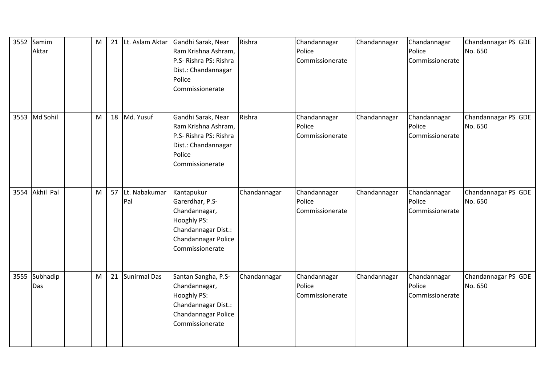| 3552 | Samim<br>Aktar  | M | 21 | Lt. Aslam Aktar      | Gandhi Sarak, Near<br>Ram Krishna Ashram,<br>P.S- Rishra PS: Rishra<br>Dist.: Chandannagar<br>Police<br>Commissionerate        | Rishra       | Chandannagar<br>Police<br>Commissionerate | Chandannagar | Chandannagar<br>Police<br>Commissionerate | Chandannagar PS GDE<br>No. 650 |
|------|-----------------|---|----|----------------------|--------------------------------------------------------------------------------------------------------------------------------|--------------|-------------------------------------------|--------------|-------------------------------------------|--------------------------------|
| 3553 | Md Sohil        | M |    | 18 Md. Yusuf         | Gandhi Sarak, Near<br>Ram Krishna Ashram,<br>P.S- Rishra PS: Rishra<br>Dist.: Chandannagar<br>Police<br>Commissionerate        | Rishra       | Chandannagar<br>Police<br>Commissionerate | Chandannagar | Chandannagar<br>Police<br>Commissionerate | Chandannagar PS GDE<br>No. 650 |
| 3554 | Akhil Pal       | M | 57 | Lt. Nabakumar<br>Pal | Kantapukur<br>Garerdhar, P.S-<br>Chandannagar,<br>Hooghly PS:<br>Chandannagar Dist.:<br>Chandannagar Police<br>Commissionerate | Chandannagar | Chandannagar<br>Police<br>Commissionerate | Chandannagar | Chandannagar<br>Police<br>Commissionerate | Chandannagar PS GDE<br>No. 650 |
| 3555 | Subhadip<br>Das | M |    | 21 Sunirmal Das      | Santan Sangha, P.S-<br>Chandannagar,<br>Hooghly PS:<br>Chandannagar Dist.:<br>Chandannagar Police<br>Commissionerate           | Chandannagar | Chandannagar<br>Police<br>Commissionerate | Chandannagar | Chandannagar<br>Police<br>Commissionerate | Chandannagar PS GDE<br>No. 650 |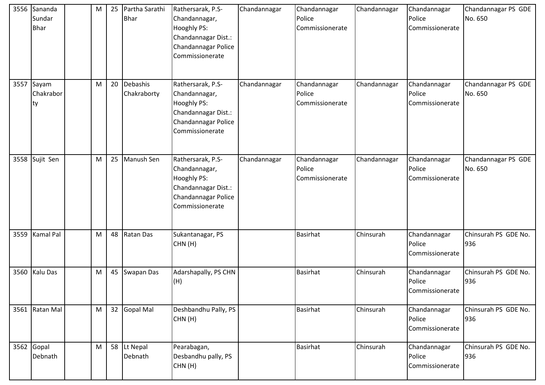| 3556 | Sananda<br>Sundar<br><b>Bhar</b> | M | 25 | Partha Sarathi<br><b>Bhar</b> | Rathersarak, P.S-<br>Chandannagar,<br>Hooghly PS:<br>Chandannagar Dist.:<br>Chandannagar Police<br>Commissionerate | Chandannagar | Chandannagar<br>Police<br>Commissionerate | Chandannagar | Chandannagar<br>Police<br>Commissionerate | Chandannagar PS GDE<br>No. 650 |
|------|----------------------------------|---|----|-------------------------------|--------------------------------------------------------------------------------------------------------------------|--------------|-------------------------------------------|--------------|-------------------------------------------|--------------------------------|
| 3557 | Sayam<br>Chakrabor<br>ty         | M | 20 | Debashis<br>Chakraborty       | Rathersarak, P.S-<br>Chandannagar,<br>Hooghly PS:<br>Chandannagar Dist.:<br>Chandannagar Police<br>Commissionerate | Chandannagar | Chandannagar<br>Police<br>Commissionerate | Chandannagar | Chandannagar<br>Police<br>Commissionerate | Chandannagar PS GDE<br>No. 650 |
|      | 3558 Sujit Sen                   | M | 25 | Manush Sen                    | Rathersarak, P.S-<br>Chandannagar,<br>Hooghly PS:<br>Chandannagar Dist.:<br>Chandannagar Police<br>Commissionerate | Chandannagar | Chandannagar<br>Police<br>Commissionerate | Chandannagar | Chandannagar<br>Police<br>Commissionerate | Chandannagar PS GDE<br>No. 650 |
|      | 3559 Kamal Pal                   | M |    | 48 Ratan Das                  | Sukantanagar, PS<br>CHN(H)                                                                                         |              | <b>Basirhat</b>                           | Chinsurah    | Chandannagar<br>Police<br>Commissionerate | Chinsurah PS GDE No.<br>936    |
|      | 3560 Kalu Das                    | M |    | 45 Swapan Das                 | Adarshapally, PS CHN<br>(H)                                                                                        |              | <b>Basirhat</b>                           | Chinsurah    | Chandannagar<br>Police<br>Commissionerate | Chinsurah PS GDE No.<br>936    |
|      | 3561 Ratan Mal                   | M |    | 32 Gopal Mal                  | Deshbandhu Pally, PS<br>CHN(H)                                                                                     |              | <b>Basirhat</b>                           | Chinsurah    | Chandannagar<br>Police<br>Commissionerate | Chinsurah PS GDE No.<br>936    |
|      | 3562 Gopal<br>Debnath            | M |    | 58 Lt Nepal<br>Debnath        | Pearabagan,<br>Desbandhu pally, PS<br>CHN(H)                                                                       |              | <b>Basirhat</b>                           | Chinsurah    | Chandannagar<br>Police<br>Commissionerate | Chinsurah PS GDE No.<br>936    |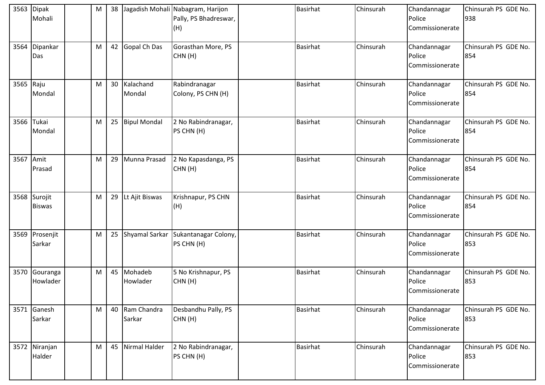| 3563 | Dipak<br>Mohali          | M | 38              |                        | Jagadish Mohali Nabagram, Harijon<br>Pally, PS Bhadreswar,<br>(H) | <b>Basirhat</b> | Chinsurah | Chandannagar<br>Police<br>Commissionerate | Chinsurah PS GDE No.<br>938 |
|------|--------------------------|---|-----------------|------------------------|-------------------------------------------------------------------|-----------------|-----------|-------------------------------------------|-----------------------------|
| 3564 | Dipankar<br>Das          | M | 42              | Gopal Ch Das           | Gorasthan More, PS<br>CHN(H)                                      | <b>Basirhat</b> | Chinsurah | Chandannagar<br>Police<br>Commissionerate | Chinsurah PS GDE No.<br>854 |
| 3565 | Raju<br>Mondal           | M | 30 <sup>°</sup> | Kalachand<br>Mondal    | Rabindranagar<br>Colony, PS CHN (H)                               | <b>Basirhat</b> | Chinsurah | Chandannagar<br>Police<br>Commissionerate | Chinsurah PS GDE No.<br>854 |
| 3566 | Tukai<br>Mondal          | M | 25              | <b>Bipul Mondal</b>    | 2 No Rabindranagar,<br>PS CHN (H)                                 | <b>Basirhat</b> | Chinsurah | Chandannagar<br>Police<br>Commissionerate | Chinsurah PS GDE No.<br>854 |
| 3567 | Amit<br>Prasad           | M | 29              | Munna Prasad           | 2 No Kapasdanga, PS<br>CHN(H)                                     | <b>Basirhat</b> | Chinsurah | Chandannagar<br>Police<br>Commissionerate | Chinsurah PS GDE No.<br>854 |
| 3568 | Surojit<br><b>Biswas</b> | M | 29              | Lt Ajit Biswas         | Krishnapur, PS CHN<br>(H)                                         | <b>Basirhat</b> | Chinsurah | Chandannagar<br>Police<br>Commissionerate | Chinsurah PS GDE No.<br>854 |
|      | 3569 Prosenjit<br>Sarkar | M | 25              | Shyamal Sarkar         | Sukantanagar Colony,<br>PS CHN (H)                                | <b>Basirhat</b> | Chinsurah | Chandannagar<br>Police<br>Commissionerate | Chinsurah PS GDE No.<br>853 |
| 3570 | Gouranga<br>Howlader     | M |                 | 45 Mohadeb<br>Howlader | 5 No Krishnapur, PS<br>CHN(H)                                     | <b>Basirhat</b> | Chinsurah | Chandannagar<br>Police<br>Commissionerate | Chinsurah PS GDE No.<br>853 |
|      | 3571 Ganesh<br>Sarkar    | M | 40              | Ram Chandra<br>Sarkar  | Desbandhu Pally, PS<br>CHN(H)                                     | <b>Basirhat</b> | Chinsurah | Chandannagar<br>Police<br>Commissionerate | Chinsurah PS GDE No.<br>853 |
|      | 3572 Niranjan<br>Halder  | M | 45              | Nirmal Halder          | 2 No Rabindranagar,<br>PS CHN (H)                                 | <b>Basirhat</b> | Chinsurah | Chandannagar<br>Police<br>Commissionerate | Chinsurah PS GDE No.<br>853 |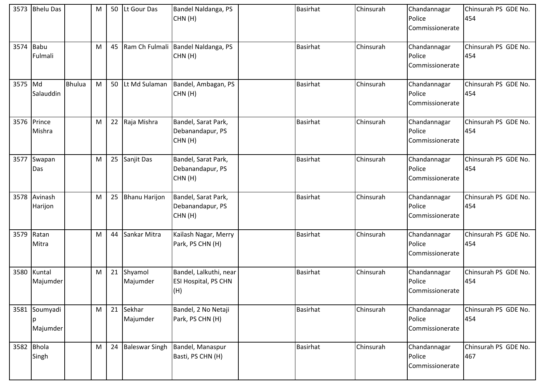|         | 3573 Bhelu Das            |               | M | 50 | Lt Gour Das           | Bandel Naldanga, PS<br>CHN(H)                                | <b>Basirhat</b> | Chinsurah | Chandannagar<br>Police<br>Commissionerate | Chinsurah PS GDE No.<br>454 |
|---------|---------------------------|---------------|---|----|-----------------------|--------------------------------------------------------------|-----------------|-----------|-------------------------------------------|-----------------------------|
| 3574    | Babu<br>Fulmali           |               | M | 45 |                       | Ram Ch Fulmali Bandel Naldanga, PS<br>CHN(H)                 | <b>Basirhat</b> | Chinsurah | Chandannagar<br>Police<br>Commissionerate | Chinsurah PS GDE No.<br>454 |
| 3575 Md | Salauddin                 | <b>Bhulua</b> | M | 50 | Lt Md Sulaman         | Bandel, Ambagan, PS<br>CHN(H)                                | <b>Basirhat</b> | Chinsurah | Chandannagar<br>Police<br>Commissionerate | Chinsurah PS GDE No.<br>454 |
|         | 3576 Prince<br>Mishra     |               | M | 22 | Raja Mishra           | Bandel, Sarat Park,<br>Debanandapur, PS<br>CHN(H)            | <b>Basirhat</b> | Chinsurah | Chandannagar<br>Police<br>Commissionerate | Chinsurah PS GDE No.<br>454 |
|         | 3577 Swapan<br>Das        |               | M | 25 | Sanjit Das            | Bandel, Sarat Park,<br>Debanandapur, PS<br>CHN(H)            | <b>Basirhat</b> | Chinsurah | Chandannagar<br>Police<br>Commissionerate | Chinsurah PS GDE No.<br>454 |
|         | 3578 Avinash<br>Harijon   |               | M | 25 | <b>Bhanu Harijon</b>  | Bandel, Sarat Park,<br>Debanandapur, PS<br>CHN(H)            | <b>Basirhat</b> | Chinsurah | Chandannagar<br>Police<br>Commissionerate | Chinsurah PS GDE No.<br>454 |
| 3579    | Ratan<br>Mitra            |               | M | 44 | Sankar Mitra          | Kailash Nagar, Merry<br>Park, PS CHN (H)                     | <b>Basirhat</b> | Chinsurah | Chandannagar<br>Police<br>Commissionerate | Chinsurah PS GDE No.<br>454 |
|         | 3580 Kuntal<br>Majumder   |               | M | 21 | Shyamol<br>Majumder   | Bandel, Lalkuthi, near<br><b>ESI Hospital, PS CHN</b><br>(H) | <b>Basirhat</b> | Chinsurah | Chandannagar<br>Police<br>Commissionerate | Chinsurah PS GDE No.<br>454 |
|         | 3581 Soumyadi<br>Majumder |               | M | 21 | Sekhar<br>Majumder    | Bandel, 2 No Netaji<br>Park, PS CHN (H)                      | <b>Basirhat</b> | Chinsurah | Chandannagar<br>Police<br>Commissionerate | Chinsurah PS GDE No.<br>454 |
|         | 3582 Bhola<br>Singh       |               | M | 24 | <b>Baleswar Singh</b> | Bandel, Manaspur<br>Basti, PS CHN (H)                        | Basirhat        | Chinsurah | Chandannagar<br>Police<br>Commissionerate | Chinsurah PS GDE No.<br>467 |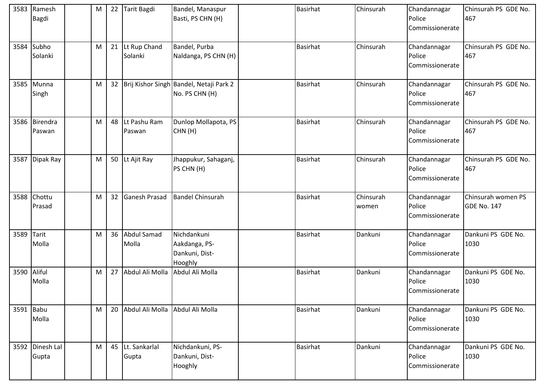| 3583 | Ramesh<br><b>Bagdi</b>   | M | 22              | Tarit Bagdi                     | Bandel, Manaspur<br>Basti, PS CHN (H)                     | <b>Basirhat</b> | Chinsurah          | Chandannagar<br>Police<br>Commissionerate | Chinsurah PS GDE No.<br>467              |
|------|--------------------------|---|-----------------|---------------------------------|-----------------------------------------------------------|-----------------|--------------------|-------------------------------------------|------------------------------------------|
|      | 3584 Subho<br>Solanki    | M |                 | 21 Lt Rup Chand<br>Solanki      | Bandel, Purba<br>Naldanga, PS CHN (H)                     | <b>Basirhat</b> | Chinsurah          | Chandannagar<br>Police<br>Commissionerate | Chinsurah PS GDE No.<br>467              |
|      | 3585 Munna<br>Singh      | M | 32 <sub>2</sub> |                                 | Brij Kishor Singh Bandel, Netaji Park 2<br>No. PS CHN (H) | <b>Basirhat</b> | Chinsurah          | Chandannagar<br>Police<br>Commissionerate | Chinsurah PS GDE No.<br>467              |
|      | 3586 Birendra<br>Paswan  | M | 48              | Lt Pashu Ram<br>Paswan          | Dunlop Mollapota, PS<br>CHN(H)                            | <b>Basirhat</b> | Chinsurah          | Chandannagar<br>Police<br>Commissionerate | Chinsurah PS GDE No.<br>467              |
|      | 3587 Dipak Ray           | M |                 | 50 Lt Ajit Ray                  | Jhappukur, Sahaganj,<br>PS CHN (H)                        | <b>Basirhat</b> | Chinsurah          | Chandannagar<br>Police<br>Commissionerate | Chinsurah PS GDE No.<br>467              |
|      | 3588 Chottu<br>Prasad    | M | 32              | <b>Ganesh Prasad</b>            | <b>Bandel Chinsurah</b>                                   | <b>Basirhat</b> | Chinsurah<br>women | Chandannagar<br>Police<br>Commissionerate | Chinsurah women PS<br><b>GDE No. 147</b> |
| 3589 | Tarit<br>Molla           | M | 36              | <b>Abdul Samad</b><br>Molla     | Nichdankuni<br>Aakdanga, PS-<br>Dankuni, Dist-<br>Hooghly | <b>Basirhat</b> | Dankuni            | Chandannagar<br>Police<br>Commissionerate | Dankuni PS GDE No.<br>1030               |
|      | 3590 Aliful<br>Molla     | M | 27              | Abdul Ali Molla                 | Abdul Ali Molla                                           | <b>Basirhat</b> | Dankuni            | Chandannagar<br>Police<br>Commissionerate | Dankuni PS GDE No.<br>1030               |
|      | 3591 Babu<br>Molla       | M | 20              | Abdul Ali Molla Abdul Ali Molla |                                                           | Basirhat        | Dankuni            | Chandannagar<br>Police<br>Commissionerate | Dankuni PS GDE No.<br>1030               |
|      | 3592 Dinesh Lal<br>Gupta | M |                 | 45 Lt. Sankarlal<br>Gupta       | Nichdankuni, PS-<br>Dankuni, Dist-<br>Hooghly             | <b>Basirhat</b> | Dankuni            | Chandannagar<br>Police<br>Commissionerate | Dankuni PS GDE No.<br>1030               |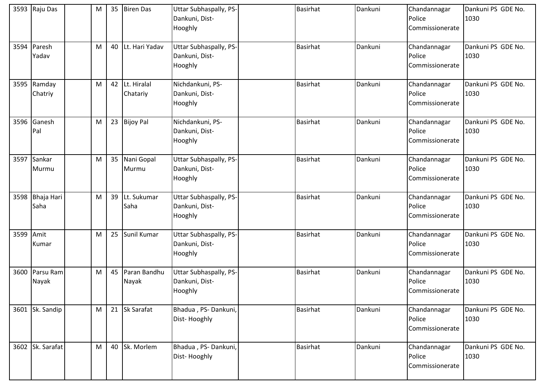|      | 3593 Raju Das           | M | 35 | <b>Biren Das</b>        | <b>Uttar Subhaspally, PS-</b><br>Dankuni, Dist-<br>Hooghly | <b>Basirhat</b> | Dankuni | Chandannagar<br>Police<br>Commissionerate | Dankuni PS GDE No.<br>1030 |
|------|-------------------------|---|----|-------------------------|------------------------------------------------------------|-----------------|---------|-------------------------------------------|----------------------------|
| 3594 | Paresh<br>Yadav         | M | 40 | Lt. Hari Yadav          | Uttar Subhaspally, PS-<br>Dankuni, Dist-<br>Hooghly        | <b>Basirhat</b> | Dankuni | Chandannagar<br>Police<br>Commissionerate | Dankuni PS GDE No.<br>1030 |
| 3595 | Ramday<br>Chatriy       | M | 42 | Lt. Hiralal<br>Chatariy | Nichdankuni, PS-<br>Dankuni, Dist-<br>Hooghly              | <b>Basirhat</b> | Dankuni | Chandannagar<br>Police<br>Commissionerate | Dankuni PS GDE No.<br>1030 |
| 3596 | Ganesh<br>Pal           | M | 23 | <b>Bijoy Pal</b>        | Nichdankuni, PS-<br>Dankuni, Dist-<br>Hooghly              | <b>Basirhat</b> | Dankuni | Chandannagar<br>Police<br>Commissionerate | Dankuni PS GDE No.<br>1030 |
| 3597 | Sankar<br>Murmu         | M | 35 | Nani Gopal<br>Murmu     | <b>Uttar Subhaspally, PS-</b><br>Dankuni, Dist-<br>Hooghly | <b>Basirhat</b> | Dankuni | Chandannagar<br>Police<br>Commissionerate | Dankuni PS GDE No.<br>1030 |
| 3598 | Bhaja Hari<br>Saha      | M | 39 | Lt. Sukumar<br>Saha     | <b>Uttar Subhaspally, PS-</b><br>Dankuni, Dist-<br>Hooghly | <b>Basirhat</b> | Dankuni | Chandannagar<br>Police<br>Commissionerate | Dankuni PS GDE No.<br>1030 |
| 3599 | Amit<br>Kumar           | M | 25 | Sunil Kumar             | <b>Uttar Subhaspally, PS-</b><br>Dankuni, Dist-<br>Hooghly | Basirhat        | Dankuni | Chandannagar<br>Police<br>Commissionerate | Dankuni PS GDE No.<br>1030 |
|      | 3600 Parsu Ram<br>Nayak | M | 45 | Paran Bandhu<br>Nayak   | Uttar Subhaspally, PS-<br>Dankuni, Dist-<br>Hooghly        | <b>Basirhat</b> | Dankuni | Chandannagar<br>Police<br>Commissionerate | Dankuni PS GDE No.<br>1030 |
|      | 3601 Sk. Sandip         | M |    | 21 Sk Sarafat           | Bhadua, PS-Dankuni,<br>Dist-Hooghly                        | <b>Basirhat</b> | Dankuni | Chandannagar<br>Police<br>Commissionerate | Dankuni PS GDE No.<br>1030 |
|      | 3602 Sk. Sarafat        | M | 40 | Sk. Morlem              | Bhadua, PS-Dankuni,<br>Dist-Hooghly                        | <b>Basirhat</b> | Dankuni | Chandannagar<br>Police<br>Commissionerate | Dankuni PS GDE No.<br>1030 |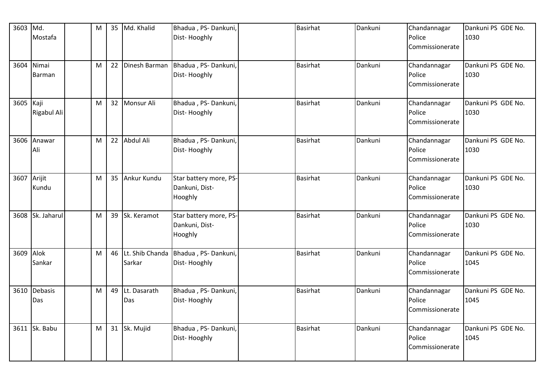| 3603 Md.  | Mostafa                | M | 35 Md. Khalid                | Bhadua, PS-Dankuni,<br>Dist-Hooghly                 | Basirhat        | Dankuni | Chandannagar<br>Police<br>Commissionerate | Dankuni PS GDE No.<br>1030 |
|-----------|------------------------|---|------------------------------|-----------------------------------------------------|-----------------|---------|-------------------------------------------|----------------------------|
| 3604      | Nimai<br><b>Barman</b> | M | 22 Dinesh Barman             | Bhadua, PS-Dankuni,<br>Dist-Hooghly                 | Basirhat        | Dankuni | Chandannagar<br>Police<br>Commissionerate | Dankuni PS GDE No.<br>1030 |
| 3605 Kaji | Rigabul Ali            | M | 32 Monsur Ali                | Bhadua, PS-Dankuni,<br>Dist-Hooghly                 | <b>Basirhat</b> | Dankuni | Chandannagar<br>Police<br>Commissionerate | Dankuni PS GDE No.<br>1030 |
| 3606      | Anawar<br>Ali          | M | 22 Abdul Ali                 | Bhadua, PS-Dankuni,<br>Dist-Hooghly                 | <b>Basirhat</b> | Dankuni | Chandannagar<br>Police<br>Commissionerate | Dankuni PS GDE No.<br>1030 |
| 3607      | Arijit<br>Kundu        | M | 35 Ankur Kundu               | Star battery more, PS-<br>Dankuni, Dist-<br>Hooghly | <b>Basirhat</b> | Dankuni | Chandannagar<br>Police<br>Commissionerate | Dankuni PS GDE No.<br>1030 |
|           | 3608 Sk. Jaharul       | M | 39 Sk. Keramot               | Star battery more, PS-<br>Dankuni, Dist-<br>Hooghly | <b>Basirhat</b> | Dankuni | Chandannagar<br>Police<br>Commissionerate | Dankuni PS GDE No.<br>1030 |
| 3609 Alok | Sankar                 | M | 46 Lt. Shib Chanda<br>Sarkar | Bhadua, PS-Dankuni,<br>Dist-Hooghly                 | <b>Basirhat</b> | Dankuni | Chandannagar<br>Police<br>Commissionerate | Dankuni PS GDE No.<br>1045 |
| 3610      | Debasis<br>Das         | M | 49 Lt. Dasarath<br>Das       | Bhadua, PS-Dankuni,<br>Dist-Hooghly                 | <b>Basirhat</b> | Dankuni | Chandannagar<br>Police<br>Commissionerate | Dankuni PS GDE No.<br>1045 |
|           | 3611 Sk. Babu          | M | 31 Sk. Mujid                 | Bhadua, PS-Dankuni,<br>Dist-Hooghly                 | <b>Basirhat</b> | Dankuni | Chandannagar<br>Police<br>Commissionerate | Dankuni PS GDE No.<br>1045 |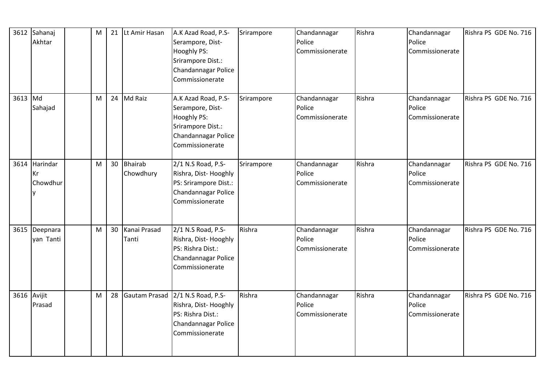|         | 3612 Sahanaj<br>Akhtar     | M |    | 21 Lt Amir Hasan            | A.K Azad Road, P.S-<br>Serampore, Dist-<br>Hooghly PS:<br>Srirampore Dist.:<br>Chandannagar Police<br>Commissionerate | Srirampore | Chandannagar<br>Police<br>Commissionerate | Rishra | Chandannagar<br>Police<br>Commissionerate | Rishra PS GDE No. 716 |
|---------|----------------------------|---|----|-----------------------------|-----------------------------------------------------------------------------------------------------------------------|------------|-------------------------------------------|--------|-------------------------------------------|-----------------------|
| 3613 Md | Sahajad                    | M |    | 24 Md Raiz                  | A.K Azad Road, P.S-<br>Serampore, Dist-<br>Hooghly PS:<br>Srirampore Dist.:<br>Chandannagar Police<br>Commissionerate | Srirampore | Chandannagar<br>Police<br>Commissionerate | Rishra | Chandannagar<br>Police<br>Commissionerate | Rishra PS GDE No. 716 |
| 3614    | Harindar<br>Kr<br>Chowdhur | M | 30 | <b>Bhairab</b><br>Chowdhury | 2/1 N.S Road, P.S-<br>Rishra, Dist-Hooghly<br>PS: Srirampore Dist.:<br>Chandannagar Police<br>Commissionerate         | Srirampore | Chandannagar<br>Police<br>Commissionerate | Rishra | Chandannagar<br>Police<br>Commissionerate | Rishra PS GDE No. 716 |
| 3615    | Deepnara<br>yan Tanti      | M | 30 | Kanai Prasad<br>Tanti       | 2/1 N.S Road, P.S-<br>Rishra, Dist-Hooghly<br>PS: Rishra Dist.:<br>Chandannagar Police<br>Commissionerate             | Rishra     | Chandannagar<br>Police<br>Commissionerate | Rishra | Chandannagar<br>Police<br>Commissionerate | Rishra PS GDE No. 716 |
|         | 3616 Avijit<br>Prasad      | M | 28 | Gautam Prasad               | 2/1 N.S Road, P.S-<br>Rishra, Dist-Hooghly<br>PS: Rishra Dist.:<br>Chandannagar Police<br>Commissionerate             | Rishra     | Chandannagar<br>Police<br>Commissionerate | Rishra | Chandannagar<br>Police<br>Commissionerate | Rishra PS GDE No. 716 |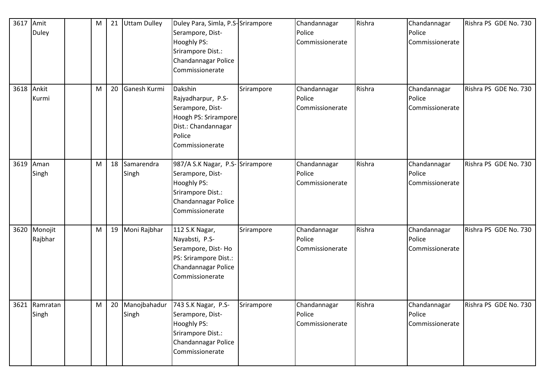| 3617 | Amit<br><b>Duley</b>   | M | 21 | <b>Uttam Dulley</b> | Duley Para, Simla, P.S-Srirampore<br>Serampore, Dist-<br>Hooghly PS:<br>Srirampore Dist.:<br>Chandannagar Police<br>Commissionerate   |            | Chandannagar<br>Police<br>Commissionerate | Rishra | Chandannagar<br>Police<br>Commissionerate | Rishra PS GDE No. 730 |
|------|------------------------|---|----|---------------------|---------------------------------------------------------------------------------------------------------------------------------------|------------|-------------------------------------------|--------|-------------------------------------------|-----------------------|
| 3618 | Ankit<br>Kurmi         | М | 20 | Ganesh Kurmi        | Dakshin<br>Rajyadharpur, P.S-<br>Serampore, Dist-<br>Hoogh PS: Srirampore<br>Dist.: Chandannagar<br>Police<br>Commissionerate         | Srirampore | Chandannagar<br>Police<br>Commissionerate | Rishra | Chandannagar<br>Police<br>Commissionerate | Rishra PS GDE No. 730 |
|      | 3619 Aman<br>Singh     | М | 18 | Samarendra<br>Singh | 987/A S.K Nagar, P.S- Srirampore<br>Serampore, Dist-<br>Hooghly PS:<br>Srirampore Dist.:<br>Chandannagar Police<br>Commissionerate    |            | Chandannagar<br>Police<br>Commissionerate | Rishra | Chandannagar<br>Police<br>Commissionerate | Rishra PS GDE No. 730 |
| 3620 | Monojit<br>Rajbhar     | M | 19 | Moni Rajbhar        | 112 S.K Nagar,<br>Nayabsti, P.S-<br>Serampore, Dist-Ho<br>PS: Srirampore Dist.:<br>Chandannagar Police<br>Commissionerate             | Srirampore | Chandannagar<br>Police<br>Commissionerate | Rishra | Chandannagar<br>Police<br>Commissionerate | Rishra PS GDE No. 730 |
|      | 3621 Ramratan<br>Singh | M |    | Singh               | 20 Manojbahadur 743 S.K Nagar, P.S-<br>Serampore, Dist-<br>Hooghly PS:<br>Srirampore Dist.:<br>Chandannagar Police<br>Commissionerate | Srirampore | Chandannagar<br>Police<br>Commissionerate | Rishra | Chandannagar<br>Police<br>Commissionerate | Rishra PS GDE No. 730 |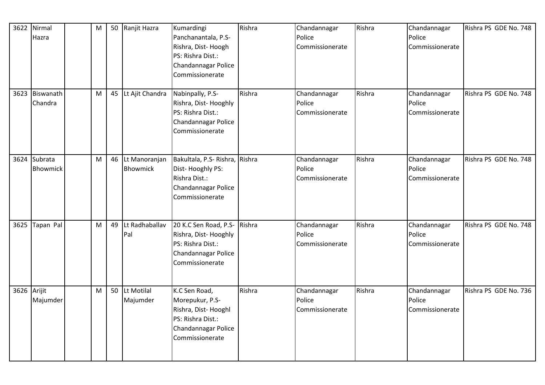|             | 3622 Nirmal<br>Hazra            | M         | 50 | Ranjit Hazra                     | Kumardingi<br>Panchanantala, P.S-<br>Rishra, Dist-Hoogh<br>PS: Rishra Dist.:<br>Chandannagar Police<br>Commissionerate | Rishra | Chandannagar<br>Police<br>Commissionerate | Rishra | Chandannagar<br>Police<br>Commissionerate | Rishra PS GDE No. 748 |
|-------------|---------------------------------|-----------|----|----------------------------------|------------------------------------------------------------------------------------------------------------------------|--------|-------------------------------------------|--------|-------------------------------------------|-----------------------|
|             | 3623 Biswanath<br>Chandra       | ${\sf M}$ |    | 45 Lt Ajit Chandra               | Nabinpally, P.S-<br>Rishra, Dist-Hooghly<br>PS: Rishra Dist.:<br>Chandannagar Police<br>Commissionerate                | Rishra | Chandannagar<br>Police<br>Commissionerate | Rishra | Chandannagar<br>Police<br>Commissionerate | Rishra PS GDE No. 748 |
|             | 3624 Subrata<br><b>Bhowmick</b> | M         | 46 | Lt Manoranjan<br><b>Bhowmick</b> | Bakultala, P.S- Rishra, Rishra<br>Dist-Hooghly PS:<br>Rishra Dist.:<br>Chandannagar Police<br>Commissionerate          |        | Chandannagar<br>Police<br>Commissionerate | Rishra | Chandannagar<br>Police<br>Commissionerate | Rishra PS GDE No. 748 |
|             | 3625 Tapan Pal                  | M         | 49 | Lt Radhaballav<br>Pal            | 20 K.C Sen Road, P.S- Rishra<br>Rishra, Dist-Hooghly<br>PS: Rishra Dist.:<br>Chandannagar Police<br>Commissionerate    |        | Chandannagar<br>Police<br>Commissionerate | Rishra | Chandannagar<br>Police<br>Commissionerate | Rishra PS GDE No. 748 |
| 3626 Arijit | Majumder                        | M         | 50 | Lt Motilal<br>Majumder           | K.C Sen Road,<br>Morepukur, P.S-<br>Rishra, Dist-Hooghl<br>PS: Rishra Dist.:<br>Chandannagar Police<br>Commissionerate | Rishra | Chandannagar<br>Police<br>Commissionerate | Rishra | Chandannagar<br>Police<br>Commissionerate | Rishra PS GDE No. 736 |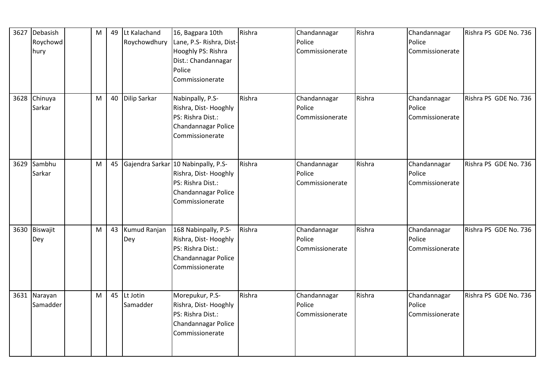| 3627 | Debasish<br>Roychowd<br>hury | M | 49 | Lt Kalachand<br>Roychowdhury | 16, Bagpara 10th<br>Lane, P.S- Rishra, Dist-<br>Hooghly PS: Rishra<br>Dist.: Chandannagar<br>Police<br>Commissionerate     | Rishra | Chandannagar<br>Police<br>Commissionerate | Rishra | Chandannagar<br>Police<br>Commissionerate | Rishra PS GDE No. 736 |
|------|------------------------------|---|----|------------------------------|----------------------------------------------------------------------------------------------------------------------------|--------|-------------------------------------------|--------|-------------------------------------------|-----------------------|
|      | 3628 Chinuya<br>Sarkar       | M | 40 | Dilip Sarkar                 | Nabinpally, P.S-<br>Rishra, Dist-Hooghly<br>PS: Rishra Dist.:<br>Chandannagar Police<br>Commissionerate                    | Rishra | Chandannagar<br>Police<br>Commissionerate | Rishra | Chandannagar<br>Police<br>Commissionerate | Rishra PS GDE No. 736 |
|      | 3629 Sambhu<br>Sarkar        | M | 45 |                              | Gajendra Sarkar 10 Nabinpally, P.S-<br>Rishra, Dist-Hooghly<br>PS: Rishra Dist.:<br>Chandannagar Police<br>Commissionerate | Rishra | Chandannagar<br>Police<br>Commissionerate | Rishra | Chandannagar<br>Police<br>Commissionerate | Rishra PS GDE No. 736 |
|      | 3630 Biswajit<br>Dey         | M | 43 | Kumud Ranjan<br>Dey          | 168 Nabinpally, P.S-<br>Rishra, Dist-Hooghly<br>PS: Rishra Dist.:<br>Chandannagar Police<br>Commissionerate                | Rishra | Chandannagar<br>Police<br>Commissionerate | Rishra | Chandannagar<br>Police<br>Commissionerate | Rishra PS GDE No. 736 |
|      | 3631 Narayan<br>Samadder     | M | 45 | Lt Jotin<br>Samadder         | Morepukur, P.S-<br>Rishra, Dist-Hooghly<br>PS: Rishra Dist.:<br>Chandannagar Police<br>Commissionerate                     | Rishra | Chandannagar<br>Police<br>Commissionerate | Rishra | Chandannagar<br>Police<br>Commissionerate | Rishra PS GDE No. 736 |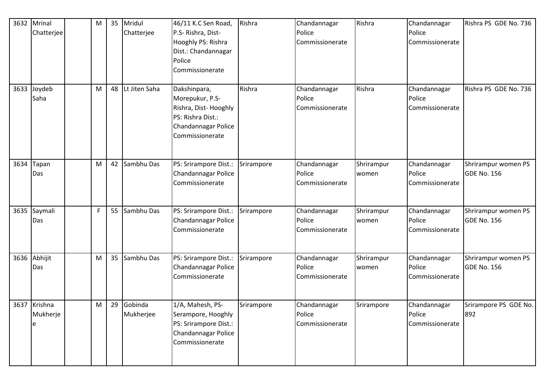|      | 3632 Mrinal<br>Chatterjee     | M |    | 35 Mridul<br>Chatterjee | 46/11 K.C Sen Road,<br>P.S- Rishra, Dist-<br>Hooghly PS: Rishra<br>Dist.: Chandannagar<br>Police<br>Commissionerate    | Rishra     | Chandannagar<br>Police<br>Commissionerate | Rishra              | Chandannagar<br>Police<br>Commissionerate | Rishra PS GDE No. 736              |
|------|-------------------------------|---|----|-------------------------|------------------------------------------------------------------------------------------------------------------------|------------|-------------------------------------------|---------------------|-------------------------------------------|------------------------------------|
| 3633 | Joydeb<br>Saha                | M | 48 | Lt Jiten Saha           | Dakshinpara,<br>Morepukur, P.S-<br>Rishra, Dist-Hooghly<br>PS: Rishra Dist.:<br>Chandannagar Police<br>Commissionerate | Rishra     | Chandannagar<br>Police<br>Commissionerate | Rishra              | Chandannagar<br>Police<br>Commissionerate | Rishra PS GDE No. 736              |
| 3634 | Tapan<br>Das                  | M |    | 42 Sambhu Das           | PS: Srirampore Dist.:<br>Chandannagar Police<br>Commissionerate                                                        | Srirampore | Chandannagar<br>Police<br>Commissionerate | Shrirampur<br>women | Chandannagar<br>Police<br>Commissionerate | Shrirampur women PS<br>GDE No. 156 |
| 3635 | Saymali<br>Das                | F |    | 55 Sambhu Das           | PS: Srirampore Dist.:<br>Chandannagar Police<br>Commissionerate                                                        | Srirampore | Chandannagar<br>Police<br>Commissionerate | Shrirampur<br>women | Chandannagar<br>Police<br>Commissionerate | Shrirampur women PS<br>GDE No. 156 |
| 3636 | Abhijit<br>Das                | M |    | 35 Sambhu Das           | PS: Srirampore Dist.:<br>Chandannagar Police<br>Commissionerate                                                        | Srirampore | Chandannagar<br>Police<br>Commissionerate | Shrirampur<br>women | Chandannagar<br>Police<br>Commissionerate | Shrirampur women PS<br>GDE No. 156 |
|      | 3637 Krishna<br>Mukherje<br>e | M | 29 | Gobinda<br>Mukherjee    | 1/A, Mahesh, PS-<br>Serampore, Hooghly<br>PS: Srirampore Dist.:<br>Chandannagar Police<br>Commissionerate              | Srirampore | Chandannagar<br>Police<br>Commissionerate | Srirampore          | Chandannagar<br>Police<br>Commissionerate | Srirampore PS GDE No.<br>892       |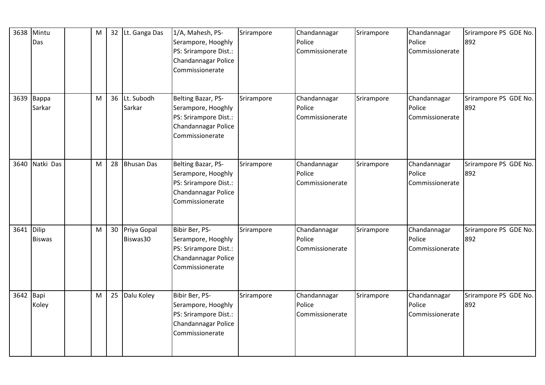|            | 3638 Mintu<br>Das    | M         | 32 <sup>2</sup> | Lt. Ganga Das           | 1/A, Mahesh, PS-<br>Serampore, Hooghly<br>PS: Srirampore Dist.:<br>Chandannagar Police<br>Commissionerate   | Srirampore | Chandannagar<br>Police<br>Commissionerate | Srirampore | Chandannagar<br>Police<br>Commissionerate | Srirampore PS GDE No.<br>892 |
|------------|----------------------|-----------|-----------------|-------------------------|-------------------------------------------------------------------------------------------------------------|------------|-------------------------------------------|------------|-------------------------------------------|------------------------------|
|            | 3639 Bappa<br>Sarkar | M         | 36              | Lt. Subodh<br>Sarkar    | Belting Bazar, PS-<br>Serampore, Hooghly<br>PS: Srirampore Dist.:<br>Chandannagar Police<br>Commissionerate | Srirampore | Chandannagar<br>Police<br>Commissionerate | Srirampore | Chandannagar<br>Police<br>Commissionerate | Srirampore PS GDE No.<br>892 |
|            | 3640 Natki Das       | M         | 28              | <b>Bhusan Das</b>       | Belting Bazar, PS-<br>Serampore, Hooghly<br>PS: Srirampore Dist.:<br>Chandannagar Police<br>Commissionerate | Srirampore | Chandannagar<br>Police<br>Commissionerate | Srirampore | Chandannagar<br>Police<br>Commissionerate | Srirampore PS GDE No.<br>892 |
| 3641 Dilip | <b>Biswas</b>        | ${\sf M}$ | 30              | Priya Gopal<br>Biswas30 | Bibir Ber, PS-<br>Serampore, Hooghly<br>PS: Srirampore Dist.:<br>Chandannagar Police<br>Commissionerate     | Srirampore | Chandannagar<br>Police<br>Commissionerate | Srirampore | Chandannagar<br>Police<br>Commissionerate | Srirampore PS GDE No.<br>892 |
| 3642 Bapi  | Koley                | M         | 25              | Dalu Koley              | Bibir Ber, PS-<br>Serampore, Hooghly<br>PS: Srirampore Dist.:<br>Chandannagar Police<br>Commissionerate     | Srirampore | Chandannagar<br>Police<br>Commissionerate | Srirampore | Chandannagar<br>Police<br>Commissionerate | Srirampore PS GDE No.<br>892 |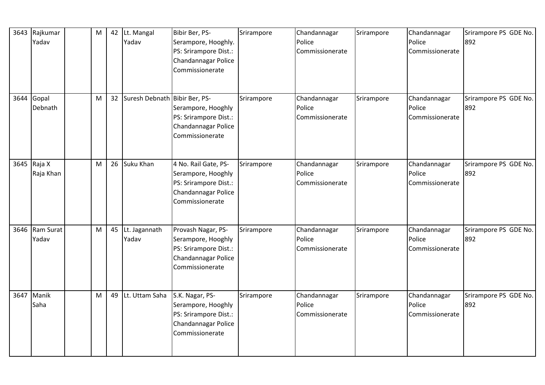|      | 3643 Rajkumar<br>Yadav   | M | 42 | Lt. Mangal<br>Yadav           | Bibir Ber, PS-<br>Serampore, Hooghly.<br>PS: Srirampore Dist.:<br>Chandannagar Police<br>Commissionerate      | Srirampore | Chandannagar<br>Police<br>Commissionerate | Srirampore | Chandannagar<br>Police<br>Commissionerate | Srirampore PS GDE No.<br>892 |
|------|--------------------------|---|----|-------------------------------|---------------------------------------------------------------------------------------------------------------|------------|-------------------------------------------|------------|-------------------------------------------|------------------------------|
| 3644 | Gopal<br>Debnath         | M | 32 | Suresh Debnath Bibir Ber, PS- | Serampore, Hooghly<br>PS: Srirampore Dist.:<br>Chandannagar Police<br>Commissionerate                         | Srirampore | Chandannagar<br>Police<br>Commissionerate | Srirampore | Chandannagar<br>Police<br>Commissionerate | Srirampore PS GDE No.<br>892 |
|      | 3645 Raja X<br>Raja Khan | M | 26 | Suku Khan                     | 4 No. Rail Gate, PS-<br>Serampore, Hooghly<br>PS: Srirampore Dist.:<br>Chandannagar Police<br>Commissionerate | Srirampore | Chandannagar<br>Police<br>Commissionerate | Srirampore | Chandannagar<br>Police<br>Commissionerate | Srirampore PS GDE No.<br>892 |
|      | 3646 Ram Surat<br>Yadav  | M | 45 | Lt. Jagannath<br>Yadav        | Provash Nagar, PS-<br>Serampore, Hooghly<br>PS: Srirampore Dist.:<br>Chandannagar Police<br>Commissionerate   | Srirampore | Chandannagar<br>Police<br>Commissionerate | Srirampore | Chandannagar<br>Police<br>Commissionerate | Srirampore PS GDE No.<br>892 |
|      | 3647 Manik<br>Saha       | M | 49 | Lt. Uttam Saha                | S.K. Nagar, PS-<br>Serampore, Hooghly<br>PS: Srirampore Dist.:<br>Chandannagar Police<br>Commissionerate      | Srirampore | Chandannagar<br>Police<br>Commissionerate | Srirampore | Chandannagar<br>Police<br>Commissionerate | Srirampore PS GDE No.<br>892 |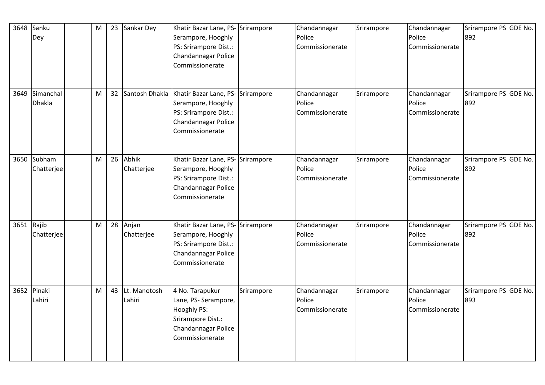| 3648       | Sanku<br>Dey               | M | 23 | Sankar Dey             | Khatir Bazar Lane, PS- Srirampore<br>Serampore, Hooghly<br>PS: Srirampore Dist.:<br>Chandannagar Police<br>Commissionerate |            | Chandannagar<br>Police<br>Commissionerate | Srirampore | Chandannagar<br>Police<br>Commissionerate | Srirampore PS GDE No.<br>892 |
|------------|----------------------------|---|----|------------------------|----------------------------------------------------------------------------------------------------------------------------|------------|-------------------------------------------|------------|-------------------------------------------|------------------------------|
| 3649       | Simanchal<br><b>Dhakla</b> | M | 32 | Santosh Dhakla         | Khatir Bazar Lane, PS- Srirampore<br>Serampore, Hooghly<br>PS: Srirampore Dist.:<br>Chandannagar Police<br>Commissionerate |            | Chandannagar<br>Police<br>Commissionerate | Srirampore | Chandannagar<br>Police<br>Commissionerate | Srirampore PS GDE No.<br>892 |
|            | 3650 Subham<br>Chatterjee  | M | 26 | Abhik<br>Chatterjee    | Khatir Bazar Lane, PS-<br>Serampore, Hooghly<br>PS: Srirampore Dist.:<br>Chandannagar Police<br>Commissionerate            | Srirampore | Chandannagar<br>Police<br>Commissionerate | Srirampore | Chandannagar<br>Police<br>Commissionerate | Srirampore PS GDE No.<br>892 |
| 3651 Rajib | Chatterjee                 | M | 28 | Anjan<br>Chatterjee    | Khatir Bazar Lane, PS- Srirampore<br>Serampore, Hooghly<br>PS: Srirampore Dist.:<br>Chandannagar Police<br>Commissionerate |            | Chandannagar<br>Police<br>Commissionerate | Srirampore | Chandannagar<br>Police<br>Commissionerate | Srirampore PS GDE No.<br>892 |
|            | 3652 Pinaki<br>Lahiri      | M | 43 | Lt. Manotosh<br>Lahiri | 4 No. Tarapukur<br>Lane, PS- Serampore,<br>Hooghly PS:<br>Srirampore Dist.:<br>Chandannagar Police<br>Commissionerate      | Srirampore | Chandannagar<br>Police<br>Commissionerate | Srirampore | Chandannagar<br>Police<br>Commissionerate | Srirampore PS GDE No.<br>893 |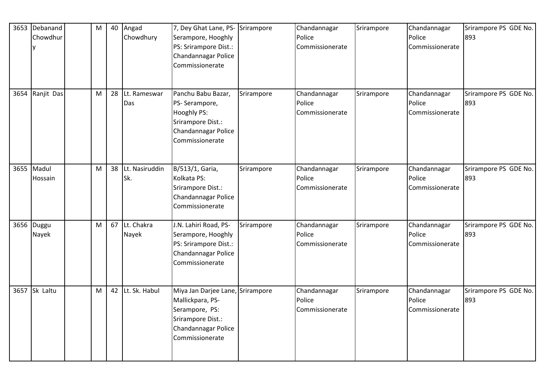| 3653 Debanand<br>Chowdhur | $\mathsf{M}% _{T}=\mathsf{M}_{T}\!\left( a,b\right) ,\ \mathsf{M}_{T}=\mathsf{M}_{T}\!\left( a,b\right) ,$ | 40 | Angad<br>Chowdhury     | 7, Dey Ghat Lane, PS-<br>Serampore, Hooghly<br>PS: Srirampore Dist.:<br>Chandannagar Police<br>Commissionerate                        | Srirampore | Chandannagar<br>Police<br>Commissionerate | Srirampore | Chandannagar<br>Police<br>Commissionerate | Srirampore PS GDE No.<br>893 |
|---------------------------|------------------------------------------------------------------------------------------------------------|----|------------------------|---------------------------------------------------------------------------------------------------------------------------------------|------------|-------------------------------------------|------------|-------------------------------------------|------------------------------|
| 3654 Ranjit Das           | M                                                                                                          | 28 | Lt. Rameswar<br>Das    | Panchu Babu Bazar,<br>PS-Serampore,<br><b>Hooghly PS:</b><br>Srirampore Dist.:<br>Chandannagar Police<br>Commissionerate              | Srirampore | Chandannagar<br>Police<br>Commissionerate | Srirampore | Chandannagar<br>Police<br>Commissionerate | Srirampore PS GDE No.<br>893 |
| 3655 Madul<br>Hossain     | M                                                                                                          | 38 | Lt. Nasiruddin<br>Sk.  | B/513/1, Garia,<br>Kolkata PS:<br>Srirampore Dist.:<br>Chandannagar Police<br>Commissionerate                                         | Srirampore | Chandannagar<br>Police<br>Commissionerate | Srirampore | Chandannagar<br>Police<br>Commissionerate | Srirampore PS GDE No.<br>893 |
| 3656 Duggu<br>Nayek       | M                                                                                                          |    | 67 Lt. Chakra<br>Nayek | J.N. Lahiri Road, PS-<br>Serampore, Hooghly<br>PS: Srirampore Dist.:<br>Chandannagar Police<br>Commissionerate                        | Srirampore | Chandannagar<br>Police<br>Commissionerate | Srirampore | Chandannagar<br>Police<br>Commissionerate | Srirampore PS GDE No.<br>893 |
| 3657 Sk Laltu             | M                                                                                                          |    | 42 Lt. Sk. Habul       | Miya Jan Darjee Lane, Srirampore<br>Mallickpara, PS-<br>Serampore, PS:<br>Srirampore Dist.:<br>Chandannagar Police<br>Commissionerate |            | Chandannagar<br>Police<br>Commissionerate | Srirampore | Chandannagar<br>Police<br>Commissionerate | Srirampore PS GDE No.<br>893 |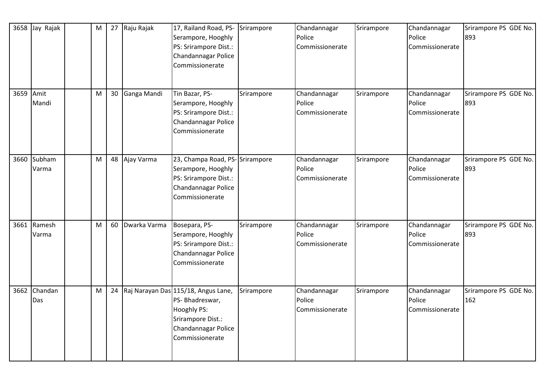|           | 3658 Jay Rajak       | $\mathsf{M}% _{T}=\mathsf{M}_{T}\!\left( a,b\right) ,\ \mathsf{M}_{T}=\mathsf{M}_{T}\!\left( a,b\right) ,$ | 27 | Raju Rajak   | 17, Railand Road, PS-<br>Serampore, Hooghly<br>PS: Srirampore Dist.:<br>Chandannagar Police<br>Commissionerate                          | Srirampore | Chandannagar<br>Police<br>Commissionerate | Srirampore | Chandannagar<br>Police<br>Commissionerate | Srirampore PS GDE No.<br>893 |
|-----------|----------------------|------------------------------------------------------------------------------------------------------------|----|--------------|-----------------------------------------------------------------------------------------------------------------------------------------|------------|-------------------------------------------|------------|-------------------------------------------|------------------------------|
| 3659 Amit | Mandi                | M                                                                                                          | 30 | Ganga Mandi  | Tin Bazar, PS-<br>Serampore, Hooghly<br>PS: Srirampore Dist.:<br>Chandannagar Police<br>Commissionerate                                 | Srirampore | Chandannagar<br>Police<br>Commissionerate | Srirampore | Chandannagar<br>Police<br>Commissionerate | Srirampore PS GDE No.<br>893 |
|           | 3660 Subham<br>Varma | M                                                                                                          | 48 | Ajay Varma   | 23, Champa Road, PS-Srirampore<br>Serampore, Hooghly<br>PS: Srirampore Dist.:<br>Chandannagar Police<br>Commissionerate                 |            | Chandannagar<br>Police<br>Commissionerate | Srirampore | Chandannagar<br>Police<br>Commissionerate | Srirampore PS GDE No.<br>893 |
|           | 3661 Ramesh<br>Varma | M                                                                                                          | 60 | Dwarka Varma | Bosepara, PS-<br>Serampore, Hooghly<br>PS: Srirampore Dist.:<br>Chandannagar Police<br>Commissionerate                                  | Srirampore | Chandannagar<br>Police<br>Commissionerate | Srirampore | Chandannagar<br>Police<br>Commissionerate | Srirampore PS GDE No.<br>893 |
|           | 3662 Chandan<br>Das  | $\mathsf{M}% _{T}=\mathsf{M}_{T}\!\left( a,b\right) ,\ \mathsf{M}_{T}=\mathsf{M}_{T}\!\left( a,b\right) ,$ |    |              | 24 Raj Narayan Das 115/18, Angus Lane,<br>PS- Bhadreswar,<br>Hooghly PS:<br>Srirampore Dist.:<br>Chandannagar Police<br>Commissionerate | Srirampore | Chandannagar<br>Police<br>Commissionerate | Srirampore | Chandannagar<br>Police<br>Commissionerate | Srirampore PS GDE No.<br>162 |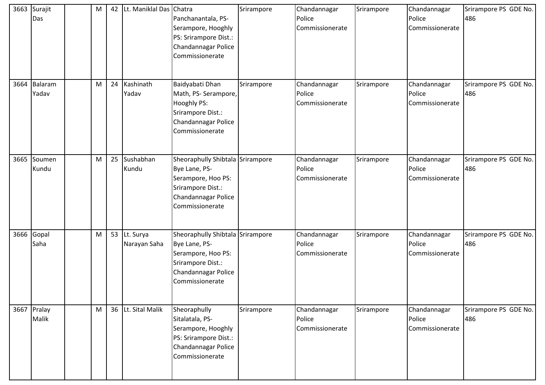| 3663 | Surajit<br>Das       | M | 42 | Lt. Maniklal Das Chatra      | Panchanantala, PS-<br>Serampore, Hooghly<br>PS: Srirampore Dist.:<br>Chandannagar Police<br>Commissionerate                            | Srirampore | Chandannagar<br>Police<br>Commissionerate | Srirampore | Chandannagar<br>Police<br>Commissionerate | Srirampore PS GDE No.<br>486 |
|------|----------------------|---|----|------------------------------|----------------------------------------------------------------------------------------------------------------------------------------|------------|-------------------------------------------|------------|-------------------------------------------|------------------------------|
| 3664 | Balaram<br>Yadav     | M | 24 | Kashinath<br>Yadav           | Baidyabati Dhan<br>Math, PS- Serampore,<br><b>Hooghly PS:</b><br>Srirampore Dist.:<br>Chandannagar Police<br>Commissionerate           | Srirampore | Chandannagar<br>Police<br>Commissionerate | Srirampore | Chandannagar<br>Police<br>Commissionerate | Srirampore PS GDE No.<br>486 |
|      | 3665 Soumen<br>Kundu | M | 25 | Sushabhan<br>Kundu           | Sheoraphully Shibtala Srirampore<br>Bye Lane, PS-<br>Serampore, Hoo PS:<br>Srirampore Dist.:<br>Chandannagar Police<br>Commissionerate |            | Chandannagar<br>Police<br>Commissionerate | Srirampore | Chandannagar<br>Police<br>Commissionerate | Srirampore PS GDE No.<br>486 |
|      | 3666 Gopal<br>Saha   | M |    | 53 Lt. Surya<br>Narayan Saha | Sheoraphully Shibtala Srirampore<br>Bye Lane, PS-<br>Serampore, Hoo PS:<br>Srirampore Dist.:<br>Chandannagar Police<br>Commissionerate |            | Chandannagar<br>Police<br>Commissionerate | Srirampore | Chandannagar<br>Police<br>Commissionerate | Srirampore PS GDE No.<br>486 |
|      | 3667 Pralay<br>Malik | M |    | 36 Lt. Sital Malik           | Sheoraphully<br>Sitalatala, PS-<br>Serampore, Hooghly<br>PS: Srirampore Dist.:<br>Chandannagar Police<br>Commissionerate               | Srirampore | Chandannagar<br>Police<br>Commissionerate | Srirampore | Chandannagar<br>Police<br>Commissionerate | Srirampore PS GDE No.<br>486 |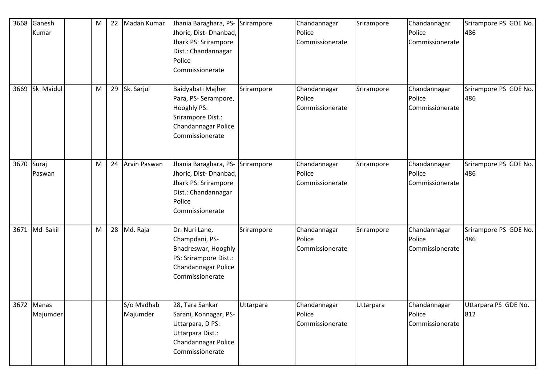| 3668       | Ganesh<br>Kumar        | M | 22 | Madan Kumar            | Jhania Baraghara, PS- Srirampore<br>Jhoric, Dist-Dhanbad,<br>Jhark PS: Srirampore<br>Dist.: Chandannagar<br>Police<br>Commissionerate |            | Chandannagar<br>Police<br>Commissionerate | Srirampore | Chandannagar<br>Police<br>Commissionerate | Srirampore PS GDE No.<br>486 |
|------------|------------------------|---|----|------------------------|---------------------------------------------------------------------------------------------------------------------------------------|------------|-------------------------------------------|------------|-------------------------------------------|------------------------------|
| 3669       | Sk Maidul              | M |    | 29 Sk. Sarjul          | Baidyabati Majher<br>Para, PS-Serampore,<br>Hooghly PS:<br>Srirampore Dist.:<br>Chandannagar Police<br>Commissionerate                | Srirampore | Chandannagar<br>Police<br>Commissionerate | Srirampore | Chandannagar<br>Police<br>Commissionerate | Srirampore PS GDE No.<br>486 |
| 3670 Suraj | Paswan                 | м |    | 24 Arvin Paswan        | Jhania Baraghara, PS-<br>Jhoric, Dist-Dhanbad,<br>Jhark PS: Srirampore<br>Dist.: Chandannagar<br>Police<br>Commissionerate            | Srirampore | Chandannagar<br>Police<br>Commissionerate | Srirampore | Chandannagar<br>Police<br>Commissionerate | Srirampore PS GDE No.<br>486 |
|            | 3671 Md Sakil          | Μ |    | 28 Md. Raja            | Dr. Nuri Lane,<br>Champdani, PS-<br>Bhadreswar, Hooghly<br>PS: Srirampore Dist.:<br>Chandannagar Police<br>Commissionerate            | Srirampore | Chandannagar<br>Police<br>Commissionerate | Srirampore | Chandannagar<br>Police<br>Commissionerate | Srirampore PS GDE No.<br>486 |
|            | 3672 Manas<br>Majumder |   |    | S/o Madhab<br>Majumder | 28, Tara Sankar<br>Sarani, Konnagar, PS-<br>Uttarpara, D PS:<br>Uttarpara Dist.:<br>Chandannagar Police<br>Commissionerate            | Uttarpara  | Chandannagar<br>Police<br>Commissionerate | Uttarpara  | Chandannagar<br>Police<br>Commissionerate | Uttarpara PS GDE No.<br>812  |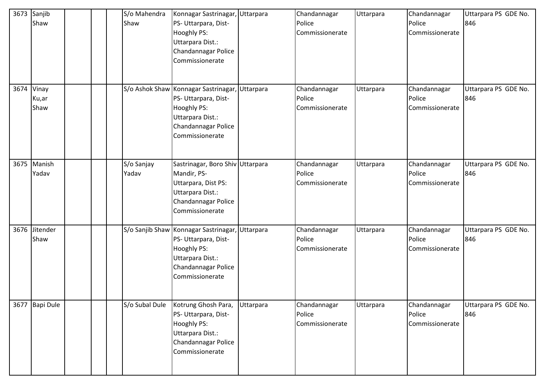| 3673       | Sanjib<br>Shaw        | S/o Mahendra<br>Shaw | Konnagar Sastrinagar, Uttarpara<br>PS- Uttarpara, Dist-<br>Hooghly PS:<br>Uttarpara Dist.:<br>Chandannagar Police<br>Commissionerate                |           | Chandannagar<br>Police<br>Commissionerate | Uttarpara | Chandannagar<br>Police<br>Commissionerate | Uttarpara PS GDE No.<br>846 |
|------------|-----------------------|----------------------|-----------------------------------------------------------------------------------------------------------------------------------------------------|-----------|-------------------------------------------|-----------|-------------------------------------------|-----------------------------|
| 3674 Vinay | Ku,ar<br>Shaw         |                      | S/o Ashok Shaw Konnagar Sastrinagar, Uttarpara<br>PS- Uttarpara, Dist-<br>Hooghly PS:<br>Uttarpara Dist.:<br>Chandannagar Police<br>Commissionerate |           | Chandannagar<br>Police<br>Commissionerate | Uttarpara | Chandannagar<br>Police<br>Commissionerate | Uttarpara PS GDE No.<br>846 |
|            | 3675 Manish<br>Yadav  | S/o Sanjay<br>Yadav  | Sastrinagar, Boro Shiv Uttarpara<br>Mandir, PS-<br>Uttarpara, Dist PS:<br>Uttarpara Dist.:<br>Chandannagar Police<br>Commissionerate                |           | Chandannagar<br>Police<br>Commissionerate | Uttarpara | Chandannagar<br>Police<br>Commissionerate | Uttarpara PS GDE No.<br>846 |
|            | 3676 Jitender<br>Shaw |                      | S/o Sanjib Shaw Konnagar Sastrinagar,<br>PS- Uttarpara, Dist-<br>Hooghly PS:<br>Uttarpara Dist.:<br>Chandannagar Police<br>Commissionerate          | Uttarpara | Chandannagar<br>Police<br>Commissionerate | Uttarpara | Chandannagar<br>Police<br>Commissionerate | Uttarpara PS GDE No.<br>846 |
|            | 3677 Bapi Dule        | S/o Subal Dule       | Kotrung Ghosh Para,<br>PS- Uttarpara, Dist-<br>Hooghly PS:<br>Uttarpara Dist.:<br>Chandannagar Police<br>Commissionerate                            | Uttarpara | Chandannagar<br>Police<br>Commissionerate | Uttarpara | Chandannagar<br>Police<br>Commissionerate | Uttarpara PS GDE No.<br>846 |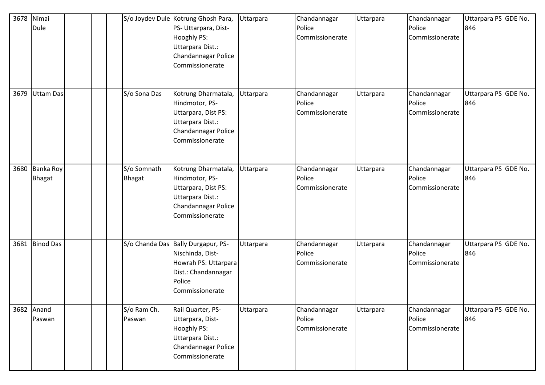| 3678 | Nimai<br>Dule        |                              | S/o Joydev Dule Kotrung Ghosh Para,<br>PS- Uttarpara, Dist-<br><b>Hooghly PS:</b><br>Uttarpara Dist.:<br>Chandannagar Police<br>Commissionerate | Uttarpara | Chandannagar<br>Police<br>Commissionerate | Uttarpara | Chandannagar<br>Police<br>Commissionerate | Uttarpara PS GDE No.<br>846 |
|------|----------------------|------------------------------|-------------------------------------------------------------------------------------------------------------------------------------------------|-----------|-------------------------------------------|-----------|-------------------------------------------|-----------------------------|
|      | 3679 Uttam Das       | S/o Sona Das                 | Kotrung Dharmatala,<br>Hindmotor, PS-<br>Uttarpara, Dist PS:<br>Uttarpara Dist.:<br>Chandannagar Police<br>Commissionerate                      | Uttarpara | Chandannagar<br>Police<br>Commissionerate | Uttarpara | Chandannagar<br>Police<br>Commissionerate | Uttarpara PS GDE No.<br>846 |
| 3680 | Banka Roy<br>Bhagat  | S/o Somnath<br><b>Bhagat</b> | Kotrung Dharmatala,<br>Hindmotor, PS-<br>Uttarpara, Dist PS:<br>Uttarpara Dist.:<br>Chandannagar Police<br>Commissionerate                      | Uttarpara | Chandannagar<br>Police<br>Commissionerate | Uttarpara | Chandannagar<br>Police<br>Commissionerate | Uttarpara PS GDE No.<br>846 |
|      | 3681 Binod Das       |                              | S/o Chanda Das Bally Durgapur, PS-<br>Nischinda, Dist-<br>Howrah PS: Uttarpara<br>Dist.: Chandannagar<br>Police<br>Commissionerate              | Uttarpara | Chandannagar<br>Police<br>Commissionerate | Uttarpara | Chandannagar<br>Police<br>Commissionerate | Uttarpara PS GDE No.<br>846 |
|      | 3682 Anand<br>Paswan | S/o Ram Ch.<br>Paswan        | Rail Quarter, PS-<br>Uttarpara, Dist-<br><b>Hooghly PS:</b><br>Uttarpara Dist.:<br>Chandannagar Police<br>Commissionerate                       | Uttarpara | Chandannagar<br>Police<br>Commissionerate | Uttarpara | Chandannagar<br>Police<br>Commissionerate | Uttarpara PS GDE No.<br>846 |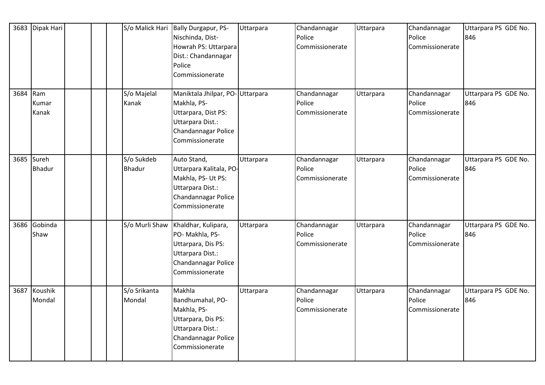|          | 3683 Dipak Hari        |                             | S/o Malick Hari Bally Durgapur, PS-<br>Nischinda, Dist-<br>Howrah PS: Uttarpara<br>Dist.: Chandannagar<br>Police<br>Commissionerate | Uttarpara | Chandannagar<br>Police<br>Commissionerate | Uttarpara | Chandannagar<br>Police<br>Commissionerate | Uttarpara PS GDE No.<br>846 |
|----------|------------------------|-----------------------------|-------------------------------------------------------------------------------------------------------------------------------------|-----------|-------------------------------------------|-----------|-------------------------------------------|-----------------------------|
| 3684 Ram | Kumar<br>Kanak         | S/o Majelal<br>Kanak        | Maniktala Jhilpar, PO-Uttarpara<br>Makhla, PS-<br>Uttarpara, Dist PS:<br>Uttarpara Dist.:<br>Chandannagar Police<br>Commissionerate |           | Chandannagar<br>Police<br>Commissionerate | Uttarpara | Chandannagar<br>Police<br>Commissionerate | Uttarpara PS GDE No.<br>846 |
| 3685     | Sureh<br><b>Bhadur</b> | S/o Sukdeb<br><b>Bhadur</b> | Auto Stand,<br>Uttarpara Kalitala, PO-<br>Makhla, PS- Ut PS:<br>Uttarpara Dist.:<br>Chandannagar Police<br>Commissionerate          | Uttarpara | Chandannagar<br>Police<br>Commissionerate | Uttarpara | Chandannagar<br>Police<br>Commissionerate | Uttarpara PS GDE No.<br>846 |
| 3686     | Gobinda<br>Shaw        | S/o Murli Shaw              | Khaldhar, Kulipara,<br>PO-Makhla, PS-<br>Uttarpara, Dis PS:<br>Uttarpara Dist.:<br>Chandannagar Police<br>Commissionerate           | Uttarpara | Chandannagar<br>Police<br>Commissionerate | Uttarpara | Chandannagar<br>Police<br>Commissionerate | Uttarpara PS GDE No.<br>846 |
| 3687     | Koushik<br>Mondal      | S/o Srikanta<br>Mondal      | Makhla<br>Bandhumahal, PO-<br>Makhla, PS-<br>Uttarpara, Dis PS:<br>Uttarpara Dist.:<br>Chandannagar Police<br>Commissionerate       | Uttarpara | Chandannagar<br>Police<br>Commissionerate | Uttarpara | Chandannagar<br>Police<br>Commissionerate | Uttarpara PS GDE No.<br>846 |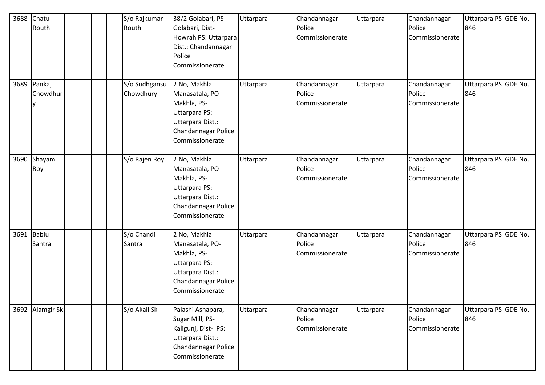| 3688 | Chatu<br>Routh          | S/o Rajkumar<br>Routh      | 38/2 Golabari, PS-<br>Golabari, Dist-<br>Howrah PS: Uttarpara<br>Dist.: Chandannagar<br>Police<br>Commissionerate             | Uttarpara | Chandannagar<br>Police<br>Commissionerate | Uttarpara | Chandannagar<br>Police<br>Commissionerate | Uttarpara PS GDE No.<br>846 |
|------|-------------------------|----------------------------|-------------------------------------------------------------------------------------------------------------------------------|-----------|-------------------------------------------|-----------|-------------------------------------------|-----------------------------|
| 3689 | Pankaj<br>Chowdhur<br>v | S/o Sudhgansu<br>Chowdhury | 2 No, Makhla<br>Manasatala, PO-<br>Makhla, PS-<br>Uttarpara PS:<br>Uttarpara Dist.:<br>Chandannagar Police<br>Commissionerate | Uttarpara | Chandannagar<br>Police<br>Commissionerate | Uttarpara | Chandannagar<br>Police<br>Commissionerate | Uttarpara PS GDE No.<br>846 |
|      | 3690 Shayam<br>Roy      | S/o Rajen Roy              | 2 No, Makhla<br>Manasatala, PO-<br>Makhla, PS-<br>Uttarpara PS:<br>Uttarpara Dist.:<br>Chandannagar Police<br>Commissionerate | Uttarpara | Chandannagar<br>Police<br>Commissionerate | Uttarpara | Chandannagar<br>Police<br>Commissionerate | Uttarpara PS GDE No.<br>846 |
|      | 3691 Bablu<br>Santra    | S/o Chandi<br>Santra       | 2 No, Makhla<br>Manasatala, PO-<br>Makhla, PS-<br>Uttarpara PS:<br>Uttarpara Dist.:<br>Chandannagar Police<br>Commissionerate | Uttarpara | Chandannagar<br>Police<br>Commissionerate | Uttarpara | Chandannagar<br>Police<br>Commissionerate | Uttarpara PS GDE No.<br>846 |
|      | 3692 Alamgir Sk         | S/o Akali Sk               | Palashi Ashapara,<br>Sugar Mill, PS-<br>Kaligunj, Dist- PS:<br>Uttarpara Dist.:<br>Chandannagar Police<br>Commissionerate     | Uttarpara | Chandannagar<br>Police<br>Commissionerate | Uttarpara | Chandannagar<br>Police<br>Commissionerate | Uttarpara PS GDE No.<br>846 |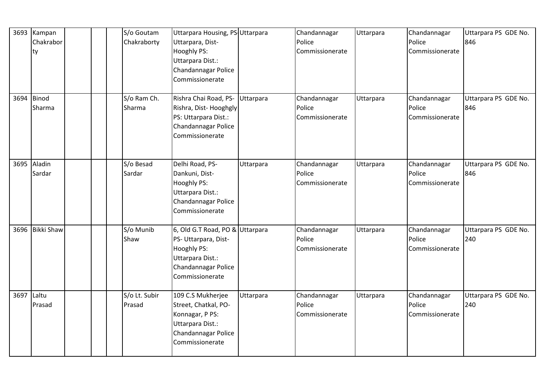|            | 3693 Kampan<br>Chakrabor<br>ty | S/o Goutam<br>Chakraborty | Uttarpara Housing, PS-Uttarpara<br>Uttarpara, Dist-<br>Hooghly PS:<br>Uttarpara Dist.:<br>Chandannagar Police<br>Commissionerate     |           | Chandannagar<br>Police<br>Commissionerate | Uttarpara | Chandannagar<br>Police<br>Commissionerate | Uttarpara PS GDE No.<br>846 |
|------------|--------------------------------|---------------------------|--------------------------------------------------------------------------------------------------------------------------------------|-----------|-------------------------------------------|-----------|-------------------------------------------|-----------------------------|
|            | 3694 Binod<br>Sharma           | S/o Ram Ch.<br>Sharma     | Rishra Chai Road, PS-<br>Rishra, Dist-Hooghgly<br>PS: Uttarpara Dist.:<br>Chandannagar Police<br>Commissionerate                     | Uttarpara | Chandannagar<br>Police<br>Commissionerate | Uttarpara | Chandannagar<br>Police<br>Commissionerate | Uttarpara PS GDE No.<br>846 |
|            | 3695 Aladin<br>Sardar          | S/o Besad<br>Sardar       | Delhi Road, PS-<br>Dankuni, Dist-<br>Hooghly PS:<br>Uttarpara Dist.:<br>Chandannagar Police<br>Commissionerate                       | Uttarpara | Chandannagar<br>Police<br>Commissionerate | Uttarpara | Chandannagar<br>Police<br>Commissionerate | Uttarpara PS GDE No.<br>846 |
|            | 3696 Bikki Shaw                | S/o Munib<br>Shaw         | 6, Old G.T Road, PO & Uttarpara<br>PS- Uttarpara, Dist-<br>Hooghly PS:<br>Uttarpara Dist.:<br>Chandannagar Police<br>Commissionerate |           | Chandannagar<br>Police<br>Commissionerate | Uttarpara | Chandannagar<br>Police<br>Commissionerate | Uttarpara PS GDE No.<br>240 |
| 3697 Laltu | Prasad                         | S/o Lt. Subir<br>Prasad   | 109 C.S Mukherjee<br>Street, Chatkal, PO-<br>Konnagar, P PS:<br>Uttarpara Dist.:<br>Chandannagar Police<br>Commissionerate           | Uttarpara | Chandannagar<br>Police<br>Commissionerate | Uttarpara | Chandannagar<br>Police<br>Commissionerate | Uttarpara PS GDE No.<br>240 |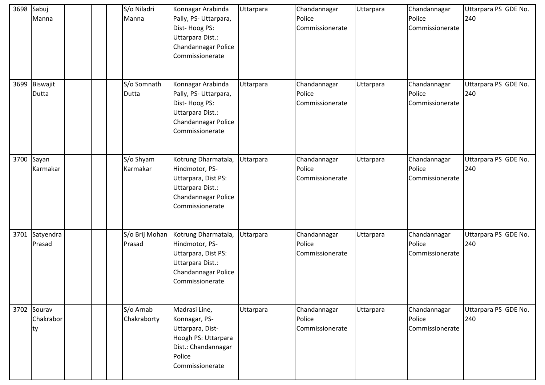| 3698 | Sabuj<br>Manna                 |  | S/o Niladri<br>Manna     | Konnagar Arabinda<br>Pally, PS- Uttarpara,<br>Dist-Hoog PS:<br>Uttarpara Dist.:<br>Chandannagar Police<br>Commissionerate     | Uttarpara | Chandannagar<br>Police<br>Commissionerate | Uttarpara | Chandannagar<br>Police<br>Commissionerate | Uttarpara PS GDE No.<br>240 |
|------|--------------------------------|--|--------------------------|-------------------------------------------------------------------------------------------------------------------------------|-----------|-------------------------------------------|-----------|-------------------------------------------|-----------------------------|
|      | 3699 Biswajit<br>Dutta         |  | S/o Somnath<br>Dutta     | Konnagar Arabinda<br>Pally, PS- Uttarpara,<br>Dist-Hoog PS:<br>Uttarpara Dist.:<br>Chandannagar Police<br>Commissionerate     | Uttarpara | Chandannagar<br>Police<br>Commissionerate | Uttarpara | Chandannagar<br>Police<br>Commissionerate | Uttarpara PS GDE No.<br>240 |
|      | 3700 Sayan<br>Karmakar         |  | S/o Shyam<br>Karmakar    | Kotrung Dharmatala,<br>Hindmotor, PS-<br>Uttarpara, Dist PS:<br>Uttarpara Dist.:<br>Chandannagar Police<br>Commissionerate    | Uttarpara | Chandannagar<br>Police<br>Commissionerate | Uttarpara | Chandannagar<br>Police<br>Commissionerate | Uttarpara PS GDE No.<br>240 |
| 3701 | Satyendra<br>Prasad            |  | S/o Brij Mohan<br>Prasad | Kotrung Dharmatala,<br>Hindmotor, PS-<br>Uttarpara, Dist PS:<br>Uttarpara Dist.:<br>Chandannagar Police<br>Commissionerate    | Uttarpara | Chandannagar<br>Police<br>Commissionerate | Uttarpara | Chandannagar<br>Police<br>Commissionerate | Uttarpara PS GDE No.<br>240 |
|      | 3702 Sourav<br>Chakrabor<br>ty |  | S/o Arnab<br>Chakraborty | Madrasi Line,<br>Konnagar, PS-<br>Uttarpara, Dist-<br>Hoogh PS: Uttarpara<br>Dist.: Chandannagar<br>Police<br>Commissionerate | Uttarpara | Chandannagar<br>Police<br>Commissionerate | Uttarpara | Chandannagar<br>Police<br>Commissionerate | Uttarpara PS GDE No.<br>240 |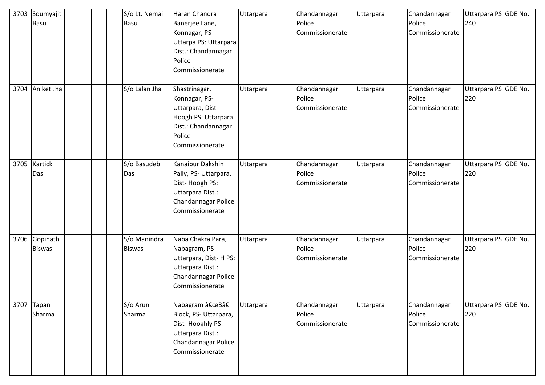| 3703 | Soumyajit<br>Basu         |  | S/o Lt. Nemai<br>Basu         | Haran Chandra<br>Banerjee Lane,<br>Konnagar, PS-<br>Uttarpa PS: Uttarpara<br>Dist.: Chandannagar<br>Police<br>Commissionerate | Uttarpara | Chandannagar<br>Police<br>Commissionerate | Uttarpara | Chandannagar<br>Police<br>Commissionerate | Uttarpara PS GDE No.<br>240 |
|------|---------------------------|--|-------------------------------|-------------------------------------------------------------------------------------------------------------------------------|-----------|-------------------------------------------|-----------|-------------------------------------------|-----------------------------|
| 3704 | Aniket Jha                |  | S/o Lalan Jha                 | Shastrinagar,<br>Konnagar, PS-<br>Uttarpara, Dist-<br>Hoogh PS: Uttarpara<br>Dist.: Chandannagar<br>Police<br>Commissionerate | Uttarpara | Chandannagar<br>Police<br>Commissionerate | Uttarpara | Chandannagar<br>Police<br>Commissionerate | Uttarpara PS GDE No.<br>220 |
| 3705 | Kartick<br>Das            |  | S/o Basudeb<br>Das            | Kanaipur Dakshin<br>Pally, PS-Uttarpara,<br>Dist-Hoogh PS:<br>Uttarpara Dist.:<br>Chandannagar Police<br>Commissionerate      | Uttarpara | Chandannagar<br>Police<br>Commissionerate | Uttarpara | Chandannagar<br>Police<br>Commissionerate | Uttarpara PS GDE No.<br>220 |
| 3706 | Gopinath<br><b>Biswas</b> |  | S/o Manindra<br><b>Biswas</b> | Naba Chakra Para,<br>Nabagram, PS-<br>Uttarpara, Dist-H PS:<br>Uttarpara Dist.:<br>Chandannagar Police<br>Commissionerate     | Uttarpara | Chandannagar<br>Police<br>Commissionerate | Uttarpara | Chandannagar<br>Police<br>Commissionerate | Uttarpara PS GDE No.<br>220 |
| 3707 | Tapan<br>Sharma           |  | S/o Arun<br>Sharma            | Nabagram "Bâ€<br>Block, PS-Uttarpara,<br>Dist-Hooghly PS:<br>Uttarpara Dist.:<br>Chandannagar Police<br>Commissionerate       | Uttarpara | Chandannagar<br>Police<br>Commissionerate | Uttarpara | Chandannagar<br>Police<br>Commissionerate | Uttarpara PS GDE No.<br>220 |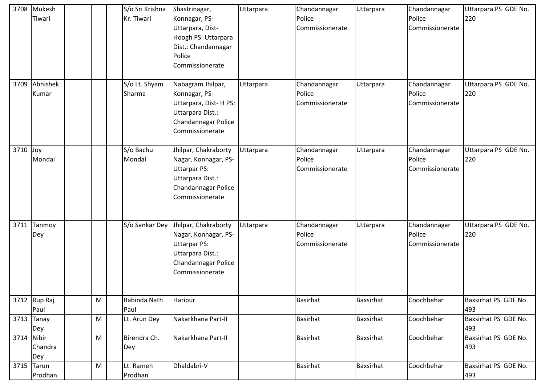|          | 3708 Mukesh<br>Tiwari        |   | S/o Sri Krishna<br>Kr. Tiwari | Shastrinagar,<br>Konnagar, PS-<br>Uttarpara, Dist-<br>Hoogh PS: Uttarpara<br>Dist.: Chandannagar<br>Police<br>Commissionerate     | Uttarpara | Chandannagar<br>Police<br>Commissionerate | Uttarpara        | Chandannagar<br>Police<br>Commissionerate | Uttarpara PS GDE No.<br>220 |
|----------|------------------------------|---|-------------------------------|-----------------------------------------------------------------------------------------------------------------------------------|-----------|-------------------------------------------|------------------|-------------------------------------------|-----------------------------|
| 3709     | Abhishek<br>Kumar            |   | S/o Lt. Shyam<br>Sharma       | Nabagram Jhilpar,<br>Konnagar, PS-<br>Uttarpara, Dist-HPS:<br>Uttarpara Dist.:<br>Chandannagar Police<br>Commissionerate          | Uttarpara | Chandannagar<br>Police<br>Commissionerate | Uttarpara        | Chandannagar<br>Police<br>Commissionerate | Uttarpara PS GDE No.<br>220 |
| 3710 Joy | Mondal                       |   | S/o Bachu<br>Mondal           | Jhilpar, Chakraborty<br>Nagar, Konnagar, PS-<br><b>Uttarpar PS:</b><br>Uttarpara Dist.:<br>Chandannagar Police<br>Commissionerate | Uttarpara | Chandannagar<br>Police<br>Commissionerate | Uttarpara        | Chandannagar<br>Police<br>Commissionerate | Uttarpara PS GDE No.<br>220 |
| 3711     | Tanmoy<br>Dey                |   | S/o Sankar Dey                | Jhilpar, Chakraborty<br>Nagar, Konnagar, PS-<br><b>Uttarpar PS:</b><br>Uttarpara Dist.:<br>Chandannagar Police<br>Commissionerate | Uttarpara | Chandannagar<br>Police<br>Commissionerate | Uttarpara        | Chandannagar<br>Police<br>Commissionerate | Uttarpara PS GDE No.<br>220 |
|          | 3712 Rup Raj<br>Paul         | M | Rabinda Nath<br>Paul          | Haripur                                                                                                                           |           | <b>Basirhat</b>                           | <b>Baxsirhat</b> | Coochbehar                                | Baxsirhat PS GDE No.<br>493 |
| 3713     | Tanay<br>Dey                 | M | Lt. Arun Dey                  | Nakarkhana Part-II                                                                                                                |           | <b>Basirhat</b>                           | Baxsirhat        | Coochbehar                                | Baxsirhat PS GDE No.<br>493 |
|          | 3714 Nibir<br>Chandra<br>Dey | M | Birendra Ch.<br>Dey           | Nakarkhana Part-II                                                                                                                |           | <b>Basirhat</b>                           | Baxsirhat        | Coochbehar                                | Baxsirhat PS GDE No.<br>493 |
| 3715     | Tarun<br>Prodhan             | M | Lt. Rameh<br>Prodhan          | Dhaldabri-V                                                                                                                       |           | <b>Basirhat</b>                           | <b>Baxsirhat</b> | Coochbehar                                | Baxsirhat PS GDE No.<br>493 |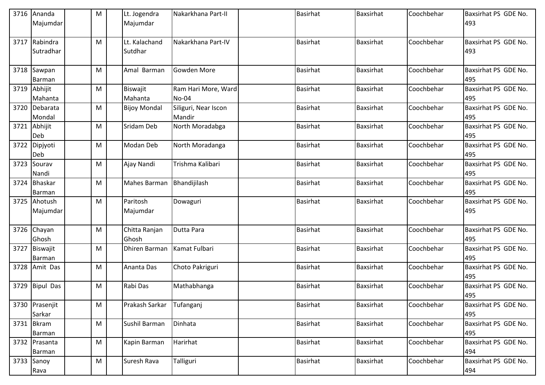| 3716 | Ananda<br>Majumdar        | M | Lt. Jogendra<br>Majumdar | Nakarkhana Part-II             | <b>Basirhat</b> | Baxsirhat        | Coochbehar | Baxsirhat PS GDE No.<br>493 |
|------|---------------------------|---|--------------------------|--------------------------------|-----------------|------------------|------------|-----------------------------|
| 3717 | Rabindra<br>Sutradhar     | M | Lt. Kalachand<br>Sutdhar | Nakarkhana Part-IV             | <b>Basirhat</b> | <b>Baxsirhat</b> | Coochbehar | Baxsirhat PS GDE No.<br>493 |
|      | 3718 Sawpan<br>Barman     | M | Amal Barman              | Gowden More                    | <b>Basirhat</b> | Baxsirhat        | Coochbehar | Baxsirhat PS GDE No.<br>495 |
|      | 3719 Abhijit<br>Mahanta   | M | Biswajit<br>Mahanta      | Ram Hari More, Ward<br>No-04   | <b>Basirhat</b> | <b>Baxsirhat</b> | Coochbehar | Baxsirhat PS GDE No.<br>495 |
| 3720 | Debarata<br>Mondal        | M | <b>Bijoy Mondal</b>      | Siliguri, Near Iscon<br>Mandir | <b>Basirhat</b> | Baxsirhat        | Coochbehar | Baxsirhat PS GDE No.<br>495 |
| 3721 | Abhijit<br>Deb            | M | Sridam Deb               | North Moradabga                | <b>Basirhat</b> | <b>Baxsirhat</b> | Coochbehar | Baxsirhat PS GDE No.<br>495 |
| 3722 | Dipjyoti<br>Deb           | M | <b>Modan Deb</b>         | North Moradanga                | <b>Basirhat</b> | <b>Baxsirhat</b> | Coochbehar | Baxsirhat PS GDE No.<br>495 |
| 3723 | Sourav<br>Nandi           | M | Ajay Nandi               | Trishma Kalibari               | <b>Basirhat</b> | <b>Baxsirhat</b> | Coochbehar | Baxsirhat PS GDE No.<br>495 |
| 3724 | Bhaskar<br><b>Barman</b>  | M | <b>Mahes Barman</b>      | Bhandijilash                   | <b>Basirhat</b> | <b>Baxsirhat</b> | Coochbehar | Baxsirhat PS GDE No.<br>495 |
|      | 3725 Ahotush<br>Majumdar  | M | Paritosh<br>Majumdar     | Dowaguri                       | <b>Basirhat</b> | <b>Baxsirhat</b> | Coochbehar | Baxsirhat PS GDE No.<br>495 |
| 3726 | Chayan<br>Ghosh           | M | Chitta Ranjan<br>Ghosh   | Dutta Para                     | <b>Basirhat</b> | <b>Baxsirhat</b> | Coochbehar | Baxsirhat PS GDE No.<br>495 |
| 3727 | Biswajit<br><b>Barman</b> | M | Dhiren Barman            | Kamat Fulbari                  | <b>Basirhat</b> | Baxsirhat        | Coochbehar | Baxsirhat PS GDE No.<br>495 |
| 3728 | Amit Das                  | M | Ananta Das               | Choto Pakriguri                | <b>Basirhat</b> | <b>Baxsirhat</b> | Coochbehar | Baxsirhat PS GDE No.<br>495 |
| 3729 | <b>Bipul Das</b>          | M | Rabi Das                 | Mathabhanga                    | <b>Basirhat</b> | Baxsirhat        | Coochbehar | Baxsirhat PS GDE No.<br>495 |
|      | 3730 Prasenjit<br>Sarkar  | M | Prakash Sarkar           | Tufanganj                      | <b>Basirhat</b> | Baxsirhat        | Coochbehar | Baxsirhat PS GDE No.<br>495 |
|      | 3731 Bkram<br>Barman      | M | Sushil Barman            | Dinhata                        | <b>Basirhat</b> | Baxsirhat        | Coochbehar | Baxsirhat PS GDE No.<br>495 |
|      | 3732 Prasanta<br>Barman   | M | Kapin Barman             | Harirhat                       | <b>Basirhat</b> | Baxsirhat        | Coochbehar | Baxsirhat PS GDE No.<br>494 |
|      | $3733$ Sanoy<br>Rava      | M | Suresh Rava              | Talliguri                      | <b>Basirhat</b> | Baxsirhat        | Coochbehar | Baxsirhat PS GDE No.<br>494 |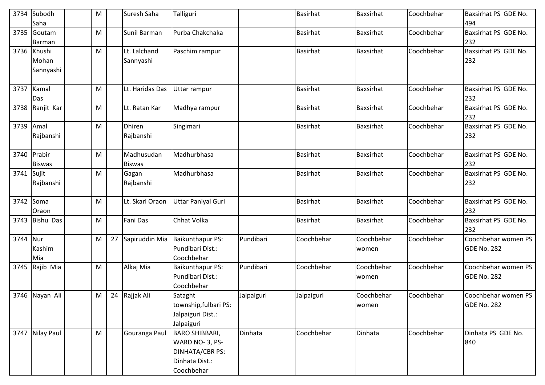| 3734 | Subodh<br>Saha               | M | Suresh Saha                 | Talliguri                                                                                  |            | <b>Basirhat</b> | Baxsirhat           | Coochbehar | Baxsirhat PS GDE No.<br>494               |
|------|------------------------------|---|-----------------------------|--------------------------------------------------------------------------------------------|------------|-----------------|---------------------|------------|-------------------------------------------|
| 3735 | Goutam<br>Barman             | M | Sunil Barman                | Purba Chakchaka                                                                            |            | <b>Basirhat</b> | <b>Baxsirhat</b>    | Coochbehar | Baxsirhat PS GDE No.<br>232               |
| 3736 | Khushi<br>Mohan<br>Sannyashi | M | Lt. Lalchand<br>Sannyashi   | Paschim rampur                                                                             |            | <b>Basirhat</b> | <b>Baxsirhat</b>    | Coochbehar | Baxsirhat PS GDE No.<br>232               |
| 3737 | Kamal<br>Das                 | M | Lt. Haridas Das             | Uttar rampur                                                                               |            | Basirhat        | Baxsirhat           | Coochbehar | Baxsirhat PS GDE No.<br>232               |
| 3738 | Ranjit Kar                   | M | Lt. Ratan Kar               | Madhya rampur                                                                              |            | <b>Basirhat</b> | <b>Baxsirhat</b>    | Coochbehar | Baxsirhat PS GDE No.<br>232               |
| 3739 | Amal<br>Rajbanshi            | M | <b>Dhiren</b><br>Rajbanshi  | Singimari                                                                                  |            | <b>Basirhat</b> | Baxsirhat           | Coochbehar | Baxsirhat PS GDE No.<br>232               |
| 3740 | Prabir<br><b>Biswas</b>      | M | Madhusudan<br><b>Biswas</b> | Madhurbhasa                                                                                |            | <b>Basirhat</b> | Baxsirhat           | Coochbehar | Baxsirhat PS GDE No.<br>232               |
| 3741 | Sujit<br>Rajbanshi           | M | Gagan<br>Rajbanshi          | Madhurbhasa                                                                                |            | <b>Basirhat</b> | Baxsirhat           | Coochbehar | Baxsirhat PS GDE No.<br>232               |
| 3742 | Soma<br>Oraon                | M | Lt. Skari Oraon             | <b>Uttar Paniyal Guri</b>                                                                  |            | <b>Basirhat</b> | <b>Baxsirhat</b>    | Coochbehar | Baxsirhat PS GDE No.<br>232               |
| 3743 | Bishu Das                    | M | <b>Fani Das</b>             | Chhat Volka                                                                                |            | <b>Basirhat</b> | Baxsirhat           | Coochbehar | Baxsirhat PS GDE No.<br>232               |
| 3744 | Nur<br>Kashim<br>Mia         | M | 27 Sapiruddin Mia           | <b>Baikunthapur PS:</b><br>Pundibari Dist.:<br>Coochbehar                                  | Pundibari  | Coochbehar      | Coochbehar<br>women | Coochbehar | Coochbehar women PS<br><b>GDE No. 282</b> |
| 3745 | Rajib Mia                    | M | Alkaj Mia                   | <b>Baikunthapur PS:</b><br>Pundibari Dist.:<br>Coochbehar                                  | Pundibari  | Coochbehar      | Coochbehar<br>women | Coochbehar | Coochbehar women PS<br><b>GDE No. 282</b> |
|      | 3746 Nayan Ali               | M | 24 Rajjak Ali               | Sataght<br>township, fulbari PS:<br>Jalpaiguri Dist.:<br>Jalpaiguri                        | Jalpaiguri | Jalpaiguri      | Coochbehar<br>women | Coochbehar | Coochbehar women PS<br><b>GDE No. 282</b> |
| 3747 | Nilay Paul                   | M | Gouranga Paul               | <b>BARO SHIBBARI,</b><br>WARD NO-3, PS-<br>DINHATA/CBR PS:<br>Dinhata Dist.:<br>Coochbehar | Dinhata    | Coochbehar      | Dinhata             | Coochbehar | Dinhata PS GDE No.<br>840                 |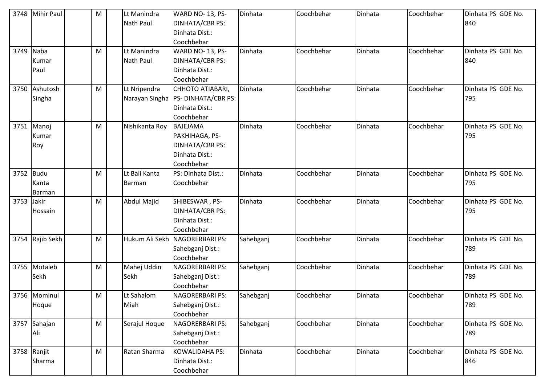| 3748      | <b>Mihir Paul</b> | M | Lt Manindra<br>Nath Paul | WARD NO-13, PS-<br>DINHATA/CBR PS:<br>Dinhata Dist.: | Dinhata   | Coochbehar | Dinhata | Coochbehar | Dinhata PS GDE No.<br>840 |
|-----------|-------------------|---|--------------------------|------------------------------------------------------|-----------|------------|---------|------------|---------------------------|
|           |                   |   |                          | Coochbehar                                           |           |            |         |            |                           |
| 3749 Naba |                   | M | Lt Manindra              | WARD NO-13, PS-                                      | Dinhata   | Coochbehar | Dinhata | Coochbehar | Dinhata PS GDE No.        |
|           | Kumar             |   | Nath Paul                | DINHATA/CBR PS:                                      |           |            |         |            | 840                       |
|           | Paul              |   |                          | Dinhata Dist.:                                       |           |            |         |            |                           |
|           |                   |   |                          | Coochbehar                                           |           |            |         |            |                           |
| 3750      | Ashutosh          | M | Lt Nripendra             | CHHOTO ATIABARI,                                     | Dinhata   | Coochbehar | Dinhata | Coochbehar | Dinhata PS GDE No.        |
|           | Singha            |   |                          | Narayan Singha   PS- DINHATA/CBR PS:                 |           |            |         |            | 795                       |
|           |                   |   |                          | Dinhata Dist.:                                       |           |            |         |            |                           |
|           |                   |   |                          | Coochbehar                                           |           |            |         |            |                           |
|           | 3751 Manoj        | M | Nishikanta Roy           | <b>BAJEJAMA</b>                                      | Dinhata   | Coochbehar | Dinhata | Coochbehar | Dinhata PS GDE No.        |
|           | Kumar             |   |                          | PAKHIHAGA, PS-                                       |           |            |         |            | 795                       |
|           | Roy               |   |                          | <b>DINHATA/CBR PS:</b>                               |           |            |         |            |                           |
|           |                   |   |                          | Dinhata Dist.:                                       |           |            |         |            |                           |
|           |                   |   |                          | Coochbehar                                           |           |            |         |            |                           |
| 3752 Budu |                   | M | Lt Bali Kanta            | PS: Dinhata Dist.:                                   | Dinhata   | Coochbehar | Dinhata | Coochbehar | Dinhata PS GDE No.        |
|           | Kanta             |   | Barman                   | Coochbehar                                           |           |            |         |            | 795                       |
|           | Barman            |   |                          |                                                      |           |            |         |            |                           |
| 3753      | Jakir             | M | Abdul Majid              | SHIBESWAR, PS-                                       | Dinhata   | Coochbehar | Dinhata | Coochbehar | Dinhata PS GDE No.        |
|           | Hossain           |   |                          | <b>DINHATA/CBR PS:</b>                               |           |            |         |            | 795                       |
|           |                   |   |                          | Dinhata Dist.:                                       |           |            |         |            |                           |
|           |                   |   |                          | Coochbehar                                           |           |            |         |            |                           |
|           | 3754 Rajib Sekh   | M |                          | Hukum Ali Sekh NAGORERBARI PS:                       | Sahebganj | Coochbehar | Dinhata | Coochbehar | Dinhata PS GDE No.        |
|           |                   |   |                          | Sahebganj Dist.:                                     |           |            |         |            | 789                       |
|           |                   |   |                          | Coochbehar                                           |           |            |         |            |                           |
| 3755      | Motaleb           | M | Mahej Uddin              | NAGORERBARI PS:                                      | Sahebganj | Coochbehar | Dinhata | Coochbehar | Dinhata PS GDE No.        |
|           | Sekh              |   | Sekh                     | Sahebganj Dist.:                                     |           |            |         |            | 789                       |
|           |                   |   |                          | Coochbehar                                           |           |            |         |            |                           |
|           | 3756 Mominul      | M | Lt Sahalom               | <b>NAGORERBARI PS:</b>                               | Sahebganj | Coochbehar | Dinhata | Coochbehar | Dinhata PS GDE No.        |
|           | Hoque             |   | Miah                     | Sahebganj Dist.:                                     |           |            |         |            | 789                       |
|           |                   |   |                          | Coochbehar                                           |           |            |         |            |                           |
|           | 3757 Sahajan      | M | Serajul Hoque            | NAGORERBARI PS:                                      | Sahebganj | Coochbehar | Dinhata | Coochbehar | Dinhata PS GDE No.        |
|           | Ali               |   |                          | Sahebganj Dist.:                                     |           |            |         |            | 789                       |
|           |                   |   |                          | Coochbehar                                           |           |            |         |            |                           |
|           | 3758 Ranjit       | M | Ratan Sharma             | <b>KOWALIDAHA PS:</b>                                | Dinhata   | Coochbehar | Dinhata | Coochbehar | Dinhata PS GDE No.        |
|           | Sharma            |   |                          | Dinhata Dist.:                                       |           |            |         |            | 846                       |
|           |                   |   |                          | Coochbehar                                           |           |            |         |            |                           |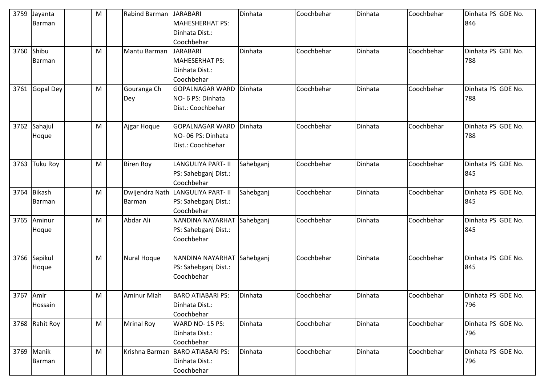| 3759       | Jayanta         | M | <b>Rabind Barman</b> | <b>JARABARI</b>           | Dinhata   | Coochbehar | Dinhata | Coochbehar | Dinhata PS GDE No. |
|------------|-----------------|---|----------------------|---------------------------|-----------|------------|---------|------------|--------------------|
|            | Barman          |   |                      | <b>MAHESHERHAT PS:</b>    |           |            |         |            | 846                |
|            |                 |   |                      | Dinhata Dist.:            |           |            |         |            |                    |
|            |                 |   |                      | Coochbehar                |           |            |         |            |                    |
| 3760 Shibu |                 | M | Mantu Barman         | <b>JARABARI</b>           | Dinhata   | Coochbehar | Dinhata | Coochbehar | Dinhata PS GDE No. |
|            | Barman          |   |                      | <b>MAHESERHAT PS:</b>     |           |            |         |            | 788                |
|            |                 |   |                      | Dinhata Dist.:            |           |            |         |            |                    |
|            |                 |   |                      | Coochbehar                |           |            |         |            |                    |
| 3761       | Gopal Dey       | M | Gouranga Ch          | <b>GOPALNAGAR WARD</b>    | Dinhata   | Coochbehar | Dinhata | Coochbehar | Dinhata PS GDE No. |
|            |                 |   | Dey                  | NO- 6 PS: Dinhata         |           |            |         |            | 788                |
|            |                 |   |                      | Dist.: Coochbehar         |           |            |         |            |                    |
| 3762       | Sahajul         | M | Ajgar Hoque          | <b>GOPALNAGAR WARD</b>    | Dinhata   | Coochbehar | Dinhata | Coochbehar | Dinhata PS GDE No. |
|            | Hoque           |   |                      | NO-06 PS: Dinhata         |           |            |         |            | 788                |
|            |                 |   |                      | Dist.: Coochbehar         |           |            |         |            |                    |
| 3763       | <b>Tuku Roy</b> | M | <b>Biren Roy</b>     | <b>LANGULIYA PART- II</b> | Sahebganj | Coochbehar | Dinhata | Coochbehar | Dinhata PS GDE No. |
|            |                 |   |                      | PS: Sahebganj Dist.:      |           |            |         |            | 845                |
|            |                 |   |                      | Coochbehar                |           |            |         |            |                    |
| 3764       | <b>Bikash</b>   | M | Dwijendra Nath       | <b>LANGULIYA PART- II</b> | Sahebganj | Coochbehar | Dinhata | Coochbehar | Dinhata PS GDE No. |
|            | Barman          |   | Barman               | PS: Sahebganj Dist.:      |           |            |         |            | 845                |
|            |                 |   |                      | Coochbehar                |           |            |         |            |                    |
| 3765       | Aminur          | M | Abdar Ali            | NANDINA NAYARHAT          | Sahebganj | Coochbehar | Dinhata | Coochbehar | Dinhata PS GDE No. |
|            | Hoque           |   |                      | PS: Sahebganj Dist.:      |           |            |         |            | 845                |
|            |                 |   |                      | Coochbehar                |           |            |         |            |                    |
|            |                 |   |                      |                           |           |            |         |            |                    |
| 3766       | Sapikul         | M | Nural Hoque          | NANDINA NAYARHAT          | Sahebganj | Coochbehar | Dinhata | Coochbehar | Dinhata PS GDE No. |
|            | Hoque           |   |                      | PS: Sahebganj Dist.:      |           |            |         |            | 845                |
|            |                 |   |                      | Coochbehar                |           |            |         |            |                    |
| 3767 Amir  |                 | M | Aminur Miah          | <b>BARO ATIABARI PS:</b>  | Dinhata   | Coochbehar | Dinhata | Coochbehar | Dinhata PS GDE No. |
|            | Hossain         |   |                      | Dinhata Dist.:            |           |            |         |            | 796                |
|            |                 |   |                      | Coochbehar                |           |            |         |            |                    |
|            | 3768 Rahit Roy  | M | <b>Mrinal Roy</b>    | WARD NO-15 PS:            | Dinhata   | Coochbehar | Dinhata | Coochbehar | Dinhata PS GDE No. |
|            |                 |   |                      | Dinhata Dist.:            |           |            |         |            | 796                |
|            |                 |   |                      | Coochbehar                |           |            |         |            |                    |
|            | 3769 Manik      | M | Krishna Barman       | <b>BARO ATIABARI PS:</b>  | Dinhata   | Coochbehar | Dinhata | Coochbehar | Dinhata PS GDE No. |
|            | Barman          |   |                      | Dinhata Dist.:            |           |            |         |            | 796                |
|            |                 |   |                      | Coochbehar                |           |            |         |            |                    |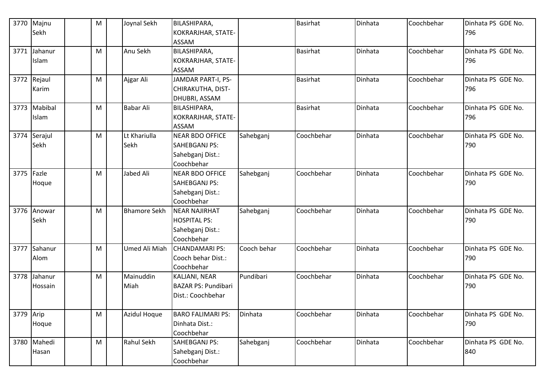|            | 3770 Majnu   | M | Joynal Sekh         | <b>BILASHIPARA,</b>        |             | <b>Basirhat</b> | Dinhata | Coochbehar | Dinhata PS GDE No. |
|------------|--------------|---|---------------------|----------------------------|-------------|-----------------|---------|------------|--------------------|
|            | Sekh         |   |                     | KOKRARJHAR, STATE-         |             |                 |         |            | 796                |
|            |              |   |                     | <b>ASSAM</b>               |             |                 |         |            |                    |
| 3771       | Jahanur      | M | Anu Sekh            | <b>BILASHIPARA,</b>        |             | <b>Basirhat</b> | Dinhata | Coochbehar | Dinhata PS GDE No. |
|            | Islam        |   |                     | KOKRARJHAR, STATE-         |             |                 |         |            | 796                |
|            |              |   |                     | <b>ASSAM</b>               |             |                 |         |            |                    |
|            | 3772 Rejaul  | M | Ajgar Ali           | JAMDAR PART-I, PS-         |             | <b>Basirhat</b> | Dinhata | Coochbehar | Dinhata PS GDE No. |
|            | Karim        |   |                     | CHIRAKUTHA, DIST-          |             |                 |         |            | 796                |
|            |              |   |                     | DHUBRI, ASSAM              |             |                 |         |            |                    |
|            | 3773 Mabibal | M | <b>Babar Ali</b>    | BILASHIPARA,               |             | <b>Basirhat</b> | Dinhata | Coochbehar | Dinhata PS GDE No. |
|            | Islam        |   |                     | KOKRARJHAR, STATE-         |             |                 |         |            | 796                |
|            |              |   |                     | <b>ASSAM</b>               |             |                 |         |            |                    |
|            | 3774 Serajul | M | Lt Khariulla        | <b>NEAR BDO OFFICE</b>     | Sahebganj   | Coochbehar      | Dinhata | Coochbehar | Dinhata PS GDE No. |
|            | Sekh         |   | Sekh                | SAHEBGANJ PS:              |             |                 |         |            | 790                |
|            |              |   |                     | Sahebganj Dist.:           |             |                 |         |            |                    |
|            |              |   |                     | Coochbehar                 |             |                 |         |            |                    |
| 3775 Fazle |              | M | <b>Jabed Ali</b>    | <b>NEAR BDO OFFICE</b>     | Sahebganj   | Coochbehar      | Dinhata | Coochbehar | Dinhata PS GDE No. |
|            | Hoque        |   |                     | <b>SAHEBGANJ PS:</b>       |             |                 |         |            | 790                |
|            |              |   |                     | Sahebganj Dist.:           |             |                 |         |            |                    |
|            |              |   |                     | Coochbehar                 |             |                 |         |            |                    |
|            | 3776 Anowar  | M | <b>Bhamore Sekh</b> | <b>NEAR NAJIRHAT</b>       | Sahebganj   | Coochbehar      | Dinhata | Coochbehar | Dinhata PS GDE No. |
|            | Sekh         |   |                     | <b>HOSPITAL PS:</b>        |             |                 |         |            | 790                |
|            |              |   |                     | Sahebganj Dist.:           |             |                 |         |            |                    |
|            |              |   |                     | Coochbehar                 |             |                 |         |            |                    |
|            | 3777 Sahanur | M | Umed Ali Miah       | <b>CHANDAMARI PS:</b>      | Cooch behar | Coochbehar      | Dinhata | Coochbehar | Dinhata PS GDE No. |
|            | Alom         |   |                     | Cooch behar Dist.:         |             |                 |         |            | 790                |
|            |              |   |                     | Coochbehar                 |             |                 |         |            |                    |
|            | 3778 Jahanur | M | Mainuddin           | KALJANI, NEAR              | Pundibari   | Coochbehar      | Dinhata | Coochbehar | Dinhata PS GDE No. |
|            | Hossain      |   | Miah                | <b>BAZAR PS: Pundibari</b> |             |                 |         |            | 790                |
|            |              |   |                     | Dist.: Coochbehar          |             |                 |         |            |                    |
|            |              |   |                     |                            |             |                 |         |            |                    |
| 3779 Arip  |              | M | <b>Azidul Hoque</b> | <b>BARO FALIMARI PS:</b>   | Dinhata     | Coochbehar      | Dinhata | Coochbehar | Dinhata PS GDE No. |
|            | Hoque        |   |                     | Dinhata Dist.:             |             |                 |         |            | 790                |
|            |              |   |                     | Coochbehar                 |             |                 |         |            |                    |
|            | 3780 Mahedi  | M | Rahul Sekh          | SAHEBGANJ PS:              | Sahebganj   | Coochbehar      | Dinhata | Coochbehar | Dinhata PS GDE No. |
|            | Hasan        |   |                     | Sahebganj Dist.:           |             |                 |         |            | 840                |
|            |              |   |                     | Coochbehar                 |             |                 |         |            |                    |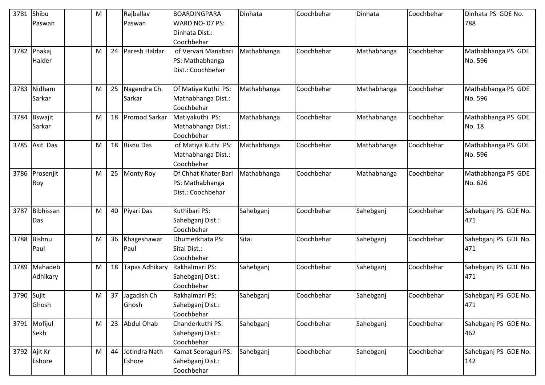| 3781 Shibu |               | M |    | Rajballav        | BOARDINGPARA         | <b>Dinhata</b> | Coochbehar | Dinhata     | Coochbehar | Dinhata PS GDE No.   |
|------------|---------------|---|----|------------------|----------------------|----------------|------------|-------------|------------|----------------------|
|            | Paswan        |   |    | Paswan           | WARD NO-07 PS:       |                |            |             |            | 788                  |
|            |               |   |    |                  | Dinhata Dist.:       |                |            |             |            |                      |
|            |               |   |    |                  | Coochbehar           |                |            |             |            |                      |
|            | 3782 Pnakaj   | M | 24 | Paresh Haldar    | of Vervari Manabari  | Mathabhanga    | Coochbehar | Mathabhanga | Coochbehar | Mathabhanga PS GDE   |
|            | Halder        |   |    |                  | PS: Mathabhanga      |                |            |             |            | No. 596              |
|            |               |   |    |                  | Dist.: Coochbehar    |                |            |             |            |                      |
|            |               |   |    |                  |                      |                |            |             |            |                      |
| 3783       | Nidham        | M |    | 25 Nagendra Ch.  | Of Matiya Kuthi PS:  | Mathabhanga    | Coochbehar | Mathabhanga | Coochbehar | Mathabhanga PS GDE   |
|            | Sarkar        |   |    | Sarkar           | Mathabhanga Dist.:   |                |            |             |            | No. 596              |
|            |               |   |    |                  | Coochbehar           |                |            |             |            |                      |
|            | 3784 Bswajit  | M |    | 18 Promod Sarkar | Matiyakuthi PS:      | Mathabhanga    | Coochbehar | Mathabhanga | Coochbehar | Mathabhanga PS GDE   |
|            | Sarkar        |   |    |                  | Mathabhanga Dist.:   |                |            |             |            | No. 18               |
|            |               |   |    |                  | Coochbehar           |                |            |             |            |                      |
|            | 3785 Asit Das | M |    | 18 Bisnu Das     | of Matiya Kuthi PS:  | Mathabhanga    | Coochbehar | Mathabhanga | Coochbehar | Mathabhanga PS GDE   |
|            |               |   |    |                  | Mathabhanga Dist.:   |                |            |             |            | No. 596              |
|            |               |   |    |                  | Coochbehar           |                |            |             |            |                      |
| 3786       | Prosenjit     | M | 25 | <b>Monty Roy</b> | Of Chhat Khater Bari | Mathabhanga    | Coochbehar | Mathabhanga | Coochbehar | Mathabhanga PS GDE   |
|            | Roy           |   |    |                  | PS: Mathabhanga      |                |            |             |            | No. 626              |
|            |               |   |    |                  | Dist.: Coochbehar    |                |            |             |            |                      |
|            |               |   |    |                  |                      |                |            |             |            |                      |
| 3787       | Bibhissan     | M |    | 40 Piyari Das    | Kuthibari PS:        | Sahebganj      | Coochbehar | Sahebganj   | Coochbehar | Sahebganj PS GDE No. |
|            | Das           |   |    |                  | Sahebganj Dist.:     |                |            |             |            | 471                  |
|            |               |   |    |                  | Coochbehar           |                |            |             |            |                      |
|            | 3788 Bishnu   | M | 36 | Khageshawar      | Dhumerkhata PS:      | Sitai          | Coochbehar | Sahebganj   | Coochbehar | Sahebganj PS GDE No. |
|            | Paul          |   |    | Paul             | Sitai Dist.:         |                |            |             |            | 471                  |
|            |               |   |    |                  | Coochbehar           |                |            |             |            |                      |
| 3789       | Mahadeb       | M | 18 | Tapas Adhikary   | Rakhalmari PS:       | Sahebganj      | Coochbehar | Sahebganj   | Coochbehar | Sahebganj PS GDE No. |
|            | Adhikary      |   |    |                  | Sahebganj Dist.:     |                |            |             |            | 471                  |
|            |               |   |    |                  | Coochbehar           |                |            |             |            |                      |
| 3790 Sujit |               | M |    | 37 Jagadish Ch   | Rakhalmari PS:       | Sahebganj      | Coochbehar | Sahebganj   | Coochbehar | Sahebganj PS GDE No. |
|            | Ghosh         |   |    | Ghosh            | Sahebganj Dist.:     |                |            |             |            | 471                  |
|            |               |   |    |                  | Coochbehar           |                |            |             |            |                      |
|            | 3791 Mofijul  | M |    | 23 Abdul Ohab    | Chanderkuthi PS:     | Sahebganj      | Coochbehar | Sahebganj   | Coochbehar | Sahebganj PS GDE No. |
|            | Sekh          |   |    |                  | Sahebganj Dist.:     |                |            |             |            | 462                  |
|            |               |   |    |                  | Coochbehar           |                |            |             |            |                      |
|            | 3792 Ajit Kr  | M | 44 | Jotindra Nath    | Kamat Seoraguri PS:  | Sahebganj      | Coochbehar | Sahebganj   | Coochbehar | Sahebganj PS GDE No. |
|            | Eshore        |   |    | Eshore           | Sahebganj Dist.:     |                |            |             |            | 142                  |
|            |               |   |    |                  | Coochbehar           |                |            |             |            |                      |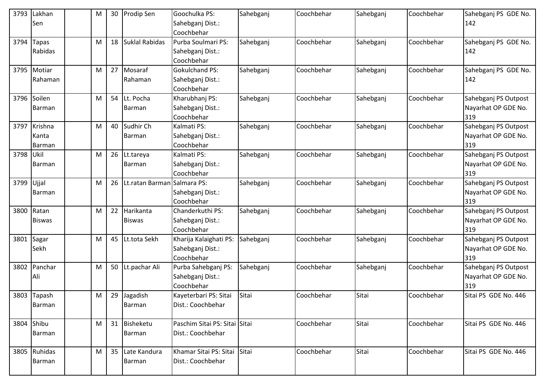| 3793 | Lakhan<br>Sen              | M |    | 30 Prodip Sen               | Goochulka PS:<br>Sahebganj Dist.:<br>Coochbehar          | Sahebganj | Coochbehar | Sahebganj | Coochbehar | Sahebganj PS GDE No.<br>142                        |
|------|----------------------------|---|----|-----------------------------|----------------------------------------------------------|-----------|------------|-----------|------------|----------------------------------------------------|
| 3794 | <b>Tapas</b><br>Rabidas    | M | 18 | Suklal Rabidas              | Purba Soulmari PS:<br>Sahebganj Dist.:<br>Coochbehar     | Sahebganj | Coochbehar | Sahebganj | Coochbehar | Sahebganj PS GDE No.<br>142                        |
|      | 3795 Motiar<br>Rahaman     | M | 27 | Mosaraf<br>Rahaman          | <b>Gokulchand PS:</b><br>Sahebganj Dist.:<br>Coochbehar  | Sahebganj | Coochbehar | Sahebganj | Coochbehar | Sahebganj PS GDE No.<br>142                        |
| 3796 | Soilen<br>Barman           | M |    | 54 Lt. Pocha<br>Barman      | Kharubhanj PS:<br>Sahebganj Dist.:<br>Coochbehar         | Sahebganj | Coochbehar | Sahebganj | Coochbehar | Sahebganj PS Outpost<br>Nayarhat OP GDE No.<br>319 |
| 3797 | Krishna<br>Kanta<br>Barman | M |    | 40 Sudhir Ch<br>Barman      | Kalmati PS:<br>Sahebganj Dist.:<br>Coochbehar            | Sahebganj | Coochbehar | Sahebganj | Coochbehar | Sahebganj PS Outpost<br>Nayarhat OP GDE No.<br>319 |
| 3798 | Ukil<br>Barman             | M |    | 26 Lt.tareya<br>Barman      | Kalmati PS:<br>Sahebganj Dist.:<br>Coochbehar            | Sahebganj | Coochbehar | Sahebganj | Coochbehar | Sahebganj PS Outpost<br>Nayarhat OP GDE No.<br>319 |
| 3799 | Ujjal<br>Barman            | M | 26 | Lt.ratan Barman Salmara PS: | Sahebganj Dist.:<br>Coochbehar                           | Sahebganj | Coochbehar | Sahebganj | Coochbehar | Sahebganj PS Outpost<br>Nayarhat OP GDE No.<br>319 |
| 3800 | Ratan<br><b>Biswas</b>     | M | 22 | Harikanta<br><b>Biswas</b>  | Chanderkuthi PS:<br>Sahebganj Dist.:<br>Coochbehar       | Sahebganj | Coochbehar | Sahebganj | Coochbehar | Sahebganj PS Outpost<br>Nayarhat OP GDE No.<br>319 |
|      | 3801 Sagar<br>Sekh         | M |    | 45 Lt.tota Sekh             | Kharija Kalaighati PS:<br>Sahebganj Dist.:<br>Coochbehar | Sahebganj | Coochbehar | Sahebganj | Coochbehar | Sahebganj PS Outpost<br>Nayarhat OP GDE No.<br>319 |
| 3802 | Panchar<br>Ali             | M |    | 50 Lt.pachar Ali            | Purba Sahebganj PS:<br>Sahebganj Dist.:<br>Coochbehar    | Sahebganj | Coochbehar | Sahebganj | Coochbehar | Sahebganj PS Outpost<br>Nayarhat OP GDE No.<br>319 |
|      | 3803 Tapash<br>Barman      | M | 29 | Jagadish<br>Barman          | Kayeterbari PS: Sitai<br>Dist.: Coochbehar               | Sitai     | Coochbehar | Sitai     | Coochbehar | Sitai PS GDE No. 446                               |
|      | 3804 Shibu<br>Barman       | M |    | 31 Bisheketu<br>Barman      | Paschim Sitai PS: Sitai Sitai<br>Dist.: Coochbehar       |           | Coochbehar | Sitai     | Coochbehar | Sitai PS GDE No. 446                               |
|      | 3805 Ruhidas<br>Barman     | M |    | 35 Late Kandura<br>Barman   | Khamar Sitai PS: Sitai<br>Dist.: Coochbehar              | Sitai     | Coochbehar | Sitai     | Coochbehar | Sitai PS GDE No. 446                               |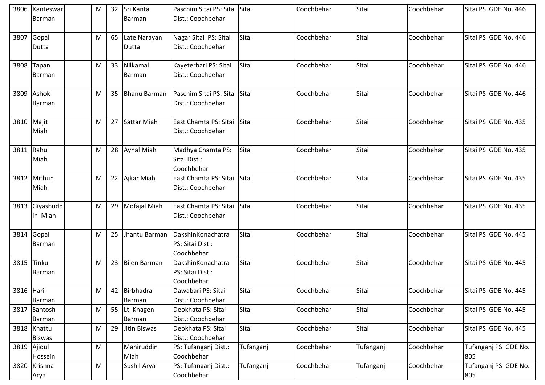| 3806      | Kanteswar     | M |    | 32 Sri Kanta     | Paschim Sitai PS: Sitai Sitai |           | Coochbehar | Sitai     | Coochbehar | Sitai PS GDE No. 446 |
|-----------|---------------|---|----|------------------|-------------------------------|-----------|------------|-----------|------------|----------------------|
|           | Barman        |   |    | Barman           | Dist.: Coochbehar             |           |            |           |            |                      |
|           |               |   |    |                  |                               |           |            |           |            |                      |
| 3807      | Gopal         | M |    | 65 Late Narayan  | Nagar Sitai PS: Sitai         | Sitai     | Coochbehar | Sitai     | Coochbehar | Sitai PS GDE No. 446 |
|           | Dutta         |   |    | Dutta            | Dist.: Coochbehar             |           |            |           |            |                      |
|           |               |   |    |                  |                               |           |            |           |            |                      |
|           | 3808 Tapan    | M |    | 33 Nilkamal      | Kayeterbari PS: Sitai         | Sitai     | Coochbehar | Sitai     | Coochbehar | Sitai PS GDE No. 446 |
|           | Barman        |   |    | Barman           | Dist.: Coochbehar             |           |            |           |            |                      |
|           |               |   |    |                  |                               |           |            |           |            |                      |
|           | 3809 Ashok    | M |    | 35 Bhanu Barman  | Paschim Sitai PS: Sitai Sitai |           | Coochbehar | Sitai     | Coochbehar | Sitai PS GDE No. 446 |
|           | Barman        |   |    |                  | Dist.: Coochbehar             |           |            |           |            |                      |
|           |               |   |    |                  |                               |           |            |           |            |                      |
|           | 3810 Majit    | M |    | 27 Sattar Miah   | East Chamta PS: Sitai         | Sitai     | Coochbehar | Sitai     | Coochbehar | Sitai PS GDE No. 435 |
|           | Miah          |   |    |                  | Dist.: Coochbehar             |           |            |           |            |                      |
|           |               |   |    |                  |                               |           |            |           |            |                      |
|           | 3811 Rahul    | M |    | 28 Aynal Miah    | Madhya Chamta PS:             | Sitai     | Coochbehar | Sitai     | Coochbehar | Sitai PS GDE No. 435 |
|           | Miah          |   |    |                  | Sitai Dist.:                  |           |            |           |            |                      |
|           |               |   |    |                  | Coochbehar                    |           |            |           |            |                      |
|           | 3812 Mithun   | M |    | 22 Ajkar Miah    | East Chamta PS: Sitai         | Sitai     | Coochbehar | Sitai     | Coochbehar | Sitai PS GDE No. 435 |
|           | Miah          |   |    |                  | Dist.: Coochbehar             |           |            |           |            |                      |
|           |               |   |    |                  |                               |           |            |           |            |                      |
| 3813      | Giyashudd     | M |    | 29 Mofajal Miah  | East Chamta PS: Sitai         | Sitai     | Coochbehar | Sitai     | Coochbehar | Sitai PS GDE No. 435 |
|           | in Miah       |   |    |                  | Dist.: Coochbehar             |           |            |           |            |                      |
|           |               |   |    |                  |                               |           |            |           |            |                      |
| 3814      | Gopal         | M |    | 25 Jhantu Barman | DakshinKonachatra             | Sitai     | Coochbehar | Sitai     | Coochbehar | Sitai PS GDE No. 445 |
|           | Barman        |   |    |                  | PS: Sitai Dist.:              |           |            |           |            |                      |
|           |               |   |    |                  | Coochbehar                    |           |            |           |            |                      |
| 3815      | Tinku         | M |    | 23 Bijen Barman  | DakshinKonachatra             | Sitai     | Coochbehar | Sitai     | Coochbehar | Sitai PS GDE No. 445 |
|           | Barman        |   |    |                  | PS: Sitai Dist.:              |           |            |           |            |                      |
|           |               |   |    |                  | Coochbehar                    |           |            |           |            |                      |
| 3816 Hari |               | M |    | 42 Birbhadra     | Dawabari PS: Sitai            | Sitai     | Coochbehar | Sitai     | Coochbehar | Sitai PS GDE No. 445 |
|           | Barman        |   |    | Barman           | Dist.: Coochbehar             |           |            |           |            |                      |
| 3817      | Santosh       | M |    | 55 Lt. Khagen    | Deokhata PS: Sitai            | Sitai     | Coochbehar | Sitai     | Coochbehar | Sitai PS GDE No. 445 |
|           | Barman        |   |    | Barman           | Dist.: Coochbehar             |           |            |           |            |                      |
|           | 3818 Khattu   | M | 29 | Jitin Biswas     | Deokhata PS: Sitai            | Sitai     | Coochbehar | Sitai     | Coochbehar | Sitai PS GDE No. 445 |
|           | <b>Biswas</b> |   |    |                  | Dist.: Coochbehar             |           |            |           |            |                      |
|           | 3819 Ajidul   | M |    | Mahiruddin       | PS: Tufanganj Dist.:          | Tufanganj | Coochbehar | Tufanganj | Coochbehar | Tufanganj PS GDE No. |
|           | Hossein       |   |    | Miah             | Coochbehar                    |           |            |           |            | 805                  |
| 3820      | Krishna       | M |    | Sushil Arya      | PS: Tufanganj Dist.:          | Tufanganj | Coochbehar | Tufanganj | Coochbehar | Tufanganj PS GDE No. |
|           | Arya          |   |    |                  | Coochbehar                    |           |            |           |            | 805                  |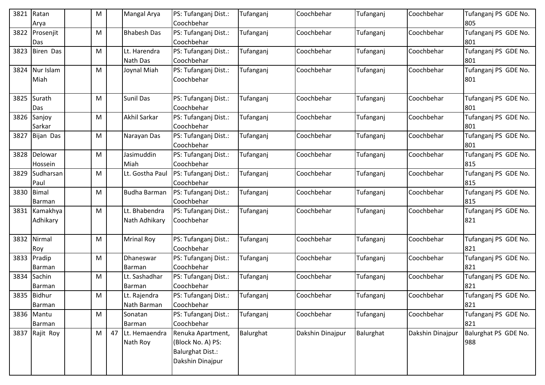| 3821 | Ratan<br>Arya          | м         |    | Mangal Arya         | PS: Tufanganj Dist.:<br>Coochbehar | Tufanganj | Coochbehar       | Tufanganj | Coochbehar       | Tufanganj PS GDE No.<br>805 |
|------|------------------------|-----------|----|---------------------|------------------------------------|-----------|------------------|-----------|------------------|-----------------------------|
| 3822 | Prosenjit              | M         |    | <b>Bhabesh Das</b>  | PS: Tufanganj Dist.:               | Tufanganj | Coochbehar       | Tufanganj | Coochbehar       | Tufanganj PS GDE No.        |
|      | Das                    |           |    |                     | Coochbehar                         |           |                  |           |                  | 801                         |
| 3823 | <b>Biren Das</b>       | M         |    | Lt. Harendra        | PS: Tufanganj Dist.:               | Tufanganj | Coochbehar       | Tufanganj | Coochbehar       | Tufanganj PS GDE No.        |
|      |                        |           |    | Nath Das            | Coochbehar                         |           |                  |           |                  | 801                         |
| 3824 | Nur Islam              | м         |    | Joynal Miah         | PS: Tufanganj Dist.:               | Tufanganj | Coochbehar       | Tufanganj | Coochbehar       | Tufanganj PS GDE No.        |
|      | Miah                   |           |    |                     | Coochbehar                         |           |                  |           |                  | 801                         |
|      |                        |           |    |                     |                                    |           |                  |           |                  |                             |
| 3825 | Surath                 | M         |    | <b>Sunil Das</b>    | PS: Tufanganj Dist.:               | Tufanganj | Coochbehar       | Tufanganj | Coochbehar       | Tufanganj PS GDE No.        |
|      | Das                    |           |    |                     | Coochbehar                         |           |                  |           |                  | 801                         |
| 3826 | Sanjoy                 | M         |    | Akhil Sarkar        | PS: Tufanganj Dist.:               | Tufanganj | Coochbehar       | Tufanganj | Coochbehar       | Tufanganj PS GDE No.        |
|      | Sarkar                 |           |    |                     | Coochbehar                         |           |                  |           |                  | 801                         |
| 3827 | Bijan Das              | м         |    | Narayan Das         | PS: Tufanganj Dist.:               | Tufanganj | Coochbehar       | Tufanganj | Coochbehar       | Tufanganj PS GDE No.        |
|      |                        |           |    |                     | Coochbehar                         |           |                  |           |                  | 801                         |
| 3828 | Delowar                | M         |    | Jasimuddin          | PS: Tufanganj Dist.:               | Tufanganj | Coochbehar       | Tufanganj | Coochbehar       | Tufanganj PS GDE No.        |
|      | Hossein                |           |    | Miah                | Coochbehar                         |           |                  |           |                  | 815                         |
| 3829 | Sudharsan              | M         |    | Lt. Gostha Paul     | PS: Tufanganj Dist.:               | Tufanganj | Coochbehar       | Tufanganj | Coochbehar       | Tufanganj PS GDE No.        |
|      | Paul                   |           |    |                     | Coochbehar                         |           |                  |           |                  | 815                         |
| 3830 | <b>Bimal</b><br>Barman | м         |    | <b>Budha Barman</b> | PS: Tufanganj Dist.:<br>Coochbehar | Tufanganj | Coochbehar       | Tufanganj | Coochbehar       | Tufanganj PS GDE No.<br>815 |
| 3831 | Kamakhya               | M         |    | Lt. Bhabendra       | PS: Tufanganj Dist.:               | Tufanganj | Coochbehar       | Tufanganj | Coochbehar       | Tufanganj PS GDE No.        |
|      | Adhikary               |           |    | Nath Adhikary       | Coochbehar                         |           |                  |           |                  | 821                         |
|      |                        |           |    |                     |                                    |           |                  |           |                  |                             |
| 3832 | Nirmal                 | м         |    | <b>Mrinal Roy</b>   | PS: Tufanganj Dist.:               | Tufanganj | Coochbehar       | Tufanganj | Coochbehar       | Tufanganj PS GDE No.        |
|      | Roy                    |           |    |                     | Coochbehar                         |           |                  |           |                  | 821                         |
| 3833 | Pradip                 | м         |    | Dhaneswar           | PS: Tufanganj Dist.:               | Tufanganj | Coochbehar       | Tufanganj | Coochbehar       | Tufanganj PS GDE No.        |
|      | Barman                 |           |    | Barman              | Coochbehar                         |           |                  |           |                  | 821                         |
|      | 3834 Sachin            | M         |    | Lt. Sashadhar       | PS: Tufanganj Dist.:               | Tufanganj | Coochbehar       | Tufanganj | Coochbehar       | Tufanganj PS GDE No.        |
|      | Barman                 |           |    | Barman              | Coochbehar                         |           |                  |           |                  | 821                         |
|      | 3835 Bidhur            | ${\sf M}$ |    | Lt. Rajendra        | PS: Tufanganj Dist.:               | Tufanganj | Coochbehar       | Tufanganj | Coochbehar       | Tufanganj PS GDE No.        |
|      | Barman                 |           |    | Nath Barman         | Coochbehar                         |           |                  |           |                  | 821                         |
|      | 3836 Mantu             | Μ         |    | Sonatan             | PS: Tufanganj Dist.:               | Tufanganj | Coochbehar       | Tufanganj | Coochbehar       | Tufanganj PS GDE No.        |
|      | Barman                 |           |    | Barman              | Coochbehar                         |           |                  |           |                  | 821                         |
|      | 3837 Rajit Roy         | M         | 47 | Lt. Hemaendra       | Renuka Apartment,                  | Balurghat | Dakshin Dinajpur | Balurghat | Dakshin Dinajpur | Balurghat PS GDE No.        |
|      |                        |           |    | Nath Roy            | (Block No. A) PS:                  |           |                  |           |                  | 988                         |
|      |                        |           |    |                     | <b>Balurghat Dist.:</b>            |           |                  |           |                  |                             |
|      |                        |           |    |                     | Dakshin Dinajpur                   |           |                  |           |                  |                             |
|      |                        |           |    |                     |                                    |           |                  |           |                  |                             |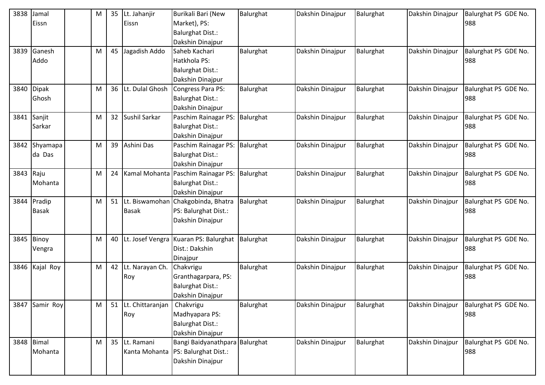| 3838       | Jamal         | M | 35              | Lt. Jahanjir        | Burikali Bari (New                    | Balurghat | Dakshin Dinajpur | Balurghat | Dakshin Dinajpur | Balurghat PS GDE No. |
|------------|---------------|---|-----------------|---------------------|---------------------------------------|-----------|------------------|-----------|------------------|----------------------|
|            | Eissn         |   |                 | Eissn               | Market), PS:                          |           |                  |           |                  | 988                  |
|            |               |   |                 |                     | <b>Balurghat Dist.:</b>               |           |                  |           |                  |                      |
|            |               |   |                 |                     | Dakshin Dinajpur                      |           |                  |           |                  |                      |
|            | 3839 Ganesh   | M | 45              | Jagadish Addo       | Saheb Kachari                         | Balurghat | Dakshin Dinajpur | Balurghat | Dakshin Dinajpur | Balurghat PS GDE No. |
|            | Addo          |   |                 |                     | Hatkhola PS:                          |           |                  |           |                  | 988                  |
|            |               |   |                 |                     | <b>Balurghat Dist.:</b>               |           |                  |           |                  |                      |
|            |               |   |                 |                     | Dakshin Dinajpur                      |           |                  |           |                  |                      |
| 3840       | <b>Dipak</b>  | M | 36              | Lt. Dulal Ghosh     | Congress Para PS:                     | Balurghat | Dakshin Dinajpur | Balurghat | Dakshin Dinajpur | Balurghat PS GDE No. |
|            | Ghosh         |   |                 |                     | <b>Balurghat Dist.:</b>               |           |                  |           |                  | 988                  |
|            |               |   |                 |                     | Dakshin Dinajpur                      |           |                  |           |                  |                      |
|            | 3841 Sanjit   | M | 32 <sup>2</sup> | Sushil Sarkar       | Paschim Rainagar PS:                  | Balurghat | Dakshin Dinajpur | Balurghat | Dakshin Dinajpur | Balurghat PS GDE No. |
|            | Sarkar        |   |                 |                     | <b>Balurghat Dist.:</b>               |           |                  |           |                  | 988                  |
|            |               |   |                 |                     | Dakshin Dinajpur                      |           |                  |           |                  |                      |
|            | 3842 Shyamapa | M | 39              | Ashini Das          | Paschim Rainagar PS:                  | Balurghat | Dakshin Dinajpur | Balurghat | Dakshin Dinajpur | Balurghat PS GDE No. |
|            | da Das        |   |                 |                     | <b>Balurghat Dist.:</b>               |           |                  |           |                  | 988                  |
|            |               |   |                 |                     | Dakshin Dinajpur                      |           |                  |           |                  |                      |
| 3843       | Raju          | M | 24              |                     | Kamal Mohanta Paschim Rainagar PS:    | Balurghat | Dakshin Dinajpur | Balurghat | Dakshin Dinajpur | Balurghat PS GDE No. |
|            | Mohanta       |   |                 |                     | <b>Balurghat Dist.:</b>               |           |                  |           |                  | 988                  |
|            |               |   |                 |                     | Dakshin Dinajpur                      |           |                  |           |                  |                      |
|            | 3844 Pradip   | M | 51              |                     | Lt. Biswamohan Chakgobinda, Bhatra    | Balurghat | Dakshin Dinajpur | Balurghat | Dakshin Dinajpur | Balurghat PS GDE No. |
|            | <b>Basak</b>  |   |                 | <b>Basak</b>        | PS: Balurghat Dist.:                  |           |                  |           |                  | 988                  |
|            |               |   |                 |                     | Dakshin Dinajpur                      |           |                  |           |                  |                      |
|            |               |   |                 |                     |                                       |           |                  |           |                  |                      |
|            | 3845 Binoy    | M | 40              |                     | Lt. Josef Vengra Kuaran PS: Balurghat | Balurghat | Dakshin Dinajpur | Balurghat | Dakshin Dinajpur | Balurghat PS GDE No. |
|            | Vengra        |   |                 |                     | Dist.: Dakshin                        |           |                  |           |                  | 988                  |
|            |               |   |                 |                     | Dinajpur                              |           |                  |           |                  |                      |
| 3846       | Kajal Roy     | M | 42              | Lt. Narayan Ch.     | Chakvrigu                             | Balurghat | Dakshin Dinajpur | Balurghat | Dakshin Dinajpur | Balurghat PS GDE No. |
|            |               |   |                 | Roy                 | Granthagarpara, PS:                   |           |                  |           |                  | 988                  |
|            |               |   |                 |                     | <b>Balurghat Dist.:</b>               |           |                  |           |                  |                      |
|            |               |   |                 |                     | Dakshin Dinajpur                      |           |                  |           |                  |                      |
| 3847       | Samir Roy     | M |                 | 51 Lt. Chittaranjan | Chakvrigu                             | Balurghat | Dakshin Dinajpur | Balurghat | Dakshin Dinajpur | Balurghat PS GDE No. |
|            |               |   |                 | Roy                 | Madhyapara PS:                        |           |                  |           |                  | 988                  |
|            |               |   |                 |                     | <b>Balurghat Dist.:</b>               |           |                  |           |                  |                      |
|            |               |   |                 |                     | Dakshin Dinajpur                      |           |                  |           |                  |                      |
| 3848 Bimal |               | M |                 | 35 Lt. Ramani       | Bangi Baidyanathpara Balurghat        |           | Dakshin Dinajpur | Balurghat | Dakshin Dinajpur | Balurghat PS GDE No. |
|            | Mohanta       |   |                 |                     | Kanta Mohanta   PS: Balurghat Dist.:  |           |                  |           |                  | 988                  |
|            |               |   |                 |                     | Dakshin Dinajpur                      |           |                  |           |                  |                      |
|            |               |   |                 |                     |                                       |           |                  |           |                  |                      |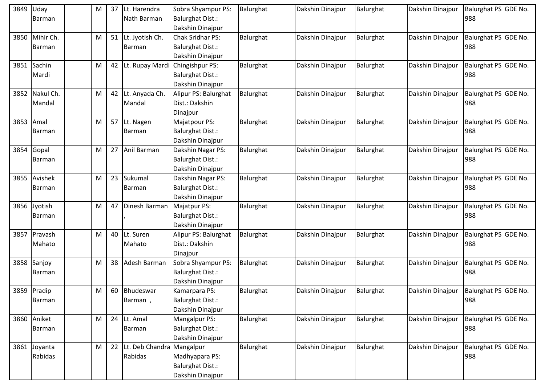| 3849 | Uday          | M |    | 37 Lt. Harendra              | Sobra Shyampur PS:      | Balurghat | Dakshin Dinajpur | Balurghat | Dakshin Dinajpur | Balurghat PS GDE No. |
|------|---------------|---|----|------------------------------|-------------------------|-----------|------------------|-----------|------------------|----------------------|
|      | Barman        |   |    | Nath Barman                  | <b>Balurghat Dist.:</b> |           |                  |           |                  | 988                  |
|      |               |   |    |                              | Dakshin Dinajpur        |           |                  |           |                  |                      |
| 3850 | Mihir Ch.     | M |    | 51 Lt. Jyotish Ch.           | <b>Chak Sridhar PS:</b> | Balurghat | Dakshin Dinajpur | Balurghat | Dakshin Dinajpur | Balurghat PS GDE No. |
|      | Barman        |   |    | Barman                       | <b>Balurghat Dist.:</b> |           |                  |           |                  | 988                  |
|      |               |   |    |                              | Dakshin Dinajpur        |           |                  |           |                  |                      |
|      | 3851 Sachin   | M |    | 42 Lt. Rupay Mardi           | Chingishpur PS:         | Balurghat | Dakshin Dinajpur | Balurghat | Dakshin Dinajpur | Balurghat PS GDE No. |
|      | Mardi         |   |    |                              | <b>Balurghat Dist.:</b> |           |                  |           |                  | 988                  |
|      |               |   |    |                              | Dakshin Dinajpur        |           |                  |           |                  |                      |
| 3852 | Nakul Ch.     | M | 42 | Lt. Anyada Ch.               | Alipur PS: Balurghat    | Balurghat | Dakshin Dinajpur | Balurghat | Dakshin Dinajpur | Balurghat PS GDE No. |
|      | Mandal        |   |    | Mandal                       | Dist.: Dakshin          |           |                  |           |                  | 988                  |
|      |               |   |    |                              | Dinajpur                |           |                  |           |                  |                      |
| 3853 | Amal          | M |    | 57 Lt. Nagen                 | Majatpour PS:           | Balurghat | Dakshin Dinajpur | Balurghat | Dakshin Dinajpur | Balurghat PS GDE No. |
|      | Barman        |   |    | Barman                       | <b>Balurghat Dist.:</b> |           |                  |           |                  | 988                  |
|      |               |   |    |                              | Dakshin Dinajpur        |           |                  |           |                  |                      |
| 3854 | Gopal         | M |    | 27 Anil Barman               | Dakshin Nagar PS:       | Balurghat | Dakshin Dinajpur | Balurghat | Dakshin Dinajpur | Balurghat PS GDE No. |
|      | Barman        |   |    |                              | <b>Balurghat Dist.:</b> |           |                  |           |                  | 988                  |
|      |               |   |    |                              | Dakshin Dinajpur        |           |                  |           |                  |                      |
|      | 3855 Avishek  | M | 23 | Sukumal                      | Dakshin Nagar PS:       | Balurghat | Dakshin Dinajpur | Balurghat | Dakshin Dinajpur | Balurghat PS GDE No. |
|      | Barman        |   |    | Barman                       | <b>Balurghat Dist.:</b> |           |                  |           |                  | 988                  |
|      |               |   |    |                              | Dakshin Dinajpur        |           |                  |           |                  |                      |
| 3856 | Jyotish       | м | 47 | Dinesh Barman                | Majatpur PS:            | Balurghat | Dakshin Dinajpur | Balurghat | Dakshin Dinajpur | Balurghat PS GDE No. |
|      | Barman        |   |    |                              | <b>Balurghat Dist.:</b> |           |                  |           |                  | 988                  |
|      |               |   |    |                              | Dakshin Dinajpur        |           |                  |           |                  |                      |
|      | 3857 Pravash  | M | 40 | Lt. Suren                    | Alipur PS: Balurghat    | Balurghat | Dakshin Dinajpur | Balurghat | Dakshin Dinajpur | Balurghat PS GDE No. |
|      | Mahato        |   |    | Mahato                       | Dist.: Dakshin          |           |                  |           |                  | 988                  |
|      |               |   |    |                              | Dinajpur                |           |                  |           |                  |                      |
| 3858 | Sanjoy        | M | 38 | Adesh Barman                 | Sobra Shyampur PS:      | Balurghat | Dakshin Dinajpur | Balurghat | Dakshin Dinajpur | Balurghat PS GDE No. |
|      | Barman        |   |    |                              | <b>Balurghat Dist.:</b> |           |                  |           |                  | 988                  |
|      |               |   |    |                              | Dakshin Dinajpur        |           |                  |           |                  |                      |
|      | 3859 Pradip   | М | 60 | Bhudeswar                    | Kamarpara PS:           | Balurghat | Dakshin Dinajpur | Balurghat | Dakshin Dinajpur | Balurghat PS GDE No. |
|      | <b>Barman</b> |   |    | Barman,                      | <b>Balurghat Dist.:</b> |           |                  |           |                  | 988                  |
|      |               |   |    |                              | Dakshin Dinajpur        |           |                  |           |                  |                      |
|      | 3860 Aniket   | M |    | 24 Lt. Amal                  | Mangalpur PS:           | Balurghat | Dakshin Dinajpur | Balurghat | Dakshin Dinajpur | Balurghat PS GDE No. |
|      | <b>Barman</b> |   |    | Barman                       | <b>Balurghat Dist.:</b> |           |                  |           |                  | 988                  |
|      |               |   |    |                              | Dakshin Dinajpur        |           |                  |           |                  |                      |
|      | 3861 Joyanta  | M |    | 22 Lt. Deb Chandra Mangalpur |                         | Balurghat | Dakshin Dinajpur | Balurghat | Dakshin Dinajpur | Balurghat PS GDE No. |
|      | Rabidas       |   |    | Rabidas                      | Madhyapara PS:          |           |                  |           |                  | 988                  |
|      |               |   |    |                              | <b>Balurghat Dist.:</b> |           |                  |           |                  |                      |
|      |               |   |    |                              | Dakshin Dinajpur        |           |                  |           |                  |                      |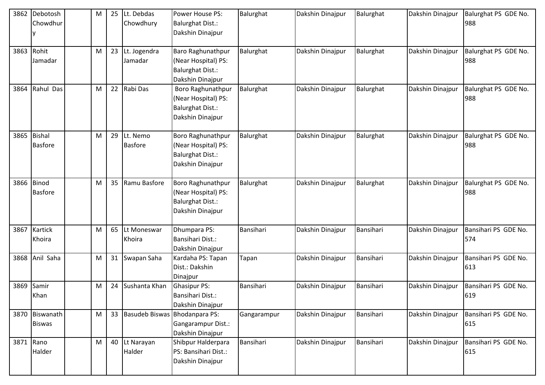| 3862      | Debotosh<br>Chowdhur            | M | 25 | Lt. Debdas<br>Chowdhury          | Power House PS:<br><b>Balurghat Dist.:</b><br>Dakshin Dinajpur                          | Balurghat   | Dakshin Dinajpur | Balurghat | Dakshin Dinajpur | Balurghat PS GDE No.<br>988 |
|-----------|---------------------------------|---|----|----------------------------------|-----------------------------------------------------------------------------------------|-------------|------------------|-----------|------------------|-----------------------------|
| 3863      | Rohit<br>Jamadar                | M | 23 | Lt. Jogendra<br>Jamadar          | Baro Raghunathpur<br>(Near Hospital) PS:<br><b>Balurghat Dist.:</b><br>Dakshin Dinajpur | Balurghat   | Dakshin Dinajpur | Balurghat | Dakshin Dinajpur | Balurghat PS GDE No.<br>988 |
| 3864      | Rahul Das                       | м |    | 22 Rabi Das                      | Boro Raghunathpur<br>(Near Hospital) PS:<br><b>Balurghat Dist.:</b><br>Dakshin Dinajpur | Balurghat   | Dakshin Dinajpur | Balurghat | Dakshin Dinajpur | Balurghat PS GDE No.<br>988 |
| 3865      | <b>Bishal</b><br><b>Basfore</b> | M | 29 | Lt. Nemo<br><b>Basfore</b>       | Boro Raghunathpur<br>(Near Hospital) PS:<br><b>Balurghat Dist.:</b><br>Dakshin Dinajpur | Balurghat   | Dakshin Dinajpur | Balurghat | Dakshin Dinajpur | Balurghat PS GDE No.<br>988 |
|           | 3866 Binod<br><b>Basfore</b>    | M | 35 | Ramu Basfore                     | Boro Raghunathpur<br>(Near Hospital) PS:<br><b>Balurghat Dist.:</b><br>Dakshin Dinajpur | Balurghat   | Dakshin Dinajpur | Balurghat | Dakshin Dinajpur | Balurghat PS GDE No.<br>988 |
| 3867      | Kartick<br>Khoira               | M |    | 65 Lt Moneswar<br>Khoira         | Dhumpara PS:<br><b>Bansihari Dist.:</b><br>Dakshin Dinajpur                             | Bansihari   | Dakshin Dinajpur | Bansihari | Dakshin Dinajpur | Bansihari PS GDE No.<br>574 |
| 3868      | Anil Saha                       | M | 31 | Swapan Saha                      | Kardaha PS: Tapan<br>Dist.: Dakshin<br>Dinajpur                                         | Tapan       | Dakshin Dinajpur | Bansihari | Dakshin Dinajpur | Bansihari PS GDE No.<br>613 |
| 3869      | Samir<br>Khan                   | M |    | 24 Sushanta Khan                 | <b>Ghasipur PS:</b><br>Bansihari Dist.:<br>Dakshin Dinajpur                             | Bansihari   | Dakshin Dinajpur | Bansihari | Dakshin Dinajpur | Bansihari PS GDE No.<br>619 |
|           | 3870 Biswanath<br><b>Biswas</b> | M |    | 33 Basudeb Biswas Bhodanpara PS: | Gangarampur Dist.:<br>Dakshin Dinajpur                                                  | Gangarampur | Dakshin Dinajpur | Bansihari | Dakshin Dinajpur | Bansihari PS GDE No.<br>615 |
| 3871 Rano | Halder                          | M |    | 40 Lt Narayan<br>Halder          | Shibpur Halderpara<br>PS: Bansihari Dist.:<br>Dakshin Dinajpur                          | Bansihari   | Dakshin Dinajpur | Bansihari | Dakshin Dinajpur | Bansihari PS GDE No.<br>615 |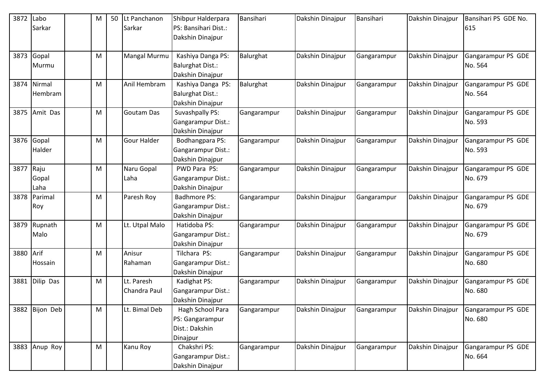| 3872      | Labo<br>Sarkar        | M | 50 Lt Panchanon<br>Sarkar  | Shibpur Halderpara<br>PS: Bansihari Dist.:<br>Dakshin Dinajpur    | Bansihari   | Dakshin Dinajpur | Bansihari   | Dakshin Dinajpur | Bansihari PS GDE No.<br>615   |
|-----------|-----------------------|---|----------------------------|-------------------------------------------------------------------|-------------|------------------|-------------|------------------|-------------------------------|
| 3873      | Gopal                 | M | <b>Mangal Murmu</b>        | Kashiya Danga PS:                                                 | Balurghat   | Dakshin Dinajpur | Gangarampur | Dakshin Dinajpur | Gangarampur PS GDE            |
|           | Murmu                 |   |                            | Balurghat Dist.:<br>Dakshin Dinajpur                              |             |                  |             |                  | No. 564                       |
| 3874      | Nirmal<br>Hembram     | M | Anil Hembram               | Kashiya Danga PS:<br><b>Balurghat Dist.:</b><br>Dakshin Dinajpur  | Balurghat   | Dakshin Dinajpur | Gangarampur | Dakshin Dinajpur | Gangarampur PS GDE<br>No. 564 |
| 3875      | Amit Das              | M | <b>Goutam Das</b>          | Suvashpally PS:<br>Gangarampur Dist.:<br>Dakshin Dinajpur         | Gangarampur | Dakshin Dinajpur | Gangarampur | Dakshin Dinajpur | Gangarampur PS GDE<br>No. 593 |
|           | 3876 Gopal<br>Halder  | M | <b>Gour Halder</b>         | Bodhangpara PS:<br>Gangarampur Dist.:<br>Dakshin Dinajpur         | Gangarampur | Dakshin Dinajpur | Gangarampur | Dakshin Dinajpur | Gangarampur PS GDE<br>No. 593 |
| 3877      | Raju<br>Gopal<br>Laha | M | Naru Gopal<br>Laha         | PWD Para PS:<br>Gangarampur Dist.:<br>Dakshin Dinajpur            | Gangarampur | Dakshin Dinajpur | Gangarampur | Dakshin Dinajpur | Gangarampur PS GDE<br>No. 679 |
| 3878      | Parimal<br>Roy        | M | Paresh Roy                 | <b>Badhmore PS:</b><br>Gangarampur Dist.:<br>Dakshin Dinajpur     | Gangarampur | Dakshin Dinajpur | Gangarampur | Dakshin Dinajpur | Gangarampur PS GDE<br>No. 679 |
| 3879      | Rupnath<br>Malo       | M | Lt. Utpal Malo             | Hatidoba PS:<br>Gangarampur Dist.:<br>Dakshin Dinajpur            | Gangarampur | Dakshin Dinajpur | Gangarampur | Dakshin Dinajpur | Gangarampur PS GDE<br>No. 679 |
| 3880 Arif | Hossain               | M | Anisur<br>Rahaman          | Tilchara PS:<br>Gangarampur Dist.:<br>Dakshin Dinajpur            | Gangarampur | Dakshin Dinajpur | Gangarampur | Dakshin Dinajpur | Gangarampur PS GDE<br>No. 680 |
| 3881      | Dilip Das             | M | Lt. Paresh<br>Chandra Paul | Kadighat PS:<br>Gangarampur Dist.:<br>Dakshin Dinajpur            | Gangarampur | Dakshin Dinajpur | Gangarampur | Dakshin Dinajpur | Gangarampur PS GDE<br>No. 680 |
|           | 3882 Bijon Deb        | M | Lt. Bimal Deb              | Hagh School Para<br>PS: Gangarampur<br>Dist.: Dakshin<br>Dinajpur | Gangarampur | Dakshin Dinajpur | Gangarampur | Dakshin Dinajpur | Gangarampur PS GDE<br>No. 680 |
|           | 3883 Anup Roy         | M | Kanu Roy                   | Chakshri PS:<br>Gangarampur Dist.:<br>Dakshin Dinajpur            | Gangarampur | Dakshin Dinajpur | Gangarampur | Dakshin Dinajpur | Gangarampur PS GDE<br>No. 664 |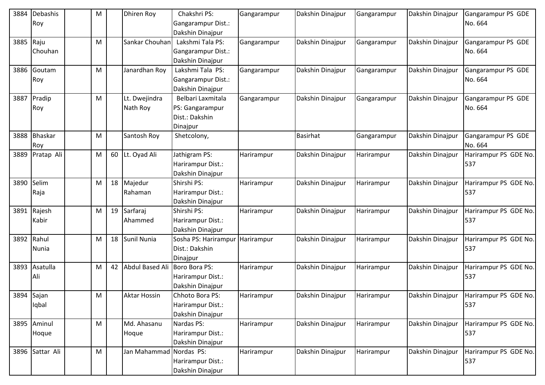| 3884       | Debashis        | M |    | <b>Dhiren Roy</b>       | Chakshri PS:         | Gangarampur | Dakshin Dinajpur | Gangarampur | Dakshin Dinajpur | Gangarampur PS GDE    |
|------------|-----------------|---|----|-------------------------|----------------------|-------------|------------------|-------------|------------------|-----------------------|
|            | Roy             |   |    |                         | Gangarampur Dist.:   |             |                  |             |                  | No. 664               |
|            |                 |   |    |                         | Dakshin Dinajpur     |             |                  |             |                  |                       |
| 3885       | Raju            | M |    | Sankar Chouhan          | Lakshmi Tala PS:     | Gangarampur | Dakshin Dinajpur | Gangarampur | Dakshin Dinajpur | Gangarampur PS GDE    |
|            | Chouhan         |   |    |                         | Gangarampur Dist.:   |             |                  |             |                  | No. 664               |
|            |                 |   |    |                         | Dakshin Dinajpur     |             |                  |             |                  |                       |
|            | 3886 Goutam     | M |    | Janardhan Roy           | Lakshmi Tala PS:     | Gangarampur | Dakshin Dinajpur | Gangarampur | Dakshin Dinajpur | Gangarampur PS GDE    |
|            | Roy             |   |    |                         | Gangarampur Dist.:   |             |                  |             |                  | No. 664               |
|            |                 |   |    |                         | Dakshin Dinajpur     |             |                  |             |                  |                       |
|            | 3887 Pradip     | M |    | Lt. Dwejindra           | Belbari Laxmitala    | Gangarampur | Dakshin Dinajpur | Gangarampur | Dakshin Dinajpur | Gangarampur PS GDE    |
|            | Roy             |   |    | Nath Roy                | PS: Gangarampur      |             |                  |             |                  | No. 664               |
|            |                 |   |    |                         | Dist.: Dakshin       |             |                  |             |                  |                       |
|            |                 |   |    |                         | Dinajpur             |             |                  |             |                  |                       |
|            | 3888 Bhaskar    | M |    | Santosh Roy             | Shetcolony,          |             | <b>Basirhat</b>  | Gangarampur | Dakshin Dinajpur | Gangarampur PS GDE    |
|            | Roy             |   |    |                         |                      |             |                  |             |                  | No. 664               |
| 3889       | Pratap Ali      | M | 60 | Lt. Oyad Ali            | Jathigram PS:        | Harirampur  | Dakshin Dinajpur | Harirampur  | Dakshin Dinajpur | Harirampur PS GDE No. |
|            |                 |   |    |                         | Harirampur Dist.:    |             |                  |             |                  | 537                   |
|            |                 |   |    |                         | Dakshin Dinajpur     |             |                  |             |                  |                       |
| 3890 Selim |                 | M | 18 | Majedur                 | Shirshi PS:          | Harirampur  | Dakshin Dinajpur | Harirampur  | Dakshin Dinajpur | Harirampur PS GDE No. |
|            | Raja            |   |    | Rahaman                 | Harirampur Dist.:    |             |                  |             |                  | 537                   |
|            |                 |   |    |                         | Dakshin Dinajpur     |             |                  |             |                  |                       |
| 3891       | Rajesh          | M | 19 | Sarfaraj                | Shirshi PS:          | Harirampur  | Dakshin Dinajpur | Harirampur  | Dakshin Dinajpur | Harirampur PS GDE No. |
|            | Kabir           |   |    | Ahammed                 | Harirampur Dist.:    |             |                  |             |                  | 537                   |
|            |                 |   |    |                         | Dakshin Dinajpur     |             |                  |             |                  |                       |
| 3892 Rahul |                 | M | 18 | Sunil Nunia             | Sosha PS: Harirampur | Harirampur  | Dakshin Dinajpur | Harirampur  | Dakshin Dinajpur | Harirampur PS GDE No. |
|            | Nunia           |   |    |                         | Dist.: Dakshin       |             |                  |             |                  | 537                   |
|            |                 |   |    |                         | Dinajpur             |             |                  |             |                  |                       |
|            | 3893 Asatulla   | M | 42 | <b>Abdul Based Ali</b>  | Boro Bora PS:        | Harirampur  | Dakshin Dinajpur | Harirampur  | Dakshin Dinajpur | Harirampur PS GDE No. |
|            | Ali             |   |    |                         | Harirampur Dist.:    |             |                  |             |                  | 537                   |
|            |                 |   |    |                         | Dakshin Dinajpur     |             |                  |             |                  |                       |
| 3894 Sajan |                 | M |    | <b>Aktar Hossin</b>     | Chhoto Bora PS:      | Harirampur  | Dakshin Dinajpur | Harirampur  | Dakshin Dinajpur | Harirampur PS GDE No. |
|            | Iqbal           |   |    |                         | Harirampur Dist.:    |             |                  |             |                  | 537                   |
|            |                 |   |    |                         | Dakshin Dinajpur     |             |                  |             |                  |                       |
|            | 3895 Aminul     | M |    | Md. Ahasanu             | Nardas PS:           | Harirampur  | Dakshin Dinajpur | Harirampur  | Dakshin Dinajpur | Harirampur PS GDE No. |
|            | Hoque           |   |    | Hoque                   | Harirampur Dist.:    |             |                  |             |                  | 537                   |
|            |                 |   |    |                         | Dakshin Dinajpur     |             |                  |             |                  |                       |
|            | 3896 Sattar Ali | M |    | Jan Mahammad Nordas PS: |                      | Harirampur  | Dakshin Dinajpur | Harirampur  | Dakshin Dinajpur | Harirampur PS GDE No. |
|            |                 |   |    |                         | Harirampur Dist.:    |             |                  |             |                  | 537                   |
|            |                 |   |    |                         | Dakshin Dinajpur     |             |                  |             |                  |                       |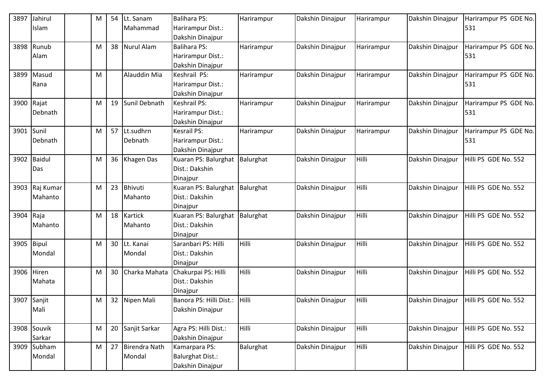| 3897       | Jahirul        | M | 54 | Lt. Sanam         | <b>Balihara PS:</b>           | Harirampur   | Dakshin Dinajpur | Harirampur   | Dakshin Dinajpur | Harirampur PS GDE No. |
|------------|----------------|---|----|-------------------|-------------------------------|--------------|------------------|--------------|------------------|-----------------------|
|            | Islam          |   |    | Mahammad          | Harirampur Dist.:             |              |                  |              |                  | 531                   |
|            |                |   |    |                   | Dakshin Dinajpur              |              |                  |              |                  |                       |
|            | 3898 Runub     | M | 38 | <b>Nurul Alam</b> | <b>Balihara PS:</b>           | Harirampur   | Dakshin Dinajpur | Harirampur   | Dakshin Dinajpur | Harirampur PS GDE No. |
|            | Alam           |   |    |                   | Harirampur Dist.:             |              |                  |              |                  | 531                   |
|            |                |   |    |                   | Dakshin Dinajpur              |              |                  |              |                  |                       |
| 3899       | Masud          | M |    | Alauddin Mia      | Keshrail PS:                  | Harirampur   | Dakshin Dinajpur | Harirampur   | Dakshin Dinajpur | Harirampur PS GDE No. |
|            | Rana           |   |    |                   | Harirampur Dist.:             |              |                  |              |                  | 531                   |
|            |                |   |    |                   | Dakshin Dinajpur              |              |                  |              |                  |                       |
|            | 3900 Rajat     | M | 19 | Sunil Debnath     | Keshrail PS:                  | Harirampur   | Dakshin Dinajpur | Harirampur   | Dakshin Dinajpur | Harirampur PS GDE No. |
|            | Debnath        |   |    |                   | Harirampur Dist.:             |              |                  |              |                  | 531                   |
|            |                |   |    |                   | Dakshin Dinajpur              |              |                  |              |                  |                       |
| 3901       | Sunil          | M | 57 | Lt.sudhrn         | <b>Kesrail PS:</b>            | Harirampur   | Dakshin Dinajpur | Harirampur   | Dakshin Dinajpur | Harirampur PS GDE No. |
|            | Debnath        |   |    | Debnath           | Harirampur Dist.:             |              |                  |              |                  | 531                   |
|            |                |   |    |                   | Dakshin Dinajpur              |              |                  |              |                  |                       |
|            | 3902 Baidul    | M |    | 36 Khagen Das     | Kuaran PS: Balurghat          | Balurghat    | Dakshin Dinajpur | Hilli        | Dakshin Dinajpur | Hilli PS GDE No. 552  |
|            | Das            |   |    |                   | Dist.: Dakshin                |              |                  |              |                  |                       |
|            |                |   |    |                   | Dinajpur                      |              |                  |              |                  |                       |
|            | 3903 Raj Kumar | M |    | 23 Bhivuti        | Kuaran PS: Balurghat          | Balurghat    | Dakshin Dinajpur | Hilli        | Dakshin Dinajpur | Hilli PS GDE No. 552  |
|            | Mahanto        |   |    | Mahanto           | Dist.: Dakshin                |              |                  |              |                  |                       |
|            |                |   |    |                   | Dinajpur                      |              |                  |              |                  |                       |
| 3904       | Raja           | M | 18 | Kartick           | Kuaran PS: Balurghat          | Balurghat    | Dakshin Dinajpur | Hilli        | Dakshin Dinajpur | Hilli PS GDE No. 552  |
|            | Mahanto        |   |    | Mahanto           | Dist.: Dakshin                |              |                  |              |                  |                       |
|            |                |   |    |                   | Dinajpur                      |              |                  |              |                  |                       |
| 3905 Bipul |                | M | 30 | Lt. Kanai         | Saranbari PS: Hilli           | Hilli        | Dakshin Dinajpur | Hilli        | Dakshin Dinajpur | Hilli PS GDE No. 552  |
|            | Mondal         |   |    | Mondal            | Dist.: Dakshin                |              |                  |              |                  |                       |
|            |                |   |    |                   | Dinajpur                      |              |                  |              |                  |                       |
|            | 3906 Hiren     | M | 30 | Charka Mahata     | Chakurpai PS: Hilli           | Hilli        | Dakshin Dinajpur | Hilli        | Dakshin Dinajpur | Hilli PS GDE No. 552  |
|            | Mahata         |   |    |                   | Dist.: Dakshin                |              |                  |              |                  |                       |
|            |                |   |    |                   | Dinajpur                      |              |                  |              |                  |                       |
|            | 3907 Sanjit    | M |    | 32 Nipen Mali     | Banora PS: Hilli Dist.: Hilli |              | Dakshin Dinajpur | Hilli        | Dakshin Dinajpur | Hilli PS GDE No. 552  |
|            | Mali           |   |    |                   | Dakshin Dinajpur              |              |                  |              |                  |                       |
|            |                |   |    |                   |                               |              |                  |              |                  |                       |
|            | 3908 Souvik    | M | 20 | Sanjit Sarkar     | Agra PS: Hilli Dist.:         | <b>Hilli</b> | Dakshin Dinajpur | <b>Hilli</b> | Dakshin Dinajpur | Hilli PS GDE No. 552  |
|            | Sarkar         |   |    |                   | Dakshin Dinajpur              |              |                  |              |                  |                       |
|            | 3909 Subham    | M | 27 | Birendra Nath     | Kamarpara PS:                 | Balurghat    | Dakshin Dinajpur | <b>Hilli</b> | Dakshin Dinajpur | Hilli PS GDE No. 552  |
|            | Mondal         |   |    | Mondal            | Balurghat Dist.:              |              |                  |              |                  |                       |
|            |                |   |    |                   | Dakshin Dinajpur              |              |                  |              |                  |                       |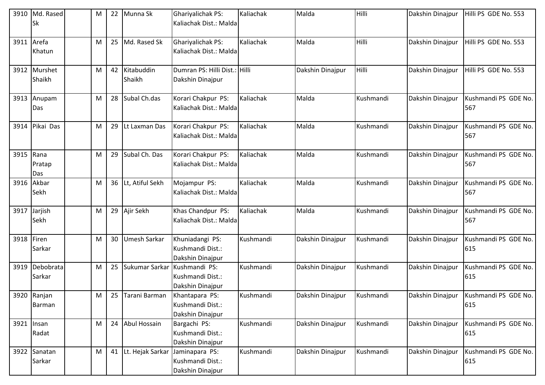| 3910 | Md. Rased<br>Sk        | M | 22 | Munna Sk             | <b>Ghariyalichak PS:</b><br>Kaliachak Dist.: Malda      | Kaliachak | Malda            | Hilli     | Dakshin Dinajpur | Hilli PS GDE No. 553        |
|------|------------------------|---|----|----------------------|---------------------------------------------------------|-----------|------------------|-----------|------------------|-----------------------------|
| 3911 | Arefa<br>Khatun        | M | 25 | Md. Rased Sk         | Ghariyalichak PS:<br>Kaliachak Dist.: Malda             | Kaliachak | Malda            | Hilli     | Dakshin Dinajpur | Hilli PS GDE No. 553        |
|      | 3912 Murshet<br>Shaikh | M | 42 | Kitabuddin<br>Shaikh | Dumran PS: Hilli Dist.: Hilli<br>Dakshin Dinajpur       |           | Dakshin Dinajpur | Hilli     | Dakshin Dinajpur | Hilli PS GDE No. 553        |
| 3913 | Anupam<br>Das          | M | 28 | Subal Ch.das         | Korari Chakpur PS:<br>Kaliachak Dist.: Malda            | Kaliachak | Malda            | Kushmandi | Dakshin Dinajpur | Kushmandi PS GDE No.<br>567 |
| 3914 | Pikai Das              | M | 29 | Lt Laxman Das        | Korari Chakpur PS:<br>Kaliachak Dist.: Malda            | Kaliachak | Malda            | Kushmandi | Dakshin Dinajpur | Kushmandi PS GDE No.<br>567 |
| 3915 | Rana<br>Pratap<br>Das  | M | 29 | Subal Ch. Das        | Korari Chakpur PS:<br>Kaliachak Dist.: Malda            | Kaliachak | Malda            | Kushmandi | Dakshin Dinajpur | Kushmandi PS GDE No.<br>567 |
| 3916 | Akbar<br>Sekh          | M |    | 36 Lt, Atiful Sekh   | Mojampur PS:<br>Kaliachak Dist.: Malda                  | Kaliachak | Malda            | Kushmandi | Dakshin Dinajpur | Kushmandi PS GDE No.<br>567 |
| 3917 | Jarjish<br>Sekh        | M | 29 | Ajir Sekh            | Khas Chandpur PS:<br>Kaliachak Dist.: Malda             | Kaliachak | Malda            | Kushmandi | Dakshin Dinajpur | Kushmandi PS GDE No.<br>567 |
| 3918 | Firen<br>Sarkar        | M | 30 | <b>Umesh Sarkar</b>  | Khuniadangi PS:<br>Kushmandi Dist.:<br>Dakshin Dinajpur | Kushmandi | Dakshin Dinajpur | Kushmandi | Dakshin Dinajpur | Kushmandi PS GDE No.<br>615 |
| 3919 | Debobrata<br>Sarkar    | M | 25 | Sukumar Sarkar       | Kushmandi PS:<br>Kushmandi Dist.:<br>Dakshin Dinajpur   | Kushmandi | Dakshin Dinajpur | Kushmandi | Dakshin Dinajpur | Kushmandi PS GDE No.<br>615 |
|      | 3920 Ranjan<br>Barman  | M | 25 | Tarani Barman        | Khantapara PS:<br>Kushmandi Dist.:<br>Dakshin Dinajpur  | Kushmandi | Dakshin Dinajpur | Kushmandi | Dakshin Dinajpur | Kushmandi PS GDE No.<br>615 |
| 3921 | Insan<br>Radat         | M | 24 | Abul Hossain         | Bargachi PS:<br>Kushmandi Dist.:<br>Dakshin Dinajpur    | Kushmandi | Dakshin Dinajpur | Kushmandi | Dakshin Dinajpur | Kushmandi PS GDE No.<br>615 |
|      | 3922 Sanatan<br>Sarkar | M |    | 41 Lt. Hejak Sarkar  | Jaminapara PS:<br>Kushmandi Dist.:<br>Dakshin Dinajpur  | Kushmandi | Dakshin Dinajpur | Kushmandi | Dakshin Dinajpur | Kushmandi PS GDE No.<br>615 |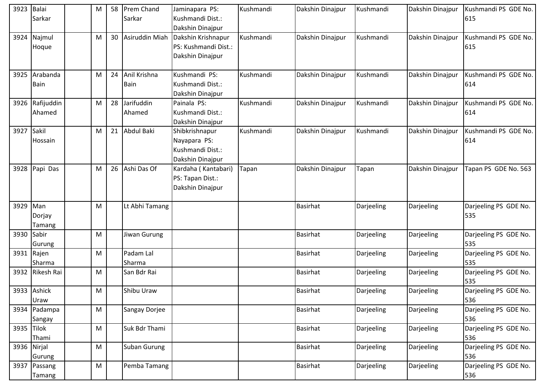| 3923       | Balai<br>Sarkar        | M | 58 | Prem Chand<br>Sarkar        | Jaminapara PS:<br>Kushmandi Dist.:<br>Dakshin Dinajpur                 | Kushmandi | Dakshin Dinajpur | Kushmandi  | Dakshin Dinajpur | Kushmandi PS GDE No.<br>615  |
|------------|------------------------|---|----|-----------------------------|------------------------------------------------------------------------|-----------|------------------|------------|------------------|------------------------------|
| 3924       | Najmul<br>Hoque        | M |    | 30 Asiruddin Miah           | Dakshin Krishnapur<br>PS: Kushmandi Dist.:<br>Dakshin Dinajpur         | Kushmandi | Dakshin Dinajpur | Kushmandi  | Dakshin Dinajpur | Kushmandi PS GDE No.<br>615  |
| 3925       | Arabanda<br>Bain       | M | 24 | Anil Krishna<br><b>Bain</b> | Kushmandi PS:<br>Kushmandi Dist.:<br>Dakshin Dinajpur                  | Kushmandi | Dakshin Dinajpur | Kushmandi  | Dakshin Dinajpur | Kushmandi PS GDE No.<br>614  |
| 3926       | Rafijuddin<br>Ahamed   | M | 28 | Jarifuddin<br>Ahamed        | Painala PS:<br>Kushmandi Dist.:<br>Dakshin Dinajpur                    | Kushmandi | Dakshin Dinajpur | Kushmandi  | Dakshin Dinajpur | Kushmandi PS GDE No.<br>614  |
| 3927       | Sakil<br>Hossain       | M | 21 | Abdul Baki                  | Shibkrishnapur<br>Nayapara PS:<br>Kushmandi Dist.:<br>Dakshin Dinajpur | Kushmandi | Dakshin Dinajpur | Kushmandi  | Dakshin Dinajpur | Kushmandi PS GDE No.<br>614  |
| 3928       | Papi Das               | M | 26 | Ashi Das Of                 | Kardaha (Kantabari)<br>PS: Tapan Dist.:<br>Dakshin Dinajpur            | Tapan     | Dakshin Dinajpur | Tapan      | Dakshin Dinajpur | Tapan PS GDE No. 563         |
| 3929 Man   | Dorjay<br>Tamang       | M |    | Lt Abhi Tamang              |                                                                        |           | <b>Basirhat</b>  | Darjeeling | Darjeeling       | Darjeeling PS GDE No.<br>535 |
| 3930       | Sabir<br>Gurung        | M |    | Jiwan Gurung                |                                                                        |           | <b>Basirhat</b>  | Darjeeling | Darjeeling       | Darjeeling PS GDE No.<br>535 |
|            | 3931 Rajen<br>Sharma   | M |    | Padam Lal<br>Sharma         |                                                                        |           | <b>Basirhat</b>  | Darjeeling | Darjeeling       | Darjeeling PS GDE No.<br>535 |
|            | 3932 Rikesh Rai        | M |    | San Bdr Rai                 |                                                                        |           | <b>Basirhat</b>  | Darjeeling | Darjeeling       | Darjeeling PS GDE No.<br>535 |
|            | 3933 Ashick<br>Uraw    | M |    | Shibu Uraw                  |                                                                        |           | <b>Basirhat</b>  | Darjeeling | Darjeeling       | Darjeeling PS GDE No.<br>536 |
|            | 3934 Padampa<br>Sangay | M |    | Sangay Dorjee               |                                                                        |           | <b>Basirhat</b>  | Darjeeling | Darjeeling       | Darjeeling PS GDE No.<br>536 |
| 3935 Tilok | Thami                  | M |    | Suk Bdr Thami               |                                                                        |           | <b>Basirhat</b>  | Darjeeling | Darjeeling       | Darjeeling PS GDE No.<br>536 |
|            | 3936 Nirjal<br>Gurung  | M |    | Suban Gurung                |                                                                        |           | Basirhat         | Darjeeling | Darjeeling       | Darjeeling PS GDE No.<br>536 |
|            | 3937 Passang<br>Tamang | M |    | Pemba Tamang                |                                                                        |           | <b>Basirhat</b>  | Darjeeling | Darjeeling       | Darjeeling PS GDE No.<br>536 |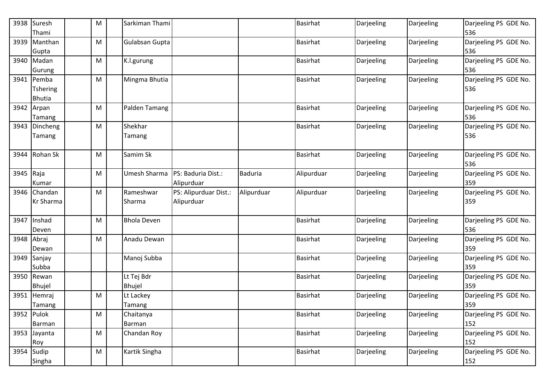|           | 3938 Suresh<br>Thami                    | M | Sarkiman Thami              |                                     |                | <b>Basirhat</b> | Darjeeling | Darjeeling | Darjeeling PS GDE No.<br>536 |
|-----------|-----------------------------------------|---|-----------------------------|-------------------------------------|----------------|-----------------|------------|------------|------------------------------|
|           | 3939 Manthan<br>Gupta                   | M | Gulabsan Gupta              |                                     |                | <b>Basirhat</b> | Darjeeling | Darjeeling | Darjeeling PS GDE No.<br>536 |
|           | 3940 Madan<br>Gurung                    | M | K.l.gurung                  |                                     |                | <b>Basirhat</b> | Darjeeling | Darjeeling | Darjeeling PS GDE No.<br>536 |
|           | 3941 Pemba<br>Tshering<br><b>Bhutia</b> | M | Mingma Bhutia               |                                     |                | <b>Basirhat</b> | Darjeeling | Darjeeling | Darjeeling PS GDE No.<br>536 |
|           | 3942 Arpan<br>Tamang                    | M | Palden Tamang               |                                     |                | <b>Basirhat</b> | Darjeeling | Darjeeling | Darjeeling PS GDE No.<br>536 |
|           | 3943 Dincheng<br>Tamang                 | M | Shekhar<br>Tamang           |                                     |                | <b>Basirhat</b> | Darjeeling | Darjeeling | Darjeeling PS GDE No.<br>536 |
| 3944      | Rohan Sk                                | M | Samim Sk                    |                                     |                | <b>Basirhat</b> | Darjeeling | Darjeeling | Darjeeling PS GDE No.<br>536 |
| 3945 Raja | Kumar                                   | M | Umesh Sharma                | PS: Baduria Dist.:<br>Alipurduar    | <b>Baduria</b> | Alipurduar      | Darjeeling | Darjeeling | Darjeeling PS GDE No.<br>359 |
|           | 3946 Chandan<br><b>Kr Sharma</b>        | M | Rameshwar<br>Sharma         | PS: Alipurduar Dist.:<br>Alipurduar | Alipurduar     | Alipurduar      | Darjeeling | Darjeeling | Darjeeling PS GDE No.<br>359 |
| 3947      | Inshad<br>Deven                         | M | <b>Bhola Deven</b>          |                                     |                | <b>Basirhat</b> | Darjeeling | Darjeeling | Darjeeling PS GDE No.<br>536 |
|           | 3948 Abraj<br>Dewan                     | M | Anadu Dewan                 |                                     |                | <b>Basirhat</b> | Darjeeling | Darjeeling | Darjeeling PS GDE No.<br>359 |
|           | 3949 Sanjay<br>Subba                    |   | Manoj Subba                 |                                     |                | <b>Basirhat</b> | Darjeeling | Darjeeling | Darjeeling PS GDE No.<br>359 |
|           | 3950 Rewan<br><b>Bhujel</b>             |   | Lt Tej Bdr<br><b>Bhujel</b> |                                     |                | <b>Basirhat</b> | Darjeeling | Darjeeling | Darjeeling PS GDE No.<br>359 |
| 3951      | Hemraj<br>Tamang                        | M | Lt Lackey<br>Tamang         |                                     |                | <b>Basirhat</b> | Darjeeling | Darjeeling | Darjeeling PS GDE No.<br>359 |
|           | 3952 Pulok<br>Barman                    | M | Chaitanya<br>Barman         |                                     |                | <b>Basirhat</b> | Darjeeling | Darjeeling | Darjeeling PS GDE No.<br>152 |
|           | 3953 Jayanta<br>Roy                     | M | Chandan Roy                 |                                     |                | <b>Basirhat</b> | Darjeeling | Darjeeling | Darjeeling PS GDE No.<br>152 |
|           | 3954 Sudip<br>Singha                    | M | Kartik Singha               |                                     |                | <b>Basirhat</b> | Darjeeling | Darjeeling | Darjeeling PS GDE No.<br>152 |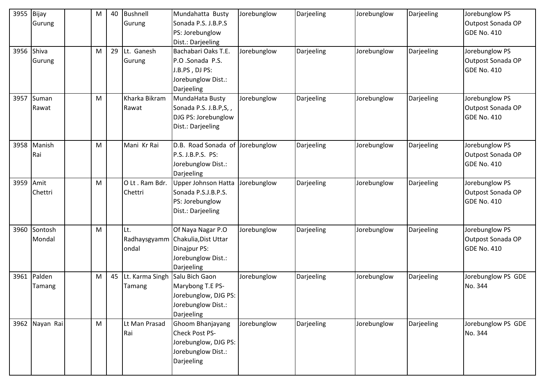| 3955       | Bijay<br>Gurung        | M         | 40 | Bushnell<br>Gurung                          | Mundahatta Busty<br>Sonada P.S. J.B.P.S<br>PS: Jorebunglow                                                 | Jorebunglow | Darjeeling | Jorebunglow | Darjeeling | Jorebunglow PS<br>Outpost Sonada OP<br><b>GDE No. 410</b> |
|------------|------------------------|-----------|----|---------------------------------------------|------------------------------------------------------------------------------------------------------------|-------------|------------|-------------|------------|-----------------------------------------------------------|
|            |                        |           |    |                                             | Dist.: Darjeeling                                                                                          |             |            |             |            |                                                           |
| 3956 Shiva | Gurung                 | M         | 29 | Lt. Ganesh<br>Gurung                        | Bachabari Oaks T.E.<br>P.O .Sonada P.S.                                                                    | Jorebunglow | Darjeeling | Jorebunglow | Darjeeling | Jorebunglow PS<br>Outpost Sonada OP                       |
|            |                        |           |    |                                             | J.B.PS, DJ PS:<br>Jorebunglow Dist.:<br>Darjeeling                                                         |             |            |             |            | <b>GDE No. 410</b>                                        |
| 3957       | Suman<br>Rawat         | M         |    | Kharka Bikram<br>Rawat                      | MundaHata Busty<br>Sonada P.S. J.B.P,S,,<br>DJG PS: Jorebunglow<br>Dist.: Darjeeling                       | Jorebunglow | Darjeeling | Jorebunglow | Darjeeling | Jorebunglow PS<br>Outpost Sonada OP<br><b>GDE No. 410</b> |
| 3958       | Manish<br>Rai          | M         |    | Mani Kr Rai                                 | D.B. Road Sonada of Jorebunglow<br>P.S. J.B.P.S. PS:<br>Jorebunglow Dist.:<br>Darjeeling                   |             | Darjeeling | Jorebunglow | Darjeeling | Jorebunglow PS<br>Outpost Sonada OP<br><b>GDE No. 410</b> |
| 3959       | Amit<br>Chettri        | M         |    | O Lt. Ram Bdr.<br>Chettri                   | Upper Johnson Hatta<br>Sonada P.S.J.B.P.S.<br>PS: Jorebunglow<br>Dist.: Darjeeling                         | Jorebunglow | Darjeeling | Jorebunglow | Darjeeling | Jorebunglow PS<br>Outpost Sonada OP<br><b>GDE No. 410</b> |
|            | 3960 Sontosh<br>Mondal | M         |    | Lt.<br>ondal                                | Of Naya Nagar P.O<br>Radhaysgyamm Chakulia, Dist Uttar<br>Dinajpur PS:<br>Jorebunglow Dist.:<br>Darjeeling | Jorebunglow | Darjeeling | Jorebunglow | Darjeeling | Jorebunglow PS<br>Outpost Sonada OP<br><b>GDE No. 410</b> |
|            | 3961 Palden<br>Tamang  | M         |    | 45 Lt. Karma Singh Salu Bich Gaon<br>Tamang | Marybong T.E PS-<br>Jorebunglow, DJG PS:<br>Jorebunglow Dist.:<br>Darjeeling                               | Jorebunglow | Darjeeling | Jorebunglow | Darjeeling | Jorebunglow PS GDE<br>No. 344                             |
|            | 3962 Nayan Rai         | ${\sf M}$ |    | Lt Man Prasad<br>Rai                        | Ghoom Bhanjayang<br>Check Post PS-<br>Jorebunglow, DJG PS:<br>Jorebunglow Dist.:<br>Darjeeling             | Jorebunglow | Darjeeling | Jorebunglow | Darjeeling | Jorebunglow PS GDE<br>No. 344                             |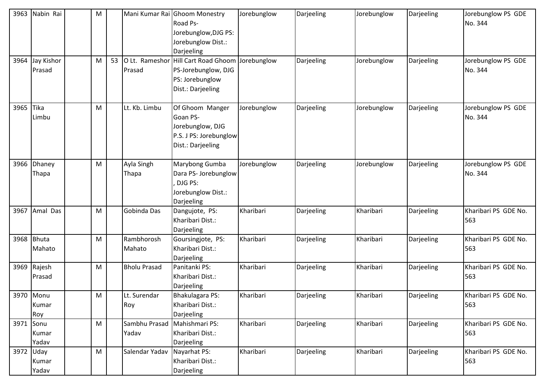| 3963      | Nabin Rai                 | M |    |                          | Mani Kumar Rai Ghoom Monestry<br>Road Ps-<br>Jorebunglow, DJG PS:<br>Jorebunglow Dist.:<br>Darjeeling | Jorebunglow | Darjeeling | Jorebunglow | Darjeeling | Jorebunglow PS GDE<br>No. 344 |
|-----------|---------------------------|---|----|--------------------------|-------------------------------------------------------------------------------------------------------|-------------|------------|-------------|------------|-------------------------------|
| 3964      | Jay Kishor<br>Prasad      | M | 53 | O Lt. Rameshor<br>Prasad | Hill Cart Road Ghoom Jorebunglow<br>PS-Jorebunglow, DJG<br>PS: Jorebunglow<br>Dist.: Darjeeling       |             | Darjeeling | Jorebunglow | Darjeeling | Jorebunglow PS GDE<br>No. 344 |
| 3965      | Tika<br>Limbu             | M |    | Lt. Kb. Limbu            | Of Ghoom Manger<br>Goan PS-<br>Jorebunglow, DJG<br>P.S. J PS: Jorebunglow<br>Dist.: Darjeeling        | Jorebunglow | Darjeeling | Jorebunglow | Darjeeling | Jorebunglow PS GDE<br>No. 344 |
| 3966      | Dhaney<br>Thapa           | M |    | Ayla Singh<br>Thapa      | Marybong Gumba<br>Dara PS- Jorebunglow<br>DJG PS:<br>Jorebunglow Dist.:<br>Darjeeling                 | Jorebunglow | Darjeeling | Jorebunglow | Darjeeling | Jorebunglow PS GDE<br>No. 344 |
| 3967      | Amal Das                  | M |    | Gobinda Das              | Dangujote, PS:<br>Kharibari Dist.:<br>Darjeeling                                                      | Kharibari   | Darjeeling | Kharibari   | Darjeeling | Kharibari PS GDE No.<br>563   |
| 3968      | Bhuta<br>Mahato           | M |    | Rambhorosh<br>Mahato     | Goursingjote, PS:<br>Kharibari Dist.:<br>Darjeeling                                                   | Kharibari   | Darjeeling | Kharibari   | Darjeeling | Kharibari PS GDE No.<br>563   |
| 3969      | Rajesh<br>Prasad          | M |    | <b>Bholu Prasad</b>      | Panitanki PS:<br>Kharibari Dist.:<br>Darjeeling                                                       | Kharibari   | Darjeeling | Kharibari   | Darjeeling | Kharibari PS GDE No.<br>563   |
|           | 3970 Monu<br>Kumar<br>Roy | M |    | Lt. Surendar<br>Roy      | Bhakulagara PS:<br>Kharibari Dist.:<br>Darjeeling                                                     | Kharibari   | Darjeeling | Kharibari   | Darjeeling | Kharibari PS GDE No.<br>563   |
| 3971      | Sonu<br>Kumar<br>Yadav    | M |    | Sambhu Prasad<br>Yadav   | Mahishmari PS:<br>Kharibari Dist.:<br>Darjeeling                                                      | Kharibari   | Darjeeling | Kharibari   | Darjeeling | Kharibari PS GDE No.<br>563   |
| 3972 Uday | Kumar<br>Yadav            | M |    | Salendar Yadav           | Nayarhat PS:<br>Kharibari Dist.:<br>Darjeeling                                                        | Kharibari   | Darjeeling | Kharibari   | Darjeeling | Kharibari PS GDE No.<br>563   |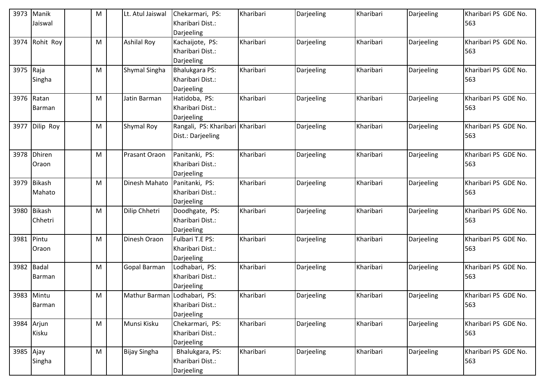| 3973      | Manik<br>Jaiswal        | M | Lt. Atul Jaiswal             | Chekarmari, PS:<br>Kharibari Dist.:<br>Darjeeling       | Kharibari | Darjeeling | Kharibari | Darjeeling | Kharibari PS GDE No.<br>563 |
|-----------|-------------------------|---|------------------------------|---------------------------------------------------------|-----------|------------|-----------|------------|-----------------------------|
| 3974      | Rohit Roy               | M | <b>Ashilal Roy</b>           | Kachaijote, PS:<br>Kharibari Dist.:<br>Darjeeling       | Kharibari | Darjeeling | Kharibari | Darjeeling | Kharibari PS GDE No.<br>563 |
| 3975 Raja | Singha                  | M | Shymal Singha                | <b>Bhalukgara PS:</b><br>Kharibari Dist.:<br>Darjeeling | Kharibari | Darjeeling | Kharibari | Darjeeling | Kharibari PS GDE No.<br>563 |
| 3976      | Ratan<br>Barman         | M | Jatin Barman                 | Hatidoba, PS:<br>Kharibari Dist.:<br>Darjeeling         | Kharibari | Darjeeling | Kharibari | Darjeeling | Kharibari PS GDE No.<br>563 |
| 3977      | Dilip Roy               | M | Shymal Roy                   | Rangali, PS: Kharibari Kharibari<br>Dist.: Darjeeling   |           | Darjeeling | Kharibari | Darjeeling | Kharibari PS GDE No.<br>563 |
| 3978      | <b>Dhiren</b><br>Oraon  | M | <b>Prasant Oraon</b>         | Panitanki, PS:<br>Kharibari Dist.:<br>Darjeeling        | Kharibari | Darjeeling | Kharibari | Darjeeling | Kharibari PS GDE No.<br>563 |
| 3979      | <b>Bikash</b><br>Mahato | M | Dinesh Mahato                | Panitanki, PS:<br>Kharibari Dist.:<br>Darjeeling        | Kharibari | Darjeeling | Kharibari | Darjeeling | Kharibari PS GDE No.<br>563 |
| 3980      | Bikash<br>Chhetri       | M | Dilip Chhetri                | Doodhgate, PS:<br>Kharibari Dist.:<br>Darjeeling        | Kharibari | Darjeeling | Kharibari | Darjeeling | Kharibari PS GDE No.<br>563 |
| 3981      | Pintu<br>Oraon          | M | Dinesh Oraon                 | Fulbari T.E PS:<br>Kharibari Dist.:<br>Darjeeling       | Kharibari | Darjeeling | Kharibari | Darjeeling | Kharibari PS GDE No.<br>563 |
| 3982      | <b>Badal</b><br>Barman  | M | Gopal Barman                 | Lodhabari, PS:<br>Kharibari Dist.:<br>Darjeeling        | Kharibari | Darjeeling | Kharibari | Darjeeling | Kharibari PS GDE No.<br>563 |
|           | 3983 Mintu<br>Barman    | M | Mathur Barman Lodhabari, PS: | Kharibari Dist.:<br>Darjeeling                          | Kharibari | Darjeeling | Kharibari | Darjeeling | Kharibari PS GDE No.<br>563 |
|           | 3984 Arjun<br>Kisku     | M | Munsi Kisku                  | Chekarmari, PS:<br>Kharibari Dist.:<br>Darjeeling       | Kharibari | Darjeeling | Kharibari | Darjeeling | Kharibari PS GDE No.<br>563 |
| 3985 Ajay | Singha                  | M | <b>Bijay Singha</b>          | Bhalukgara, PS:<br>Kharibari Dist.:<br>Darjeeling       | Kharibari | Darjeeling | Kharibari | Darjeeling | Kharibari PS GDE No.<br>563 |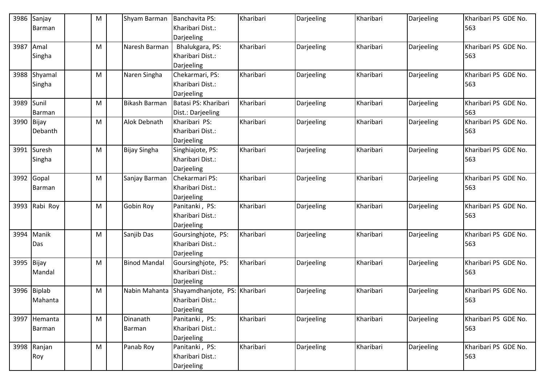| 3986       | Sanjay                 | M | Shyam Barman         | Banchavita PS:<br>Kharibari Dist.:     | Kharibari | Darjeeling | Kharibari | Darjeeling | Kharibari PS GDE No.<br>563 |
|------------|------------------------|---|----------------------|----------------------------------------|-----------|------------|-----------|------------|-----------------------------|
|            | Barman                 |   |                      | Darjeeling                             |           |            |           |            |                             |
| 3987       | Amal                   | M | Naresh Barman        | Bhalukgara, PS:                        | Kharibari | Darjeeling | Kharibari | Darjeeling | Kharibari PS GDE No.        |
|            | Singha                 |   |                      | Kharibari Dist.:                       |           |            |           |            | 563                         |
|            |                        |   |                      | Darjeeling                             |           |            |           |            |                             |
|            | 3988 Shyamal           | M | Naren Singha         | Chekarmari, PS:                        | Kharibari | Darjeeling | Kharibari | Darjeeling | Kharibari PS GDE No.        |
|            | Singha                 |   |                      | Kharibari Dist.:                       |           |            |           |            | 563                         |
|            |                        |   | <b>Bikash Barman</b> | Darjeeling<br>Batasi PS: Kharibari     | Kharibari |            | Kharibari |            |                             |
| 3989       | Sunil<br><b>Barman</b> | M |                      | Dist.: Darjeeling                      |           | Darjeeling |           | Darjeeling | Kharibari PS GDE No.<br>563 |
| 3990 Bijay |                        | M | Alok Debnath         | Kharibari PS:                          | Kharibari | Darjeeling | Kharibari | Darjeeling | Kharibari PS GDE No.        |
|            | Debanth                |   |                      | Kharibari Dist.:                       |           |            |           |            | 563                         |
|            |                        |   |                      | Darjeeling                             |           |            |           |            |                             |
|            | 3991 Suresh            | M | <b>Bijay Singha</b>  | Singhiajote, PS:                       | Kharibari | Darjeeling | Kharibari | Darjeeling | Kharibari PS GDE No.        |
|            | Singha                 |   |                      | Kharibari Dist.:                       |           |            |           |            | 563                         |
|            |                        |   |                      | Darjeeling                             |           |            |           |            |                             |
|            | 3992 Gopal             | M | Sanjay Barman        | Chekarmari PS:                         | Kharibari | Darjeeling | Kharibari | Darjeeling | Kharibari PS GDE No.        |
|            | Barman                 |   |                      | Kharibari Dist.:                       |           |            |           |            | 563                         |
|            |                        |   |                      | Darjeeling                             |           |            |           |            |                             |
| 3993       | Rabi Roy               | M | <b>Gobin Roy</b>     | Panitanki, PS:                         | Kharibari | Darjeeling | Kharibari | Darjeeling | Kharibari PS GDE No.        |
|            |                        |   |                      | Kharibari Dist.:                       |           |            |           |            | 563                         |
|            | Manik                  |   | Sanjib Das           | Darjeeling                             | Kharibari |            | Kharibari |            | Kharibari PS GDE No.        |
| 3994       | Das                    | M |                      | Goursinghjote, PS:<br>Kharibari Dist.: |           | Darjeeling |           | Darjeeling | 563                         |
|            |                        |   |                      | Darjeeling                             |           |            |           |            |                             |
| 3995       | Bijay                  | Μ | <b>Binod Mandal</b>  | Goursinghjote, PS:                     | Kharibari | Darjeeling | Kharibari | Darjeeling | Kharibari PS GDE No.        |
|            | Mandal                 |   |                      | Kharibari Dist.:                       |           |            |           |            | 563                         |
|            |                        |   |                      | Darjeeling                             |           |            |           |            |                             |
|            | 3996 Biplab            | M | Nabin Mahanta        | Shayamdhanjote, PS:                    | Kharibari | Darjeeling | Kharibari | Darjeeling | Kharibari PS GDE No.        |
|            | Mahanta                |   |                      | Kharibari Dist.:                       |           |            |           |            | 563                         |
|            |                        |   |                      | Darjeeling                             |           |            |           |            |                             |
|            | 3997 Hemanta           | M | Dinanath             | Panitanki, PS:                         | Kharibari | Darjeeling | Kharibari | Darjeeling | Kharibari PS GDE No.        |
|            | Barman                 |   | Barman               | Kharibari Dist.:                       |           |            |           |            | 563                         |
|            |                        |   |                      | Darjeeling                             |           |            |           |            |                             |
|            | 3998 Ranjan            | M | Panab Roy            | Panitanki, PS:                         | Kharibari | Darjeeling | Kharibari | Darjeeling | Kharibari PS GDE No.        |
|            | Roy                    |   |                      | Kharibari Dist.:                       |           |            |           |            | 563                         |
|            |                        |   |                      | Darjeeling                             |           |            |           |            |                             |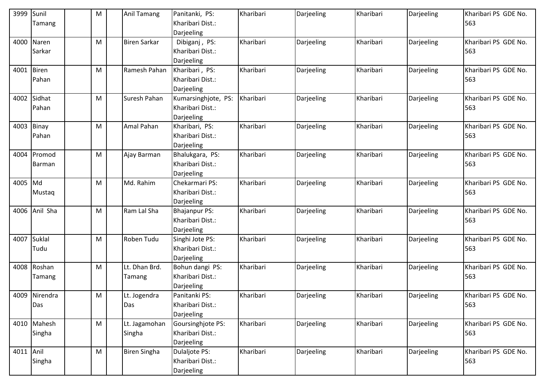| 3999       | Sunil         | M | <b>Anil Tamang</b>  | Panitanki, PS:       | Kharibari | Darjeeling | Kharibari | Darjeeling | Kharibari PS GDE No. |
|------------|---------------|---|---------------------|----------------------|-----------|------------|-----------|------------|----------------------|
|            | Tamang        |   |                     | Kharibari Dist.:     |           |            |           |            | 563                  |
|            |               |   |                     | Darjeeling           |           |            |           |            |                      |
|            | 4000 Naren    | M | <b>Biren Sarkar</b> | Dibiganj, PS:        | Kharibari | Darjeeling | Kharibari | Darjeeling | Kharibari PS GDE No. |
|            | Sarkar        |   |                     | Kharibari Dist.:     |           |            |           |            | 563                  |
|            |               |   |                     | Darjeeling           |           |            |           |            |                      |
| 4001 Biren |               | M | Ramesh Pahan        | Kharibari, PS:       | Kharibari | Darjeeling | Kharibari | Darjeeling | Kharibari PS GDE No. |
|            | Pahan         |   |                     | Kharibari Dist.:     |           |            |           |            | 563                  |
|            |               |   |                     | Darjeeling           |           |            |           |            |                      |
|            | 4002 Sidhat   | M | Suresh Pahan        | Kumarsinghjote, PS:  | Kharibari | Darjeeling | Kharibari | Darjeeling | Kharibari PS GDE No. |
|            | Pahan         |   |                     | Kharibari Dist.:     |           |            |           |            | 563                  |
|            |               |   |                     | Darjeeling           |           |            |           |            |                      |
| 4003       | Binay         | M | Amal Pahan          | Kharibari, PS:       | Kharibari | Darjeeling | Kharibari | Darjeeling | Kharibari PS GDE No. |
|            | Pahan         |   |                     | Kharibari Dist.:     |           |            |           |            | 563                  |
|            |               |   |                     | Darjeeling           |           |            |           |            |                      |
|            | 4004 Promod   | M | Ajay Barman         | Bhalukgara, PS:      | Kharibari | Darjeeling | Kharibari | Darjeeling | Kharibari PS GDE No. |
|            | Barman        |   |                     | Kharibari Dist.:     |           |            |           |            | 563                  |
|            |               |   |                     | Darjeeling           |           |            |           |            |                      |
| 4005 Md    |               | M | Md. Rahim           | Chekarmari PS:       | Kharibari | Darjeeling | Kharibari | Darjeeling | Kharibari PS GDE No. |
|            | Mustaq        |   |                     | Kharibari Dist.:     |           |            |           |            | 563                  |
|            |               |   |                     | Darjeeling           |           |            |           |            |                      |
|            | 4006 Anil Sha | M | Ram Lal Sha         | <b>Bhajanpur PS:</b> | Kharibari | Darjeeling | Kharibari | Darjeeling | Kharibari PS GDE No. |
|            |               |   |                     | Kharibari Dist.:     |           |            |           |            | 563                  |
|            |               |   |                     | Darjeeling           |           |            |           |            |                      |
| 4007       | Suklal        | M | Roben Tudu          | Singhi Jote PS:      | Kharibari | Darjeeling | Kharibari | Darjeeling | Kharibari PS GDE No. |
|            | Tudu          |   |                     | Kharibari Dist.:     |           |            |           |            | 563                  |
|            |               |   |                     | Darjeeling           |           |            |           |            |                      |
|            | 4008 Roshan   | M | Lt. Dhan Brd.       | Bohun dangi PS:      | Kharibari | Darjeeling | Kharibari | Darjeeling | Kharibari PS GDE No. |
|            | Tamang        |   | Tamang              | Kharibari Dist.:     |           |            |           |            | 563                  |
|            |               |   |                     | Darjeeling           |           |            |           |            |                      |
|            | 4009 Nirendra | M | Lt. Jogendra        | Panitanki PS:        | Kharibari | Darjeeling | Kharibari | Darjeeling | Kharibari PS GDE No. |
|            | Das           |   | Das                 | Kharibari Dist.:     |           |            |           |            | 563                  |
|            |               |   |                     | Darjeeling           |           |            |           |            |                      |
|            | 4010 Mahesh   | M | Lt. Jagamohan       | Goursinghjote PS:    | Kharibari | Darjeeling | Kharibari | Darjeeling | Kharibari PS GDE No. |
|            | Singha        |   | Singha              | Kharibari Dist.:     |           |            |           |            | 563                  |
|            |               |   |                     | Darjeeling           |           |            |           |            |                      |
| 4011 Anil  |               | M | Biren Singha        | Dulaljote PS:        | Kharibari | Darjeeling | Kharibari | Darjeeling | Kharibari PS GDE No. |
|            | Singha        |   |                     | Kharibari Dist.:     |           |            |           |            | 563                  |
|            |               |   |                     | Darjeeling           |           |            |           |            |                      |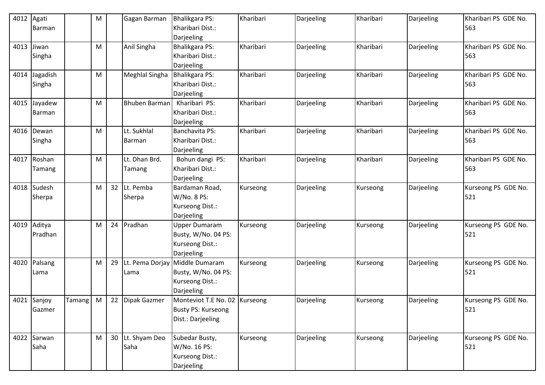| 4012 | Agati<br>Barman |               | M |    | Gagan Barman         | Bhalikgara PS:<br>Kharibari Dist.: | Kharibari | Darjeeling | Kharibari | Darjeeling | Kharibari PS GDE No.<br>563 |
|------|-----------------|---------------|---|----|----------------------|------------------------------------|-----------|------------|-----------|------------|-----------------------------|
|      |                 |               |   |    |                      | Darjeeling                         |           |            |           |            |                             |
| 4013 | Jiwan           |               | M |    | Anil Singha          | <b>Bhalikgara PS:</b>              | Kharibari | Darjeeling | Kharibari | Darjeeling | Kharibari PS GDE No.        |
|      | Singha          |               |   |    |                      | Kharibari Dist.:                   |           |            |           |            | 563                         |
|      |                 |               |   |    |                      | Darjeeling                         |           |            |           |            |                             |
| 4014 | Jagadish        |               | M |    | Meghlal Singha       | <b>Bhalikgara PS:</b>              | Kharibari | Darjeeling | Kharibari | Darjeeling | Kharibari PS GDE No.        |
|      | Singha          |               |   |    |                      | Kharibari Dist.:                   |           |            |           |            | 563                         |
|      |                 |               |   |    |                      | Darjeeling                         |           |            |           |            |                             |
| 4015 | Jayadew         |               | M |    | <b>Bhuben Barman</b> | Kharibari PS:                      | Kharibari | Darjeeling | Kharibari | Darjeeling | Kharibari PS GDE No.        |
|      | Barman          |               |   |    |                      | Kharibari Dist.:                   |           |            |           |            | 563                         |
|      |                 |               |   |    |                      | Darjeeling                         |           |            |           |            |                             |
| 4016 | Dewan           |               | M |    | Lt. Sukhlal          | Banchavita PS:                     | Kharibari | Darjeeling | Kharibari | Darjeeling | Kharibari PS GDE No.        |
|      | Singha          |               |   |    | Barman               | Kharibari Dist.:                   |           |            |           |            | 563                         |
|      |                 |               |   |    |                      | Darjeeling                         |           |            |           |            |                             |
|      | 4017 Roshan     |               | м |    | Lt. Dhan Brd.        | Bohun dangi PS:                    | Kharibari | Darjeeling | Kharibari | Darjeeling | Kharibari PS GDE No.        |
|      | Tamang          |               |   |    | Tamang               | Kharibari Dist.:                   |           |            |           |            | 563                         |
|      |                 |               |   |    |                      | Darjeeling                         |           |            |           |            |                             |
|      | 4018 Sudesh     |               | M |    | 32 Lt. Pemba         | Bardaman Road,                     | Kurseong  | Darjeeling | Kurseong  | Darjeeling | Kurseong PS GDE No.         |
|      | Sherpa          |               |   |    | Sherpa               | W/No. 8 PS:                        |           |            |           |            | 521                         |
|      |                 |               |   |    |                      | Kurseong Dist.:                    |           |            |           |            |                             |
|      |                 |               |   |    |                      | Darjeeling                         |           |            |           |            |                             |
| 4019 | Aditya          |               | M |    | 24 Pradhan           | <b>Upper Dumaram</b>               | Kurseong  | Darjeeling | Kurseong  | Darjeeling | Kurseong PS GDE No.         |
|      | Pradhan         |               |   |    |                      | Busty, W/No. 04 PS:                |           |            |           |            | 521                         |
|      |                 |               |   |    |                      | Kurseong Dist.:                    |           |            |           |            |                             |
|      |                 |               |   |    |                      | Darjeeling                         |           |            |           |            |                             |
| 4020 | Palsang         |               | M | 29 |                      | Lt. Pema Dorjay Middle Dumaram     | Kurseong  | Darjeeling | Kurseong  | Darjeeling | Kurseong PS GDE No.         |
|      | Lama            |               |   |    | Lama                 | Busty, W/No. 04 PS:                |           |            |           |            | 521                         |
|      |                 |               |   |    |                      | Kurseong Dist.:                    |           |            |           |            |                             |
|      |                 |               |   |    |                      | Darjeeling                         |           |            |           |            |                             |
|      | 4021 Sanjoy     | <b>Tamang</b> | M |    | 22 Dipak Gazmer      | Monteviot T.E No. 02 Kurseong      |           | Darjeeling | Kurseong  | Darjeeling | Kurseong PS GDE No.         |
|      | Gazmer          |               |   |    |                      | Busty PS: Kurseong                 |           |            |           |            | 521                         |
|      |                 |               |   |    |                      | Dist.: Darjeeling                  |           |            |           |            |                             |
|      |                 |               |   |    |                      |                                    |           |            |           |            |                             |
|      | 4022 Sarwan     |               | M |    | 30 Lt. Shyam Deo     | Subedar Busty,                     | Kurseong  | Darjeeling | Kurseong  | Darjeeling | Kurseong PS GDE No.         |
|      | Saha            |               |   |    | Saha                 | W/No. 16 PS:                       |           |            |           |            | 521                         |
|      |                 |               |   |    |                      | Kurseong Dist.:                    |           |            |           |            |                             |
|      |                 |               |   |    |                      | Darjeeling                         |           |            |           |            |                             |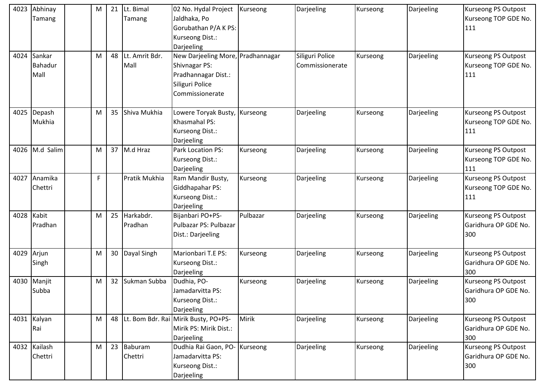| 4023 | Abhinay<br>Tamang                | M | 21 | Lt. Bimal<br>Tamang    | 02 No. Hydal Project   Kurseong<br>Jaldhaka, Po<br>Gorubathan P/A K PS:<br>Kurseong Dist.:<br>Darjeeling        |              | Darjeeling                         | Kurseong | Darjeeling | Kurseong PS Outpost<br>Kurseong TOP GDE No.<br>111        |
|------|----------------------------------|---|----|------------------------|-----------------------------------------------------------------------------------------------------------------|--------------|------------------------------------|----------|------------|-----------------------------------------------------------|
| 4024 | Sankar<br><b>Bahadur</b><br>Mall | M | 48 | Lt. Amrit Bdr.<br>Mall | New Darjeeling More, Pradhannagar<br>Shivnagar PS:<br>Pradhannagar Dist.:<br>Siliguri Police<br>Commissionerate |              | Siliguri Police<br>Commissionerate | Kurseong | Darjeeling | Kurseong PS Outpost<br>Kurseong TOP GDE No.<br>111        |
| 4025 | Depash<br>Mukhia                 | M | 35 | Shiva Mukhia           | Lowere Toryak Busty, Kurseong<br>Khasmahal PS:<br>Kurseong Dist.:<br>Darjeeling                                 |              | Darjeeling                         | Kurseong | Darjeeling | <b>Kurseong PS Outpost</b><br>Kurseong TOP GDE No.<br>111 |
| 4026 | M.d Salim                        | M |    | 37 M.d Hraz            | Park Location PS:<br>Kurseong Dist.:<br>Darjeeling                                                              | Kurseong     | Darjeeling                         | Kurseong | Darjeeling | Kurseong PS Outpost<br>Kurseong TOP GDE No.<br>111        |
| 4027 | Anamika<br>Chettri               | F |    | Pratik Mukhia          | Ram Mandir Busty,<br>Giddhapahar PS:<br>Kurseong Dist.:<br>Darjeeling                                           | Kurseong     | Darjeeling                         | Kurseong | Darjeeling | <b>Kurseong PS Outpost</b><br>Kurseong TOP GDE No.<br>111 |
| 4028 | Kabit<br>Pradhan                 | M | 25 | Harkabdr.<br>Pradhan   | Bijanbari PO+PS-<br>Pulbazar PS: Pulbazar<br>Dist.: Darjeeling                                                  | Pulbazar     | Darjeeling                         | Kurseong | Darjeeling | Kurseong PS Outpost<br>Garidhura OP GDE No.<br>300        |
| 4029 | Arjun<br>Singh                   | M | 30 | Dayal Singh            | Marionbari T.E PS:<br>Kurseong Dist.:<br>Darjeeling                                                             | Kurseong     | Darjeeling                         | Kurseong | Darjeeling | Kurseong PS Outpost<br>Garidhura OP GDE No.<br>300        |
| 4030 | Manjit<br>Subba                  | M | 32 | Sukman Subba           | Dudhia, PO-<br>Jamadarvitta PS:<br>Kurseong Dist.:<br>Darjeeling                                                | Kurseong     | Darjeeling                         | Kurseong | Darjeeling | Kurseong PS Outpost<br>Garidhura OP GDE No.<br>300        |
|      | 4031 Kalyan<br>Rai               | M | 48 |                        | Lt. Bom Bdr. Rai Mirik Busty, PO+PS-<br>Mirik PS: Mirik Dist.:<br>Darjeeling                                    | <b>Mirik</b> | Darjeeling                         | Kurseong | Darjeeling | <b>Kurseong PS Outpost</b><br>Garidhura OP GDE No.<br>300 |
|      | 4032 Kailash<br>Chettri          | M | 23 | Baburam<br>Chettri     | Dudhia Rai Gaon, PO- Kurseong<br>Jamadarvitta PS:<br>Kurseong Dist.:<br>Darjeeling                              |              | Darjeeling                         | Kurseong | Darjeeling | Kurseong PS Outpost<br>Garidhura OP GDE No.<br>300        |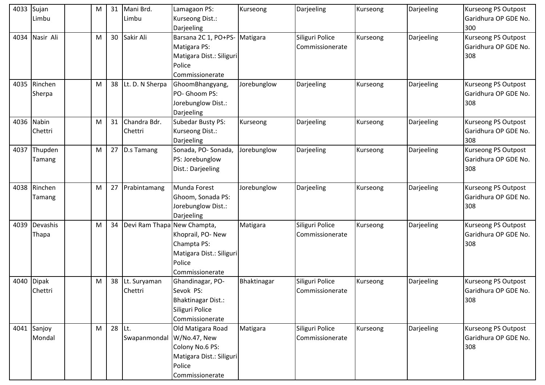| 4033 | Sujan        | M | 31     | Mani Brd.                   | Lamagaon PS:                  | Kurseong    | Darjeeling      | Kurseong | Darjeeling | <b>Kurseong PS Outpost</b> |
|------|--------------|---|--------|-----------------------------|-------------------------------|-------------|-----------------|----------|------------|----------------------------|
|      | Limbu        |   |        | Limbu                       | Kurseong Dist.:               |             |                 |          |            | Garidhura OP GDE No.       |
|      |              |   |        |                             | Darjeeling                    |             |                 |          |            | 300                        |
| 4034 | Nasir Ali    | M | 30     | Sakir Ali                   | Barsana 2C 1, PO+PS- Matigara |             | Siliguri Police | Kurseong | Darjeeling | Kurseong PS Outpost        |
|      |              |   |        |                             | Matigara PS:                  |             | Commissionerate |          |            | Garidhura OP GDE No.       |
|      |              |   |        |                             | Matigara Dist.: Siliguri      |             |                 |          |            | 308                        |
|      |              |   |        |                             | Police                        |             |                 |          |            |                            |
|      |              |   |        |                             | Commissionerate               |             |                 |          |            |                            |
| 4035 | Rinchen      | M | 38     | Lt. D. N Sherpa             | GhoomBhangyang,               | Jorebunglow | Darjeeling      | Kurseong | Darjeeling | <b>Kurseong PS Outpost</b> |
|      | Sherpa       |   |        |                             | PO- Ghoom PS:                 |             |                 |          |            | Garidhura OP GDE No.       |
|      |              |   |        |                             | Jorebunglow Dist.:            |             |                 |          |            | 308                        |
|      |              |   |        |                             | Darjeeling                    |             |                 |          |            |                            |
| 4036 | Nabin        | M | 31     | Chandra Bdr.                | <b>Subedar Busty PS:</b>      | Kurseong    | Darjeeling      | Kurseong | Darjeeling | Kurseong PS Outpost        |
|      | Chettri      |   |        | Chettri                     | Kurseong Dist.:               |             |                 |          |            | Garidhura OP GDE No.       |
|      |              |   |        |                             | Darjeeling                    |             |                 |          |            | 308                        |
| 4037 | Thupden      | M |        | 27 D.s Tamang               | Sonada, PO-Sonada,            | Jorebunglow | Darjeeling      | Kurseong | Darjeeling | Kurseong PS Outpost        |
|      | Tamang       |   |        |                             | PS: Jorebunglow               |             |                 |          |            | Garidhura OP GDE No.       |
|      |              |   |        |                             | Dist.: Darjeeling             |             |                 |          |            | 308                        |
|      |              |   |        |                             |                               |             |                 |          |            |                            |
| 4038 | Rinchen      | M | 27     | Prabintamang                | Munda Forest                  | Jorebunglow | Darjeeling      | Kurseong | Darjeeling | <b>Kurseong PS Outpost</b> |
|      | Tamang       |   |        |                             | Ghoom, Sonada PS:             |             |                 |          |            | Garidhura OP GDE No.       |
|      |              |   |        |                             | Jorebunglow Dist.:            |             |                 |          |            | 308                        |
|      |              |   |        |                             | Darjeeling                    |             |                 |          |            |                            |
| 4039 | Devashis     | M | 34     | Devi Ram Thapa New Champta, |                               | Matigara    | Siliguri Police | Kurseong | Darjeeling | Kurseong PS Outpost        |
|      | Thapa        |   |        |                             | Khoprail, PO- New             |             | Commissionerate |          |            | Garidhura OP GDE No.       |
|      |              |   |        |                             | Champta PS:                   |             |                 |          |            | 308                        |
|      |              |   |        |                             | Matigara Dist.: Siliguri      |             |                 |          |            |                            |
|      |              |   |        |                             | Police                        |             |                 |          |            |                            |
|      |              |   |        |                             | Commissionerate               |             |                 |          |            |                            |
| 4040 | <b>Dipak</b> | M | 38     | Lt. Suryaman                | Ghandinagar, PO-              | Bhaktinagar | Siliguri Police | Kurseong | Darjeeling | Kurseong PS Outpost        |
|      | Chettri      |   |        | Chettri                     | Sevok PS:                     |             | Commissionerate |          |            | Garidhura OP GDE No.       |
|      |              |   |        |                             | <b>Bhaktinagar Dist.:</b>     |             |                 |          |            | 308                        |
|      |              |   |        |                             | Siliguri Police               |             |                 |          |            |                            |
|      |              |   |        |                             | Commissionerate               |             |                 |          |            |                            |
|      | 4041 Sanjoy  | M | 28 Lt. |                             | Old Matigara Road             | Matigara    | Siliguri Police | Kurseong | Darjeeling | <b>Kurseong PS Outpost</b> |
|      | Mondal       |   |        | Swapanmondal W/No.47, New   |                               |             | Commissionerate |          |            | Garidhura OP GDE No.       |
|      |              |   |        |                             | Colony No.6 PS:               |             |                 |          |            | 308                        |
|      |              |   |        |                             | Matigara Dist.: Siliguri      |             |                 |          |            |                            |
|      |              |   |        |                             | Police                        |             |                 |          |            |                            |
|      |              |   |        |                             | Commissionerate               |             |                 |          |            |                            |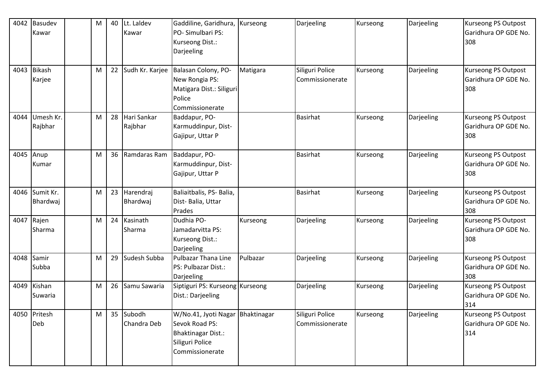| 4042 | <b>Basudev</b> | M | 40 | Lt. Laldev      | Gaddiline, Garidhura, Kurseong   |          | Darjeeling      | Kurseong | Darjeeling | <b>Kurseong PS Outpost</b>                  |
|------|----------------|---|----|-----------------|----------------------------------|----------|-----------------|----------|------------|---------------------------------------------|
|      | Kawar          |   |    | Kawar           | PO-Simulbari PS:                 |          |                 |          |            | Garidhura OP GDE No.                        |
|      |                |   |    |                 | Kurseong Dist.:                  |          |                 |          |            | 308                                         |
|      |                |   |    |                 | Darjeeling                       |          |                 |          |            |                                             |
|      |                |   |    |                 |                                  |          |                 |          |            |                                             |
| 4043 | <b>Bikash</b>  | M | 22 | Sudh Kr. Karjee | Balasan Colony, PO-              | Matigara | Siliguri Police | Kurseong | Darjeeling | Kurseong PS Outpost                         |
|      | Karjee         |   |    |                 | New Rongia PS:                   |          | Commissionerate |          |            | Garidhura OP GDE No.                        |
|      |                |   |    |                 | Matigara Dist.: Siliguri         |          |                 |          |            | 308                                         |
|      |                |   |    |                 | Police                           |          |                 |          |            |                                             |
|      |                |   |    |                 | Commissionerate                  |          |                 |          |            |                                             |
| 4044 | Umesh Kr.      | M | 28 | Hari Sankar     | Baddapur, PO-                    |          | <b>Basirhat</b> | Kurseong | Darjeeling | Kurseong PS Outpost                         |
|      | Rajbhar        |   |    | Rajbhar         | Karmuddinpur, Dist-              |          |                 |          |            | Garidhura OP GDE No.                        |
|      |                |   |    |                 | Gajipur, Uttar P                 |          |                 |          |            | 308                                         |
|      |                |   |    |                 |                                  |          |                 |          |            |                                             |
| 4045 | Anup           | M | 36 | Ramdaras Ram    | Baddapur, PO-                    |          | <b>Basirhat</b> | Kurseong | Darjeeling | Kurseong PS Outpost                         |
|      | Kumar          |   |    |                 | Karmuddinpur, Dist-              |          |                 |          |            | Garidhura OP GDE No.                        |
|      |                |   |    |                 | Gajipur, Uttar P                 |          |                 |          |            | 308                                         |
|      |                |   |    |                 |                                  |          |                 |          |            |                                             |
| 4046 | Sumit Kr.      | M | 23 | Harendraj       | Baliaitbalis, PS- Balia,         |          | <b>Basirhat</b> | Kurseong | Darjeeling | Kurseong PS Outpost                         |
|      | Bhardwaj       |   |    | Bhardwaj        | Dist-Balia, Uttar                |          |                 |          |            | Garidhura OP GDE No.                        |
|      |                |   |    |                 | Prades                           |          |                 |          |            | 308                                         |
| 4047 | Rajen          | M |    | 24 Kasinath     | Dudhia PO-                       | Kurseong | Darjeeling      | Kurseong | Darjeeling | Kurseong PS Outpost                         |
|      | Sharma         |   |    | Sharma          | Jamadarvitta PS:                 |          |                 |          |            | Garidhura OP GDE No.                        |
|      |                |   |    |                 | Kurseong Dist.:                  |          |                 |          |            | 308                                         |
|      |                |   |    |                 | Darjeeling                       |          |                 |          |            |                                             |
| 4048 | Samir          | M | 29 | Sudesh Subba    | Pulbazar Thana Line              | Pulbazar | Darjeeling      | Kurseong | Darjeeling | <b>Kurseong PS Outpost</b>                  |
|      | Subba          |   |    |                 | PS: Pulbazar Dist.:              |          |                 |          |            | Garidhura OP GDE No.                        |
|      | Kishan         |   |    | Samu Sawaria    | Darjeeling                       |          |                 |          |            | 308                                         |
| 4049 |                | M | 26 |                 | Siptiguri PS: Kurseong Kurseong  |          | Darjeeling      | Kurseong | Darjeeling | Kurseong PS Outpost<br>Garidhura OP GDE No. |
|      | Suwaria        |   |    |                 | Dist.: Darjeeling                |          |                 |          |            | 314                                         |
|      | 4050 Pritesh   | M |    | 35 Subodh       | W/No.41, Jyoti Nagar Bhaktinagar |          | Siliguri Police | Kurseong | Darjeeling | <b>Kurseong PS Outpost</b>                  |
|      | Deb            |   |    | Chandra Deb     | Sevok Road PS:                   |          | Commissionerate |          |            | Garidhura OP GDE No.                        |
|      |                |   |    |                 | <b>Bhaktinagar Dist.:</b>        |          |                 |          |            | 314                                         |
|      |                |   |    |                 | Siliguri Police                  |          |                 |          |            |                                             |
|      |                |   |    |                 | Commissionerate                  |          |                 |          |            |                                             |
|      |                |   |    |                 |                                  |          |                 |          |            |                                             |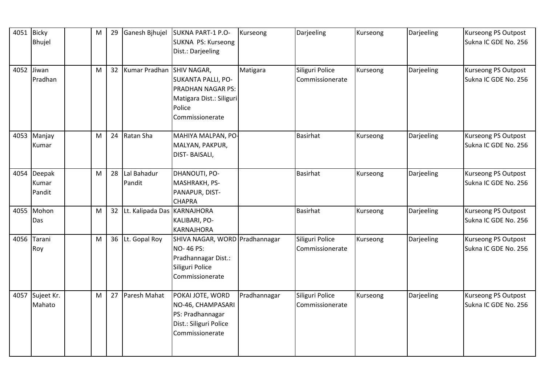|      | 4051 Bicky  | M | 29 | Ganesh Bjhujel                   | <b>SUKNA PART-1 P.O-</b>       | Kurseong     | Darjeeling      | Kurseong | Darjeeling | <b>Kurseong PS Outpost</b> |
|------|-------------|---|----|----------------------------------|--------------------------------|--------------|-----------------|----------|------------|----------------------------|
|      | Bhujel      |   |    |                                  | <b>SUKNA PS: Kurseong</b>      |              |                 |          |            | Sukna IC GDE No. 256       |
|      |             |   |    |                                  | Dist.: Darjeeling              |              |                 |          |            |                            |
|      |             |   |    |                                  |                                |              |                 |          |            |                            |
|      | 4052 Jiwan  | M |    | 32   Kumar Pradhan   SHIV NAGAR, |                                | Matigara     | Siliguri Police | Kurseong | Darjeeling | <b>Kurseong PS Outpost</b> |
|      | Pradhan     |   |    |                                  | <b>SUKANTA PALLI, PO-</b>      |              | Commissionerate |          |            | Sukna IC GDE No. 256       |
|      |             |   |    |                                  | PRADHAN NAGAR PS:              |              |                 |          |            |                            |
|      |             |   |    |                                  | Matigara Dist.: Siliguri       |              |                 |          |            |                            |
|      |             |   |    |                                  | Police                         |              |                 |          |            |                            |
|      |             |   |    |                                  | Commissionerate                |              |                 |          |            |                            |
|      | 4053 Manjay | M |    | 24 Ratan Sha                     | MAHIYA MALPAN, PO-             |              | <b>Basirhat</b> | Kurseong | Darjeeling | Kurseong PS Outpost        |
|      | Kumar       |   |    |                                  | MALYAN, PAKPUR,                |              |                 |          |            | Sukna IC GDE No. 256       |
|      |             |   |    |                                  | DIST-BAISALI,                  |              |                 |          |            |                            |
|      |             |   |    |                                  |                                |              |                 |          |            |                            |
|      | 4054 Deepak | M |    | 28 Lal Bahadur                   | DHANOUTI, PO-                  |              | <b>Basirhat</b> | Kurseong | Darjeeling | <b>Kurseong PS Outpost</b> |
|      | Kumar       |   |    | Pandit                           | MASHRAKH, PS-                  |              |                 |          |            | Sukna IC GDE No. 256       |
|      | Pandit      |   |    |                                  | PANAPUR, DIST-                 |              |                 |          |            |                            |
|      |             |   |    |                                  | <b>CHAPRA</b>                  |              |                 |          |            |                            |
|      | 4055 Mohon  | M |    | 32 Lt. Kalipada Das KARNAJHORA   |                                |              | <b>Basirhat</b> | Kurseong | Darjeeling | <b>Kurseong PS Outpost</b> |
|      | Das         |   |    |                                  | KALIBARI, PO-                  |              |                 |          |            | Sukna IC GDE No. 256       |
|      |             |   |    |                                  | <b>KARNAJHORA</b>              |              |                 |          |            |                            |
| 4056 | Tarani      | M |    | 36 Lt. Gopal Roy                 | SHIVA NAGAR, WORD Pradhannagar |              | Siliguri Police | Kurseong | Darjeeling | <b>Kurseong PS Outpost</b> |
|      | Roy         |   |    |                                  | <b>NO-46 PS:</b>               |              | Commissionerate |          |            | Sukna IC GDE No. 256       |
|      |             |   |    |                                  | Pradhannagar Dist.:            |              |                 |          |            |                            |
|      |             |   |    |                                  | Siliguri Police                |              |                 |          |            |                            |
|      |             |   |    |                                  | Commissionerate                |              |                 |          |            |                            |
| 4057 | Sujeet Kr.  | M |    | 27 Paresh Mahat                  | POKAI JOTE, WORD               | Pradhannagar | Siliguri Police | Kurseong | Darjeeling | <b>Kurseong PS Outpost</b> |
|      | Mahato      |   |    |                                  | NO-46, CHAMPASARI              |              | Commissionerate |          |            | Sukna IC GDE No. 256       |
|      |             |   |    |                                  | PS: Pradhannagar               |              |                 |          |            |                            |
|      |             |   |    |                                  | Dist.: Siliguri Police         |              |                 |          |            |                            |
|      |             |   |    |                                  | Commissionerate                |              |                 |          |            |                            |
|      |             |   |    |                                  |                                |              |                 |          |            |                            |
|      |             |   |    |                                  |                                |              |                 |          |            |                            |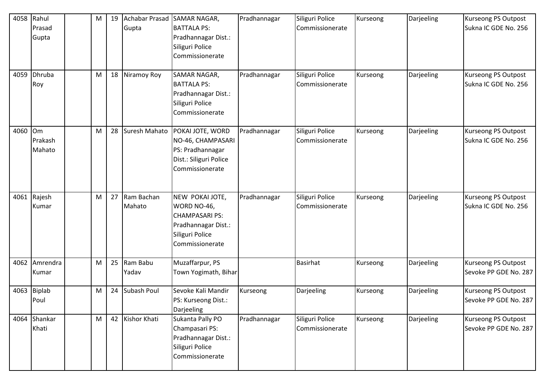| 4058<br>4059 | Rahul<br>Prasad<br>Gupta<br>Dhruba<br>Roy | M<br>M |    | 19 Achabar Prasad<br>Gupta<br>18 Niramoy Roy | SAMAR NAGAR,<br><b>BATTALA PS:</b><br>Pradhannagar Dist.:<br>Siliguri Police<br>Commissionerate<br>SAMAR NAGAR,<br><b>BATTALA PS:</b> | Pradhannagar<br>Pradhannagar | Siliguri Police<br>Commissionerate<br>Siliguri Police<br>Commissionerate | Kurseong<br>Kurseong | Darjeeling<br>Darjeeling | Kurseong PS Outpost<br>Sukna IC GDE No. 256<br><b>Kurseong PS Outpost</b><br>Sukna IC GDE No. 256 |
|--------------|-------------------------------------------|--------|----|----------------------------------------------|---------------------------------------------------------------------------------------------------------------------------------------|------------------------------|--------------------------------------------------------------------------|----------------------|--------------------------|---------------------------------------------------------------------------------------------------|
|              |                                           |        |    |                                              | Pradhannagar Dist.:<br>Siliguri Police<br>Commissionerate                                                                             |                              |                                                                          |                      |                          |                                                                                                   |
| 4060         | <b>Om</b><br>Prakash<br>Mahato            | M      |    | 28 Suresh Mahato                             | POKAI JOTE, WORD<br>NO-46, CHAMPASARI<br>PS: Pradhannagar<br>Dist.: Siliguri Police<br>Commissionerate                                | Pradhannagar                 | Siliguri Police<br>Commissionerate                                       | Kurseong             | Darjeeling               | Kurseong PS Outpost<br>Sukna IC GDE No. 256                                                       |
|              | 4061 Rajesh<br>Kumar                      | M      |    | 27 Ram Bachan<br>Mahato                      | NEW POKAI JOTE,<br>WORD NO-46,<br><b>CHAMPASARI PS:</b><br>Pradhannagar Dist.:<br>Siliguri Police<br>Commissionerate                  | Pradhannagar                 | Siliguri Police<br>Commissionerate                                       | Kurseong             | Darjeeling               | Kurseong PS Outpost<br>Sukna IC GDE No. 256                                                       |
| 4062         | Amrendra<br>Kumar                         | M      | 25 | Ram Babu<br>Yadav                            | Muzaffarpur, PS<br>Town Yogimath, Bihar                                                                                               |                              | <b>Basirhat</b>                                                          | Kurseong             | Darjeeling               | Kurseong PS Outpost<br>Sevoke PP GDE No. 287                                                      |
| 4063         | Biplab<br>Poul                            | M      |    | 24 Subash Poul                               | Sevoke Kali Mandir<br>PS: Kurseong Dist.:<br>Darjeeling                                                                               | Kurseong                     | Darjeeling                                                               | Kurseong             | Darjeeling               | <b>Kurseong PS Outpost</b><br>Sevoke PP GDE No. 287                                               |
|              | 4064 Shankar<br>Khati                     | M      |    | 42 Kishor Khati                              | Sukanta Pally PO<br>Champasari PS:<br>Pradhannagar Dist.:<br>Siliguri Police<br>Commissionerate                                       | Pradhannagar                 | Siliguri Police<br>Commissionerate                                       | Kurseong             | Darjeeling               | <b>Kurseong PS Outpost</b><br>Sevoke PP GDE No. 287                                               |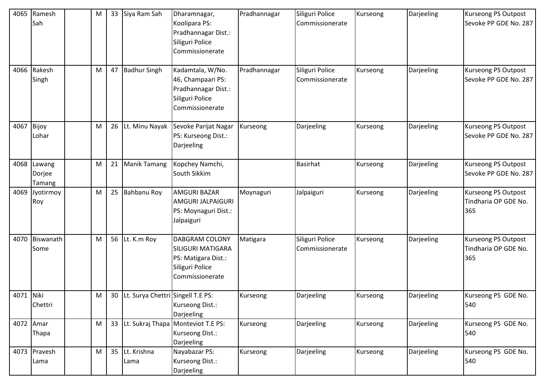| 4065      | Ramesh<br>Sah                   | M | 33 | Siya Ram Sah                         | Dharamnagar,<br>Koolipara PS:<br>Pradhannagar Dist.:<br>Siliguri Police<br>Commissionerate                     | Pradhannagar | Siliguri Police<br>Commissionerate | Kurseong | Darjeeling | Kurseong PS Outpost<br>Sevoke PP GDE No. 287       |
|-----------|---------------------------------|---|----|--------------------------------------|----------------------------------------------------------------------------------------------------------------|--------------|------------------------------------|----------|------------|----------------------------------------------------|
|           | 4066 Rakesh<br>Singh            | м | 47 | <b>Badhur Singh</b>                  | Kadamtala, W/No.<br>46, Champaari PS:<br>Pradhannagar Dist.:<br>Siliguri Police<br>Commissionerate             | Pradhannagar | Siliguri Police<br>Commissionerate | Kurseong | Darjeeling | Kurseong PS Outpost<br>Sevoke PP GDE No. 287       |
| 4067      | Bijoy<br>Lohar                  | Μ | 26 | Lt. Minu Nayak                       | Sevoke Parijat Nagar<br>PS: Kurseong Dist.:<br>Darjeeling                                                      | Kurseong     | Darjeeling                         | Kurseong | Darjeeling | Kurseong PS Outpost<br>Sevoke PP GDE No. 287       |
|           | 4068 Lawang<br>Dorjee<br>Tamang | M | 21 | <b>Manik Tamang</b>                  | Kopchey Namchi,<br>South Sikkim                                                                                |              | <b>Basirhat</b>                    | Kurseong | Darjeeling | Kurseong PS Outpost<br>Sevoke PP GDE No. 287       |
| 4069      | Jyotirmoy<br>Roy                | M | 25 | <b>Bahbanu Roy</b>                   | <b>AMGURI BAZAR</b><br>AMGURI JALPAIGURI<br>PS: Moynaguri Dist.:<br>Jalpaiguri                                 | Moynaguri    | Jalpaiguri                         | Kurseong | Darjeeling | Kurseong PS Outpost<br>Tindharia OP GDE No.<br>365 |
| 4070      | Biswanath<br>Some               | M |    | 56 Lt. K.m Roy                       | <b>DABGRAM COLONY</b><br><b>SILIGURI MATIGARA</b><br>PS: Matigara Dist.:<br>Siliguri Police<br>Commissionerate | Matigara     | Siliguri Police<br>Commissionerate | Kurseong | Darjeeling | Kurseong PS Outpost<br>Tindharia OP GDE No.<br>365 |
| 4071 Niki | Chettri                         | M |    | 30 Lt. Surya Chettri Singell T.E PS: | Kurseong Dist.:<br>Darjeeling                                                                                  | Kurseong     | Darjeeling                         | Kurseong | Darjeeling | Kurseong PS GDE No.<br>540                         |
|           | 4072 Amar<br>Thapa              | M |    |                                      | 33 Lt. Sukraj Thapa Monteviot T.E PS:<br>Kurseong Dist.:<br>Darjeeling                                         | Kurseong     | Darjeeling                         | Kurseong | Darjeeling | Kurseong PS GDE No.<br>540                         |
|           | 4073 Pravesh<br>Lama            | M |    | 35 Lt. Krishna<br>Lama               | Nayabazar PS:<br>Kurseong Dist.:<br>Darjeeling                                                                 | Kurseong     | Darjeeling                         | Kurseong | Darjeeling | Kurseong PS GDE No.<br>540                         |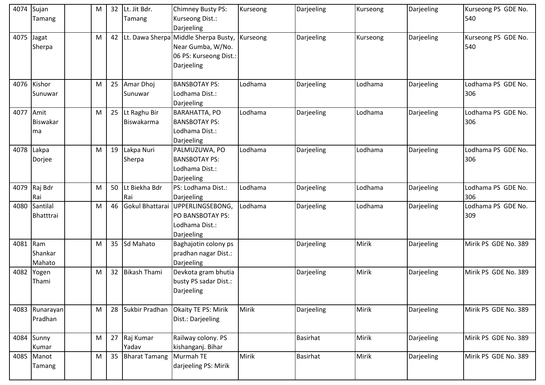| 4074      | Sujan           | M |    | 32 Lt. Jit Bdr.   | Chimney Busty PS:                       | Kurseong | Darjeeling      | Kurseong | Darjeeling | Kurseong PS GDE No.  |
|-----------|-----------------|---|----|-------------------|-----------------------------------------|----------|-----------------|----------|------------|----------------------|
|           | Tamang          |   |    | <b>Tamang</b>     | Kurseong Dist.:                         |          |                 |          |            | 540                  |
|           |                 |   |    |                   | Darjeeling                              |          |                 |          |            |                      |
| 4075      | Jagat           | M |    |                   | 42 Lt. Dawa Sherpa Middle Sherpa Busty, | Kurseong | Darjeeling      | Kurseong | Darjeeling | Kurseong PS GDE No.  |
|           | Sherpa          |   |    |                   | Near Gumba, W/No.                       |          |                 |          |            | 540                  |
|           |                 |   |    |                   | 06 PS: Kurseong Dist.:                  |          |                 |          |            |                      |
|           |                 |   |    |                   | Darjeeling                              |          |                 |          |            |                      |
|           |                 |   |    |                   |                                         |          |                 |          |            |                      |
|           | 4076 Kishor     | M |    | 25 Amar Dhoj      | <b>BANSBOTAY PS:</b>                    | Lodhama  | Darjeeling      | Lodhama  | Darjeeling | Lodhama PS GDE No.   |
|           | Sunuwar         |   |    | Sunuwar           | Lodhama Dist.:                          |          |                 |          |            | 306                  |
|           |                 |   |    |                   | Darjeeling                              |          |                 |          |            |                      |
| 4077 Amit |                 | M |    | 25 Lt Raghu Bir   | <b>BARAHATTA, PO</b>                    | Lodhama  | Darjeeling      | Lodhama  | Darjeeling | Lodhama PS GDE No.   |
|           | <b>Biswakar</b> |   |    | Biswakarma        | <b>BANSBOTAY PS:</b>                    |          |                 |          |            | 306                  |
|           | ma              |   |    |                   | Lodhama Dist.:                          |          |                 |          |            |                      |
|           |                 |   |    |                   | Darjeeling                              |          |                 |          |            |                      |
|           | 4078 Lakpa      | M |    | 19 Lakpa Nuri     | PALMUZUWA, PO                           | Lodhama  | Darjeeling      | Lodhama  | Darjeeling | Lodhama PS GDE No.   |
|           | Dorjee          |   |    | Sherpa            | <b>BANSBOTAY PS:</b>                    |          |                 |          |            | 306                  |
|           |                 |   |    |                   | Lodhama Dist.:                          |          |                 |          |            |                      |
|           |                 |   |    |                   | Darjeeling                              |          |                 |          |            |                      |
| 4079      | Raj Bdr         | M |    | 50 Lt Biekha Bdr  | PS: Lodhama Dist.:                      | Lodhama  | Darjeeling      | Lodhama  | Darjeeling | Lodhama PS GDE No.   |
|           | Rai             |   |    | Rai               | Darjeeling                              |          |                 |          |            | 306                  |
| 4080      | Santilal        | M | 46 | Gokul Bhattarai   | UPPERLINGSEBONG,                        | Lodhama  | Darjeeling      | Lodhama  | Darjeeling | Lodhama PS GDE No.   |
|           | Bhatttrai       |   |    |                   | PO BANSBOTAY PS:                        |          |                 |          |            | 309                  |
|           |                 |   |    |                   | Lodhama Dist.:                          |          |                 |          |            |                      |
|           |                 |   |    |                   | Darjeeling                              |          |                 |          |            |                      |
| 4081 Ram  |                 | M |    | 35 Sd Mahato      | Baghajotin colony ps                    |          | Darjeeling      | Mirik    | Darjeeling | Mirik PS GDE No. 389 |
|           | Shankar         |   |    |                   | pradhan nagar Dist.:                    |          |                 |          |            |                      |
|           | Mahato          |   |    |                   | Darjeeling                              |          |                 |          |            |                      |
| 4082      | Yogen           | M |    | 32 Bikash Thami   | Devkota gram bhutia                     |          | Darjeeling      | Mirik    | Darjeeling | Mirik PS GDE No. 389 |
|           | Thami           |   |    |                   | busty PS sadar Dist.:                   |          |                 |          |            |                      |
|           |                 |   |    |                   | Darjeeling                              |          |                 |          |            |                      |
|           |                 |   |    |                   |                                         |          |                 |          |            |                      |
|           | 4083 Runarayan  | M |    | 28 Sukbir Pradhan | Okaity TE PS: Mirik                     | Mirik    | Darjeeling      | Mirik    | Darjeeling | Mirik PS GDE No. 389 |
|           | Pradhan         |   |    |                   | Dist.: Darjeeling                       |          |                 |          |            |                      |
|           |                 |   |    |                   |                                         |          |                 |          |            |                      |
|           | 4084 Sunny      | M |    | 27 Raj Kumar      | Railway colony. PS                      |          | <b>Basirhat</b> | Mirik    | Darjeeling | Mirik PS GDE No. 389 |
|           | Kumar           |   |    | Yadav             | kishanganj. Bihar                       |          |                 |          |            |                      |
|           | 4085 Manot      | M |    | 35 Bharat Tamang  | Murmah TE                               | Mirik    | <b>Basirhat</b> | Mirik    | Darjeeling | Mirik PS GDE No. 389 |
|           | Tamang          |   |    |                   | darjeeling PS: Mirik                    |          |                 |          |            |                      |
|           |                 |   |    |                   |                                         |          |                 |          |            |                      |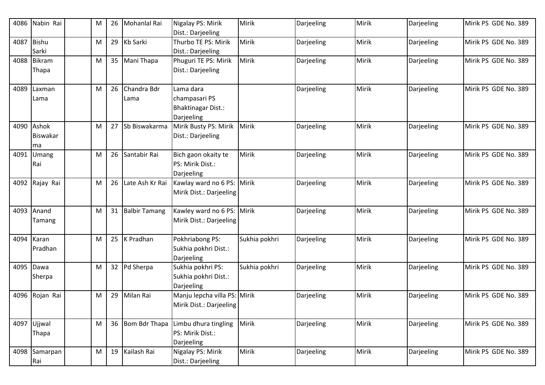| 4086 | Nabin Rai                      | M | 26 | Mohanlal Rai        | Nigalay PS: Mirik<br>Dist.: Darjeeling                                | Mirik         | Darjeeling | Mirik | Darjeeling | Mirik PS GDE No. 389 |
|------|--------------------------------|---|----|---------------------|-----------------------------------------------------------------------|---------------|------------|-------|------------|----------------------|
| 4087 | <b>Bishu</b><br>Sarki          | M | 29 | Kb Sarki            | Thurbo TE PS: Mirik<br>Dist.: Darjeeling                              | Mirik         | Darjeeling | Mirik | Darjeeling | Mirik PS GDE No. 389 |
| 4088 | <b>Bikram</b><br>Thapa         | M | 35 | Mani Thapa          | Phuguri TE PS: Mirik<br>Dist.: Darjeeling                             | Mirik         | Darjeeling | Mirik | Darjeeling | Mirik PS GDE No. 389 |
| 4089 | Laxman<br>Lama                 | M | 26 | Chandra Bdr<br>Lama | Lama dara<br>champasari PS<br><b>Bhaktinagar Dist.:</b><br>Darjeeling |               | Darjeeling | Mirik | Darjeeling | Mirik PS GDE No. 389 |
| 4090 | Ashok<br><b>Biswakar</b><br>ma | M | 27 | Sb Biswakarma       | Mirik Busty PS: Mirik<br>Dist.: Darjeeling                            | Mirik         | Darjeeling | Mirik | Darjeeling | Mirik PS GDE No. 389 |
| 4091 | Umang<br>Rai                   | M |    | 26 Santabir Rai     | Bich gaon okaity te<br>PS: Mirik Dist.:<br>Darjeeling                 | Mirik         | Darjeeling | Mirik | Darjeeling | Mirik PS GDE No. 389 |
| 4092 | Rajay Rai                      | M | 26 | Late Ash Kr Rai     | Kawlay ward no 6 PS:<br>Mirik Dist.: Darjeeling                       | Mirik         | Darjeeling | Mirik | Darjeeling | Mirik PS GDE No. 389 |
| 4093 | Anand<br>Tamang                | M |    | 31 Balbir Tamang    | Kawley ward no 6 PS:<br>Mirik Dist.: Darjeeling                       | Mirik         | Darjeeling | Mirik | Darjeeling | Mirik PS GDE No. 389 |
| 4094 | Karan<br>Pradhan               | M |    | 25   K Pradhan      | Pokhriabong PS:<br>Sukhia pokhri Dist.:<br>Darjeeling                 | Sukhia pokhri | Darjeeling | Mirik | Darjeeling | Mirik PS GDE No. 389 |
| 4095 | Dawa<br>Sherpa                 | M |    | 32 Pd Sherpa        | Sukhia pokhri PS:<br>Sukhia pokhri Dist.:<br>Darjeeling               | Sukhia pokhri | Darjeeling | Mirik | Darjeeling | Mirik PS GDE No. 389 |
| 4096 | Rojan Rai                      | M | 29 | Milan Rai           | Manju lepcha villa PS: Mirik<br>Mirik Dist.: Darjeeling               |               | Darjeeling | Mirik | Darjeeling | Mirik PS GDE No. 389 |
|      | 4097 Ujjwal<br>Thapa           | M |    | 36 Bom Bdr Thapa    | Limbu dhura tingling<br>PS: Mirik Dist.:<br>Darjeeling                | Mirik         | Darjeeling | Mirik | Darjeeling | Mirik PS GDE No. 389 |
| 4098 | Samarpan<br>Rai                | M |    | 19 Kailash Rai      | Nigalay PS: Mirik<br>Dist.: Darjeeling                                | Mirik         | Darjeeling | Mirik | Darjeeling | Mirik PS GDE No. 389 |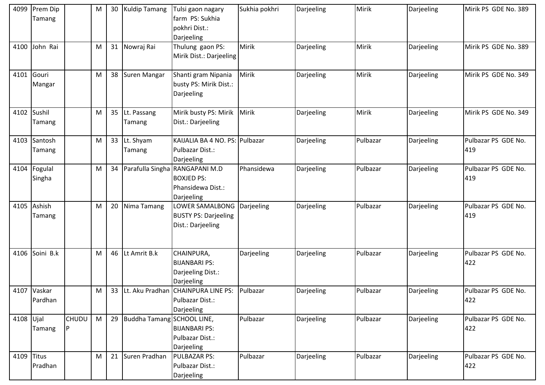| 4099       | Prem Dip<br>Tamang     |              | M | 30 | <b>Kuldip Tamang</b>          | Tulsi gaon nagary<br>farm PS: Sukhia<br>pokhri Dist.:<br>Darjeeling    | Sukhia pokhri | Darjeeling | Mirik    | Darjeeling | Mirik PS GDE No. 389       |
|------------|------------------------|--------------|---|----|-------------------------------|------------------------------------------------------------------------|---------------|------------|----------|------------|----------------------------|
| 4100       | John Rai               |              | M |    | 31 Nowraj Rai                 | Thulung gaon PS:<br>Mirik Dist.: Darjeeling                            | Mirik         | Darjeeling | Mirik    | Darjeeling | Mirik PS GDE No. 389       |
| 4101       | Gouri<br>Mangar        |              | M |    | 38 Suren Mangar               | Shanti gram Nipania<br>busty PS: Mirik Dist.:<br>Darjeeling            | Mirik         | Darjeeling | Mirik    | Darjeeling | Mirik PS GDE No. 349       |
|            | 4102 Sushil<br>Tamang  |              | M |    | 35 Lt. Passang<br>Tamang      | Mirik busty PS: Mirik<br>Dist.: Darjeeling                             | Mirik         | Darjeeling | Mirik    | Darjeeling | Mirik PS GDE No. 349       |
| 4103       | Santosh<br>Tamang      |              | M |    | 33 Lt. Shyam<br>Tamang        | KAIJALIA BA 4 NO. PS: Pulbazar<br>Pulbazar Dist.:<br>Darjeeling        |               | Darjeeling | Pulbazar | Darjeeling | Pulbazar PS GDE No.<br>419 |
| 4104       | Fogulal<br>Singha      |              | M | 34 | Parafulla Singha              | RANGAPANI M.D<br><b>BOXJED PS:</b><br>Phansidewa Dist.:<br>Darjeeling  | Phansidewa    | Darjeeling | Pulbazar | Darjeeling | Pulbazar PS GDE No.<br>419 |
| 4105       | Ashish<br>Tamang       |              | M | 20 | Nima Tamang                   | LOWER SAMALBONG<br><b>BUSTY PS: Darjeeling</b><br>Dist.: Darjeeling    | Darjeeling    | Darjeeling | Pulbazar | Darjeeling | Pulbazar PS GDE No.<br>419 |
| 4106       | Soini B.k              |              | M | 46 | Lt Amrit B.k                  | CHAINPURA,<br><b>BIJANBARI PS:</b><br>Darjeeling Dist.:<br>Darjeeling  | Darjeeling    | Darjeeling | Pulbazar | Darjeeling | Pulbazar PS GDE No.<br>422 |
|            | 4107 Vaskar<br>Pardhan |              | M |    |                               | 33 Lt. Aku Pradhan CHAINPURA LINE PS:<br>Pulbazar Dist.:<br>Darjeeling | Pulbazar      | Darjeeling | Pulbazar | Darjeeling | Pulbazar PS GDE No.<br>422 |
| 4108 Ujal  | Tamang                 | CHUDU<br>IP. | M |    | 29 Buddha Tamang SCHOOL LINE, | <b>BIJANBARI PS:</b><br>Pulbazar Dist.:<br>Darjeeling                  | Pulbazar      | Darjeeling | Pulbazar | Darjeeling | Pulbazar PS GDE No.<br>422 |
| 4109 Titus | Pradhan                |              | M |    | 21 Suren Pradhan              | PULBAZAR PS:<br>Pulbazar Dist.:<br>Darjeeling                          | Pulbazar      | Darjeeling | Pulbazar | Darjeeling | Pulbazar PS GDE No.<br>422 |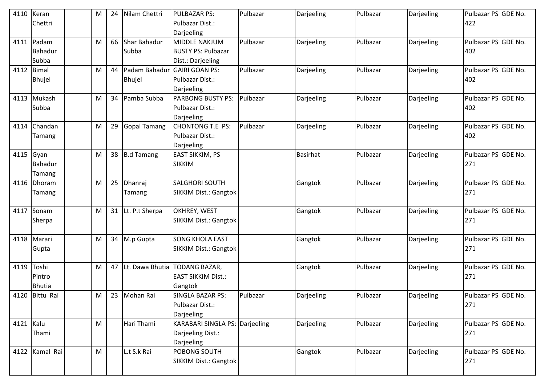| 4110 Keran | Chettri        | M         | 24 | Nilam Chettri                | <b>PULBAZAR PS:</b><br>Pulbazar Dist.: | Pulbazar | Darjeeling      | Pulbazar | Darjeeling | Pulbazar PS GDE No.<br>422 |
|------------|----------------|-----------|----|------------------------------|----------------------------------------|----------|-----------------|----------|------------|----------------------------|
|            |                |           |    |                              | Darjeeling                             |          |                 |          |            |                            |
|            | 4111 Padam     | M         | 66 | Shar Bahadur                 | MIDDLE NAKJUM                          | Pulbazar | Darjeeling      | Pulbazar | Darjeeling | Pulbazar PS GDE No.        |
|            | <b>Bahadur</b> |           |    | Subba                        | <b>BUSTY PS: Pulbazar</b>              |          |                 |          |            | 402                        |
|            | Subba          |           |    |                              | Dist.: Darjeeling                      |          |                 |          |            |                            |
| 4112 Bimal |                | M         | 44 | Padam Bahadur GAIRI GOAN PS: |                                        | Pulbazar | Darjeeling      | Pulbazar | Darjeeling | Pulbazar PS GDE No.        |
|            | <b>Bhujel</b>  |           |    | <b>Bhujel</b>                | Pulbazar Dist.:                        |          |                 |          |            | 402                        |
|            |                |           |    |                              | Darjeeling                             |          |                 |          |            |                            |
|            | 4113 Mukash    | M         | 34 | Pamba Subba                  | <b>PARBONG BUSTY PS:</b>               | Pulbazar | Darjeeling      | Pulbazar | Darjeeling | Pulbazar PS GDE No.        |
|            | Subba          |           |    |                              | Pulbazar Dist.:                        |          |                 |          |            | 402                        |
|            |                |           |    |                              | Darjeeling                             |          |                 |          |            |                            |
| 4114       | Chandan        | M         | 29 | <b>Gopal Tamang</b>          | <b>CHONTONG T.E PS:</b>                | Pulbazar | Darjeeling      | Pulbazar | Darjeeling | Pulbazar PS GDE No.        |
|            | Tamang         |           |    |                              | Pulbazar Dist.:                        |          |                 |          |            | 402                        |
|            |                |           |    |                              | Darjeeling                             |          |                 |          |            |                            |
| 4115 Gyan  |                | M         |    | 38 B.d Tamang                | <b>EAST SIKKIM, PS</b>                 |          | <b>Basirhat</b> | Pulbazar | Darjeeling | Pulbazar PS GDE No.        |
|            | Bahadur        |           |    |                              | <b>SIKKIM</b>                          |          |                 |          |            | 271                        |
|            | Tamang         |           |    |                              |                                        |          |                 |          |            |                            |
|            | 4116 Dhoram    | M         |    | 25 Dhanraj                   | <b>SALGHORI SOUTH</b>                  |          | Gangtok         | Pulbazar | Darjeeling | Pulbazar PS GDE No.        |
|            | Tamang         |           |    | Tamang                       | <b>SIKKIM Dist.: Gangtok</b>           |          |                 |          |            | 271                        |
|            | 4117 Sonam     | M         |    | 31 Lt. P.t Sherpa            | OKHREY, WEST                           |          | Gangtok         | Pulbazar | Darjeeling | Pulbazar PS GDE No.        |
|            | <b>Sherpa</b>  |           |    |                              | <b>SIKKIM Dist.: Gangtok</b>           |          |                 |          |            | 271                        |
|            |                |           |    |                              |                                        |          |                 |          |            |                            |
|            | 4118 Marari    | M         |    | 34 M.p Gupta                 | <b>SONG KHOLA EAST</b>                 |          | Gangtok         | Pulbazar | Darjeeling | Pulbazar PS GDE No.        |
|            | Gupta          |           |    |                              | <b>SIKKIM Dist.: Gangtok</b>           |          |                 |          |            | 271                        |
|            |                |           |    |                              |                                        |          |                 |          |            |                            |
| 4119 Toshi |                | M         |    |                              | 47 Lt. Dawa Bhutia TODANG BAZAR,       |          | Gangtok         | Pulbazar | Darjeeling | Pulbazar PS GDE No.        |
|            | Pintro         |           |    |                              | <b>EAST SIKKIM Dist.:</b>              |          |                 |          |            | 271                        |
|            | <b>Bhutia</b>  |           |    |                              | Gangtok                                |          |                 |          |            |                            |
|            | 4120 Bittu Rai | M         |    | 23 Mohan Rai                 | <b>SINGLA BAZAR PS:</b>                | Pulbazar | Darjeeling      | Pulbazar | Darjeeling | Pulbazar PS GDE No.        |
|            |                |           |    |                              | Pulbazar Dist.:                        |          |                 |          |            | 271                        |
|            |                |           |    |                              | Darjeeling                             |          |                 |          |            |                            |
| 4121 Kalu  |                | ${\sf M}$ |    | Hari Thami                   | <b>KARABARI SINGLA PS: Darjeeling</b>  |          | Darjeeling      | Pulbazar | Darjeeling | Pulbazar PS GDE No.        |
|            | Thami          |           |    |                              | Darjeeling Dist.:                      |          |                 |          |            | 271                        |
|            |                |           |    |                              | Darjeeling                             |          |                 |          |            |                            |
|            | 4122 Kamal Rai | ${\sf M}$ |    | L.t S.k Rai                  | POBONG SOUTH                           |          | Gangtok         | Pulbazar | Darjeeling | Pulbazar PS GDE No.        |
|            |                |           |    |                              | <b>SIKKIM Dist.: Gangtok</b>           |          |                 |          |            | 271                        |
|            |                |           |    |                              |                                        |          |                 |          |            |                            |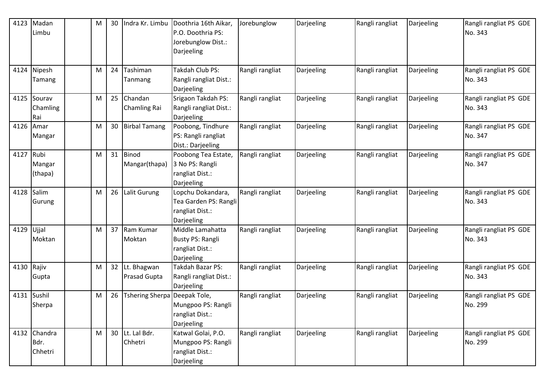| 4123 | Madan           | M | 30              | Indra Kr. Limbu              | Doothria 16th Aikar,<br>P.O. Doothria PS: | Jorebunglow     | Darjeeling | Rangli rangliat | Darjeeling | Rangli rangliat PS GDE<br>No. 343 |
|------|-----------------|---|-----------------|------------------------------|-------------------------------------------|-----------------|------------|-----------------|------------|-----------------------------------|
|      | Limbu           |   |                 |                              | Jorebunglow Dist.:<br>Darjeeling          |                 |            |                 |            |                                   |
|      |                 |   |                 |                              |                                           |                 |            |                 |            |                                   |
| 4124 | Nipesh          | M | 24              | Tashiman                     | Takdah Club PS:                           | Rangli rangliat | Darjeeling | Rangli rangliat | Darjeeling | Rangli rangliat PS GDE            |
|      | Tamang          |   |                 | Tanmang                      | Rangli rangliat Dist.:<br>Darjeeling      |                 |            |                 |            | No. 343                           |
| 4125 | Sourav          | M | 25              | Chandan                      | Srigaon Takdah PS:                        | Rangli rangliat | Darjeeling | Rangli rangliat | Darjeeling | Rangli rangliat PS GDE            |
|      | Chamling        |   |                 | <b>Chamling Rai</b>          | Rangli rangliat Dist.:                    |                 |            |                 |            | No. 343                           |
|      | Rai             |   |                 |                              | Darjeeling                                |                 |            |                 |            |                                   |
| 4126 | Amar            | M | 30 <sub>2</sub> | <b>Birbal Tamang</b>         | Poobong, Tindhure<br>PS: Rangli rangliat  | Rangli rangliat | Darjeeling | Rangli rangliat | Darjeeling | Rangli rangliat PS GDE<br>No. 347 |
|      | Mangar          |   |                 |                              | Dist.: Darjeeling                         |                 |            |                 |            |                                   |
| 4127 | Rubi            | M |                 | 31 Binod                     | Poobong Tea Estate,                       | Rangli rangliat | Darjeeling | Rangli rangliat | Darjeeling | Rangli rangliat PS GDE            |
|      | Mangar          |   |                 | Mangar(thapa)                | 3 No PS: Rangli                           |                 |            |                 |            | No. 347                           |
|      | (thapa)         |   |                 |                              | rangliat Dist.:                           |                 |            |                 |            |                                   |
|      |                 |   |                 |                              | Darjeeling                                |                 |            |                 |            |                                   |
| 4128 | Salim           | M | 26              | Lalit Gurung                 | Lopchu Dokandara,                         | Rangli rangliat | Darjeeling | Rangli rangliat | Darjeeling | Rangli rangliat PS GDE            |
|      | Gurung          |   |                 |                              | Tea Garden PS: Rangli                     |                 |            |                 |            | No. 343                           |
|      |                 |   |                 |                              | rangliat Dist.:                           |                 |            |                 |            |                                   |
|      |                 |   |                 | 37 Ram Kumar                 | Darjeeling<br>Middle Lamahatta            |                 |            |                 |            |                                   |
| 4129 | Ujjal<br>Moktan | M |                 | Moktan                       | <b>Busty PS: Rangli</b>                   | Rangli rangliat | Darjeeling | Rangli rangliat | Darjeeling | Rangli rangliat PS GDE<br>No. 343 |
|      |                 |   |                 |                              | rangliat Dist.:                           |                 |            |                 |            |                                   |
|      |                 |   |                 |                              | Darjeeling                                |                 |            |                 |            |                                   |
| 4130 | Rajiv           | M |                 | 32 Lt. Bhagwan               | Takdah Bazar PS:                          | Rangli rangliat | Darjeeling | Rangli rangliat | Darjeeling | Rangli rangliat PS GDE            |
|      | Gupta           |   |                 | <b>Prasad Gupta</b>          | Rangli rangliat Dist.:                    |                 |            |                 |            | No. 343                           |
|      |                 |   |                 |                              | Darjeeling                                |                 |            |                 |            |                                   |
|      | 4131 Sushil     | M | 26              | Tshering Sherpa Deepak Tole, |                                           | Rangli rangliat | Darjeeling | Rangli rangliat | Darjeeling | Rangli rangliat PS GDE            |
|      | Sherpa          |   |                 |                              | Mungpoo PS: Rangli                        |                 |            |                 |            | No. 299                           |
|      |                 |   |                 |                              | rangliat Dist.:                           |                 |            |                 |            |                                   |
|      |                 |   |                 |                              | Darjeeling                                |                 |            |                 |            |                                   |
|      | 4132 Chandra    | M |                 | 30 Lt. Lal Bdr.              | Katwal Golai, P.O.                        | Rangli rangliat | Darjeeling | Rangli rangliat | Darjeeling | Rangli rangliat PS GDE            |
|      | Bdr.            |   |                 | Chhetri                      | Mungpoo PS: Rangli                        |                 |            |                 |            | No. 299                           |
|      | Chhetri         |   |                 |                              | rangliat Dist.:                           |                 |            |                 |            |                                   |
|      |                 |   |                 |                              | Darjeeling                                |                 |            |                 |            |                                   |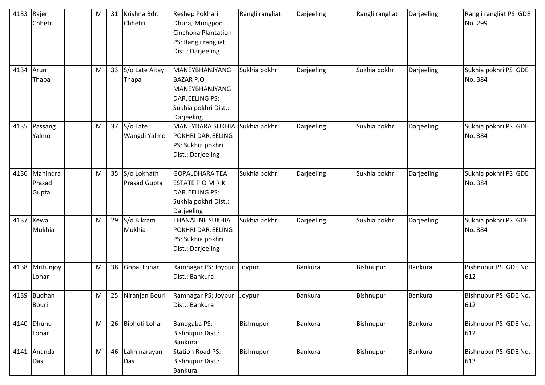| 4133      | Rajen<br>Chhetri                 | M | 31 | Krishna Bdr.<br>Chhetri        | Reshep Pokhari<br>Dhura, Mungpoo<br>Cinchona Plantation<br>PS: Rangli rangliat<br>Dist.: Darjeeling                 | Rangli rangliat | Darjeeling     | Rangli rangliat | Darjeeling     | Rangli rangliat PS GDE<br>No. 299 |
|-----------|----------------------------------|---|----|--------------------------------|---------------------------------------------------------------------------------------------------------------------|-----------------|----------------|-----------------|----------------|-----------------------------------|
| 4134 Arun | Thapa                            | M |    | 33 S/o Late Aitay<br>Thapa     | MANEYBHANJYANG<br><b>BAZAR P.O</b><br>MANEYBHANJYANG<br><b>DARJEELING PS:</b><br>Sukhia pokhri Dist.:<br>Darjeeling | Sukhia pokhri   | Darjeeling     | Sukhia pokhri   | Darjeeling     | Sukhia pokhri PS GDE<br>No. 384   |
|           | 4135 Passang<br>Yalmo            | M |    | $37$ S/o Late<br>Wangdi Yalmo  | <b>MANEYDARA SUKHIA</b><br>POKHRI DARJEELING<br>PS: Sukhia pokhri<br>Dist.: Darjeeling                              | Sukhia pokhri   | Darjeeling     | Sukhia pokhri   | Darjeeling     | Sukhia pokhri PS GDE<br>No. 384   |
|           | 4136 Mahindra<br>Prasad<br>Gupta | M |    | 35 S/o Loknath<br>Prasad Gupta | <b>GOPALDHARA TEA</b><br><b>ESTATE P.O MIRIK</b><br><b>DARJEELING PS:</b><br>Sukhia pokhri Dist.:<br>Darjeeling     | Sukhia pokhri   | Darjeeling     | Sukhia pokhri   | Darjeeling     | Sukhia pokhri PS GDE<br>No. 384   |
| 4137      | Kewal<br>Mukhia                  | M |    | 29 S/o Bikram<br>Mukhia        | <b>THANALINE SUKHIA</b><br>POKHRI DARJEELING<br>PS: Sukhia pokhri<br>Dist.: Darjeeling                              | Sukhia pokhri   | Darjeeling     | Sukhia pokhri   | Darjeeling     | Sukhia pokhri PS GDE<br>No. 384   |
| 4138      | Mritunjoy<br>Lohar               | M |    | 38 Gopal Lohar                 | Ramnagar PS: Joypur<br>Dist.: Bankura                                                                               | Joypur          | <b>Bankura</b> | Bishnupur       | Bankura        | Bishnupur PS GDE No.<br>612       |
|           | 4139 Budhan<br><b>Bouri</b>      | M |    | 25 Niranjan Bouri              | Ramnagar PS: Joypur<br>Dist.: Bankura                                                                               | Joypur          | <b>Bankura</b> | Bishnupur       | <b>Bankura</b> | Bishnupur PS GDE No.<br>612       |
|           | 4140 Dhunu<br>Lohar              | M |    | 26 Bibhuti Lohar               | Bandgaba PS:<br><b>Bishnupur Dist.:</b><br><b>Bankura</b>                                                           | Bishnupur       | <b>Bankura</b> | Bishnupur       | <b>Bankura</b> | Bishnupur PS GDE No.<br>612       |
|           | 4141 Ananda<br>Das               | M |    | 46 Lakhinarayan<br>Das         | <b>Station Road PS:</b><br><b>Bishnupur Dist.:</b><br>Bankura                                                       | Bishnupur       | Bankura        | Bishnupur       | <b>Bankura</b> | Bishnupur PS GDE No.<br>613       |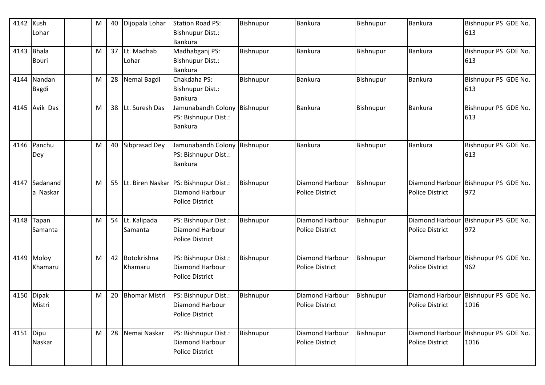| 4142      | Kush<br>Lohar          | M | 40 | Dijopala Lohar            | <b>Station Road PS:</b><br><b>Bishnupur Dist.:</b><br><b>Bankura</b>                  | Bishnupur | Bankura                                   | Bishnupur | Bankura                                          | Bishnupur PS GDE No.<br>613  |
|-----------|------------------------|---|----|---------------------------|---------------------------------------------------------------------------------------|-----------|-------------------------------------------|-----------|--------------------------------------------------|------------------------------|
| 4143      | <b>Bhala</b><br>Bouri  | M |    | 37 Lt. Madhab<br>Lohar    | Madhabganj PS:<br><b>Bishnupur Dist.:</b><br>Bankura                                  | Bishnupur | <b>Bankura</b>                            | Bishnupur | Bankura                                          | Bishnupur PS GDE No.<br>613  |
| 4144      | Nandan<br>Bagdi        | M | 28 | Nemai Bagdi               | Chakdaha PS:<br><b>Bishnupur Dist.:</b><br>Bankura                                    | Bishnupur | Bankura                                   | Bishnupur | <b>Bankura</b>                                   | Bishnupur PS GDE No.<br>613  |
| 4145      | Avik Das               | M |    | 38 Lt. Suresh Das         | Jamunabandh Colony<br>PS: Bishnupur Dist.:<br><b>Bankura</b>                          | Bishnupur | Bankura                                   | Bishnupur | Bankura                                          | Bishnupur PS GDE No.<br>613  |
| 4146      | Panchu<br>Dey          | M |    | 40 Sibprasad Dey          | Jamunabandh Colony<br>PS: Bishnupur Dist.:<br>Bankura                                 | Bishnupur | Bankura                                   | Bishnupur | <b>Bankura</b>                                   | Bishnupur PS GDE No.<br>613  |
| 4147      | Sadanand<br>a Naskar   | M |    |                           | 55 Lt. Biren Naskar PS: Bishnupur Dist.:<br>Diamond Harbour<br><b>Police District</b> | Bishnupur | Diamond Harbour<br><b>Police District</b> | Bishnupur | <b>Diamond Harbour</b><br><b>Police District</b> | Bishnupur PS GDE No.<br>972  |
| 4148      | Tapan<br>Samanta       | M | 54 | Lt. Kalipada<br>Samanta   | PS: Bishnupur Dist.:<br>Diamond Harbour<br><b>Police District</b>                     | Bishnupur | Diamond Harbour<br><b>Police District</b> | Bishnupur | Diamond Harbour<br><b>Police District</b>        | Bishnupur PS GDE No.<br>972  |
| 4149      | Moloy<br>Khamaru       | M |    | 42 Botokrishna<br>Khamaru | PS: Bishnupur Dist.:<br>Diamond Harbour<br><b>Police District</b>                     | Bishnupur | Diamond Harbour<br><b>Police District</b> | Bishnupur | <b>Diamond Harbour</b><br><b>Police District</b> | Bishnupur PS GDE No.<br>962  |
| 4150      | <b>Dipak</b><br>Mistri | M | 20 | <b>Bhomar Mistri</b>      | PS: Bishnupur Dist.:<br><b>Diamond Harbour</b><br><b>Police District</b>              | Bishnupur | Diamond Harbour<br>Police District        | Bishnupur | Diamond Harbour<br>Police District               | Bishnupur PS GDE No.<br>1016 |
| 4151 Dipu | Naskar                 | M |    | 28 Nemai Naskar           | PS: Bishnupur Dist.:<br>Diamond Harbour<br>Police District                            | Bishnupur | Diamond Harbour<br><b>Police District</b> | Bishnupur | <b>Diamond Harbour</b><br><b>Police District</b> | Bishnupur PS GDE No.<br>1016 |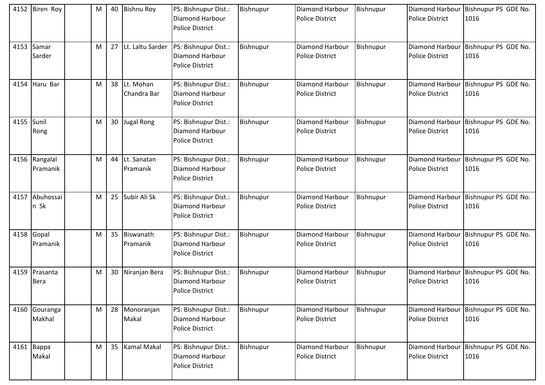| 4152 | Biren Roy                    | M | 40 | <b>Bishnu Roy</b>          | PS: Bishnupur Dist.:<br>Diamond Harbour<br><b>Police District</b> | Bishnupur | <b>Diamond Harbour</b><br><b>Police District</b> | Bishnupur | <b>Diamond Harbour</b><br><b>Police District</b> | Bishnupur PS GDE No.<br>1016 |
|------|------------------------------|---|----|----------------------------|-------------------------------------------------------------------|-----------|--------------------------------------------------|-----------|--------------------------------------------------|------------------------------|
| 4153 | Samar<br>Sarder              | м | 27 | Lt. Laltu Sarder           | PS: Bishnupur Dist.:<br>Diamond Harbour<br><b>Police District</b> | Bishnupur | <b>Diamond Harbour</b><br><b>Police District</b> | Bishnupur | Diamond Harbour<br><b>Police District</b>        | Bishnupur PS GDE No.<br>1016 |
| 4154 | Haru Bar                     | м | 38 | Lt. Mohan<br>Chandra Bar   | PS: Bishnupur Dist.:<br>Diamond Harbour<br><b>Police District</b> | Bishnupur | <b>Diamond Harbour</b><br><b>Police District</b> | Bishnupur | Diamond Harbour<br><b>Police District</b>        | Bishnupur PS GDE No.<br>1016 |
| 4155 | Sunil<br>Rong                | м | 30 | Jugal Rong                 | PS: Bishnupur Dist.:<br>Diamond Harbour<br><b>Police District</b> | Bishnupur | <b>Diamond Harbour</b><br><b>Police District</b> | Bishnupur | <b>Diamond Harbour</b><br><b>Police District</b> | Bishnupur PS GDE No.<br>1016 |
|      | 4156 Rangalal<br>Pramanik    | M |    | 44 Lt. Sanatan<br>Pramanik | PS: Bishnupur Dist.:<br>Diamond Harbour<br><b>Police District</b> | Bishnupur | Diamond Harbour<br><b>Police District</b>        | Bishnupur | Diamond Harbour<br><b>Police District</b>        | Bishnupur PS GDE No.<br>1016 |
| 4157 | Abuhossai<br>n Sk            | M | 25 | Subir Ali Sk               | PS: Bishnupur Dist.:<br>Diamond Harbour<br><b>Police District</b> | Bishnupur | Diamond Harbour<br><b>Police District</b>        | Bishnupur | Diamond Harbour<br><b>Police District</b>        | Bishnupur PS GDE No.<br>1016 |
|      | 4158 Gopal<br>Pramanik       | м | 35 | Biswanath<br>Pramanik      | PS: Bishnupur Dist.:<br>Diamond Harbour<br><b>Police District</b> | Bishnupur | Diamond Harbour<br>Police District               | Bishnupur | <b>Diamond Harbour</b><br><b>Police District</b> | Bishnupur PS GDE No.<br>1016 |
|      | 4159 Prasanta<br><b>Bera</b> | M | 30 | Niranjan Bera              | PS: Bishnupur Dist.:<br>Diamond Harbour<br><b>Police District</b> | Bishnupur | <b>Diamond Harbour</b><br><b>Police District</b> | Bishnupur | Diamond Harbour<br><b>Police District</b>        | Bishnupur PS GDE No.<br>1016 |
|      | 4160 Gouranga<br>Makhal      | M |    | 28 Monoranjan<br>Makal     | PS: Bishnupur Dist.:<br>Diamond Harbour<br><b>Police District</b> | Bishnupur | Diamond Harbour<br><b>Police District</b>        | Bishnupur | Diamond Harbour<br><b>Police District</b>        | Bishnupur PS GDE No.<br>1016 |
|      | 4161 Bappa<br>Makal          | M |    | 35 Kamal Makal             | PS: Bishnupur Dist.:<br>Diamond Harbour<br><b>Police District</b> | Bishnupur | <b>Diamond Harbour</b><br><b>Police District</b> | Bishnupur | <b>Diamond Harbour</b><br><b>Police District</b> | Bishnupur PS GDE No.<br>1016 |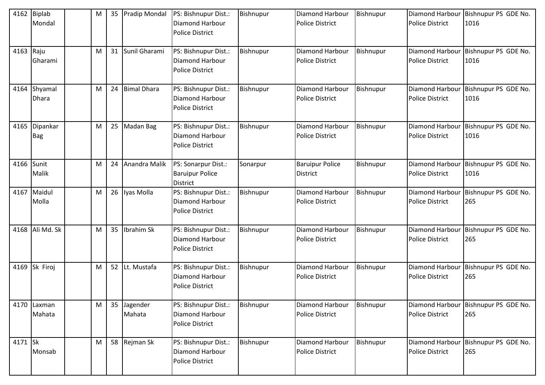| 4162       | Biplab<br>Mondal        | M |    | 35 Pradip Mondal      | PS: Bishnupur Dist.:<br>Diamond Harbour<br><b>Police District</b> | Bishnupur | <b>Diamond Harbour</b><br><b>Police District</b> | Bishnupur | Diamond Harbour<br><b>Police District</b>        | Bishnupur PS GDE No.<br>1016 |
|------------|-------------------------|---|----|-----------------------|-------------------------------------------------------------------|-----------|--------------------------------------------------|-----------|--------------------------------------------------|------------------------------|
| 4163 Raju  | Gharami                 | M |    | 31 Sunil Gharami      | PS: Bishnupur Dist.:<br>Diamond Harbour<br><b>Police District</b> | Bishnupur | <b>Diamond Harbour</b><br><b>Police District</b> | Bishnupur | Diamond Harbour<br><b>Police District</b>        | Bishnupur PS GDE No.<br>1016 |
| 4164       | Shyamal<br><b>Dhara</b> | M |    | 24 Bimal Dhara        | PS: Bishnupur Dist.:<br>Diamond Harbour<br><b>Police District</b> | Bishnupur | Diamond Harbour<br><b>Police District</b>        | Bishnupur | Diamond Harbour<br><b>Police District</b>        | Bishnupur PS GDE No.<br>1016 |
| 4165       | Dipankar<br><b>Bag</b>  | M | 25 | Madan Bag             | PS: Bishnupur Dist.:<br>Diamond Harbour<br><b>Police District</b> | Bishnupur | <b>Diamond Harbour</b><br><b>Police District</b> | Bishnupur | Diamond Harbour<br><b>Police District</b>        | Bishnupur PS GDE No.<br>1016 |
| 4166 Sunit | Malik                   | M |    | 24 Anandra Malik      | PS: Sonarpur Dist.:<br><b>Baruipur Police</b><br><b>District</b>  | Sonarpur  | <b>Baruipur Police</b><br><b>District</b>        | Bishnupur | Diamond Harbour<br><b>Police District</b>        | Bishnupur PS GDE No.<br>1016 |
|            | 4167 Maidul<br>Molla    | M |    | 26 Iyas Molla         | PS: Bishnupur Dist.:<br>Diamond Harbour<br><b>Police District</b> | Bishnupur | <b>Diamond Harbour</b><br><b>Police District</b> | Bishnupur | Diamond Harbour<br><b>Police District</b>        | Bishnupur PS GDE No.<br>265  |
|            | 4168 Ali Md. Sk         | M | 35 | Ibrahim Sk            | PS: Bishnupur Dist.:<br>Diamond Harbour<br><b>Police District</b> | Bishnupur | Diamond Harbour<br><b>Police District</b>        | Bishnupur | Diamond Harbour<br><b>Police District</b>        | Bishnupur PS GDE No.<br>265  |
| 4169       | Sk Firoj                | M |    | 52 Lt. Mustafa        | PS: Bishnupur Dist.:<br>Diamond Harbour<br><b>Police District</b> | Bishnupur | <b>Diamond Harbour</b><br><b>Police District</b> | Bishnupur | <b>Diamond Harbour</b><br><b>Police District</b> | Bishnupur PS GDE No.<br>265  |
|            | 4170 Laxman<br>Mahata   | M |    | 35 Jagender<br>Mahata | PS: Bishnupur Dist.:<br>Diamond Harbour<br><b>Police District</b> | Bishnupur | <b>Diamond Harbour</b><br><b>Police District</b> | Bishnupur | Diamond Harbour<br><b>Police District</b>        | Bishnupur PS GDE No.<br>265  |
| 4171 Sk    | Monsab                  | M |    | 58 Rejman Sk          | PS: Bishnupur Dist.:<br>Diamond Harbour<br><b>Police District</b> | Bishnupur | <b>Diamond Harbour</b><br><b>Police District</b> | Bishnupur | Diamond Harbour<br>Police District               | Bishnupur PS GDE No.<br>265  |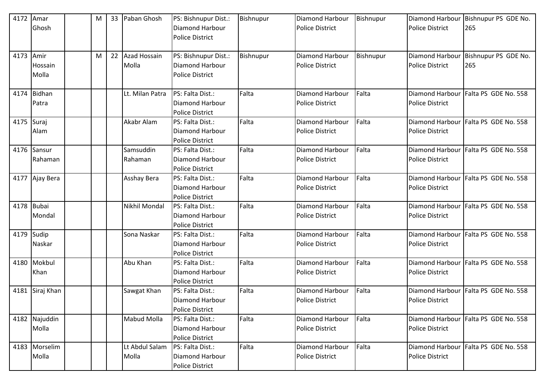| 4172       | Amar          | M | 33 | Paban Ghosh        | PS: Bishnupur Dist.:   | Bishnupur | Diamond Harbour        | Bishnupur | <b>Diamond Harbour</b> | Bishnupur PS GDE No.                 |
|------------|---------------|---|----|--------------------|------------------------|-----------|------------------------|-----------|------------------------|--------------------------------------|
|            | Ghosh         |   |    |                    | Diamond Harbour        |           | <b>Police District</b> |           | <b>Police District</b> | 265                                  |
|            |               |   |    |                    | <b>Police District</b> |           |                        |           |                        |                                      |
|            |               |   |    |                    |                        |           |                        |           |                        |                                      |
| 4173       | Amir          | M | 22 | Azad Hossain       | PS: Bishnupur Dist.:   | Bishnupur | Diamond Harbour        | Bishnupur | Diamond Harbour        | Bishnupur PS GDE No.                 |
|            | Hossain       |   |    | Molla              | Diamond Harbour        |           | <b>Police District</b> |           | <b>Police District</b> | 265                                  |
|            | Molla         |   |    |                    | <b>Police District</b> |           |                        |           |                        |                                      |
|            |               |   |    |                    |                        |           |                        |           |                        |                                      |
| 4174       | <b>Bidhan</b> |   |    | Lt. Milan Patra    | PS: Falta Dist.:       | Falta     | <b>Diamond Harbour</b> | Falta     | <b>Diamond Harbour</b> | Falta PS GDE No. 558                 |
|            | Patra         |   |    |                    | <b>Diamond Harbour</b> |           | <b>Police District</b> |           | <b>Police District</b> |                                      |
|            |               |   |    |                    | <b>Police District</b> |           |                        |           |                        |                                      |
| 4175 Suraj |               |   |    | Akabr Alam         | PS: Falta Dist.:       | Falta     | Diamond Harbour        | Falta     |                        | Diamond Harbour Falta PS GDE No. 558 |
|            | Alam          |   |    |                    | Diamond Harbour        |           | <b>Police District</b> |           | <b>Police District</b> |                                      |
|            |               |   |    |                    | <b>Police District</b> |           |                        |           |                        |                                      |
|            | 4176 Sansur   |   |    | Samsuddin          | PS: Falta Dist.:       | Falta     | <b>Diamond Harbour</b> | Falta     | <b>Diamond Harbour</b> | Falta PS GDE No. 558                 |
|            | Rahaman       |   |    | Rahaman            | Diamond Harbour        |           | <b>Police District</b> |           | <b>Police District</b> |                                      |
|            |               |   |    |                    | <b>Police District</b> |           |                        |           |                        |                                      |
| 4177       | Ajay Bera     |   |    | Asshay Bera        | PS: Falta Dist.:       | Falta     | Diamond Harbour        | Falta     | <b>Diamond Harbour</b> | Falta PS GDE No. 558                 |
|            |               |   |    |                    | Diamond Harbour        |           | <b>Police District</b> |           | <b>Police District</b> |                                      |
|            |               |   |    |                    | <b>Police District</b> |           |                        |           |                        |                                      |
|            | 4178 Bubai    |   |    | Nikhil Mondal      | PS: Falta Dist.:       | Falta     | Diamond Harbour        | Falta     | Diamond Harbour        | Falta PS GDE No. 558                 |
|            | Mondal        |   |    |                    | <b>Diamond Harbour</b> |           | <b>Police District</b> |           | <b>Police District</b> |                                      |
|            |               |   |    |                    | <b>Police District</b> |           |                        |           |                        |                                      |
| 4179       | Sudip         |   |    | Sona Naskar        | PS: Falta Dist.:       | Falta     | Diamond Harbour        | Falta     | Diamond Harbour        | Falta PS GDE No. 558                 |
|            | Naskar        |   |    |                    | Diamond Harbour        |           | <b>Police District</b> |           | <b>Police District</b> |                                      |
|            |               |   |    |                    | <b>Police District</b> |           |                        |           |                        |                                      |
| 4180       | Mokbul        |   |    | Abu Khan           | PS: Falta Dist.:       | Falta     | Diamond Harbour        | Falta     | <b>Diamond Harbour</b> | Falta PS GDE No. 558                 |
|            | Khan          |   |    |                    | Diamond Harbour        |           | <b>Police District</b> |           | <b>Police District</b> |                                      |
|            |               |   |    |                    | <b>Police District</b> |           |                        |           |                        |                                      |
| 4181       | Siraj Khan    |   |    | Sawgat Khan        | PS: Falta Dist.:       | Falta     | Diamond Harbour        | Falta     | Diamond Harbour        | Falta PS GDE No. 558                 |
|            |               |   |    |                    | Diamond Harbour        |           | Police District        |           | <b>Police District</b> |                                      |
|            |               |   |    |                    | <b>Police District</b> |           |                        |           |                        |                                      |
|            | 4182 Najuddin |   |    | <b>Mabud Molla</b> | PS: Falta Dist.:       | Falta     | Diamond Harbour        | Falta     | <b>Diamond Harbour</b> | Falta PS GDE No. 558                 |
|            | Molla         |   |    |                    | Diamond Harbour        |           | <b>Police District</b> |           | <b>Police District</b> |                                      |
|            |               |   |    |                    | <b>Police District</b> |           |                        |           |                        |                                      |
|            | 4183 Morselim |   |    | Lt Abdul Salam     | PS: Falta Dist.:       | Falta     | Diamond Harbour        | Falta     | Diamond Harbour        | Falta PS GDE No. 558                 |
|            | Molla         |   |    | Molla              | Diamond Harbour        |           | <b>Police District</b> |           | <b>Police District</b> |                                      |
|            |               |   |    |                    | Police District        |           |                        |           |                        |                                      |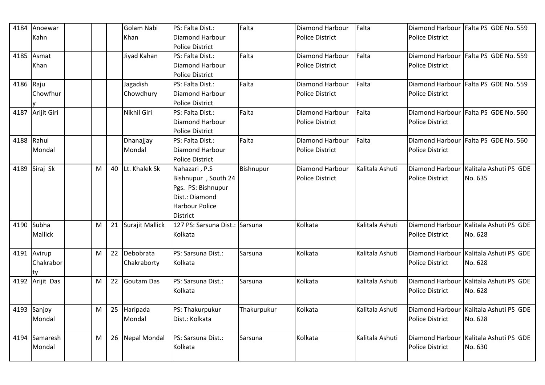| 4184      | Anoewar          |   | Golam Nabi         | PS: Falta Dist.:       | Falta       | <b>Diamond Harbour</b> | Falta           |                        | Diamond Harbour Falta PS GDE No. 559   |
|-----------|------------------|---|--------------------|------------------------|-------------|------------------------|-----------------|------------------------|----------------------------------------|
|           | Kahn             |   | Khan               | Diamond Harbour        |             | <b>Police District</b> |                 | <b>Police District</b> |                                        |
|           |                  |   |                    | <b>Police District</b> |             |                        |                 |                        |                                        |
|           | 4185 Asmat       |   | Jiyad Kahan        | PS: Falta Dist.:       | Falta       | <b>Diamond Harbour</b> | Falta           |                        | Diamond Harbour Falta PS GDE No. 559   |
|           | Khan             |   |                    | Diamond Harbour        |             | <b>Police District</b> |                 | <b>Police District</b> |                                        |
|           |                  |   |                    | <b>Police District</b> |             |                        |                 |                        |                                        |
| 4186 Raju |                  |   | Jagadish           | PS: Falta Dist.:       | Falta       | Diamond Harbour        | Falta           |                        | Diamond Harbour Falta PS GDE No. 559   |
|           | Chowfhur         |   | Chowdhury          | Diamond Harbour        |             | <b>Police District</b> |                 | <b>Police District</b> |                                        |
|           |                  |   |                    | <b>Police District</b> |             |                        |                 |                        |                                        |
|           | 4187 Arijit Giri |   | Nikhil Giri        | PS: Falta Dist.:       | Falta       | <b>Diamond Harbour</b> | Falta           |                        | Diamond Harbour Falta PS GDE No. 560   |
|           |                  |   |                    | Diamond Harbour        |             | <b>Police District</b> |                 | <b>Police District</b> |                                        |
|           |                  |   |                    | <b>Police District</b> |             |                        |                 |                        |                                        |
| 4188      | Rahul            |   | Dhanajjay          | PS: Falta Dist.:       | Falta       | <b>Diamond Harbour</b> | Falta           | Diamond Harbour        | Falta PS GDE No. 560                   |
|           | Mondal           |   | Mondal             | Diamond Harbour        |             | <b>Police District</b> |                 | <b>Police District</b> |                                        |
|           |                  |   |                    | <b>Police District</b> |             |                        |                 |                        |                                        |
| 4189      | Siraj Sk         | M | 40 Lt. Khalek Sk   | Nahazari, P.S          | Bishnupur   | Diamond Harbour        | Kalitala Ashuti | Diamond Harbour        | Kalitala Ashuti PS GDE                 |
|           |                  |   |                    | Bishnupur, South 24    |             | <b>Police District</b> |                 | <b>Police District</b> | No. 635                                |
|           |                  |   |                    | Pgs. PS: Bishnupur     |             |                        |                 |                        |                                        |
|           |                  |   |                    | Dist.: Diamond         |             |                        |                 |                        |                                        |
|           |                  |   |                    | <b>Harbour Police</b>  |             |                        |                 |                        |                                        |
|           |                  |   |                    | <b>District</b>        |             |                        |                 |                        |                                        |
|           | 4190 Subha       | M | 21 Surajit Mallick | 127 PS: Sarsuna Dist.: | Sarsuna     | Kolkata                | Kalitala Ashuti |                        | Diamond Harbour Kalitala Ashuti PS GDE |
|           | Mallick          |   |                    | Kolkata                |             |                        |                 | <b>Police District</b> | No. 628                                |
|           |                  |   |                    |                        |             |                        |                 |                        |                                        |
|           | 4191 Avirup      | M | 22 Debobrata       | PS: Sarsuna Dist.:     | Sarsuna     | Kolkata                | Kalitala Ashuti | Diamond Harbour        | Kalitala Ashuti PS GDE                 |
|           | Chakrabor        |   | Chakraborty        | Kolkata                |             |                        |                 | <b>Police District</b> | No. 628                                |
|           | ty               |   |                    |                        |             |                        |                 |                        |                                        |
|           | 4192 Arijit Das  | M | 22 Goutam Das      | PS: Sarsuna Dist.:     | Sarsuna     | Kolkata                | Kalitala Ashuti | <b>Diamond Harbour</b> | Kalitala Ashuti PS GDE                 |
|           |                  |   |                    | Kolkata                |             |                        |                 | <b>Police District</b> | No. 628                                |
|           |                  |   |                    |                        |             |                        |                 |                        |                                        |
|           | 4193 Sanjoy      | M | 25 Haripada        | PS: Thakurpukur        | Thakurpukur | Kolkata                | Kalitala Ashuti | Diamond Harbour        | Kalitala Ashuti PS GDE                 |
|           | Mondal           |   | Mondal             | Dist.: Kolkata         |             |                        |                 | <b>Police District</b> | No. 628                                |
|           |                  |   |                    |                        |             |                        |                 |                        |                                        |
|           | 4194 Samaresh    | M | 26 Nepal Mondal    | PS: Sarsuna Dist.:     | Sarsuna     | Kolkata                | Kalitala Ashuti |                        | Diamond Harbour Kalitala Ashuti PS GDE |
|           | Mondal           |   |                    | Kolkata                |             |                        |                 | <b>Police District</b> | No. 630                                |
|           |                  |   |                    |                        |             |                        |                 |                        |                                        |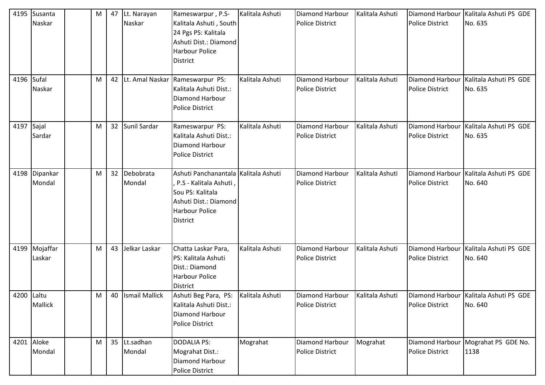| 4195       | Susanta<br>Naskar       | M |    | 47 Lt. Narayan<br>Naskar | Rameswarpur, P.S-<br>Kalitala Ashuti, South<br>24 Pgs PS: Kalitala<br>Ashuti Dist.: Diamond<br><b>Harbour Police</b><br><b>District</b>                   | Kalitala Ashuti | <b>Diamond Harbour</b><br><b>Police District</b> | Kalitala Ashuti | Diamond Harbour<br><b>Police District</b> | Kalitala Ashuti PS GDE<br>No. 635                   |
|------------|-------------------------|---|----|--------------------------|-----------------------------------------------------------------------------------------------------------------------------------------------------------|-----------------|--------------------------------------------------|-----------------|-------------------------------------------|-----------------------------------------------------|
| 4196       | Sufal<br>Naskar         | M |    | 42 Lt. Amal Naskar       | Rameswarpur PS:<br>Kalitala Ashuti Dist.:<br>Diamond Harbour<br><b>Police District</b>                                                                    | Kalitala Ashuti | <b>Diamond Harbour</b><br><b>Police District</b> | Kalitala Ashuti | Diamond Harbour<br><b>Police District</b> | Kalitala Ashuti PS GDE<br>No. 635                   |
| 4197       | Sajal<br>Sardar         | M |    | 32 Sunil Sardar          | Rameswarpur PS:<br>Kalitala Ashuti Dist.:<br>Diamond Harbour<br><b>Police District</b>                                                                    | Kalitala Ashuti | <b>Diamond Harbour</b><br><b>Police District</b> | Kalitala Ashuti | <b>Police District</b>                    | Diamond Harbour   Kalitala Ashuti PS GDE<br>No. 635 |
| 4198       | Dipankar<br>Mondal      | M |    | 32 Debobrata<br>Mondal   | Ashuti Panchanantala Kalitala Ashuti<br>, P.S - Kalitala Ashuti,<br>Sou PS: Kalitala<br>Ashuti Dist.: Diamond<br><b>Harbour Police</b><br><b>District</b> |                 | Diamond Harbour<br><b>Police District</b>        | Kalitala Ashuti | <b>Police District</b>                    | Diamond Harbour Kalitala Ashuti PS GDE<br>No. 640   |
|            | 4199 Mojaffar<br>Laskar | M | 43 | Jelkar Laskar            | Chatta Laskar Para,<br>PS: Kalitala Ashuti<br>Dist.: Diamond<br><b>Harbour Police</b><br>District                                                         | Kalitala Ashuti | Diamond Harbour<br><b>Police District</b>        | Kalitala Ashuti | <b>Police District</b>                    | Diamond Harbour Kalitala Ashuti PS GDE<br>No. 640   |
| 4200 Laltu | Mallick                 | M |    | 40 Ismail Mallick        | Ashuti Beg Para, PS: Kalitala Ashuti<br>Kalitala Ashuti Dist.:<br>Diamond Harbour<br>Police District                                                      |                 | <b>Diamond Harbour</b><br>Police District        | Kalitala Ashuti | <b>Police District</b>                    | Diamond Harbour Kalitala Ashuti PS GDE<br>No. 640   |
|            | 4201 Aloke<br>Mondal    | M |    | 35 Lt.sadhan<br>Mondal   | <b>DODALIA PS:</b><br>Mograhat Dist.:<br>Diamond Harbour<br>Police District                                                                               | Mograhat        | <b>Diamond Harbour</b><br><b>Police District</b> | Mograhat        | <b>Police District</b>                    | Diamond Harbour   Mograhat PS GDE No.<br>1138       |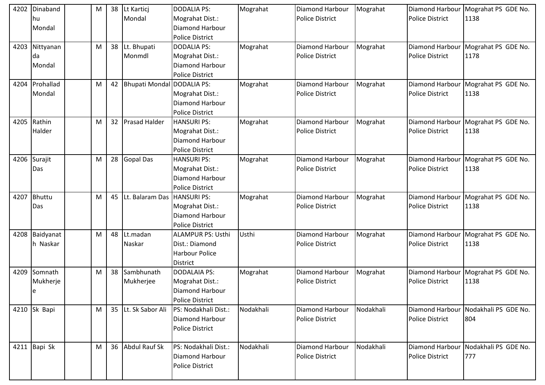| 4202 | Dinaband<br>lhu. | M | 38              | Lt Kartici<br>Mondal       | <b>DODALIA PS:</b><br>Mograhat Dist.:     | Mograhat  | Diamond Harbour<br><b>Police District</b> | Mograhat  | Diamond Harbour<br><b>Police District</b> | Mograhat PS GDE No.<br>1138          |
|------|------------------|---|-----------------|----------------------------|-------------------------------------------|-----------|-------------------------------------------|-----------|-------------------------------------------|--------------------------------------|
|      | Mondal           |   |                 |                            | Diamond Harbour<br><b>Police District</b> |           |                                           |           |                                           |                                      |
| 4203 | Nittyanan        | M | 38              | Lt. Bhupati                | <b>DODALIA PS:</b>                        | Mograhat  | Diamond Harbour                           | Mograhat  | Diamond Harbour                           | Mograhat PS GDE No.                  |
|      | da               |   |                 | Monmdl                     | Mograhat Dist.:                           |           | <b>Police District</b>                    |           | <b>Police District</b>                    | 1178                                 |
|      | Mondal           |   |                 |                            | Diamond Harbour                           |           |                                           |           |                                           |                                      |
|      |                  |   |                 |                            | <b>Police District</b>                    |           |                                           |           |                                           |                                      |
| 4204 | Prohallad        | M | 42              | Bhupati Mondal DODALIA PS: |                                           | Mograhat  | Diamond Harbour                           | Mograhat  | Diamond Harbour                           | Mograhat PS GDE No.                  |
|      | Mondal           |   |                 |                            | Mograhat Dist.:                           |           | <b>Police District</b>                    |           | <b>Police District</b>                    | 1138                                 |
|      |                  |   |                 |                            | Diamond Harbour                           |           |                                           |           |                                           |                                      |
|      |                  |   |                 |                            | <b>Police District</b>                    |           |                                           |           |                                           |                                      |
| 4205 | Rathin           | M | 32 <sup>2</sup> | <b>Prasad Halder</b>       | <b>HANSURI PS:</b>                        | Mograhat  | <b>Diamond Harbour</b>                    | Mograhat  | <b>Diamond Harbour</b>                    | Mograhat PS GDE No.                  |
|      | Halder           |   |                 |                            | Mograhat Dist.:                           |           | <b>Police District</b>                    |           | <b>Police District</b>                    | 1138                                 |
|      |                  |   |                 |                            | Diamond Harbour                           |           |                                           |           |                                           |                                      |
|      |                  |   |                 |                            | <b>Police District</b>                    |           |                                           |           |                                           |                                      |
| 4206 | Surajit          | M | 28              | Gopal Das                  | <b>HANSURI PS:</b>                        | Mograhat  | <b>Diamond Harbour</b>                    | Mograhat  | Diamond Harbour                           | Mograhat PS GDE No.                  |
|      | Das              |   |                 |                            | Mograhat Dist.:                           |           | <b>Police District</b>                    |           | <b>Police District</b>                    | 1138                                 |
|      |                  |   |                 |                            | Diamond Harbour                           |           |                                           |           |                                           |                                      |
|      |                  |   |                 |                            | <b>Police District</b>                    |           |                                           |           |                                           |                                      |
| 4207 | <b>Bhuttu</b>    | M | 45              | Lt. Balaram Das            | <b>HANSURI PS:</b>                        | Mograhat  | <b>Diamond Harbour</b>                    | Mograhat  | Diamond Harbour                           | Mograhat PS GDE No.                  |
|      | Das              |   |                 |                            | Mograhat Dist.:                           |           | <b>Police District</b>                    |           | <b>Police District</b>                    | 1138                                 |
|      |                  |   |                 |                            | Diamond Harbour                           |           |                                           |           |                                           |                                      |
|      |                  |   |                 |                            | <b>Police District</b>                    |           |                                           |           |                                           |                                      |
| 4208 | Baidyanat        | M | 48              | Lt.madan                   | <b>ALAMPUR PS: Usthi</b>                  | Usthi     | <b>Diamond Harbour</b>                    | Mograhat  | Diamond Harbour                           | Mograhat PS GDE No.                  |
|      | h Naskar         |   |                 | Naskar                     | Dist.: Diamond                            |           | <b>Police District</b>                    |           | <b>Police District</b>                    | 1138                                 |
|      |                  |   |                 |                            | <b>Harbour Police</b>                     |           |                                           |           |                                           |                                      |
|      |                  |   |                 |                            | <b>District</b>                           |           |                                           |           |                                           |                                      |
| 4209 | Somnath          | M | 38              | Sambhunath                 | DODALAIA PS:                              | Mograhat  | Diamond Harbour                           | Mograhat  | Diamond Harbour                           | Mograhat PS GDE No.                  |
|      | Mukherje         |   |                 | Mukherjee                  | Mograhat Dist.:                           |           | <b>Police District</b>                    |           | <b>Police District</b>                    | 1138                                 |
|      | e                |   |                 |                            | Diamond Harbour                           |           |                                           |           |                                           |                                      |
|      |                  |   |                 |                            | <b>Police District</b>                    |           |                                           |           |                                           |                                      |
|      | 4210 Sk Bapi     | M | 35              | Lt. Sk Sabor Ali           | PS: Nodakhali Dist.:                      | Nodakhali | Diamond Harbour                           | Nodakhali |                                           | Diamond Harbour Nodakhali PS GDE No. |
|      |                  |   |                 |                            | Diamond Harbour                           |           | <b>Police District</b>                    |           | <b>Police District</b>                    | 804                                  |
|      |                  |   |                 |                            | <b>Police District</b>                    |           |                                           |           |                                           |                                      |
|      | 4211 Bapi Sk     | М | 36              | <b>Abdul Rauf Sk</b>       | PS: Nodakhali Dist.:                      | Nodakhali | Diamond Harbour                           | Nodakhali | Diamond Harbour                           | Nodakhali PS GDE No.                 |
|      |                  |   |                 |                            | Diamond Harbour                           |           | Police District                           |           | Police District                           | 777                                  |
|      |                  |   |                 |                            | Police District                           |           |                                           |           |                                           |                                      |
|      |                  |   |                 |                            |                                           |           |                                           |           |                                           |                                      |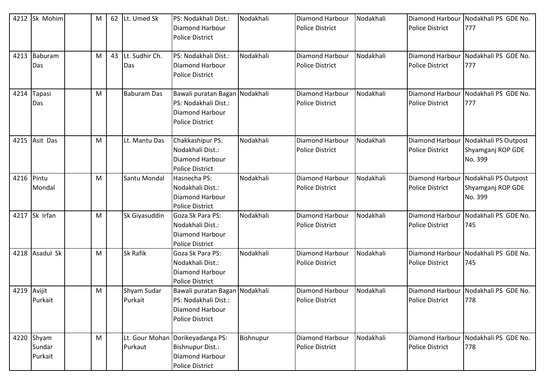| 4212        | Sk Mohim       | M | 62 Lt. Umed Sk     | PS: Nodakhali Dist.:             | Nodakhali | <b>Diamond Harbour</b> | Nodakhali | Diamond Harbour        | Nodakhali PS GDE No.                 |
|-------------|----------------|---|--------------------|----------------------------------|-----------|------------------------|-----------|------------------------|--------------------------------------|
|             |                |   |                    | Diamond Harbour                  |           | <b>Police District</b> |           | <b>Police District</b> | 777                                  |
|             |                |   |                    | <b>Police District</b>           |           |                        |           |                        |                                      |
|             |                |   |                    |                                  |           |                        |           |                        |                                      |
| 4213        | Baburam        | M | 43 Lt. Sudhir Ch.  | PS: Nodakhali Dist.:             | Nodakhali | <b>Diamond Harbour</b> | Nodakhali | Diamond Harbour        | Nodakhali PS GDE No.                 |
|             | Das            |   | Das                | Diamond Harbour                  |           | <b>Police District</b> |           | <b>Police District</b> | 777                                  |
|             |                |   |                    | <b>Police District</b>           |           |                        |           |                        |                                      |
|             |                |   |                    |                                  |           |                        |           |                        |                                      |
| 4214        | Tapasi         | M | <b>Baburam Das</b> | Bawali puratan Bagan Nodakhali   |           | Diamond Harbour        | Nodakhali |                        | Diamond Harbour Nodakhali PS GDE No. |
|             | Das            |   |                    | PS: Nodakhali Dist.:             |           | <b>Police District</b> |           | <b>Police District</b> | 777                                  |
|             |                |   |                    | Diamond Harbour                  |           |                        |           |                        |                                      |
|             |                |   |                    | <b>Police District</b>           |           |                        |           |                        |                                      |
|             |                |   |                    |                                  |           |                        |           |                        |                                      |
|             | 4215 Asit Das  | M | Lt. Mantu Das      | Chakkashipur PS:                 | Nodakhali | <b>Diamond Harbour</b> | Nodakhali |                        | Diamond Harbour Nodakhali PS Outpost |
|             |                |   |                    | Nodakhali Dist.:                 |           | <b>Police District</b> |           | <b>Police District</b> | Shyamganj ROP GDE                    |
|             |                |   |                    | Diamond Harbour                  |           |                        |           |                        | No. 399                              |
|             |                |   |                    | <b>Police District</b>           |           |                        |           |                        |                                      |
| 4216        | Pintu          | M | Santu Mondal       | Hasnecha PS:                     | Nodakhali | Diamond Harbour        | Nodakhali | Diamond Harbour        | Nodakhali PS Outpost                 |
|             | Mondal         |   |                    | Nodakhali Dist.:                 |           | <b>Police District</b> |           | <b>Police District</b> | Shyamganj ROP GDE                    |
|             |                |   |                    | Diamond Harbour                  |           |                        |           |                        | No. 399                              |
|             |                |   |                    | <b>Police District</b>           |           |                        |           |                        |                                      |
|             | 4217 Sk Irfan  | M | Sk Giyasuddin      | Goza Sk Para PS:                 | Nodakhali | <b>Diamond Harbour</b> | Nodakhali | <b>Diamond Harbour</b> | Nodakhali PS GDE No.                 |
|             |                |   |                    | Nodakhali Dist.:                 |           | <b>Police District</b> |           | <b>Police District</b> | 745                                  |
|             |                |   |                    | Diamond Harbour                  |           |                        |           |                        |                                      |
|             |                |   |                    | <b>Police District</b>           |           |                        |           |                        |                                      |
|             | 4218 Asadul Sk | M | <b>Sk Rafik</b>    | Goza Sk Para PS:                 | Nodakhali | Diamond Harbour        | Nodakhali | Diamond Harbour        | Nodakhali PS GDE No.                 |
|             |                |   |                    | Nodakhali Dist.:                 |           | <b>Police District</b> |           | <b>Police District</b> | 745                                  |
|             |                |   |                    | Diamond Harbour                  |           |                        |           |                        |                                      |
|             |                |   |                    | <b>Police District</b>           |           |                        |           |                        |                                      |
| 4219 Avijit |                | M | Shyam Sudar        | Bawali puratan Bagan Nodakhali   |           | Diamond Harbour        | Nodakhali | Diamond Harbour        | Nodakhali PS GDE No.                 |
|             | Purkait        |   | Purkait            | PS: Nodakhali Dist.:             |           | <b>Police District</b> |           | <b>Police District</b> | 778                                  |
|             |                |   |                    | Diamond Harbour                  |           |                        |           |                        |                                      |
|             |                |   |                    | <b>Police District</b>           |           |                        |           |                        |                                      |
|             |                |   |                    |                                  |           |                        |           |                        |                                      |
|             | 4220 Shyam     | M |                    | Lt. Gour Mohan Dorikeyadanga PS: | Bishnupur | <b>Diamond Harbour</b> | Nodakhali |                        | Diamond Harbour Nodakhali PS GDE No. |
|             | Sundar         |   | Purkaut            | <b>Bishnupur Dist.:</b>          |           | <b>Police District</b> |           | <b>Police District</b> | 778                                  |
|             | Purkait        |   |                    | Diamond Harbour                  |           |                        |           |                        |                                      |
|             |                |   |                    | <b>Police District</b>           |           |                        |           |                        |                                      |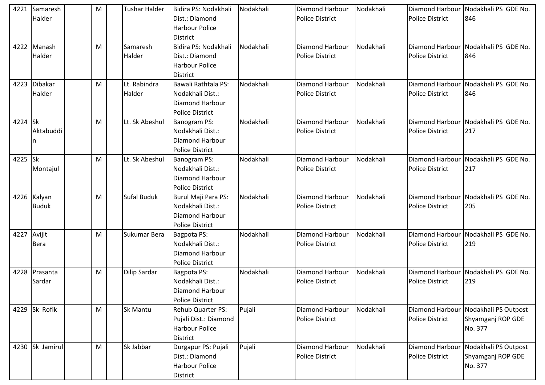| 4221    | Samaresh<br>Halder          | M | <b>Tushar Halder</b>   | Bidira PS: Nodakhali<br>Dist.: Diamond<br><b>Harbour Police</b><br>District          | Nodakhali | Diamond Harbour<br><b>Police District</b>        | Nodakhali | <b>Diamond Harbour</b><br><b>Police District</b> | Nodakhali PS GDE No.<br>846                                          |
|---------|-----------------------------|---|------------------------|--------------------------------------------------------------------------------------|-----------|--------------------------------------------------|-----------|--------------------------------------------------|----------------------------------------------------------------------|
| 4222    | Manash<br>Halder            | M | Samaresh<br>Halder     | Bidira PS: Nodakhali<br>Dist.: Diamond<br><b>Harbour Police</b><br><b>District</b>   | Nodakhali | Diamond Harbour<br><b>Police District</b>        | Nodakhali | Diamond Harbour<br><b>Police District</b>        | Nodakhali PS GDE No.<br>846                                          |
| 4223    | <b>Dibakar</b><br>Halder    | M | Lt. Rabindra<br>Halder | Bawali Rathtala PS:<br>Nodakhali Dist.:<br>Diamond Harbour<br><b>Police District</b> | Nodakhali | Diamond Harbour<br><b>Police District</b>        | Nodakhali | <b>Diamond Harbour</b><br><b>Police District</b> | Nodakhali PS GDE No.<br>846                                          |
| 4224    | <b>Sk</b><br>Aktabuddi      | M | Lt. Sk Abeshul         | Banogram PS:<br>Nodakhali Dist.:<br>Diamond Harbour<br><b>Police District</b>        | Nodakhali | <b>Diamond Harbour</b><br><b>Police District</b> | Nodakhali | <b>Diamond Harbour</b><br><b>Police District</b> | Nodakhali PS GDE No.<br>217                                          |
| 4225 Sk | Montajul                    | M | Lt. Sk Abeshul         | Banogram PS:<br>Nodakhali Dist.:<br>Diamond Harbour<br><b>Police District</b>        | Nodakhali | Diamond Harbour<br><b>Police District</b>        | Nodakhali | Diamond Harbour<br><b>Police District</b>        | Nodakhali PS GDE No.<br>217                                          |
|         | 4226 Kalyan<br><b>Buduk</b> | M | Sufal Buduk            | Burul Maji Para PS:<br>Nodakhali Dist.:<br>Diamond Harbour<br><b>Police District</b> | Nodakhali | Diamond Harbour<br><b>Police District</b>        | Nodakhali | Diamond Harbour<br><b>Police District</b>        | Nodakhali PS GDE No.<br>205                                          |
| 4227    | Avijit<br><b>Bera</b>       | M | Sukumar Bera           | Bagpota PS:<br>Nodakhali Dist.:<br>Diamond Harbour<br><b>Police District</b>         | Nodakhali | <b>Diamond Harbour</b><br><b>Police District</b> | Nodakhali | Diamond Harbour<br><b>Police District</b>        | Nodakhali PS GDE No.<br>219                                          |
|         | 4228 Prasanta<br>Sardar     | M | <b>Dilip Sardar</b>    | Bagpota PS:<br>Nodakhali Dist.:<br><b>Diamond Harbour</b><br><b>Police District</b>  | Nodakhali | <b>Diamond Harbour</b><br><b>Police District</b> | Nodakhali | Diamond Harbour<br><b>Police District</b>        | Nodakhali PS GDE No.<br>219                                          |
|         | 4229 Sk Rofik               | M | <b>Sk Mantu</b>        | Rehub Quarter PS:<br>Pujali Dist.: Diamond<br><b>Harbour Police</b><br>District      | Pujali    | <b>Diamond Harbour</b><br><b>Police District</b> | Nodakhali | <b>Police District</b>                           | Diamond Harbour Nodakhali PS Outpost<br>Shyamganj ROP GDE<br>No. 377 |
|         | 4230 Sk Jamirul             | M | Sk Jabbar              | Durgapur PS: Pujali<br>Dist.: Diamond<br><b>Harbour Police</b><br>District           | Pujali    | <b>Diamond Harbour</b><br>Police District        | Nodakhali | Diamond Harbour<br><b>Police District</b>        | Nodakhali PS Outpost<br>Shyamganj ROP GDE<br>No. 377                 |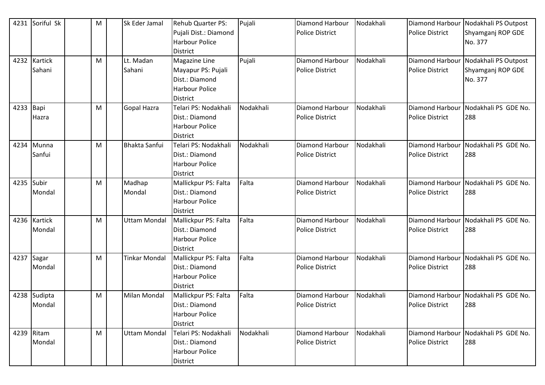| 4231       | Soriful Sk   | M | Sk Eder Jamal        | Rehub Quarter PS:     | Pujali    | <b>Diamond Harbour</b> | Nodakhali | Diamond Harbour        | Nodakhali PS Outpost |
|------------|--------------|---|----------------------|-----------------------|-----------|------------------------|-----------|------------------------|----------------------|
|            |              |   |                      | Pujali Dist.: Diamond |           | <b>Police District</b> |           | <b>Police District</b> | Shyamganj ROP GDE    |
|            |              |   |                      | <b>Harbour Police</b> |           |                        |           |                        | No. 377              |
|            |              |   |                      | <b>District</b>       |           |                        |           |                        |                      |
| 4232       | Kartick      | M | Lt. Madan            | Magazine Line         | Pujali    | Diamond Harbour        | Nodakhali | Diamond Harbour        | Nodakhali PS Outpost |
|            | Sahani       |   | Sahani               | Mayapur PS: Pujali    |           | <b>Police District</b> |           | <b>Police District</b> | Shyamganj ROP GDE    |
|            |              |   |                      | Dist.: Diamond        |           |                        |           |                        | No. 377              |
|            |              |   |                      | <b>Harbour Police</b> |           |                        |           |                        |                      |
|            |              |   |                      | <b>District</b>       |           |                        |           |                        |                      |
| 4233 Bapi  |              | M | Gopal Hazra          | Telari PS: Nodakhali  | Nodakhali | <b>Diamond Harbour</b> | Nodakhali | Diamond Harbour        | Nodakhali PS GDE No. |
|            | Hazra        |   |                      | Dist.: Diamond        |           | <b>Police District</b> |           | <b>Police District</b> | 288                  |
|            |              |   |                      | <b>Harbour Police</b> |           |                        |           |                        |                      |
|            |              |   |                      | <b>District</b>       |           |                        |           |                        |                      |
| 4234       | Munna        | M | <b>Bhakta Sanfui</b> | Telari PS: Nodakhali  | Nodakhali | <b>Diamond Harbour</b> | Nodakhali | Diamond Harbour        | Nodakhali PS GDE No. |
|            | Sanfui       |   |                      | Dist.: Diamond        |           | <b>Police District</b> |           | <b>Police District</b> | 288                  |
|            |              |   |                      | <b>Harbour Police</b> |           |                        |           |                        |                      |
|            |              |   |                      | <b>District</b>       |           |                        |           |                        |                      |
| 4235       | Subir        | M | Madhap               | Mallickpur PS: Falta  | Falta     | <b>Diamond Harbour</b> | Nodakhali | Diamond Harbour        | Nodakhali PS GDE No. |
|            | Mondal       |   | Mondal               | Dist.: Diamond        |           | <b>Police District</b> |           | <b>Police District</b> | 288                  |
|            |              |   |                      | <b>Harbour Police</b> |           |                        |           |                        |                      |
|            |              |   |                      | <b>District</b>       |           |                        |           |                        |                      |
| 4236       | Kartick      | M | <b>Uttam Mondal</b>  | Mallickpur PS: Falta  | Falta     | Diamond Harbour        | Nodakhali | Diamond Harbour        | Nodakhali PS GDE No. |
|            | Mondal       |   |                      | Dist.: Diamond        |           | <b>Police District</b> |           | <b>Police District</b> | 288                  |
|            |              |   |                      | <b>Harbour Police</b> |           |                        |           |                        |                      |
|            |              |   |                      | <b>District</b>       |           |                        |           |                        |                      |
| 4237 Sagar |              | M | <b>Tinkar Mondal</b> | Mallickpur PS: Falta  | Falta     | Diamond Harbour        | Nodakhali | Diamond Harbour        | Nodakhali PS GDE No. |
|            | Mondal       |   |                      | Dist.: Diamond        |           | <b>Police District</b> |           | <b>Police District</b> | 288                  |
|            |              |   |                      | <b>Harbour Police</b> |           |                        |           |                        |                      |
|            |              |   |                      | <b>District</b>       |           |                        |           |                        |                      |
|            | 4238 Sudipta | М | Milan Mondal         | Mallickpur PS: Falta  | Falta     | <b>Diamond Harbour</b> | Nodakhali | Diamond Harbour        | Nodakhali PS GDE No. |
|            | Mondal       |   |                      | Dist.: Diamond        |           | <b>Police District</b> |           | <b>Police District</b> | 288                  |
|            |              |   |                      | <b>Harbour Police</b> |           |                        |           |                        |                      |
|            |              |   |                      | <b>District</b>       |           |                        |           |                        |                      |
| 4239       | Ritam        | М | <b>Uttam Mondal</b>  | Telari PS: Nodakhali  | Nodakhali | Diamond Harbour        | Nodakhali | Diamond Harbour        | Nodakhali PS GDE No. |
|            | Mondal       |   |                      | Dist.: Diamond        |           | <b>Police District</b> |           | <b>Police District</b> | 288                  |
|            |              |   |                      | Harbour Police        |           |                        |           |                        |                      |
|            |              |   |                      | District              |           |                        |           |                        |                      |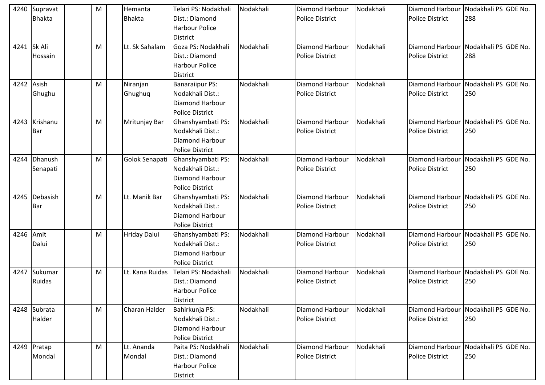| 4240      | Supravat<br><b>Bhakta</b> | M | Hemanta<br><b>Bhakta</b> | Telari PS: Nodakhali<br>Dist.: Diamond<br><b>Harbour Police</b><br><b>District</b>             | Nodakhali | Diamond Harbour<br><b>Police District</b>        | Nodakhali | Diamond Harbour<br><b>Police District</b>        | Nodakhali PS GDE No.<br>288                 |
|-----------|---------------------------|---|--------------------------|------------------------------------------------------------------------------------------------|-----------|--------------------------------------------------|-----------|--------------------------------------------------|---------------------------------------------|
|           | 4241 Sk Ali<br>Hossain    | м | Lt. Sk Sahalam           | Goza PS: Nodakhali<br>Dist.: Diamond<br><b>Harbour Police</b><br><b>District</b>               | Nodakhali | Diamond Harbour<br><b>Police District</b>        | Nodakhali | Diamond Harbour<br><b>Police District</b>        | Nodakhali PS GDE No.<br>288                 |
| 4242      | Asish<br>Ghughu           | M | Niranjan<br>Ghughuq      | <b>Banaraiipur PS:</b><br>Nodakhali Dist.:<br><b>Diamond Harbour</b><br><b>Police District</b> | Nodakhali | <b>Diamond Harbour</b><br><b>Police District</b> | Nodakhali | Diamond Harbour<br><b>Police District</b>        | Nodakhali PS GDE No.<br>250                 |
| 4243      | Krishanu<br>Bar           | M | Mritunjay Bar            | Ghanshyambati PS:<br>Nodakhali Dist.:<br>Diamond Harbour<br><b>Police District</b>             | Nodakhali | <b>Diamond Harbour</b><br><b>Police District</b> | Nodakhali | <b>Diamond Harbour</b><br><b>Police District</b> | Nodakhali PS GDE No.<br>250                 |
| 4244      | Dhanush<br>Senapati       | M | Golok Senapati           | Ghanshyambati PS:<br>Nodakhali Dist.:<br><b>Diamond Harbour</b><br><b>Police District</b>      | Nodakhali | Diamond Harbour<br><b>Police District</b>        | Nodakhali | Diamond Harbour<br><b>Police District</b>        | Nodakhali PS GDE No.<br>250                 |
| 4245      | Debasish<br>Bar           | M | Lt. Manik Bar            | Ghanshyambati PS:<br>Nodakhali Dist.:<br>Diamond Harbour<br><b>Police District</b>             | Nodakhali | <b>Diamond Harbour</b><br>Police District        | Nodakhali | Diamond Harbour<br><b>Police District</b>        | Nodakhali PS GDE No.<br>250                 |
| 4246 Amit | Dalui                     | M | <b>Hriday Dalui</b>      | Ghanshyambati PS:<br>Nodakhali Dist.:<br><b>Diamond Harbour</b><br><b>Police District</b>      | Nodakhali | <b>Diamond Harbour</b><br><b>Police District</b> | Nodakhali | Diamond Harbour<br><b>Police District</b>        | Nodakhali PS GDE No.<br>250                 |
| 4247      | Sukumar<br>Ruidas         | M | Lt. Kana Ruidas          | Telari PS: Nodakhali<br>Dist.: Diamond<br><b>Harbour Police</b><br><b>District</b>             | Nodakhali | <b>Diamond Harbour</b><br><b>Police District</b> | Nodakhali | Diamond Harbour<br><b>Police District</b>        | Nodakhali PS GDE No.<br>250                 |
|           | 4248 Subrata<br>Halder    | M | Charan Halder            | Bahirkunja PS:<br>Nodakhali Dist.:<br>Diamond Harbour<br><b>Police District</b>                | Nodakhali | Diamond Harbour<br><b>Police District</b>        | Nodakhali | <b>Police District</b>                           | Diamond Harbour Nodakhali PS GDE No.<br>250 |
|           | 4249 Pratap<br>Mondal     | М | Lt. Ananda<br>Mondal     | Paita PS: Nodakhali<br>Dist.: Diamond<br>Harbour Police<br><b>District</b>                     | Nodakhali | Diamond Harbour<br>Police District               | Nodakhali | Diamond Harbour<br>Police District               | Nodakhali PS GDE No.<br>250                 |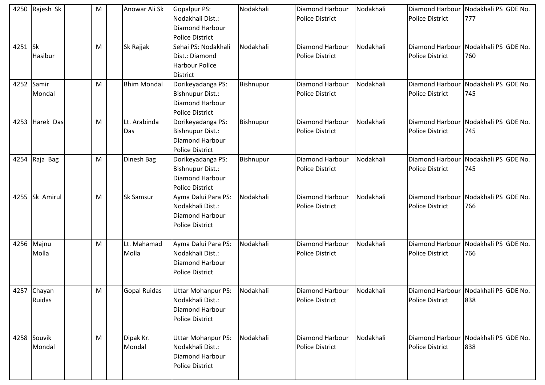|         | 4250 Rajesh Sk        | M | Anowar Ali Sk        | Gopalpur PS:<br>Nodakhali Dist.:<br>Diamond Harbour<br><b>Police District</b>                    | Nodakhali | Diamond Harbour<br><b>Police District</b>        | Nodakhali | <b>Diamond Harbour</b><br><b>Police District</b> | Nodakhali PS GDE No.<br>777                 |
|---------|-----------------------|---|----------------------|--------------------------------------------------------------------------------------------------|-----------|--------------------------------------------------|-----------|--------------------------------------------------|---------------------------------------------|
| 4251 Sk | Hasibur               | M | Sk Rajjak            | Sehai PS: Nodakhali<br>Dist.: Diamond<br><b>Harbour Police</b><br><b>District</b>                | Nodakhali | <b>Diamond Harbour</b><br><b>Police District</b> | Nodakhali | <b>Diamond Harbour</b><br><b>Police District</b> | Nodakhali PS GDE No.<br>760                 |
| 4252    | Samir<br>Mondal       | M | <b>Bhim Mondal</b>   | Dorikeyadanga PS:<br>Bishnupur Dist.:<br>Diamond Harbour<br><b>Police District</b>               | Bishnupur | <b>Diamond Harbour</b><br><b>Police District</b> | Nodakhali | <b>Diamond Harbour</b><br><b>Police District</b> | Nodakhali PS GDE No.<br>745                 |
| 4253    | Harek Das             | M | Lt. Arabinda<br>Das  | Dorikeyadanga PS:<br>Bishnupur Dist.:<br>Diamond Harbour<br><b>Police District</b>               | Bishnupur | <b>Diamond Harbour</b><br><b>Police District</b> | Nodakhali | Diamond Harbour<br><b>Police District</b>        | Nodakhali PS GDE No.<br>745                 |
| 4254    | Raja Bag              | M | Dinesh Bag           | Dorikeyadanga PS:<br><b>Bishnupur Dist.:</b><br><b>Diamond Harbour</b><br><b>Police District</b> | Bishnupur | <b>Diamond Harbour</b><br><b>Police District</b> | Nodakhali | <b>Diamond Harbour</b><br><b>Police District</b> | Nodakhali PS GDE No.<br>745                 |
|         | 4255 Sk Amirul        | M | Sk Samsur            | Ayma Dalui Para PS:<br>Nodakhali Dist.:<br>Diamond Harbour<br><b>Police District</b>             | Nodakhali | <b>Diamond Harbour</b><br><b>Police District</b> | Nodakhali | <b>Diamond Harbour</b><br><b>Police District</b> | Nodakhali PS GDE No.<br>766                 |
|         | 4256 Majnu<br>Molla   | M | Lt. Mahamad<br>Molla | Ayma Dalui Para PS:<br>Nodakhali Dist.:<br>Diamond Harbour<br><b>Police District</b>             | Nodakhali | Diamond Harbour<br><b>Police District</b>        | Nodakhali | <b>Diamond Harbour</b><br><b>Police District</b> | Nodakhali PS GDE No.<br>766                 |
|         | 4257 Chayan<br>Ruidas | M | <b>Gopal Ruidas</b>  | <b>Uttar Mohanpur PS:</b><br>Nodakhali Dist.:<br>Diamond Harbour<br>Police District              | Nodakhali | Diamond Harbour<br><b>Police District</b>        | Nodakhali | <b>Police District</b>                           | Diamond Harbour Nodakhali PS GDE No.<br>838 |
|         | 4258 Souvik<br>Mondal | M | Dipak Kr.<br>Mondal  | <b>Uttar Mohanpur PS:</b><br>Nodakhali Dist.:<br>Diamond Harbour<br><b>Police District</b>       | Nodakhali | <b>Diamond Harbour</b><br><b>Police District</b> | Nodakhali | <b>Diamond Harbour</b><br><b>Police District</b> | Nodakhali PS GDE No.<br>838                 |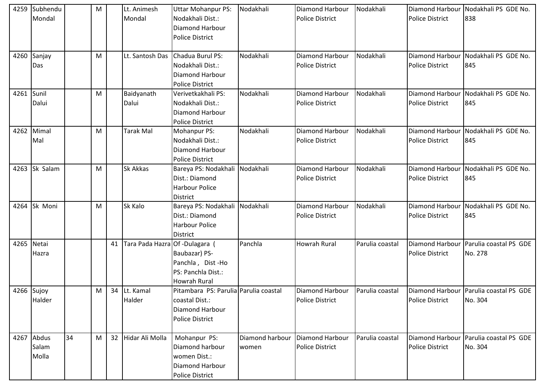| 4259       | Subhendu<br>Mondal           |    | M |    | Lt. Animesh<br>Mondal          | <b>Uttar Mohanpur PS:</b><br>Nodakhali Dist.:                                                        | Nodakhali                | Diamond Harbour<br><b>Police District</b>        | Nodakhali       | <b>Police District</b>                           | Diamond Harbour Nodakhali PS GDE No.<br>838       |
|------------|------------------------------|----|---|----|--------------------------------|------------------------------------------------------------------------------------------------------|--------------------------|--------------------------------------------------|-----------------|--------------------------------------------------|---------------------------------------------------|
|            |                              |    |   |    |                                | Diamond Harbour<br><b>Police District</b>                                                            |                          |                                                  |                 |                                                  |                                                   |
|            | 4260 Sanjay<br>Das           |    | M |    | Lt. Santosh Das                | Chadua Burul PS:<br>Nodakhali Dist.:<br><b>Diamond Harbour</b><br><b>Police District</b>             | Nodakhali                | Diamond Harbour<br><b>Police District</b>        | Nodakhali       | Diamond Harbour<br><b>Police District</b>        | Nodakhali PS GDE No.<br>845                       |
| 4261 Sunil | Dalui                        |    | M |    | Baidyanath<br>Dalui            | Verivetkakhali PS:<br>Nodakhali Dist.:<br>Diamond Harbour<br><b>Police District</b>                  | Nodakhali                | <b>Diamond Harbour</b><br><b>Police District</b> | Nodakhali       | Diamond Harbour<br><b>Police District</b>        | Nodakhali PS GDE No.<br>845                       |
| 4262       | Mimal<br>Mal                 |    | M |    | <b>Tarak Mal</b>               | Mohanpur PS:<br>Nodakhali Dist.:<br><b>Diamond Harbour</b><br><b>Police District</b>                 | Nodakhali                | Diamond Harbour<br>Police District               | Nodakhali       | Diamond Harbour<br><b>Police District</b>        | Nodakhali PS GDE No.<br>845                       |
| 4263       | Sk Salam                     |    | M |    | Sk Akkas                       | Bareya PS: Nodakhali<br>Dist.: Diamond<br><b>Harbour Police</b><br><b>District</b>                   | Nodakhali                | <b>Diamond Harbour</b><br><b>Police District</b> | Nodakhali       | Diamond Harbour<br><b>Police District</b>        | Nodakhali PS GDE No.<br>845                       |
|            | 4264 Sk Moni                 |    | M |    | Sk Kalo                        | Bareya PS: Nodakhali Nodakhali<br>Dist.: Diamond<br><b>Harbour Police</b><br><b>District</b>         |                          | Diamond Harbour<br><b>Police District</b>        | Nodakhali       | Diamond Harbour<br><b>Police District</b>        | Nodakhali PS GDE No.<br>845                       |
| 4265 Netai | Hazra                        |    |   | 41 | Tara Pada Hazra Of -Dulagara ( | Baubazar) PS-<br>Panchla, Dist-Ho<br>PS: Panchla Dist.:<br><b>Howrah Rural</b>                       | Panchla                  | <b>Howrah Rural</b>                              | Parulia coastal | Diamond Harbour<br><b>Police District</b>        | Parulia coastal PS GDE<br>No. 278                 |
| 4266 Sujoy | Halder                       |    | M |    | 34 Lt. Kamal<br>Halder         | Pitambara PS: Parulia Parulia coastal<br>coastal Dist.:<br>Diamond Harbour<br><b>Police District</b> |                          | Diamond Harbour<br>Police District               | Parulia coastal | <b>Police District</b>                           | Diamond Harbour Parulia coastal PS GDE<br>No. 304 |
|            | 4267 Abdus<br>Salam<br>Molla | 34 | M | 32 | Hidar Ali Molla                | Mohanpur PS:<br>Diamond harbour<br>women Dist.:<br>Diamond Harbour<br><b>Police District</b>         | Diamond harbour<br>women | Diamond Harbour<br><b>Police District</b>        | Parulia coastal | <b>Diamond Harbour</b><br><b>Police District</b> | Parulia coastal PS GDE<br>No. 304                 |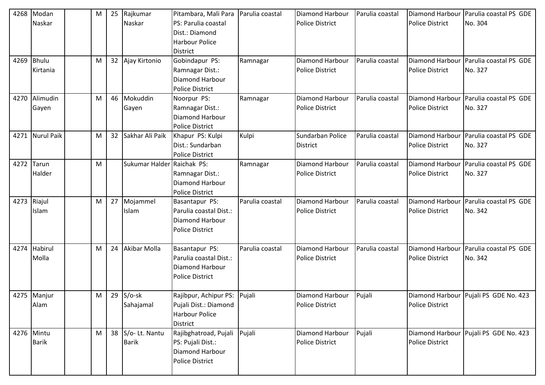| 4268        | Modan           | М | 25              | Rajkumar                   | Pitambara, Mali Para         | Parulia coastal | Diamond Harbour        | Parulia coastal | <b>Diamond Harbour</b> | Parulia coastal PS GDE                  |
|-------------|-----------------|---|-----------------|----------------------------|------------------------------|-----------------|------------------------|-----------------|------------------------|-----------------------------------------|
|             | Naskar          |   |                 | Naskar                     | PS: Parulia coastal          |                 | <b>Police District</b> |                 | <b>Police District</b> | No. 304                                 |
|             |                 |   |                 |                            | Dist.: Diamond               |                 |                        |                 |                        |                                         |
|             |                 |   |                 |                            | <b>Harbour Police</b>        |                 |                        |                 |                        |                                         |
|             |                 |   |                 |                            | <b>District</b>              |                 |                        |                 |                        |                                         |
| 4269        | Bhulu           | M |                 | 32 Ajay Kirtonio           | Gobindapur PS:               | Ramnagar        | Diamond Harbour        | Parulia coastal | Diamond Harbour        | Parulia coastal PS GDE                  |
|             | Kirtania        |   |                 |                            | Ramnagar Dist.:              |                 | <b>Police District</b> |                 | <b>Police District</b> | No. 327                                 |
|             |                 |   |                 |                            | <b>Diamond Harbour</b>       |                 |                        |                 |                        |                                         |
|             |                 |   |                 |                            | <b>Police District</b>       |                 |                        |                 |                        |                                         |
|             | 4270 Alimudin   | M | 46              | Mokuddin                   | Noorpur PS:                  | Ramnagar        | Diamond Harbour        | Parulia coastal | Diamond Harbour        | Parulia coastal PS GDE                  |
|             | Gayen           |   |                 | Gayen                      | Ramnagar Dist.:              |                 | <b>Police District</b> |                 | <b>Police District</b> | No. 327                                 |
|             |                 |   |                 |                            | <b>Diamond Harbour</b>       |                 |                        |                 |                        |                                         |
|             |                 |   |                 |                            | <b>Police District</b>       |                 |                        |                 |                        |                                         |
|             | 4271 Nurul Paik | M | 32 <sup>2</sup> | Sakhar Ali Paik            | Khapur PS: Kulpi             | Kulpi           | Sundarban Police       | Parulia coastal |                        | Diamond Harbour Parulia coastal PS GDE  |
|             |                 |   |                 |                            | Dist.: Sundarban             |                 | District               |                 | <b>Police District</b> | No. 327                                 |
|             |                 |   |                 |                            | <b>Police District</b>       |                 |                        |                 |                        |                                         |
| 4272        | Tarun           | M |                 | Sukumar Halder Raichak PS: |                              | Ramnagar        | Diamond Harbour        | Parulia coastal | Diamond Harbour        | Parulia coastal PS GDE                  |
|             | Halder          |   |                 |                            | Ramnagar Dist.:              |                 | <b>Police District</b> |                 | <b>Police District</b> | No. 327                                 |
|             |                 |   |                 |                            | <b>Diamond Harbour</b>       |                 |                        |                 |                        |                                         |
|             |                 |   |                 |                            | <b>Police District</b>       |                 |                        |                 |                        |                                         |
| 4273 Riajul |                 | M | 27              | Mojammel                   | Basantapur PS:               | Parulia coastal | Diamond Harbour        | Parulia coastal | <b>Diamond Harbour</b> | Parulia coastal PS GDE                  |
|             | Islam           |   |                 | Islam                      | Parulia coastal Dist.:       |                 | Police District        |                 | <b>Police District</b> | No. 342                                 |
|             |                 |   |                 |                            | Diamond Harbour              |                 |                        |                 |                        |                                         |
|             |                 |   |                 |                            | <b>Police District</b>       |                 |                        |                 |                        |                                         |
|             |                 |   |                 |                            |                              |                 |                        |                 |                        |                                         |
|             | 4274 Habirul    | M | 24              | Akibar Molla               | Basantapur PS:               | Parulia coastal | Diamond Harbour        | Parulia coastal |                        | Diamond Harbour Parulia coastal PS GDE  |
|             | Molla           |   |                 |                            | Parulia coastal Dist.:       |                 | <b>Police District</b> |                 | <b>Police District</b> | No. 342                                 |
|             |                 |   |                 |                            | Diamond Harbour              |                 |                        |                 |                        |                                         |
|             |                 |   |                 |                            | Police District              |                 |                        |                 |                        |                                         |
|             |                 |   |                 |                            |                              |                 |                        |                 |                        |                                         |
|             | 4275 Manjur     | M |                 | $29$ S/o-sk                | Rajibpur, Achipur PS: Pujali |                 | Diamond Harbour        | Pujali          |                        | Diamond Harbour   Pujali PS GDE No. 423 |
|             | Alam            |   |                 | Sahajamal                  | Pujali Dist.: Diamond        |                 | Police District        |                 | <b>Police District</b> |                                         |
|             |                 |   |                 |                            | <b>Harbour Police</b>        |                 |                        |                 |                        |                                         |
|             |                 |   |                 |                            | <b>District</b>              |                 |                        |                 |                        |                                         |
|             | 4276 Mintu      | M | 38              | S/o-Lt. Nantu              | Rajibghatroad, Pujali        | Pujali          | Diamond Harbour        | Pujali          |                        | Diamond Harbour Pujali PS GDE No. 423   |
|             | <b>Barik</b>    |   |                 | <b>Barik</b>               | PS: Pujali Dist.:            |                 | Police District        |                 | <b>Police District</b> |                                         |
|             |                 |   |                 |                            | Diamond Harbour              |                 |                        |                 |                        |                                         |
|             |                 |   |                 |                            | Police District              |                 |                        |                 |                        |                                         |
|             |                 |   |                 |                            |                              |                 |                        |                 |                        |                                         |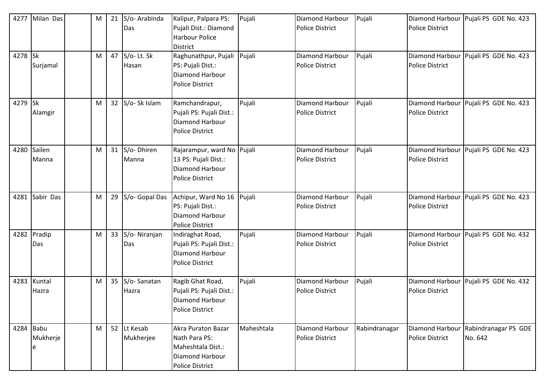| 4277    | Milan Das             | M | 21 | S/o-Arabinda<br>Das      | Kalipur, Palpara PS:<br>Pujali Dist.: Diamond<br><b>Harbour Police</b><br>District                    | Pujali     | Diamond Harbour<br><b>Police District</b>        | Pujali        | Police District                           | Diamond Harbour   Pujali PS GDE No. 423 |
|---------|-----------------------|---|----|--------------------------|-------------------------------------------------------------------------------------------------------|------------|--------------------------------------------------|---------------|-------------------------------------------|-----------------------------------------|
| 4278 Sk | Surjamal              | M |    | 47 S/o-Lt. Sk<br>Hasan   | Raghunathpur, Pujali<br>PS: Pujali Dist.:<br>Diamond Harbour<br><b>Police District</b>                | Pujali     | <b>Diamond Harbour</b><br><b>Police District</b> | Pujali        | Police District                           | Diamond Harbour Pujali PS GDE No. 423   |
| 4279 Sk | Alamgir               | M |    | 32 S/o-Sk Islam          | Ramchandrapur,<br>Pujali PS: Pujali Dist.:<br>Diamond Harbour<br><b>Police District</b>               | Pujali     | <b>Diamond Harbour</b><br><b>Police District</b> | Pujali        | Police District                           | Diamond Harbour Pujali PS GDE No. 423   |
| 4280    | Sailen<br>Manna       | M |    | 31 S/o-Dhiren<br>Manna   | Rajarampur, ward No Pujali<br>13 PS: Pujali Dist.:<br>Diamond Harbour<br><b>Police District</b>       |            | <b>Diamond Harbour</b><br><b>Police District</b> | Pujali        | <b>Police District</b>                    | Diamond Harbour   Pujali PS GDE No. 423 |
| 4281    | Sabir Das             | M |    | 29 S/o- Gopal Das        | Achipur, Ward No 16<br>PS: Pujali Dist.:<br>Diamond Harbour<br><b>Police District</b>                 | Pujali     | <b>Diamond Harbour</b><br><b>Police District</b> | Pujali        | <b>Police District</b>                    | Diamond Harbour Pujali PS GDE No. 423   |
| 4282    | Pradip<br>Das         | M |    | 33 S/o-Niranjan<br>Das   | Indiraghat Road,<br>Pujali PS: Pujali Dist.:<br>Diamond Harbour<br><b>Police District</b>             | Pujali     | <b>Diamond Harbour</b><br><b>Police District</b> | Pujali        | <b>Police District</b>                    | Diamond Harbour   Pujali PS GDE No. 432 |
|         | 4283 Kuntal<br>Hazra  | M |    | 35 S/o-Sanatan<br>Hazra  | Ragib Ghat Road,<br>Pujali PS: Pujali Dist.:<br>Diamond Harbour<br><b>Police District</b>             | Pujali     | <b>Diamond Harbour</b><br><b>Police District</b> | Pujali        | <b>Police District</b>                    | Diamond Harbour Pujali PS GDE No. 432   |
| 4284    | Babu<br>Mukherje<br>e | M |    | 52 Lt Kesab<br>Mukherjee | Akra Puraton Bazar<br>Nath Para PS:<br>Maheshtala Dist.:<br>Diamond Harbour<br><b>Police District</b> | Maheshtala | <b>Diamond Harbour</b><br><b>Police District</b> | Rabindranagar | Diamond Harbour<br><b>Police District</b> | Rabindranagar PS GDE<br>No. 642         |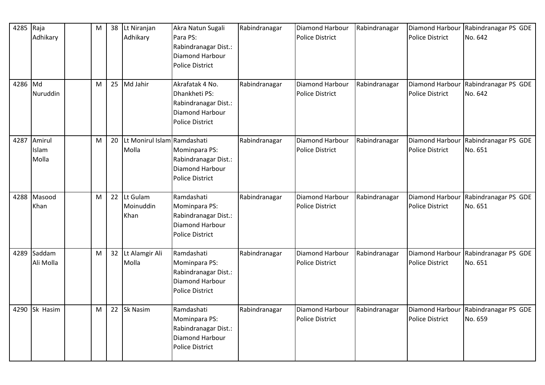| 4285 Raja | Adhikary                 | M | 38 Lt Niranjan<br>Adhikary              | Akra Natun Sugali<br>Para PS:<br>Rabindranagar Dist.:<br>Diamond Harbour<br><b>Police District</b>    | Rabindranagar | Diamond Harbour<br><b>Police District</b>        | Rabindranagar | <b>Diamond Harbour</b><br><b>Police District</b> | Rabindranagar PS GDE<br>No. 642 |
|-----------|--------------------------|---|-----------------------------------------|-------------------------------------------------------------------------------------------------------|---------------|--------------------------------------------------|---------------|--------------------------------------------------|---------------------------------|
| 4286 Md   | Nuruddin                 | M | 25 Md Jahir                             | Akrafatak 4 No.<br>Dhankheti PS:<br>Rabindranagar Dist.:<br>Diamond Harbour<br><b>Police District</b> | Rabindranagar | <b>Diamond Harbour</b><br>Police District        | Rabindranagar | <b>Diamond Harbour</b><br><b>Police District</b> | Rabindranagar PS GDE<br>No. 642 |
| 4287      | Amirul<br>Islam<br>Molla | м | 20 Lt Monirul Islam Ramdashati<br>Molla | Mominpara PS:<br>Rabindranagar Dist.:<br>Diamond Harbour<br><b>Police District</b>                    | Rabindranagar | <b>Diamond Harbour</b><br><b>Police District</b> | Rabindranagar | Diamond Harbour<br><b>Police District</b>        | Rabindranagar PS GDE<br>No. 651 |
|           | 4288 Masood<br>Khan      | M | 22 Lt Gulam<br>Moinuddin<br>Khan        | Ramdashati<br>Mominpara PS:<br>Rabindranagar Dist.:<br>Diamond Harbour<br><b>Police District</b>      | Rabindranagar | Diamond Harbour<br><b>Police District</b>        | Rabindranagar | Diamond Harbour<br><b>Police District</b>        | Rabindranagar PS GDE<br>No. 651 |
| 4289      | Saddam<br>Ali Molla      | M | 32 Lt Alamgir Ali<br>Molla              | Ramdashati<br>Mominpara PS:<br>Rabindranagar Dist.:<br>Diamond Harbour<br><b>Police District</b>      | Rabindranagar | Diamond Harbour<br><b>Police District</b>        | Rabindranagar | <b>Diamond Harbour</b><br><b>Police District</b> | Rabindranagar PS GDE<br>No. 651 |
| 4290      | Sk Hasim                 | М | 22 Sk Nasim                             | Ramdashati<br>Mominpara PS:<br>Rabindranagar Dist.:<br>Diamond Harbour<br><b>Police District</b>      | Rabindranagar | <b>Diamond Harbour</b><br><b>Police District</b> | Rabindranagar | Diamond Harbour<br><b>Police District</b>        | Rabindranagar PS GDE<br>No. 659 |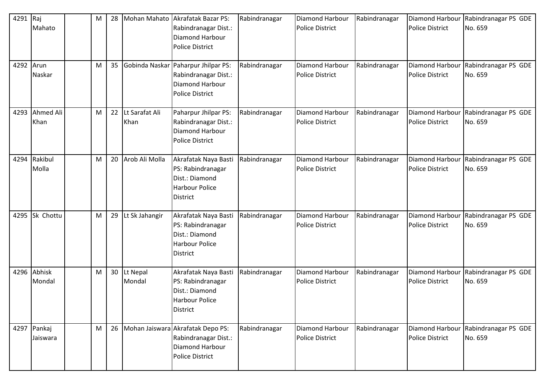| 4291 Raj<br>4292 Arun | Mahato                  | M<br>M | 28<br>35 | Mohan Mahato              | <b>Akrafatak Bazar PS:</b><br>Rabindranagar Dist.:<br>Diamond Harbour<br><b>Police District</b><br>Gobinda Naskar Paharpur Jhilpar PS: | Rabindranagar<br>Rabindranagar | <b>Diamond Harbour</b><br><b>Police District</b><br>Diamond Harbour | Rabindranagar<br>Rabindranagar | <b>Diamond Harbour</b><br><b>Police District</b><br><b>Diamond Harbour</b> | Rabindranagar PS GDE<br>No. 659<br>Rabindranagar PS GDE |
|-----------------------|-------------------------|--------|----------|---------------------------|----------------------------------------------------------------------------------------------------------------------------------------|--------------------------------|---------------------------------------------------------------------|--------------------------------|----------------------------------------------------------------------------|---------------------------------------------------------|
|                       | Naskar                  |        |          |                           | Rabindranagar Dist.:<br>Diamond Harbour<br><b>Police District</b>                                                                      |                                | <b>Police District</b>                                              |                                | <b>Police District</b>                                                     | No. 659                                                 |
| 4293                  | Ahmed Ali<br>Khan       | M      |          | 22 Lt Sarafat Ali<br>Khan | Paharpur Jhilpar PS:<br>Rabindranagar Dist.:<br>Diamond Harbour<br><b>Police District</b>                                              | Rabindranagar                  | <b>Diamond Harbour</b><br><b>Police District</b>                    | Rabindranagar                  | <b>Diamond Harbour</b><br><b>Police District</b>                           | Rabindranagar PS GDE<br>No. 659                         |
|                       | 4294 Rakibul<br>Molla   | M      |          | 20 Arob Ali Molla         | Akrafatak Naya Basti<br>PS: Rabindranagar<br>Dist.: Diamond<br><b>Harbour Police</b><br><b>District</b>                                | Rabindranagar                  | <b>Diamond Harbour</b><br><b>Police District</b>                    | Rabindranagar                  | <b>Diamond Harbour</b><br><b>Police District</b>                           | Rabindranagar PS GDE<br>No. 659                         |
| 4295                  | Sk Chottu               | M      | 29       | Lt Sk Jahangir            | Akrafatak Naya Basti<br>PS: Rabindranagar<br>Dist.: Diamond<br><b>Harbour Police</b><br><b>District</b>                                | Rabindranagar                  | <b>Diamond Harbour</b><br><b>Police District</b>                    | Rabindranagar                  | Diamond Harbour<br><b>Police District</b>                                  | Rabindranagar PS GDE<br>No. 659                         |
|                       | 4296 Abhisk<br>Mondal   | M      |          | 30 Lt Nepal<br>Mondal     | Akrafatak Naya Basti<br>PS: Rabindranagar<br>Dist.: Diamond<br><b>Harbour Police</b><br><b>District</b>                                | Rabindranagar                  | <b>Diamond Harbour</b><br><b>Police District</b>                    | Rabindranagar                  | Diamond Harbour<br><b>Police District</b>                                  | Rabindranagar PS GDE<br>No. 659                         |
|                       | 4297 Pankaj<br>Jaiswara | M      |          |                           | 26 Mohan Jaiswara Akrafatak Depo PS:<br>Rabindranagar Dist.:<br>Diamond Harbour<br><b>Police District</b>                              | Rabindranagar                  | Diamond Harbour<br><b>Police District</b>                           | Rabindranagar                  | <b>Diamond Harbour</b><br><b>Police District</b>                           | Rabindranagar PS GDE<br>No. 659                         |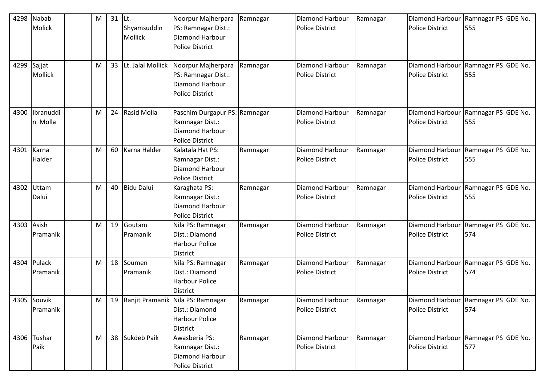| 4298       | Nabab       | M | $31$ Lt. |                   | Noorpur Majherpara                       | Ramnagar | <b>Diamond Harbour</b> | Ramnagar | <b>Diamond Harbour</b> | Ramnagar PS GDE No.                 |
|------------|-------------|---|----------|-------------------|------------------------------------------|----------|------------------------|----------|------------------------|-------------------------------------|
|            | Molick      |   |          | Shyamsuddin       | PS: Ramnagar Dist.:                      |          | <b>Police District</b> |          | <b>Police District</b> | 555                                 |
|            |             |   |          | <b>Mollick</b>    | Diamond Harbour                          |          |                        |          |                        |                                     |
|            |             |   |          |                   | <b>Police District</b>                   |          |                        |          |                        |                                     |
|            |             |   |          |                   |                                          |          |                        |          |                        |                                     |
| 4299       | Sajjat      | M | 33       | Lt. Jalal Mollick | Noorpur Majherpara                       | Ramnagar | Diamond Harbour        | Ramnagar | <b>Diamond Harbour</b> | Ramnagar PS GDE No.                 |
|            | Mollick     |   |          |                   | PS: Ramnagar Dist.:                      |          | <b>Police District</b> |          | <b>Police District</b> | 555                                 |
|            |             |   |          |                   | Diamond Harbour                          |          |                        |          |                        |                                     |
|            |             |   |          |                   | <b>Police District</b>                   |          |                        |          |                        |                                     |
|            |             |   |          |                   |                                          |          |                        |          |                        |                                     |
| 4300       | Ibranuddi   | M |          | 24 Rasid Molla    | Paschim Durgapur PS: Ramnagar            |          | Diamond Harbour        | Ramnagar | Diamond Harbour        | Ramnagar PS GDE No.                 |
|            | n Molla     |   |          |                   | Ramnagar Dist.:                          |          | <b>Police District</b> |          | <b>Police District</b> | 555                                 |
|            |             |   |          |                   | Diamond Harbour                          |          |                        |          |                        |                                     |
|            |             |   |          |                   | <b>Police District</b>                   |          |                        |          |                        |                                     |
| 4301       | Karna       | M | 60       | Karna Halder      | Kalatala Hat PS:                         | Ramnagar | Diamond Harbour        | Ramnagar | Diamond Harbour        | Ramnagar PS GDE No.                 |
|            | Halder      |   |          |                   | Ramnagar Dist.:                          |          | <b>Police District</b> |          | <b>Police District</b> | 555                                 |
|            |             |   |          |                   | Diamond Harbour                          |          |                        |          |                        |                                     |
|            |             |   |          |                   | <b>Police District</b>                   |          |                        |          |                        |                                     |
| 4302       | Uttam       | M |          | 40 Bidu Dalui     | Karaghata PS:                            | Ramnagar | Diamond Harbour        | Ramnagar | <b>Diamond Harbour</b> | Ramnagar PS GDE No.                 |
|            | Dalui       |   |          |                   | Ramnagar Dist.:                          |          | <b>Police District</b> |          | <b>Police District</b> | 555                                 |
|            |             |   |          |                   | Diamond Harbour                          |          |                        |          |                        |                                     |
|            |             |   |          |                   | <b>Police District</b>                   |          |                        |          |                        |                                     |
| 4303 Asish |             | M | 19       | Goutam            | Nila PS: Ramnagar                        | Ramnagar | Diamond Harbour        | Ramnagar | Diamond Harbour        | Ramnagar PS GDE No.                 |
|            | Pramanik    |   |          | Pramanik          | Dist.: Diamond                           |          | <b>Police District</b> |          | <b>Police District</b> | 574                                 |
|            |             |   |          |                   | <b>Harbour Police</b>                    |          |                        |          |                        |                                     |
|            |             |   |          |                   | District                                 |          |                        |          |                        |                                     |
| 4304       | Pulack      | M |          | 18 Soumen         | Nila PS: Ramnagar                        | Ramnagar | <b>Diamond Harbour</b> | Ramnagar | Diamond Harbour        | Ramnagar PS GDE No.                 |
|            | Pramanik    |   |          | Pramanik          | Dist.: Diamond                           |          | <b>Police District</b> |          | <b>Police District</b> | 574                                 |
|            |             |   |          |                   | <b>Harbour Police</b>                    |          |                        |          |                        |                                     |
|            |             |   |          |                   | <b>District</b>                          |          |                        |          |                        |                                     |
|            | 4305 Souvik | M |          |                   | 19   Ranjit Pramanik   Nila PS: Ramnagar | Ramnagar | <b>Diamond Harbour</b> | Ramnagar |                        | Diamond Harbour Ramnagar PS GDE No. |
|            | Pramanik    |   |          |                   | Dist.: Diamond                           |          | <b>Police District</b> |          | <b>Police District</b> | 574                                 |
|            |             |   |          |                   | <b>Harbour Police</b>                    |          |                        |          |                        |                                     |
|            |             |   |          |                   | District                                 |          |                        |          |                        |                                     |
|            | 4306 Tushar | M |          | 38 Sukdeb Paik    | Awasberia PS:                            | Ramnagar | Diamond Harbour        | Ramnagar |                        | Diamond Harbour Ramnagar PS GDE No. |
|            | Paik        |   |          |                   | Ramnagar Dist.:                          |          | <b>Police District</b> |          | <b>Police District</b> | 577                                 |
|            |             |   |          |                   | Diamond Harbour                          |          |                        |          |                        |                                     |
|            |             |   |          |                   | Police District                          |          |                        |          |                        |                                     |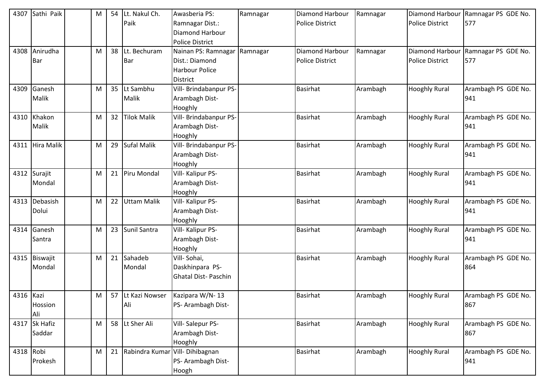| 4307      | Sathi Paik      | M |                 | 54 Lt. Nakul Ch.   | Awasberia PS:          | Ramnagar | Diamond Harbour        | Ramnagar | <b>Diamond Harbour</b> | Ramnagar PS GDE No. |
|-----------|-----------------|---|-----------------|--------------------|------------------------|----------|------------------------|----------|------------------------|---------------------|
|           |                 |   |                 | Paik               | Ramnagar Dist.:        |          | <b>Police District</b> |          | <b>Police District</b> | 577                 |
|           |                 |   |                 |                    | <b>Diamond Harbour</b> |          |                        |          |                        |                     |
|           |                 |   |                 |                    | <b>Police District</b> |          |                        |          |                        |                     |
| 4308      | Anirudha        | M | 38              | Lt. Bechuram       | Nainan PS: Ramnagar    | Ramnagar | Diamond Harbour        | Ramnagar | Diamond Harbour        | Ramnagar PS GDE No. |
|           | Bar             |   |                 | Bar                | Dist.: Diamond         |          | <b>Police District</b> |          | <b>Police District</b> | 577                 |
|           |                 |   |                 |                    | <b>Harbour Police</b>  |          |                        |          |                        |                     |
|           |                 |   |                 |                    | <b>District</b>        |          |                        |          |                        |                     |
| 4309      | Ganesh          | M |                 | 35 Lt Sambhu       | Vill- Brindabanpur PS- |          | <b>Basirhat</b>        | Arambagh | <b>Hooghly Rural</b>   | Arambagh PS GDE No. |
|           | Malik           |   |                 | Malik              | Arambagh Dist-         |          |                        |          |                        | 941                 |
|           |                 |   |                 |                    | Hooghly                |          |                        |          |                        |                     |
|           | 4310 Khakon     | M | 32 <sup>2</sup> | <b>Tilok Malik</b> | Vill- Brindabanpur PS- |          | <b>Basirhat</b>        | Arambagh | <b>Hooghly Rural</b>   | Arambagh PS GDE No. |
|           | Malik           |   |                 |                    | Arambagh Dist-         |          |                        |          |                        | 941                 |
|           |                 |   |                 |                    | Hooghly                |          |                        |          |                        |                     |
|           | 4311 Hira Malik | M | 29              | Sufal Malik        | Vill- Brindabanpur PS- |          | <b>Basirhat</b>        | Arambagh | <b>Hooghly Rural</b>   | Arambagh PS GDE No. |
|           |                 |   |                 |                    | Arambagh Dist-         |          |                        |          |                        | 941                 |
|           |                 |   |                 |                    | Hooghly                |          |                        |          |                        |                     |
| 4312      | Surajit         | M | 21              | Piru Mondal        | Vill- Kalipur PS-      |          | <b>Basirhat</b>        | Arambagh | <b>Hooghly Rural</b>   | Arambagh PS GDE No. |
|           | Mondal          |   |                 |                    | Arambagh Dist-         |          |                        |          |                        | 941                 |
|           |                 |   |                 |                    | Hooghly                |          |                        |          |                        |                     |
| 4313      | Debasish        | M | 22              | <b>Uttam Malik</b> | Vill- Kalipur PS-      |          | <b>Basirhat</b>        | Arambagh | <b>Hooghly Rural</b>   | Arambagh PS GDE No. |
|           | Dolui           |   |                 |                    | Arambagh Dist-         |          |                        |          |                        | 941                 |
|           |                 |   |                 |                    | Hooghly                |          |                        |          |                        |                     |
|           | 4314 Ganesh     | M |                 | 23 Sunil Santra    | Vill- Kalipur PS-      |          | <b>Basirhat</b>        | Arambagh | <b>Hooghly Rural</b>   | Arambagh PS GDE No. |
|           | Santra          |   |                 |                    | Arambagh Dist-         |          |                        |          |                        | 941                 |
|           |                 |   |                 |                    | Hooghly                |          |                        |          |                        |                     |
|           | 4315 Biswajit   | M | 21              | Sahadeb            | Vill-Sohai,            |          | <b>Basirhat</b>        | Arambagh | <b>Hooghly Rural</b>   | Arambagh PS GDE No. |
|           | Mondal          |   |                 | Mondal             | Daskhinpara PS-        |          |                        |          |                        | 864                 |
|           |                 |   |                 |                    | Ghatal Dist- Paschin   |          |                        |          |                        |                     |
|           |                 |   |                 |                    |                        |          |                        |          |                        |                     |
| 4316 Kazi |                 | M |                 | 57 Lt Kazi Nowser  | Kazipara W/N-13        |          | <b>Basirhat</b>        | Arambagh | <b>Hooghly Rural</b>   | Arambagh PS GDE No. |
|           | Hossion         |   |                 | Ali                | PS- Arambagh Dist-     |          |                        |          |                        | 867                 |
|           | Ali             |   |                 |                    |                        |          |                        |          |                        |                     |
|           | 4317 Sk Hafiz   | M |                 | 58 Lt Sher Ali     | Vill-Salepur PS-       |          | <b>Basirhat</b>        | Arambagh | <b>Hooghly Rural</b>   | Arambagh PS GDE No. |
|           | Saddar          |   |                 |                    | Arambagh Dist-         |          |                        |          |                        | 867                 |
|           |                 |   |                 |                    | Hooghly                |          |                        |          |                        |                     |
| 4318 Robi |                 | M |                 | 21 Rabindra Kumar  | Vill-Dihibagnan        |          | <b>Basirhat</b>        | Arambagh | <b>Hooghly Rural</b>   | Arambagh PS GDE No. |
|           | Prokesh         |   |                 |                    | PS- Arambagh Dist-     |          |                        |          |                        | 941                 |
|           |                 |   |                 |                    | Hoogh                  |          |                        |          |                        |                     |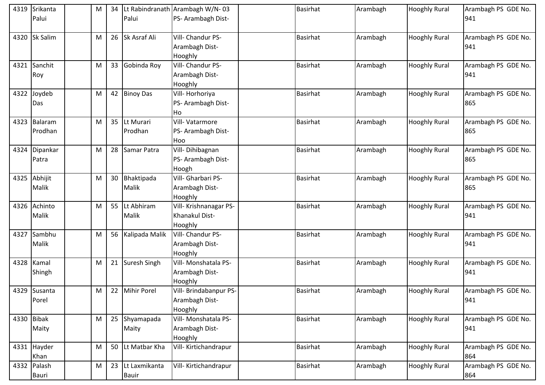| 4319 | Srikanta<br>Palui     | M |    | Palui                         | 34   Lt Rabindranath   Arambagh W/N-03<br>PS- Arambagh Dist- | <b>Basirhat</b> | Arambagh | <b>Hooghly Rural</b> | Arambagh PS GDE No.<br>941 |
|------|-----------------------|---|----|-------------------------------|--------------------------------------------------------------|-----------------|----------|----------------------|----------------------------|
|      |                       |   |    |                               |                                                              |                 |          |                      |                            |
| 4320 | <b>Sk Salim</b>       | M |    | 26 Sk Asraf Ali               | Vill- Chandur PS-<br>Arambagh Dist-<br>Hooghly               | <b>Basirhat</b> | Arambagh | <b>Hooghly Rural</b> | Arambagh PS GDE No.<br>941 |
|      | 4321 Sanchit<br>Roy   | M | 33 | Gobinda Roy                   | Vill- Chandur PS-<br>Arambagh Dist-<br>Hooghly               | <b>Basirhat</b> | Arambagh | <b>Hooghly Rural</b> | Arambagh PS GDE No.<br>941 |
| 4322 | Joydeb<br>Das         | M |    | 42 Binoy Das                  | Vill-Horhoriya<br>PS- Arambagh Dist-<br>Ho                   | <b>Basirhat</b> | Arambagh | <b>Hooghly Rural</b> | Arambagh PS GDE No.<br>865 |
| 4323 | Balaram<br>Prodhan    | M | 35 | Lt Murari<br>Prodhan          | Vill-Vatarmore<br>PS- Arambagh Dist-<br>Hoo                  | <b>Basirhat</b> | Arambagh | <b>Hooghly Rural</b> | Arambagh PS GDE No.<br>865 |
| 4324 | Dipankar<br>Patra     | M | 28 | Samar Patra                   | Vill-Dihibagnan<br>PS- Arambagh Dist-<br>Hoogh               | <b>Basirhat</b> | Arambagh | <b>Hooghly Rural</b> | Arambagh PS GDE No.<br>865 |
|      | 4325 Abhijit<br>Malik | M |    | 30 Bhaktipada<br>Malik        | Vill- Gharbari PS-<br>Arambagh Dist-<br>Hooghly              | <b>Basirhat</b> | Arambagh | <b>Hooghly Rural</b> | Arambagh PS GDE No.<br>865 |
| 4326 | Achinto<br>Malik      | M | 55 | Lt Abhiram<br>Malik           | Vill- Krishnanagar PS-<br>Khanakul Dist-<br>Hooghly          | <b>Basirhat</b> | Arambagh | <b>Hooghly Rural</b> | Arambagh PS GDE No.<br>941 |
|      | 4327 Sambhu<br>Malik  | M | 56 | Kalipada Malik                | Vill- Chandur PS-<br>Arambagh Dist-<br>Hooghly               | <b>Basirhat</b> | Arambagh | <b>Hooghly Rural</b> | Arambagh PS GDE No.<br>941 |
| 4328 | Kamal<br>Shingh       | M | 21 | Suresh Singh                  | Vill- Monshatala PS-<br>Arambagh Dist-<br>Hooghly            | <b>Basirhat</b> | Arambagh | <b>Hooghly Rural</b> | Arambagh PS GDE No.<br>941 |
|      | 4329 Susanta<br>Porel | M |    | 22 Mihir Porel                | Vill- Brindabanpur PS-<br>Arambagh Dist-<br>Hooghly          | <b>Basirhat</b> | Arambagh | <b>Hooghly Rural</b> | Arambagh PS GDE No.<br>941 |
|      | 4330 Bibak<br>Maity   | M | 25 | Shyamapada<br>Maity           | Vill- Monshatala PS-<br>Arambagh Dist-<br>Hooghly            | <b>Basirhat</b> | Arambagh | <b>Hooghly Rural</b> | Arambagh PS GDE No.<br>941 |
|      | 4331 Hayder<br>Khan   | M |    | 50 Lt Matbar Kha              | Vill-Kirtichandrapur                                         | <b>Basirhat</b> | Arambagh | <b>Hooghly Rural</b> | Arambagh PS GDE No.<br>864 |
|      | 4332 Palash<br>Bauri  | M | 23 | Lt Laxmikanta<br><b>Bauir</b> | Vill- Kirtichandrapur                                        | Basirhat        | Arambagh | <b>Hooghly Rural</b> | Arambagh PS GDE No.<br>864 |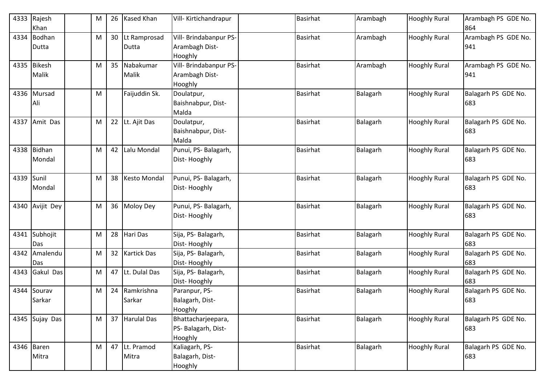| 4333 | Rajesh<br>Khan         | M | 26 | <b>Kased Khan</b>       | Vill- Kirtichandrapur                                | <b>Basirhat</b> | Arambagh | <b>Hooghly Rural</b> | Arambagh PS GDE No.<br>864 |
|------|------------------------|---|----|-------------------------|------------------------------------------------------|-----------------|----------|----------------------|----------------------------|
| 4334 | Bodhan<br>Dutta        | M | 30 | Lt Ramprosad<br>Dutta   | Vill- Brindabanpur PS-<br>Arambagh Dist-<br>Hooghly  | <b>Basirhat</b> | Arambagh | <b>Hooghly Rural</b> | Arambagh PS GDE No.<br>941 |
| 4335 | <b>Bikesh</b><br>Malik | M | 35 | Nabakumar<br>Malik      | Vill- Brindabanpur PS-<br>Arambagh Dist-<br>Hooghly  | <b>Basirhat</b> | Arambagh | <b>Hooghly Rural</b> | Arambagh PS GDE No.<br>941 |
|      | 4336 Mursad<br>Ali     | M |    | Faijuddin Sk.           | Doulatpur,<br>Baishnabpur, Dist-<br>Malda            | <b>Basirhat</b> | Balagarh | <b>Hooghly Rural</b> | Balagarh PS GDE No.<br>683 |
| 4337 | Amit Das               | M | 22 | Lt. Ajit Das            | Doulatpur,<br>Baishnabpur, Dist-<br>Malda            | <b>Basirhat</b> | Balagarh | <b>Hooghly Rural</b> | Balagarh PS GDE No.<br>683 |
| 4338 | Bidhan<br>Mondal       | M | 42 | Lalu Mondal             | Punui, PS-Balagarh,<br>Dist-Hooghly                  | <b>Basirhat</b> | Balagarh | <b>Hooghly Rural</b> | Balagarh PS GDE No.<br>683 |
| 4339 | Sunil<br>Mondal        | M | 38 | Kesto Mondal            | Punui, PS- Balagarh,<br>Dist-Hooghly                 | <b>Basirhat</b> | Balagarh | <b>Hooghly Rural</b> | Balagarh PS GDE No.<br>683 |
| 4340 | Avijit Dey             | M | 36 | Moloy Dey               | Punui, PS- Balagarh,<br>Dist-Hooghly                 | <b>Basirhat</b> | Balagarh | <b>Hooghly Rural</b> | Balagarh PS GDE No.<br>683 |
| 4341 | Subhojit<br>Das        | M | 28 | Hari Das                | Sija, PS- Balagarh,<br>Dist-Hooghly                  | <b>Basirhat</b> | Balagarh | <b>Hooghly Rural</b> | Balagarh PS GDE No.<br>683 |
| 4342 | Amalendu<br>Das        | M | 32 | <b>Kartick Das</b>      | Sija, PS- Balagarh,<br>Dist-Hooghly                  | <b>Basirhat</b> | Balagarh | <b>Hooghly Rural</b> | Balagarh PS GDE No.<br>683 |
| 4343 | Gakul Das              | M | 47 | Lt. Dulal Das           | Sija, PS- Balagarh,<br>Dist-Hooghly                  | <b>Basirhat</b> | Balagarh | <b>Hooghly Rural</b> | Balagarh PS GDE No.<br>683 |
| 4344 | Sourav<br>Sarkar       | M |    | 24 Ramkrishna<br>Sarkar | Paranpur, PS-<br>Balagarh, Dist-<br>Hooghly          | <b>Basirhat</b> | Balagarh | <b>Hooghly Rural</b> | Balagarh PS GDE No.<br>683 |
|      | 4345 Sujay Das         | M |    | 37 Harulal Das          | Bhattacharjeepara,<br>PS- Balagarh, Dist-<br>Hooghly | <b>Basirhat</b> | Balagarh | <b>Hooghly Rural</b> | Balagarh PS GDE No.<br>683 |
|      | 4346 Baren<br>Mitra    | M |    | 47 Lt. Pramod<br>Mitra  | Kaliagarh, PS-<br>Balagarh, Dist-<br>Hooghly         | <b>Basirhat</b> | Balagarh | <b>Hooghly Rural</b> | Balagarh PS GDE No.<br>683 |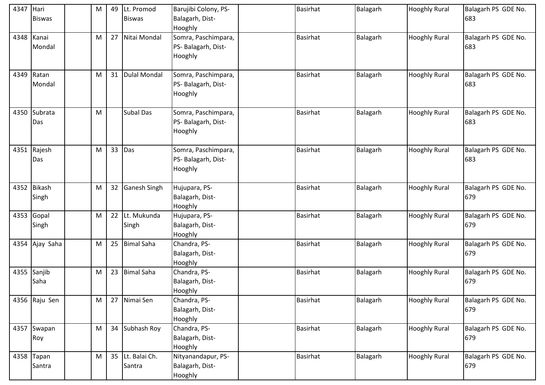| 4347 | Hari<br><b>Biswas</b>  | M | 49              | Lt. Promod<br><b>Biswas</b> | Barujibi Colony, PS-<br>Balagarh, Dist-<br>Hooghly    | <b>Basirhat</b> | <b>Balagarh</b> | <b>Hooghly Rural</b> | Balagarh PS GDE No.<br>683 |
|------|------------------------|---|-----------------|-----------------------------|-------------------------------------------------------|-----------------|-----------------|----------------------|----------------------------|
| 4348 | Kanai<br>Mondal        | M | 27              | Nitai Mondal                | Somra, Paschimpara,<br>PS- Balagarh, Dist-<br>Hooghly | <b>Basirhat</b> | Balagarh        | <b>Hooghly Rural</b> | Balagarh PS GDE No.<br>683 |
| 4349 | Ratan<br>Mondal        | M | 31              | <b>Dulal Mondal</b>         | Somra, Paschimpara,<br>PS- Balagarh, Dist-<br>Hooghly | <b>Basirhat</b> | Balagarh        | <b>Hooghly Rural</b> | Balagarh PS GDE No.<br>683 |
|      | 4350 Subrata<br>Das    | M |                 | <b>Subal Das</b>            | Somra, Paschimpara,<br>PS- Balagarh, Dist-<br>Hooghly | <b>Basirhat</b> | Balagarh        | <b>Hooghly Rural</b> | Balagarh PS GDE No.<br>683 |
|      | 4351 Rajesh<br>Das     | M | 33              | Das                         | Somra, Paschimpara,<br>PS- Balagarh, Dist-<br>Hooghly | <b>Basirhat</b> | <b>Balagarh</b> | <b>Hooghly Rural</b> | Balagarh PS GDE No.<br>683 |
|      | 4352 Bikash<br>Singh   | M | 32 <sup>2</sup> | <b>Ganesh Singh</b>         | Hujupara, PS-<br>Balagarh, Dist-<br>Hooghly           | <b>Basirhat</b> | Balagarh        | <b>Hooghly Rural</b> | Balagarh PS GDE No.<br>679 |
| 4353 | Gopal<br>Singh         | M | 22              | Lt. Mukunda<br>Singh        | Hujupara, PS-<br>Balagarh, Dist-<br>Hooghly           | <b>Basirhat</b> | Balagarh        | <b>Hooghly Rural</b> | Balagarh PS GDE No.<br>679 |
|      | 4354 Ajay Saha         | M | 25              | <b>Bimal Saha</b>           | Chandra, PS-<br>Balagarh, Dist-<br>Hooghly            | <b>Basirhat</b> | <b>Balagarh</b> | <b>Hooghly Rural</b> | Balagarh PS GDE No.<br>679 |
|      | 4355 Sanjib<br>Saha    | M | 23              | <b>Bimal Saha</b>           | Chandra, PS-<br>Balagarh, Dist-<br>Hooghly            | <b>Basirhat</b> | Balagarh        | <b>Hooghly Rural</b> | Balagarh PS GDE No.<br>679 |
|      | 4356 Raju Sen          | M | 27              | Nimai Sen                   | Chandra, PS-<br>Balagarh, Dist-<br>Hooghly            | <b>Basirhat</b> | Balagarh        | <b>Hooghly Rural</b> | Balagarh PS GDE No.<br>679 |
|      | 4357 Swapan<br>Roy     | M | 34              | Subhash Roy                 | Chandra, PS-<br>Balagarh, Dist-<br>Hooghly            | <b>Basirhat</b> | <b>Balagarh</b> | <b>Hooghly Rural</b> | Balagarh PS GDE No.<br>679 |
|      | 4358 $Tapan$<br>Santra | M | 35              | Lt. Balai Ch.<br>Santra     | Nityanandapur, PS-<br>Balagarh, Dist-<br>Hooghly      | <b>Basirhat</b> | Balagarh        | <b>Hooghly Rural</b> | Balagarh PS GDE No.<br>679 |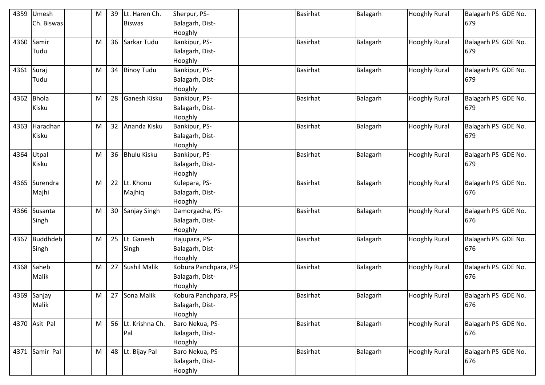| 4359       | Umesh           | M | 39              | Lt. Haren Ch.      | Sherpur, PS-          | <b>Basirhat</b> | Balagarh | <b>Hooghly Rural</b> | Balagarh PS GDE No. |
|------------|-----------------|---|-----------------|--------------------|-----------------------|-----------------|----------|----------------------|---------------------|
|            | Ch. Biswas      |   |                 | <b>Biswas</b>      | Balagarh, Dist-       |                 |          |                      | 679                 |
|            |                 |   |                 |                    | Hooghly               |                 |          |                      |                     |
| 4360       | Samir           | M |                 | 36 Sarkar Tudu     | Bankipur, PS-         | <b>Basirhat</b> | Balagarh | <b>Hooghly Rural</b> | Balagarh PS GDE No. |
|            | Tudu            |   |                 |                    | Balagarh, Dist-       |                 |          |                      | 679                 |
|            |                 |   |                 |                    | Hooghly               |                 |          |                      |                     |
| 4361 Suraj |                 | M |                 | 34 Binoy Tudu      | Bankipur, PS-         | <b>Basirhat</b> | Balagarh | <b>Hooghly Rural</b> | Balagarh PS GDE No. |
|            | Tudu            |   |                 |                    | Balagarh, Dist-       |                 |          |                      | 679                 |
|            |                 |   |                 |                    | Hooghly               |                 |          |                      |                     |
| 4362       | <b>Bhola</b>    | M | 28              | Ganesh Kisku       | Bankipur, PS-         | <b>Basirhat</b> | Balagarh | <b>Hooghly Rural</b> | Balagarh PS GDE No. |
|            | Kisku           |   |                 |                    | Balagarh, Dist-       |                 |          |                      | 679                 |
|            |                 |   |                 |                    | Hooghly               |                 |          |                      |                     |
| 4363       | Haradhan        | M | 32 <sup>2</sup> | Ananda Kisku       | Bankipur, PS-         | <b>Basirhat</b> | Balagarh | <b>Hooghly Rural</b> | Balagarh PS GDE No. |
|            | Kisku           |   |                 |                    | Balagarh, Dist-       |                 |          |                      | 679                 |
|            |                 |   |                 |                    | Hooghly               |                 |          |                      |                     |
| 4364       | Utpal           | M |                 | 36 Bhulu Kisku     | Bankipur, PS-         | <b>Basirhat</b> | Balagarh | <b>Hooghly Rural</b> | Balagarh PS GDE No. |
|            | Kisku           |   |                 |                    | Balagarh, Dist-       |                 |          |                      | 679                 |
|            |                 |   |                 |                    | Hooghly               |                 |          |                      |                     |
| 4365       | Surendra        | M | 22              | Lt. Khonu          | Kulepara, PS-         | <b>Basirhat</b> | Balagarh | <b>Hooghly Rural</b> | Balagarh PS GDE No. |
|            | Majhi           |   |                 | Majhiq             | Balagarh, Dist-       |                 |          |                      | 676                 |
|            |                 |   |                 |                    | Hooghly               |                 |          |                      |                     |
| 4366       | Susanta         | M |                 | 30 Sanjay Singh    | Damorgacha, PS-       | <b>Basirhat</b> | Balagarh | <b>Hooghly Rural</b> | Balagarh PS GDE No. |
|            | Singh           |   |                 |                    | Balagarh, Dist-       |                 |          |                      | 676                 |
|            |                 |   |                 |                    | Hooghly               |                 |          |                      |                     |
| 4367       | <b>Buddhdeb</b> | M |                 | 25 Lt. Ganesh      | Hajupara, PS-         | <b>Basirhat</b> | Balagarh | <b>Hooghly Rural</b> | Balagarh PS GDE No. |
|            | Singh           |   |                 | Singh              | Balagarh, Dist-       |                 |          |                      | 676                 |
|            |                 |   |                 |                    | Hooghly               |                 |          |                      |                     |
| 4368       | Saheb           | M |                 | 27 Sushil Malik    | Kobura Panchpara, PS- | <b>Basirhat</b> | Balagarh | <b>Hooghly Rural</b> | Balagarh PS GDE No. |
|            | Malik           |   |                 |                    | Balagarh, Dist-       |                 |          |                      | 676                 |
|            |                 |   |                 |                    | Hooghly               |                 |          |                      |                     |
|            | 4369 Sanjay     | M |                 | 27 Sona Malik      | Kobura Panchpara, PS- | <b>Basirhat</b> | Balagarh | <b>Hooghly Rural</b> | Balagarh PS GDE No. |
|            | Malik           |   |                 |                    | Balagarh, Dist-       |                 |          |                      | 676                 |
|            |                 |   |                 |                    | Hooghly               |                 |          |                      |                     |
|            | 4370 Asit Pal   | M |                 | 56 Lt. Krishna Ch. | Baro Nekua, PS-       | <b>Basirhat</b> | Balagarh | <b>Hooghly Rural</b> | Balagarh PS GDE No. |
|            |                 |   |                 | Pal                | Balagarh, Dist-       |                 |          |                      | 676                 |
|            |                 |   |                 |                    | Hooghly               |                 |          |                      |                     |
|            | 4371 Samir Pal  | M |                 | 48 Lt. Bijay Pal   | Baro Nekua, PS-       | <b>Basirhat</b> | Balagarh | <b>Hooghly Rural</b> | Balagarh PS GDE No. |
|            |                 |   |                 |                    | Balagarh, Dist-       |                 |          |                      | 676                 |
|            |                 |   |                 |                    | Hooghly               |                 |          |                      |                     |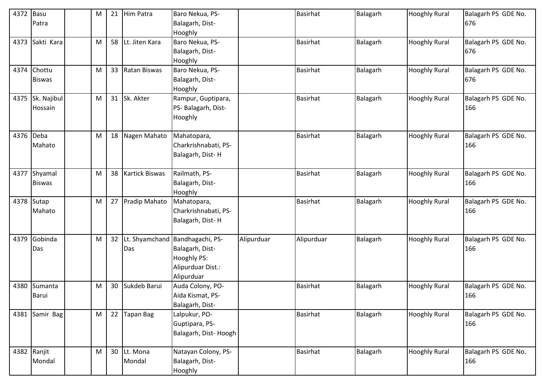| 4372      | Basu<br>Patra                | м | 21              | Him Patra             | Baro Nekua, PS-<br>Balagarh, Dist-                                                                   |            | <b>Basirhat</b> | Balagarh | <b>Hooghly Rural</b> | Balagarh PS GDE No.<br>676 |
|-----------|------------------------------|---|-----------------|-----------------------|------------------------------------------------------------------------------------------------------|------------|-----------------|----------|----------------------|----------------------------|
|           |                              |   |                 |                       | Hooghly                                                                                              |            |                 |          |                      |                            |
| 4373      | Sakti Kara                   | M | 58              | Lt. Jiten Kara        | Baro Nekua, PS-<br>Balagarh, Dist-<br>Hooghly                                                        |            | <b>Basirhat</b> | Balagarh | <b>Hooghly Rural</b> | Balagarh PS GDE No.<br>676 |
|           | 4374 Chottu<br><b>Biswas</b> | м |                 | 33 Ratan Biswas       | Baro Nekua, PS-<br>Balagarh, Dist-<br>Hooghly                                                        |            | <b>Basirhat</b> | Balagarh | <b>Hooghly Rural</b> | Balagarh PS GDE No.<br>676 |
| 4375      | Sk. Najibul<br>Hossain       | M |                 | 31 Sk. Akter          | Rampur, Guptipara,<br>PS- Balagarh, Dist-<br>Hooghly                                                 |            | <b>Basirhat</b> | Balagarh | <b>Hooghly Rural</b> | Balagarh PS GDE No.<br>166 |
| 4376 Deba | Mahato                       | M | 18              | Nagen Mahato          | Mahatopara,<br>Charkrishnabati, PS-<br>Balagarh, Dist-H                                              |            | <b>Basirhat</b> | Balagarh | <b>Hooghly Rural</b> | Balagarh PS GDE No.<br>166 |
| 4377      | Shyamal<br><b>Biswas</b>     | M | 38              | <b>Kartick Biswas</b> | Railmath, PS-<br>Balagarh, Dist-<br>Hooghly                                                          |            | Basirhat        | Balagarh | <b>Hooghly Rural</b> | Balagarh PS GDE No.<br>166 |
|           | 4378 Sutap<br>Mahato         | M |                 | 27 Pradip Mahato      | Mahatopara,<br>Charkrishnabati, PS-<br>Balagarh, Dist-H                                              |            | Basirhat        | Balagarh | <b>Hooghly Rural</b> | Balagarh PS GDE No.<br>166 |
| 4379      | Gobinda<br>Das               | M | 32 <sup>2</sup> | Das                   | Lt. Shyamchand Bandhagachi, PS-<br>Balagarh, Dist-<br>Hooghly PS:<br>Alipurduar Dist.:<br>Alipurduar | Alipurduar | Alipurduar      | Balagarh | <b>Hooghly Rural</b> | Balagarh PS GDE No.<br>166 |
| 4380      | Sumanta<br>Barui             | M | 30              | Sukdeb Barui          | Auda Colony, PO-<br>Aida Kismat, PS-<br>Balagarh, Dist-                                              |            | <b>Basirhat</b> | Balagarh | <b>Hooghly Rural</b> | Balagarh PS GDE No.<br>166 |
|           | 4381 Samir Bag               | M |                 | 22 Tapan Bag          | Lalpukur, PO-<br>Guptipara, PS-<br>Balagarh, Dist-Hoogh                                              |            | Basirhat        | Balagarh | <b>Hooghly Rural</b> | Balagarh PS GDE No.<br>166 |
|           | 4382 Ranjit<br>Mondal        | M |                 | 30 Lt. Mona<br>Mondal | Natayan Colony, PS-<br>Balagarh, Dist-<br>Hooghly                                                    |            | <b>Basirhat</b> | Balagarh | <b>Hooghly Rural</b> | Balagarh PS GDE No.<br>166 |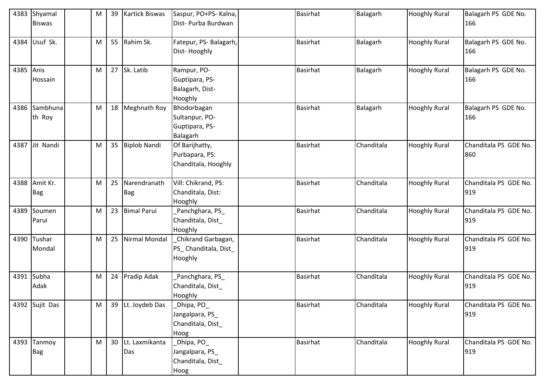| 4383      | Shyamal<br><b>Biswas</b>  | M | 39 | <b>Kartick Biswas</b>    | Saspur, PO+PS- Kalna,<br>Dist- Purba Burdwan                | <b>Basirhat</b> | Balagarh   | <b>Hooghly Rural</b> | Balagarh PS GDE No.<br>166   |
|-----------|---------------------------|---|----|--------------------------|-------------------------------------------------------------|-----------------|------------|----------------------|------------------------------|
| 4384      | Usuf Sk.                  | M |    | 55 Rahim Sk.             | Fatepur, PS- Balagarh,<br>Dist-Hooghly                      | <b>Basirhat</b> | Balagarh   | <b>Hooghly Rural</b> | Balagarh PS GDE No.<br>166   |
| 4385 Anis | Hossain                   | M |    | 27 Sk. Latib             | Rampur, PO-<br>Guptipara, PS-<br>Balagarh, Dist-<br>Hooghly | <b>Basirhat</b> | Balagarh   | <b>Hooghly Rural</b> | Balagarh PS GDE No.<br>166   |
| 4386      | Sambhuna<br>th Roy        | M |    | 18 Meghnath Roy          | Bhodorbagan<br>Sultanpur, PO-<br>Guptipara, PS-<br>Balagarh | <b>Basirhat</b> | Balagarh   | <b>Hooghly Rural</b> | Balagarh PS GDE No.<br>166   |
|           | 4387 Jit Nandi            | M |    | 35 Biplob Nandi          | Of Barijhatty,<br>Purbapara, PS:<br>Chanditala, Hooghly     | <b>Basirhat</b> | Chanditala | <b>Hooghly Rural</b> | Chanditala PS GDE No.<br>860 |
| 4388      | Amit Kr.<br>Bag           | M | 25 | Narendranath<br>Bag      | Vill: Chikrand, PS:<br>Chanditala, Dist:<br>Hooghly         | <b>Basirhat</b> | Chanditala | <b>Hooghly Rural</b> | Chanditala PS GDE No.<br>919 |
| 4389      | Soumen<br>Parui           | M |    | 23 Bimal Parui           | Panchghara, PS_<br>Chanditala, Dist<br>Hooghly              | <b>Basirhat</b> | Chanditala | <b>Hooghly Rural</b> | Chanditala PS GDE No.<br>919 |
| 4390      | Tushar<br>Mondal          | M | 25 | Nirmal Mondal            | Chikrand Garbagan,<br>PS_Chanditala, Dist_<br>Hooghly       | <b>Basirhat</b> | Chanditala | <b>Hooghly Rural</b> | Chanditala PS GDE No.<br>919 |
| 4391      | Subha<br>Adak             | M |    | 24 Pradip Adak           | Panchghara, PS_<br>Chanditala, Dist_<br>Hooghly             | <b>Basirhat</b> | Chanditala | <b>Hooghly Rural</b> | Chanditala PS GDE No.<br>919 |
|           | 4392 Sujit Das            | M |    | 39 Lt. Joydeb Das        | _Dhipa, PO_<br>Jangalpara, PS_<br>Chanditala, Dist<br>Hoog  | <b>Basirhat</b> | Chanditala | <b>Hooghly Rural</b> | Chanditala PS GDE No.<br>919 |
|           | 4393 Tanmoy<br><b>Bag</b> | M |    | 30 Lt. Laxmikanta<br>Das | _Dhipa, PO_<br>Jangalpara, PS_<br>Chanditala, Dist_<br>Hoog | <b>Basirhat</b> | Chanditala | <b>Hooghly Rural</b> | Chanditala PS GDE No.<br>919 |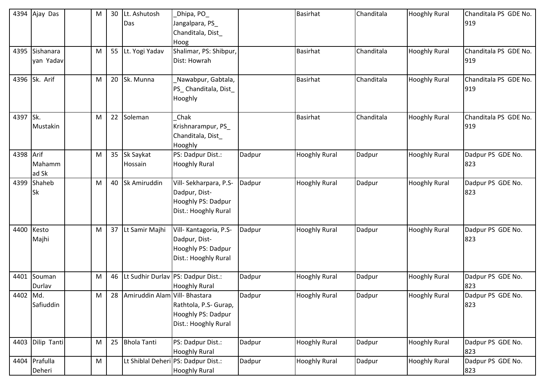| 4394      | Ajay Das                | M | 30 | Lt. Ashutosh<br>Das              | Dhipa, PO_<br>Jangalpara, PS_<br>Chanditala, Dist<br>Hoog                             |        | <b>Basirhat</b>      | Chanditala | <b>Hooghly Rural</b> | Chanditala PS GDE No.<br>919 |
|-----------|-------------------------|---|----|----------------------------------|---------------------------------------------------------------------------------------|--------|----------------------|------------|----------------------|------------------------------|
| 4395      | Sishanara<br>yan Yadav  | M |    | 55 Lt. Yogi Yadav                | Shalimar, PS: Shibpur,<br>Dist: Howrah                                                |        | <b>Basirhat</b>      | Chanditala | <b>Hooghly Rural</b> | Chanditala PS GDE No.<br>919 |
| 4396      | Sk. Arif                | M |    | 20 Sk. Munna                     | Nawabpur, Gabtala,<br>PS_Chanditala, Dist_<br>Hooghly                                 |        | <b>Basirhat</b>      | Chanditala | <b>Hooghly Rural</b> | Chanditala PS GDE No.<br>919 |
| 4397 Sk.  | Mustakin                | M |    | 22 Soleman                       | Chak<br>Krishnarampur, PS_<br>Chanditala, Dist<br>Hooghly                             |        | <b>Basirhat</b>      | Chanditala | <b>Hooghly Rural</b> | Chanditala PS GDE No.<br>919 |
| 4398 Arif | Mahamm<br>ad Sk         | M |    | 35 Sk Saykat<br>Hossain          | PS: Dadpur Dist.:<br><b>Hooghly Rural</b>                                             | Dadpur | <b>Hooghly Rural</b> | Dadpur     | <b>Hooghly Rural</b> | Dadpur PS GDE No.<br>823     |
| 4399      | Shaheb<br>Sk            | M |    | 40 Sk Amiruddin                  | Vill-Sekharpara, P.S-<br>Dadpur, Dist-<br>Hooghly PS: Dadpur<br>Dist.: Hooghly Rural  | Dadpur | <b>Hooghly Rural</b> | Dadpur     | <b>Hooghly Rural</b> | Dadpur PS GDE No.<br>823     |
| 4400      | Kesto<br>Majhi          | M | 37 | Lt Samir Majhi                   | Vill- Kantagoria, P.S-<br>Dadpur, Dist-<br>Hooghly PS: Dadpur<br>Dist.: Hooghly Rural | Dadpur | <b>Hooghly Rural</b> | Dadpur     | <b>Hooghly Rural</b> | Dadpur PS GDE No.<br>823     |
| 4401      | Souman<br>Durlav        | M |    |                                  | 46   Lt Sudhir Durlav   PS: Dadpur Dist.:<br><b>Hooghly Rural</b>                     | Dadpur | <b>Hooghly Rural</b> | Dadpur     | <b>Hooghly Rural</b> | Dadpur PS GDE No.<br>823     |
| 4402 Md.  | Safiuddin               | M |    | 28 Amiruddin Alam Vill- Bhastara | Rathtola, P.S- Gurap,<br>Hooghly PS: Dadpur<br>Dist.: Hooghly Rural                   | Dadpur | <b>Hooghly Rural</b> | Dadpur     | <b>Hooghly Rural</b> | Dadpur PS GDE No.<br>823     |
|           | 4403 Dilip Tanti        | M |    | 25 Bhola Tanti                   | PS: Dadpur Dist.:<br><b>Hooghly Rural</b>                                             | Dadpur | <b>Hooghly Rural</b> | Dadpur     | <b>Hooghly Rural</b> | Dadpur PS GDE No.<br>823     |
|           | 4404 Prafulla<br>Deheri | M |    |                                  | Lt Shiblal Deheri PS: Dadpur Dist.:<br><b>Hooghly Rural</b>                           | Dadpur | <b>Hooghly Rural</b> | Dadpur     | <b>Hooghly Rural</b> | Dadpur PS GDE No.<br>823     |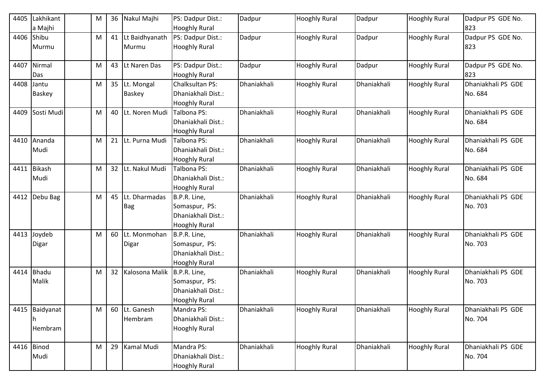| 4405 | Lakhikant<br>a Majhi           | M | 36              | Nakul Majhi                    | PS: Dadpur Dist.:<br><b>Hooghly Rural</b>                                   | Dadpur      | <b>Hooghly Rural</b> | Dadpur      | <b>Hooghly Rural</b> | Dadpur PS GDE No.<br>823      |
|------|--------------------------------|---|-----------------|--------------------------------|-----------------------------------------------------------------------------|-------------|----------------------|-------------|----------------------|-------------------------------|
| 4406 | Shibu<br>Murmu                 | M | 41              | Lt Baidhyanath<br>Murmu        | PS: Dadpur Dist.:<br><b>Hooghly Rural</b>                                   | Dadpur      | <b>Hooghly Rural</b> | Dadpur      | <b>Hooghly Rural</b> | Dadpur PS GDE No.<br>823      |
| 4407 | Nirmal<br>Das                  | M | 43              | Lt Naren Das                   | PS: Dadpur Dist.:<br><b>Hooghly Rural</b>                                   | Dadpur      | <b>Hooghly Rural</b> | Dadpur      | <b>Hooghly Rural</b> | Dadpur PS GDE No.<br>823      |
| 4408 | Jantu<br><b>Baskey</b>         | M |                 | 35 Lt. Mongal<br><b>Baskey</b> | Chalksultan PS:<br>Dhaniakhali Dist.:<br><b>Hooghly Rural</b>               | Dhaniakhali | <b>Hooghly Rural</b> | Dhaniakhali | <b>Hooghly Rural</b> | Dhaniakhali PS GDE<br>No. 684 |
| 4409 | Sosti Mudi                     | M |                 | 40 Lt. Noren Mudi              | Talbona PS:<br>Dhaniakhali Dist.:<br><b>Hooghly Rural</b>                   | Dhaniakhali | <b>Hooghly Rural</b> | Dhaniakhali | <b>Hooghly Rural</b> | Dhaniakhali PS GDE<br>No. 684 |
| 4410 | Ananda<br>Mudi                 | M | 21              | Lt. Purna Mudi                 | Talbona PS:<br>Dhaniakhali Dist.:<br><b>Hooghly Rural</b>                   | Dhaniakhali | <b>Hooghly Rural</b> | Dhaniakhali | <b>Hooghly Rural</b> | Dhaniakhali PS GDE<br>No. 684 |
| 4411 | <b>Bikash</b><br>Mudi          | M | 32 <sup>2</sup> | Lt. Nakul Mudi                 | Talbona PS:<br>Dhaniakhali Dist.:<br><b>Hooghly Rural</b>                   | Dhaniakhali | <b>Hooghly Rural</b> | Dhaniakhali | <b>Hooghly Rural</b> | Dhaniakhali PS GDE<br>No. 684 |
| 4412 | Debu Bag                       | M | 45              | Lt. Dharmadas<br>Bag           | B.P.R. Line,<br>Somaspur, PS:<br>Dhaniakhali Dist.:<br><b>Hooghly Rural</b> | Dhaniakhali | <b>Hooghly Rural</b> | Dhaniakhali | <b>Hooghly Rural</b> | Dhaniakhali PS GDE<br>No. 703 |
| 4413 | Joydeb<br>Digar                | M | 60              | Lt. Monmohan<br>Digar          | B.P.R. Line,<br>Somaspur, PS:<br>Dhaniakhali Dist.:<br><b>Hooghly Rural</b> | Dhaniakhali | <b>Hooghly Rural</b> | Dhaniakhali | <b>Hooghly Rural</b> | Dhaniakhali PS GDE<br>No. 703 |
| 4414 | <b>Bhadu</b><br>Malik          | M |                 | 32 Kalosona Malik              | B.P.R. Line,<br>Somaspur, PS:<br>Dhaniakhali Dist.:<br><b>Hooghly Rural</b> | Dhaniakhali | <b>Hooghly Rural</b> | Dhaniakhali | <b>Hooghly Rural</b> | Dhaniakhali PS GDE<br>No. 703 |
|      | 4415 Baidyanat<br>n<br>Hembram | M |                 | 60 Lt. Ganesh<br>Hembram       | Mandra PS:<br>Dhaniakhali Dist.:<br><b>Hooghly Rural</b>                    | Dhaniakhali | <b>Hooghly Rural</b> | Dhaniakhali | <b>Hooghly Rural</b> | Dhaniakhali PS GDE<br>No. 704 |
|      | 4416 Binod<br>Mudi             | M |                 | 29 Kamal Mudi                  | Mandra PS:<br>Dhaniakhali Dist.:<br><b>Hooghly Rural</b>                    | Dhaniakhali | <b>Hooghly Rural</b> | Dhaniakhali | <b>Hooghly Rural</b> | Dhaniakhali PS GDE<br>No. 704 |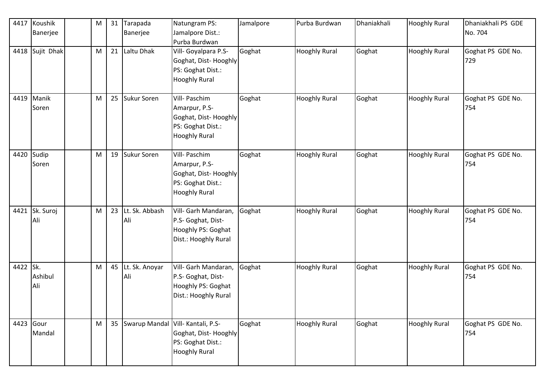| 4417      | Koushik<br>Banerjee   | M | 31 | Tarapada<br>Banerjee  | Natungram PS:<br>Jamalpore Dist.:<br>Purba Burdwan                                                            | Jamalpore | Purba Burdwan        | Dhaniakhali | <b>Hooghly Rural</b> | Dhaniakhali PS GDE<br>No. 704 |
|-----------|-----------------------|---|----|-----------------------|---------------------------------------------------------------------------------------------------------------|-----------|----------------------|-------------|----------------------|-------------------------------|
|           | 4418 Sujit Dhak       | M |    | 21 Laltu Dhak         | Vill- Goyalpara P.S-<br>Goghat, Dist-Hooghly<br>PS: Goghat Dist.:<br><b>Hooghly Rural</b>                     | Goghat    | <b>Hooghly Rural</b> | Goghat      | Hooghly Rural        | Goghat PS GDE No.<br>729      |
|           | 4419 Manik<br>Soren   | M |    | 25 Sukur Soren        | Vill- Paschim<br>Amarpur, P.S-<br>Goghat, Dist-Hooghly<br>PS: Goghat Dist.:<br><b>Hooghly Rural</b>           | Goghat    | <b>Hooghly Rural</b> | Goghat      | <b>Hooghly Rural</b> | Goghat PS GDE No.<br>754      |
| 4420      | Sudip<br>Soren        | M |    | 19 Sukur Soren        | Vill- Paschim<br>Amarpur, P.S-<br>Goghat, Dist-Hooghly<br>PS: Goghat Dist.:<br><b>Hooghly Rural</b>           | Goghat    | <b>Hooghly Rural</b> | Goghat      | <b>Hooghly Rural</b> | Goghat PS GDE No.<br>754      |
|           | 4421 Sk. Suroj<br>Ali | M | 23 | Lt. Sk. Abbash<br>Ali | Vill- Garh Mandaran,<br>P.S- Goghat, Dist-<br>Hooghly PS: Goghat<br>Dist.: Hooghly Rural                      | Goghat    | <b>Hooghly Rural</b> | Goghat      | <b>Hooghly Rural</b> | Goghat PS GDE No.<br>754      |
| 4422 Sk.  | Ashibul<br>Ali        | M | 45 | Lt. Sk. Anoyar<br>Ali | Vill- Garh Mandaran,<br>P.S- Goghat, Dist-<br>Hooghly PS: Goghat<br>Dist.: Hooghly Rural                      | Goghat    | <b>Hooghly Rural</b> | Goghat      | <b>Hooghly Rural</b> | Goghat PS GDE No.<br>754      |
| 4423 Gour | Mandal                | M |    |                       | 35   Swarup Mandal   Vill- Kantali, P.S-<br>Goghat, Dist-Hooghly<br>PS: Goghat Dist.:<br><b>Hooghly Rural</b> | Goghat    | <b>Hooghly Rural</b> | Goghat      | <b>Hooghly Rural</b> | Goghat PS GDE No.<br>754      |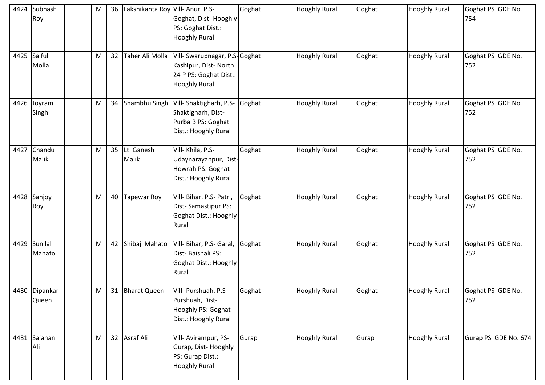| 4424 | Subhash<br>Roy         | M | 36 | Lakshikanta Roy Vill-Anur, P.S- | Goghat, Dist-Hooghly<br>PS: Goghat Dist.:<br><b>Hooghly Rural</b>                                       | Goghat | <b>Hooghly Rural</b> | Goghat | <b>Hooghly Rural</b> | Goghat PS GDE No.<br>754 |
|------|------------------------|---|----|---------------------------------|---------------------------------------------------------------------------------------------------------|--------|----------------------|--------|----------------------|--------------------------|
|      | 4425 Saiful<br>Molla   | M | 32 | Taher Ali Molla                 | Vill- Swarupnagar, P.S-Goghat<br>Kashipur, Dist-North<br>24 P PS: Goghat Dist.:<br><b>Hooghly Rural</b> |        | <b>Hooghly Rural</b> | Goghat | <b>Hooghly Rural</b> | Goghat PS GDE No.<br>752 |
|      | 4426 Joyram<br>Singh   | M | 34 | Shambhu Singh                   | Vill-Shaktigharh, P.S-<br>Shaktigharh, Dist-<br>Purba B PS: Goghat<br>Dist.: Hooghly Rural              | Goghat | <b>Hooghly Rural</b> | Goghat | <b>Hooghly Rural</b> | Goghat PS GDE No.<br>752 |
|      | 4427 Chandu<br>Malik   | M | 35 | Lt. Ganesh<br>Malik             | Vill- Khila, P.S-<br>Udaynarayanpur, Dist-<br>Howrah PS: Goghat<br>Dist.: Hooghly Rural                 | Goghat | <b>Hooghly Rural</b> | Goghat | <b>Hooghly Rural</b> | Goghat PS GDE No.<br>752 |
|      | 4428 Sanjoy<br>Roy     | M | 40 | Tapewar Roy                     | Vill- Bihar, P.S- Patri,<br>Dist-Samastipur PS:<br>Goghat Dist.: Hooghly<br>Rural                       | Goghat | <b>Hooghly Rural</b> | Goghat | <b>Hooghly Rural</b> | Goghat PS GDE No.<br>752 |
|      | 4429 Sunilal<br>Mahato | M | 42 | Shibaji Mahato                  | Vill- Bihar, P.S- Garal,<br>Dist-Baishali PS:<br>Goghat Dist.: Hooghly<br>Rural                         | Goghat | <b>Hooghly Rural</b> | Goghat | <b>Hooghly Rural</b> | Goghat PS GDE No.<br>752 |
|      | 4430 Dipankar<br>Queen | M |    | 31 Bharat Queen                 | Vill- Purshuah, P.S-<br>Purshuah, Dist-<br>Hooghly PS: Goghat<br>Dist.: Hooghly Rural                   | Goghat | <b>Hooghly Rural</b> | Goghat | <b>Hooghly Rural</b> | Goghat PS GDE No.<br>752 |
|      | 4431 Sajahan<br>Ali    | M |    | 32 Asraf Ali                    | Vill- Avirampur, PS-<br>Gurap, Dist-Hooghly<br>PS: Gurap Dist.:<br><b>Hooghly Rural</b>                 | Gurap  | <b>Hooghly Rural</b> | Gurap  | <b>Hooghly Rural</b> | Gurap PS GDE No. 674     |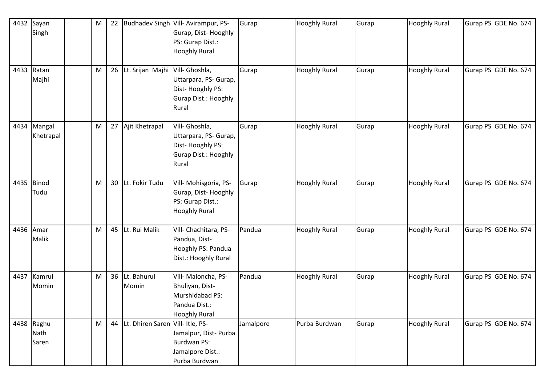|      | 4432 Sayan   | M |                                     | 22 Budhadev Singh Vill-Avirampur, PS- | Gurap     | <b>Hooghly Rural</b> | Gurap | <b>Hooghly Rural</b> | Gurap PS GDE No. 674 |
|------|--------------|---|-------------------------------------|---------------------------------------|-----------|----------------------|-------|----------------------|----------------------|
|      | Singh        |   |                                     | Gurap, Dist-Hooghly                   |           |                      |       |                      |                      |
|      |              |   |                                     | PS: Gurap Dist.:                      |           |                      |       |                      |                      |
|      |              |   |                                     | <b>Hooghly Rural</b>                  |           |                      |       |                      |                      |
|      |              |   |                                     |                                       |           |                      |       |                      |                      |
|      | 4433 Ratan   | M | 26 Lt. Srijan Majhi Vill- Ghoshla,  |                                       | Gurap     | <b>Hooghly Rural</b> | Gurap | <b>Hooghly Rural</b> | Gurap PS GDE No. 674 |
|      | Majhi        |   |                                     | Uttarpara, PS- Gurap,                 |           |                      |       |                      |                      |
|      |              |   |                                     | Dist-Hooghly PS:                      |           |                      |       |                      |                      |
|      |              |   |                                     | <b>Gurap Dist.: Hooghly</b>           |           |                      |       |                      |                      |
|      |              |   |                                     | Rural                                 |           |                      |       |                      |                      |
|      |              |   |                                     |                                       |           |                      |       |                      |                      |
| 4434 | Mangal       | M | 27 Ajit Khetrapal                   | Vill- Ghoshla,                        | Gurap     | <b>Hooghly Rural</b> | Gurap | <b>Hooghly Rural</b> | Gurap PS GDE No. 674 |
|      | Khetrapal    |   |                                     | Uttarpara, PS- Gurap,                 |           |                      |       |                      |                      |
|      |              |   |                                     | Dist-Hooghly PS:                      |           |                      |       |                      |                      |
|      |              |   |                                     | <b>Gurap Dist.: Hooghly</b>           |           |                      |       |                      |                      |
|      |              |   |                                     | Rural                                 |           |                      |       |                      |                      |
|      |              |   |                                     |                                       |           |                      |       |                      |                      |
| 4435 | <b>Binod</b> | M | 30 Lt. Fokir Tudu                   | Vill- Mohisgoria, PS-                 | Gurap     | <b>Hooghly Rural</b> | Gurap | <b>Hooghly Rural</b> | Gurap PS GDE No. 674 |
|      | Tudu         |   |                                     | Gurap, Dist-Hooghly                   |           |                      |       |                      |                      |
|      |              |   |                                     | PS: Gurap Dist.:                      |           |                      |       |                      |                      |
|      |              |   |                                     | <b>Hooghly Rural</b>                  |           |                      |       |                      |                      |
|      | 4436 Amar    | M | 45 Lt. Rui Malik                    | Vill- Chachitara, PS-                 | Pandua    | <b>Hooghly Rural</b> | Gurap | <b>Hooghly Rural</b> | Gurap PS GDE No. 674 |
|      | Malik        |   |                                     | Pandua, Dist-                         |           |                      |       |                      |                      |
|      |              |   |                                     | Hooghly PS: Pandua                    |           |                      |       |                      |                      |
|      |              |   |                                     | Dist.: Hooghly Rural                  |           |                      |       |                      |                      |
|      |              |   |                                     |                                       |           |                      |       |                      |                      |
| 4437 | Kamrul       | M | 36 Lt. Bahurul                      | Vill- Maloncha, PS-                   | Pandua    | <b>Hooghly Rural</b> | Gurap | <b>Hooghly Rural</b> | Gurap PS GDE No. 674 |
|      | Momin        |   | Momin                               | Bhuliyan, Dist-                       |           |                      |       |                      |                      |
|      |              |   |                                     | Murshidabad PS:                       |           |                      |       |                      |                      |
|      |              |   |                                     | Pandua Dist.:                         |           |                      |       |                      |                      |
|      |              |   |                                     | <b>Hooghly Rural</b>                  |           |                      |       |                      |                      |
|      | 4438 Raghu   | M | 44 Lt. Dhiren Saren Vill- Itle, PS- |                                       | Jamalpore | Purba Burdwan        | Gurap | <b>Hooghly Rural</b> | Gurap PS GDE No. 674 |
|      | Nath         |   |                                     | Jamalpur, Dist- Purba                 |           |                      |       |                      |                      |
|      | Saren        |   |                                     | Burdwan PS:                           |           |                      |       |                      |                      |
|      |              |   |                                     | Jamalpore Dist.:                      |           |                      |       |                      |                      |
|      |              |   |                                     | Purba Burdwan                         |           |                      |       |                      |                      |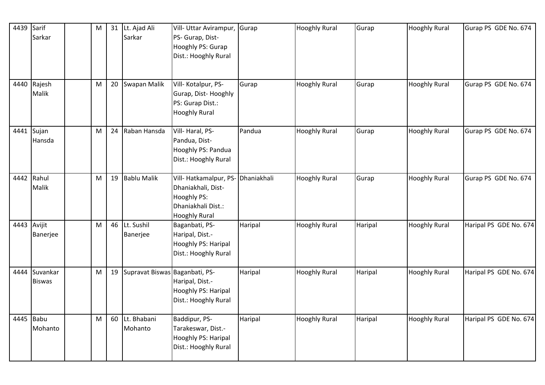| 4439      | Sarif<br>Sarkar           | M |    | 31 Lt. Ajad Ali<br>Sarkar         | Vill- Uttar Avirampur,                                                                                               | Gurap   | <b>Hooghly Rural</b> | Gurap   | <b>Hooghly Rural</b> | Gurap PS GDE No. 674   |
|-----------|---------------------------|---|----|-----------------------------------|----------------------------------------------------------------------------------------------------------------------|---------|----------------------|---------|----------------------|------------------------|
|           |                           |   |    |                                   | PS- Gurap, Dist-<br>Hooghly PS: Gurap<br>Dist.: Hooghly Rural                                                        |         |                      |         |                      |                        |
|           |                           |   |    |                                   |                                                                                                                      |         |                      |         |                      |                        |
|           | 4440 Rajesh<br>Malik      | M |    | 20 Swapan Malik                   | Vill-Kotalpur, PS-<br>Gurap, Dist-Hooghly<br>PS: Gurap Dist.:<br><b>Hooghly Rural</b>                                | Gurap   | <b>Hooghly Rural</b> | Gurap   | <b>Hooghly Rural</b> | Gurap PS GDE No. 674   |
| 4441      | Sujan<br>Hansda           | M | 24 | Raban Hansda                      | Vill-Haral, PS-<br>Pandua, Dist-<br>Hooghly PS: Pandua<br>Dist.: Hooghly Rural                                       | Pandua  | <b>Hooghly Rural</b> | Gurap   | <b>Hooghly Rural</b> | Gurap PS GDE No. 674   |
| 4442      | Rahul<br>Malik            | M |    | 19 Bablu Malik                    | Vill-Hatkamalpur, PS- Dhaniakhali<br>Dhaniakhali, Dist-<br>Hooghly PS:<br>Dhaniakhali Dist.:<br><b>Hooghly Rural</b> |         | <b>Hooghly Rural</b> | Gurap   | <b>Hooghly Rural</b> | Gurap PS GDE No. 674   |
|           | 4443 Avijit<br>Banerjee   | M |    | 46 Lt. Sushil<br>Banerjee         | Baganbati, PS-<br>Haripal, Dist.-<br>Hooghly PS: Haripal<br>Dist.: Hooghly Rural                                     | Haripal | <b>Hooghly Rural</b> | Haripal | <b>Hooghly Rural</b> | Haripal PS GDE No. 674 |
| 4444      | Suvankar<br><b>Biswas</b> | M |    | 19 Supravat Biswas Baganbati, PS- | Haripal, Dist.-<br>Hooghly PS: Haripal<br>Dist.: Hooghly Rural                                                       | Haripal | <b>Hooghly Rural</b> | Haripal | <b>Hooghly Rural</b> | Haripal PS GDE No. 674 |
| 4445 Babu | Mohanto                   | M |    | 60 Lt. Bhabani<br>Mohanto         | Baddipur, PS-<br>Tarakeswar, Dist.-<br>Hooghly PS: Haripal<br>Dist.: Hooghly Rural                                   | Haripal | <b>Hooghly Rural</b> | Haripal | <b>Hooghly Rural</b> | Haripal PS GDE No. 674 |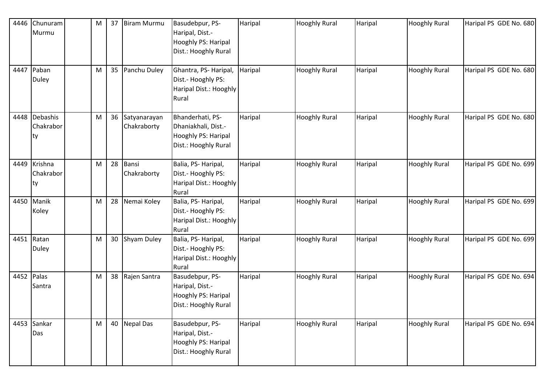| 4446       | Chunuram<br>Murmu                | M | 37 | <b>Biram Murmu</b>             | Basudebpur, PS-<br>Haripal, Dist.-<br>Hooghly PS: Haripal<br>Dist.: Hooghly Rural      | Haripal | <b>Hooghly Rural</b> | Haripal | <b>Hooghly Rural</b> | Haripal PS GDE No. 680 |
|------------|----------------------------------|---|----|--------------------------------|----------------------------------------------------------------------------------------|---------|----------------------|---------|----------------------|------------------------|
| 4447       | Paban<br>Duley                   | M |    | 35 Panchu Duley                | Ghantra, PS- Haripal,<br>Dist.- Hooghly PS:<br>Haripal Dist.: Hooghly<br>Rural         | Haripal | <b>Hooghly Rural</b> | Haripal | <b>Hooghly Rural</b> | Haripal PS GDE No. 680 |
|            | 4448 Debashis<br>Chakrabor<br>ty | M |    | 36 Satyanarayan<br>Chakraborty | Bhanderhati, PS-<br>Dhaniakhali, Dist.-<br>Hooghly PS: Haripal<br>Dist.: Hooghly Rural | Haripal | <b>Hooghly Rural</b> | Haripal | <b>Hooghly Rural</b> | Haripal PS GDE No. 680 |
|            | 4449 Krishna<br>Chakrabor<br>ty  | M |    | 28 Bansi<br>Chakraborty        | Balia, PS-Haripal,<br>Dist.- Hooghly PS:<br>Haripal Dist.: Hooghly<br>Rural            | Haripal | <b>Hooghly Rural</b> | Haripal | <b>Hooghly Rural</b> | Haripal PS GDE No. 699 |
| 4450       | Manik<br>Koley                   | M |    | 28 Nemai Koley                 | Balia, PS-Haripal,<br>Dist.- Hooghly PS:<br>Haripal Dist.: Hooghly<br>Rural            | Haripal | <b>Hooghly Rural</b> | Haripal | <b>Hooghly Rural</b> | Haripal PS GDE No. 699 |
| 4451       | Ratan<br>Duley                   | M |    | 30 Shyam Duley                 | Balia, PS-Haripal,<br>Dist.- Hooghly PS:<br>Haripal Dist.: Hooghly<br>Rural            | Haripal | <b>Hooghly Rural</b> | Haripal | <b>Hooghly Rural</b> | Haripal PS GDE No. 699 |
| 4452 Palas | Santra                           | M |    | 38 Rajen Santra                | Basudebpur, PS-<br>Haripal, Dist.-<br>Hooghly PS: Haripal<br>Dist.: Hooghly Rural      | Haripal | <b>Hooghly Rural</b> | Haripal | <b>Hooghly Rural</b> | Haripal PS GDE No. 694 |
|            | 4453 Sankar<br>Das               | M |    | 40 Nepal Das                   | Basudebpur, PS-<br>Haripal, Dist.-<br>Hooghly PS: Haripal<br>Dist.: Hooghly Rural      | Haripal | <b>Hooghly Rural</b> | Haripal | <b>Hooghly Rural</b> | Haripal PS GDE No. 694 |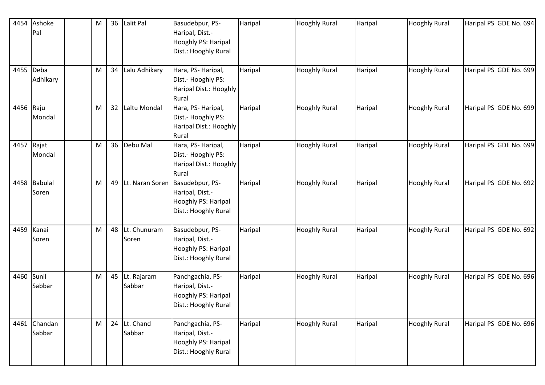| 4454      | Ashoke<br>Pal           | M |                 | 36 Lalit Pal             | Basudebpur, PS-<br>Haripal, Dist.-<br>Hooghly PS: Haripal<br>Dist.: Hooghly Rural                    | Haripal | <b>Hooghly Rural</b> | Haripal | <b>Hooghly Rural</b> | Haripal PS GDE No. 694 |
|-----------|-------------------------|---|-----------------|--------------------------|------------------------------------------------------------------------------------------------------|---------|----------------------|---------|----------------------|------------------------|
| 4455 Deba | Adhikary                | M | 34              | Lalu Adhikary            | Hara, PS-Haripal,<br>Dist.- Hooghly PS:<br>Haripal Dist.: Hooghly<br>Rural                           | Haripal | <b>Hooghly Rural</b> | Haripal | <b>Hooghly Rural</b> | Haripal PS GDE No. 699 |
| 4456 Raju | Mondal                  | M | 32 <sup>2</sup> | Laltu Mondal             | Hara, PS-Haripal,<br>Dist.- Hooghly PS:<br>Haripal Dist.: Hooghly<br>Rural                           | Haripal | <b>Hooghly Rural</b> | Haripal | <b>Hooghly Rural</b> | Haripal PS GDE No. 699 |
|           | 4457 Rajat<br>Mondal    | M |                 | 36 Debu Mal              | Hara, PS-Haripal,<br>Dist.- Hooghly PS:<br>Haripal Dist.: Hooghly<br>Rural                           | Haripal | <b>Hooghly Rural</b> | Haripal | <b>Hooghly Rural</b> | Haripal PS GDE No. 699 |
| 4458      | <b>Babulal</b><br>Soren | M |                 |                          | 49 Lt. Naran Soren Basudebpur, PS-<br>Haripal, Dist.-<br>Hooghly PS: Haripal<br>Dist.: Hooghly Rural | Haripal | <b>Hooghly Rural</b> | Haripal | <b>Hooghly Rural</b> | Haripal PS GDE No. 692 |
| 4459      | Kanai<br>Soren          | M |                 | 48 Lt. Chunuram<br>Soren | Basudebpur, PS-<br>Haripal, Dist.-<br>Hooghly PS: Haripal<br>Dist.: Hooghly Rural                    | Haripal | <b>Hooghly Rural</b> | Haripal | <b>Hooghly Rural</b> | Haripal PS GDE No. 692 |
| 4460      | Sunil<br>Sabbar         | M |                 | 45 Lt. Rajaram<br>Sabbar | Panchgachia, PS-<br>Haripal, Dist.-<br>Hooghly PS: Haripal<br>Dist.: Hooghly Rural                   | Haripal | <b>Hooghly Rural</b> | Haripal | <b>Hooghly Rural</b> | Haripal PS GDE No. 696 |
|           | 4461 Chandan<br>Sabbar  | M |                 | 24 Lt. Chand<br>Sabbar   | Panchgachia, PS-<br>Haripal, Dist.-<br>Hooghly PS: Haripal<br>Dist.: Hooghly Rural                   | Haripal | <b>Hooghly Rural</b> | Haripal | <b>Hooghly Rural</b> | Haripal PS GDE No. 696 |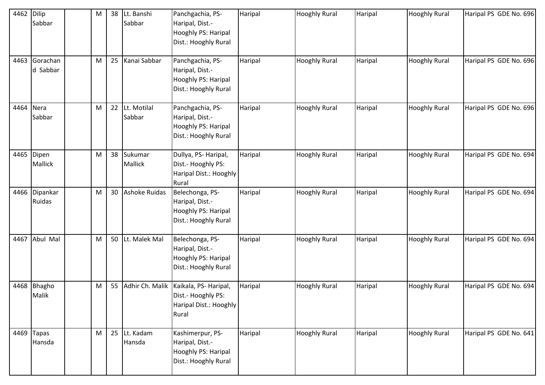| 4462 | <b>Dilip</b><br>Sabbar  | M |    | 38 Lt. Banshi<br>Sabbar  | Panchgachia, PS-<br>Haripal, Dist.-<br>Hooghly PS: Haripal<br>Dist.: Hooghly Rural | Haripal | <b>Hooghly Rural</b> | Haripal | <b>Hooghly Rural</b> | Haripal PS GDE No. 696 |
|------|-------------------------|---|----|--------------------------|------------------------------------------------------------------------------------|---------|----------------------|---------|----------------------|------------------------|
| 4463 | Gorachan<br>d Sabbar    | M |    | 25 Kanai Sabbar          | Panchgachia, PS-<br>Haripal, Dist.-<br>Hooghly PS: Haripal<br>Dist.: Hooghly Rural | Haripal | <b>Hooghly Rural</b> | Haripal | <b>Hooghly Rural</b> | Haripal PS GDE No. 696 |
| 4464 | Nera<br>Sabbar          | M |    | 22 Lt. Motilal<br>Sabbar | Panchgachia, PS-<br>Haripal, Dist.-<br>Hooghly PS: Haripal<br>Dist.: Hooghly Rural | Haripal | <b>Hooghly Rural</b> | Haripal | <b>Hooghly Rural</b> | Haripal PS GDE No. 696 |
|      | 4465 Dipen<br>Mallick   | M |    | 38 Sukumar<br>Mallick    | Dullya, PS-Haripal,<br>Dist.- Hooghly PS:<br>Haripal Dist.: Hooghly<br>Rural       | Haripal | <b>Hooghly Rural</b> | Haripal | <b>Hooghly Rural</b> | Haripal PS GDE No. 694 |
|      | 4466 Dipankar<br>Ruidas | M |    | 30 Ashoke Ruidas         | Belechonga, PS-<br>Haripal, Dist.-<br>Hooghly PS: Haripal<br>Dist.: Hooghly Rural  | Haripal | <b>Hooghly Rural</b> | Haripal | <b>Hooghly Rural</b> | Haripal PS GDE No. 694 |
| 4467 | Abul Mal                | M |    | 50 Lt. Malek Mal         | Belechonga, PS-<br>Haripal, Dist.-<br>Hooghly PS: Haripal<br>Dist.: Hooghly Rural  | Haripal | <b>Hooghly Rural</b> | Haripal | <b>Hooghly Rural</b> | Haripal PS GDE No. 694 |
| 4468 | <b>Bhagho</b><br>Malik  | M | 55 | Adhir Ch. Malik          | Kaikala, PS-Haripal,<br>Dist.- Hooghly PS:<br>Haripal Dist.: Hooghly<br>Rural      | Haripal | <b>Hooghly Rural</b> | Haripal | <b>Hooghly Rural</b> | Haripal PS GDE No. 694 |
| 4469 | <b>Tapas</b><br>Hansda  | M |    | 25 Lt. Kadam<br>Hansda   | Kashimerpur, PS-<br>Haripal, Dist.-<br>Hooghly PS: Haripal<br>Dist.: Hooghly Rural | Haripal | <b>Hooghly Rural</b> | Haripal | <b>Hooghly Rural</b> | Haripal PS GDE No. 641 |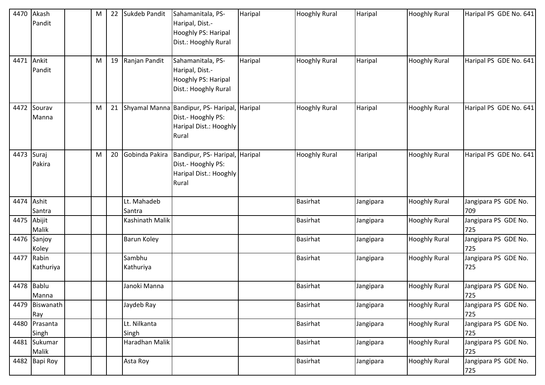| 4470 | Akash<br>Pandit         | M | 22 | Sukdeb Pandit          | Sahamanitala, PS-<br>Haripal, Dist.-<br>Hooghly PS: Haripal<br>Dist.: Hooghly Rural              | Haripal | <b>Hooghly Rural</b> | Haripal   | <b>Hooghly Rural</b> | Haripal PS GDE No. 641      |
|------|-------------------------|---|----|------------------------|--------------------------------------------------------------------------------------------------|---------|----------------------|-----------|----------------------|-----------------------------|
|      | 4471 Ankit<br>Pandit    | M |    | 19 Ranjan Pandit       | Sahamanitala, PS-<br>Haripal, Dist.-<br>Hooghly PS: Haripal<br>Dist.: Hooghly Rural              | Haripal | <b>Hooghly Rural</b> | Haripal   | <b>Hooghly Rural</b> | Haripal PS GDE No. 641      |
| 4472 | Sourav<br>Manna         | M |    |                        | 21 Shyamal Manna Bandipur, PS- Haripal,<br>Dist.- Hooghly PS:<br>Haripal Dist.: Hooghly<br>Rural | Haripal | <b>Hooghly Rural</b> | Haripal   | <b>Hooghly Rural</b> | Haripal PS GDE No. 641      |
| 4473 | Suraj<br>Pakira         | M | 20 | Gobinda Pakira         | Bandipur, PS- Haripal, Haripal<br>Dist.- Hooghly PS:<br>Haripal Dist.: Hooghly<br>Rural          |         | <b>Hooghly Rural</b> | Haripal   | <b>Hooghly Rural</b> | Haripal PS GDE No. 641      |
| 4474 | Ashit<br>Santra         |   |    | Lt. Mahadeb<br>Santra  |                                                                                                  |         | <b>Basirhat</b>      | Jangipara | <b>Hooghly Rural</b> | Jangipara PS GDE No.<br>709 |
|      | 4475 Abijit<br>Malik    |   |    | <b>Kashinath Malik</b> |                                                                                                  |         | <b>Basirhat</b>      | Jangipara | <b>Hooghly Rural</b> | Jangipara PS GDE No.<br>725 |
|      | 4476 Sanjoy<br>Koley    |   |    | <b>Barun Koley</b>     |                                                                                                  |         | <b>Basirhat</b>      | Jangipara | <b>Hooghly Rural</b> | Jangipara PS GDE No.<br>725 |
|      | 4477 Rabin<br>Kathuriya |   |    | Sambhu<br>Kathuriya    |                                                                                                  |         | <b>Basirhat</b>      | Jangipara | <b>Hooghly Rural</b> | Jangipara PS GDE No.<br>725 |
| 4478 | <b>Bablu</b><br>Manna   |   |    | Janoki Manna           |                                                                                                  |         | <b>Basirhat</b>      | Jangipara | <b>Hooghly Rural</b> | Jangipara PS GDE No.<br>725 |
|      | 4479 Biswanath<br>Ray   |   |    | Jaydeb Ray             |                                                                                                  |         | <b>Basirhat</b>      | Jangipara | <b>Hooghly Rural</b> | Jangipara PS GDE No.<br>725 |
|      | 4480 Prasanta<br>Singh  |   |    | Lt. Nilkanta<br>Singh  |                                                                                                  |         | <b>Basirhat</b>      | Jangipara | <b>Hooghly Rural</b> | Jangipara PS GDE No.<br>725 |
|      | 4481 Sukumar<br>Malik   |   |    | Haradhan Malik         |                                                                                                  |         | <b>Basirhat</b>      | Jangipara | <b>Hooghly Rural</b> | Jangipara PS GDE No.<br>725 |
|      | 4482 Bapi Roy           |   |    | Asta Roy               |                                                                                                  |         | <b>Basirhat</b>      | Jangipara | <b>Hooghly Rural</b> | Jangipara PS GDE No.<br>725 |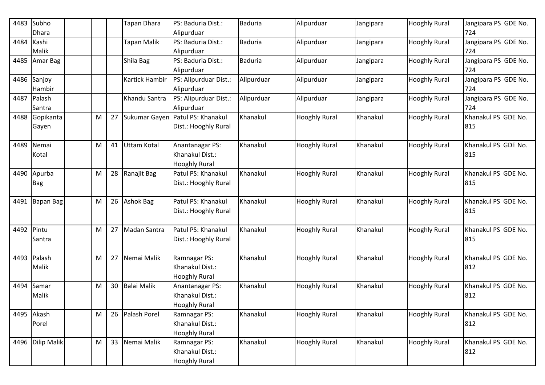| 4483       | Subho<br><b>Dhara</b>   |   |    | Tapan Dhara           | PS: Baduria Dist.:<br>Alipurduar                           | Baduria        | Alipurduar           | Jangipara | <b>Hooghly Rural</b> | Jangipara PS GDE No.<br>724 |
|------------|-------------------------|---|----|-----------------------|------------------------------------------------------------|----------------|----------------------|-----------|----------------------|-----------------------------|
| 4484       | Kashi<br>Malik          |   |    | Tapan Malik           | PS: Baduria Dist.:<br>Alipurduar                           | <b>Baduria</b> | Alipurduar           | Jangipara | <b>Hooghly Rural</b> | Jangipara PS GDE No.<br>724 |
| 4485       | Amar Bag                |   |    | Shila Bag             | PS: Baduria Dist.:<br>Alipurduar                           | <b>Baduria</b> | Alipurduar           | Jangipara | <b>Hooghly Rural</b> | Jangipara PS GDE No.<br>724 |
|            | 4486 Sanjoy<br>Hambir   |   |    | <b>Kartick Hambir</b> | PS: Alipurduar Dist.:<br>Alipurduar                        | Alipurduar     | Alipurduar           | Jangipara | <b>Hooghly Rural</b> | Jangipara PS GDE No.<br>724 |
|            | 4487 Palash<br>Santra   |   |    | Khandu Santra         | PS: Alipurduar Dist.:<br>Alipurduar                        | Alipurduar     | Alipurduar           | Jangipara | <b>Hooghly Rural</b> | Jangipara PS GDE No.<br>724 |
|            | 4488 Gopikanta<br>Gayen | M | 27 |                       | Sukumar Gayen Patul PS: Khanakul<br>Dist.: Hooghly Rural   | Khanakul       | <b>Hooghly Rural</b> | Khanakul  | <b>Hooghly Rural</b> | Khanakul PS GDE No.<br>815  |
| 4489       | Nemai<br>Kotal          | M | 41 | <b>Uttam Kotal</b>    | Anantanagar PS:<br>Khanakul Dist.:<br><b>Hooghly Rural</b> | Khanakul       | <b>Hooghly Rural</b> | Khanakul  | <b>Hooghly Rural</b> | Khanakul PS GDE No.<br>815  |
| 4490       | Apurba<br><b>Bag</b>    | M | 28 | Ranajit Bag           | Patul PS: Khanakul<br>Dist.: Hooghly Rural                 | Khanakul       | <b>Hooghly Rural</b> | Khanakul  | <b>Hooghly Rural</b> | Khanakul PS GDE No.<br>815  |
| 4491       | Bapan Bag               | M | 26 | <b>Ashok Bag</b>      | Patul PS: Khanakul<br>Dist.: Hooghly Rural                 | Khanakul       | <b>Hooghly Rural</b> | Khanakul  | <b>Hooghly Rural</b> | Khanakul PS GDE No.<br>815  |
| 4492 Pintu | Santra                  | M | 27 | Madan Santra          | Patul PS: Khanakul<br>Dist.: Hooghly Rural                 | Khanakul       | <b>Hooghly Rural</b> | Khanakul  | <b>Hooghly Rural</b> | Khanakul PS GDE No.<br>815  |
|            | 4493 Palash<br>Malik    | M | 27 | Nemai Malik           | Ramnagar PS:<br>Khanakul Dist.:<br><b>Hooghly Rural</b>    | Khanakul       | <b>Hooghly Rural</b> | Khanakul  | <b>Hooghly Rural</b> | Khanakul PS GDE No.<br>812  |
| 4494       | Samar<br>Malik          | M | 30 | <b>Balai Malik</b>    | Anantanagar PS:<br>Khanakul Dist.:<br><b>Hooghly Rural</b> | Khanakul       | <b>Hooghly Rural</b> | Khanakul  | <b>Hooghly Rural</b> | Khanakul PS GDE No.<br>812  |
|            | 4495 Akash<br>Porel     | M | 26 | Palash Porel          | Ramnagar PS:<br>Khanakul Dist.:<br><b>Hooghly Rural</b>    | Khanakul       | <b>Hooghly Rural</b> | Khanakul  | <b>Hooghly Rural</b> | Khanakul PS GDE No.<br>812  |
|            | 4496 Dilip Malik        | M |    | 33 Nemai Malik        | Ramnagar PS:<br>Khanakul Dist.:<br><b>Hooghly Rural</b>    | Khanakul       | <b>Hooghly Rural</b> | Khanakul  | <b>Hooghly Rural</b> | Khanakul PS GDE No.<br>812  |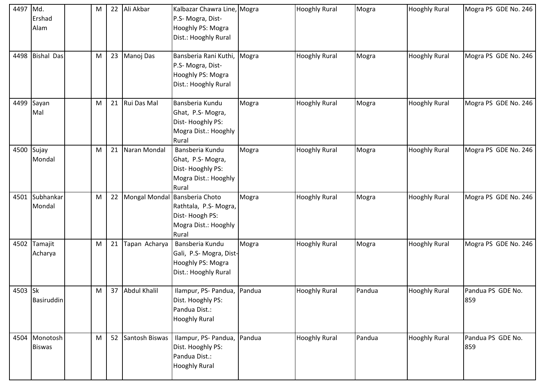| 4497 Md. |                 | M |    | 22 Ali Akbar      | Kalbazar Chawra Line, Mogra |       | <b>Hooghly Rural</b> | Mogra  | <b>Hooghly Rural</b> | Mogra PS GDE No. 246 |
|----------|-----------------|---|----|-------------------|-----------------------------|-------|----------------------|--------|----------------------|----------------------|
|          | Ershad          |   |    |                   | P.S- Mogra, Dist-           |       |                      |        |                      |                      |
|          | Alam            |   |    |                   | Hooghly PS: Mogra           |       |                      |        |                      |                      |
|          |                 |   |    |                   | Dist.: Hooghly Rural        |       |                      |        |                      |                      |
|          |                 |   |    |                   |                             |       |                      |        |                      |                      |
|          | 4498 Bishal Das | M |    | 23 Manoj Das      | Bansberia Rani Kuthi,       | Mogra | <b>Hooghly Rural</b> | Mogra  | <b>Hooghly Rural</b> | Mogra PS GDE No. 246 |
|          |                 |   |    |                   | P.S- Mogra, Dist-           |       |                      |        |                      |                      |
|          |                 |   |    |                   | Hooghly PS: Mogra           |       |                      |        |                      |                      |
|          |                 |   |    |                   | Dist.: Hooghly Rural        |       |                      |        |                      |                      |
|          |                 |   |    |                   |                             |       |                      |        |                      |                      |
| 4499     | Sayan           | M |    | 21 Rui Das Mal    | Bansberia Kundu             | Mogra | <b>Hooghly Rural</b> | Mogra  | <b>Hooghly Rural</b> | Mogra PS GDE No. 246 |
|          | Mal             |   |    |                   | Ghat, P.S-Mogra,            |       |                      |        |                      |                      |
|          |                 |   |    |                   | Dist-Hooghly PS:            |       |                      |        |                      |                      |
|          |                 |   |    |                   | Mogra Dist.: Hooghly        |       |                      |        |                      |                      |
|          |                 |   |    |                   | Rural                       |       |                      |        |                      |                      |
| 4500     | Sujay           | M | 21 | Naran Mondal      | Bansberia Kundu             | Mogra | <b>Hooghly Rural</b> | Mogra  | <b>Hooghly Rural</b> | Mogra PS GDE No. 246 |
|          | Mondal          |   |    |                   | Ghat, P.S-Mogra,            |       |                      |        |                      |                      |
|          |                 |   |    |                   | Dist-Hooghly PS:            |       |                      |        |                      |                      |
|          |                 |   |    |                   | Mogra Dist.: Hooghly        |       |                      |        |                      |                      |
|          |                 |   |    |                   | Rural                       |       |                      |        |                      |                      |
| 4501     | Subhankar       | M |    | 22 Mongal Mondal  | Bansberia Choto             | Mogra | <b>Hooghly Rural</b> | Mogra  | <b>Hooghly Rural</b> | Mogra PS GDE No. 246 |
|          | Mondal          |   |    |                   | Rathtala, P.S-Mogra,        |       |                      |        |                      |                      |
|          |                 |   |    |                   | Dist-Hoogh PS:              |       |                      |        |                      |                      |
|          |                 |   |    |                   | Mogra Dist.: Hooghly        |       |                      |        |                      |                      |
|          |                 |   |    |                   | Rural                       |       |                      |        |                      |                      |
|          | 4502 Tamajit    | M | 21 | Tapan Acharya     | Bansberia Kundu             | Mogra | <b>Hooghly Rural</b> | Mogra  | <b>Hooghly Rural</b> | Mogra PS GDE No. 246 |
|          | Acharya         |   |    |                   | Gali, P.S-Mogra, Dist-      |       |                      |        |                      |                      |
|          |                 |   |    |                   | Hooghly PS: Mogra           |       |                      |        |                      |                      |
|          |                 |   |    |                   | Dist.: Hooghly Rural        |       |                      |        |                      |                      |
|          |                 |   |    |                   |                             |       |                      |        |                      |                      |
| 4503 Sk  |                 | Μ |    | 37 Abdul Khalil   | Ilampur, PS- Pandua, Pandua |       | <b>Hooghly Rural</b> | Pandua | <b>Hooghly Rural</b> | Pandua PS GDE No.    |
|          | Basiruddin      |   |    |                   | Dist. Hooghly PS:           |       |                      |        |                      | 859                  |
|          |                 |   |    |                   | Pandua Dist.:               |       |                      |        |                      |                      |
|          |                 |   |    |                   | <b>Hooghly Rural</b>        |       |                      |        |                      |                      |
|          |                 |   |    |                   |                             |       |                      |        |                      |                      |
|          | 4504 Monotosh   | M |    | 52 Santosh Biswas | Ilampur, PS- Pandua, Pandua |       | <b>Hooghly Rural</b> | Pandua | <b>Hooghly Rural</b> | Pandua PS GDE No.    |
|          | <b>Biswas</b>   |   |    |                   | Dist. Hooghly PS:           |       |                      |        |                      | 859                  |
|          |                 |   |    |                   | Pandua Dist.:               |       |                      |        |                      |                      |
|          |                 |   |    |                   | <b>Hooghly Rural</b>        |       |                      |        |                      |                      |
|          |                 |   |    |                   |                             |       |                      |        |                      |                      |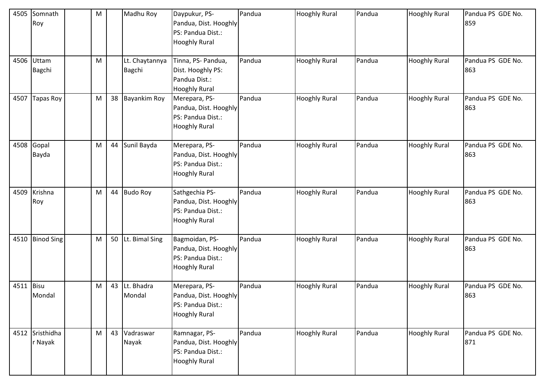| 4505      | Somnath<br>Roy              | M | Madhu Roy                | Daypukur, PS-<br>Pandua, Dist. Hooghly<br>PS: Pandua Dist.:<br><b>Hooghly Rural</b>  | Pandua | <b>Hooghly Rural</b> | Pandua | <b>Hooghly Rural</b> | Pandua PS GDE No.<br>859 |
|-----------|-----------------------------|---|--------------------------|--------------------------------------------------------------------------------------|--------|----------------------|--------|----------------------|--------------------------|
|           | 4506 Uttam<br><b>Bagchi</b> | M | Lt. Chaytannya<br>Bagchi | Tinna, PS- Pandua,<br>Dist. Hooghly PS:<br>Pandua Dist.:<br><b>Hooghly Rural</b>     | Pandua | <b>Hooghly Rural</b> | Pandua | <b>Hooghly Rural</b> | Pandua PS GDE No.<br>863 |
| 4507      | <b>Tapas Roy</b>            | M | 38 Bayankim Roy          | Merepara, PS-<br>Pandua, Dist. Hooghly<br>PS: Pandua Dist.:<br><b>Hooghly Rural</b>  | Pandua | <b>Hooghly Rural</b> | Pandua | <b>Hooghly Rural</b> | Pandua PS GDE No.<br>863 |
| 4508      | Gopal<br>Bayda              | M | 44 Sunil Bayda           | Merepara, PS-<br>Pandua, Dist. Hooghly<br>PS: Pandua Dist.:<br><b>Hooghly Rural</b>  | Pandua | <b>Hooghly Rural</b> | Pandua | <b>Hooghly Rural</b> | Pandua PS GDE No.<br>863 |
| 4509      | Krishna<br>Roy              | M | 44 Budo Roy              | Sathgechia PS-<br>Pandua, Dist. Hooghly<br>PS: Pandua Dist.:<br><b>Hooghly Rural</b> | Pandua | <b>Hooghly Rural</b> | Pandua | <b>Hooghly Rural</b> | Pandua PS GDE No.<br>863 |
| 4510      | <b>Binod Sing</b>           | M | 50 Lt. Bimal Sing        | Bagmoidan, PS-<br>Pandua, Dist. Hooghly<br>PS: Pandua Dist.:<br><b>Hooghly Rural</b> | Pandua | <b>Hooghly Rural</b> | Pandua | <b>Hooghly Rural</b> | Pandua PS GDE No.<br>863 |
| 4511 Bisu | Mondal                      | M | 43 Lt. Bhadra<br>Mondal  | Merepara, PS-<br>Pandua, Dist. Hooghly<br>PS: Pandua Dist.:<br><b>Hooghly Rural</b>  | Pandua | <b>Hooghly Rural</b> | Pandua | <b>Hooghly Rural</b> | Pandua PS GDE No.<br>863 |
|           | 4512 Sristhidha<br>r Nayak  | M | 43 Vadraswar<br>Nayak    | Ramnagar, PS-<br>Pandua, Dist. Hooghly<br>PS: Pandua Dist.:<br><b>Hooghly Rural</b>  | Pandua | <b>Hooghly Rural</b> | Pandua | <b>Hooghly Rural</b> | Pandua PS GDE No.<br>871 |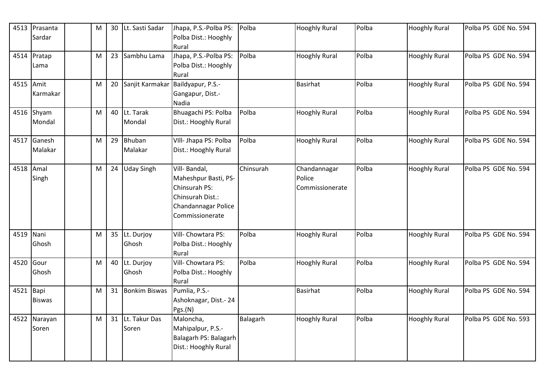| 4513      | Prasanta<br>Sardar    | M | 30 | Lt. Sasti Sadar           | Jhapa, P.S.-Polba PS:<br>Polba Dist.: Hooghly<br>Rural                                                              | Polba     | <b>Hooghly Rural</b>                      | Polba | <b>Hooghly Rural</b> | Polba PS GDE No. 594 |
|-----------|-----------------------|---|----|---------------------------|---------------------------------------------------------------------------------------------------------------------|-----------|-------------------------------------------|-------|----------------------|----------------------|
| 4514      | Pratap<br>Lama        | M |    | 23 Sambhu Lama            | Jhapa, P.S.-Polba PS:<br>Polba Dist.: Hooghly<br>Rural                                                              | Polba     | <b>Hooghly Rural</b>                      | Polba | <b>Hooghly Rural</b> | Polba PS GDE No. 594 |
| 4515 Amit | Karmakar              | M |    |                           | 20 Sanjit Karmakar Baildyapur, P.S.-<br>Gangapur, Dist.-<br>Nadia                                                   |           | <b>Basirhat</b>                           | Polba | <b>Hooghly Rural</b> | Polba PS GDE No. 594 |
|           | 4516 Shyam<br>Mondal  | M |    | 40 Lt. Tarak<br>Mondal    | Bhuagachi PS: Polba<br>Dist.: Hooghly Rural                                                                         | Polba     | <b>Hooghly Rural</b>                      | Polba | <b>Hooghly Rural</b> | Polba PS GDE No. 594 |
| 4517      | Ganesh<br>Malakar     | M | 29 | Bhuban<br>Malakar         | VIII- Jhapa PS: Polba<br>Dist.: Hooghly Rural                                                                       | Polba     | <b>Hooghly Rural</b>                      | Polba | <b>Hooghly Rural</b> | Polba PS GDE No. 594 |
| 4518      | Amal<br>Singh         | M | 24 | <b>Uday Singh</b>         | Vill-Bandal,<br>Maheshpur Basti, PS-<br>Chinsurah PS:<br>Chinsurah Dist.:<br>Chandannagar Police<br>Commissionerate | Chinsurah | Chandannagar<br>Police<br>Commissionerate | Polba | <b>Hooghly Rural</b> | Polba PS GDE No. 594 |
| 4519 Nani | Ghosh                 | M |    | 35 Lt. Durjoy<br>Ghosh    | Vill- Chowtara PS:<br>Polba Dist.: Hooghly<br>Rural                                                                 | Polba     | <b>Hooghly Rural</b>                      | Polba | <b>Hooghly Rural</b> | Polba PS GDE No. 594 |
| 4520      | Gour<br>Ghosh         | M |    | 40 Lt. Durjoy<br>Ghosh    | Vill- Chowtara PS:<br>Polba Dist.: Hooghly<br>Rural                                                                 | Polba     | <b>Hooghly Rural</b>                      | Polba | <b>Hooghly Rural</b> | Polba PS GDE No. 594 |
| 4521 Bapi | <b>Biswas</b>         | M |    | 31 Bonkim Biswas          | Pumlia, P.S.-<br>Ashoknagar, Dist. - 24<br>Pgs.(N)                                                                  |           | <b>Basirhat</b>                           | Polba | <b>Hooghly Rural</b> | Polba PS GDE No. 594 |
|           | 4522 Narayan<br>Soren | M |    | 31 Lt. Takur Das<br>Soren | Maloncha,<br>Mahipalpur, P.S.-<br>Balagarh PS: Balagarh<br>Dist.: Hooghly Rural                                     | Balagarh  | <b>Hooghly Rural</b>                      | Polba | <b>Hooghly Rural</b> | Polba PS GDE No. 593 |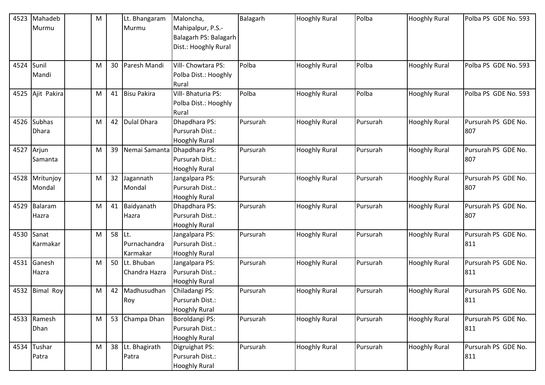| 4523 | Mahadeb          | M |        | Lt. Bhangaram      | Maloncha,             | Balagarh | <b>Hooghly Rural</b> | Polba    | <b>Hooghly Rural</b> | Polba PS GDE No. 593 |
|------|------------------|---|--------|--------------------|-----------------------|----------|----------------------|----------|----------------------|----------------------|
|      | Murmu            |   |        | Murmu              | Mahipalpur, P.S.-     |          |                      |          |                      |                      |
|      |                  |   |        |                    | Balagarh PS: Balagarh |          |                      |          |                      |                      |
|      |                  |   |        |                    | Dist.: Hooghly Rural  |          |                      |          |                      |                      |
|      |                  |   |        |                    |                       |          |                      |          |                      |                      |
| 4524 | Sunil            | M |        | 30 Paresh Mandi    | Vill- Chowtara PS:    | Polba    | <b>Hooghly Rural</b> | Polba    | <b>Hooghly Rural</b> | Polba PS GDE No. 593 |
|      | Mandi            |   |        |                    | Polba Dist.: Hooghly  |          |                      |          |                      |                      |
|      |                  |   |        |                    | Rural                 |          |                      |          |                      |                      |
| 4525 | Ajit Pakira      | M | 41     | <b>Bisu Pakira</b> | Vill- Bhaturia PS:    | Polba    | <b>Hooghly Rural</b> | Polba    | <b>Hooghly Rural</b> | Polba PS GDE No. 593 |
|      |                  |   |        |                    | Polba Dist.: Hooghly  |          |                      |          |                      |                      |
|      |                  |   |        |                    | Rural                 |          |                      |          |                      |                      |
| 4526 | <b>Subhas</b>    | M | 42     | <b>Dulal Dhara</b> | Dhapdhara PS:         | Pursurah | <b>Hooghly Rural</b> | Pursurah | <b>Hooghly Rural</b> | Pursurah PS GDE No.  |
|      | Dhara            |   |        |                    | Pursurah Dist.:       |          |                      |          |                      | 807                  |
|      |                  |   |        |                    | <b>Hooghly Rural</b>  |          |                      |          |                      |                      |
| 4527 | Arjun            | M | 39     | Nemai Samanta      | Dhapdhara PS:         | Pursurah | <b>Hooghly Rural</b> | Pursurah | <b>Hooghly Rural</b> | Pursurah PS GDE No.  |
|      | Samanta          |   |        |                    | Pursurah Dist.:       |          |                      |          |                      | 807                  |
|      |                  |   |        |                    | <b>Hooghly Rural</b>  |          |                      |          |                      |                      |
| 4528 | Mritunjoy        | M |        | 32 Jagannath       | Jangalpara PS:        | Pursurah | <b>Hooghly Rural</b> | Pursurah | <b>Hooghly Rural</b> | Pursurah PS GDE No.  |
|      | Mondal           |   |        | Mondal             | Pursurah Dist.:       |          |                      |          |                      | 807                  |
|      |                  |   |        |                    | <b>Hooghly Rural</b>  |          |                      |          |                      |                      |
| 4529 | Balaram          | M |        | 41 Baidyanath      | Dhapdhara PS:         | Pursurah | <b>Hooghly Rural</b> | Pursurah | <b>Hooghly Rural</b> | Pursurah PS GDE No.  |
|      | Hazra            |   |        | Hazra              | Pursurah Dist.:       |          |                      |          |                      | 807                  |
|      |                  |   |        |                    | <b>Hooghly Rural</b>  |          |                      |          |                      |                      |
| 4530 | Sanat            | M | 58 Lt. |                    | Jangalpara PS:        | Pursurah | <b>Hooghly Rural</b> | Pursurah | <b>Hooghly Rural</b> | Pursurah PS GDE No.  |
|      | Karmakar         |   |        | Purnachandra       | Pursurah Dist.:       |          |                      |          |                      | 811                  |
|      |                  |   |        | Karmakar           | <b>Hooghly Rural</b>  |          |                      |          |                      |                      |
| 4531 | Ganesh           | M |        | 50 Lt. Bhuban      | Jangalpara PS:        | Pursurah | <b>Hooghly Rural</b> | Pursurah | <b>Hooghly Rural</b> | Pursurah PS GDE No.  |
|      | Hazra            |   |        | Chandra Hazra      | Pursurah Dist.:       |          |                      |          |                      | 811                  |
|      |                  |   |        |                    | <b>Hooghly Rural</b>  |          |                      |          |                      |                      |
| 4532 | <b>Bimal Roy</b> | M | 42     | Madhusudhan        | Chiladangi PS:        | Pursurah | <b>Hooghly Rural</b> | Pursurah | <b>Hooghly Rural</b> | Pursurah PS GDE No.  |
|      |                  |   |        | Roy                | Pursurah Dist.:       |          |                      |          |                      | 811                  |
|      |                  |   |        |                    | <b>Hooghly Rural</b>  |          |                      |          |                      |                      |
|      | 4533 Ramesh      | M |        | 53 Champa Dhan     | Boroldangi PS:        | Pursurah | <b>Hooghly Rural</b> | Pursurah | <b>Hooghly Rural</b> | Pursurah PS GDE No.  |
|      | Dhan             |   |        |                    | Pursurah Dist.:       |          |                      |          |                      | 811                  |
|      |                  |   |        |                    | <b>Hooghly Rural</b>  |          |                      |          |                      |                      |
|      | 4534 Tushar      | M |        | 38 Lt. Bhagirath   | Digruighat PS:        | Pursurah | <b>Hooghly Rural</b> | Pursurah | <b>Hooghly Rural</b> | Pursurah PS GDE No.  |
|      | Patra            |   |        | Patra              | Pursurah Dist.:       |          |                      |          |                      | 811                  |
|      |                  |   |        |                    | <b>Hooghly Rural</b>  |          |                      |          |                      |                      |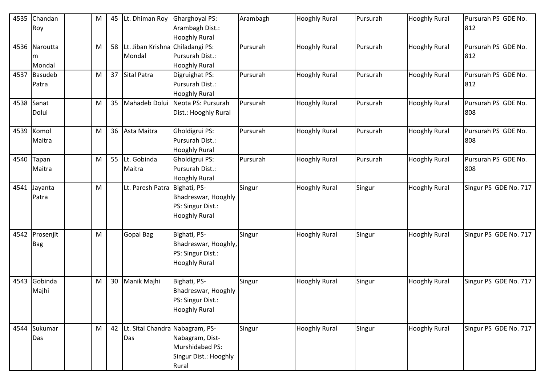| 4535 | Chandan<br>Roy               | M |    | 45 Lt. Dhiman Roy                           | <b>Gharghoyal PS:</b><br>Arambagh Dist.:<br><b>Hooghly Rural</b>                  | Arambagh | <b>Hooghly Rural</b> | Pursurah | <b>Hooghly Rural</b> | Pursurah PS GDE No.<br>812 |
|------|------------------------------|---|----|---------------------------------------------|-----------------------------------------------------------------------------------|----------|----------------------|----------|----------------------|----------------------------|
|      | 4536 Naroutta<br>m<br>Mondal | M | 58 | Lt. Jiban Krishna Chiladangi PS:<br>Mondal  | Pursurah Dist.:<br><b>Hooghly Rural</b>                                           | Pursurah | <b>Hooghly Rural</b> | Pursurah | <b>Hooghly Rural</b> | Pursurah PS GDE No.<br>812 |
| 4537 | <b>Basudeb</b><br>Patra      | M |    | 37 Sital Patra                              | Digruighat PS:<br>Pursurah Dist.:<br><b>Hooghly Rural</b>                         | Pursurah | <b>Hooghly Rural</b> | Pursurah | <b>Hooghly Rural</b> | Pursurah PS GDE No.<br>812 |
| 4538 | Sanat<br>Dolui               | M | 35 | Mahadeb Dolui                               | Neota PS: Pursurah<br>Dist.: Hooghly Rural                                        | Pursurah | <b>Hooghly Rural</b> | Pursurah | <b>Hooghly Rural</b> | Pursurah PS GDE No.<br>808 |
| 4539 | Komol<br>Maitra              | M |    | 36 Asta Maitra                              | Gholdigrui PS:<br>Pursurah Dist.:<br><b>Hooghly Rural</b>                         | Pursurah | <b>Hooghly Rural</b> | Pursurah | <b>Hooghly Rural</b> | Pursurah PS GDE No.<br>808 |
| 4540 | Tapan<br>Maitra              | M |    | 55 Lt. Gobinda<br>Maitra                    | Gholdigrui PS:<br>Pursurah Dist.:<br><b>Hooghly Rural</b>                         | Pursurah | <b>Hooghly Rural</b> | Pursurah | <b>Hooghly Rural</b> | Pursurah PS GDE No.<br>808 |
| 4541 | Jayanta<br>Patra             | M |    | Lt. Paresh Patra                            | Bighati, PS-<br>Bhadreswar, Hooghly<br>PS: Singur Dist.:<br><b>Hooghly Rural</b>  | Singur   | <b>Hooghly Rural</b> | Singur   | <b>Hooghly Rural</b> | Singur PS GDE No. 717      |
|      | 4542 Prosenjit<br><b>Bag</b> | M |    | <b>Gopal Bag</b>                            | Bighati, PS-<br>Bhadreswar, Hooghly,<br>PS: Singur Dist.:<br><b>Hooghly Rural</b> | Singur   | <b>Hooghly Rural</b> | Singur   | <b>Hooghly Rural</b> | Singur PS GDE No. 717      |
| 4543 | Gobinda<br>Majhi             | M | 30 | Manik Majhi                                 | Bighati, PS-<br>Bhadreswar, Hooghly<br>PS: Singur Dist.:<br><b>Hooghly Rural</b>  | Singur   | <b>Hooghly Rural</b> | Singur   | <b>Hooghly Rural</b> | Singur PS GDE No. 717      |
| 4544 | Sukumar<br>Das               | M |    | 42   Lt. Sital Chandra Nabagram, PS-<br>Das | Nabagram, Dist-<br>Murshidabad PS:<br>Singur Dist.: Hooghly<br>Rural              | Singur   | <b>Hooghly Rural</b> | Singur   | <b>Hooghly Rural</b> | Singur PS GDE No. 717      |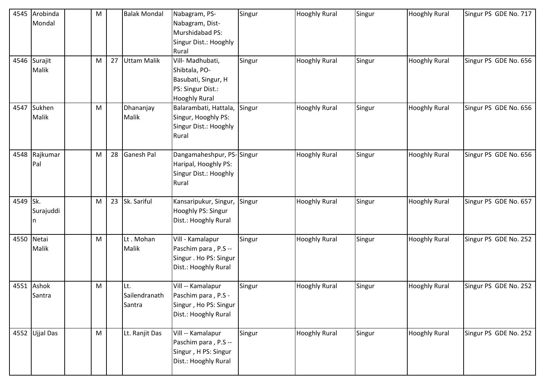|            | 4545 Arobinda  | M |    | <b>Balak Mondal</b> | Nabagram, PS-          | Singur | <b>Hooghly Rural</b> | Singur | <b>Hooghly Rural</b> | Singur PS GDE No. 717 |
|------------|----------------|---|----|---------------------|------------------------|--------|----------------------|--------|----------------------|-----------------------|
|            | Mondal         |   |    |                     | Nabagram, Dist-        |        |                      |        |                      |                       |
|            |                |   |    |                     | Murshidabad PS:        |        |                      |        |                      |                       |
|            |                |   |    |                     | Singur Dist.: Hooghly  |        |                      |        |                      |                       |
|            |                |   |    |                     | Rural                  |        |                      |        |                      |                       |
|            | 4546 Surajit   | M | 27 | <b>Uttam Malik</b>  | Vill- Madhubati,       | Singur | <b>Hooghly Rural</b> | Singur | <b>Hooghly Rural</b> | Singur PS GDE No. 656 |
|            | Malik          |   |    |                     | Shibtala, PO-          |        |                      |        |                      |                       |
|            |                |   |    |                     | Basubati, Singur, H    |        |                      |        |                      |                       |
|            |                |   |    |                     | PS: Singur Dist.:      |        |                      |        |                      |                       |
|            |                |   |    |                     | <b>Hooghly Rural</b>   |        |                      |        |                      |                       |
| 4547       | Sukhen         | M |    | Dhananjay           | Balarambati, Hattala,  | Singur | <b>Hooghly Rural</b> | Singur | <b>Hooghly Rural</b> | Singur PS GDE No. 656 |
|            | <b>Malik</b>   |   |    | Malik               | Singur, Hooghly PS:    |        |                      |        |                      |                       |
|            |                |   |    |                     | Singur Dist.: Hooghly  |        |                      |        |                      |                       |
|            |                |   |    |                     | Rural                  |        |                      |        |                      |                       |
|            |                |   |    |                     |                        |        |                      |        |                      |                       |
|            | 4548 Rajkumar  | M | 28 | <b>Ganesh Pal</b>   | Dangamaheshpur, PS-    | Singur | <b>Hooghly Rural</b> | Singur | <b>Hooghly Rural</b> | Singur PS GDE No. 656 |
|            | Pal            |   |    |                     | Haripal, Hooghly PS:   |        |                      |        |                      |                       |
|            |                |   |    |                     | Singur Dist.: Hooghly  |        |                      |        |                      |                       |
|            |                |   |    |                     | Rural                  |        |                      |        |                      |                       |
|            |                |   |    |                     |                        |        |                      |        |                      |                       |
| 4549 Sk.   |                | M |    | 23 Sk. Sariful      | Kansaripukur, Singur,  | Singur | <b>Hooghly Rural</b> | Singur | <b>Hooghly Rural</b> | Singur PS GDE No. 657 |
|            | Surajuddi      |   |    |                     | Hooghly PS: Singur     |        |                      |        |                      |                       |
|            |                |   |    |                     | Dist.: Hooghly Rural   |        |                      |        |                      |                       |
|            |                |   |    |                     |                        |        |                      |        |                      |                       |
| 4550 Netai |                | M |    | Lt. Mohan           | Vill - Kamalapur       | Singur | <b>Hooghly Rural</b> | Singur | <b>Hooghly Rural</b> | Singur PS GDE No. 252 |
|            | Malik          |   |    | Malik               | Paschim para, P.S --   |        |                      |        |                      |                       |
|            |                |   |    |                     | Singur . Ho PS: Singur |        |                      |        |                      |                       |
|            |                |   |    |                     | Dist.: Hooghly Rural   |        |                      |        |                      |                       |
|            | 4551 Ashok     | M |    | Lt.                 | Vill -- Kamalapur      | Singur | <b>Hooghly Rural</b> | Singur | <b>Hooghly Rural</b> | Singur PS GDE No. 252 |
|            | Santra         |   |    | Sailendranath       | Paschim para, P.S -    |        |                      |        |                      |                       |
|            |                |   |    | Santra              | Singur, Ho PS: Singur  |        |                      |        |                      |                       |
|            |                |   |    |                     | Dist.: Hooghly Rural   |        |                      |        |                      |                       |
|            |                |   |    |                     |                        |        |                      |        |                      |                       |
|            | 4552 Ujjal Das | M |    | Lt. Ranjit Das      | Vill -- Kamalapur      | Singur | <b>Hooghly Rural</b> | Singur | <b>Hooghly Rural</b> | Singur PS GDE No. 252 |
|            |                |   |    |                     | Paschim para, P.S --   |        |                      |        |                      |                       |
|            |                |   |    |                     | Singur, H PS: Singur   |        |                      |        |                      |                       |
|            |                |   |    |                     | Dist.: Hooghly Rural   |        |                      |        |                      |                       |
|            |                |   |    |                     |                        |        |                      |        |                      |                       |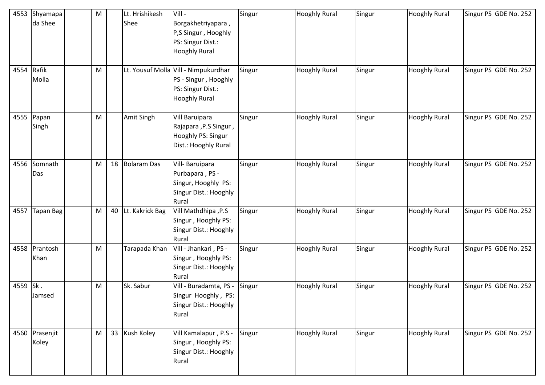| 4553       | Shyamapa         | M |    | Lt. Hrishikesh  | Vill -                                       | Singur | <b>Hooghly Rural</b> | Singur | <b>Hooghly Rural</b> | Singur PS GDE No. 252 |
|------------|------------------|---|----|-----------------|----------------------------------------------|--------|----------------------|--------|----------------------|-----------------------|
|            | da Shee          |   |    | Shee            | Borgakhetriyapara,                           |        |                      |        |                      |                       |
|            |                  |   |    |                 | P,S Singur, Hooghly                          |        |                      |        |                      |                       |
|            |                  |   |    |                 | PS: Singur Dist.:                            |        |                      |        |                      |                       |
|            |                  |   |    |                 | <b>Hooghly Rural</b>                         |        |                      |        |                      |                       |
| 4554 Rafik |                  | M |    |                 | Lt. Yousuf Molla Vill - Nimpukurdhar         | Singur | <b>Hooghly Rural</b> | Singur | <b>Hooghly Rural</b> | Singur PS GDE No. 252 |
|            | Molla            |   |    |                 | PS - Singur, Hooghly                         |        |                      |        |                      |                       |
|            |                  |   |    |                 | PS: Singur Dist.:                            |        |                      |        |                      |                       |
|            |                  |   |    |                 | <b>Hooghly Rural</b>                         |        |                      |        |                      |                       |
|            | 4555 Papan       | M |    | Amit Singh      | <b>Vill Baruipara</b>                        | Singur | <b>Hooghly Rural</b> | Singur | <b>Hooghly Rural</b> | Singur PS GDE No. 252 |
|            | Singh            |   |    |                 | Rajapara , P.S Singur,                       |        |                      |        |                      |                       |
|            |                  |   |    |                 | Hooghly PS: Singur                           |        |                      |        |                      |                       |
|            |                  |   |    |                 | Dist.: Hooghly Rural                         |        |                      |        |                      |                       |
| 4556       | Somnath          | M |    | 18 Bolaram Das  | Vill- Baruipara                              | Singur | <b>Hooghly Rural</b> | Singur | <b>Hooghly Rural</b> | Singur PS GDE No. 252 |
|            | Das              |   |    |                 | Purbapara, PS -                              |        |                      |        |                      |                       |
|            |                  |   |    |                 | Singur, Hooghly PS:                          |        |                      |        |                      |                       |
|            |                  |   |    |                 | Singur Dist.: Hooghly                        |        |                      |        |                      |                       |
| 4557       | <b>Tapan Bag</b> | M | 40 | Lt. Kakrick Bag | Rural<br>Vill Mathdhipa , P.S                |        | <b>Hooghly Rural</b> |        | <b>Hooghly Rural</b> | Singur PS GDE No. 252 |
|            |                  |   |    |                 | Singur, Hooghly PS:                          | Singur |                      | Singur |                      |                       |
|            |                  |   |    |                 | Singur Dist.: Hooghly                        |        |                      |        |                      |                       |
|            |                  |   |    |                 | Rural                                        |        |                      |        |                      |                       |
|            | 4558 Prantosh    | M |    | Tarapada Khan   | Vill - Jhankari, PS -                        | Singur | <b>Hooghly Rural</b> | Singur | <b>Hooghly Rural</b> | Singur PS GDE No. 252 |
|            | Khan             |   |    |                 | Singur, Hooghly PS:                          |        |                      |        |                      |                       |
|            |                  |   |    |                 | Singur Dist.: Hooghly                        |        |                      |        |                      |                       |
|            |                  |   |    |                 | Rural                                        |        |                      |        |                      |                       |
| 4559 Sk.   | Jamsed           | M |    | Sk. Sabur       | Vill - Buradamta, PS -                       | Singur | <b>Hooghly Rural</b> | Singur | <b>Hooghly Rural</b> | Singur PS GDE No. 252 |
|            |                  |   |    |                 | Singur Hooghly, PS:<br>Singur Dist.: Hooghly |        |                      |        |                      |                       |
|            |                  |   |    |                 | Rural                                        |        |                      |        |                      |                       |
|            |                  |   |    |                 |                                              |        |                      |        |                      |                       |
|            | 4560 Prasenjit   | M |    | 33 Kush Koley   | Vill Kamalapur, P.S -                        | Singur | <b>Hooghly Rural</b> | Singur | <b>Hooghly Rural</b> | Singur PS GDE No. 252 |
|            | Koley            |   |    |                 | Singur, Hooghly PS:                          |        |                      |        |                      |                       |
|            |                  |   |    |                 | Singur Dist.: Hooghly                        |        |                      |        |                      |                       |
|            |                  |   |    |                 | Rural                                        |        |                      |        |                      |                       |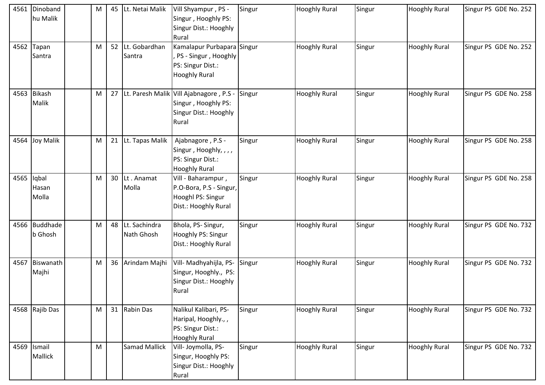| 4561       | Dinoband<br>hu Malik     | M | 45              | Lt. Netai Malik                | Vill Shyampur, PS -<br>Singur, Hooghly PS:<br>Singur Dist.: Hooghly<br>Rural                        | Singur | <b>Hooghly Rural</b> | Singur | <b>Hooghly Rural</b> | Singur PS GDE No. 252 |
|------------|--------------------------|---|-----------------|--------------------------------|-----------------------------------------------------------------------------------------------------|--------|----------------------|--------|----------------------|-----------------------|
|            | 4562 Tapan<br>Santra     | M |                 | 52 Lt. Gobardhan<br>Santra     | Kamalapur Purbapara Singur<br>PS - Singur, Hooghly<br>PS: Singur Dist.:<br><b>Hooghly Rural</b>     |        | <b>Hooghly Rural</b> | Singur | <b>Hooghly Rural</b> | Singur PS GDE No. 252 |
|            | 4563 Bikash<br>Malik     | M |                 |                                | 27 Lt. Paresh Malik Vill Ajabnagore, P.S -<br>Singur, Hooghly PS:<br>Singur Dist.: Hooghly<br>Rural | Singur | <b>Hooghly Rural</b> | Singur | <b>Hooghly Rural</b> | Singur PS GDE No. 258 |
|            | 4564 Joy Malik           | M |                 | 21 Lt. Tapas Malik             | Ajabnagore, P.S -<br>Singur, Hooghly, , , ,<br>PS: Singur Dist.:<br><b>Hooghly Rural</b>            | Singur | <b>Hooghly Rural</b> | Singur | <b>Hooghly Rural</b> | Singur PS GDE No. 258 |
| 4565 Iqbal | Hasan<br>Molla           | M | 30              | Lt. Anamat<br>Molla            | Vill - Baharampur,<br>P.O-Bora, P.S - Singur,<br>Hooghl PS: Singur<br>Dist.: Hooghly Rural          | Singur | <b>Hooghly Rural</b> | Singur | <b>Hooghly Rural</b> | Singur PS GDE No. 258 |
|            | 4566 Buddhade<br>b Ghosh | M |                 | 48 Lt. Sachindra<br>Nath Ghosh | Bhola, PS-Singur,<br>Hooghly PS: Singur<br>Dist.: Hooghly Rural                                     | Singur | <b>Hooghly Rural</b> | Singur | <b>Hooghly Rural</b> | Singur PS GDE No. 732 |
| 4567       | Biswanath<br>Majhi       | M | 36 <sup>1</sup> | Arindam Majhi                  | Vill- Madhyahijla, PS-<br>Singur, Hooghly., PS:<br>Singur Dist.: Hooghly<br>Rural                   | Singur | <b>Hooghly Rural</b> | Singur | <b>Hooghly Rural</b> | Singur PS GDE No. 732 |
|            | 4568 Rajib Das           | M |                 | 31 Rabin Das                   | Nalikul Kalibari, PS-<br>Haripal, Hooghly.,,<br>PS: Singur Dist.:<br><b>Hooghly Rural</b>           | Singur | <b>Hooghly Rural</b> | Singur | <b>Hooghly Rural</b> | Singur PS GDE No. 732 |
|            | 4569 Ismail<br>Mallick   | M |                 | <b>Samad Mallick</b>           | Vill- Joymolla, PS-<br>Singur, Hooghly PS:<br>Singur Dist.: Hooghly<br>Rural                        | Singur | <b>Hooghly Rural</b> | Singur | <b>Hooghly Rural</b> | Singur PS GDE No. 732 |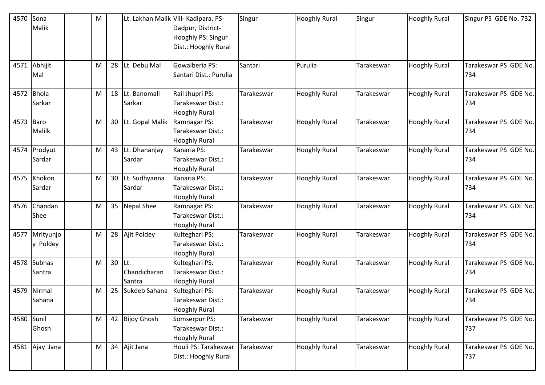| 4570 Sona  |                | M |    |                 | Lt. Lakhan Malik Vill- Kadipara, PS- | Singur     | <b>Hooghly Rural</b> | Singur     | <b>Hooghly Rural</b> | Singur PS GDE No. 732 |
|------------|----------------|---|----|-----------------|--------------------------------------|------------|----------------------|------------|----------------------|-----------------------|
|            | Malik          |   |    |                 | Dadpur, District-                    |            |                      |            |                      |                       |
|            |                |   |    |                 | Hooghly PS: Singur                   |            |                      |            |                      |                       |
|            |                |   |    |                 | Dist.: Hooghly Rural                 |            |                      |            |                      |                       |
|            |                |   |    |                 |                                      |            |                      |            |                      |                       |
|            | 4571 Abhijit   | M | 28 | Lt. Debu Mal    | Gowalberia PS:                       | Santari    | Purulia              | Tarakeswar | <b>Hooghly Rural</b> | Tarakeswar PS GDE No. |
|            | Mal            |   |    |                 | Santari Dist.: Purulia               |            |                      |            |                      | 734                   |
|            |                |   |    |                 |                                      |            |                      |            |                      |                       |
|            | 4572 Bhola     | M | 18 | Lt. Banomali    | Rail Jhupri PS:                      | Tarakeswar | <b>Hooghly Rural</b> | Tarakeswar | <b>Hooghly Rural</b> | Tarakeswar PS GDE No. |
|            | Sarkar         |   |    | Sarkar          | Tarakeswar Dist.:                    |            |                      |            |                      | 734                   |
|            |                |   |    |                 | <b>Hooghly Rural</b>                 |            |                      |            |                      |                       |
| 4573 Baro  |                | M | 30 | Lt. Gopal Malik | Ramnagar PS:                         | Tarakeswar | <b>Hooghly Rural</b> | Tarakeswar | <b>Hooghly Rural</b> | Tarakeswar PS GDE No. |
|            | <b>Malilk</b>  |   |    |                 | Tarakeswar Dist.:                    |            |                      |            |                      | 734                   |
|            |                |   |    |                 | <b>Hooghly Rural</b>                 |            |                      |            |                      |                       |
|            | 4574 Prodyut   | M | 43 | Lt. Dhananjay   | Kanaria PS:                          | Tarakeswar | <b>Hooghly Rural</b> | Tarakeswar | <b>Hooghly Rural</b> | Tarakeswar PS GDE No. |
|            | Sardar         |   |    | Sardar          | Tarakeswar Dist.:                    |            |                      |            |                      | 734                   |
|            |                |   |    |                 | <b>Hooghly Rural</b>                 |            |                      |            |                      |                       |
|            | 4575 Khokon    | M | 30 | Lt. Sudhyanna   | Kanaria PS:                          | Tarakeswar | <b>Hooghly Rural</b> | Tarakeswar | <b>Hooghly Rural</b> | Tarakeswar PS GDE No. |
|            | Sardar         |   |    | Sardar          | Tarakeswar Dist.:                    |            |                      |            |                      | 734                   |
|            |                |   |    |                 | <b>Hooghly Rural</b>                 |            |                      |            |                      |                       |
|            | 4576 Chandan   | M |    | 35 Nepal Shee   | Ramnagar PS:                         | Tarakeswar | <b>Hooghly Rural</b> | Tarakeswar | <b>Hooghly Rural</b> | Tarakeswar PS GDE No. |
|            | Shee           |   |    |                 | Tarakeswar Dist.:                    |            |                      |            |                      | 734                   |
|            |                |   |    |                 | <b>Hooghly Rural</b>                 |            |                      |            |                      |                       |
|            | 4577 Mrityunjo | M | 28 | Ajit Poldey     | Kulteghari PS:                       | Tarakeswar | <b>Hooghly Rural</b> | Tarakeswar | <b>Hooghly Rural</b> | Tarakeswar PS GDE No. |
|            | y Poldey       |   |    |                 | Tarakeswar Dist.:                    |            |                      |            |                      | 734                   |
|            |                |   |    |                 | <b>Hooghly Rural</b>                 |            |                      |            |                      |                       |
|            | 4578 Subhas    | M | 30 | ILt.            | Kulteghari PS:                       | Tarakeswar | <b>Hooghly Rural</b> | Tarakeswar | <b>Hooghly Rural</b> | Tarakeswar PS GDE No. |
|            | Santra         |   |    | Chandicharan    | Tarakeswar Dist.:                    |            |                      |            |                      | 734                   |
|            |                |   |    | Santra          | Hooghly Rural                        |            |                      |            |                      |                       |
|            | 4579 Nirmal    | M | 25 | Sukdeb Sahana   | Kulteghari PS:                       | Tarakeswar | <b>Hooghly Rural</b> | Tarakeswar | <b>Hooghly Rural</b> | Tarakeswar PS GDE No. |
|            | Sahana         |   |    |                 | Tarakeswar Dist.:                    |            |                      |            |                      | 734                   |
|            |                |   |    |                 | <b>Hooghly Rural</b>                 |            |                      |            |                      |                       |
| 4580 Sunil |                | M |    | 42 Bijoy Ghosh  | Somserpur PS:                        | Tarakeswar | <b>Hooghly Rural</b> | Tarakeswar | <b>Hooghly Rural</b> | Tarakeswar PS GDE No. |
|            | Ghosh          |   |    |                 | Tarakeswar Dist.:                    |            |                      |            |                      | 737                   |
|            |                |   |    |                 | <b>Hooghly Rural</b>                 |            |                      |            |                      |                       |
|            | 4581 Ajay Jana | M |    | 34 Ajit Jana    | Houli PS: Tarakeswar                 | Tarakeswar | <b>Hooghly Rural</b> | Tarakeswar | <b>Hooghly Rural</b> | Tarakeswar PS GDE No. |
|            |                |   |    |                 | Dist.: Hooghly Rural                 |            |                      |            |                      | 737                   |
|            |                |   |    |                 |                                      |            |                      |            |                      |                       |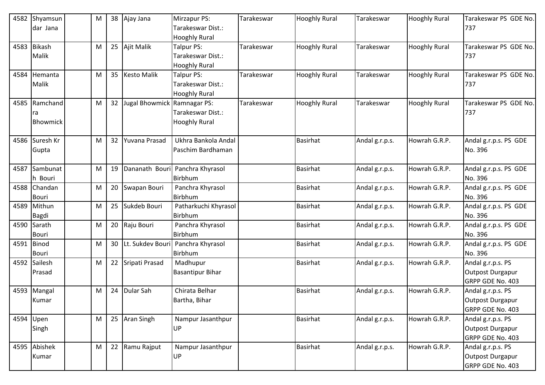| 4582 | Shyamsun<br>dar Jana   | M |    | 38 Ajay Jana                | Mirzapur PS:<br>Tarakeswar Dist.:                       | Tarakeswar | <b>Hooghly Rural</b> | Tarakeswar     | <b>Hooghly Rural</b> | Tarakeswar PS GDE No.<br>737 |
|------|------------------------|---|----|-----------------------------|---------------------------------------------------------|------------|----------------------|----------------|----------------------|------------------------------|
|      |                        |   |    |                             | <b>Hooghly Rural</b>                                    |            |                      |                |                      |                              |
| 4583 | <b>Bikash</b><br>Malik | M |    | 25 Ajit Malik               | Talpur PS:<br>Tarakeswar Dist.:<br><b>Hooghly Rural</b> | Tarakeswar | <b>Hooghly Rural</b> | Tarakeswar     | <b>Hooghly Rural</b> | Tarakeswar PS GDE No.<br>737 |
|      |                        |   |    |                             |                                                         |            |                      |                |                      |                              |
| 4584 | Hemanta<br>Malik       | M |    | 35 Kesto Malik              | Talpur PS:<br>Tarakeswar Dist.:                         | Tarakeswar | <b>Hooghly Rural</b> | Tarakeswar     | <b>Hooghly Rural</b> | Tarakeswar PS GDE No.<br>737 |
|      | Ramchand               |   | 32 |                             | <b>Hooghly Rural</b>                                    |            |                      |                |                      |                              |
| 4585 |                        | M |    | Jugal Bhowmick Ramnagar PS: |                                                         | Tarakeswar | <b>Hooghly Rural</b> | Tarakeswar     | <b>Hooghly Rural</b> | Tarakeswar PS GDE No.        |
|      | ra                     |   |    |                             | Tarakeswar Dist.:                                       |            |                      |                |                      | 737                          |
|      | <b>Bhowmick</b>        |   |    |                             | <b>Hooghly Rural</b>                                    |            |                      |                |                      |                              |
| 4586 | Suresh Kr              | M | 32 | Yuvana Prasad               | Ukhra Bankola Andal                                     |            | <b>Basirhat</b>      | Andal g.r.p.s. | Howrah G.R.P.        | Andal g.r.p.s. PS GDE        |
|      | Gupta                  |   |    |                             | Paschim Bardhaman                                       |            |                      |                |                      | No. 396                      |
|      |                        |   |    |                             |                                                         |            |                      |                |                      |                              |
| 4587 | Sambunat               | M | 19 | Dananath Bouri              | Panchra Khyrasol                                        |            | <b>Basirhat</b>      | Andal g.r.p.s. | Howrah G.R.P.        | Andal g.r.p.s. PS GDE        |
|      | h Bouri                |   |    |                             | Birbhum                                                 |            |                      |                |                      | No. 396                      |
| 4588 | Chandan                | M | 20 | Swapan Bouri                | Panchra Khyrasol                                        |            | <b>Basirhat</b>      | Andal g.r.p.s. | Howrah G.R.P.        | Andal g.r.p.s. PS GDE        |
|      | Bouri                  |   |    |                             | <b>Birbhum</b>                                          |            |                      |                |                      | No. 396                      |
| 4589 | Mithun                 | M | 25 | Sukdeb Bouri                | Patharkuchi Khyrasol                                    |            | <b>Basirhat</b>      | Andal g.r.p.s. | Howrah G.R.P.        | Andal g.r.p.s. PS GDE        |
|      | Bagdi                  |   |    |                             | <b>Birbhum</b>                                          |            |                      |                |                      | No. 396                      |
| 4590 | Sarath                 | M |    | 20 Raju Bouri               | Panchra Khyrasol                                        |            | <b>Basirhat</b>      | Andal g.r.p.s. | Howrah G.R.P.        | Andal g.r.p.s. PS GDE        |
|      | Bouri                  |   |    |                             | Birbhum                                                 |            |                      |                |                      | No. 396                      |
| 4591 | Binod                  | M |    | 30 Lt. Sukdev Bouri         | Panchra Khyrasol                                        |            | <b>Basirhat</b>      | Andal g.r.p.s. | Howrah G.R.P.        | Andal g.r.p.s. PS GDE        |
|      | Bouri                  |   |    |                             | Birbhum                                                 |            |                      |                |                      | No. 396                      |
| 4592 | Sailesh                | M |    | 22 Sripati Prasad           | Madhupur                                                |            | <b>Basirhat</b>      | Andal g.r.p.s. | Howrah G.R.P.        | Andal g.r.p.s. PS            |
|      | Prasad                 |   |    |                             | <b>Basantipur Bihar</b>                                 |            |                      |                |                      | <b>Outpost Durgapur</b>      |
|      |                        |   |    |                             |                                                         |            |                      |                |                      | GRPP GDE No. 403             |
| 4593 | Mangal                 | M | 24 | Dular Sah                   | Chirata Belhar                                          |            | <b>Basirhat</b>      | Andal g.r.p.s. | Howrah G.R.P.        | Andal g.r.p.s. PS            |
|      | Kumar                  |   |    |                             | Bartha, Bihar                                           |            |                      |                |                      | Outpost Durgapur             |
|      |                        |   |    |                             |                                                         |            |                      |                |                      | GRPP GDE No. 403             |
|      | 4594 Upen              | M |    | 25 Aran Singh               | Nampur Jasanthpur                                       |            | <b>Basirhat</b>      | Andal g.r.p.s. | Howrah G.R.P.        | Andal g.r.p.s. PS            |
|      | Singh                  |   |    |                             | UP                                                      |            |                      |                |                      | <b>Outpost Durgapur</b>      |
|      |                        |   |    |                             |                                                         |            |                      |                |                      | GRPP GDE No. 403             |
|      | 4595 Abishek           | M |    | 22 Ramu Rajput              | Nampur Jasanthpur                                       |            | <b>Basirhat</b>      | Andal g.r.p.s. | Howrah G.R.P.        | Andal g.r.p.s. PS            |
|      | Kumar                  |   |    |                             | UP                                                      |            |                      |                |                      | <b>Outpost Durgapur</b>      |
|      |                        |   |    |                             |                                                         |            |                      |                |                      | GRPP GDE No. 403             |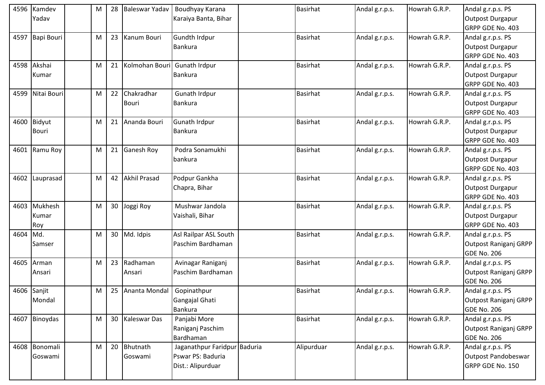| 4596 | Kamdev          | M | 28              | Baleswar Yadav      | Boudhyay Karana              | Basirhat        | Andal g.r.p.s. | Howrah G.R.P. | Andal g.r.p.s. PS     |
|------|-----------------|---|-----------------|---------------------|------------------------------|-----------------|----------------|---------------|-----------------------|
|      | Yadav           |   |                 |                     | Karaiya Banta, Bihar         |                 |                |               | Outpost Durgapur      |
|      |                 |   |                 |                     |                              |                 |                |               | GRPP GDE No. 403      |
|      | 4597 Bapi Bouri | M | 23              | Kanum Bouri         | Gundth Irdpur                | <b>Basirhat</b> | Andal g.r.p.s. | Howrah G.R.P. | Andal g.r.p.s. PS     |
|      |                 |   |                 |                     | <b>Bankura</b>               |                 |                |               | Outpost Durgapur      |
|      |                 |   |                 |                     |                              |                 |                |               | GRPP GDE No. 403      |
|      | 4598 Akshai     | M | 21              | Kolmohan Bouri      | Gunath Irdpur                | <b>Basirhat</b> | Andal g.r.p.s. | Howrah G.R.P. | Andal g.r.p.s. PS     |
|      | Kumar           |   |                 |                     | <b>Bankura</b>               |                 |                |               | Outpost Durgapur      |
|      |                 |   |                 |                     |                              |                 |                |               | GRPP GDE No. 403      |
| 4599 | Nitai Bouri     | M | 22              | Chakradhar          | Gunath Irdpur                | <b>Basirhat</b> | Andal g.r.p.s. | Howrah G.R.P. | Andal g.r.p.s. PS     |
|      |                 |   |                 | Bouri               | <b>Bankura</b>               |                 |                |               | Outpost Durgapur      |
|      |                 |   |                 |                     |                              |                 |                |               | GRPP GDE No. 403      |
|      | 4600 Bidyut     | M | 21              | Ananda Bouri        | Gunath Irdpur                | <b>Basirhat</b> | Andal g.r.p.s. | Howrah G.R.P. | Andal g.r.p.s. PS     |
|      | <b>Bouri</b>    |   |                 |                     | Bankura                      |                 |                |               | Outpost Durgapur      |
|      |                 |   |                 |                     |                              |                 |                |               | GRPP GDE No. 403      |
|      | 4601 Ramu Roy   | M | 21              | Ganesh Roy          | Podra Sonamukhi              | <b>Basirhat</b> | Andal g.r.p.s. | Howrah G.R.P. | Andal g.r.p.s. PS     |
|      |                 |   |                 |                     | bankura                      |                 |                |               | Outpost Durgapur      |
|      |                 |   |                 |                     |                              |                 |                |               | GRPP GDE No. 403      |
|      | 4602 Lauprasad  | M | 42              | <b>Akhil Prasad</b> | Podpur Gankha                | <b>Basirhat</b> | Andal g.r.p.s. | Howrah G.R.P. | Andal g.r.p.s. PS     |
|      |                 |   |                 |                     | Chapra, Bihar                |                 |                |               | Outpost Durgapur      |
|      |                 |   |                 |                     |                              |                 |                |               | GRPP GDE No. 403      |
|      | 4603 Mukhesh    | M | 30 <sub>o</sub> | Joggi Roy           | Mushwar Jandola              | <b>Basirhat</b> | Andal g.r.p.s. | Howrah G.R.P. | Andal g.r.p.s. PS     |
|      | Kumar           |   |                 |                     | Vaishali, Bihar              |                 |                |               | Outpost Durgapur      |
|      | Roy             |   |                 |                     |                              |                 |                |               | GRPP GDE No. 403      |
| 4604 | Md.             | M | 30 <sup>1</sup> | Md. Idpis           | Asl Railpar ASL South        | <b>Basirhat</b> | Andal g.r.p.s. | Howrah G.R.P. | Andal g.r.p.s. PS     |
|      | Samser          |   |                 |                     | Paschim Bardhaman            |                 |                |               | Outpost Raniganj GRPP |
|      |                 |   |                 |                     |                              |                 |                |               | <b>GDE No. 206</b>    |
| 4605 | Arman           | M | 23              | Radhaman            | Avinagar Raniganj            | Basirhat        | Andal g.r.p.s. | Howrah G.R.P. | Andal g.r.p.s. PS     |
|      | Ansari          |   |                 | Ansari              | Paschim Bardhaman            |                 |                |               | Outpost Raniganj GRPP |
|      |                 |   |                 |                     |                              |                 |                |               | <b>GDE No. 206</b>    |
|      | 4606 Sanjit     | М |                 | 25 Ananta Mondal    | Gopinathpur                  | <b>Basirhat</b> | Andal g.r.p.s. | Howrah G.R.P. | Andal g.r.p.s. PS     |
|      | Mondal          |   |                 |                     | Gangajal Ghati               |                 |                |               | Outpost Raniganj GRPP |
|      |                 |   |                 |                     | Bankura                      |                 |                |               | <b>GDE No. 206</b>    |
|      | 4607 Binoydas   | M | 30 <sup>1</sup> | <b>Kaleswar Das</b> | Panjabi More                 | <b>Basirhat</b> | Andal g.r.p.s. | Howrah G.R.P. | Andal g.r.p.s. PS     |
|      |                 |   |                 |                     | Raniganj Paschim             |                 |                |               | Outpost Raniganj GRPP |
|      |                 |   |                 |                     | Bardhaman                    |                 |                |               | <b>GDE No. 206</b>    |
|      | 4608 Bonomali   | M | 20 <sub>1</sub> | Bhutnath            | Jaganathpur Faridpur Baduria | Alipurduar      | Andal g.r.p.s. | Howrah G.R.P. | Andal g.r.p.s. PS     |
|      | Goswami         |   |                 | Goswami             | Pswar PS: Baduria            |                 |                |               | Outpost Pandobeswar   |
|      |                 |   |                 |                     | Dist.: Alipurduar            |                 |                |               | GRPP GDE No. 150      |
|      |                 |   |                 |                     |                              |                 |                |               |                       |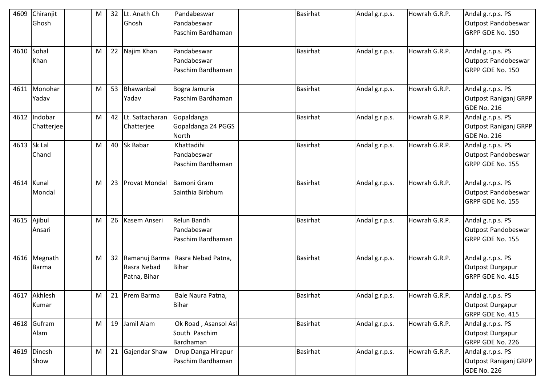| 4609 | Chiranjit<br>Ghosh      | M |    | 32 Lt. Anath Ch<br>Ghosh                        | Pandabeswar<br>Pandabeswar<br>Paschim Bardhaman    | <b>Basirhat</b> | Andal g.r.p.s. | Howrah G.R.P. | Andal g.r.p.s. PS<br>Outpost Pandobeswar<br>GRPP GDE No. 150     |
|------|-------------------------|---|----|-------------------------------------------------|----------------------------------------------------|-----------------|----------------|---------------|------------------------------------------------------------------|
| 4610 | Sohal<br>Khan           | M |    | 22 Najim Khan                                   | Pandabeswar<br>Pandabeswar<br>Paschim Bardhaman    | <b>Basirhat</b> | Andal g.r.p.s. | Howrah G.R.P. | Andal g.r.p.s. PS<br>Outpost Pandobeswar<br>GRPP GDE No. 150     |
| 4611 | Monohar<br>Yadav        | M |    | 53 Bhawanbal<br>Yadav                           | Bogra Jamuria<br>Paschim Bardhaman                 | <b>Basirhat</b> | Andal g.r.p.s. | Howrah G.R.P. | Andal g.r.p.s. PS<br>Outpost Raniganj GRPP<br><b>GDE No. 216</b> |
| 4612 | Indobar<br>Chatterjee   | M | 42 | Lt. Sattacharan<br>Chatterjee                   | Gopaldanga<br>Gopaldanga 24 PGGS<br>North          | <b>Basirhat</b> | Andal g.r.p.s. | Howrah G.R.P. | Andal g.r.p.s. PS<br>Outpost Raniganj GRPP<br><b>GDE No. 216</b> |
| 4613 | Sk Lal<br>Chand         | M |    | 40 Sk Babar                                     | Khattadihi<br>Pandabeswar<br>Paschim Bardhaman     | <b>Basirhat</b> | Andal g.r.p.s. | Howrah G.R.P. | Andal g.r.p.s. PS<br>Outpost Pandobeswar<br>GRPP GDE No. 155     |
| 4614 | Kunal<br>Mondal         | M |    | 23 Provat Mondal                                | Bamoni Gram<br>Sainthia Birbhum                    | <b>Basirhat</b> | Andal g.r.p.s. | Howrah G.R.P. | Andal g.r.p.s. PS<br>Outpost Pandobeswar<br>GRPP GDE No. 155     |
| 4615 | Ajibul<br>Ansari        | M |    | 26 Kasem Anseri                                 | Relun Bandh<br>Pandabeswar<br>Paschim Bardhaman    | <b>Basirhat</b> | Andal g.r.p.s. | Howrah G.R.P. | Andal g.r.p.s. PS<br>Outpost Pandobeswar<br>GRPP GDE No. 155     |
| 4616 | Megnath<br><b>Barma</b> | M |    | 32 Ramanuj Barma<br>Rasra Nebad<br>Patna, Bihar | Rasra Nebad Patna,<br><b>Bihar</b>                 | <b>Basirhat</b> | Andal g.r.p.s. | Howrah G.R.P. | Andal g.r.p.s. PS<br>Outpost Durgapur<br>GRPP GDE No. 415        |
|      | 4617 Akhlesh<br>Kumar   | M |    | 21 Prem Barma                                   | Bale Naura Patna,<br><b>Bihar</b>                  | <b>Basirhat</b> | Andal g.r.p.s. | Howrah G.R.P. | Andal g.r.p.s. PS<br>Outpost Durgapur<br>GRPP GDE No. 415        |
|      | 4618 Gufram<br>Alam     | M |    | 19 Jamil Alam                                   | Ok Road, Asansol Asl<br>South Paschim<br>Bardhaman | <b>Basirhat</b> | Andal g.r.p.s. | Howrah G.R.P. | Andal g.r.p.s. PS<br>Outpost Durgapur<br>GRPP GDE No. 226        |
|      | 4619 Dinesh<br>Show     | M |    | 21 Gajendar Shaw                                | Drup Danga Hirapur<br>Paschim Bardhaman            | <b>Basirhat</b> | Andal g.r.p.s. | Howrah G.R.P. | Andal g.r.p.s. PS<br>Outpost Raniganj GRPP<br><b>GDE No. 226</b> |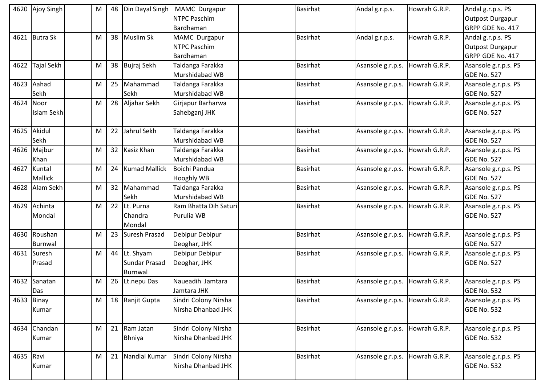|           | 4620 Ajoy Singh | M | 48 | Din Dayal Singh      | MAMC Durgapur         | Basirhat        | Andal g.r.p.s.    | Howrah G.R.P. | Andal g.r.p.s. PS    |
|-----------|-----------------|---|----|----------------------|-----------------------|-----------------|-------------------|---------------|----------------------|
|           |                 |   |    |                      | NTPC Paschim          |                 |                   |               | Outpost Durgapur     |
|           |                 |   |    |                      | Bardhaman             |                 |                   |               | GRPP GDE No. 417     |
|           | 4621 Butra Sk   | M |    | 38 Muslim Sk         | MAMC Durgapur         | <b>Basirhat</b> | Andal g.r.p.s.    | Howrah G.R.P. | Andal g.r.p.s. PS    |
|           |                 |   |    |                      | NTPC Paschim          |                 |                   |               | Outpost Durgapur     |
|           |                 |   |    |                      | Bardhaman             |                 |                   |               | GRPP GDE No. 417     |
|           | 4622 Tajal Sekh | M |    | 38 Bujraj Sekh       | Taldanga Farakka      | <b>Basirhat</b> | Asansole g.r.p.s. | Howrah G.R.P. | Asansole g.r.p.s. PS |
|           |                 |   |    |                      | Murshidabad WB        |                 |                   |               | <b>GDE No. 527</b>   |
| 4623      | Aahad           | M |    | 25 Mahammad          | Taldanga Farakka      | Basirhat        | Asansole g.r.p.s. | Howrah G.R.P. | Asansole g.r.p.s. PS |
|           | Sekh            |   |    | Sekh                 | Murshidabad WB        |                 |                   |               | <b>GDE No. 527</b>   |
| 4624      | Noor            | M | 28 | Aljahar Sekh         | Girjapur Barharwa     | Basirhat        | Asansole g.r.p.s. | Howrah G.R.P. | Asansole g.r.p.s. PS |
|           | Islam Sekh      |   |    |                      | Sahebganj JHK         |                 |                   |               | <b>GDE No. 527</b>   |
|           |                 |   |    |                      |                       |                 |                   |               |                      |
| 4625      | Akidul          | M | 22 | Jahrul Sekh          | Taldanga Farakka      | <b>Basirhat</b> | Asansole g.r.p.s. | Howrah G.R.P. | Asansole g.r.p.s. PS |
|           | Sekh            |   |    |                      | Murshidabad WB        |                 |                   |               | GDE No. 527          |
|           | 4626 Majbur     | M |    | 32 Kasiz Khan        | Taldanga Farakka      | <b>Basirhat</b> | Asansole g.r.p.s. | Howrah G.R.P. | Asansole g.r.p.s. PS |
|           | Khan            |   |    |                      | Murshidabad WB        |                 |                   |               | <b>GDE No. 527</b>   |
| 4627      | Kuntal          | M | 24 | <b>Kumad Mallick</b> | Boichi Pandua         | Basirhat        | Asansole g.r.p.s. | Howrah G.R.P. | Asansole g.r.p.s. PS |
|           | <b>Mallick</b>  |   |    |                      | <b>Hooghly WB</b>     |                 |                   |               | <b>GDE No. 527</b>   |
|           | 4628 Alam Sekh  | M |    | 32 Mahammad          | Taldanga Farakka      | <b>Basirhat</b> | Asansole g.r.p.s. | Howrah G.R.P. | Asansole g.r.p.s. PS |
|           |                 |   |    | Sekh                 | Murshidabad WB        |                 |                   |               | <b>GDE No. 527</b>   |
| 4629      | Achinta         | M |    | 22 Lt. Purna         | Ram Bhatta Dih Saturi | <b>Basirhat</b> | Asansole g.r.p.s. | Howrah G.R.P. | Asansole g.r.p.s. PS |
|           | Mondal          |   |    | Chandra              | Purulia WB            |                 |                   |               | <b>GDE No. 527</b>   |
|           |                 |   |    | Mondal               |                       |                 |                   |               |                      |
| 4630      | Roushan         | M | 23 | <b>Suresh Prasad</b> | Debipur Debipur       | <b>Basirhat</b> | Asansole g.r.p.s. | Howrah G.R.P. | Asansole g.r.p.s. PS |
|           | Burnwal         |   |    |                      | Deoghar, JHK          |                 |                   |               | <b>GDE No. 527</b>   |
|           | 4631 Suresh     | M |    | 44 Lt. Shyam         | Debipur Debipur       | <b>Basirhat</b> | Asansole g.r.p.s. | Howrah G.R.P. | Asansole g.r.p.s. PS |
|           | Prasad          |   |    | <b>Sundar Prasad</b> | Deoghar, JHK          |                 |                   |               | <b>GDE No. 527</b>   |
|           |                 |   |    | Burnwal              |                       |                 |                   |               |                      |
| 4632      | Sanatan         | M | 26 | Lt.nepu Das          | Naueadih Jamtara      | Basirhat        | Asansole g.r.p.s. | Howrah G.R.P. | Asansole g.r.p.s. PS |
|           | Das             |   |    |                      | Jamtara JHK           |                 |                   |               | <b>GDE No. 532</b>   |
|           | 4633 Binay      | M |    | 18 Ranjit Gupta      | Sindri Colony Nirsha  | Basirhat        | Asansole g.r.p.s. | Howrah G.R.P. | Asansole g.r.p.s. PS |
|           | Kumar           |   |    |                      | Nirsha Dhanbad JHK    |                 |                   |               | GDE No. 532          |
|           |                 |   |    |                      |                       |                 |                   |               |                      |
|           | 4634 Chandan    | M |    | 21 Ram Jatan         | Sindri Colony Nirsha  | <b>Basirhat</b> | Asansole g.r.p.s. | Howrah G.R.P. | Asansole g.r.p.s. PS |
|           | Kumar           |   |    | <b>Bhniya</b>        | Nirsha Dhanbad JHK    |                 |                   |               | <b>GDE No. 532</b>   |
|           |                 |   |    |                      |                       |                 |                   |               |                      |
| 4635 Ravi |                 | M |    | 21 Nandlal Kumar     | Sindri Colony Nirsha  | <b>Basirhat</b> | Asansole g.r.p.s. | Howrah G.R.P. | Asansole g.r.p.s. PS |
|           | Kumar           |   |    |                      | Nirsha Dhanbad JHK    |                 |                   |               | <b>GDE No. 532</b>   |
|           |                 |   |    |                      |                       |                 |                   |               |                      |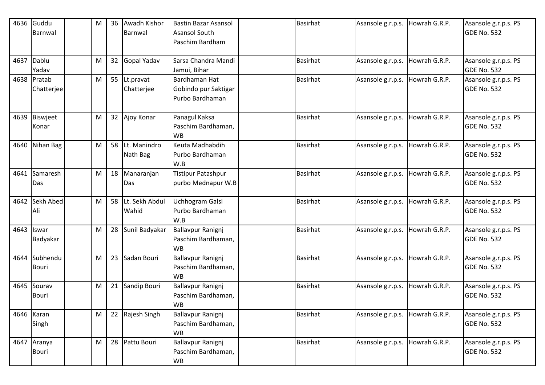| 4636 | Guddu           | M | 36 | <b>Awadh Kishor</b> | <b>Bastin Bazar Asansol</b>             | <b>Basirhat</b> | Asansole g.r.p.s. | Howrah G.R.P. | Asansole g.r.p.s. PS                       |
|------|-----------------|---|----|---------------------|-----------------------------------------|-----------------|-------------------|---------------|--------------------------------------------|
|      | Barnwal         |   |    | Barnwal             | <b>Asansol South</b>                    |                 |                   |               | <b>GDE No. 532</b>                         |
|      |                 |   |    |                     | Paschim Bardham                         |                 |                   |               |                                            |
|      | 4637 Dablu      | M |    | 32 Gopal Yadav      | Sarsa Chandra Mandi                     | <b>Basirhat</b> | Asansole g.r.p.s. | Howrah G.R.P. | Asansole g.r.p.s. PS                       |
|      | Yadav           |   |    |                     | Jamui, Bihar                            |                 |                   |               | <b>GDE No. 532</b>                         |
|      | 4638 Pratab     | M |    | 55 Lt.pravat        | Bardhaman Hat                           | <b>Basirhat</b> | Asansole g.r.p.s. | Howrah G.R.P. | Asansole g.r.p.s. PS                       |
|      | Chatterjee      |   |    | Chatterjee          | Gobindo pur Saktigar                    |                 |                   |               | <b>GDE No. 532</b>                         |
|      |                 |   |    |                     | Purbo Bardhaman                         |                 |                   |               |                                            |
|      | 4639 Biswjeet   | M |    | 32 Ajoy Konar       | Panagul Kaksa                           | <b>Basirhat</b> | Asansole g.r.p.s. | Howrah G.R.P. | Asansole g.r.p.s. PS                       |
|      | Konar           |   |    |                     | Paschim Bardhaman,                      |                 |                   |               | <b>GDE No. 532</b>                         |
|      |                 |   |    |                     | <b>WB</b>                               |                 |                   |               |                                            |
| 4640 | Nihan Bag       | M |    | 58 Lt. Manindro     | Keuta Madhabdih                         | <b>Basirhat</b> | Asansole g.r.p.s. | Howrah G.R.P. | Asansole g.r.p.s. PS                       |
|      |                 |   |    | Nath Bag            | Purbo Bardhaman                         |                 |                   |               | <b>GDE No. 532</b>                         |
|      |                 |   |    |                     | W.B                                     |                 |                   |               |                                            |
| 4641 | Samaresh        | M |    | 18 Manaranjan       | <b>Tistipur Patashpur</b>               | <b>Basirhat</b> | Asansole g.r.p.s. | Howrah G.R.P. | Asansole g.r.p.s. PS                       |
|      | Das             |   |    | Das                 | purbo Mednapur W.B                      |                 |                   |               | <b>GDE No. 532</b>                         |
| 4642 | Sekh Abed       | M |    | 58 Lt. Sekh Abdul   | Uchhogram Galsi                         | <b>Basirhat</b> | Asansole g.r.p.s. | Howrah G.R.P. | Asansole g.r.p.s. PS                       |
|      | Ali             |   |    | Wahid               | Purbo Bardhaman                         |                 |                   |               | <b>GDE No. 532</b>                         |
|      |                 |   |    |                     | W.B                                     |                 |                   |               |                                            |
| 4643 | Iswar           | M |    | 28 Sunil Badyakar   | <b>Ballavpur Ranignj</b>                | <b>Basirhat</b> | Asansole g.r.p.s. | Howrah G.R.P. | Asansole g.r.p.s. PS                       |
|      | Badyakar        |   |    |                     | Paschim Bardhaman,                      |                 |                   |               | <b>GDE No. 532</b>                         |
|      |                 |   |    |                     | <b>WB</b>                               |                 |                   |               |                                            |
| 4644 | Subhendu        | M | 23 | Sadan Bouri         | Ballavpur Ranignj                       | <b>Basirhat</b> | Asansole g.r.p.s. | Howrah G.R.P. | Asansole g.r.p.s. PS                       |
|      | Bouri           |   |    |                     | Paschim Bardhaman,                      |                 |                   |               | <b>GDE No. 532</b>                         |
|      |                 |   |    |                     | <b>WB</b>                               |                 |                   |               |                                            |
| 4645 | Sourav<br>Bouri | M |    | 21 Sandip Bouri     | Ballavpur Ranignj<br>Paschim Bardhaman, | <b>Basirhat</b> | Asansole g.r.p.s. | Howrah G.R.P. | Asansole g.r.p.s. PS<br><b>GDE No. 532</b> |
|      |                 |   |    |                     | <b>WB</b>                               |                 |                   |               |                                            |
| 4646 | Karan           | M |    | 22 Rajesh Singh     | <b>Ballavpur Ranignj</b>                | <b>Basirhat</b> | Asansole g.r.p.s. | Howrah G.R.P. | Asansole g.r.p.s. PS                       |
|      | Singh           |   |    |                     | Paschim Bardhaman,                      |                 |                   |               | <b>GDE No. 532</b>                         |
|      |                 |   |    |                     | <b>WB</b>                               |                 |                   |               |                                            |
|      | 4647 Aranya     | M |    | 28 Pattu Bouri      | Ballavpur Ranignj                       | <b>Basirhat</b> | Asansole g.r.p.s. | Howrah G.R.P. | Asansole g.r.p.s. PS                       |
|      | Bouri           |   |    |                     | Paschim Bardhaman,                      |                 |                   |               | <b>GDE No. 532</b>                         |
|      |                 |   |    |                     | <b>WB</b>                               |                 |                   |               |                                            |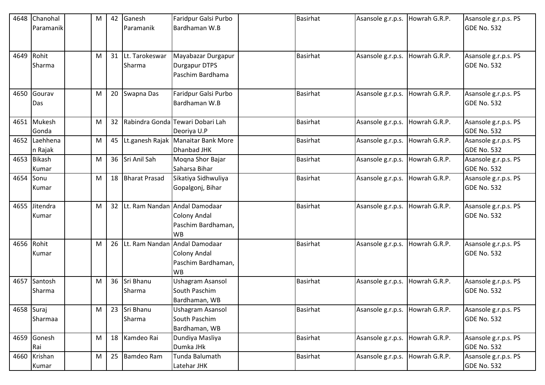| 4648       | Chanohal    | M | 42 | Ganesh            | Faridpur Galsi Purbo                  | <b>Basirhat</b> | Asansole g.r.p.s. | Howrah G.R.P. | Asansole g.r.p.s. PS                       |
|------------|-------------|---|----|-------------------|---------------------------------------|-----------------|-------------------|---------------|--------------------------------------------|
|            | Paramanik   |   |    | Paramanik         | Bardhaman W.B                         |                 |                   |               | GDE No. 532                                |
|            |             |   |    |                   |                                       |                 |                   |               |                                            |
|            |             |   |    |                   |                                       |                 |                   |               |                                            |
| 4649 Rohit |             | M |    | 31 Lt. Tarokeswar | Mayabazar Durgapur                    | <b>Basirhat</b> | Asansole g.r.p.s. | Howrah G.R.P. | Asansole g.r.p.s. PS                       |
|            | Sharma      |   |    | Sharma            | <b>Durgapur DTPS</b>                  |                 |                   |               | <b>GDE No. 532</b>                         |
|            |             |   |    |                   | Paschim Bardhama                      |                 |                   |               |                                            |
|            | Gourav      |   |    |                   |                                       | <b>Basirhat</b> |                   |               |                                            |
| 4650       |             | M | 20 | Swapna Das        | Faridpur Galsi Purbo<br>Bardhaman W.B |                 | Asansole g.r.p.s. | Howrah G.R.P. | Asansole g.r.p.s. PS<br><b>GDE No. 532</b> |
|            | Das         |   |    |                   |                                       |                 |                   |               |                                            |
|            | 4651 Mukesh | M | 32 |                   | Rabindra Gonda Tewari Dobari Lah      | <b>Basirhat</b> | Asansole g.r.p.s. | Howrah G.R.P. | Asansole g.r.p.s. PS                       |
|            | Gonda       |   |    |                   | Deoriya U.P                           |                 |                   |               | <b>GDE No. 532</b>                         |
| 4652       | Laehhena    | M | 45 |                   | Lt.ganesh Rajak Manaitar Bank More    | <b>Basirhat</b> | Asansole g.r.p.s. | Howrah G.R.P. | Asansole g.r.p.s. PS                       |
|            | n Rajak     |   |    |                   | Dhanbad JHK                           |                 |                   |               | <b>GDE No. 532</b>                         |
|            | 4653 Bikash | M |    | 36 Sri Anil Sah   | Moqna Shor Bajar                      | <b>Basirhat</b> | Asansole g.r.p.s. | Howrah G.R.P. | Asansole g.r.p.s. PS                       |
|            | Kumar       |   |    |                   | Saharsa Bihar                         |                 |                   |               | <b>GDE No. 532</b>                         |
| 4654       | Sonu        | M |    | 18 Bharat Prasad  | Sikatiya Sidhwuliya                   | <b>Basirhat</b> | Asansole g.r.p.s. | Howrah G.R.P. | Asansole g.r.p.s. PS                       |
|            | Kumar       |   |    |                   | Gopalgonj, Bihar                      |                 |                   |               | <b>GDE No. 532</b>                         |
|            |             |   |    |                   |                                       |                 |                   |               |                                            |
| 4655       | Jitendra    | M |    |                   | 32 Lt. Ram Nandan Andal Damodaar      | <b>Basirhat</b> | Asansole g.r.p.s. | Howrah G.R.P. | Asansole g.r.p.s. PS                       |
|            | Kumar       |   |    |                   | Colony Andal                          |                 |                   |               | <b>GDE No. 532</b>                         |
|            |             |   |    |                   | Paschim Bardhaman,                    |                 |                   |               |                                            |
|            |             |   |    |                   | <b>WB</b>                             |                 |                   |               |                                            |
| 4656       | Rohit       | M | 26 |                   | Lt. Ram Nandan Andal Damodaar         | <b>Basirhat</b> | Asansole g.r.p.s. | Howrah G.R.P. | Asansole g.r.p.s. PS                       |
|            | Kumar       |   |    |                   | <b>Colony Andal</b>                   |                 |                   |               | <b>GDE No. 532</b>                         |
|            |             |   |    |                   | Paschim Bardhaman,<br><b>WB</b>       |                 |                   |               |                                            |
| 4657       | Santosh     | M |    | 36 Sri Bhanu      | <b>Ushagram Asansol</b>               | <b>Basirhat</b> | Asansole g.r.p.s. | Howrah G.R.P. | Asansole g.r.p.s. PS                       |
|            | Sharma      |   |    | Sharma            | South Paschim                         |                 |                   |               | <b>GDE No. 532</b>                         |
|            |             |   |    |                   | Bardhaman, WB                         |                 |                   |               |                                            |
| 4658 Suraj |             | M | 23 | Sri Bhanu         | <b>Ushagram Asansol</b>               | <b>Basirhat</b> | Asansole g.r.p.s. | Howrah G.R.P. | Asansole g.r.p.s. PS                       |
|            | Sharmaa     |   |    | Sharma            | South Paschim                         |                 |                   |               | <b>GDE No. 532</b>                         |
|            |             |   |    |                   | Bardhaman, WB                         |                 |                   |               |                                            |
|            | 4659 Gonesh | M |    | 18 Kamdeo Rai     | Dundiya Masliya                       | <b>Basirhat</b> | Asansole g.r.p.s. | Howrah G.R.P. | Asansole g.r.p.s. PS                       |
|            | Rai         |   |    |                   | Dumka JHk                             |                 |                   |               | <b>GDE No. 532</b>                         |
| 4660       | Krishan     | M |    | 25 Bamdeo Ram     | Tunda Balumath                        | <b>Basirhat</b> | Asansole g.r.p.s. | Howrah G.R.P. | Asansole g.r.p.s. PS                       |
|            | Kumar       |   |    |                   | Latehar JHK                           |                 |                   |               | <b>GDE No. 532</b>                         |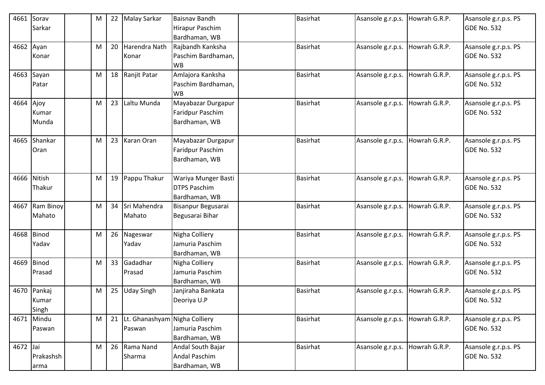| 4661      | Sorav<br>Sarkar | M | 22 | <b>Malay Sarkar</b>              | Baisnav Bandh<br><b>Hirapur Paschim</b> | <b>Basirhat</b> | Asansole g.r.p.s. | Howrah G.R.P. | Asansole g.r.p.s. PS<br><b>GDE No. 532</b> |
|-----------|-----------------|---|----|----------------------------------|-----------------------------------------|-----------------|-------------------|---------------|--------------------------------------------|
|           |                 |   |    |                                  | Bardhaman, WB                           |                 |                   |               |                                            |
| 4662 Ayan |                 | M | 20 | Harendra Nath                    | Rajbandh Kanksha                        | <b>Basirhat</b> | Asansole g.r.p.s. | Howrah G.R.P. | Asansole g.r.p.s. PS                       |
|           | Konar           |   |    | Konar                            | Paschim Bardhaman,                      |                 |                   |               | <b>GDE No. 532</b>                         |
|           |                 |   |    |                                  | <b>WB</b>                               |                 |                   |               |                                            |
| 4663      | Sayan           | M |    | 18 Ranjit Patar                  | Amlajora Kanksha                        | <b>Basirhat</b> | Asansole g.r.p.s. | Howrah G.R.P. | Asansole g.r.p.s. PS                       |
|           | Patar           |   |    |                                  | Paschim Bardhaman,                      |                 |                   |               | <b>GDE No. 532</b>                         |
|           |                 |   |    |                                  | <b>WB</b>                               |                 |                   |               |                                            |
| 4664 Ajoy |                 | M | 23 | Laltu Munda                      | Mayabazar Durgapur                      | <b>Basirhat</b> | Asansole g.r.p.s. | Howrah G.R.P. | Asansole g.r.p.s. PS                       |
|           | Kumar           |   |    |                                  | Faridpur Paschim                        |                 |                   |               | <b>GDE No. 532</b>                         |
|           | Munda           |   |    |                                  | Bardhaman, WB                           |                 |                   |               |                                            |
| 4665      | Shankar         | M |    | 23 Karan Oran                    | Mayabazar Durgapur                      | <b>Basirhat</b> | Asansole g.r.p.s. | Howrah G.R.P. | Asansole g.r.p.s. PS                       |
|           | Oran            |   |    |                                  | <b>Faridpur Paschim</b>                 |                 |                   |               | <b>GDE No. 532</b>                         |
|           |                 |   |    |                                  | Bardhaman, WB                           |                 |                   |               |                                            |
| 4666      | Nitish          | M |    | 19 Pappu Thakur                  | Wariya Munger Basti                     | <b>Basirhat</b> | Asansole g.r.p.s. | Howrah G.R.P. | Asansole g.r.p.s. PS                       |
|           | Thakur          |   |    |                                  | <b>DTPS Paschim</b>                     |                 |                   |               | <b>GDE No. 532</b>                         |
|           |                 |   |    |                                  | Bardhaman, WB                           |                 |                   |               |                                            |
|           | 4667 Ram Binoy  | M | 34 | Sri Mahendra                     | Bisanpur Begusarai                      | <b>Basirhat</b> | Asansole g.r.p.s. | Howrah G.R.P. | Asansole g.r.p.s. PS                       |
|           | Mahato          |   |    | Mahato                           | Begusarai Bihar                         |                 |                   |               | <b>GDE No. 532</b>                         |
|           |                 |   |    |                                  |                                         |                 |                   |               |                                            |
|           | 4668 Binod      | M |    | 26 Nageswar                      | Nigha Colliery                          | <b>Basirhat</b> | Asansole g.r.p.s. | Howrah G.R.P. | Asansole g.r.p.s. PS                       |
|           | Yadav           |   |    | Yadav                            | Jamuria Paschim                         |                 |                   |               | <b>GDE No. 532</b>                         |
|           |                 |   |    |                                  | Bardhaman, WB                           |                 |                   |               |                                            |
| 4669      | <b>Binod</b>    | M |    | 33 Gadadhar                      | Nigha Colliery                          | <b>Basirhat</b> | Asansole g.r.p.s. | Howrah G.R.P. | Asansole g.r.p.s. PS                       |
|           | Prasad          |   |    | Prasad                           | Jamuria Paschim                         |                 |                   |               | <b>GDE No. 532</b>                         |
|           |                 |   |    |                                  | Bardhaman, WB                           |                 |                   |               |                                            |
| 4670      | Pankaj          | M | 25 | Uday Singh                       | Janjiraha Bankata                       | <b>Basirhat</b> | Asansole g.r.p.s. | Howrah G.R.P. | Asansole g.r.p.s. PS<br><b>GDE No. 532</b> |
|           | Kumar<br>Singh  |   |    |                                  | Deoriya U.P                             |                 |                   |               |                                            |
|           | 4671 Mindu      | M |    | 21 Lt. Ghanashyam Nigha Colliery |                                         | <b>Basirhat</b> | Asansole g.r.p.s. | Howrah G.R.P. | Asansole g.r.p.s. PS                       |
|           | Paswan          |   |    | Paswan                           | Jamuria Paschim                         |                 |                   |               | <b>GDE No. 532</b>                         |
|           |                 |   |    |                                  | Bardhaman, WB                           |                 |                   |               |                                            |
| 4672 Jai  |                 | M |    | 26 Rama Nand                     | Andal South Bajar                       | <b>Basirhat</b> | Asansole g.r.p.s. | Howrah G.R.P. | Asansole g.r.p.s. PS                       |
|           | Prakashsh       |   |    | Sharma                           | <b>Andal Paschim</b>                    |                 |                   |               | <b>GDE No. 532</b>                         |
|           | arma            |   |    |                                  | Bardhaman, WB                           |                 |                   |               |                                            |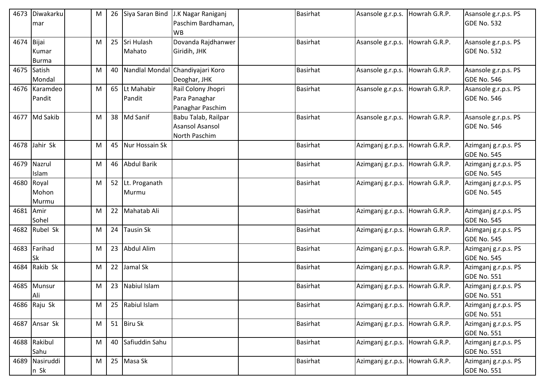|            | 4673 Diwakarku | M | 26 | Siya Saran Bind   | J.K Nagar Raniganj               | <b>Basirhat</b> | Asansole g.r.p.s. | Howrah G.R.P. | Asansole g.r.p.s. PS |
|------------|----------------|---|----|-------------------|----------------------------------|-----------------|-------------------|---------------|----------------------|
|            | mar            |   |    |                   | Paschim Bardhaman,               |                 |                   |               | <b>GDE No. 532</b>   |
|            |                |   |    |                   | <b>WB</b>                        |                 |                   |               |                      |
| 4674 Bijai |                | M |    | 25 Sri Hulash     | Dovanda Rajdhanwer               | Basirhat        | Asansole g.r.p.s. | Howrah G.R.P. | Asansole g.r.p.s. PS |
|            | Kumar          |   |    | Mahato            | Giridih, JHK                     |                 |                   |               | <b>GDE No. 532</b>   |
|            | <b>Burma</b>   |   |    |                   |                                  |                 |                   |               |                      |
|            | 4675 Satish    | M | 40 |                   | Nandlal Mondal Chandiyajari Koro | <b>Basirhat</b> | Asansole g.r.p.s. | Howrah G.R.P. | Asansole g.r.p.s. PS |
|            | Mondal         |   |    |                   | Deoghar, JHK                     |                 |                   |               | <b>GDE No. 546</b>   |
|            | 4676 Karamdeo  | M |    | 65 Lt Mahabir     | Rail Colony Jhopri               | <b>Basirhat</b> | Asansole g.r.p.s. | Howrah G.R.P. | Asansole g.r.p.s. PS |
|            | Pandit         |   |    | Pandit            | Para Panaghar                    |                 |                   |               | <b>GDE No. 546</b>   |
|            |                |   |    |                   | Panaghar Paschim                 |                 |                   |               |                      |
|            | 4677 Md Sakib  | M |    | 38 Md Sanif       | Babu Talab, Railpar              | <b>Basirhat</b> | Asansole g.r.p.s. | Howrah G.R.P. | Asansole g.r.p.s. PS |
|            |                |   |    |                   | <b>Asansol Asansol</b>           |                 |                   |               | <b>GDE No. 546</b>   |
|            |                |   |    |                   | North Paschim                    |                 |                   |               |                      |
|            | 4678 Jahir Sk  | M |    | 45 Nur Hossain Sk |                                  | <b>Basirhat</b> | Azimganj g.r.p.s. | Howrah G.R.P. | Azimganj g.r.p.s. PS |
|            |                |   |    |                   |                                  |                 |                   |               | <b>GDE No. 545</b>   |
|            | 4679 Nazrul    | M |    | 46 Abdul Barik    |                                  | <b>Basirhat</b> | Azimganj g.r.p.s. | Howrah G.R.P. | Azimganj g.r.p.s. PS |
|            | Islam          |   |    |                   |                                  |                 |                   |               | <b>GDE No. 545</b>   |
|            | 4680 Royal     | M |    | 52 Lt. Proganath  |                                  | <b>Basirhat</b> | Azimganj g.r.p.s. | Howrah G.R.P. | Azimganj g.r.p.s. PS |
|            | Mohon          |   |    | Murmu             |                                  |                 |                   |               | <b>GDE No. 545</b>   |
|            | Murmu          |   |    |                   |                                  |                 |                   |               |                      |
| 4681 Amir  |                | M |    | 22 Mahatab Ali    |                                  | <b>Basirhat</b> | Azimganj g.r.p.s. | Howrah G.R.P. | Azimganj g.r.p.s. PS |
|            | Sohel          |   |    |                   |                                  |                 |                   |               | <b>GDE No. 545</b>   |
|            | 4682 Rubel Sk  | M |    | 24 Tausin Sk      |                                  | <b>Basirhat</b> | Azimganj g.r.p.s. | Howrah G.R.P. | Azimganj g.r.p.s. PS |
|            |                |   |    |                   |                                  |                 |                   |               | <b>GDE No. 545</b>   |
|            | 4683 Farihad   | M |    | 23 Abdul Alim     |                                  | <b>Basirhat</b> | Azimganj g.r.p.s. | Howrah G.R.P. | Azimganj g.r.p.s. PS |
|            | <b>Sk</b>      |   |    |                   |                                  |                 |                   |               | <b>GDE No. 545</b>   |
|            | 4684 Rakib Sk  | M | 22 | Jamal Sk          |                                  | <b>Basirhat</b> | Azimganj g.r.p.s. | Howrah G.R.P. | Azimganj g.r.p.s. PS |
|            |                |   |    |                   |                                  |                 |                   |               | <b>GDE No. 551</b>   |
|            | 4685 Munsur    | M |    | 23 Nabiul Islam   |                                  | <b>Basirhat</b> | Azimganj g.r.p.s. | Howrah G.R.P. | Azimganj g.r.p.s. PS |
|            | Ali            |   |    |                   |                                  |                 |                   |               | GDE No. 551          |
|            | 4686 Raju Sk   | M |    | 25 Rabiul Islam   |                                  | <b>Basirhat</b> | Azimganj g.r.p.s. | Howrah G.R.P. | Azimganj g.r.p.s. PS |
|            |                |   |    |                   |                                  |                 |                   |               | <b>GDE No. 551</b>   |
|            | 4687 Ansar Sk  | M |    | 51 Biru Sk        |                                  | <b>Basirhat</b> | Azimganj g.r.p.s. | Howrah G.R.P. | Azimganj g.r.p.s. PS |
|            |                |   |    |                   |                                  |                 |                   |               | <b>GDE No. 551</b>   |
|            | 4688 Rakibul   | M |    | 40 Safiuddin Sahu |                                  | <b>Basirhat</b> | Azimganj g.r.p.s. | Howrah G.R.P. | Azimganj g.r.p.s. PS |
|            | Sahu           |   |    |                   |                                  |                 |                   |               | <b>GDE No. 551</b>   |
|            | 4689 Nasiruddi | M |    | 25 Masa Sk        |                                  | <b>Basirhat</b> | Azimganj g.r.p.s. | Howrah G.R.P. | Azimganj g.r.p.s. PS |
|            | n Sk           |   |    |                   |                                  |                 |                   |               | <b>GDE No. 551</b>   |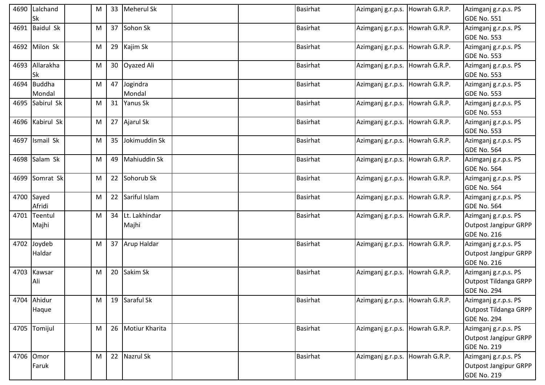|      | 4690 Lalchand<br>Sk     | M |    | 33 Meherul Sk             | <b>Basirhat</b> | Azimganj g.r.p.s. Howrah G.R.P. |               | Azimganj g.r.p.s. PS<br><b>GDE No. 551</b>                                 |
|------|-------------------------|---|----|---------------------------|-----------------|---------------------------------|---------------|----------------------------------------------------------------------------|
|      | 4691 Baidul Sk          | м |    | 37 Sohon Sk               | <b>Basirhat</b> | Azimganj g.r.p.s. Howrah G.R.P. |               | Azimganj g.r.p.s. PS<br><b>GDE No. 553</b>                                 |
|      | 4692 Milon Sk           | Μ |    | 29 Kajim Sk               | <b>Basirhat</b> | Azimganj g.r.p.s. Howrah G.R.P. |               | Azimganj g.r.p.s. PS<br><b>GDE No. 553</b>                                 |
|      | 4693 Allarakha<br>Sk    | M |    | 30 Oyazed Ali             | <b>Basirhat</b> | Azimganj g.r.p.s. Howrah G.R.P. |               | Azimganj g.r.p.s. PS<br><b>GDE No. 553</b>                                 |
| 4694 | <b>Buddha</b><br>Mondal | M | 47 | Jogindra<br>Mondal        | <b>Basirhat</b> | Azimganj g.r.p.s.               | Howrah G.R.P. | Azimganj g.r.p.s. PS<br><b>GDE No. 553</b>                                 |
|      | 4695 Sabirul Sk         | M |    | 31 Yanus Sk               | <b>Basirhat</b> | Azimganj g.r.p.s.               | Howrah G.R.P. | Azimganj g.r.p.s. PS<br><b>GDE No. 553</b>                                 |
|      | 4696 Kabirul Sk         | Μ |    | 27 Ajarul Sk              | <b>Basirhat</b> | Azimganj g.r.p.s.               | Howrah G.R.P. | Azimganj g.r.p.s. PS<br><b>GDE No. 553</b>                                 |
|      | 4697 Ismail Sk          | Μ | 35 | Jokimuddin Sk             | <b>Basirhat</b> | Azimganj g.r.p.s. Howrah G.R.P. |               | Azimganj g.r.p.s. PS<br><b>GDE No. 564</b>                                 |
|      | 4698 Salam Sk           | M | 49 | Mahiuddin Sk              | <b>Basirhat</b> | Azimganj g.r.p.s. Howrah G.R.P. |               | Azimganj g.r.p.s. PS<br><b>GDE No. 564</b>                                 |
|      | 4699 Somrat Sk          | M |    | 22 Sohorub Sk             | <b>Basirhat</b> | Azimganj g.r.p.s. Howrah G.R.P. |               | Azimganj g.r.p.s. PS<br><b>GDE No. 564</b>                                 |
|      | 4700 Sayed<br>Afridi    | M |    | 22 Sariful Islam          | <b>Basirhat</b> | Azimganj g.r.p.s. Howrah G.R.P. |               | Azimganj g.r.p.s. PS<br><b>GDE No. 564</b>                                 |
| 4701 | Teentul<br>Majhi        | Μ |    | 34 Lt. Lakhindar<br>Majhi | <b>Basirhat</b> | Azimganj g.r.p.s.               | Howrah G.R.P. | Azimganj g.r.p.s. PS<br><b>Outpost Jangipur GRPP</b><br><b>GDE No. 216</b> |
|      | 4702 Joydeb<br>Haldar   | M |    | 37 Arup Haldar            | <b>Basirhat</b> | Azimganj g.r.p.s. Howrah G.R.P. |               | Azimganj g.r.p.s. PS<br><b>Outpost Jangipur GRPP</b><br><b>GDE No. 216</b> |
| 4703 | Kawsar<br>Ali           | М |    | 20 Sakim Sk               | <b>Basirhat</b> | Azimganj g.r.p.s. Howrah G.R.P. |               | Azimganj g.r.p.s. PS<br>Outpost Tildanga GRPP<br><b>GDE No. 294</b>        |
|      | 4704 Ahidur<br>Haque    | M |    | 19 Saraful Sk             | <b>Basirhat</b> | Azimganj g.r.p.s. Howrah G.R.P. |               | Azimganj g.r.p.s. PS<br><b>Outpost Tildanga GRPP</b><br><b>GDE No. 294</b> |
|      | 4705 Tomijul            | M |    | 26 Motiur Kharita         | <b>Basirhat</b> | Azimganj g.r.p.s.               | Howrah G.R.P. | Azimganj g.r.p.s. PS<br><b>Outpost Jangipur GRPP</b><br><b>GDE No. 219</b> |
|      | 4706 Omor<br>Faruk      | M |    | 22 Nazrul Sk              | Basirhat        | Azimganj g.r.p.s. Howrah G.R.P. |               | Azimganj g.r.p.s. PS<br><b>Outpost Jangipur GRPP</b><br><b>GDE No. 219</b> |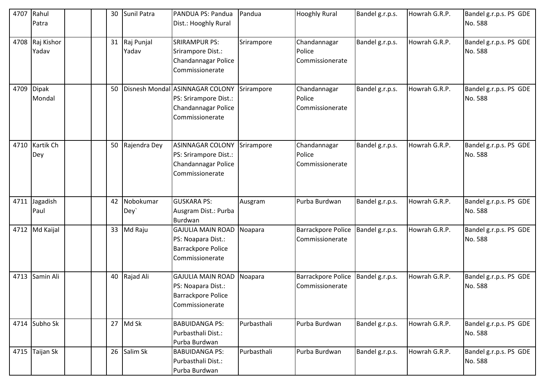| 4707 | Rahul<br>Patra           |    | 30 Sunil Patra         | PANDUA PS: Pandua<br>Dist.: Hooghly Rural                                                          | Pandua      | <b>Hooghly Rural</b>                         | Bandel g.r.p.s. | Howrah G.R.P. | Bandel g.r.p.s. PS GDE<br>No. 588 |
|------|--------------------------|----|------------------------|----------------------------------------------------------------------------------------------------|-------------|----------------------------------------------|-----------------|---------------|-----------------------------------|
|      | 4708 Raj Kishor<br>Yadav |    | 31 Raj Punjal<br>Yadav | <b>SRIRAMPUR PS:</b><br>Srirampore Dist.:<br>Chandannagar Police<br>Commissionerate                | Srirampore  | Chandannagar<br>Police<br>Commissionerate    | Bandel g.r.p.s. | Howrah G.R.P. | Bandel g.r.p.s. PS GDE<br>No. 588 |
| 4709 | <b>Dipak</b><br>Mondal   | 50 |                        | Disnesh Mondal ASINNAGAR COLONY<br>PS: Srirampore Dist.:<br>Chandannagar Police<br>Commissionerate | Srirampore  | Chandannagar<br>Police<br>Commissionerate    | Bandel g.r.p.s. | Howrah G.R.P. | Bandel g.r.p.s. PS GDE<br>No. 588 |
| 4710 | Kartik Ch<br>Dey         |    | 50 Rajendra Dey        | <b>ASINNAGAR COLONY</b><br>PS: Srirampore Dist.:<br>Chandannagar Police<br>Commissionerate         | Srirampore  | Chandannagar<br>Police<br>Commissionerate    | Bandel g.r.p.s. | Howrah G.R.P. | Bandel g.r.p.s. PS GDE<br>No. 588 |
|      | 4711 Jagadish<br>Paul    |    | 42 Nobokumar<br>Dey`   | <b>GUSKARA PS:</b><br>Ausgram Dist.: Purba<br>Burdwan                                              | Ausgram     | Purba Burdwan                                | Bandel g.r.p.s. | Howrah G.R.P. | Bandel g.r.p.s. PS GDE<br>No. 588 |
|      | 4712 Md Kaijal           |    | 33 Md Raju             | <b>GAJULIA MAIN ROAD</b><br>PS: Noapara Dist.:<br>Barrackpore Police<br>Commissionerate            | Noapara     | Barrackpore Police<br>Commissionerate        | Bandel g.r.p.s. | Howrah G.R.P. | Bandel g.r.p.s. PS GDE<br>No. 588 |
|      | 4713 Samin Ali           |    | 40 Rajad Ali           | <b>GAJULIA MAIN ROAD</b><br>PS: Noapara Dist.:<br><b>Barrackpore Police</b><br>Commissionerate     | Noapara     | <b>Barrackpore Police</b><br>Commissionerate | Bandel g.r.p.s. | Howrah G.R.P. | Bandel g.r.p.s. PS GDE<br>No. 588 |
|      | 4714 Subho Sk            |    | 27 Md Sk               | <b>BABUIDANGA PS:</b><br>Purbasthali Dist.:<br>Purba Burdwan                                       | Purbasthali | Purba Burdwan                                | Bandel g.r.p.s. | Howrah G.R.P. | Bandel g.r.p.s. PS GDE<br>No. 588 |
|      | 4715 Taijan Sk           |    | 26 Salim Sk            | <b>BABUIDANGA PS:</b><br>Purbasthali Dist.:<br>Purba Burdwan                                       | Purbasthali | Purba Burdwan                                | Bandel g.r.p.s. | Howrah G.R.P. | Bandel g.r.p.s. PS GDE<br>No. 588 |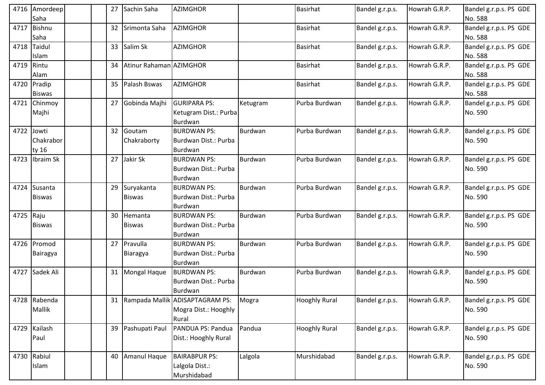|      | 4716 Amordeep<br>Saha         |  | 27              | Sachin Saha                 | <b>AZIMGHOR</b>                                                     |          | <b>Basirhat</b>      | Bandel g.r.p.s. | Howrah G.R.P. | Bandel g.r.p.s. PS GDE<br>No. 588 |
|------|-------------------------------|--|-----------------|-----------------------------|---------------------------------------------------------------------|----------|----------------------|-----------------|---------------|-----------------------------------|
|      | 4717 Bishnu<br>Saha           |  | 32              | Srimonta Saha               | <b>AZIMGHOR</b>                                                     |          | <b>Basirhat</b>      | Bandel g.r.p.s. | Howrah G.R.P. | Bandel g.r.p.s. PS GDE<br>No. 588 |
|      | 4718 Taidul<br>Islam          |  | 33              | Salim Sk                    | <b>AZIMGHOR</b>                                                     |          | <b>Basirhat</b>      | Bandel g.r.p.s. | Howrah G.R.P. | Bandel g.r.p.s. PS GDE<br>No. 588 |
|      | 4719 Rintu<br>Alam            |  | 34              | Atinur Rahaman AZIMGHOR     |                                                                     |          | <b>Basirhat</b>      | Bandel g.r.p.s. | Howrah G.R.P. | Bandel g.r.p.s. PS GDE<br>No. 588 |
| 4720 | Pradip<br><b>Biswas</b>       |  | 35              | Palash Bswas                | <b>AZIMGHOR</b>                                                     |          | <b>Basirhat</b>      | Bandel g.r.p.s. | Howrah G.R.P. | Bandel g.r.p.s. PS GDE<br>No. 588 |
| 4721 | Chinmoy<br>Majhi              |  | 27              | Gobinda Majhi               | <b>GURIPARA PS:</b><br>Ketugram Dist.: Purba<br>Burdwan             | Ketugram | Purba Burdwan        | Bandel g.r.p.s. | Howrah G.R.P. | Bandel g.r.p.s. PS GDE<br>No. 590 |
| 4722 | Jowti<br>Chakrabor<br>ty 16   |  | 32 <sup>2</sup> | Goutam<br>Chakraborty       | <b>BURDWAN PS:</b><br>Burdwan Dist.: Purba<br>Burdwan               | Burdwan  | Purba Burdwan        | Bandel g.r.p.s. | Howrah G.R.P. | Bandel g.r.p.s. PS GDE<br>No. 590 |
|      | 4723 Ibraim Sk                |  |                 | 27 Jakir Sk                 | <b>BURDWAN PS:</b><br>Burdwan Dist.: Purba<br>Burdwan               | Burdwan  | Purba Burdwan        | Bandel g.r.p.s. | Howrah G.R.P. | Bandel g.r.p.s. PS GDE<br>No. 590 |
|      | 4724 Susanta<br><b>Biswas</b> |  | 29              | Suryakanta<br><b>Biswas</b> | <b>BURDWAN PS:</b><br>Burdwan Dist.: Purba<br>Burdwan               | Burdwan  | Purba Burdwan        | Bandel g.r.p.s. | Howrah G.R.P. | Bandel g.r.p.s. PS GDE<br>No. 590 |
| 4725 | Raju<br><b>Biswas</b>         |  | 30              | Hemanta<br><b>Biswas</b>    | <b>BURDWAN PS:</b><br>Burdwan Dist.: Purba<br>Burdwan               | Burdwan  | Purba Burdwan        | Bandel g.r.p.s. | Howrah G.R.P. | Bandel g.r.p.s. PS GDE<br>No. 590 |
|      | 4726 Promod<br>Bairagya       |  |                 | 27 Pravulla<br>Biaragya     | <b>BURDWAN PS:</b><br>Burdwan Dist.: Purba<br>Burdwan               | Burdwan  | Purba Burdwan        | Bandel g.r.p.s. | Howrah G.R.P. | Bandel g.r.p.s. PS GDE<br>No. 590 |
|      | 4727 Sadek Ali                |  |                 | 31 Mongal Haque             | <b>BURDWAN PS:</b><br>Burdwan Dist.: Purba<br>Burdwan               | Burdwan  | Purba Burdwan        | Bandel g.r.p.s. | Howrah G.R.P. | Bandel g.r.p.s. PS GDE<br>No. 590 |
|      | 4728 Rabenda<br>Mallik        |  |                 |                             | 31 Rampada Mallik ADISAPTAGRAM PS:<br>Mogra Dist.: Hooghly<br>Rural | Mogra    | <b>Hooghly Rural</b> | Bandel g.r.p.s. | Howrah G.R.P. | Bandel g.r.p.s. PS GDE<br>No. 590 |
|      | 4729 Kailash<br>Paul          |  |                 | 39 Pashupati Paul           | PANDUA PS: Pandua<br>Dist.: Hooghly Rural                           | Pandua   | <b>Hooghly Rural</b> | Bandel g.r.p.s. | Howrah G.R.P. | Bandel g.r.p.s. PS GDE<br>No. 590 |
|      | 4730 Rabiul<br>Islam          |  | 40              | Amanul Haque                | <b>BAIRABPUR PS:</b><br>Lalgola Dist.:<br>Murshidabad               | Lalgola  | Murshidabad          | Bandel g.r.p.s. | Howrah G.R.P. | Bandel g.r.p.s. PS GDE<br>No. 590 |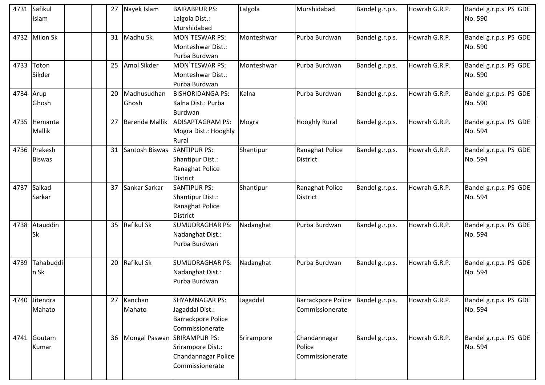|           | 4731 Safikul  | 27              | Nayek Islam                      | <b>BAIRABPUR PS:</b>      | Lalgola    | Murshidabad                          | Bandel g.r.p.s. | Howrah G.R.P. | Bandel g.r.p.s. PS GDE |
|-----------|---------------|-----------------|----------------------------------|---------------------------|------------|--------------------------------------|-----------------|---------------|------------------------|
|           | Islam         |                 |                                  | Lalgola Dist.:            |            |                                      |                 |               | No. 590                |
|           |               |                 |                                  | Murshidabad               |            |                                      |                 |               |                        |
|           | 4732 Milon Sk | 31              | Madhu Sk                         | <b>MON'TESWAR PS:</b>     | Monteshwar | Purba Burdwan                        | Bandel g.r.p.s. | Howrah G.R.P. | Bandel g.r.p.s. PS GDE |
|           |               |                 |                                  | Monteshwar Dist.:         |            |                                      |                 |               | No. 590                |
|           |               |                 |                                  | Purba Burdwan             |            |                                      |                 |               |                        |
|           | 4733 Toton    | 25              | Amol Sikder                      | MON'TESWAR PS:            | Monteshwar | Purba Burdwan                        | Bandel g.r.p.s. | Howrah G.R.P. | Bandel g.r.p.s. PS GDE |
|           | Sikder        |                 |                                  | Monteshwar Dist.:         |            |                                      |                 |               | No. 590                |
|           |               |                 |                                  | Purba Burdwan             |            |                                      |                 |               |                        |
| 4734 Arup |               | 20              | Madhusudhan                      | <b>BISHORIDANGA PS:</b>   | Kalna      | Purba Burdwan                        | Bandel g.r.p.s. | Howrah G.R.P. | Bandel g.r.p.s. PS GDE |
|           | Ghosh         |                 | Ghosh                            | Kalna Dist.: Purba        |            |                                      |                 |               | No. 590                |
|           |               |                 |                                  | Burdwan                   |            |                                      |                 |               |                        |
| 4735      | Hemanta       | 27              | Barenda Mallik                   | <b>ADISAPTAGRAM PS:</b>   | Mogra      | <b>Hooghly Rural</b>                 | Bandel g.r.p.s. | Howrah G.R.P. | Bandel g.r.p.s. PS GDE |
|           | <b>Mallik</b> |                 |                                  | Mogra Dist.: Hooghly      |            |                                      |                 |               | No. 594                |
|           |               |                 |                                  | Rural                     |            |                                      |                 |               |                        |
|           | 4736 Prakesh  | 31              | Santosh Biswas                   | <b>SANTIPUR PS:</b>       | Shantipur  | Ranaghat Police                      | Bandel g.r.p.s. | Howrah G.R.P. | Bandel g.r.p.s. PS GDE |
|           | <b>Biswas</b> |                 |                                  | <b>Shantipur Dist.:</b>   |            | District                             |                 |               | No. 594                |
|           |               |                 |                                  | Ranaghat Police           |            |                                      |                 |               |                        |
|           |               |                 |                                  | <b>District</b>           |            |                                      |                 |               |                        |
|           | 4737 Saikad   | 37              | Sankar Sarkar                    | <b>SANTIPUR PS:</b>       | Shantipur  | Ranaghat Police                      | Bandel g.r.p.s. | Howrah G.R.P. | Bandel g.r.p.s. PS GDE |
|           | Sarkar        |                 |                                  | <b>Shantipur Dist.:</b>   |            | <b>District</b>                      |                 |               | No. 594                |
|           |               |                 |                                  | Ranaghat Police           |            |                                      |                 |               |                        |
|           |               |                 |                                  | <b>District</b>           |            |                                      |                 |               |                        |
|           | 4738 Atauddin | 35 <sup>2</sup> | Rafikul Sk                       | <b>SUMUDRAGHAR PS:</b>    | Nadanghat  | Purba Burdwan                        | Bandel g.r.p.s. | Howrah G.R.P. | Bandel g.r.p.s. PS GDE |
|           | Sk            |                 |                                  | Nadanghat Dist.:          |            |                                      |                 |               | No. 594                |
|           |               |                 |                                  | Purba Burdwan             |            |                                      |                 |               |                        |
|           |               |                 |                                  |                           |            |                                      |                 |               |                        |
| 4739      | Tahabuddi     | 20              | Rafikul Sk                       | <b>SUMUDRAGHAR PS:</b>    | Nadanghat  | Purba Burdwan                        | Bandel g.r.p.s. | Howrah G.R.P. | Bandel g.r.p.s. PS GDE |
|           | n Sk          |                 |                                  | Nadanghat Dist.:          |            |                                      |                 |               | No. 594                |
|           |               |                 |                                  | Purba Burdwan             |            |                                      |                 |               |                        |
|           |               |                 |                                  |                           |            |                                      |                 |               |                        |
|           | 4740 Jitendra | 27              | Kanchan                          | <b>SHYAMNAGAR PS:</b>     | Jagaddal   | Barrackpore Police   Bandel g.r.p.s. |                 | Howrah G.R.P. | Bandel g.r.p.s. PS GDE |
|           | Mahato        |                 | Mahato                           | Jagaddal Dist.:           |            | Commissionerate                      |                 |               | No. 594                |
|           |               |                 |                                  | <b>Barrackpore Police</b> |            |                                      |                 |               |                        |
|           |               |                 |                                  | Commissionerate           |            |                                      |                 |               |                        |
|           | 4741 Goutam   |                 | 36   Mongal Paswan SRIRAMPUR PS: |                           | Srirampore | Chandannagar                         | Bandel g.r.p.s. | Howrah G.R.P. | Bandel g.r.p.s. PS GDE |
|           | Kumar         |                 |                                  | Srirampore Dist.:         |            | Police                               |                 |               | No. 594                |
|           |               |                 |                                  | Chandannagar Police       |            | Commissionerate                      |                 |               |                        |
|           |               |                 |                                  | Commissionerate           |            |                                      |                 |               |                        |
|           |               |                 |                                  |                           |            |                                      |                 |               |                        |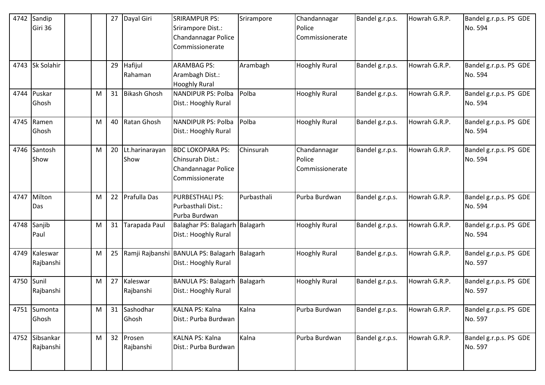| 4742 | Sandip<br>Giri 36           |   |    | 27 Dayal Giri             | <b>SRIRAMPUR PS:</b><br>Srirampore Dist.:<br>Chandannagar Police<br>Commissionerate   | Srirampore  | Chandannagar<br>Police<br>Commissionerate | Bandel g.r.p.s. | Howrah G.R.P. | Bandel g.r.p.s. PS GDE<br>No. 594 |
|------|-----------------------------|---|----|---------------------------|---------------------------------------------------------------------------------------|-------------|-------------------------------------------|-----------------|---------------|-----------------------------------|
| 4743 | Sk Solahir                  |   |    | 29 Hafijul<br>Rahaman     | <b>ARAMBAG PS:</b><br>Arambagh Dist.:<br><b>Hooghly Rural</b>                         | Arambagh    | <b>Hooghly Rural</b>                      | Bandel g.r.p.s. | Howrah G.R.P. | Bandel g.r.p.s. PS GDE<br>No. 594 |
| 4744 | Puskar<br>Ghosh             | M |    | 31 Bikash Ghosh           | <b>NANDIPUR PS: Polba</b><br>Dist.: Hooghly Rural                                     | Polba       | <b>Hooghly Rural</b>                      | Bandel g.r.p.s. | Howrah G.R.P. | Bandel g.r.p.s. PS GDE<br>No. 594 |
|      | 4745 Ramen<br>Ghosh         | M |    | 40 Ratan Ghosh            | <b>NANDIPUR PS: Polba</b><br>Dist.: Hooghly Rural                                     | Polba       | <b>Hooghly Rural</b>                      | Bandel g.r.p.s. | Howrah G.R.P. | Bandel g.r.p.s. PS GDE<br>No. 594 |
| 4746 | Santosh<br>Show             | M |    | 20 Lt.harinarayan<br>Show | <b>BDC LOKOPARA PS:</b><br>Chinsurah Dist.:<br>Chandannagar Police<br>Commissionerate | Chinsurah   | Chandannagar<br>Police<br>Commissionerate | Bandel g.r.p.s. | Howrah G.R.P. | Bandel g.r.p.s. PS GDE<br>No. 594 |
| 4747 | Milton<br>Das               | M |    | 22 Prafulla Das           | <b>PURBESTHALI PS:</b><br>Purbasthali Dist.:<br>Purba Burdwan                         | Purbasthali | Purba Burdwan                             | Bandel g.r.p.s. | Howrah G.R.P. | Bandel g.r.p.s. PS GDE<br>No. 594 |
| 4748 | Sanjib<br>Paul              | M |    | 31 Tarapada Paul          | Balaghar PS: Balagarh Balagarh<br>Dist.: Hooghly Rural                                |             | <b>Hooghly Rural</b>                      | Bandel g.r.p.s. | Howrah G.R.P. | Bandel g.r.p.s. PS GDE<br>No. 594 |
| 4749 | Kaleswar<br>Rajbanshi       | M | 25 |                           | Ramji Rajbanshi BANULA PS: Balagarh<br>Dist.: Hooghly Rural                           | Balagarh    | <b>Hooghly Rural</b>                      | Bandel g.r.p.s. | Howrah G.R.P. | Bandel g.r.p.s. PS GDE<br>No. 597 |
| 4750 | Sunil<br>Rajbanshi          | M |    | 27 Kaleswar<br>Rajbanshi  | <b>BANULA PS: Balagarh</b><br>Dist.: Hooghly Rural                                    | Balagarh    | <b>Hooghly Rural</b>                      | Bandel g.r.p.s. | Howrah G.R.P. | Bandel g.r.p.s. PS GDE<br>No. 597 |
|      | 4751 Sumonta<br>Ghosh       | M |    | 31 Sashodhar<br>Ghosh     | KALNA PS: Kalna<br>Dist.: Purba Burdwan                                               | Kalna       | Purba Burdwan                             | Bandel g.r.p.s. | Howrah G.R.P. | Bandel g.r.p.s. PS GDE<br>No. 597 |
|      | 4752 Sibsankar<br>Rajbanshi | M |    | 32 Prosen<br>Rajbanshi    | KALNA PS: Kalna<br>Dist.: Purba Burdwan                                               | Kalna       | Purba Burdwan                             | Bandel g.r.p.s. | Howrah G.R.P. | Bandel g.r.p.s. PS GDE<br>No. 597 |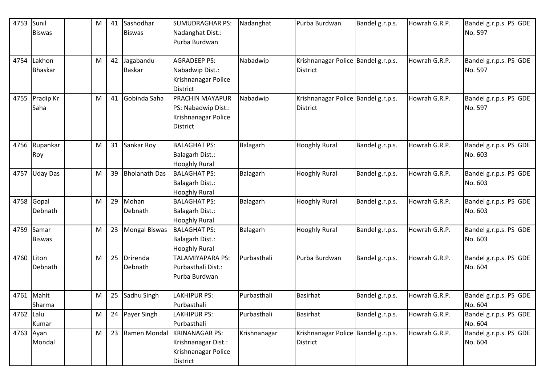| 4753       | Sunil<br><b>Biswas</b>   | M |    | 41 Sashodhar<br><b>Biswas</b> | <b>SUMUDRAGHAR PS:</b><br>Nadanghat Dist.:<br>Purba Burdwan                                         | Nadanghat    | Purba Burdwan                                          | Bandel g.r.p.s. | Howrah G.R.P. | Bandel g.r.p.s. PS GDE<br>No. 597 |
|------------|--------------------------|---|----|-------------------------------|-----------------------------------------------------------------------------------------------------|--------------|--------------------------------------------------------|-----------------|---------------|-----------------------------------|
| 4754       | Lakhon<br><b>Bhaskar</b> | M |    | 42 Jagabandu<br><b>Baskar</b> | <b>AGRADEEP PS:</b><br>Nabadwip Dist.:<br>Krishnanagar Police                                       | Nabadwip     | Krishnanagar Police Bandel g.r.p.s.<br>District        |                 | Howrah G.R.P. | Bandel g.r.p.s. PS GDE<br>No. 597 |
|            | 4755 Pradip Kr<br>Saha   | M | 41 | Gobinda Saha                  | District<br><b>PRACHIN MAYAPUR</b><br>PS: Nabadwip Dist.:<br>Krishnanagar Police<br><b>District</b> | Nabadwip     | Krishnanagar Police Bandel g.r.p.s.<br>District        |                 | Howrah G.R.P. | Bandel g.r.p.s. PS GDE<br>No. 597 |
| 4756       | Rupankar<br>Roy          | M |    | 31 Sankar Roy                 | <b>BALAGHAT PS:</b><br><b>Balagarh Dist.:</b><br><b>Hooghly Rural</b>                               | Balagarh     | <b>Hooghly Rural</b>                                   | Bandel g.r.p.s. | Howrah G.R.P. | Bandel g.r.p.s. PS GDE<br>No. 603 |
| 4757       | <b>Uday Das</b>          | M | 39 | <b>Bholanath Das</b>          | <b>BALAGHAT PS:</b><br><b>Balagarh Dist.:</b><br><b>Hooghly Rural</b>                               | Balagarh     | <b>Hooghly Rural</b>                                   | Bandel g.r.p.s. | Howrah G.R.P. | Bandel g.r.p.s. PS GDE<br>No. 603 |
| 4758       | Gopal<br>Debnath         | M | 29 | Mohan<br>Debnath              | <b>BALAGHAT PS:</b><br><b>Balagarh Dist.:</b><br><b>Hooghly Rural</b>                               | Balagarh     | <b>Hooghly Rural</b>                                   | Bandel g.r.p.s. | Howrah G.R.P. | Bandel g.r.p.s. PS GDE<br>No. 603 |
| 4759       | Samar<br><b>Biswas</b>   | M |    | 23 Mongal Biswas              | <b>BALAGHAT PS:</b><br><b>Balagarh Dist.:</b><br><b>Hooghly Rural</b>                               | Balagarh     | <b>Hooghly Rural</b>                                   | Bandel g.r.p.s. | Howrah G.R.P. | Bandel g.r.p.s. PS GDE<br>No. 603 |
| 4760 Liton | Debnath                  | M | 25 | Drirenda<br>Debnath           | <b>TALAMIYAPARA PS:</b><br>Purbasthali Dist.:<br>Purba Burdwan                                      | Purbasthali  | Purba Burdwan                                          | Bandel g.r.p.s. | Howrah G.R.P. | Bandel g.r.p.s. PS GDE<br>No. 604 |
| 4761       | Mahit<br>Sharma          | M | 25 | Sadhu Singh                   | <b>LAKHIPUR PS:</b><br>Purbasthali                                                                  | Purbasthali  | <b>Basirhat</b>                                        | Bandel g.r.p.s. | Howrah G.R.P. | Bandel g.r.p.s. PS GDE<br>No. 604 |
| 4762 Lalu  | Kumar                    | M |    | 24 Payer Singh                | <b>LAKHIPUR PS:</b><br>Purbasthali                                                                  | Purbasthali  | <b>Basirhat</b>                                        | Bandel g.r.p.s. | Howrah G.R.P. | Bandel g.r.p.s. PS GDE<br>No. 604 |
| 4763 Ayan  | Mondal                   | M |    | 23 Ramen Mondal               | <b>KRINANAGAR PS:</b><br>Krishnanagar Dist.:<br>Krishnanagar Police<br>District                     | Krishnanagar | Krishnanagar Police Bandel g.r.p.s.<br><b>District</b> |                 | Howrah G.R.P. | Bandel g.r.p.s. PS GDE<br>No. 604 |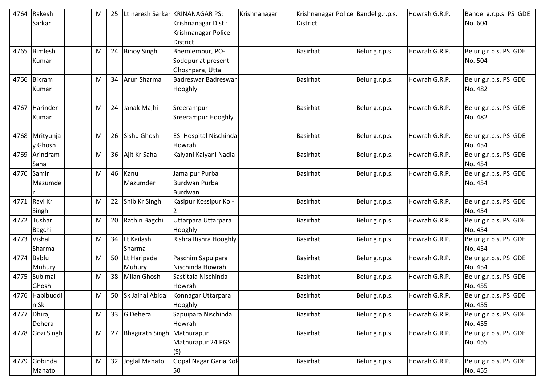| 4764 | Rakesh          | M | 25 |                               | Lt.naresh Sarkar KRINANAGAR PS: | Krishnanagar | Krishnanagar Police Bandel g.r.p.s. |                | Howrah G.R.P. | Bandel g.r.p.s. PS GDE |
|------|-----------------|---|----|-------------------------------|---------------------------------|--------------|-------------------------------------|----------------|---------------|------------------------|
|      | Sarkar          |   |    |                               | Krishnanagar Dist.:             |              | District                            |                |               | No. 604                |
|      |                 |   |    |                               | Krishnanagar Police             |              |                                     |                |               |                        |
|      |                 |   |    |                               | <b>District</b>                 |              |                                     |                |               |                        |
| 4765 | <b>Bimlesh</b>  | M |    | 24 Binoy Singh                | Bhemlempur, PO-                 |              | <b>Basirhat</b>                     | Belur g.r.p.s. | Howrah G.R.P. | Belur g.r.p.s. PS GDE  |
|      | Kumar           |   |    |                               | Sodopur at present              |              |                                     |                |               | No. 504                |
|      |                 |   |    |                               | Ghoshpara, Utta                 |              |                                     |                |               |                        |
| 4766 | Bikram          | M |    | 34 Arun Sharma                | Badreswar Badreswar             |              | <b>Basirhat</b>                     | Belur g.r.p.s. | Howrah G.R.P. | Belur g.r.p.s. PS GDE  |
|      | Kumar           |   |    |                               | Hooghly                         |              |                                     |                |               | No. 482                |
|      |                 |   |    |                               |                                 |              |                                     |                |               |                        |
|      | 4767 Harinder   | M |    | 24 Janak Majhi                | Sreerampur                      |              | <b>Basirhat</b>                     | Belur g.r.p.s. | Howrah G.R.P. | Belur g.r.p.s. PS GDE  |
|      | Kumar           |   |    |                               | Sreerampur Hooghly              |              |                                     |                |               | No. 482                |
|      | 4768 Mrityunja  |   | 26 | Sishu Ghosh                   | <b>ESI Hospital Nischinda</b>   |              | <b>Basirhat</b>                     |                | Howrah G.R.P. | Belur g.r.p.s. PS GDE  |
|      | y Ghosh         | M |    |                               | Howrah                          |              |                                     | Belur g.r.p.s. |               | No. 454                |
|      | 4769 Arindram   | M |    | 36 Ajit Kr Saha               | Kalyani Kalyani Nadia           |              | <b>Basirhat</b>                     | Belur g.r.p.s. | Howrah G.R.P. | Belur g.r.p.s. PS GDE  |
|      | Saha            |   |    |                               |                                 |              |                                     |                |               | No. 454                |
| 4770 | Samir           | M |    | 46 Kanu                       | Jamalpur Purba                  |              | Basirhat                            | Belur g.r.p.s. | Howrah G.R.P. | Belur g.r.p.s. PS GDE  |
|      | Mazumde         |   |    | Mazumder                      | Burdwan Purba                   |              |                                     |                |               | No. 454                |
|      |                 |   |    |                               | <b>Burdwan</b>                  |              |                                     |                |               |                        |
|      | 4771 Ravi Kr    | M |    | 22 Shib Kr Singh              | Kasipur Kossipur Kol-           |              | <b>Basirhat</b>                     | Belur g.r.p.s. | Howrah G.R.P. | Belur g.r.p.s. PS GDE  |
|      | Singh           |   |    |                               |                                 |              |                                     |                |               | No. 454                |
| 4772 | Tushar          | M |    | 20 Rathin Bagchi              | Uttarpara Uttarpara             |              | <b>Basirhat</b>                     | Belur g.r.p.s. | Howrah G.R.P. | Belur g.r.p.s. PS GDE  |
|      | <b>Bagchi</b>   |   |    |                               | Hooghly                         |              |                                     |                |               | No. 454                |
| 4773 | Vishal          | M |    | 34 Lt Kailash                 | Rishra Rishra Hooghly           |              | <b>Basirhat</b>                     | Belur g.r.p.s. | Howrah G.R.P. | Belur g.r.p.s. PS GDE  |
|      | Sharma          |   |    | Sharma                        |                                 |              |                                     |                |               | No. 454                |
| 4774 | <b>Bablu</b>    | M |    | 50 Lt Haripada                | Paschim Sapuipara               |              | <b>Basirhat</b>                     | Belur g.r.p.s. | Howrah G.R.P. | Belur g.r.p.s. PS GDE  |
|      | Muhury          |   |    | Muhury                        | Nischinda Howrah                |              |                                     |                |               | No. 454                |
| 4775 | Subimal         | M | 38 | <b>Milan Ghosh</b>            | Sastitala Nischinda             |              | <b>Basirhat</b>                     | Belur g.r.p.s. | Howrah G.R.P. | Belur g.r.p.s. PS GDE  |
|      | Ghosh           |   |    |                               | Howrah                          |              |                                     |                |               | No. 455                |
|      | 4776 Habibuddi  | M |    | 50 Sk Jainal Abidal           | Konnagar Uttarpara              |              | <b>Basirhat</b>                     | Belur g.r.p.s. | Howrah G.R.P. | Belur g.r.p.s. PS GDE  |
|      | n Sk            |   |    |                               | Hooghly                         |              |                                     |                |               | No. 455                |
|      | 4777 Dhiraj     | M |    | 33 G Dehera                   | Sapuipara Nischinda             |              | <b>Basirhat</b>                     | Belur g.r.p.s. | Howrah G.R.P. | Belur g.r.p.s. PS GDE  |
|      | Dehera          |   |    |                               | Howrah                          |              |                                     |                |               | No. 455                |
|      | 4778 Gozi Singh | M |    | 27 Bhagirath Singh Mathurapur |                                 |              | <b>Basirhat</b>                     | Belur g.r.p.s. | Howrah G.R.P. | Belur g.r.p.s. PS GDE  |
|      |                 |   |    |                               | Mathurapur 24 PGS               |              |                                     |                |               | No. 455                |
|      |                 |   |    |                               | (S)                             |              |                                     |                |               |                        |
|      | 4779 Gobinda    | M |    | 32 Joglal Mahato              | Gopal Nagar Garia Kol-          |              | <b>Basirhat</b>                     | Belur g.r.p.s. | Howrah G.R.P. | Belur g.r.p.s. PS GDE  |
|      | Mahato          |   |    |                               | 50                              |              |                                     |                |               | No. 455                |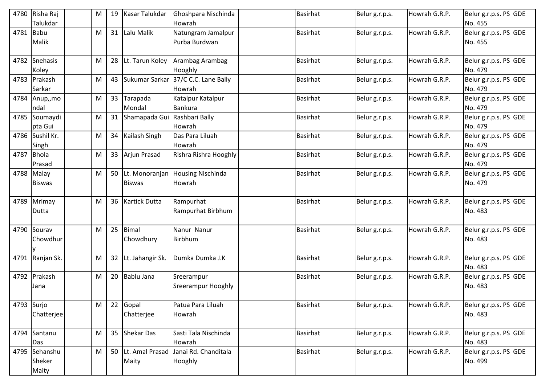| 4780       | Risha Raj<br>Talukdar | M | 19 | <b>Kasar Talukdar</b>        | Ghoshpara Nischinda<br>Howrah | <b>Basirhat</b> | Belur g.r.p.s. | Howrah G.R.P. | Belur g.r.p.s. PS GDE<br>No. 455 |
|------------|-----------------------|---|----|------------------------------|-------------------------------|-----------------|----------------|---------------|----------------------------------|
|            |                       |   |    |                              |                               |                 |                |               |                                  |
| 4781 Babu  |                       | M |    | 31 Lalu Malik                | Natungram Jamalpur            | <b>Basirhat</b> | Belur g.r.p.s. | Howrah G.R.P. | Belur g.r.p.s. PS GDE            |
|            | Malik                 |   |    |                              | Purba Burdwan                 |                 |                |               | No. 455                          |
|            | 4782 Snehasis         | M |    | 28 Lt. Tarun Koley           | Arambag Arambag               | <b>Basirhat</b> | Belur g.r.p.s. | Howrah G.R.P. | Belur g.r.p.s. PS GDE            |
|            | Koley                 |   |    |                              | Hooghly                       |                 |                |               | No. 479                          |
|            | 4783 Prakash          | M |    | 43 Sukumar Sarkar            | 37/C C.C. Lane Bally          | <b>Basirhat</b> | Belur g.r.p.s. | Howrah G.R.P. | Belur g.r.p.s. PS GDE            |
|            | Sarkar                |   |    |                              | Howrah                        |                 |                |               | No. 479                          |
|            | 4784 Anup,, mo        | M |    | 33 Tarapada                  | Katalpur Katalpur             | <b>Basirhat</b> | Belur g.r.p.s. | Howrah G.R.P. | Belur g.r.p.s. PS GDE            |
|            | ndal                  |   |    | Mondal                       | Bankura                       |                 |                |               | No. 479                          |
|            | 4785 Soumaydi         | M | 31 | Shamapada Gui Rashbari Bally |                               | <b>Basirhat</b> | Belur g.r.p.s. | Howrah G.R.P. | Belur g.r.p.s. PS GDE            |
|            | pta Gui               |   |    |                              | Howrah                        |                 |                |               | No. 479                          |
|            | 4786 Sushil Kr.       | M |    | 34 Kailash Singh             | Das Para Liluah               | <b>Basirhat</b> | Belur g.r.p.s. | Howrah G.R.P. | Belur g.r.p.s. PS GDE            |
|            | Singh                 |   |    |                              | Howrah                        |                 |                |               | No. 479                          |
|            | 4787 Bhola            | M |    | 33 Arjun Prasad              | Rishra Rishra Hooghly         | <b>Basirhat</b> | Belur g.r.p.s. | Howrah G.R.P. | Belur g.r.p.s. PS GDE            |
|            | Prasad                |   |    |                              |                               |                 |                |               | No. 479                          |
|            | 4788 Malay            | M |    | 50 Lt. Monoranjan            | <b>Housing Nischinda</b>      | <b>Basirhat</b> | Belur g.r.p.s. | Howrah G.R.P. | Belur g.r.p.s. PS GDE            |
|            | <b>Biswas</b>         |   |    | <b>Biswas</b>                | Howrah                        |                 |                |               | No. 479                          |
|            |                       |   |    |                              |                               |                 |                |               |                                  |
|            | 4789 Mrimay           | M |    | 36 Kartick Dutta             | Rampurhat                     | <b>Basirhat</b> | Belur g.r.p.s. | Howrah G.R.P. | Belur g.r.p.s. PS GDE            |
|            | Dutta                 |   |    |                              | Rampurhat Birbhum             |                 |                |               | No. 483                          |
|            |                       |   |    |                              |                               |                 |                |               |                                  |
|            | 4790 Sourav           | м | 25 | Bimal                        | Nanur Nanur                   | <b>Basirhat</b> | Belur g.r.p.s. | Howrah G.R.P. | Belur g.r.p.s. PS GDE            |
|            | Chowdhur              |   |    | Chowdhury                    | <b>Birbhum</b>                |                 |                |               | No. 483                          |
|            |                       |   |    |                              |                               |                 |                |               |                                  |
|            | 4791 Ranjan Sk.       | M |    | 32 Lt. Jahangir Sk.          | Dumka Dumka J.K               | <b>Basirhat</b> | Belur g.r.p.s. | Howrah G.R.P. | Belur g.r.p.s. PS GDE            |
|            |                       |   |    |                              |                               |                 |                |               | No. 483                          |
|            | 4792 Prakash          | M |    | 20 Bablu Jana                | Sreerampur                    | <b>Basirhat</b> | Belur g.r.p.s. | Howrah G.R.P. | Belur g.r.p.s. PS GDE            |
|            | Jana                  |   |    |                              | <b>Sreerampur Hooghly</b>     |                 |                |               | No. 483                          |
|            |                       |   |    |                              |                               | <b>Basirhat</b> |                |               |                                  |
| 4793 Surjo |                       | M |    | 22 Gopal                     | Patua Para Liluah<br>Howrah   |                 | Belur g.r.p.s. | Howrah G.R.P. | Belur g.r.p.s. PS GDE<br>No. 483 |
|            | Chatterjee            |   |    | Chatterjee                   |                               |                 |                |               |                                  |
|            | 4794 Santanu          | M |    | 35 Shekar Das                | Sasti Tala Nischinda          | <b>Basirhat</b> | Belur g.r.p.s. | Howrah G.R.P. | Belur g.r.p.s. PS GDE            |
|            | Das                   |   |    |                              | Howrah                        |                 |                |               | No. 483                          |
|            | 4795 Sehanshu         | Μ |    | 50 Lt. Amal Prasad           | Janai Rd. Chanditala          | <b>Basirhat</b> | Belur g.r.p.s. | Howrah G.R.P. | Belur g.r.p.s. PS GDE            |
|            | Sheker                |   |    | Maity                        | Hooghly                       |                 |                |               | No. 499                          |
|            | Maity                 |   |    |                              |                               |                 |                |               |                                  |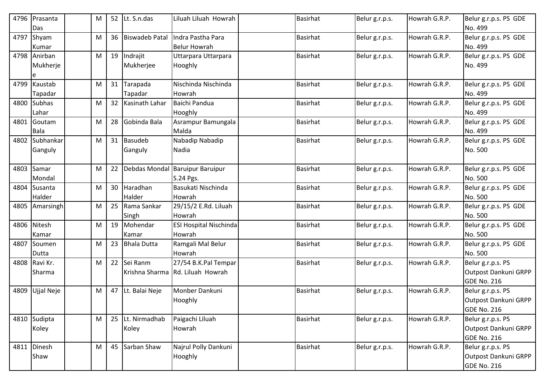|      | 4796 Prasanta<br>Das    | M |    | 52 Lt. S.n.das            | Liluah Liluah Howrah                                     | <b>Basirhat</b> | Belur g.r.p.s. | Howrah G.R.P. | Belur g.r.p.s. PS GDE<br>No. 499                                |
|------|-------------------------|---|----|---------------------------|----------------------------------------------------------|-----------------|----------------|---------------|-----------------------------------------------------------------|
| 4797 | Shyam<br>Kumar          | M | 36 | <b>Biswadeb Patal</b>     | Indra Pastha Para<br><b>Belur Howrah</b>                 | <b>Basirhat</b> | Belur g.r.p.s. | Howrah G.R.P. | Belur g.r.p.s. PS GDE<br>No. 499                                |
| 4798 | Anirban<br>Mukherje     | M | 19 | Indrajit<br>Mukherjee     | Uttarpara Uttarpara<br>Hooghly                           | <b>Basirhat</b> | Belur g.r.p.s. | Howrah G.R.P. | Belur g.r.p.s. PS GDE<br>No. 499                                |
| 4799 | Kaustab<br>Tapadar      | M | 31 | Tarapada<br>Tapadar       | Nischinda Nischinda<br>Howrah                            | <b>Basirhat</b> | Belur g.r.p.s. | Howrah G.R.P. | Belur g.r.p.s. PS GDE<br>No. 499                                |
| 4800 | <b>Subhas</b><br>Lahar  | M | 32 | Kasinath Lahar            | Baichi Pandua<br>Hooghly                                 | <b>Basirhat</b> | Belur g.r.p.s. | Howrah G.R.P. | Belur g.r.p.s. PS GDE<br>No. 499                                |
| 4801 | Goutam<br>Bala          | M | 28 | Gobinda Bala              | Asrampur Bamungala<br>Malda                              | <b>Basirhat</b> | Belur g.r.p.s. | Howrah G.R.P. | Belur g.r.p.s. PS GDE<br>No. 499                                |
| 4802 | Subhankar<br>Ganguly    | M |    | 31 Basudeb<br>Ganguly     | Nabadip Nabadip<br>Nadia                                 | <b>Basirhat</b> | Belur g.r.p.s. | Howrah G.R.P. | Belur g.r.p.s. PS GDE<br>No. 500                                |
| 4803 | Samar<br>Mondal         | M | 22 | Debdas Mondal             | <b>Baruipur Baruipur</b><br>S.24 Pgs.                    | <b>Basirhat</b> | Belur g.r.p.s. | Howrah G.R.P. | Belur g.r.p.s. PS GDE<br>No. 500                                |
| 4804 | Susanta<br>Halder       | M |    | 30 Haradhan<br>Halder     | Basukati Nischinda<br>Howrah                             | <b>Basirhat</b> | Belur g.r.p.s. | Howrah G.R.P. | Belur g.r.p.s. PS GDE<br>No. 500                                |
|      | 4805 Amarsingh          | M | 25 | Rama Sankar<br>Singh      | 29/15/2 E.Rd. Liluah<br>Howrah                           | <b>Basirhat</b> | Belur g.r.p.s. | Howrah G.R.P. | Belur g.r.p.s. PS GDE<br>No. 500                                |
| 4806 | Nitesh<br>Kamar         | M |    | 19 Mohendar<br>Kamar      | <b>ESI Hospital Nischinda</b><br>Howrah                  | <b>Basirhat</b> | Belur g.r.p.s. | Howrah G.R.P. | Belur g.r.p.s. PS GDE<br>No. 500                                |
|      | 4807 Soumen<br>Dutta    | M |    | 23 Bhala Dutta            | Ramgali Mal Belur<br>Howrah                              | <b>Basirhat</b> | Belur g.r.p.s. | Howrah G.R.P. | Belur g.r.p.s. PS GDE<br>No. 500                                |
|      | 4808 Ravi Kr.<br>Sharma | M |    | 22 Sei Ranm               | 27/54 B.K.Pal Tempar<br>Krishna Sharma Rd. Liluah Howrah | <b>Basirhat</b> | Belur g.r.p.s. | Howrah G.R.P. | Belur g.r.p.s. PS<br>Outpost Dankuni GRPP<br><b>GDE No. 216</b> |
| 4809 | Ujjal Neje              | M |    | 47 Lt. Balai Neje         | Monber Dankuni<br>Hooghly                                | <b>Basirhat</b> | Belur g.r.p.s. | Howrah G.R.P. | Belur g.r.p.s. PS<br>Outpost Dankuni GRPP<br>GDE No. 216        |
|      | 4810 Sudipta<br>Koley   | M |    | 25 Lt. Nirmadhab<br>Koley | Paigachi Liluah<br>Howrah                                | <b>Basirhat</b> | Belur g.r.p.s. | Howrah G.R.P. | Belur g.r.p.s. PS<br>Outpost Dankuni GRPP<br>GDE No. 216        |
|      | 4811 Dinesh<br>Shaw     | M |    | 45 Sarban Shaw            | Najrul Polly Dankuni<br>Hooghly                          | Basirhat        | Belur g.r.p.s. | Howrah G.R.P. | Belur g.r.p.s. PS<br>Outpost Dankuni GRPP<br><b>GDE No. 216</b> |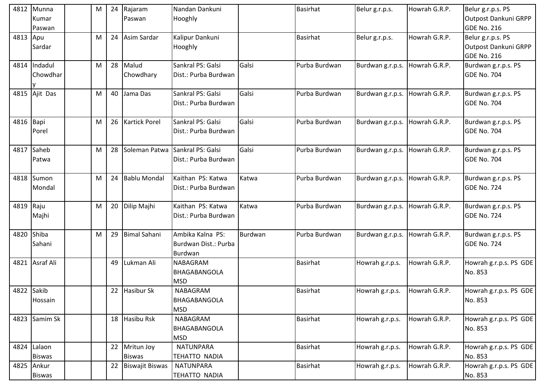| Outpost Dankuni GRPP<br>Hooghly<br>Kumar<br>Paswan<br>GDE No. 216<br>Paswan<br>4813 Apu<br>24 Asim Sardar<br>Kalipur Dankuni<br><b>Basirhat</b><br>Howrah G.R.P.<br>Belur g.r.p.s. PS<br>Belur g.r.p.s.<br>М<br>Outpost Dankuni GRPP<br>Hooghly<br>Sardar<br><b>GDE No. 216</b><br>4814 Indadul<br>28<br>Malud<br>Sankral PS: Galsi<br>Galsi<br>Burdwan g.r.p.s. PS<br>Purba Burdwan<br>Burdwan g.r.p.s.<br>Howrah G.R.P.<br>M<br>Chowdhary<br><b>GDE No. 704</b><br>Chowdhar<br>Dist.: Purba Burdwan<br>4815 Ajit Das<br>Galsi<br>40<br>Sankral PS: Galsi<br>Purba Burdwan<br>Jama Das<br>Burdwan g.r.p.s.<br>Howrah G.R.P.<br>Burdwan g.r.p.s. PS<br>м<br><b>GDE No. 704</b><br>Dist.: Purba Burdwan<br><b>Kartick Porel</b><br>Galsi<br>4816<br>Bapi<br>26<br>Sankral PS: Galsi<br>Purba Burdwan<br>Burdwan g.r.p.s. PS<br>M<br>Burdwan g.r.p.s.<br>Howrah G.R.P.<br><b>GDE No. 704</b><br>Porel<br>Dist.: Purba Burdwan<br>Saheb<br>Galsi<br>Soleman Patwa<br>Sankral PS: Galsi<br>Purba Burdwan<br>4817<br>M<br>28<br>Burdwan g.r.p.s.<br>Howrah G.R.P.<br>Burdwan g.r.p.s. PS<br><b>GDE No. 704</b><br>Dist.: Purba Burdwan<br>Patwa<br>Kaithan PS: Katwa<br>Burdwan g.r.p.s. PS<br>4818 Sumon<br>24 Bablu Mondal<br>Katwa<br>Purba Burdwan<br>Howrah G.R.P.<br>Burdwan g.r.p.s.<br>м<br><b>GDE No. 724</b><br>Mondal<br>Dist.: Purba Burdwan<br>4819 Raju<br>20 Dilip Majhi<br>Burdwan g.r.p.s. PS<br>M<br>Kaithan PS: Katwa<br>Katwa<br>Purba Burdwan<br>Burdwan g.r.p.s.<br>Howrah G.R.P.<br>GDE No. 724<br>Dist.: Purba Burdwan<br>Majhi<br>Shiba<br><b>Bimal Sahani</b><br>4820<br>29<br>Ambika Kalna PS:<br>Burdwan<br>Purba Burdwan<br>Burdwan g.r.p.s. PS<br>M<br>Howrah G.R.P.<br>Burdwan g.r.p.s.<br>Burdwan Dist.: Purba<br><b>GDE No. 724</b><br>Sahani<br>Burdwan<br>4821 Asraf Ali<br><b>Basirhat</b><br>49<br>Lukman Ali<br><b>NABAGRAM</b><br>Howrah g.r.p.s.<br>Howrah G.R.P.<br>Howrah g.r.p.s. PS GDE<br>BHAGABANGOLA<br>No. 853<br><b>MSD</b><br>4822 Sakib<br>22 Hasibur Sk<br>NABAGRAM<br><b>Basirhat</b><br>Howrah g.r.p.s. PS GDE<br>Howrah g.r.p.s.<br>Howrah G.R.P.<br>No. 853<br>Hossain<br>BHAGABANGOLA<br><b>MSD</b><br>4823 Samim Sk<br>18 Hasibu Rsk<br>NABAGRAM<br><b>Basirhat</b><br>Howrah g.r.p.s.<br>Howrah G.R.P.<br>Howrah g.r.p.s. PS GDE<br>No. 853<br>BHAGABANGOLA<br><b>MSD</b><br>Lalaon<br><b>Basirhat</b><br>4824<br>22 Mritun Joy<br><b>NATUNPARA</b><br>Howrah g.r.p.s.<br>Howrah G.R.P.<br>Howrah g.r.p.s. PS GDE<br>No. 853<br><b>Biswas</b><br>TEHATTO NADIA<br><b>Biswas</b> | 4812 | Munna | M | 24 Rajaram | Nandan Dankuni | Basirhat | Belur g.r.p.s. | Howrah G.R.P. | Belur g.r.p.s. PS |
|---------------------------------------------------------------------------------------------------------------------------------------------------------------------------------------------------------------------------------------------------------------------------------------------------------------------------------------------------------------------------------------------------------------------------------------------------------------------------------------------------------------------------------------------------------------------------------------------------------------------------------------------------------------------------------------------------------------------------------------------------------------------------------------------------------------------------------------------------------------------------------------------------------------------------------------------------------------------------------------------------------------------------------------------------------------------------------------------------------------------------------------------------------------------------------------------------------------------------------------------------------------------------------------------------------------------------------------------------------------------------------------------------------------------------------------------------------------------------------------------------------------------------------------------------------------------------------------------------------------------------------------------------------------------------------------------------------------------------------------------------------------------------------------------------------------------------------------------------------------------------------------------------------------------------------------------------------------------------------------------------------------------------------------------------------------------------------------------------------------------------------------------------------------------------------------------------------------------------------------------------------------------------------------------------------------------------------------------------------------------------------------------------------------------------------------------------------------------------------------------------------------------------------------|------|-------|---|------------|----------------|----------|----------------|---------------|-------------------|
|                                                                                                                                                                                                                                                                                                                                                                                                                                                                                                                                                                                                                                                                                                                                                                                                                                                                                                                                                                                                                                                                                                                                                                                                                                                                                                                                                                                                                                                                                                                                                                                                                                                                                                                                                                                                                                                                                                                                                                                                                                                                                                                                                                                                                                                                                                                                                                                                                                                                                                                                       |      |       |   |            |                |          |                |               |                   |
|                                                                                                                                                                                                                                                                                                                                                                                                                                                                                                                                                                                                                                                                                                                                                                                                                                                                                                                                                                                                                                                                                                                                                                                                                                                                                                                                                                                                                                                                                                                                                                                                                                                                                                                                                                                                                                                                                                                                                                                                                                                                                                                                                                                                                                                                                                                                                                                                                                                                                                                                       |      |       |   |            |                |          |                |               |                   |
|                                                                                                                                                                                                                                                                                                                                                                                                                                                                                                                                                                                                                                                                                                                                                                                                                                                                                                                                                                                                                                                                                                                                                                                                                                                                                                                                                                                                                                                                                                                                                                                                                                                                                                                                                                                                                                                                                                                                                                                                                                                                                                                                                                                                                                                                                                                                                                                                                                                                                                                                       |      |       |   |            |                |          |                |               |                   |
|                                                                                                                                                                                                                                                                                                                                                                                                                                                                                                                                                                                                                                                                                                                                                                                                                                                                                                                                                                                                                                                                                                                                                                                                                                                                                                                                                                                                                                                                                                                                                                                                                                                                                                                                                                                                                                                                                                                                                                                                                                                                                                                                                                                                                                                                                                                                                                                                                                                                                                                                       |      |       |   |            |                |          |                |               |                   |
|                                                                                                                                                                                                                                                                                                                                                                                                                                                                                                                                                                                                                                                                                                                                                                                                                                                                                                                                                                                                                                                                                                                                                                                                                                                                                                                                                                                                                                                                                                                                                                                                                                                                                                                                                                                                                                                                                                                                                                                                                                                                                                                                                                                                                                                                                                                                                                                                                                                                                                                                       |      |       |   |            |                |          |                |               |                   |
|                                                                                                                                                                                                                                                                                                                                                                                                                                                                                                                                                                                                                                                                                                                                                                                                                                                                                                                                                                                                                                                                                                                                                                                                                                                                                                                                                                                                                                                                                                                                                                                                                                                                                                                                                                                                                                                                                                                                                                                                                                                                                                                                                                                                                                                                                                                                                                                                                                                                                                                                       |      |       |   |            |                |          |                |               |                   |
|                                                                                                                                                                                                                                                                                                                                                                                                                                                                                                                                                                                                                                                                                                                                                                                                                                                                                                                                                                                                                                                                                                                                                                                                                                                                                                                                                                                                                                                                                                                                                                                                                                                                                                                                                                                                                                                                                                                                                                                                                                                                                                                                                                                                                                                                                                                                                                                                                                                                                                                                       |      |       |   |            |                |          |                |               |                   |
|                                                                                                                                                                                                                                                                                                                                                                                                                                                                                                                                                                                                                                                                                                                                                                                                                                                                                                                                                                                                                                                                                                                                                                                                                                                                                                                                                                                                                                                                                                                                                                                                                                                                                                                                                                                                                                                                                                                                                                                                                                                                                                                                                                                                                                                                                                                                                                                                                                                                                                                                       |      |       |   |            |                |          |                |               |                   |
|                                                                                                                                                                                                                                                                                                                                                                                                                                                                                                                                                                                                                                                                                                                                                                                                                                                                                                                                                                                                                                                                                                                                                                                                                                                                                                                                                                                                                                                                                                                                                                                                                                                                                                                                                                                                                                                                                                                                                                                                                                                                                                                                                                                                                                                                                                                                                                                                                                                                                                                                       |      |       |   |            |                |          |                |               |                   |
|                                                                                                                                                                                                                                                                                                                                                                                                                                                                                                                                                                                                                                                                                                                                                                                                                                                                                                                                                                                                                                                                                                                                                                                                                                                                                                                                                                                                                                                                                                                                                                                                                                                                                                                                                                                                                                                                                                                                                                                                                                                                                                                                                                                                                                                                                                                                                                                                                                                                                                                                       |      |       |   |            |                |          |                |               |                   |
|                                                                                                                                                                                                                                                                                                                                                                                                                                                                                                                                                                                                                                                                                                                                                                                                                                                                                                                                                                                                                                                                                                                                                                                                                                                                                                                                                                                                                                                                                                                                                                                                                                                                                                                                                                                                                                                                                                                                                                                                                                                                                                                                                                                                                                                                                                                                                                                                                                                                                                                                       |      |       |   |            |                |          |                |               |                   |
|                                                                                                                                                                                                                                                                                                                                                                                                                                                                                                                                                                                                                                                                                                                                                                                                                                                                                                                                                                                                                                                                                                                                                                                                                                                                                                                                                                                                                                                                                                                                                                                                                                                                                                                                                                                                                                                                                                                                                                                                                                                                                                                                                                                                                                                                                                                                                                                                                                                                                                                                       |      |       |   |            |                |          |                |               |                   |
|                                                                                                                                                                                                                                                                                                                                                                                                                                                                                                                                                                                                                                                                                                                                                                                                                                                                                                                                                                                                                                                                                                                                                                                                                                                                                                                                                                                                                                                                                                                                                                                                                                                                                                                                                                                                                                                                                                                                                                                                                                                                                                                                                                                                                                                                                                                                                                                                                                                                                                                                       |      |       |   |            |                |          |                |               |                   |
|                                                                                                                                                                                                                                                                                                                                                                                                                                                                                                                                                                                                                                                                                                                                                                                                                                                                                                                                                                                                                                                                                                                                                                                                                                                                                                                                                                                                                                                                                                                                                                                                                                                                                                                                                                                                                                                                                                                                                                                                                                                                                                                                                                                                                                                                                                                                                                                                                                                                                                                                       |      |       |   |            |                |          |                |               |                   |
|                                                                                                                                                                                                                                                                                                                                                                                                                                                                                                                                                                                                                                                                                                                                                                                                                                                                                                                                                                                                                                                                                                                                                                                                                                                                                                                                                                                                                                                                                                                                                                                                                                                                                                                                                                                                                                                                                                                                                                                                                                                                                                                                                                                                                                                                                                                                                                                                                                                                                                                                       |      |       |   |            |                |          |                |               |                   |
|                                                                                                                                                                                                                                                                                                                                                                                                                                                                                                                                                                                                                                                                                                                                                                                                                                                                                                                                                                                                                                                                                                                                                                                                                                                                                                                                                                                                                                                                                                                                                                                                                                                                                                                                                                                                                                                                                                                                                                                                                                                                                                                                                                                                                                                                                                                                                                                                                                                                                                                                       |      |       |   |            |                |          |                |               |                   |
|                                                                                                                                                                                                                                                                                                                                                                                                                                                                                                                                                                                                                                                                                                                                                                                                                                                                                                                                                                                                                                                                                                                                                                                                                                                                                                                                                                                                                                                                                                                                                                                                                                                                                                                                                                                                                                                                                                                                                                                                                                                                                                                                                                                                                                                                                                                                                                                                                                                                                                                                       |      |       |   |            |                |          |                |               |                   |
|                                                                                                                                                                                                                                                                                                                                                                                                                                                                                                                                                                                                                                                                                                                                                                                                                                                                                                                                                                                                                                                                                                                                                                                                                                                                                                                                                                                                                                                                                                                                                                                                                                                                                                                                                                                                                                                                                                                                                                                                                                                                                                                                                                                                                                                                                                                                                                                                                                                                                                                                       |      |       |   |            |                |          |                |               |                   |
|                                                                                                                                                                                                                                                                                                                                                                                                                                                                                                                                                                                                                                                                                                                                                                                                                                                                                                                                                                                                                                                                                                                                                                                                                                                                                                                                                                                                                                                                                                                                                                                                                                                                                                                                                                                                                                                                                                                                                                                                                                                                                                                                                                                                                                                                                                                                                                                                                                                                                                                                       |      |       |   |            |                |          |                |               |                   |
|                                                                                                                                                                                                                                                                                                                                                                                                                                                                                                                                                                                                                                                                                                                                                                                                                                                                                                                                                                                                                                                                                                                                                                                                                                                                                                                                                                                                                                                                                                                                                                                                                                                                                                                                                                                                                                                                                                                                                                                                                                                                                                                                                                                                                                                                                                                                                                                                                                                                                                                                       |      |       |   |            |                |          |                |               |                   |
|                                                                                                                                                                                                                                                                                                                                                                                                                                                                                                                                                                                                                                                                                                                                                                                                                                                                                                                                                                                                                                                                                                                                                                                                                                                                                                                                                                                                                                                                                                                                                                                                                                                                                                                                                                                                                                                                                                                                                                                                                                                                                                                                                                                                                                                                                                                                                                                                                                                                                                                                       |      |       |   |            |                |          |                |               |                   |
|                                                                                                                                                                                                                                                                                                                                                                                                                                                                                                                                                                                                                                                                                                                                                                                                                                                                                                                                                                                                                                                                                                                                                                                                                                                                                                                                                                                                                                                                                                                                                                                                                                                                                                                                                                                                                                                                                                                                                                                                                                                                                                                                                                                                                                                                                                                                                                                                                                                                                                                                       |      |       |   |            |                |          |                |               |                   |
|                                                                                                                                                                                                                                                                                                                                                                                                                                                                                                                                                                                                                                                                                                                                                                                                                                                                                                                                                                                                                                                                                                                                                                                                                                                                                                                                                                                                                                                                                                                                                                                                                                                                                                                                                                                                                                                                                                                                                                                                                                                                                                                                                                                                                                                                                                                                                                                                                                                                                                                                       |      |       |   |            |                |          |                |               |                   |
|                                                                                                                                                                                                                                                                                                                                                                                                                                                                                                                                                                                                                                                                                                                                                                                                                                                                                                                                                                                                                                                                                                                                                                                                                                                                                                                                                                                                                                                                                                                                                                                                                                                                                                                                                                                                                                                                                                                                                                                                                                                                                                                                                                                                                                                                                                                                                                                                                                                                                                                                       |      |       |   |            |                |          |                |               |                   |
|                                                                                                                                                                                                                                                                                                                                                                                                                                                                                                                                                                                                                                                                                                                                                                                                                                                                                                                                                                                                                                                                                                                                                                                                                                                                                                                                                                                                                                                                                                                                                                                                                                                                                                                                                                                                                                                                                                                                                                                                                                                                                                                                                                                                                                                                                                                                                                                                                                                                                                                                       |      |       |   |            |                |          |                |               |                   |
|                                                                                                                                                                                                                                                                                                                                                                                                                                                                                                                                                                                                                                                                                                                                                                                                                                                                                                                                                                                                                                                                                                                                                                                                                                                                                                                                                                                                                                                                                                                                                                                                                                                                                                                                                                                                                                                                                                                                                                                                                                                                                                                                                                                                                                                                                                                                                                                                                                                                                                                                       |      |       |   |            |                |          |                |               |                   |
|                                                                                                                                                                                                                                                                                                                                                                                                                                                                                                                                                                                                                                                                                                                                                                                                                                                                                                                                                                                                                                                                                                                                                                                                                                                                                                                                                                                                                                                                                                                                                                                                                                                                                                                                                                                                                                                                                                                                                                                                                                                                                                                                                                                                                                                                                                                                                                                                                                                                                                                                       |      |       |   |            |                |          |                |               |                   |
|                                                                                                                                                                                                                                                                                                                                                                                                                                                                                                                                                                                                                                                                                                                                                                                                                                                                                                                                                                                                                                                                                                                                                                                                                                                                                                                                                                                                                                                                                                                                                                                                                                                                                                                                                                                                                                                                                                                                                                                                                                                                                                                                                                                                                                                                                                                                                                                                                                                                                                                                       |      |       |   |            |                |          |                |               |                   |
|                                                                                                                                                                                                                                                                                                                                                                                                                                                                                                                                                                                                                                                                                                                                                                                                                                                                                                                                                                                                                                                                                                                                                                                                                                                                                                                                                                                                                                                                                                                                                                                                                                                                                                                                                                                                                                                                                                                                                                                                                                                                                                                                                                                                                                                                                                                                                                                                                                                                                                                                       |      |       |   |            |                |          |                |               |                   |
|                                                                                                                                                                                                                                                                                                                                                                                                                                                                                                                                                                                                                                                                                                                                                                                                                                                                                                                                                                                                                                                                                                                                                                                                                                                                                                                                                                                                                                                                                                                                                                                                                                                                                                                                                                                                                                                                                                                                                                                                                                                                                                                                                                                                                                                                                                                                                                                                                                                                                                                                       |      |       |   |            |                |          |                |               |                   |
|                                                                                                                                                                                                                                                                                                                                                                                                                                                                                                                                                                                                                                                                                                                                                                                                                                                                                                                                                                                                                                                                                                                                                                                                                                                                                                                                                                                                                                                                                                                                                                                                                                                                                                                                                                                                                                                                                                                                                                                                                                                                                                                                                                                                                                                                                                                                                                                                                                                                                                                                       |      |       |   |            |                |          |                |               |                   |
|                                                                                                                                                                                                                                                                                                                                                                                                                                                                                                                                                                                                                                                                                                                                                                                                                                                                                                                                                                                                                                                                                                                                                                                                                                                                                                                                                                                                                                                                                                                                                                                                                                                                                                                                                                                                                                                                                                                                                                                                                                                                                                                                                                                                                                                                                                                                                                                                                                                                                                                                       |      |       |   |            |                |          |                |               |                   |
|                                                                                                                                                                                                                                                                                                                                                                                                                                                                                                                                                                                                                                                                                                                                                                                                                                                                                                                                                                                                                                                                                                                                                                                                                                                                                                                                                                                                                                                                                                                                                                                                                                                                                                                                                                                                                                                                                                                                                                                                                                                                                                                                                                                                                                                                                                                                                                                                                                                                                                                                       |      |       |   |            |                |          |                |               |                   |
|                                                                                                                                                                                                                                                                                                                                                                                                                                                                                                                                                                                                                                                                                                                                                                                                                                                                                                                                                                                                                                                                                                                                                                                                                                                                                                                                                                                                                                                                                                                                                                                                                                                                                                                                                                                                                                                                                                                                                                                                                                                                                                                                                                                                                                                                                                                                                                                                                                                                                                                                       |      |       |   |            |                |          |                |               |                   |
|                                                                                                                                                                                                                                                                                                                                                                                                                                                                                                                                                                                                                                                                                                                                                                                                                                                                                                                                                                                                                                                                                                                                                                                                                                                                                                                                                                                                                                                                                                                                                                                                                                                                                                                                                                                                                                                                                                                                                                                                                                                                                                                                                                                                                                                                                                                                                                                                                                                                                                                                       |      |       |   |            |                |          |                |               |                   |
|                                                                                                                                                                                                                                                                                                                                                                                                                                                                                                                                                                                                                                                                                                                                                                                                                                                                                                                                                                                                                                                                                                                                                                                                                                                                                                                                                                                                                                                                                                                                                                                                                                                                                                                                                                                                                                                                                                                                                                                                                                                                                                                                                                                                                                                                                                                                                                                                                                                                                                                                       |      |       |   |            |                |          |                |               |                   |
|                                                                                                                                                                                                                                                                                                                                                                                                                                                                                                                                                                                                                                                                                                                                                                                                                                                                                                                                                                                                                                                                                                                                                                                                                                                                                                                                                                                                                                                                                                                                                                                                                                                                                                                                                                                                                                                                                                                                                                                                                                                                                                                                                                                                                                                                                                                                                                                                                                                                                                                                       |      |       |   |            |                |          |                |               |                   |
| <b>Basirhat</b><br>4825 Ankur<br>22<br><b>Biswajit Biswas</b><br>Howrah g.r.p.s.<br><b>NATUNPARA</b><br>Howrah G.R.P.<br>Howrah g.r.p.s. PS GDE                                                                                                                                                                                                                                                                                                                                                                                                                                                                                                                                                                                                                                                                                                                                                                                                                                                                                                                                                                                                                                                                                                                                                                                                                                                                                                                                                                                                                                                                                                                                                                                                                                                                                                                                                                                                                                                                                                                                                                                                                                                                                                                                                                                                                                                                                                                                                                                       |      |       |   |            |                |          |                |               |                   |
| <b>Biswas</b><br>TEHATTO NADIA<br>No. 853                                                                                                                                                                                                                                                                                                                                                                                                                                                                                                                                                                                                                                                                                                                                                                                                                                                                                                                                                                                                                                                                                                                                                                                                                                                                                                                                                                                                                                                                                                                                                                                                                                                                                                                                                                                                                                                                                                                                                                                                                                                                                                                                                                                                                                                                                                                                                                                                                                                                                             |      |       |   |            |                |          |                |               |                   |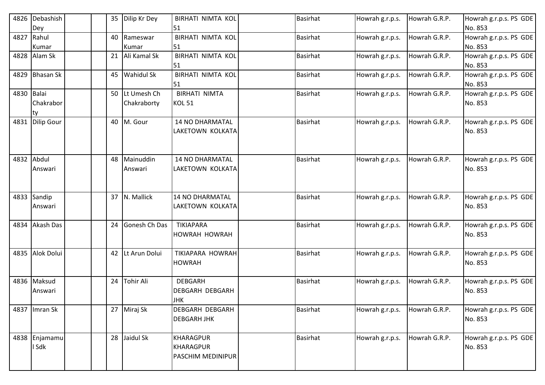| 4826       | Debashish<br>Dey       |    | 35 Dilip Kr Dey               | <b>BIRHATI NIMTA KOL</b><br>51                         | <b>Basirhat</b> | Howrah g.r.p.s. | Howrah G.R.P. | Howrah g.r.p.s. PS GDE<br>No. 853 |
|------------|------------------------|----|-------------------------------|--------------------------------------------------------|-----------------|-----------------|---------------|-----------------------------------|
|            | 4827 Rahul<br>Kumar    | 40 | Rameswar<br>Kumar             | <b>BIRHATI NIMTA KOL</b><br>51                         | <b>Basirhat</b> | Howrah g.r.p.s. | Howrah G.R.P. | Howrah g.r.p.s. PS GDE<br>No. 853 |
|            | 4828 Alam Sk           |    | Ali Kamal Sk<br>21            | <b>BIRHATI NIMTA KOL</b><br>51                         | <b>Basirhat</b> | Howrah g.r.p.s. | Howrah G.R.P. | Howrah g.r.p.s. PS GDE<br>No. 853 |
|            | 4829 Bhasan Sk         |    | 45 Wahidul Sk                 | <b>BIRHATI NIMTA KOL</b><br>51                         | <b>Basirhat</b> | Howrah g.r.p.s. | Howrah G.R.P. | Howrah g.r.p.s. PS GDE<br>No. 853 |
| 4830 Balai | Chakrabor<br>ty        |    | 50 Lt Umesh Ch<br>Chakraborty | <b>BIRHATI NIMTA</b><br><b>KOL 51</b>                  | <b>Basirhat</b> | Howrah g.r.p.s. | Howrah G.R.P. | Howrah g.r.p.s. PS GDE<br>No. 853 |
| 4831       | Dilip Gour             |    | 40 M. Gour                    | <b>14 NO DHARMATAL</b><br>LAKETOWN KOLKATA             | <b>Basirhat</b> | Howrah g.r.p.s. | Howrah G.R.P. | Howrah g.r.p.s. PS GDE<br>No. 853 |
|            | 4832 Abdul<br>Answari  |    | 48 Mainuddin<br>Answari       | <b>14 NO DHARMATAL</b><br>LAKETOWN KOLKATA             | <b>Basirhat</b> | Howrah g.r.p.s. | Howrah G.R.P. | Howrah g.r.p.s. PS GDE<br>No. 853 |
|            | 4833 Sandip<br>Answari |    | 37 N. Mallick                 | <b>14 NO DHARMATAL</b><br>LAKETOWN KOLKATA             | Basirhat        | Howrah g.r.p.s. | Howrah G.R.P. | Howrah g.r.p.s. PS GDE<br>No. 853 |
|            | 4834 Akash Das         |    | 24 Gonesh Ch Das              | <b>TIKIAPARA</b><br>HOWRAH HOWRAH                      | Basirhat        | Howrah g.r.p.s. | Howrah G.R.P. | Howrah g.r.p.s. PS GDE<br>No. 853 |
|            | 4835 Alok Dolui        |    | 42 Lt Arun Dolui              | TIKIAPARA HOWRAH<br><b>HOWRAH</b>                      | <b>Basirhat</b> | Howrah g.r.p.s. | Howrah G.R.P. | Howrah g.r.p.s. PS GDE<br>No. 853 |
|            | 4836 Maksud<br>Answari |    | 24 Tohir Ali                  | <b>DEBGARH</b><br><b>DEBGARH DEBGARH</b><br><b>JHK</b> | <b>Basirhat</b> | Howrah g.r.p.s. | Howrah G.R.P. | Howrah g.r.p.s. PS GDE<br>No. 853 |
|            | 4837   Imran Sk        |    | 27 Miraj Sk                   | DEBGARH DEBGARH<br><b>DEBGARH JHK</b>                  | <b>Basirhat</b> | Howrah g.r.p.s. | Howrah G.R.P. | Howrah g.r.p.s. PS GDE<br>No. 853 |
|            | 4838 Enjamamu<br>I Sdk |    | 28 Jaidul Sk                  | KHARAGPUR<br>KHARAGPUR<br>PASCHIM MEDINIPUR            | <b>Basirhat</b> | Howrah g.r.p.s. | Howrah G.R.P. | Howrah g.r.p.s. PS GDE<br>No. 853 |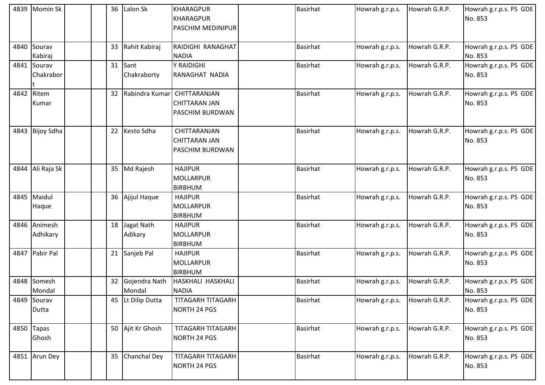|      | 4839 Momin Sk            |                 | 36 Lalon Sk             | <b>KHARAGPUR</b><br>KHARAGPUR<br><b>PASCHIM MEDINIPUR</b>      | <b>Basirhat</b> | Howrah g.r.p.s. | Howrah G.R.P. | Howrah g.r.p.s. PS GDE<br>No. 853 |
|------|--------------------------|-----------------|-------------------------|----------------------------------------------------------------|-----------------|-----------------|---------------|-----------------------------------|
| 4840 | Sourav<br>Kabiraj        |                 | 33 Rahit Kabiraj        | RAIDIGHI RANAGHAT<br><b>NADIA</b>                              | <b>Basirhat</b> | Howrah g.r.p.s. | Howrah G.R.P. | Howrah g.r.p.s. PS GDE<br>No. 853 |
|      | 4841 Sourav<br>Chakrabor |                 | 31 Sant<br>Chakraborty  | Y RAIDIGHI<br>RANAGHAT NADIA                                   | <b>Basirhat</b> | Howrah g.r.p.s. | Howrah G.R.P. | Howrah g.r.p.s. PS GDE<br>No. 853 |
|      | 4842 Ritem<br>Kumar      |                 | 32 Rabindra Kumar       | CHITTARANJAN<br><b>CHITTARAN JAN</b><br><b>PASCHIM BURDWAN</b> | <b>Basirhat</b> | Howrah g.r.p.s. | Howrah G.R.P. | Howrah g.r.p.s. PS GDE<br>No. 853 |
| 4843 | <b>Bijoy Sdha</b>        |                 | 22 Kesto Sdha           | CHITTARANJAN<br><b>CHITTARAN JAN</b><br><b>PASCHIM BURDWAN</b> | <b>Basirhat</b> | Howrah g.r.p.s. | Howrah G.R.P. | Howrah g.r.p.s. PS GDE<br>No. 853 |
|      | 4844 Ali Raja Sk         |                 | 35 Md Rajesh            | <b>HAJIPUR</b><br>MOLLARPUR<br><b>BIRBHUM</b>                  | <b>Basirhat</b> | Howrah g.r.p.s. | Howrah G.R.P. | Howrah g.r.p.s. PS GDE<br>No. 853 |
|      | 4845 Maidul<br>Haque     |                 | 36 Ajijul Haque         | <b>HAJIPUR</b><br>MOLLARPUR<br><b>BIRBHUM</b>                  | <b>Basirhat</b> | Howrah g.r.p.s. | Howrah G.R.P. | Howrah g.r.p.s. PS GDE<br>No. 853 |
|      | 4846 Animesh<br>Adhikary | 18              | Jagat Nath<br>Adikary   | <b>HAJIPUR</b><br>MOLLARPUR<br><b>BIRBHUM</b>                  | <b>Basirhat</b> | Howrah g.r.p.s. | Howrah G.R.P. | Howrah g.r.p.s. PS GDE<br>No. 853 |
|      | 4847 Pabir Pal           |                 | 21 Sanjeb Pal           | <b>HAJIPUR</b><br>MOLLARPUR<br><b>BIRBHUM</b>                  | <b>Basirhat</b> | Howrah g.r.p.s. | Howrah G.R.P. | Howrah g.r.p.s. PS GDE<br>No. 853 |
|      | 4848 Somesh<br>Mondal    | 32 <sub>2</sub> | Gojendra Nath<br>Mondal | <b>HASKHALI HASKHALI</b><br><b>NADIA</b>                       | <b>Basirhat</b> | Howrah g.r.p.s. | Howrah G.R.P. | Howrah g.r.p.s. PS GDE<br>No. 853 |
|      | 4849 Sourav<br>Dutta     |                 | 45 Lt Dilip Dutta       | <b>TITAGARH TITAGARH</b><br>NORTH 24 PGS                       | <b>Basirhat</b> | Howrah g.r.p.s. | Howrah G.R.P. | Howrah g.r.p.s. PS GDE<br>No. 853 |
|      | 4850 Tapas<br>Ghosh      |                 | 50 Ajit Kr Ghosh        | <b>TITAGARH TITAGARH</b><br><b>NORTH 24 PGS</b>                | <b>Basirhat</b> | Howrah g.r.p.s. | Howrah G.R.P. | Howrah g.r.p.s. PS GDE<br>No. 853 |
|      | 4851 Arun Dey            |                 | 35 Chanchal Dey         | <b>TITAGARH TITAGARH</b><br>NORTH 24 PGS                       | <b>Basirhat</b> | Howrah g.r.p.s. | Howrah G.R.P. | Howrah g.r.p.s. PS GDE<br>No. 853 |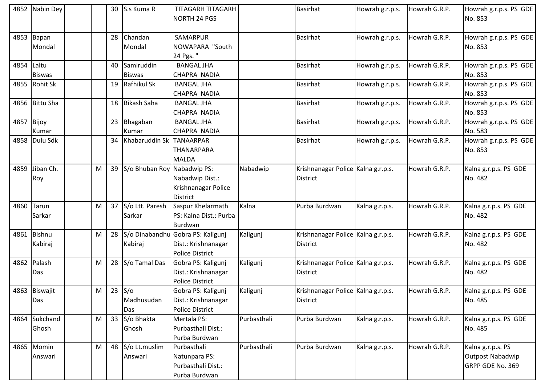|            | 4852 Nabin Dey |   |    | 30 S.s Kuma R               | TITAGARH TITAGARH                    |             | <b>Basirhat</b>                    | Howrah g.r.p.s. | Howrah G.R.P. | Howrah g.r.p.s. PS GDE |
|------------|----------------|---|----|-----------------------------|--------------------------------------|-------------|------------------------------------|-----------------|---------------|------------------------|
|            |                |   |    |                             | <b>NORTH 24 PGS</b>                  |             |                                    |                 |               | No. 853                |
|            |                |   |    |                             |                                      |             |                                    |                 |               |                        |
|            | 4853 Bapan     |   | 28 | Chandan                     | SAMARPUR                             |             | <b>Basirhat</b>                    | Howrah g.r.p.s. | Howrah G.R.P. | Howrah g.r.p.s. PS GDE |
|            | Mondal         |   |    | Mondal                      | NOWAPARA "South                      |             |                                    |                 |               | No. 853                |
|            |                |   |    |                             | 24 Pgs."                             |             |                                    |                 |               |                        |
| 4854 Laltu |                |   |    | 40 Samiruddin               | <b>BANGAL JHA</b>                    |             | <b>Basirhat</b>                    | Howrah g.r.p.s. | Howrah G.R.P. | Howrah g.r.p.s. PS GDE |
|            | <b>Biswas</b>  |   |    | <b>Biswas</b>               | CHAPRA NADIA                         |             |                                    |                 |               | No. 853                |
|            | 4855 Rohit Sk  |   |    | 19 Rafhikul Sk              | <b>BANGAL JHA</b>                    |             | Basirhat                           | Howrah g.r.p.s. | Howrah G.R.P. | Howrah g.r.p.s. PS GDE |
|            |                |   |    |                             | CHAPRA NADIA                         |             |                                    |                 |               | No. 853                |
|            | 4856 Bittu Sha |   |    | 18 Bikash Saha              | <b>BANGAL JHA</b>                    |             | <b>Basirhat</b>                    | Howrah g.r.p.s. | Howrah G.R.P. | Howrah g.r.p.s. PS GDE |
|            |                |   |    |                             | CHAPRA NADIA                         |             |                                    |                 |               | No. 853                |
| 4857       | Bijoy          |   |    | 23 Bhagaban                 | <b>BANGAL JHA</b>                    |             | <b>Basirhat</b>                    | Howrah g.r.p.s. | Howrah G.R.P. | Howrah g.r.p.s. PS GDE |
|            | Kumar          |   |    | Kumar                       | CHAPRA NADIA                         |             |                                    |                 |               | No. 583                |
|            | 4858 Dulu Sdk  |   |    | 34 Khabaruddin Sk TANAARPAR |                                      |             | <b>Basirhat</b>                    | Howrah g.r.p.s. | Howrah G.R.P. | Howrah g.r.p.s. PS GDE |
|            |                |   |    |                             | THANARPARA                           |             |                                    |                 |               | No. 853                |
|            |                |   |    |                             | <b>MALDA</b>                         |             |                                    |                 |               |                        |
| 4859       | Jiban Ch.      | M |    | 39 S/o Bhuban Roy           | Nabadwip PS:                         | Nabadwip    | Krishnanagar Police Kalna g.r.p.s. |                 | Howrah G.R.P. | Kalna g.r.p.s. PS GDE  |
|            | Roy            |   |    |                             | Nabadwip Dist.:                      |             | <b>District</b>                    |                 |               | No. 482                |
|            |                |   |    |                             | Krishnanagar Police                  |             |                                    |                 |               |                        |
|            |                |   |    |                             | <b>District</b>                      |             |                                    |                 |               |                        |
|            | 4860 Tarun     | M |    | 37 S/o Ltt. Paresh          | Saspur Khelarmath                    | Kalna       | Purba Burdwan                      | Kalna g.r.p.s.  | Howrah G.R.P. | Kalna g.r.p.s. PS GDE  |
|            | Sarkar         |   |    | Sarkar                      | PS: Kalna Dist.: Purba               |             |                                    |                 |               | No. 482                |
|            |                |   |    |                             | Burdwan                              |             |                                    |                 |               |                        |
|            | 4861 Bishnu    | M |    |                             | 28 S/o Dinabandhu Gobra PS: Kaligunj | Kaligunj    | Krishnanagar Police Kalna g.r.p.s. |                 | Howrah G.R.P. | Kalna g.r.p.s. PS GDE  |
|            | Kabiraj        |   |    | Kabiraj                     | Dist.: Krishnanagar                  |             | <b>District</b>                    |                 |               | No. 482                |
|            |                |   |    |                             | <b>Police District</b>               |             |                                    |                 |               |                        |
|            | 4862 Palash    | M |    | 28 S/o Tamal Das            | Gobra PS: Kaligunj                   | Kaligunj    | Krishnanagar Police Kalna g.r.p.s. |                 | Howrah G.R.P. | Kalna g.r.p.s. PS GDE  |
|            | Das            |   |    |                             | Dist.: Krishnanagar                  |             | <b>District</b>                    |                 |               | No. 482                |
|            |                |   |    |                             | <b>Police District</b>               |             |                                    |                 |               |                        |
|            | 4863 Biswajit  | M |    | $23$ S/o                    | Gobra PS: Kaligunj                   | Kaligunj    | Krishnanagar Police Kalna g.r.p.s. |                 | Howrah G.R.P. | Kalna g.r.p.s. PS GDE  |
|            | Das            |   |    | Madhusudan                  | Dist.: Krishnanagar                  |             | <b>District</b>                    |                 |               | No. 485                |
|            |                |   |    | Das                         | <b>Police District</b>               |             |                                    |                 |               |                        |
|            | 4864 Sukchand  | M |    | 33 S/o Bhakta               | Mertala PS:                          | Purbasthali | Purba Burdwan                      | Kalna g.r.p.s.  | Howrah G.R.P. | Kalna g.r.p.s. PS GDE  |
|            | Ghosh          |   |    | Ghosh                       | Purbasthali Dist.:                   |             |                                    |                 |               | No. 485                |
|            |                |   |    |                             | Purba Burdwan                        |             |                                    |                 |               |                        |
|            | 4865 Momin     | M |    | 48 S/o Lt.muslim            | Purbasthali                          | Purbasthali | Purba Burdwan                      | Kalna g.r.p.s.  | Howrah G.R.P. | Kalna g.r.p.s. PS      |
|            | Answari        |   |    | Answari                     | Natunpara PS:                        |             |                                    |                 |               | Outpost Nabadwip       |
|            |                |   |    |                             | Purbasthali Dist.:                   |             |                                    |                 |               | GRPP GDE No. 369       |
|            |                |   |    |                             | Purba Burdwan                        |             |                                    |                 |               |                        |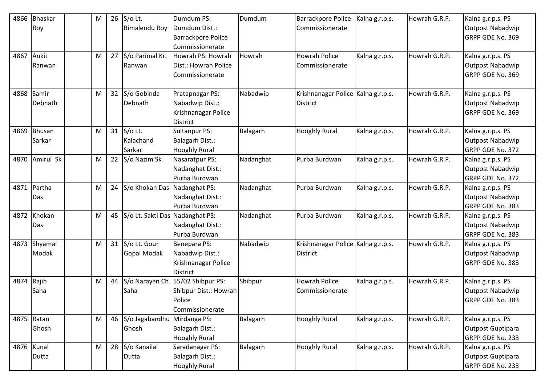| 4866 | <b>Bhaskar</b> | M |    | 26 S/o Lt.                      | Dumdum PS:                | Dumdum    | Barrackpore Police                   | Kalna g.r.p.s. | Howrah G.R.P. | Kalna g.r.p.s. PS       |
|------|----------------|---|----|---------------------------------|---------------------------|-----------|--------------------------------------|----------------|---------------|-------------------------|
|      | Roy            |   |    | <b>Bimalendu Roy</b>            | Dumdum Dist.:             |           | Commissionerate                      |                |               | Outpost Nabadwip        |
|      |                |   |    |                                 | <b>Barrackpore Police</b> |           |                                      |                |               | GRPP GDE No. 369        |
|      |                |   |    |                                 | Commissionerate           |           |                                      |                |               |                         |
| 4867 | Ankit          | M |    | 27 S/o Parimal Kr.              | Howrah PS: Howrah         | Howrah    | <b>Howrah Police</b>                 | Kalna g.r.p.s. | Howrah G.R.P. | Kalna g.r.p.s. PS       |
|      | Ranwan         |   |    | Ranwan                          | Dist.: Howrah Police      |           | Commissionerate                      |                |               | Outpost Nabadwip        |
|      |                |   |    |                                 | Commissionerate           |           |                                      |                |               | GRPP GDE No. 369        |
|      |                |   |    |                                 |                           |           |                                      |                |               |                         |
| 4868 | Samir          | M |    | 32 S/o Gobinda                  | Pratapnagar PS:           | Nabadwip  | Krishnanagar Police   Kalna g.r.p.s. |                | Howrah G.R.P. | Kalna g.r.p.s. PS       |
|      | Debnath        |   |    | Debnath                         | Nabadwip Dist.:           |           | District                             |                |               | <b>Outpost Nabadwip</b> |
|      |                |   |    |                                 | Krishnanagar Police       |           |                                      |                |               | GRPP GDE No. 369        |
|      |                |   |    |                                 | <b>District</b>           |           |                                      |                |               |                         |
| 4869 | <b>Bhusan</b>  | M |    | 31 $S$ /o Lt.                   | Sultanpur PS:             | Balagarh  | <b>Hooghly Rural</b>                 | Kalna g.r.p.s. | Howrah G.R.P. | Kalna g.r.p.s. PS       |
|      | Sarkar         |   |    | Kalachand                       | Balagarh Dist.:           |           |                                      |                |               | Outpost Nabadwip        |
|      |                |   |    | Sarkar                          | <b>Hooghly Rural</b>      |           |                                      |                |               | GRPP GDE No. 372        |
| 4870 | Amirul Sk      | M |    | 22 S/o Nazim Sk                 | Nasaratpur PS:            | Nadanghat | Purba Burdwan                        | Kalna g.r.p.s. | Howrah G.R.P. | Kalna g.r.p.s. PS       |
|      |                |   |    |                                 | Nadanghat Dist.:          |           |                                      |                |               | <b>Outpost Nabadwip</b> |
|      |                |   |    |                                 | Purba Burdwan             |           |                                      |                |               | GRPP GDE No. 372        |
|      | 4871 Partha    | M |    | 24 S/o Khokan Das Nadanghat PS: |                           | Nadanghat | Purba Burdwan                        | Kalna g.r.p.s. | Howrah G.R.P. | Kalna g.r.p.s. PS       |
|      | Das            |   |    |                                 | Nadanghat Dist.:          |           |                                      |                |               | Outpost Nabadwip        |
|      |                |   |    |                                 | Purba Burdwan             |           |                                      |                |               | GRPP GDE No. 383        |
| 4872 | Khokan         | M | 45 | S/o Lt. Sakti Das Nadanghat PS: |                           | Nadanghat | Purba Burdwan                        | Kalna g.r.p.s. | Howrah G.R.P. | Kalna g.r.p.s. PS       |
|      | Das            |   |    |                                 | Nadanghat Dist.:          |           |                                      |                |               | Outpost Nabadwip        |
|      |                |   |    |                                 | Purba Burdwan             |           |                                      |                |               | GRPP GDE No. 383        |
|      | 4873 Shyamal   | M |    | 31 S/o Lt. Gour                 | Benepara PS:              | Nabadwip  | Krishnanagar Police Kalna g.r.p.s.   |                | Howrah G.R.P. | Kalna g.r.p.s. PS       |
|      | Modak          |   |    | <b>Gopal Modak</b>              | Nabadwip Dist.:           |           | <b>District</b>                      |                |               | <b>Outpost Nabadwip</b> |
|      |                |   |    |                                 | Krishnanagar Police       |           |                                      |                |               | GRPP GDE No. 383        |
|      |                |   |    |                                 | <b>District</b>           |           |                                      |                |               |                         |
| 4874 | Rajib          | M | 44 | S/o Narayan Ch.                 | . 55/02 Shibpur PS:       | Shibpur   | <b>Howrah Police</b>                 | Kalna g.r.p.s. | Howrah G.R.P. | Kalna g.r.p.s. PS       |
|      | Saha           |   |    | Saha                            | Shibpur Dist.: Howrah     |           | Commissionerate                      |                |               | Outpost Nabadwip        |
|      |                |   |    |                                 | Police                    |           |                                      |                |               | GRPP GDE No. 383        |
|      |                |   |    |                                 | Commissionerate           |           |                                      |                |               |                         |
|      | 4875 Ratan     | M |    | 46 S/o Jagabandhu Mirdanga PS:  |                           | Balagarh  | <b>Hooghly Rural</b>                 | Kalna g.r.p.s. | Howrah G.R.P. | Kalna g.r.p.s. PS       |
|      | Ghosh          |   |    | Ghosh                           | Balagarh Dist.:           |           |                                      |                |               | Outpost Guptipara       |
|      |                |   |    |                                 | <b>Hooghly Rural</b>      |           |                                      |                |               | GRPP GDE No. 233        |
|      | 4876 Kunal     | M |    | 28 S/o Kanailal                 | Saradanagar PS:           | Balagarh  | <b>Hooghly Rural</b>                 | Kalna g.r.p.s. | Howrah G.R.P. | Kalna g.r.p.s. PS       |
|      | Dutta          |   |    | Dutta                           | Balagarh Dist.:           |           |                                      |                |               | Outpost Guptipara       |
|      |                |   |    |                                 | <b>Hooghly Rural</b>      |           |                                      |                |               | GRPP GDE No. 233        |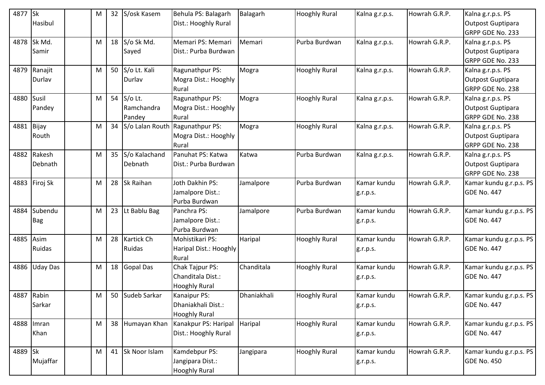| 4877 Sk | Hasibul                | M | 32 | S/osk Kasem                        | Behula PS: Balagarh<br>Dist.: Hooghly Rural                      | Balagarh    | <b>Hooghly Rural</b> | Kalna g.r.p.s.          | Howrah G.R.P. | Kalna g.r.p.s. PS<br><b>Outpost Guptipara</b>              |
|---------|------------------------|---|----|------------------------------------|------------------------------------------------------------------|-------------|----------------------|-------------------------|---------------|------------------------------------------------------------|
|         |                        |   |    |                                    |                                                                  |             |                      |                         |               | GRPP GDE No. 233                                           |
| 4878    | Sk Md.<br>Samir        | M |    | 18 S/o Sk Md.<br>Sayed             | Memari PS: Memari<br>Dist.: Purba Burdwan                        | Memari      | Purba Burdwan        | Kalna g.r.p.s.          | Howrah G.R.P. | Kalna g.r.p.s. PS<br>Outpost Guptipara<br>GRPP GDE No. 233 |
|         | 4879 Ranajit<br>Durlav | M |    | 50 S/o Lt. Kali<br>Durlav          | Ragunathpur PS:<br>Mogra Dist.: Hooghly<br>Rural                 | Mogra       | <b>Hooghly Rural</b> | Kalna g.r.p.s.          | Howrah G.R.P. | Kalna g.r.p.s. PS<br>Outpost Guptipara<br>GRPP GDE No. 238 |
| 4880    | Susil<br>Pandey        | M |    | 54 S/o Lt.<br>Ramchandra<br>Pandey | Ragunathpur PS:<br>Mogra Dist.: Hooghly<br>Rural                 | Mogra       | <b>Hooghly Rural</b> | Kalna g.r.p.s.          | Howrah G.R.P. | Kalna g.r.p.s. PS<br>Outpost Guptipara<br>GRPP GDE No. 238 |
| 4881    | Bijay<br>Routh         | M | 34 |                                    | S/o Lalan Routh Ragunathpur PS:<br>Mogra Dist.: Hooghly<br>Rural | Mogra       | <b>Hooghly Rural</b> | Kalna g.r.p.s.          | Howrah G.R.P. | Kalna g.r.p.s. PS<br>Outpost Guptipara<br>GRPP GDE No. 238 |
| 4882    | Rakesh<br>Debnath      | M |    | 35 S/o Kalachand<br>Debnath        | Panuhat PS: Katwa<br>Dist.: Purba Burdwan                        | Katwa       | Purba Burdwan        | Kalna g.r.p.s.          | Howrah G.R.P. | Kalna g.r.p.s. PS<br>Outpost Guptipara<br>GRPP GDE No. 238 |
| 4883    | Firoj Sk               | M |    | 28 Sk Raihan                       | Joth Dakhin PS:<br>Jamalpore Dist.:<br>Purba Burdwan             | Jamalpore   | Purba Burdwan        | Kamar kundu<br>g.r.p.s. | Howrah G.R.P. | Kamar kundu g.r.p.s. PS<br><b>GDE No. 447</b>              |
| 4884    | Subendu<br><b>Bag</b>  | M | 23 | Lt Bablu Bag                       | Panchra PS:<br>Jamalpore Dist.:<br>Purba Burdwan                 | Jamalpore   | Purba Burdwan        | Kamar kundu<br>g.r.p.s. | Howrah G.R.P. | Kamar kundu g.r.p.s. PS<br><b>GDE No. 447</b>              |
| 4885    | Asim<br>Ruidas         | M |    | 28 Kartick Ch<br>Ruidas            | Mohistikari PS:<br>Haripal Dist.: Hooghly<br>Rural               | Haripal     | <b>Hooghly Rural</b> | Kamar kundu<br>g.r.p.s. | Howrah G.R.P. | Kamar kundu g.r.p.s. PS<br><b>GDE No. 447</b>              |
| 4886    | <b>Uday Das</b>        | M |    | 18 Gopal Das                       | Chak Tajpur PS:<br>Chanditala Dist.:<br><b>Hooghly Rural</b>     | Chanditala  | <b>Hooghly Rural</b> | Kamar kundu<br>g.r.p.s. | Howrah G.R.P. | Kamar kundu g.r.p.s. PS<br><b>GDE No. 447</b>              |
|         | 4887 Rabin<br>Sarkar   | M |    | 50 Sudeb Sarkar                    | Kanaipur PS:<br>Dhaniakhali Dist.:<br><b>Hooghly Rural</b>       | Dhaniakhali | <b>Hooghly Rural</b> | Kamar kundu<br>g.r.p.s. | Howrah G.R.P. | Kamar kundu g.r.p.s. PS<br><b>GDE No. 447</b>              |
|         | 4888 Imran<br>Khan     | M |    | 38 Humayan Khan                    | Kanakpur PS: Haripal<br>Dist.: Hooghly Rural                     | Haripal     | <b>Hooghly Rural</b> | Kamar kundu<br>g.r.p.s. | Howrah G.R.P. | Kamar kundu g.r.p.s. PS<br><b>GDE No. 447</b>              |
| 4889 Sk | Mujaffar               | M |    | 41 Sk Noor Islam                   | Kamdebpur PS:<br>Jangipara Dist.:<br><b>Hooghly Rural</b>        | Jangipara   | <b>Hooghly Rural</b> | Kamar kundu<br>g.r.p.s. | Howrah G.R.P. | Kamar kundu g.r.p.s. PS<br><b>GDE No. 450</b>              |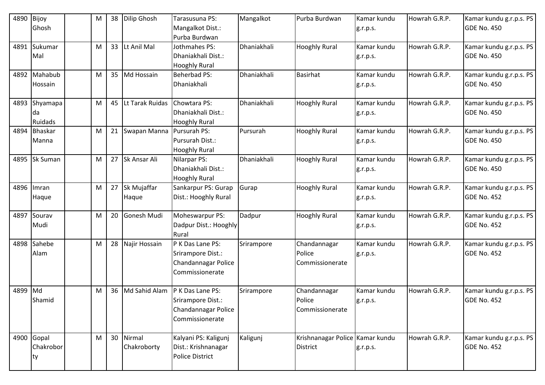| 4890    | Bijoy<br>Ghosh                | M | 38              | Dilip Ghosh              | Tarasusuna PS:<br>Mangalkot Dist.:<br>Purba Burdwan                             | Mangalkot   | Purba Burdwan                                      | Kamar kundu<br>g.r.p.s. | Howrah G.R.P. | Kamar kundu g.r.p.s. PS<br>GDE No. 450        |
|---------|-------------------------------|---|-----------------|--------------------------|---------------------------------------------------------------------------------|-------------|----------------------------------------------------|-------------------------|---------------|-----------------------------------------------|
| 4891    | Sukumar<br>Mal                | M | 33 <sup>°</sup> | Lt Anil Mal              | Jothmahes PS:<br>Dhaniakhali Dist.:<br><b>Hooghly Rural</b>                     | Dhaniakhali | <b>Hooghly Rural</b>                               | Kamar kundu<br>g.r.p.s. | Howrah G.R.P. | Kamar kundu g.r.p.s. PS<br><b>GDE No. 450</b> |
| 4892    | Mahabub<br>Hossain            | M |                 | 35 Md Hossain            | <b>Beherbad PS:</b><br>Dhaniakhali                                              | Dhaniakhali | <b>Basirhat</b>                                    | Kamar kundu<br>g.r.p.s. | Howrah G.R.P. | Kamar kundu g.r.p.s. PS<br><b>GDE No. 450</b> |
| 4893    | Shyamapa<br>da<br>Ruidads     | M | 45              | Lt Tarak Ruidas          | Chowtara PS:<br>Dhaniakhali Dist.:<br><b>Hooghly Rural</b>                      | Dhaniakhali | <b>Hooghly Rural</b>                               | Kamar kundu<br>g.r.p.s. | Howrah G.R.P. | Kamar kundu g.r.p.s. PS<br>GDE No. 450        |
| 4894    | Bhaskar<br>Manna              | M | 21              | Swapan Manna             | Pursurah PS:<br>Pursurah Dist.:<br><b>Hooghly Rural</b>                         | Pursurah    | <b>Hooghly Rural</b>                               | Kamar kundu<br>g.r.p.s. | Howrah G.R.P. | Kamar kundu g.r.p.s. PS<br><b>GDE No. 450</b> |
| 4895    | Sk Suman                      | M |                 | 27 Sk Ansar Ali          | Nilarpar PS:<br>Dhaniakhali Dist.:<br><b>Hooghly Rural</b>                      | Dhaniakhali | <b>Hooghly Rural</b>                               | Kamar kundu<br>g.r.p.s. | Howrah G.R.P. | Kamar kundu g.r.p.s. PS<br><b>GDE No. 450</b> |
| 4896    | Imran<br>Haque                | M |                 | 27 Sk Mujaffar<br>Haque  | Sankarpur PS: Gurap<br>Dist.: Hooghly Rural                                     | Gurap       | <b>Hooghly Rural</b>                               | Kamar kundu<br>g.r.p.s. | Howrah G.R.P. | Kamar kundu g.r.p.s. PS<br><b>GDE No. 452</b> |
| 4897    | Sourav<br>Mudi                | M | 20              | Gonesh Mudi              | Moheswarpur PS:<br>Dadpur Dist.: Hooghly<br>Rural                               | Dadpur      | <b>Hooghly Rural</b>                               | Kamar kundu<br>g.r.p.s. | Howrah G.R.P. | Kamar kundu g.r.p.s. PS<br>GDE No. 452        |
| 4898    | Sahebe<br>Alam                | M | 28              | Najir Hossain            | P K Das Lane PS:<br>Srirampore Dist.:<br>Chandannagar Police<br>Commissionerate | Srirampore  | Chandannagar<br>Police<br>Commissionerate          | Kamar kundu<br>g.r.p.s. | Howrah G.R.P. | Kamar kundu g.r.p.s. PS<br><b>GDE No. 452</b> |
| 4899 Md | Shamid                        | M | 36              | Md Sahid Alam            | P K Das Lane PS:<br>Srirampore Dist.:<br>Chandannagar Police<br>Commissionerate | Srirampore  | Chandannagar<br>Police<br>Commissionerate          | Kamar kundu<br>g.r.p.s. | Howrah G.R.P. | Kamar kundu g.r.p.s. PS<br>GDE No. 452        |
|         | 4900 Gopal<br>Chakrobor<br>ty | M |                 | 30 Nirmal<br>Chakroborty | Kalyani PS: Kaligunj<br>Dist.: Krishnanagar<br>Police District                  | Kaligunj    | Krishnanagar Police Kamar kundu<br><b>District</b> | g.r.p.s.                | Howrah G.R.P. | Kamar kundu g.r.p.s. PS<br><b>GDE No. 452</b> |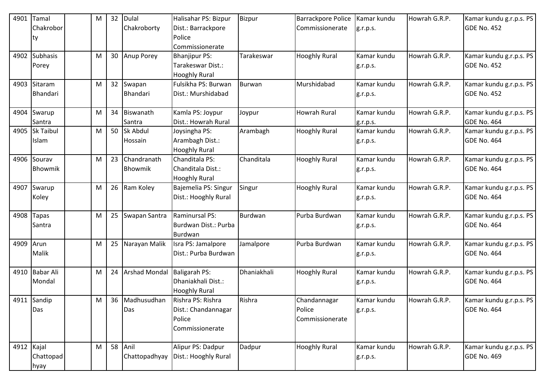| 4901       | Tamal            | M |    | 32 Dulal         | Halisahar PS: Bizpur                    | Bizpur        | <b>Barrackpore Police</b> | Kamar kundu | Howrah G.R.P. | Kamar kundu g.r.p.s. PS |
|------------|------------------|---|----|------------------|-----------------------------------------|---------------|---------------------------|-------------|---------------|-------------------------|
|            | Chakrobor        |   |    | Chakroborty      | Dist.: Barrackpore                      |               | Commissionerate           | g.r.p.s.    |               | <b>GDE No. 452</b>      |
|            | ty               |   |    |                  | Police                                  |               |                           |             |               |                         |
|            |                  |   |    |                  | Commissionerate                         |               |                           |             |               |                         |
| 4902       | <b>Subhasis</b>  | M |    | 30 Anup Porey    | <b>Bhanjipur PS:</b>                    | Tarakeswar    | <b>Hooghly Rural</b>      | Kamar kundu | Howrah G.R.P. | Kamar kundu g.r.p.s. PS |
|            | Porey            |   |    |                  | Tarakeswar Dist.:                       |               |                           | g.r.p.s.    |               | <b>GDE No. 452</b>      |
|            |                  |   |    |                  | <b>Hooghly Rural</b>                    |               |                           |             |               |                         |
| 4903       | Sitaram          | M |    | 32 Swapan        | Fulsikha PS: Burwan                     | <b>Burwan</b> | Murshidabad               | Kamar kundu | Howrah G.R.P. | Kamar kundu g.r.p.s. PS |
|            | <b>Bhandari</b>  |   |    | Bhandari         | Dist.: Murshidabad                      |               |                           | g.r.p.s.    |               | <b>GDE No. 452</b>      |
|            | 4904 Swarup      | M |    | 34 Biswanath     | Kamla PS: Joypur                        | Joypur        | <b>Howrah Rural</b>       | Kamar kundu | Howrah G.R.P. | Kamar kundu g.r.p.s. PS |
|            | Santra           |   |    | Santra           | Dist.: Howrah Rural                     |               |                           | g.r.p.s.    |               | <b>GDE No. 464</b>      |
| 4905       | <b>Sk Taibul</b> | M |    | 50 Sk Abdul      | Joysingha PS:                           | Arambagh      | <b>Hooghly Rural</b>      | Kamar kundu | Howrah G.R.P. | Kamar kundu g.r.p.s. PS |
|            | <b>Islam</b>     |   |    | Hossain          | Arambagh Dist.:<br><b>Hooghly Rural</b> |               |                           | g.r.p.s.    |               | <b>GDE No. 464</b>      |
| 4906       | Sourav           | M |    | 23 Chandranath   | Chanditala PS:                          | Chanditala    | <b>Hooghly Rural</b>      | Kamar kundu | Howrah G.R.P. | Kamar kundu g.r.p.s. PS |
|            | <b>Bhowmik</b>   |   |    | Bhowmik          | Chanditala Dist.:                       |               |                           | g.r.p.s.    |               | <b>GDE No. 464</b>      |
|            |                  |   |    |                  | <b>Hooghly Rural</b>                    |               |                           |             |               |                         |
| 4907       | Swarup           | M |    | 26 Ram Koley     | Bajemelia PS: Singur                    | Singur        | <b>Hooghly Rural</b>      | Kamar kundu | Howrah G.R.P. | Kamar kundu g.r.p.s. PS |
|            | Koley            |   |    |                  | Dist.: Hooghly Rural                    |               |                           | g.r.p.s.    |               | <b>GDE No. 464</b>      |
| 4908       | <b>Tapas</b>     | M | 25 | Swapan Santra    | <b>Raminursal PS:</b>                   | Burdwan       | Purba Burdwan             | Kamar kundu | Howrah G.R.P. | Kamar kundu g.r.p.s. PS |
|            | Santra           |   |    |                  | Burdwan Dist.: Purba                    |               |                           | g.r.p.s.    |               | <b>GDE No. 464</b>      |
|            |                  |   |    |                  | Burdwan                                 |               |                           |             |               |                         |
| 4909 Arun  |                  | M |    | 25 Narayan Malik | Isra PS: Jamalpore                      | Jamalpore     | Purba Burdwan             | Kamar kundu | Howrah G.R.P. | Kamar kundu g.r.p.s. PS |
|            | Malik            |   |    |                  | Dist.: Purba Burdwan                    |               |                           | g.r.p.s.    |               | <b>GDE No. 464</b>      |
|            |                  |   |    |                  |                                         |               |                           |             |               |                         |
| 4910       | <b>Babar Ali</b> | M |    | 24 Arshad Mondal | <b>Baligarah PS:</b>                    | Dhaniakhali   | <b>Hooghly Rural</b>      | Kamar kundu | Howrah G.R.P. | Kamar kundu g.r.p.s. PS |
|            | Mondal           |   |    |                  | Dhaniakhali Dist.:                      |               |                           | g.r.p.s.    |               | <b>GDE No. 464</b>      |
|            |                  |   |    |                  | <b>Hooghly Rural</b>                    |               |                           |             |               |                         |
|            | 4911 Sandip      | M |    | 36 Madhusudhan   | Rishra PS: Rishra                       | Rishra        | Chandannagar              | Kamar kundu | Howrah G.R.P. | Kamar kundu g.r.p.s. PS |
|            | Das              |   |    | Das              | Dist.: Chandannagar                     |               | Police                    | g.r.p.s.    |               | <b>GDE No. 464</b>      |
|            |                  |   |    |                  | Police                                  |               | Commissionerate           |             |               |                         |
|            |                  |   |    |                  | Commissionerate                         |               |                           |             |               |                         |
| 4912 Kajal |                  | M |    | 58 Anil          | Alipur PS: Dadpur                       | Dadpur        | <b>Hooghly Rural</b>      | Kamar kundu | Howrah G.R.P. | Kamar kundu g.r.p.s. PS |
|            | Chattopad        |   |    | Chattopadhyay    | Dist.: Hooghly Rural                    |               |                           | g.r.p.s.    |               | <b>GDE No. 469</b>      |
|            | hyay             |   |    |                  |                                         |               |                           |             |               |                         |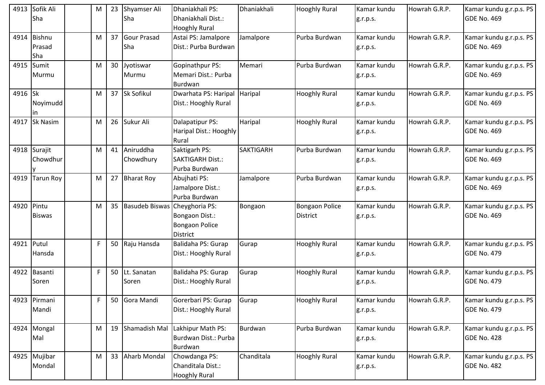| 4913       | Sofik Ali<br>Sha         | M |    | 23 Shyamser Ali<br>Sha    | Dhaniakhali PS:<br>Dhaniakhali Dist.:<br><b>Hooghly Rural</b>         | Dhaniakhali      | <b>Hooghly Rural</b>                     | Kamar kundu<br>g.r.p.s. | Howrah G.R.P. | Kamar kundu g.r.p.s. PS<br><b>GDE No. 469</b> |
|------------|--------------------------|---|----|---------------------------|-----------------------------------------------------------------------|------------------|------------------------------------------|-------------------------|---------------|-----------------------------------------------|
| 4914       | Bishnu<br>Prasad<br>Sha  | M |    | 37 Gour Prasad<br>Sha     | Astai PS: Jamalpore<br>Dist.: Purba Burdwan                           | Jamalpore        | Purba Burdwan                            | Kamar kundu<br>g.r.p.s. | Howrah G.R.P. | Kamar kundu g.r.p.s. PS<br><b>GDE No. 469</b> |
|            | 4915 Sumit<br>Murmu      | M | 30 | Jyotiswar<br>Murmu        | <b>Gopinathpur PS:</b><br>Memari Dist.: Purba<br>Burdwan              | Memari           | Purba Burdwan                            | Kamar kundu<br>g.r.p.s. | Howrah G.R.P. | Kamar kundu g.r.p.s. PS<br><b>GDE No. 469</b> |
| 4916 Sk    | Noyimudd<br>in.          | M |    | 37 Sk Sofikul             | Dwarhata PS: Haripal<br>Dist.: Hooghly Rural                          | Haripal          | <b>Hooghly Rural</b>                     | Kamar kundu<br>g.r.p.s. | Howrah G.R.P. | Kamar kundu g.r.p.s. PS<br>GDE No. 469        |
| 4917       | Sk Nasim                 | M |    | 26 Sukur Ali              | Dalapatipur PS:<br>Haripal Dist.: Hooghly<br>Rural                    | Haripal          | <b>Hooghly Rural</b>                     | Kamar kundu<br>g.r.p.s. | Howrah G.R.P. | Kamar kundu g.r.p.s. PS<br><b>GDE No. 469</b> |
|            | 4918 Surajit<br>Chowdhur | M |    | 41 Aniruddha<br>Chowdhury | Saktigarh PS:<br><b>SAKTIGARH Dist.:</b><br>Purba Burdwan             | <b>SAKTIGARH</b> | Purba Burdwan                            | Kamar kundu<br>g.r.p.s. | Howrah G.R.P. | Kamar kundu g.r.p.s. PS<br>GDE No. 469        |
| 4919       | <b>Tarun Roy</b>         | M |    | 27 Bharat Roy             | Abujhati PS:<br>Jamalpore Dist.:<br>Purba Burdwan                     | Jamalpore        | Purba Burdwan                            | Kamar kundu<br>g.r.p.s. | Howrah G.R.P. | Kamar kundu g.r.p.s. PS<br><b>GDE No. 469</b> |
| 4920 Pintu | <b>Biswas</b>            | M |    | 35 Basudeb Biswas         | Cheyghoria PS:<br>Bongaon Dist.:<br><b>Bongaon Police</b><br>District | Bongaon          | <b>Bongaon Police</b><br><b>District</b> | Kamar kundu<br>g.r.p.s. | Howrah G.R.P. | Kamar kundu g.r.p.s. PS<br>GDE No. 469        |
| 4921 Putul | Hansda                   | F |    | 50 Raju Hansda            | Balidaha PS: Gurap<br>Dist.: Hooghly Rural                            | Gurap            | <b>Hooghly Rural</b>                     | Kamar kundu<br>g.r.p.s. | Howrah G.R.P. | Kamar kundu g.r.p.s. PS<br><b>GDE No. 479</b> |
|            | 4922 Basanti<br>Soren    | F |    | 50 Lt. Sanatan<br>Soren   | Balidaha PS: Gurap<br>Dist.: Hooghly Rural                            | Gurap            | <b>Hooghly Rural</b>                     | Kamar kundu<br>g.r.p.s. | Howrah G.R.P. | Kamar kundu g.r.p.s. PS<br><b>GDE No. 479</b> |
|            | 4923 Pirmani<br>Mandi    | F |    | 50 Gora Mandi             | Gorerbari PS: Gurap<br>Dist.: Hooghly Rural                           | Gurap            | <b>Hooghly Rural</b>                     | Kamar kundu<br>g.r.p.s. | Howrah G.R.P. | Kamar kundu g.r.p.s. PS<br><b>GDE No. 479</b> |
|            | 4924 Mongal<br>Mal       | M |    | 19 Shamadish Mal          | Lakhipur Math PS:<br>Burdwan Dist.: Purba<br>Burdwan                  | Burdwan          | Purba Burdwan                            | Kamar kundu<br>g.r.p.s. | Howrah G.R.P. | Kamar kundu g.r.p.s. PS<br><b>GDE No. 428</b> |
|            | 4925 Mujibar<br>Mondal   | M |    | 33 Aharb Mondal           | Chowdanga PS:<br>Chanditala Dist.:<br><b>Hooghly Rural</b>            | Chanditala       | <b>Hooghly Rural</b>                     | Kamar kundu<br>g.r.p.s. | Howrah G.R.P. | Kamar kundu g.r.p.s. PS<br><b>GDE No. 482</b> |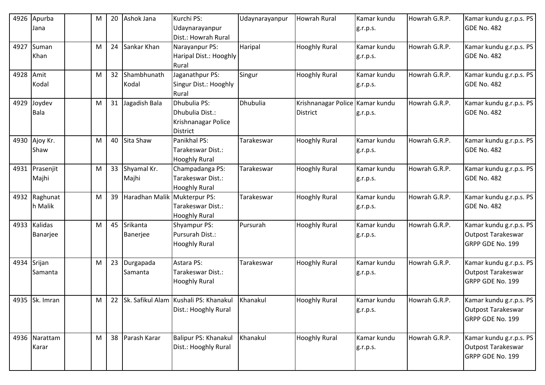|           | 4926 Apurba<br>Jana      | M | 20 | Ashok Jana                   | Kurchi PS:<br>Udaynarayanpur<br>Dist.: Howrah Rural                       | Udaynarayanpur | <b>Howrah Rural</b>                                | Kamar kundu<br>g.r.p.s. | Howrah G.R.P. | Kamar kundu g.r.p.s. PS<br>GDE No. 482                                   |
|-----------|--------------------------|---|----|------------------------------|---------------------------------------------------------------------------|----------------|----------------------------------------------------|-------------------------|---------------|--------------------------------------------------------------------------|
|           | 4927 Suman<br>Khan       | M | 24 | Sankar Khan                  | Narayanpur PS:<br>Haripal Dist.: Hooghly<br>Rural                         | Haripal        | <b>Hooghly Rural</b>                               | Kamar kundu<br>g.r.p.s. | Howrah G.R.P. | Kamar kundu g.r.p.s. PS<br>GDE No. 482                                   |
| 4928 Amit | Kodal                    | M | 32 | Shambhunath<br>Kodal         | Jaganathpur PS:<br>Singur Dist.: Hooghly<br>Rural                         | Singur         | <b>Hooghly Rural</b>                               | Kamar kundu<br>g.r.p.s. | Howrah G.R.P. | Kamar kundu g.r.p.s. PS<br>GDE No. 482                                   |
| 4929      | Joydev<br>Bala           | M | 31 | Jagadish Bala                | Dhubulia PS:<br>Dhubulia Dist.:<br>Krishnanagar Police<br><b>District</b> | Dhubulia       | Krishnanagar Police Kamar kundu<br><b>District</b> | g.r.p.s.                | Howrah G.R.P. | Kamar kundu g.r.p.s. PS<br>GDE No. 482                                   |
|           | 4930 Ajoy Kr.<br>Shaw    | M |    | 40 Sita Shaw                 | Panikhal PS:<br>Tarakeswar Dist.:<br><b>Hooghly Rural</b>                 | Tarakeswar     | <b>Hooghly Rural</b>                               | Kamar kundu<br>g.r.p.s. | Howrah G.R.P. | Kamar kundu g.r.p.s. PS<br>GDE No. 482                                   |
|           | 4931 Prasenjit<br>Majhi  | M |    | 33 Shyamal Kr.<br>Majhi      | Champadanga PS:<br>Tarakeswar Dist.:<br><b>Hooghly Rural</b>              | Tarakeswar     | <b>Hooghly Rural</b>                               | Kamar kundu<br>g.r.p.s. | Howrah G.R.P. | Kamar kundu g.r.p.s. PS<br>GDE No. 482                                   |
|           | 4932 Raghunat<br>h Malik | M | 39 | Haradhan Malik Mukterpur PS: | Tarakeswar Dist.:<br>Hooghly Rural                                        | Tarakeswar     | <b>Hooghly Rural</b>                               | Kamar kundu<br>g.r.p.s. | Howrah G.R.P. | Kamar kundu g.r.p.s. PS<br>GDE No. 482                                   |
|           | 4933 Kalidas<br>Banarjee | M | 45 | Srikanta<br>Banerjee         | Shyampur PS:<br>Pursurah Dist.:<br><b>Hooghly Rural</b>                   | Pursurah       | <b>Hooghly Rural</b>                               | Kamar kundu<br>g.r.p.s. | Howrah G.R.P. | Kamar kundu g.r.p.s. PS<br>Outpost Tarakeswar<br>GRPP GDE No. 199        |
| 4934      | Srijan<br>Samanta        | M | 23 | Durgapada<br>Samanta         | Astara PS:<br>Tarakeswar Dist.:<br><b>Hooghly Rural</b>                   | Tarakeswar     | <b>Hooghly Rural</b>                               | Kamar kundu<br>g.r.p.s. | Howrah G.R.P. | Kamar kundu g.r.p.s. PS<br><b>Outpost Tarakeswar</b><br>GRPP GDE No. 199 |
|           | 4935 Sk. Imran           | M |    |                              | 22 Sk. Safikul Alam Kushali PS: Khanakul<br>Dist.: Hooghly Rural          | Khanakul       | <b>Hooghly Rural</b>                               | Kamar kundu<br>g.r.p.s. | Howrah G.R.P. | Kamar kundu g.r.p.s. PS<br>Outpost Tarakeswar<br>GRPP GDE No. 199        |
|           | 4936 Narattam<br>Karar   | M |    | 38 Parash Karar              | Balipur PS: Khanakul<br>Dist.: Hooghly Rural                              | Khanakul       | <b>Hooghly Rural</b>                               | Kamar kundu<br>g.r.p.s. | Howrah G.R.P. | Kamar kundu g.r.p.s. PS<br>Outpost Tarakeswar<br>GRPP GDE No. 199        |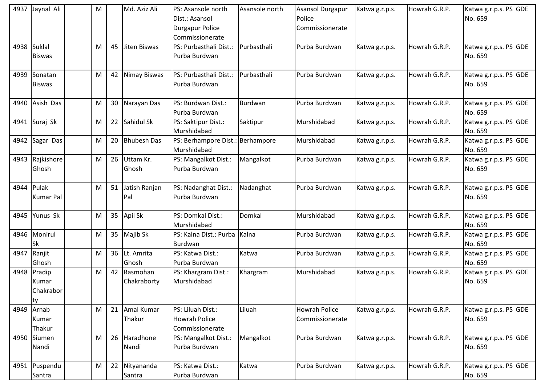|      | 4937 Jaynal Ali                         | M |    | Md. Aziz Ali            | <b>PS: Asansole north</b><br>Dist.: Asansol<br><b>Durgapur Police</b><br>Commissionerate | Asansole north | <b>Asansol Durgapur</b><br>Police<br>Commissionerate | Katwa g.r.p.s. | Howrah G.R.P. | Katwa g.r.p.s. PS GDE<br>No. 659 |
|------|-----------------------------------------|---|----|-------------------------|------------------------------------------------------------------------------------------|----------------|------------------------------------------------------|----------------|---------------|----------------------------------|
|      | 4938 Suklal<br><b>Biswas</b>            | M | 45 | Jiten Biswas            | PS: Purbasthali Dist.:<br>Purba Burdwan                                                  | Purbasthali    | Purba Burdwan                                        | Katwa g.r.p.s. | Howrah G.R.P. | Katwa g.r.p.s. PS GDE<br>No. 659 |
| 4939 | Sonatan<br><b>Biswas</b>                | M | 42 | Nimay Biswas            | PS: Purbasthali Dist.:<br>Purba Burdwan                                                  | Purbasthali    | Purba Burdwan                                        | Katwa g.r.p.s. | Howrah G.R.P. | Katwa g.r.p.s. PS GDE<br>No. 659 |
| 4940 | Asish Das                               | M |    | 30 Narayan Das          | PS: Burdwan Dist.:<br>Purba Burdwan                                                      | <b>Burdwan</b> | Purba Burdwan                                        | Katwa g.r.p.s. | Howrah G.R.P. | Katwa g.r.p.s. PS GDE<br>No. 659 |
|      | 4941 Suraj Sk                           | M | 22 | Sahidul Sk              | PS: Saktipur Dist.:<br>Murshidabad                                                       | Saktipur       | Murshidabad                                          | Katwa g.r.p.s. | Howrah G.R.P. | Katwa g.r.p.s. PS GDE<br>No. 659 |
| 4942 | Sagar Das                               | M | 20 | <b>Bhubesh Das</b>      | PS: Berhampore Dist.: Berhampore<br>Murshidabad                                          |                | Murshidabad                                          | Katwa g.r.p.s. | Howrah G.R.P. | Katwa g.r.p.s. PS GDE<br>No. 659 |
|      | 4943 Rajkishore<br>Ghosh                | м | 26 | Uttam Kr.<br>Ghosh      | PS: Mangalkot Dist.:<br>Purba Burdwan                                                    | Mangalkot      | Purba Burdwan                                        | Katwa g.r.p.s. | Howrah G.R.P. | Katwa g.r.p.s. PS GDE<br>No. 659 |
|      | 4944 Pulak<br><b>Kumar Pal</b>          | M | 51 | Jatish Ranjan<br>Pal    | PS: Nadanghat Dist.:<br>Purba Burdwan                                                    | Nadanghat      | Purba Burdwan                                        | Katwa g.r.p.s. | Howrah G.R.P. | Katwa g.r.p.s. PS GDE<br>No. 659 |
| 4945 | Yunus Sk                                | M | 35 | Apil Sk                 | PS: Domkal Dist.:<br>Murshidabad                                                         | Domkal         | Murshidabad                                          | Katwa g.r.p.s. | Howrah G.R.P. | Katwa g.r.p.s. PS GDE<br>No. 659 |
| 4946 | Monirul<br>Sk                           | M |    | 35 Majib Sk             | PS: Kalna Dist.: Purba Kalna<br>Burdwan                                                  |                | Purba Burdwan                                        | Katwa g.r.p.s. | Howrah G.R.P. | Katwa g.r.p.s. PS GDE<br>No. 659 |
| 4947 | Ranjit<br>Ghosh                         | M |    | 36 Lt. Amrita<br>Ghosh  | PS: Katwa Dist.:<br>Purba Burdwan                                                        | Katwa          | Purba Burdwan                                        | Katwa g.r.p.s. | Howrah G.R.P. | Katwa g.r.p.s. PS GDE<br>No. 659 |
|      | 4948 Pradip<br>Kumar<br>Chakrabor<br>ty | M | 42 | Rasmohan<br>Chakraborty | PS: Khargram Dist.:<br>Murshidabad                                                       | Khargram       | Murshidabad                                          | Katwa g.r.p.s. | Howrah G.R.P. | Katwa g.r.p.s. PS GDE<br>No. 659 |
| 4949 | Arnab<br>Kumar<br>Thakur                | M | 21 | Amal Kumar<br>Thakur    | PS: Liluah Dist.:<br>Howrah Police<br>Commissionerate                                    | Liluah         | <b>Howrah Police</b><br>Commissionerate              | Katwa g.r.p.s. | Howrah G.R.P. | Katwa g.r.p.s. PS GDE<br>No. 659 |
|      | 4950 Siumen<br>Nandi                    | M |    | 26 Haradhone<br>Nandi   | PS: Mangalkot Dist.:<br>Purba Burdwan                                                    | Mangalkot      | Purba Burdwan                                        | Katwa g.r.p.s. | Howrah G.R.P. | Katwa g.r.p.s. PS GDE<br>No. 659 |
|      | 4951 Puspendu<br>Santra                 | M | 22 | Nityananda<br>Santra    | PS: Katwa Dist.:<br>Purba Burdwan                                                        | Katwa          | Purba Burdwan                                        | Katwa g.r.p.s. | Howrah G.R.P. | Katwa g.r.p.s. PS GDE<br>No. 659 |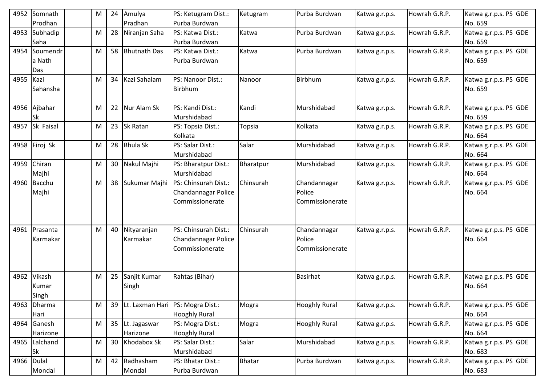| 4952       | Somnath<br>Prodhan        | м | 24 | Amulya<br>Pradhan        | PS: Ketugram Dist.:<br>Purba Burdwan                           | Ketugram  | Purba Burdwan                             | Katwa g.r.p.s. | Howrah G.R.P. | Katwa g.r.p.s. PS GDE<br>No. 659 |
|------------|---------------------------|---|----|--------------------------|----------------------------------------------------------------|-----------|-------------------------------------------|----------------|---------------|----------------------------------|
| 4953       | Subhadip<br>Saha          | м | 28 | Niranjan Saha            | PS: Katwa Dist.:<br>Purba Burdwan                              | Katwa     | Purba Burdwan                             | Katwa g.r.p.s. | Howrah G.R.P. | Katwa g.r.p.s. PS GDE<br>No. 659 |
| 4954       | Soumendr<br>a Nath<br>Das | M | 58 | <b>Bhutnath Das</b>      | PS: Katwa Dist.:<br>Purba Burdwan                              | Katwa     | Purba Burdwan                             | Katwa g.r.p.s. | Howrah G.R.P. | Katwa g.r.p.s. PS GDE<br>No. 659 |
| 4955 Kazi  | Sahansha                  | M | 34 | Kazi Sahalam             | PS: Nanoor Dist.:<br>Birbhum                                   | Nanoor    | Birbhum                                   | Katwa g.r.p.s. | Howrah G.R.P. | Katwa g.r.p.s. PS GDE<br>No. 659 |
|            | 4956 Ajbahar<br>Sk        | M | 22 | Nur Alam Sk              | PS: Kandi Dist.:<br>Murshidabad                                | Kandi     | Murshidabad                               | Katwa g.r.p.s. | Howrah G.R.P. | Katwa g.r.p.s. PS GDE<br>No. 659 |
| 4957       | Sk Faisal                 | м | 23 | Sk Ratan                 | PS: Topsia Dist.:<br>Kolkata                                   | Topsia    | Kolkata                                   | Katwa g.r.p.s. | Howrah G.R.P. | Katwa g.r.p.s. PS GDE<br>No. 664 |
|            | 4958 Firoj Sk             | M | 28 | <b>Bhula Sk</b>          | PS: Salar Dist.:<br>Murshidabad                                | Salar     | Murshidabad                               | Katwa g.r.p.s. | Howrah G.R.P. | Katwa g.r.p.s. PS GDE<br>No. 664 |
| 4959       | Chiran<br>Majhi           | M | 30 | Nakul Majhi              | PS: Bharatpur Dist.:<br>Murshidabad                            | Bharatpur | Murshidabad                               | Katwa g.r.p.s. | Howrah G.R.P. | Katwa g.r.p.s. PS GDE<br>No. 664 |
|            | 4960 Bacchu<br>Majhi      | м | 38 | Sukumar Majhi            | PS: Chinsurah Dist.:<br>Chandannagar Police<br>Commissionerate | Chinsurah | Chandannagar<br>Police<br>Commissionerate | Katwa g.r.p.s. | Howrah G.R.P. | Katwa g.r.p.s. PS GDE<br>No. 664 |
|            | 4961 Prasanta<br>Karmakar | M | 40 | Nityaranjan<br>Karmakar  | PS: Chinsurah Dist.:<br>Chandannagar Police<br>Commissionerate | Chinsurah | Chandannagar<br>Police<br>Commissionerate | Katwa g.r.p.s. | Howrah G.R.P. | Katwa g.r.p.s. PS GDE<br>No. 664 |
| 4962       | Vikash<br>Kumar<br>Singh  | м | 25 | Sanjit Kumar<br>Singh    | Rahtas (Bihar)                                                 |           | <b>Basirhat</b>                           | Katwa g.r.p.s. | Howrah G.R.P. | Katwa g.r.p.s. PS GDE<br>No. 664 |
| 4963       | <b>Dharma</b><br>Hari     | M | 39 | Lt. Laxman Hari          | PS: Mogra Dist.:<br><b>Hooghly Rural</b>                       | Mogra     | <b>Hooghly Rural</b>                      | Katwa g.r.p.s. | Howrah G.R.P. | Katwa g.r.p.s. PS GDE<br>No. 664 |
| 4964       | Ganesh<br>Harizone        | M | 35 | Lt. Jagaswar<br>Harizone | PS: Mogra Dist.:<br><b>Hooghly Rural</b>                       | Mogra     | <b>Hooghly Rural</b>                      | Katwa g.r.p.s. | Howrah G.R.P. | Katwa g.r.p.s. PS GDE<br>No. 664 |
|            | 4965 Lalchand<br>Sk       | M | 30 | Khodabox Sk              | PS: Salar Dist.:<br>Murshidabad                                | Salar     | Murshidabad                               | Katwa g.r.p.s. | Howrah G.R.P. | Katwa g.r.p.s. PS GDE<br>No. 683 |
| 4966 Dulal | Mondal                    | М | 42 | Radhasham<br>Mondal      | PS: Bhatar Dist.:<br>Purba Burdwan                             | Bhatar    | Purba Burdwan                             | Katwa g.r.p.s. | Howrah G.R.P. | Katwa g.r.p.s. PS GDE<br>No. 683 |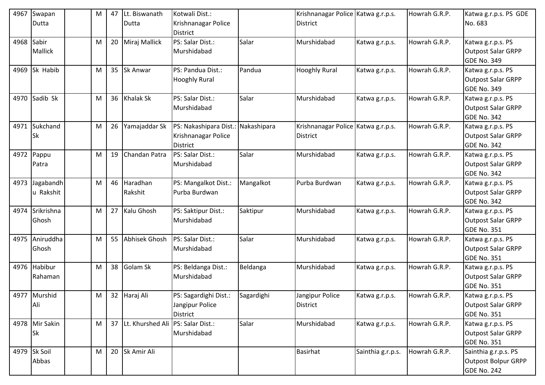| 4967 | Swapan<br>Dutta         | M | 47 | Lt. Biswanath<br>Dutta               | Kotwali Dist.:<br>Krishnanagar Police                       |             | Krishnanagar Police Katwa g.r.p.s.<br><b>District</b> |                   | Howrah G.R.P. | Katwa g.r.p.s. PS GDE<br>No. 683                                     |
|------|-------------------------|---|----|--------------------------------------|-------------------------------------------------------------|-------------|-------------------------------------------------------|-------------------|---------------|----------------------------------------------------------------------|
|      |                         |   |    |                                      | <b>District</b>                                             |             |                                                       |                   |               |                                                                      |
| 4968 | Sabir<br>Mallick        | M |    | 20 Miraj Mallick                     | PS: Salar Dist.:<br>Murshidabad                             | Salar       | Murshidabad                                           | Katwa g.r.p.s.    | Howrah G.R.P. | Katwa g.r.p.s. PS<br><b>Outpost Salar GRPP</b><br><b>GDE No. 349</b> |
|      | 4969 Sk Habib           | M |    | 35 Sk Anwar                          | PS: Pandua Dist.:<br><b>Hooghly Rural</b>                   | Pandua      | <b>Hooghly Rural</b>                                  | Katwa g.r.p.s.    | Howrah G.R.P. | Katwa g.r.p.s. PS<br><b>Outpost Salar GRPP</b><br><b>GDE No. 349</b> |
|      | 4970 Sadib Sk           | M |    | 36 Khalak Sk                         | PS: Salar Dist.:<br>Murshidabad                             | Salar       | Murshidabad                                           | Katwa g.r.p.s.    | Howrah G.R.P. | Katwa g.r.p.s. PS<br><b>Outpost Salar GRPP</b><br><b>GDE No. 342</b> |
| 4971 | Sukchand<br>Sk          | M | 26 | Yamajaddar Sk                        | PS: Nakashipara Dist.:<br>Krishnanagar Police<br>District   | Nakashipara | Krishnanagar Police Katwa g.r.p.s.<br><b>District</b> |                   | Howrah G.R.P. | Katwa g.r.p.s. PS<br><b>Outpost Salar GRPP</b><br><b>GDE No. 342</b> |
|      | 4972 Pappu<br>Patra     | M |    | 19 Chandan Patra                     | PS: Salar Dist.:<br>Murshidabad                             | Salar       | Murshidabad                                           | Katwa g.r.p.s.    | Howrah G.R.P. | Katwa g.r.p.s. PS<br><b>Outpost Salar GRPP</b><br>GDE No. 342        |
| 4973 | Jagabandh<br>u Rakshit  | M |    | 46 Haradhan<br>Rakshit               | PS: Mangalkot Dist.:<br>Purba Burdwan                       | Mangalkot   | Purba Burdwan                                         | Katwa g.r.p.s.    | Howrah G.R.P. | Katwa g.r.p.s. PS<br><b>Outpost Salar GRPP</b><br><b>GDE No. 342</b> |
| 4974 | Srikrishna<br>Ghosh     | M |    | 27 Kalu Ghosh                        | PS: Saktipur Dist.:<br>Murshidabad                          | Saktipur    | Murshidabad                                           | Katwa g.r.p.s.    | Howrah G.R.P. | Katwa g.r.p.s. PS<br><b>Outpost Salar GRPP</b><br><b>GDE No. 351</b> |
|      | 4975 Aniruddha<br>Ghosh | M | 55 | <b>Abhisek Ghosh</b>                 | PS: Salar Dist.:<br>Murshidabad                             | Salar       | Murshidabad                                           | Katwa g.r.p.s.    | Howrah G.R.P. | Katwa g.r.p.s. PS<br>Outpost Salar GRPP<br><b>GDE No. 351</b>        |
| 4976 | Habibur<br>Rahaman      | M |    | 38 Golam Sk                          | PS: Beldanga Dist.:<br>Murshidabad                          | Beldanga    | Murshidabad                                           | Katwa g.r.p.s.    | Howrah G.R.P. | Katwa g.r.p.s. PS<br><b>Outpost Salar GRPP</b><br><b>GDE No. 351</b> |
|      | 4977 Murshid<br>Ali     | M |    | 32 Haraj Ali                         | PS: Sagardighi Dist.:<br>Jangipur Police<br><b>District</b> | Sagardighi  | Jangipur Police<br><b>District</b>                    | Katwa g.r.p.s.    | Howrah G.R.P. | Katwa g.r.p.s. PS<br><b>Outpost Salar GRPP</b><br><b>GDE No. 351</b> |
|      | 4978 Mir Sakin<br>Sk    | M |    | 37 Lt. Khurshed Ali PS: Salar Dist.: | Murshidabad                                                 | Salar       | Murshidabad                                           | Katwa g.r.p.s.    | Howrah G.R.P. | Katwa g.r.p.s. PS<br><b>Outpost Salar GRPP</b><br><b>GDE No. 351</b> |
|      | 4979 Sk Soil<br>Abbas   | M |    | 20 Sk Amir Ali                       |                                                             |             | <b>Basirhat</b>                                       | Sainthia g.r.p.s. | Howrah G.R.P. | Sainthia g.r.p.s. PS<br>Outpost Bolpur GRPP<br><b>GDE No. 242</b>    |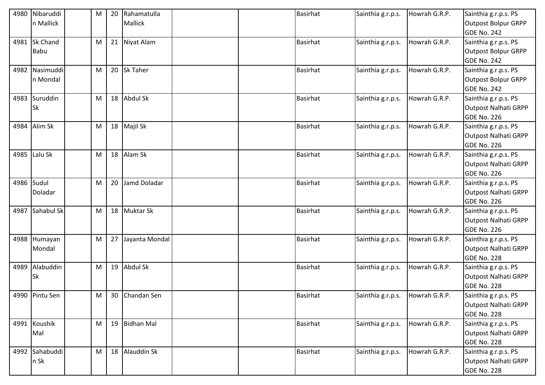| 4980 | Nibaruddi<br>n Mallick     | M | 20 | Rahamatulla<br>Mallick | <b>Basirhat</b> | Sainthia g.r.p.s. | Howrah G.R.P. | Sainthia g.r.p.s. PS<br><b>Outpost Bolpur GRPP</b><br><b>GDE No. 242</b>  |
|------|----------------------------|---|----|------------------------|-----------------|-------------------|---------------|---------------------------------------------------------------------------|
| 4981 | Sk Chand<br><b>Babu</b>    | M |    | 21 Niyat Alam          | <b>Basirhat</b> | Sainthia g.r.p.s. | Howrah G.R.P. | Sainthia g.r.p.s. PS<br><b>Outpost Bolpur GRPP</b><br><b>GDE No. 242</b>  |
|      | 4982 Nasimuddi<br>n Mondal | M |    | 20 Sk Taher            | <b>Basirhat</b> | Sainthia g.r.p.s. | Howrah G.R.P. | Sainthia g.r.p.s. PS<br><b>Outpost Bolpur GRPP</b><br><b>GDE No. 242</b>  |
| 4983 | Suruddin<br><b>Sk</b>      | M |    | 18 Abdul Sk            | <b>Basirhat</b> | Sainthia g.r.p.s. | Howrah G.R.P. | Sainthia g.r.p.s. PS<br><b>Outpost Nalhati GRPP</b><br><b>GDE No. 226</b> |
| 4984 | Alim Sk                    | M |    | 18 Majil Sk            | <b>Basirhat</b> | Sainthia g.r.p.s. | Howrah G.R.P. | Sainthia g.r.p.s. PS<br>Outpost Nalhati GRPP<br><b>GDE No. 226</b>        |
|      | 4985 Lalu Sk               | M |    | 18 Alam Sk             | <b>Basirhat</b> | Sainthia g.r.p.s. | Howrah G.R.P. | Sainthia g.r.p.s. PS<br><b>Outpost Nalhati GRPP</b><br><b>GDE No. 226</b> |
|      | 4986 Sudul<br>Doladar      | M | 20 | Jamd Doladar           | <b>Basirhat</b> | Sainthia g.r.p.s. | Howrah G.R.P. | Sainthia g.r.p.s. PS<br>Outpost Nalhati GRPP<br><b>GDE No. 226</b>        |
|      | 4987 Sahabul Sk            | M |    | 18 Muktar Sk           | <b>Basirhat</b> | Sainthia g.r.p.s. | Howrah G.R.P. | Sainthia g.r.p.s. PS<br><b>Outpost Nalhati GRPP</b><br><b>GDE No. 226</b> |
|      | 4988 Humayan<br>Mondal     | M |    | 27 Jayanta Mondal      | <b>Basirhat</b> | Sainthia g.r.p.s. | Howrah G.R.P. | Sainthia g.r.p.s. PS<br><b>Outpost Nalhati GRPP</b><br><b>GDE No. 228</b> |
| 4989 | Alabuddin<br><b>Sk</b>     | M |    | 19 Abdul Sk            | <b>Basirhat</b> | Sainthia g.r.p.s. | Howrah G.R.P. | Sainthia g.r.p.s. PS<br><b>Outpost Nalhati GRPP</b><br><b>GDE No. 228</b> |
|      | 4990 Pintu Sen             | M |    | 30 Chandan Sen         | <b>Basirhat</b> | Sainthia g.r.p.s. | Howrah G.R.P. | Sainthia g.r.p.s. PS<br><b>Outpost Nalhati GRPP</b><br><b>GDE No. 228</b> |
|      | 4991 Koushik<br>Mal        | M |    | 19 Bidhan Mal          | <b>Basirhat</b> | Sainthia g.r.p.s. | Howrah G.R.P. | Sainthia g.r.p.s. PS<br><b>Outpost Nalhati GRPP</b><br><b>GDE No. 228</b> |
|      | 4992 Sahabuddi<br>n Sk     | M |    | 18 Alauddin Sk         | Basirhat        | Sainthia g.r.p.s. | Howrah G.R.P. | Sainthia g.r.p.s. PS<br><b>Outpost Nalhati GRPP</b><br><b>GDE No. 228</b> |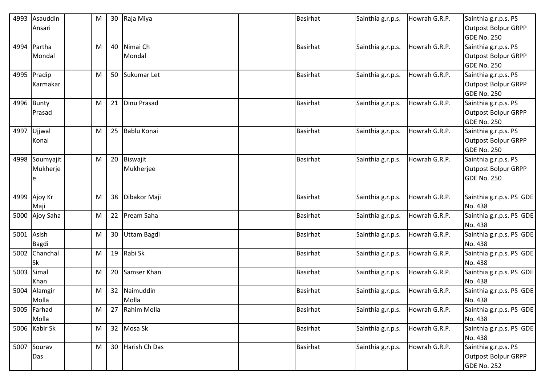|            | 4993 Asauddin  | M         |                 | 30 Raja Miya       | <b>Basirhat</b> | Sainthia g.r.p.s. | Howrah G.R.P. | Sainthia g.r.p.s. PS       |
|------------|----------------|-----------|-----------------|--------------------|-----------------|-------------------|---------------|----------------------------|
|            | Ansari         |           |                 |                    |                 |                   |               | Outpost Bolpur GRPP        |
|            |                |           |                 |                    |                 |                   |               | <b>GDE No. 250</b>         |
|            | 4994 Partha    | M         | 40              | Nimai Ch           | <b>Basirhat</b> | Sainthia g.r.p.s. | Howrah G.R.P. | Sainthia g.r.p.s. PS       |
|            | Mondal         |           |                 | Mondal             |                 |                   |               | Outpost Bolpur GRPP        |
|            |                |           |                 |                    |                 |                   |               | GDE No. 250                |
|            | 4995 Pradip    | M         | 50              | Sukumar Let        | <b>Basirhat</b> | Sainthia g.r.p.s. | Howrah G.R.P. | Sainthia g.r.p.s. PS       |
|            | Karmakar       |           |                 |                    |                 |                   |               | <b>Outpost Bolpur GRPP</b> |
|            |                |           |                 |                    |                 |                   |               | GDE No. 250                |
|            | 4996 Bunty     | M         |                 | 21 Dinu Prasad     | <b>Basirhat</b> | Sainthia g.r.p.s. | Howrah G.R.P. | Sainthia g.r.p.s. PS       |
|            | Prasad         |           |                 |                    |                 |                   |               | Outpost Bolpur GRPP        |
|            |                |           |                 |                    |                 |                   |               | GDE No. 250                |
| 4997       | Ujjwal         | M         | 25              | <b>Bablu Konai</b> | <b>Basirhat</b> | Sainthia g.r.p.s. | Howrah G.R.P. | Sainthia g.r.p.s. PS       |
|            | Konai          |           |                 |                    |                 |                   |               | Outpost Bolpur GRPP        |
|            |                |           |                 |                    |                 |                   |               | <b>GDE No. 250</b>         |
|            | 4998 Soumyajit | M         |                 | 20 Biswajit        | <b>Basirhat</b> | Sainthia g.r.p.s. | Howrah G.R.P. | Sainthia g.r.p.s. PS       |
|            | Mukherje       |           |                 | Mukherjee          |                 |                   |               | <b>Outpost Bolpur GRPP</b> |
|            | e              |           |                 |                    |                 |                   |               | GDE No. 250                |
|            |                |           |                 |                    |                 |                   |               |                            |
|            | 4999 Ajoy Kr   | M         | 38              | Dibakor Maji       | <b>Basirhat</b> | Sainthia g.r.p.s. | Howrah G.R.P. | Sainthia g.r.p.s. PS GDE   |
|            | Maji           |           |                 |                    |                 |                   |               | No. 438                    |
|            | 5000 Ajoy Saha | M         | 22              | Pream Saha         | <b>Basirhat</b> | Sainthia g.r.p.s. | Howrah G.R.P. | Sainthia g.r.p.s. PS GDE   |
|            |                |           |                 |                    |                 |                   |               | No. 438                    |
| 5001 Asish |                | M         | 30              | <b>Uttam Bagdi</b> | <b>Basirhat</b> | Sainthia g.r.p.s. | Howrah G.R.P. | Sainthia g.r.p.s. PS GDE   |
|            | Bagdi          |           |                 |                    |                 |                   |               | No. 438                    |
|            | 5002 Chanchal  | M         | 19              | Rabi Sk            | <b>Basirhat</b> | Sainthia g.r.p.s. | Howrah G.R.P. | Sainthia g.r.p.s. PS GDE   |
|            | Sk             |           |                 |                    |                 |                   |               | No. 438                    |
| 5003       | Simal          | M         | 20              | Samser Khan        | <b>Basirhat</b> | Sainthia g.r.p.s. | Howrah G.R.P. | Sainthia g.r.p.s. PS GDE   |
|            | Khan           |           |                 |                    |                 |                   |               | No. 438                    |
|            | 5004 Alamgir   | M         | 32 <sub>2</sub> | Naimuddin          | <b>Basirhat</b> | Sainthia g.r.p.s. | Howrah G.R.P. | Sainthia g.r.p.s. PS GDE   |
|            | Molla          |           |                 | Molla              |                 |                   |               | No. 438                    |
|            | 5005 Farhad    | M         | 27              | Rahim Molla        | <b>Basirhat</b> | Sainthia g.r.p.s. | Howrah G.R.P. | Sainthia g.r.p.s. PS GDE   |
|            | Molla          |           |                 |                    |                 |                   |               | No. 438                    |
|            | 5006 Kabir Sk  | M         |                 | 32 Mosa Sk         | <b>Basirhat</b> | Sainthia g.r.p.s. | Howrah G.R.P. | Sainthia g.r.p.s. PS GDE   |
|            |                |           |                 |                    |                 |                   |               | No. 438                    |
|            | 5007 Sourav    | ${\sf M}$ |                 | 30 Harish Ch Das   | <b>Basirhat</b> | Sainthia g.r.p.s. | Howrah G.R.P. | Sainthia g.r.p.s. PS       |
|            | Das            |           |                 |                    |                 |                   |               | Outpost Bolpur GRPP        |
|            |                |           |                 |                    |                 |                   |               | GDE No. 252                |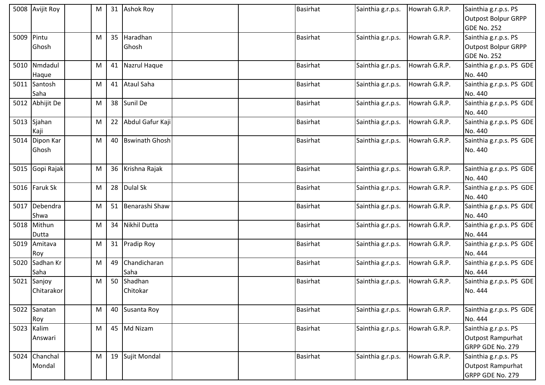|      | 5008 Avijit Roy         | M |                 | 31 Ashok Roy           | <b>Basirhat</b> | Sainthia g.r.p.s. | Howrah G.R.P. | Sainthia g.r.p.s. PS<br><b>Outpost Bolpur GRPP</b><br><b>GDE No. 252</b> |
|------|-------------------------|---|-----------------|------------------------|-----------------|-------------------|---------------|--------------------------------------------------------------------------|
| 5009 | Pintu<br>Ghosh          | M | 35 <sup>1</sup> | Haradhan<br>Ghosh      | <b>Basirhat</b> | Sainthia g.r.p.s. | Howrah G.R.P. | Sainthia g.r.p.s. PS<br><b>Outpost Bolpur GRPP</b><br><b>GDE No. 252</b> |
| 5010 | Nmdadul<br>Haque        | M |                 | 41 Nazrul Haque        | <b>Basirhat</b> | Sainthia g.r.p.s. | Howrah G.R.P. | Sainthia g.r.p.s. PS GDE<br>No. 440                                      |
| 5011 | Santosh<br>Saha         | M |                 | 41 Ataul Saha          | <b>Basirhat</b> | Sainthia g.r.p.s. | Howrah G.R.P. | Sainthia g.r.p.s. PS GDE<br>No. 440                                      |
|      | 5012 Abhijit De         | M |                 | 38 Sunil De            | <b>Basirhat</b> | Sainthia g.r.p.s. | Howrah G.R.P. | Sainthia g.r.p.s. PS GDE<br>No. 440                                      |
| 5013 | Sjahan<br>Kaji          | M | 22              | Abdul Gafur Kaji       | <b>Basirhat</b> | Sainthia g.r.p.s. | Howrah G.R.P. | Sainthia g.r.p.s. PS GDE<br>No. 440                                      |
|      | 5014 Dipon Kar<br>Ghosh | M |                 | 40 Bswinath Ghosh      | <b>Basirhat</b> | Sainthia g.r.p.s. | Howrah G.R.P. | Sainthia g.r.p.s. PS GDE<br>No. 440                                      |
| 5015 | Gopi Rajak              | M |                 | 36 Krishna Rajak       | <b>Basirhat</b> | Sainthia g.r.p.s. | Howrah G.R.P. | Sainthia g.r.p.s. PS GDE<br>No. 440                                      |
|      | 5016 Faruk Sk           | M |                 | 28 Dulal Sk            | <b>Basirhat</b> | Sainthia g.r.p.s. | Howrah G.R.P. | Sainthia g.r.p.s. PS GDE<br>No. 440                                      |
|      | 5017 Debendra<br>Shwa   | M |                 | 51 Benarashi Shaw      | <b>Basirhat</b> | Sainthia g.r.p.s. | Howrah G.R.P. | Sainthia g.r.p.s. PS GDE<br>No. 440                                      |
|      | 5018 Mithun<br>Dutta    | M | 34              | <b>Nikhil Dutta</b>    | <b>Basirhat</b> | Sainthia g.r.p.s. | Howrah G.R.P. | Sainthia g.r.p.s. PS GDE<br>No. 444                                      |
| 5019 | Amitava<br>Roy          | M |                 | 31 Pradip Roy          | <b>Basirhat</b> | Sainthia g.r.p.s. | Howrah G.R.P. | Sainthia g.r.p.s. PS GDE<br>No. 444                                      |
| 5020 | Sadhan Kr<br>Saha       | M | 49              | Chandicharan<br>Saha   | <b>Basirhat</b> | Sainthia g.r.p.s. | Howrah G.R.P. | Sainthia g.r.p.s. PS GDE<br>No. 444                                      |
| 5021 | Sanjoy<br>Chitarakor    | M |                 | 50 Shadhan<br>Chitokar | <b>Basirhat</b> | Sainthia g.r.p.s. | Howrah G.R.P. | Sainthia g.r.p.s. PS GDE<br>No. 444                                      |
| 5022 | Sanatan<br>Roy          | M |                 | 40 Susanta Roy         | <b>Basirhat</b> | Sainthia g.r.p.s. | Howrah G.R.P. | Sainthia g.r.p.s. PS GDE<br>No. 444                                      |
|      | 5023 Kalim<br>Answari   | M |                 | 45 Md Nizam            | <b>Basirhat</b> | Sainthia g.r.p.s. | Howrah G.R.P. | Sainthia g.r.p.s. PS<br><b>Outpost Rampurhat</b><br>GRPP GDE No. 279     |
|      | 5024 Chanchal<br>Mondal | M |                 | 19 Sujit Mondal        | <b>Basirhat</b> | Sainthia g.r.p.s. | Howrah G.R.P. | Sainthia g.r.p.s. PS<br><b>Outpost Rampurhat</b><br>GRPP GDE No. 279     |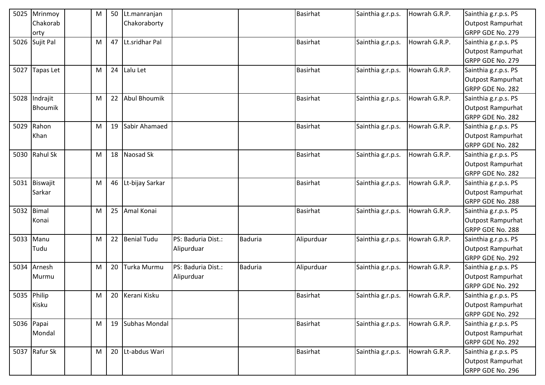| 5025        | Mrinmoy          | M | 50 | Lt.manranjan        |                    |         | <b>Basirhat</b> | Sainthia g.r.p.s. | Howrah G.R.P. | Sainthia g.r.p.s. PS     |
|-------------|------------------|---|----|---------------------|--------------------|---------|-----------------|-------------------|---------------|--------------------------|
|             | Chakorab         |   |    | Chakoraborty        |                    |         |                 |                   |               | <b>Outpost Rampurhat</b> |
|             | orty             |   |    |                     |                    |         |                 |                   |               | GRPP GDE No. 279         |
|             | 5026 Sujit Pal   | M | 47 | Lt.sridhar Pal      |                    |         | <b>Basirhat</b> | Sainthia g.r.p.s. | Howrah G.R.P. | Sainthia g.r.p.s. PS     |
|             |                  |   |    |                     |                    |         |                 |                   |               | <b>Outpost Rampurhat</b> |
|             |                  |   |    |                     |                    |         |                 |                   |               | GRPP GDE No. 279         |
| 5027        | <b>Tapas Let</b> | M | 24 | Lalu Let            |                    |         | <b>Basirhat</b> | Sainthia g.r.p.s. | Howrah G.R.P. | Sainthia g.r.p.s. PS     |
|             |                  |   |    |                     |                    |         |                 |                   |               | <b>Outpost Rampurhat</b> |
|             |                  |   |    |                     |                    |         |                 |                   |               | GRPP GDE No. 282         |
| 5028        | Indrajit         | M | 22 | <b>Abul Bhoumik</b> |                    |         | <b>Basirhat</b> | Sainthia g.r.p.s. | Howrah G.R.P. | Sainthia g.r.p.s. PS     |
|             | <b>Bhoumik</b>   |   |    |                     |                    |         |                 |                   |               | <b>Outpost Rampurhat</b> |
|             |                  |   |    |                     |                    |         |                 |                   |               | GRPP GDE No. 282         |
| 5029        | Rahon            | M | 19 | Sabir Ahamaed       |                    |         | <b>Basirhat</b> | Sainthia g.r.p.s. | Howrah G.R.P. | Sainthia g.r.p.s. PS     |
|             | Khan             |   |    |                     |                    |         |                 |                   |               | <b>Outpost Rampurhat</b> |
|             |                  |   |    |                     |                    |         |                 |                   |               | GRPP GDE No. 282         |
|             | 5030 Rahul Sk    | M |    | 18 Naosad Sk        |                    |         | <b>Basirhat</b> | Sainthia g.r.p.s. | Howrah G.R.P. | Sainthia g.r.p.s. PS     |
|             |                  |   |    |                     |                    |         |                 |                   |               | Outpost Rampurhat        |
|             |                  |   |    |                     |                    |         |                 |                   |               | GRPP GDE No. 282         |
|             | 5031 Biswajit    | M |    | 46 Lt-bijay Sarkar  |                    |         | <b>Basirhat</b> | Sainthia g.r.p.s. | Howrah G.R.P. | Sainthia g.r.p.s. PS     |
|             | Sarkar           |   |    |                     |                    |         |                 |                   |               | <b>Outpost Rampurhat</b> |
|             |                  |   |    |                     |                    |         |                 |                   |               | GRPP GDE No. 288         |
| 5032        | Bimal            | M | 25 | Amal Konai          |                    |         | <b>Basirhat</b> | Sainthia g.r.p.s. | Howrah G.R.P. | Sainthia g.r.p.s. PS     |
|             | Konai            |   |    |                     |                    |         |                 |                   |               | Outpost Rampurhat        |
|             |                  |   |    |                     |                    |         |                 |                   |               | GRPP GDE No. 288         |
| 5033        | Manu             | M |    | 22 Benial Tudu      | PS: Baduria Dist.: | Baduria | Alipurduar      | Sainthia g.r.p.s. | Howrah G.R.P. | Sainthia g.r.p.s. PS     |
|             | Tudu             |   |    |                     | Alipurduar         |         |                 |                   |               | <b>Outpost Rampurhat</b> |
|             |                  |   |    |                     |                    |         |                 |                   |               | GRPP GDE No. 292         |
|             | 5034 Arnesh      | M | 20 | Turka Murmu         | PS: Baduria Dist.: | Baduria | Alipurduar      | Sainthia g.r.p.s. | Howrah G.R.P. | Sainthia g.r.p.s. PS     |
|             | Murmu            |   |    |                     | Alipurduar         |         |                 |                   |               | <b>Outpost Rampurhat</b> |
|             |                  |   |    |                     |                    |         |                 |                   |               | GRPP GDE No. 292         |
| 5035 Philip |                  | M |    | 20 Kerani Kisku     |                    |         | <b>Basirhat</b> | Sainthia g.r.p.s. | Howrah G.R.P. | Sainthia g.r.p.s. PS     |
|             | Kisku            |   |    |                     |                    |         |                 |                   |               | <b>Outpost Rampurhat</b> |
|             |                  |   |    |                     |                    |         |                 |                   |               | GRPP GDE No. 292         |
|             | 5036 Papai       | M |    | 19 Subhas Mondal    |                    |         | <b>Basirhat</b> | Sainthia g.r.p.s. | Howrah G.R.P. | Sainthia g.r.p.s. PS     |
|             | Mondal           |   |    |                     |                    |         |                 |                   |               | Outpost Rampurhat        |
|             |                  |   |    |                     |                    |         |                 |                   |               | GRPP GDE No. 292         |
|             | 5037 Rafur Sk    | M |    | 20 Lt-abdus Wari    |                    |         | <b>Basirhat</b> | Sainthia g.r.p.s. | Howrah G.R.P. | Sainthia g.r.p.s. PS     |
|             |                  |   |    |                     |                    |         |                 |                   |               | Outpost Rampurhat        |
|             |                  |   |    |                     |                    |         |                 |                   |               | GRPP GDE No. 296         |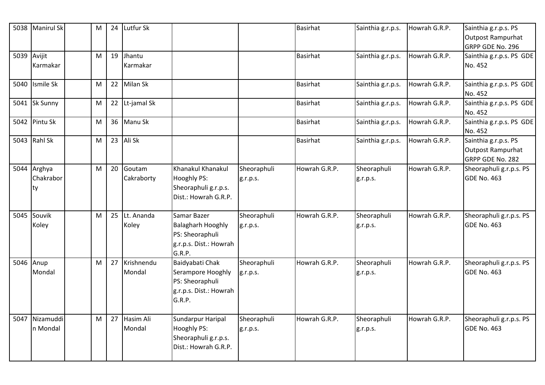|             | 5038 Manirul Sk                | M | 24 | Lutfur Sk              |                                                                                                |                         | Basirhat        | Sainthia g.r.p.s.       | Howrah G.R.P. | Sainthia g.r.p.s. PS<br>Outpost Rampurhat<br>GRPP GDE No. 296 |
|-------------|--------------------------------|---|----|------------------------|------------------------------------------------------------------------------------------------|-------------------------|-----------------|-------------------------|---------------|---------------------------------------------------------------|
| 5039 Avijit | Karmakar                       | M | 19 | Jhantu<br>Karmakar     |                                                                                                |                         | <b>Basirhat</b> | Sainthia g.r.p.s.       | Howrah G.R.P. | Sainthia g.r.p.s. PS GDE<br>No. 452                           |
|             | 5040 Ismile Sk                 | M |    | 22 Milan Sk            |                                                                                                |                         | <b>Basirhat</b> | Sainthia g.r.p.s.       | Howrah G.R.P. | Sainthia g.r.p.s. PS GDE<br>No. 452                           |
|             | 5041 Sk Sunny                  | M |    | 22 Lt-jamal Sk         |                                                                                                |                         | <b>Basirhat</b> | Sainthia g.r.p.s.       | Howrah G.R.P. | Sainthia g.r.p.s. PS GDE<br>No. 452                           |
|             | 5042 Pintu Sk                  | M |    | 36 Manu Sk             |                                                                                                |                         | <b>Basirhat</b> | Sainthia g.r.p.s.       | Howrah G.R.P. | Sainthia g.r.p.s. PS GDE<br>No. 452                           |
|             | 5043 Rahl Sk                   | M | 23 | Ali Sk                 |                                                                                                |                         | <b>Basirhat</b> | Sainthia g.r.p.s.       | Howrah G.R.P. | Sainthia g.r.p.s. PS<br>Outpost Rampurhat<br>GRPP GDE No. 282 |
|             | 5044 Arghya<br>Chakrabor<br>ty | M | 20 | Goutam<br>Cakraborty   | Khanakul Khanakul<br><b>Hooghly PS:</b><br>Sheoraphuli g.r.p.s.<br>Dist.: Howrah G.R.P.        | Sheoraphuli<br>g.r.p.s. | Howrah G.R.P.   | Sheoraphuli<br>g.r.p.s. | Howrah G.R.P. | Sheoraphuli g.r.p.s. PS<br>GDE No. 463                        |
|             | 5045 Souvik<br>Koley           | M |    | 25 Lt. Ananda<br>Koley | Samar Bazer<br><b>Balagharh Hooghly</b><br>PS: Sheoraphuli<br>g.r.p.s. Dist.: Howrah<br>G.R.P. | Sheoraphuli<br>g.r.p.s. | Howrah G.R.P.   | Sheoraphuli<br>g.r.p.s. | Howrah G.R.P. | Sheoraphuli g.r.p.s. PS<br>GDE No. 463                        |
| 5046 Anup   | Mondal                         | M | 27 | Krishnendu<br>Mondal   | Baidyabati Chak<br>Serampore Hooghly<br>PS: Sheoraphuli<br>g.r.p.s. Dist.: Howrah<br>G.R.P.    | Sheoraphuli<br>g.r.p.s. | Howrah G.R.P.   | Sheoraphuli<br>g.r.p.s. | Howrah G.R.P. | Sheoraphuli g.r.p.s. PS<br>GDE No. 463                        |
|             | 5047 Nizamuddi<br>n Mondal     | M | 27 | Hasim Ali<br>Mondal    | Sundarpur Haripal<br><b>Hooghly PS:</b><br>Sheoraphuli g.r.p.s.<br>Dist.: Howrah G.R.P.        | Sheoraphuli<br>g.r.p.s. | Howrah G.R.P.   | Sheoraphuli<br>g.r.p.s. | Howrah G.R.P. | Sheoraphuli g.r.p.s. PS<br>GDE No. 463                        |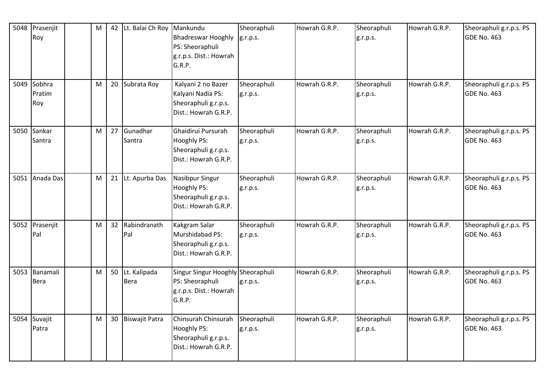|      | 5048 Prasenjit<br>Roy<br>5049 Sobhra | M<br>M | 42 Lt. Balai Ch Roy<br>20 Subrata Roy | Mankundu<br><b>Bhadreswar Hooghly</b><br>PS: Sheoraphuli<br>g.r.p.s. Dist.: Howrah<br>G.R.P.<br>Kalyani 2 no Bazer | Sheoraphuli<br>g.r.p.s.<br>Sheoraphuli | Howrah G.R.P.<br>Howrah G.R.P. | Sheoraphuli<br>g.r.p.s.<br>Sheoraphuli | Howrah G.R.P.<br>Howrah G.R.P. | Sheoraphuli g.r.p.s. PS<br><b>GDE No. 463</b><br>Sheoraphuli g.r.p.s. PS |
|------|--------------------------------------|--------|---------------------------------------|--------------------------------------------------------------------------------------------------------------------|----------------------------------------|--------------------------------|----------------------------------------|--------------------------------|--------------------------------------------------------------------------|
|      | Pratim<br>Roy                        |        |                                       | Kalyani Nadia PS:<br>Sheoraphuli g.r.p.s.<br>Dist.: Howrah G.R.P.                                                  | g.r.p.s.                               |                                | g.r.p.s.                               |                                | <b>GDE No. 463</b>                                                       |
| 5050 | Sankar<br>Santra                     | M      | 27 Gunadhar<br>Santra                 | Ghaidirui Pursurah<br><b>Hooghly PS:</b><br>Sheoraphuli g.r.p.s.<br>Dist.: Howrah G.R.P.                           | Sheoraphuli<br>g.r.p.s.                | Howrah G.R.P.                  | Sheoraphuli<br>g.r.p.s.                | Howrah G.R.P.                  | Sheoraphuli g.r.p.s. PS<br><b>GDE No. 463</b>                            |
| 5051 | Anada Das                            | M      | 21 Lt. Apurba Das                     | Nasibpur Singur<br>Hooghly PS:<br>Sheoraphuli g.r.p.s.<br>Dist.: Howrah G.R.P.                                     | Sheoraphuli<br>g.r.p.s.                | Howrah G.R.P.                  | Sheoraphuli<br>g.r.p.s.                | Howrah G.R.P.                  | Sheoraphuli g.r.p.s. PS<br><b>GDE No. 463</b>                            |
|      | 5052 Prasenjit<br>Pal                | M      | 32 Rabindranath<br>Pal                | Kakgram Salar<br>Murshidabad PS:<br>Sheoraphuli g.r.p.s.<br>Dist.: Howrah G.R.P.                                   | Sheoraphuli<br>g.r.p.s.                | Howrah G.R.P.                  | Sheoraphuli<br>g.r.p.s.                | Howrah G.R.P.                  | Sheoraphuli g.r.p.s. PS<br><b>GDE No. 463</b>                            |
| 5053 | Banamali<br>Bera                     | M      | 50 Lt. Kalipada<br><b>Bera</b>        | Singur Singur Hooghly Sheoraphuli<br>PS: Sheoraphuli<br>g.r.p.s. Dist.: Howrah<br>G.R.P.                           | g.r.p.s.                               | Howrah G.R.P.                  | Sheoraphuli<br>g.r.p.s.                | Howrah G.R.P.                  | Sheoraphuli g.r.p.s. PS<br><b>GDE No. 463</b>                            |
|      | 5054 Suvajit<br>Patra                | M      | 30 Biswajit Patra                     | Chinsurah Chinsurah<br>Hooghly PS:<br>Sheoraphuli g.r.p.s.<br>Dist.: Howrah G.R.P.                                 | Sheoraphuli<br>g.r.p.s.                | Howrah G.R.P.                  | Sheoraphuli<br>g.r.p.s.                | Howrah G.R.P.                  | Sheoraphuli g.r.p.s. PS<br><b>GDE No. 463</b>                            |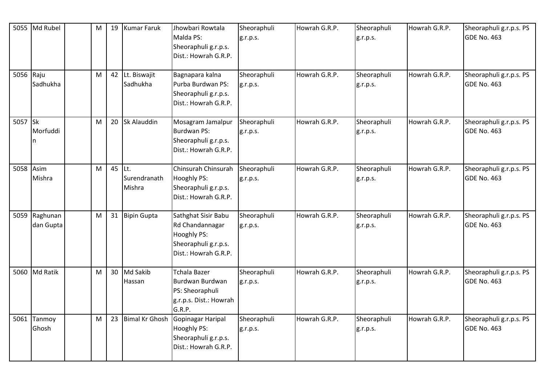|           | 5055 Md Rubel         | M | 19     | Kumar Faruk                 | Jhowbari Rowtala<br>Malda PS:<br>Sheoraphuli g.r.p.s.<br>Dist.: Howrah G.R.P.                         | Sheoraphuli<br>g.r.p.s. | Howrah G.R.P. | Sheoraphuli<br>g.r.p.s. | Howrah G.R.P. | Sheoraphuli g.r.p.s. PS<br>GDE No. 463        |
|-----------|-----------------------|---|--------|-----------------------------|-------------------------------------------------------------------------------------------------------|-------------------------|---------------|-------------------------|---------------|-----------------------------------------------|
| 5056 Raju | Sadhukha              | M |        | 42 Lt. Biswajit<br>Sadhukha | Bagnapara kalna<br>Purba Burdwan PS:<br>Sheoraphuli g.r.p.s.<br>Dist.: Howrah G.R.P.                  | Sheoraphuli<br>g.r.p.s. | Howrah G.R.P. | Sheoraphuli<br>g.r.p.s. | Howrah G.R.P. | Sheoraphuli g.r.p.s. PS<br>GDE No. 463        |
| 5057 Sk   | Morfuddi<br>n         | M |        | 20 Sk Alauddin              | Mosagram Jamalpur<br>Burdwan PS:<br>Sheoraphuli g.r.p.s.<br>Dist.: Howrah G.R.P.                      | Sheoraphuli<br>g.r.p.s. | Howrah G.R.P. | Sheoraphuli<br>g.r.p.s. | Howrah G.R.P. | Sheoraphuli g.r.p.s. PS<br>GDE No. 463        |
| 5058      | Asim<br>Mishra        | M | 45 Lt. | Surendranath<br>Mishra      | Chinsurah Chinsurah<br>Hooghly PS:<br>Sheoraphuli g.r.p.s.<br>Dist.: Howrah G.R.P.                    | Sheoraphuli<br>g.r.p.s. | Howrah G.R.P. | Sheoraphuli<br>g.r.p.s. | Howrah G.R.P. | Sheoraphuli g.r.p.s. PS<br>GDE No. 463        |
| 5059      | Raghunan<br>dan Gupta | M |        | 31 Bipin Gupta              | Sathghat Sisir Babu<br>Rd Chandannagar<br>Hooghly PS:<br>Sheoraphuli g.r.p.s.<br>Dist.: Howrah G.R.P. | Sheoraphuli<br>g.r.p.s. | Howrah G.R.P. | Sheoraphuli<br>g.r.p.s. | Howrah G.R.P. | Sheoraphuli g.r.p.s. PS<br><b>GDE No. 463</b> |
|           | 5060 Md Ratik         | M |        | 30 Md Sakib<br>Hassan       | <b>Tchala Bazer</b><br>Burdwan Burdwan<br>PS: Sheoraphuli<br>g.r.p.s. Dist.: Howrah<br>G.R.P.         | Sheoraphuli<br>g.r.p.s. | Howrah G.R.P. | Sheoraphuli<br>g.r.p.s. | Howrah G.R.P. | Sheoraphuli g.r.p.s. PS<br>GDE No. 463        |
|           | 5061 Tanmoy<br>Ghosh  | M |        | 23 Bimal Kr Ghosh           | Gopinagar Haripal<br>Hooghly PS:<br>Sheoraphuli g.r.p.s.<br>Dist.: Howrah G.R.P.                      | Sheoraphuli<br>g.r.p.s. | Howrah G.R.P. | Sheoraphuli<br>g.r.p.s. | Howrah G.R.P. | Sheoraphuli g.r.p.s. PS<br>GDE No. 463        |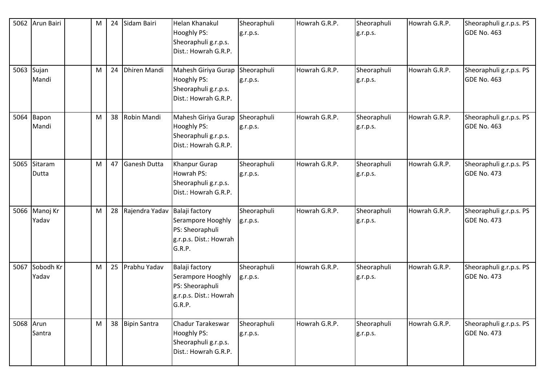| 5062      | Arun Bairi             | M |    | 24 Sidam Bairi      | <b>Helan Khanakul</b><br>Hooghly PS:<br>Sheoraphuli g.r.p.s.<br>Dist.: Howrah G.R.P.       | Sheoraphuli<br>g.r.p.s. | Howrah G.R.P. | Sheoraphuli<br>g.r.p.s. | Howrah G.R.P. | Sheoraphuli g.r.p.s. PS<br><b>GDE No. 463</b> |
|-----------|------------------------|---|----|---------------------|--------------------------------------------------------------------------------------------|-------------------------|---------------|-------------------------|---------------|-----------------------------------------------|
|           | 5063 Sujan<br>Mandi    | M |    | 24 Dhiren Mandi     | Mahesh Giriya Gurap<br>Hooghly PS:<br>Sheoraphuli g.r.p.s.<br>Dist.: Howrah G.R.P.         | Sheoraphuli<br>g.r.p.s. | Howrah G.R.P. | Sheoraphuli<br>g.r.p.s. | Howrah G.R.P. | Sheoraphuli g.r.p.s. PS<br><b>GDE No. 463</b> |
|           | 5064 Bapon<br>Mandi    | M |    | 38 Robin Mandi      | Mahesh Giriya Gurap<br>Hooghly PS:<br>Sheoraphuli g.r.p.s.<br>Dist.: Howrah G.R.P.         | Sheoraphuli<br>g.r.p.s. | Howrah G.R.P. | Sheoraphuli<br>g.r.p.s. | Howrah G.R.P. | Sheoraphuli g.r.p.s. PS<br><b>GDE No. 463</b> |
|           | 5065 Sitaram<br>Dutta  | м | 47 | <b>Ganesh Dutta</b> | Khanpur Gurap<br>Howrah PS:<br>Sheoraphuli g.r.p.s.<br>Dist.: Howrah G.R.P.                | Sheoraphuli<br>g.r.p.s. | Howrah G.R.P. | Sheoraphuli<br>g.r.p.s. | Howrah G.R.P. | Sheoraphuli g.r.p.s. PS<br><b>GDE No. 473</b> |
|           | 5066 Manoj Kr<br>Yadav | M | 28 | Rajendra Yadav      | Balaji factory<br>Serampore Hooghly<br>PS: Sheoraphuli<br>g.r.p.s. Dist.: Howrah<br>G.R.P. | Sheoraphuli<br>g.r.p.s. | Howrah G.R.P. | Sheoraphuli<br>g.r.p.s. | Howrah G.R.P. | Sheoraphuli g.r.p.s. PS<br><b>GDE No. 473</b> |
| 5067      | Sobodh Kr<br>Yadav     | M | 25 | Prabhu Yadav        | Balaji factory<br>Serampore Hooghly<br>PS: Sheoraphuli<br>g.r.p.s. Dist.: Howrah<br>G.R.P. | Sheoraphuli<br>g.r.p.s. | Howrah G.R.P. | Sheoraphuli<br>g.r.p.s. | Howrah G.R.P. | Sheoraphuli g.r.p.s. PS<br><b>GDE No. 473</b> |
| 5068 Arun | Santra                 | M |    | 38 Bipin Santra     | Chadur Tarakeswar<br>Hooghly PS:<br>Sheoraphuli g.r.p.s.<br>Dist.: Howrah G.R.P.           | Sheoraphuli<br>g.r.p.s. | Howrah G.R.P. | Sheoraphuli<br>g.r.p.s. | Howrah G.R.P. | Sheoraphuli g.r.p.s. PS<br><b>GDE No. 473</b> |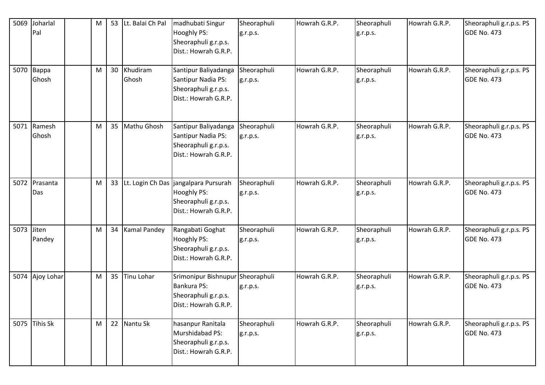| 5069 | Joharlal<br>Pal     | M | 53              | Lt. Balai Ch Pal  | madhubati Singur<br><b>Hooghly PS:</b><br>Sheoraphuli g.r.p.s.<br>Dist.: Howrah G.R.P.                       | Sheoraphuli<br>g.r.p.s. | Howrah G.R.P. | Sheoraphuli<br>g.r.p.s. | Howrah G.R.P. | Sheoraphuli g.r.p.s. PS<br>GDE No. 473        |
|------|---------------------|---|-----------------|-------------------|--------------------------------------------------------------------------------------------------------------|-------------------------|---------------|-------------------------|---------------|-----------------------------------------------|
|      | 5070 Bappa<br>Ghosh | M | 30 <sup>°</sup> | Khudiram<br>Ghosh | Santipur Baliyadanga<br>Santipur Nadia PS:<br>Sheoraphuli g.r.p.s.<br>Dist.: Howrah G.R.P.                   | Sheoraphuli<br>g.r.p.s. | Howrah G.R.P. | Sheoraphuli<br>g.r.p.s. | Howrah G.R.P. | Sheoraphuli g.r.p.s. PS<br><b>GDE No. 473</b> |
| 5071 | Ramesh<br>Ghosh     | M | 35              | Mathu Ghosh       | Santipur Baliyadanga<br>Santipur Nadia PS:<br>Sheoraphuli g.r.p.s.<br>Dist.: Howrah G.R.P.                   | Sheoraphuli<br>g.r.p.s. | Howrah G.R.P. | Sheoraphuli<br>g.r.p.s. | Howrah G.R.P. | Sheoraphuli g.r.p.s. PS<br><b>GDE No. 473</b> |
| 5072 | Prasanta<br>Das     | M | 33              |                   | Lt. Login Ch Das   jangalpara Pursurah<br><b>Hooghly PS:</b><br>Sheoraphuli g.r.p.s.<br>Dist.: Howrah G.R.P. | Sheoraphuli<br>g.r.p.s. | Howrah G.R.P. | Sheoraphuli<br>g.r.p.s. | Howrah G.R.P. | Sheoraphuli g.r.p.s. PS<br><b>GDE No. 473</b> |
| 5073 | Jiten<br>Pandey     | M | 34              | Kamal Pandey      | Rangabati Goghat<br><b>Hooghly PS:</b><br>Sheoraphuli g.r.p.s.<br>Dist.: Howrah G.R.P.                       | Sheoraphuli<br>g.r.p.s. | Howrah G.R.P. | Sheoraphuli<br>g.r.p.s. | Howrah G.R.P. | Sheoraphuli g.r.p.s. PS<br><b>GDE No. 473</b> |
|      | 5074 Ajoy Lohar     | М | 35              | <b>Tinu Lohar</b> | Srimonipur Bishnupur Sheoraphuli<br>Bankura PS:<br>Sheoraphuli g.r.p.s.<br>Dist.: Howrah G.R.P.              | g.r.p.s.                | Howrah G.R.P. | Sheoraphuli<br>g.r.p.s. | Howrah G.R.P. | Sheoraphuli g.r.p.s. PS<br><b>GDE No. 473</b> |
|      | 5075 Tihis Sk       | M | 22              | Nantu Sk          | hasanpur Ranitala<br>Murshidabad PS:<br>Sheoraphuli g.r.p.s.<br>Dist.: Howrah G.R.P.                         | Sheoraphuli<br>g.r.p.s. | Howrah G.R.P. | Sheoraphuli<br>g.r.p.s. | Howrah G.R.P. | Sheoraphuli g.r.p.s. PS<br><b>GDE No. 473</b> |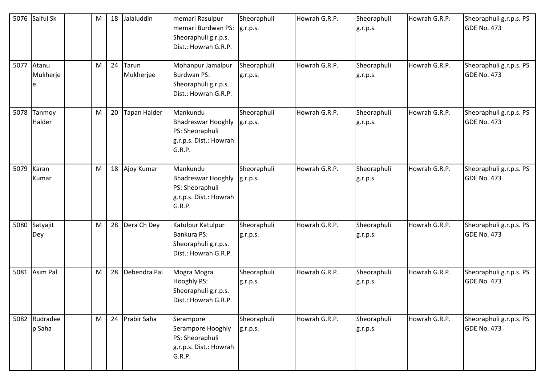|      | 5076 Saiful Sk          | M |    | 18 Jalaluddin         | memari Rasulpur<br>memari Burdwan PS:<br>Sheoraphuli g.r.p.s.<br>Dist.: Howrah G.R.P.        | Sheoraphuli<br>g.r.p.s. | Howrah G.R.P. | Sheoraphuli<br>g.r.p.s. | Howrah G.R.P. | Sheoraphuli g.r.p.s. PS<br>GDE No. 473        |
|------|-------------------------|---|----|-----------------------|----------------------------------------------------------------------------------------------|-------------------------|---------------|-------------------------|---------------|-----------------------------------------------|
|      | 5077 Atanu<br>Mukherje  | M |    | 24 Tarun<br>Mukherjee | Mohanpur Jamalpur<br>Burdwan PS:<br>Sheoraphuli g.r.p.s.<br>Dist.: Howrah G.R.P.             | Sheoraphuli<br>g.r.p.s. | Howrah G.R.P. | Sheoraphuli<br>g.r.p.s. | Howrah G.R.P. | Sheoraphuli g.r.p.s. PS<br>GDE No. 473        |
| 5078 | Tanmoy<br>Halder        | M | 20 | Tapan Halder          | Mankundu<br><b>Bhadreswar Hooghly</b><br>PS: Sheoraphuli<br>g.r.p.s. Dist.: Howrah<br>G.R.P. | Sheoraphuli<br>g.r.p.s. | Howrah G.R.P. | Sheoraphuli<br>g.r.p.s. | Howrah G.R.P. | Sheoraphuli g.r.p.s. PS<br><b>GDE No. 473</b> |
| 5079 | Karan<br>Kumar          | M |    | 18 Ajoy Kumar         | Mankundu<br><b>Bhadreswar Hooghly</b><br>PS: Sheoraphuli<br>g.r.p.s. Dist.: Howrah<br>G.R.P. | Sheoraphuli<br>g.r.p.s. | Howrah G.R.P. | Sheoraphuli<br>g.r.p.s. | Howrah G.R.P. | Sheoraphuli g.r.p.s. PS<br><b>GDE No. 473</b> |
| 5080 | Satyajit<br>Dey         | M |    | 28 Dera Ch Dey        | Katulpur Katulpur<br>Bankura PS:<br>Sheoraphuli g.r.p.s.<br>Dist.: Howrah G.R.P.             | Sheoraphuli<br>g.r.p.s. | Howrah G.R.P. | Sheoraphuli<br>g.r.p.s. | Howrah G.R.P. | Sheoraphuli g.r.p.s. PS<br><b>GDE No. 473</b> |
| 5081 | Asim Pal                | M |    | 28 Debendra Pal       | Mogra Mogra<br>Hooghly PS:<br>Sheoraphuli g.r.p.s.<br>Dist.: Howrah G.R.P.                   | Sheoraphuli<br>g.r.p.s. | Howrah G.R.P. | Sheoraphuli<br>g.r.p.s. | Howrah G.R.P. | Sheoraphuli g.r.p.s. PS<br><b>GDE No. 473</b> |
|      | 5082 Rudradee<br>p Saha | M |    | 24 Prabir Saha        | Serampore<br>Serampore Hooghly<br>PS: Sheoraphuli<br>g.r.p.s. Dist.: Howrah<br>G.R.P.        | Sheoraphuli<br>g.r.p.s. | Howrah G.R.P. | Sheoraphuli<br>g.r.p.s. | Howrah G.R.P. | Sheoraphuli g.r.p.s. PS<br><b>GDE No. 473</b> |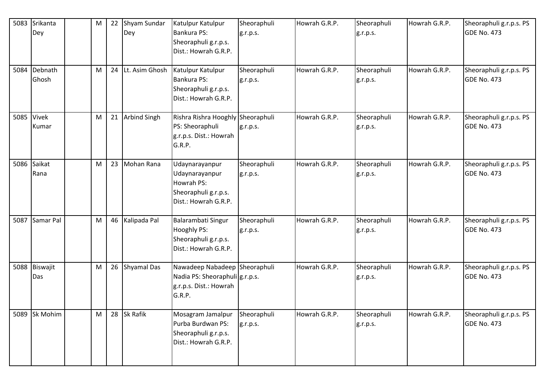| 5083 | Srikanta<br>Dey     | M | 22 | Shyam Sundar<br>Dey | Katulpur Katulpur<br>Bankura PS:<br>Sheoraphuli g.r.p.s.<br>Dist.: Howrah G.R.P.                    | Sheoraphuli<br>g.r.p.s. | Howrah G.R.P. | Sheoraphuli<br>g.r.p.s. | Howrah G.R.P. | Sheoraphuli g.r.p.s. PS<br>GDE No. 473        |
|------|---------------------|---|----|---------------------|-----------------------------------------------------------------------------------------------------|-------------------------|---------------|-------------------------|---------------|-----------------------------------------------|
| 5084 | Debnath<br>Ghosh    | M |    | 24 Lt. Asim Ghosh   | Katulpur Katulpur<br>Bankura PS:<br>Sheoraphuli g.r.p.s.<br>Dist.: Howrah G.R.P.                    | Sheoraphuli<br>g.r.p.s. | Howrah G.R.P. | Sheoraphuli<br>g.r.p.s. | Howrah G.R.P. | Sheoraphuli g.r.p.s. PS<br><b>GDE No. 473</b> |
|      | 5085 Vivek<br>Kumar | м |    | 21 Arbind Singh     | Rishra Rishra Hooghly Sheoraphuli<br>PS: Sheoraphuli<br>g.r.p.s. Dist.: Howrah<br>G.R.P.            | g.r.p.s.                | Howrah G.R.P. | Sheoraphuli<br>g.r.p.s. | Howrah G.R.P. | Sheoraphuli g.r.p.s. PS<br>GDE No. 473        |
|      | 5086 Saikat<br>Rana | M |    | 23 Mohan Rana       | Udaynarayanpur<br>Udaynarayanpur<br>Howrah PS:<br>Sheoraphuli g.r.p.s.<br>Dist.: Howrah G.R.P.      | Sheoraphuli<br>g.r.p.s. | Howrah G.R.P. | Sheoraphuli<br>g.r.p.s. | Howrah G.R.P. | Sheoraphuli g.r.p.s. PS<br>GDE No. 473        |
| 5087 | Samar Pal           | M | 46 | Kalipada Pal        | Balarambati Singur<br><b>Hooghly PS:</b><br>Sheoraphuli g.r.p.s.<br>Dist.: Howrah G.R.P.            | Sheoraphuli<br>g.r.p.s. | Howrah G.R.P. | Sheoraphuli<br>g.r.p.s. | Howrah G.R.P. | Sheoraphuli g.r.p.s. PS<br><b>GDE No. 473</b> |
| 5088 | Biswajit<br>Das     | M |    | 26 Shyamal Das      | Nawadeep Nabadeep Sheoraphuli<br>Nadia PS: Sheoraphuli g.r.p.s.<br>g.r.p.s. Dist.: Howrah<br>G.R.P. |                         | Howrah G.R.P. | Sheoraphuli<br>g.r.p.s. | Howrah G.R.P. | Sheoraphuli g.r.p.s. PS<br><b>GDE No. 473</b> |
| 5089 | Sk Mohim            | M |    | 28 Sk Rafik         | Mosagram Jamalpur<br>Purba Burdwan PS:<br>Sheoraphuli g.r.p.s.<br>Dist.: Howrah G.R.P.              | Sheoraphuli<br>g.r.p.s. | Howrah G.R.P. | Sheoraphuli<br>g.r.p.s. | Howrah G.R.P. | Sheoraphuli g.r.p.s. PS<br><b>GDE No. 473</b> |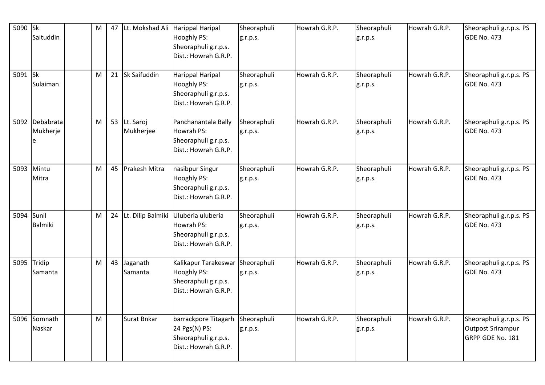| 5090 Sk    | Saituddin                       | M | 47 | Lt. Mokshad Ali Harippal Haripal | <b>Hooghly PS:</b><br>Sheoraphuli g.r.p.s.<br>Dist.: Howrah G.R.P.                                   | Sheoraphuli<br>g.r.p.s. | Howrah G.R.P. | Sheoraphuli<br>g.r.p.s. | Howrah G.R.P. | Sheoraphuli g.r.p.s. PS<br><b>GDE No. 473</b>                           |
|------------|---------------------------------|---|----|----------------------------------|------------------------------------------------------------------------------------------------------|-------------------------|---------------|-------------------------|---------------|-------------------------------------------------------------------------|
| 5091 Sk    | Sulaiman                        | M |    | 21 Sk Saifuddin                  | Harippal Haripal<br>Hooghly PS:<br>Sheoraphuli g.r.p.s.<br>Dist.: Howrah G.R.P.                      | Sheoraphuli<br>g.r.p.s. | Howrah G.R.P. | Sheoraphuli<br>g.r.p.s. | Howrah G.R.P. | Sheoraphuli g.r.p.s. PS<br><b>GDE No. 473</b>                           |
|            | 5092 Debabrata<br>Mukherje<br>e | M |    | 53 Lt. Saroj<br>Mukherjee        | Panchanantala Bally<br>Howrah PS:<br>Sheoraphuli g.r.p.s.<br>Dist.: Howrah G.R.P.                    | Sheoraphuli<br>g.r.p.s. | Howrah G.R.P. | Sheoraphuli<br>g.r.p.s. | Howrah G.R.P. | Sheoraphuli g.r.p.s. PS<br><b>GDE No. 473</b>                           |
| 5093       | Mintu<br>Mitra                  | M |    | 45   Prakesh Mitra               | nasibpur Singur<br>Hooghly PS:<br>Sheoraphuli g.r.p.s.<br>Dist.: Howrah G.R.P.                       | Sheoraphuli<br>g.r.p.s. | Howrah G.R.P. | Sheoraphuli<br>g.r.p.s. | Howrah G.R.P. | Sheoraphuli g.r.p.s. PS<br><b>GDE No. 473</b>                           |
| 5094 Sunil | <b>Balmiki</b>                  | M |    |                                  | 24 Lt. Dilip Balmiki Uluberia uluberia<br>Howrah PS:<br>Sheoraphuli g.r.p.s.<br>Dist.: Howrah G.R.P. | Sheoraphuli<br>g.r.p.s. | Howrah G.R.P. | Sheoraphuli<br>g.r.p.s. | Howrah G.R.P. | Sheoraphuli g.r.p.s. PS<br><b>GDE No. 473</b>                           |
|            | 5095 Tridip<br>Samanta          | M |    | 43 Jaganath<br>Samanta           | Kalikapur Tarakeswar<br>Hooghly PS:<br>Sheoraphuli g.r.p.s.<br>Dist.: Howrah G.R.P.                  | Sheoraphuli<br>g.r.p.s. | Howrah G.R.P. | Sheoraphuli<br>g.r.p.s. | Howrah G.R.P. | Sheoraphuli g.r.p.s. PS<br><b>GDE No. 473</b>                           |
|            | 5096 Somnath<br>Naskar          | M |    | Surat Bnkar                      | barrackpore Titagarh<br>24 Pgs(N) PS:<br>Sheoraphuli g.r.p.s.<br>Dist.: Howrah G.R.P.                | Sheoraphuli<br>g.r.p.s. | Howrah G.R.P. | Sheoraphuli<br>g.r.p.s. | Howrah G.R.P. | Sheoraphuli g.r.p.s. PS<br><b>Outpost Srirampur</b><br>GRPP GDE No. 181 |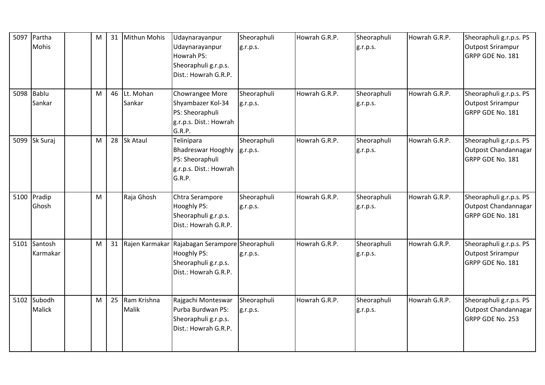| 5097 | Partha<br>Mohis          | M | 31 | <b>Mithun Mohis</b>    | Udaynarayanpur<br>Udaynarayanpur<br>Howrah PS:<br>Sheoraphuli g.r.p.s.<br>Dist.: Howrah G.R.P.                          | Sheoraphuli<br>g.r.p.s. | Howrah G.R.P. | Sheoraphuli<br>g.r.p.s. | Howrah G.R.P. | Sheoraphuli g.r.p.s. PS<br><b>Outpost Srirampur</b><br>GRPP GDE No. 181 |
|------|--------------------------|---|----|------------------------|-------------------------------------------------------------------------------------------------------------------------|-------------------------|---------------|-------------------------|---------------|-------------------------------------------------------------------------|
|      | 5098 Bablu<br>Sankar     | M |    | 46 Lt. Mohan<br>Sankar | Chowrangee More<br>Shyambazer Kol-34<br>PS: Sheoraphuli<br>g.r.p.s. Dist.: Howrah<br>G.R.P.                             | Sheoraphuli<br>g.r.p.s. | Howrah G.R.P. | Sheoraphuli<br>g.r.p.s. | Howrah G.R.P. | Sheoraphuli g.r.p.s. PS<br><b>Outpost Srirampur</b><br>GRPP GDE No. 181 |
|      | 5099 Sk Suraj            | M |    | 28 Sk Ataul            | Telinipara<br><b>Bhadreswar Hooghly</b><br>PS: Sheoraphuli<br>g.r.p.s. Dist.: Howrah<br>G.R.P.                          | Sheoraphuli<br>g.r.p.s. | Howrah G.R.P. | Sheoraphuli<br>g.r.p.s. | Howrah G.R.P. | Sheoraphuli g.r.p.s. PS<br>Outpost Chandannagar<br>GRPP GDE No. 181     |
|      | 5100 Pradip<br>Ghosh     | M |    | Raja Ghosh             | Chtra Serampore<br><b>Hooghly PS:</b><br>Sheoraphuli g.r.p.s.<br>Dist.: Howrah G.R.P.                                   | Sheoraphuli<br>g.r.p.s. | Howrah G.R.P. | Sheoraphuli<br>g.r.p.s. | Howrah G.R.P. | Sheoraphuli g.r.p.s. PS<br>Outpost Chandannagar<br>GRPP GDE No. 181     |
|      | 5101 Santosh<br>Karmakar | M |    |                        | 31 Rajen Karmakar Rajabagan Serampore Sheoraphuli<br><b>Hooghly PS:</b><br>Sheoraphuli g.r.p.s.<br>Dist.: Howrah G.R.P. | g.r.p.s.                | Howrah G.R.P. | Sheoraphuli<br>g.r.p.s. | Howrah G.R.P. | Sheoraphuli g.r.p.s. PS<br><b>Outpost Srirampur</b><br>GRPP GDE No. 181 |
| 5102 | Subodh<br>Malick         | M | 25 | Ram Krishna<br>Malik   | Rajgachi Monteswar<br>Purba Burdwan PS:<br>Sheoraphuli g.r.p.s.<br>Dist.: Howrah G.R.P.                                 | Sheoraphuli<br>g.r.p.s. | Howrah G.R.P. | Sheoraphuli<br>g.r.p.s. | Howrah G.R.P. | Sheoraphuli g.r.p.s. PS<br>Outpost Chandannagar<br>GRPP GDE No. 253     |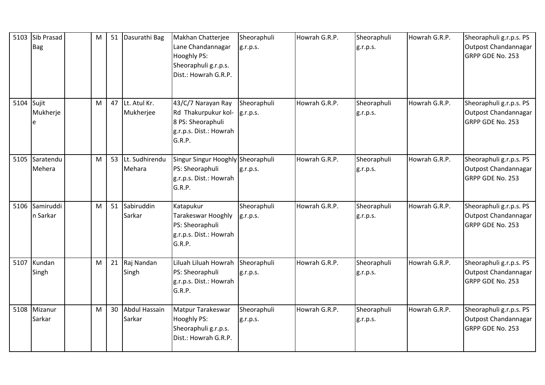| 5103       | Sib Prasad<br><b>Bag</b>   | ${\sf M}$ | 51 | Dasurathi Bag                  | Makhan Chatterjee<br>Lane Chandannagar<br>Hooghly PS:<br>Sheoraphuli g.r.p.s.<br>Dist.: Howrah G.R.P. | Sheoraphuli<br>g.r.p.s. | Howrah G.R.P. | Sheoraphuli<br>g.r.p.s. | Howrah G.R.P. | Sheoraphuli g.r.p.s. PS<br>Outpost Chandannagar<br>GRPP GDE No. 253        |
|------------|----------------------------|-----------|----|--------------------------------|-------------------------------------------------------------------------------------------------------|-------------------------|---------------|-------------------------|---------------|----------------------------------------------------------------------------|
| 5104 Sujit | Mukherje<br>le             | M         |    | 47 Lt. Atul Kr.<br>Mukherjee   | 43/C/7 Narayan Ray<br>Rd Thakurpukur kol-<br>8 PS: Sheoraphuli<br>g.r.p.s. Dist.: Howrah<br>G.R.P.    | Sheoraphuli<br>g.r.p.s. | Howrah G.R.P. | Sheoraphuli<br>g.r.p.s. | Howrah G.R.P. | Sheoraphuli g.r.p.s. PS<br>Outpost Chandannagar<br>GRPP GDE No. 253        |
|            | 5105 Saratendu<br>Mehera   | M         | 53 | Lt. Sudhirendu<br>Mehara       | Singur Singur Hooghly Sheoraphuli<br>PS: Sheoraphuli<br>g.r.p.s. Dist.: Howrah<br>G.R.P.              | g.r.p.s.                | Howrah G.R.P. | Sheoraphuli<br>g.r.p.s. | Howrah G.R.P. | Sheoraphuli g.r.p.s. PS<br>Outpost Chandannagar<br><b>GRPP GDE No. 253</b> |
|            | 5106 Samiruddi<br>n Sarkar | M         | 51 | Sabiruddin<br>Sarkar           | Katapukur<br>Tarakeswar Hooghly<br>PS: Sheoraphuli<br>g.r.p.s. Dist.: Howrah<br>G.R.P.                | Sheoraphuli<br>g.r.p.s. | Howrah G.R.P. | Sheoraphuli<br>g.r.p.s. | Howrah G.R.P. | Sheoraphuli g.r.p.s. PS<br>Outpost Chandannagar<br><b>GRPP GDE No. 253</b> |
| 5107       | Kundan<br>Singh            | M         | 21 | Raj Nandan<br>Singh            | Liluah Liluah Howrah<br>PS: Sheoraphuli<br>g.r.p.s. Dist.: Howrah<br>G.R.P.                           | Sheoraphuli<br>g.r.p.s. | Howrah G.R.P. | Sheoraphuli<br>g.r.p.s. | Howrah G.R.P. | Sheoraphuli g.r.p.s. PS<br>Outpost Chandannagar<br>GRPP GDE No. 253        |
|            | 5108 Mizanur<br>Sarkar     | M         | 30 | <b>Abdul Hassain</b><br>Sarkar | Matpur Tarakeswar<br>Hooghly PS:<br>Sheoraphuli g.r.p.s.<br>Dist.: Howrah G.R.P.                      | Sheoraphuli<br>g.r.p.s. | Howrah G.R.P. | Sheoraphuli<br>g.r.p.s. | Howrah G.R.P. | Sheoraphuli g.r.p.s. PS<br>Outpost Chandannagar<br>GRPP GDE No. 253        |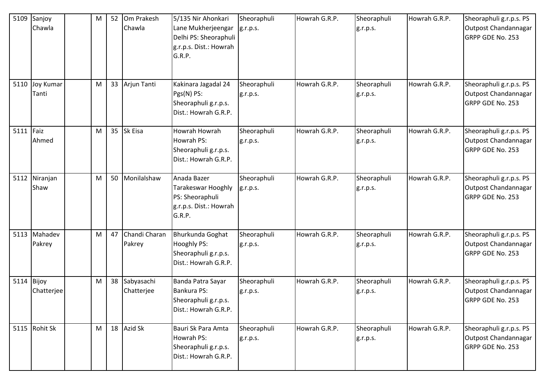|      | 5109 Sanjoy<br>Chawla     | M | 52 Om Prakesh<br>Chawla     | 5/135 Nir Ahonkari<br>Lane Mukherjeengar<br>Delhi PS: Sheoraphuli<br>g.r.p.s. Dist.: Howrah<br>G.R.P. | Sheoraphuli<br>g.r.p.s. | Howrah G.R.P. | Sheoraphuli<br>g.r.p.s. | Howrah G.R.P. | Sheoraphuli g.r.p.s. PS<br>Outpost Chandannagar<br>GRPP GDE No. 253 |
|------|---------------------------|---|-----------------------------|-------------------------------------------------------------------------------------------------------|-------------------------|---------------|-------------------------|---------------|---------------------------------------------------------------------|
| 5110 | <b>Joy Kumar</b><br>Tanti | M | 33 Arjun Tanti              | Kakinara Jagadal 24<br>Pgs(N) PS:<br>Sheoraphuli g.r.p.s.<br>Dist.: Howrah G.R.P.                     | Sheoraphuli<br>g.r.p.s. | Howrah G.R.P. | Sheoraphuli<br>g.r.p.s. | Howrah G.R.P. | Sheoraphuli g.r.p.s. PS<br>Outpost Chandannagar<br>GRPP GDE No. 253 |
| 5111 | Faiz<br>Ahmed             | M | 35 Sk Eisa                  | Howrah Howrah<br>Howrah PS:<br>Sheoraphuli g.r.p.s.<br>Dist.: Howrah G.R.P.                           | Sheoraphuli<br>g.r.p.s. | Howrah G.R.P. | Sheoraphuli<br>g.r.p.s. | Howrah G.R.P. | Sheoraphuli g.r.p.s. PS<br>Outpost Chandannagar<br>GRPP GDE No. 253 |
|      | 5112 Niranjan<br>Shaw     | M | 50 Monilalshaw              | Anada Bazer<br>Tarakeswar Hooghly<br>PS: Sheoraphuli<br>g.r.p.s. Dist.: Howrah<br>G.R.P.              | Sheoraphuli<br>g.r.p.s. | Howrah G.R.P. | Sheoraphuli<br>g.r.p.s. | Howrah G.R.P. | Sheoraphuli g.r.p.s. PS<br>Outpost Chandannagar<br>GRPP GDE No. 253 |
|      | 5113 Mahadev<br>Pakrey    | M | 47 Chandi Charan<br>Pakrey  | Bhurkunda Goghat<br>Hooghly PS:<br>Sheoraphuli g.r.p.s.<br>Dist.: Howrah G.R.P.                       | Sheoraphuli<br>g.r.p.s. | Howrah G.R.P. | Sheoraphuli<br>g.r.p.s. | Howrah G.R.P. | Sheoraphuli g.r.p.s. PS<br>Outpost Chandannagar<br>GRPP GDE No. 253 |
| 5114 | Bijoy<br>Chatterjee       | M | 38 Sabyasachi<br>Chatterjee | Banda Patra Sayar<br>Bankura PS:<br>Sheoraphuli g.r.p.s.<br>Dist.: Howrah G.R.P.                      | Sheoraphuli<br>g.r.p.s. | Howrah G.R.P. | Sheoraphuli<br>g.r.p.s. | Howrah G.R.P. | Sheoraphuli g.r.p.s. PS<br>Outpost Chandannagar<br>GRPP GDE No. 253 |
|      | 5115 Rohit Sk             | M | 18 Azid Sk                  | Bauri Sk Para Amta<br>Howrah PS:<br>Sheoraphuli g.r.p.s.<br>Dist.: Howrah G.R.P.                      | Sheoraphuli<br>g.r.p.s. | Howrah G.R.P. | Sheoraphuli<br>g.r.p.s. | Howrah G.R.P. | Sheoraphuli g.r.p.s. PS<br>Outpost Chandannagar<br>GRPP GDE No. 253 |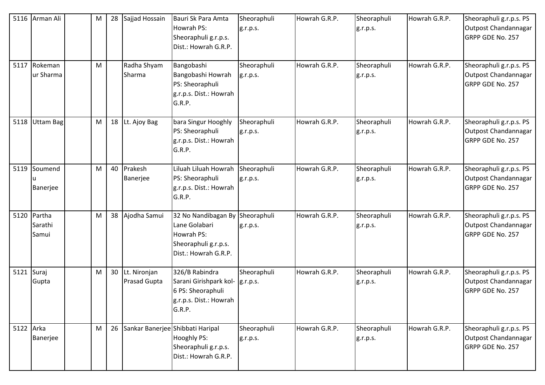|            | 5116 Arman Ali<br>5117 Rokeman<br>ur Sharma | M<br>M | 28 | Sajjad Hossain<br>Radha Shyam<br>Sharma | Bauri Sk Para Amta<br>Howrah PS:<br>Sheoraphuli g.r.p.s.<br>Dist.: Howrah G.R.P.<br>Bangobashi<br>Bangobashi Howrah<br>PS: Sheoraphuli<br>g.r.p.s. Dist.: Howrah<br>G.R.P. | Sheoraphuli<br>g.r.p.s.<br>Sheoraphuli<br>g.r.p.s. | Howrah G.R.P.<br>Howrah G.R.P. | Sheoraphuli<br>g.r.p.s.<br>Sheoraphuli<br>g.r.p.s. | Howrah G.R.P.<br>Howrah G.R.P. | Sheoraphuli g.r.p.s. PS<br>Outpost Chandannagar<br>GRPP GDE No. 257<br>Sheoraphuli g.r.p.s. PS<br>Outpost Chandannagar<br>GRPP GDE No. 257 |
|------------|---------------------------------------------|--------|----|-----------------------------------------|----------------------------------------------------------------------------------------------------------------------------------------------------------------------------|----------------------------------------------------|--------------------------------|----------------------------------------------------|--------------------------------|--------------------------------------------------------------------------------------------------------------------------------------------|
| 5118       | Uttam Bag                                   | M      |    | 18 Lt. Ajoy Bag                         | bara Singur Hooghly<br>PS: Sheoraphuli<br>g.r.p.s. Dist.: Howrah<br>G.R.P.                                                                                                 | Sheoraphuli<br>g.r.p.s.                            | Howrah G.R.P.                  | Sheoraphuli<br>g.r.p.s.                            | Howrah G.R.P.                  | Sheoraphuli g.r.p.s. PS<br>Outpost Chandannagar<br>GRPP GDE No. 257                                                                        |
| 5119       | Soumend<br>Banerjee                         | M      |    | 40 Prakesh<br>Banerjee                  | Liluah Liluah Howrah<br>PS: Sheoraphuli<br>g.r.p.s. Dist.: Howrah<br>G.R.P.                                                                                                | Sheoraphuli<br>g.r.p.s.                            | Howrah G.R.P.                  | Sheoraphuli<br>g.r.p.s.                            | Howrah G.R.P.                  | Sheoraphuli g.r.p.s. PS<br>Outpost Chandannagar<br>GRPP GDE No. 257                                                                        |
| 5120       | Partha<br>Sarathi<br>Samui                  | M      |    | 38 Ajodha Samui                         | 32 No Nandibagan By Sheoraphuli<br>Lane Golabari<br>Howrah PS:<br>Sheoraphuli g.r.p.s.<br>Dist.: Howrah G.R.P.                                                             | g.r.p.s.                                           | Howrah G.R.P.                  | Sheoraphuli<br>g.r.p.s.                            | Howrah G.R.P.                  | Sheoraphuli g.r.p.s. PS<br>Outpost Chandannagar<br>GRPP GDE No. 257                                                                        |
| 5121 Suraj | Gupta                                       | M      |    | 30 Lt. Nironjan<br>Prasad Gupta         | 326/B Rabindra<br>Sarani Girishpark kol-<br>6 PS: Sheoraphuli<br>g.r.p.s. Dist.: Howrah<br>G.R.P.                                                                          | Sheoraphuli<br>g.r.p.s.                            | Howrah G.R.P.                  | Sheoraphuli<br>g.r.p.s.                            | Howrah G.R.P.                  | Sheoraphuli g.r.p.s. PS<br>Outpost Chandannagar<br>GRPP GDE No. 257                                                                        |
| 5122 Arka  | Banerjee                                    | M      |    | 26 Sankar Banerjee Shibbati Haripal     | <b>Hooghly PS:</b><br>Sheoraphuli g.r.p.s.<br>Dist.: Howrah G.R.P.                                                                                                         | Sheoraphuli<br>g.r.p.s.                            | Howrah G.R.P.                  | Sheoraphuli<br>g.r.p.s.                            | Howrah G.R.P.                  | Sheoraphuli g.r.p.s. PS<br>Outpost Chandannagar<br>GRPP GDE No. 257                                                                        |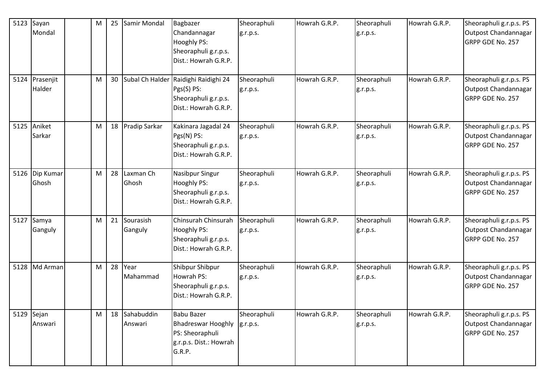|      | 5123 $S$ ayan<br>Mondal   | M | 25 | Samir Mondal          | Bagbazer<br>Chandannagar<br>Hooghly PS:<br>Sheoraphuli g.r.p.s.<br>Dist.: Howrah G.R.P.               | Sheoraphuli<br>g.r.p.s. | Howrah G.R.P. | Sheoraphuli<br>g.r.p.s. | Howrah G.R.P. | Sheoraphuli g.r.p.s. PS<br>Outpost Chandannagar<br>GRPP GDE No. 257 |
|------|---------------------------|---|----|-----------------------|-------------------------------------------------------------------------------------------------------|-------------------------|---------------|-------------------------|---------------|---------------------------------------------------------------------|
| 5124 | Prasenjit<br>Halder       | M | 30 |                       | Subal Ch Halder Raidighi Raidighi 24<br>Pgs(S) PS:<br>Sheoraphuli g.r.p.s.<br>Dist.: Howrah G.R.P.    | Sheoraphuli<br>g.r.p.s. | Howrah G.R.P. | Sheoraphuli<br>g.r.p.s. | Howrah G.R.P. | Sheoraphuli g.r.p.s. PS<br>Outpost Chandannagar<br>GRPP GDE No. 257 |
| 5125 | Aniket<br>Sarkar          | M | 18 | Pradip Sarkar         | Kakinara Jagadal 24<br>Pgs(N) PS:<br>Sheoraphuli g.r.p.s.<br>Dist.: Howrah G.R.P.                     | Sheoraphuli<br>g.r.p.s. | Howrah G.R.P. | Sheoraphuli<br>g.r.p.s. | Howrah G.R.P. | Sheoraphuli g.r.p.s. PS<br>Outpost Chandannagar<br>GRPP GDE No. 257 |
|      | 5126   Dip Kumar<br>Ghosh | м | 28 | Laxman Ch<br>Ghosh    | Nasibpur Singur<br><b>Hooghly PS:</b><br>Sheoraphuli g.r.p.s.<br>Dist.: Howrah G.R.P.                 | Sheoraphuli<br>g.r.p.s. | Howrah G.R.P. | Sheoraphuli<br>g.r.p.s. | Howrah G.R.P. | Sheoraphuli g.r.p.s. PS<br>Outpost Chandannagar<br>GRPP GDE No. 257 |
| 5127 | Samya<br>Ganguly          | M | 21 | Sourasish<br>Ganguly  | Chinsurah Chinsurah<br><b>Hooghly PS:</b><br>Sheoraphuli g.r.p.s.<br>Dist.: Howrah G.R.P.             | Sheoraphuli<br>g.r.p.s. | Howrah G.R.P. | Sheoraphuli<br>g.r.p.s. | Howrah G.R.P. | Sheoraphuli g.r.p.s. PS<br>Outpost Chandannagar<br>GRPP GDE No. 257 |
| 5128 | Md Arman                  | M | 28 | Year<br>Mahammad      | Shibpur Shibpur<br>Howrah PS:<br>Sheoraphuli g.r.p.s.<br>Dist.: Howrah G.R.P.                         | Sheoraphuli<br>g.r.p.s. | Howrah G.R.P. | Sheoraphuli<br>g.r.p.s. | Howrah G.R.P. | Sheoraphuli g.r.p.s. PS<br>Outpost Chandannagar<br>GRPP GDE No. 257 |
|      | 5129 Sejan<br>Answari     | M | 18 | Sahabuddin<br>Answari | <b>Babu Bazer</b><br><b>Bhadreswar Hooghly</b><br>PS: Sheoraphuli<br>g.r.p.s. Dist.: Howrah<br>G.R.P. | Sheoraphuli<br>g.r.p.s. | Howrah G.R.P. | Sheoraphuli<br>g.r.p.s. | Howrah G.R.P. | Sheoraphuli g.r.p.s. PS<br>Outpost Chandannagar<br>GRPP GDE No. 257 |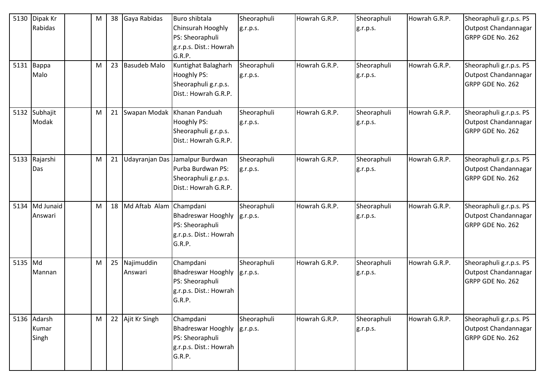|      | 5130 Dipak Kr                 | M | 38 | Gaya Rabidas          | <b>Buro shibtala</b>                                                                                 | Sheoraphuli             | Howrah G.R.P. | Sheoraphuli             | Howrah G.R.P. | Sheoraphuli g.r.p.s. PS                                             |
|------|-------------------------------|---|----|-----------------------|------------------------------------------------------------------------------------------------------|-------------------------|---------------|-------------------------|---------------|---------------------------------------------------------------------|
|      | Rabidas                       |   |    |                       | Chinsurah Hooghly<br>PS: Sheoraphuli<br>g.r.p.s. Dist.: Howrah<br>G.R.P.                             | g.r.p.s.                |               | g.r.p.s.                |               | Outpost Chandannagar<br>GRPP GDE No. 262                            |
|      | 5131 Bappa<br>Malo            | M | 23 | <b>Basudeb Malo</b>   | Kuntighat Balagharh<br><b>Hooghly PS:</b><br>Sheoraphuli g.r.p.s.<br>Dist.: Howrah G.R.P.            | Sheoraphuli<br>g.r.p.s. | Howrah G.R.P. | Sheoraphuli<br>g.r.p.s. | Howrah G.R.P. | Sheoraphuli g.r.p.s. PS<br>Outpost Chandannagar<br>GRPP GDE No. 262 |
|      | 5132 Subhajit<br>Modak        | M | 21 |                       | Swapan Modak Khanan Panduah<br><b>Hooghly PS:</b><br>Sheoraphuli g.r.p.s.<br>Dist.: Howrah G.R.P.    | Sheoraphuli<br>g.r.p.s. | Howrah G.R.P. | Sheoraphuli<br>g.r.p.s. | Howrah G.R.P. | Sheoraphuli g.r.p.s. PS<br>Outpost Chandannagar<br>GRPP GDE No. 262 |
|      | 5133 Rajarshi<br>Das          | M | 21 |                       | Udayranjan Das Jamalpur Burdwan<br>Purba Burdwan PS:<br>Sheoraphuli g.r.p.s.<br>Dist.: Howrah G.R.P. | Sheoraphuli<br>g.r.p.s. | Howrah G.R.P. | Sheoraphuli<br>g.r.p.s. | Howrah G.R.P. | Sheoraphuli g.r.p.s. PS<br>Outpost Chandannagar<br>GRPP GDE No. 262 |
|      | 5134 Md Junaid<br>Answari     | M | 18 | Md Aftab Alam         | Champdani<br><b>Bhadreswar Hooghly</b><br>PS: Sheoraphuli<br>g.r.p.s. Dist.: Howrah<br>G.R.P.        | Sheoraphuli<br>g.r.p.s. | Howrah G.R.P. | Sheoraphuli<br>g.r.p.s. | Howrah G.R.P. | Sheoraphuli g.r.p.s. PS<br>Outpost Chandannagar<br>GRPP GDE No. 262 |
| 5135 | Md<br>Mannan                  | M | 25 | Najimuddin<br>Answari | Champdani<br><b>Bhadreswar Hooghly</b><br>PS: Sheoraphuli<br>g.r.p.s. Dist.: Howrah<br>G.R.P.        | Sheoraphuli<br>g.r.p.s. | Howrah G.R.P. | Sheoraphuli<br>g.r.p.s. | Howrah G.R.P. | Sheoraphuli g.r.p.s. PS<br>Outpost Chandannagar<br>GRPP GDE No. 262 |
|      | 5136 Adarsh<br>Kumar<br>Singh | M | 22 | Ajit Kr Singh         | Champdani<br><b>Bhadreswar Hooghly</b><br>PS: Sheoraphuli<br>g.r.p.s. Dist.: Howrah<br>G.R.P.        | Sheoraphuli<br>g.r.p.s. | Howrah G.R.P. | Sheoraphuli<br>g.r.p.s. | Howrah G.R.P. | Sheoraphuli g.r.p.s. PS<br>Outpost Chandannagar<br>GRPP GDE No. 262 |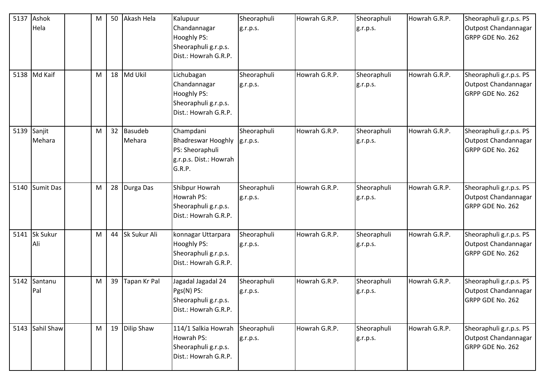| 5137 | Ashok<br>Hela          | M |    | 50 Akash Hela        | Kalupuur<br>Chandannagar<br>Hooghly PS:<br>Sheoraphuli g.r.p.s.<br>Dist.: Howrah G.R.P.       | Sheoraphuli<br>g.r.p.s. | Howrah G.R.P. | Sheoraphuli<br>g.r.p.s. | Howrah G.R.P. | Sheoraphuli g.r.p.s. PS<br>Outpost Chandannagar<br>GRPP GDE No. 262 |
|------|------------------------|---|----|----------------------|-----------------------------------------------------------------------------------------------|-------------------------|---------------|-------------------------|---------------|---------------------------------------------------------------------|
|      | 5138 Md Kaif           | M |    | 18 Md Ukil           | Lichubagan<br>Chandannagar<br>Hooghly PS:<br>Sheoraphuli g.r.p.s.<br>Dist.: Howrah G.R.P.     | Sheoraphuli<br>g.r.p.s. | Howrah G.R.P. | Sheoraphuli<br>g.r.p.s. | Howrah G.R.P. | Sheoraphuli g.r.p.s. PS<br>Outpost Chandannagar<br>GRPP GDE No. 262 |
| 5139 | Sanjit<br>Mehara       | M |    | 32 Basudeb<br>Mehara | Champdani<br><b>Bhadreswar Hooghly</b><br>PS: Sheoraphuli<br>g.r.p.s. Dist.: Howrah<br>G.R.P. | Sheoraphuli<br>g.r.p.s. | Howrah G.R.P. | Sheoraphuli<br>g.r.p.s. | Howrah G.R.P. | Sheoraphuli g.r.p.s. PS<br>Outpost Chandannagar<br>GRPP GDE No. 262 |
| 5140 | <b>Sumit Das</b>       | M |    | 28 Durga Das         | Shibpur Howrah<br>Howrah PS:<br>Sheoraphuli g.r.p.s.<br>Dist.: Howrah G.R.P.                  | Sheoraphuli<br>g.r.p.s. | Howrah G.R.P. | Sheoraphuli<br>g.r.p.s. | Howrah G.R.P. | Sheoraphuli g.r.p.s. PS<br>Outpost Chandannagar<br>GRPP GDE No. 262 |
| 5141 | <b>Sk Sukur</b><br>Ali | M |    | 44 Sk Sukur Ali      | konnagar Uttarpara<br>Hooghly PS:<br>Sheoraphuli g.r.p.s.<br>Dist.: Howrah G.R.P.             | Sheoraphuli<br>g.r.p.s. | Howrah G.R.P. | Sheoraphuli<br>g.r.p.s. | Howrah G.R.P. | Sheoraphuli g.r.p.s. PS<br>Outpost Chandannagar<br>GRPP GDE No. 262 |
|      | 5142 Santanu<br>Pal    | M | 39 | Tapan Kr Pal         | Jagadal Jagadal 24<br>Pgs(N) PS:<br>Sheoraphuli g.r.p.s.<br>Dist.: Howrah G.R.P.              | Sheoraphuli<br>g.r.p.s. | Howrah G.R.P. | Sheoraphuli<br>g.r.p.s. | Howrah G.R.P. | Sheoraphuli g.r.p.s. PS<br>Outpost Chandannagar<br>GRPP GDE No. 262 |
|      | 5143 Sahil Shaw        | M |    | 19 Dilip Shaw        | 114/1 Salkia Howrah<br>Howrah PS:<br>Sheoraphuli g.r.p.s.<br>Dist.: Howrah G.R.P.             | Sheoraphuli<br>g.r.p.s. | Howrah G.R.P. | Sheoraphuli<br>g.r.p.s. | Howrah G.R.P. | Sheoraphuli g.r.p.s. PS<br>Outpost Chandannagar<br>GRPP GDE No. 262 |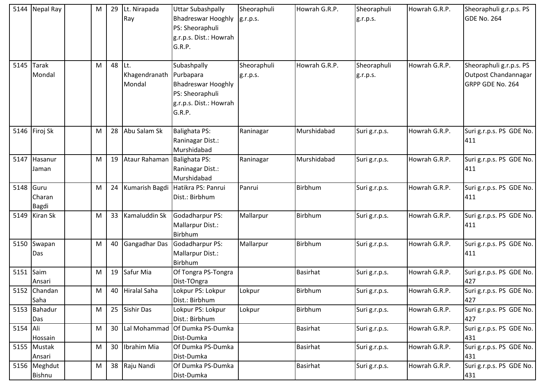|           | 5144 Nepal Ray | M | 29     | Lt. Nirapada      | <b>Uttar Subashpally</b>                     | Sheoraphuli | Howrah G.R.P.   | Sheoraphuli   | Howrah G.R.P. | Sheoraphuli g.r.p.s. PS  |
|-----------|----------------|---|--------|-------------------|----------------------------------------------|-------------|-----------------|---------------|---------------|--------------------------|
|           |                |   |        | Ray               | <b>Bhadreswar Hooghly</b><br>PS: Sheoraphuli | g.r.p.s.    |                 | g.r.p.s.      |               | <b>GDE No. 264</b>       |
|           |                |   |        |                   | g.r.p.s. Dist.: Howrah                       |             |                 |               |               |                          |
|           |                |   |        |                   | G.R.P.                                       |             |                 |               |               |                          |
|           |                |   |        |                   |                                              |             |                 |               |               |                          |
| 5145      | <b>Tarak</b>   | M | 48 Lt. |                   | Subashpally                                  | Sheoraphuli | Howrah G.R.P.   | Sheoraphuli   | Howrah G.R.P. | Sheoraphuli g.r.p.s. PS  |
|           | Mondal         |   |        | Khagendranath     | Purbapara                                    | g.r.p.s.    |                 | g.r.p.s.      |               | Outpost Chandannagar     |
|           |                |   |        | Mondal            | <b>Bhadreswar Hooghly</b>                    |             |                 |               |               | GRPP GDE No. 264         |
|           |                |   |        |                   | PS: Sheoraphuli                              |             |                 |               |               |                          |
|           |                |   |        |                   | g.r.p.s. Dist.: Howrah                       |             |                 |               |               |                          |
|           |                |   |        |                   | G.R.P.                                       |             |                 |               |               |                          |
| 5146      | Firoj Sk       | M |        | 28 Abu Salam Sk   | <b>Balighata PS:</b>                         | Raninagar   | Murshidabad     | Suri g.r.p.s. | Howrah G.R.P. | Suri g.r.p.s. PS GDE No. |
|           |                |   |        |                   | Raninagar Dist.:                             |             |                 |               |               | 411                      |
|           |                |   |        |                   | Murshidabad                                  |             |                 |               |               |                          |
|           | 5147 Hasanur   | M | 19     | Ataur Rahaman     | <b>Balighata PS:</b>                         | Raninagar   | Murshidabad     | Suri g.r.p.s. | Howrah G.R.P. | Suri g.r.p.s. PS GDE No. |
|           | Jaman          |   |        |                   | Raninagar Dist.:                             |             |                 |               |               | 411                      |
|           |                |   |        |                   | Murshidabad                                  |             |                 |               |               |                          |
| 5148      | Guru           | M |        | 24 Kumarish Bagdi | Hatikra PS: Panrui                           | Panrui      | Birbhum         | Suri g.r.p.s. | Howrah G.R.P. | Suri g.r.p.s. PS GDE No. |
|           | Charan         |   |        |                   | Dist.: Birbhum                               |             |                 |               |               | 411                      |
|           | <b>Bagdi</b>   |   |        |                   |                                              |             |                 |               |               |                          |
| 5149      | Kiran Sk       | M | 33     | Kamaluddin Sk     | Godadharpur PS:                              | Mallarpur   | Birbhum         | Suri g.r.p.s. | Howrah G.R.P. | Suri g.r.p.s. PS GDE No. |
|           |                |   |        |                   | Mallarpur Dist.:                             |             |                 |               |               | 411                      |
| 5150      | Swapan         | M |        | 40 Gangadhar Das  | <b>Birbhum</b><br>Godadharpur PS:            | Mallarpur   | <b>Birbhum</b>  | Suri g.r.p.s. | Howrah G.R.P. | Suri g.r.p.s. PS GDE No. |
|           | Das            |   |        |                   | Mallarpur Dist.:                             |             |                 |               |               | 411                      |
|           |                |   |        |                   | Birbhum                                      |             |                 |               |               |                          |
| 5151 Saim |                | M |        | 19 Safur Mia      | Of Tongra PS-Tongra                          |             | <b>Basirhat</b> | Suri g.r.p.s. | Howrah G.R.P. | Suri g.r.p.s. PS GDE No. |
|           | Ansari         |   |        |                   | Dist-TOngra                                  |             |                 |               |               | 427                      |
|           | 5152 Chandan   | M |        | 40 Hiralal Saha   | Lokpur PS: Lokpur                            | Lokpur      | Birbhum         | Suri g.r.p.s. | Howrah G.R.P. | Suri g.r.p.s. PS GDE No. |
|           | Saha           |   |        |                   | Dist.: Birbhum                               |             |                 |               |               | 427                      |
|           | 5153 Bahadur   | M |        | 25 Sishir Das     | Lokpur PS: Lokpur                            | Lokpur      | Birbhum         | Suri g.r.p.s. | Howrah G.R.P. | Suri g.r.p.s. PS GDE No. |
|           | Das            |   |        |                   | Dist.: Birbhum                               |             |                 |               |               | 427                      |
| 5154 Ali  |                | M | 30     | Lal Mohammad      | Of Dumka PS-Dumka                            |             | <b>Basirhat</b> | Suri g.r.p.s. | Howrah G.R.P. | Suri g.r.p.s. PS GDE No. |
|           | Hossain        |   |        |                   | Dist-Dumka                                   |             |                 |               |               | 431                      |
|           | 5155 Mustak    | M | 30     | Ibrahim Mia       | Of Dumka PS-Dumka                            |             | <b>Basirhat</b> | Suri g.r.p.s. | Howrah G.R.P. | Suri g.r.p.s. PS GDE No. |
|           | Ansari         |   |        |                   | Dist-Dumka                                   |             |                 |               |               | 431                      |
|           | 5156 Meghdut   | M |        | 38 Raju Nandi     | Of Dumka PS-Dumka                            |             | <b>Basirhat</b> | Suri g.r.p.s. | Howrah G.R.P. | Suri g.r.p.s. PS GDE No. |
|           | <b>Bishnu</b>  |   |        |                   | Dist-Dumka                                   |             |                 |               |               | 431                      |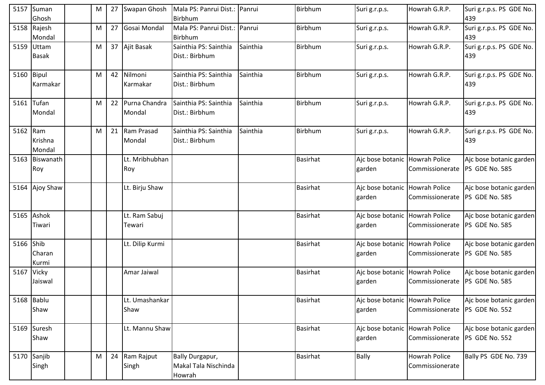|            | 5157 Suman<br>Ghosh        | M | 27 Swapan Ghosh            | Mala PS: Panrui Dist.: Panrui<br>Birbhum          |          | Birbhum         | Suri g.r.p.s.                            | Howrah G.R.P.                           | Suri g.r.p.s. PS GDE No.<br>439           |
|------------|----------------------------|---|----------------------------|---------------------------------------------------|----------|-----------------|------------------------------------------|-----------------------------------------|-------------------------------------------|
|            | 5158 Rajesh<br>Mondal      | M | 27 Gosai Mondal            | Mala PS: Panrui Dist.: Panrui<br>Birbhum          |          | Birbhum         | Suri g.r.p.s.                            | Howrah G.R.P.                           | Suri g.r.p.s. PS GDE No.<br>439           |
|            | 5159 Uttam<br><b>Basak</b> | M | 37 Ajit Basak              | Sainthia PS: Sainthia<br>Dist.: Birbhum           | Sainthia | Birbhum         | Suri g.r.p.s.                            | Howrah G.R.P.                           | Suri g.r.p.s. PS GDE No.<br>439           |
| 5160 Bipul | Karmakar                   | M | 42 Nilmoni<br>Karmakar     | Sainthia PS: Sainthia<br>Dist.: Birbhum           | Sainthia | <b>Birbhum</b>  | Suri g.r.p.s.                            | Howrah G.R.P.                           | Suri g.r.p.s. PS GDE No.<br>439           |
|            | 5161 Tufan<br>Mondal       | M | 22 Purna Chandra<br>Mondal | Sainthia PS: Sainthia<br>Dist.: Birbhum           | Sainthia | Birbhum         | Suri g.r.p.s.                            | Howrah G.R.P.                           | Suri g.r.p.s. PS GDE No.<br>439           |
| 5162 Ram   | Krishna<br>Mondal          | M | 21 Ram Prasad<br>Mondal    | Sainthia PS: Sainthia<br>Dist.: Birbhum           | Sainthia | Birbhum         | Suri g.r.p.s.                            | Howrah G.R.P.                           | Suri g.r.p.s. PS GDE No.<br>439           |
|            | 5163 Biswanath<br>Roy      |   | Lt. Mribhubhan<br>Roy      |                                                   |          | <b>Basirhat</b> | Ajc bose botanic Howrah Police<br>garden | Commissionerate                         | Ajc bose botanic garden<br>PS GDE No. 585 |
|            | 5164 Ajoy Shaw             |   | Lt. Birju Shaw             |                                                   |          | <b>Basirhat</b> | Ajc bose botanic Howrah Police<br>garden | Commissionerate                         | Ajc bose botanic garden<br>PS GDE No. 585 |
| 5165       | Ashok<br>Tiwari            |   | Lt. Ram Sabuj<br>Tewari    |                                                   |          | Basirhat        | Ajc bose botanic Howrah Police<br>garden | Commissionerate                         | Ajc bose botanic garden<br>PS GDE No. 585 |
| 5166 Shib  | Charan<br>Kurmi            |   | Lt. Dilip Kurmi            |                                                   |          | <b>Basirhat</b> | Ajc bose botanic Howrah Police<br>garden | Commissionerate                         | Ajc bose botanic garden<br>PS GDE No. 585 |
| 5167 Vicky | Jaiswal                    |   | Amar Jaiwal                |                                                   |          | <b>Basirhat</b> | Ajc bose botanic Howrah Police<br>garden | Commissionerate                         | Ajc bose botanic garden<br>PS GDE No. 585 |
|            | 5168 Bablu<br>Shaw         |   | Lt. Umashankar<br>Shaw     |                                                   |          | <b>Basirhat</b> | Ajc bose botanic Howrah Police<br>garden | Commissionerate  PS GDE No. 552         | Ajc bose botanic garden                   |
|            | 5169 Suresh<br>Shaw        |   | Lt. Mannu Shaw             |                                                   |          | <b>Basirhat</b> | Ajc bose botanic Howrah Police<br>garden | Commissionerate  PS GDE No. 552         | Ajc bose botanic garden                   |
|            | 5170 Sanjib<br>Singh       | M | 24 Ram Rajput<br>Singh     | Bally Durgapur,<br>Makal Tala Nischinda<br>Howrah |          | <b>Basirhat</b> | Bally                                    | <b>Howrah Police</b><br>Commissionerate | Bally PS GDE No. 739                      |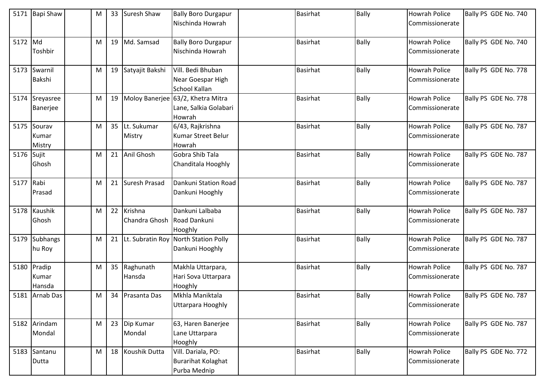|            | 5171 Bapi Shaw            | M | 33 | <b>Suresh Shaw</b>          | <b>Bally Boro Durgapur</b><br>Nischinda Howrah                          | <b>Basirhat</b> | <b>Bally</b> | <b>Howrah Police</b><br>Commissionerate | Bally PS GDE No. 740 |
|------------|---------------------------|---|----|-----------------------------|-------------------------------------------------------------------------|-----------------|--------------|-----------------------------------------|----------------------|
| 5172 Md    | Toshbir                   | M |    | 19 Md. Samsad               | <b>Bally Boro Durgapur</b><br>Nischinda Howrah                          | <b>Basirhat</b> | <b>Bally</b> | <b>Howrah Police</b><br>Commissionerate | Bally PS GDE No. 740 |
| 5173       | Swarnil<br>Bakshi         | M |    | 19 Satyajit Bakshi          | Vill. Bedi Bhuban<br>Near Goespar High<br>School Kallan                 | <b>Basirhat</b> | <b>Bally</b> | <b>Howrah Police</b><br>Commissionerate | Bally PS GDE No. 778 |
| 5174       | Sreyasree<br>Banerjee     | M |    |                             | 19 Moloy Banerjee 63/2, Khetra Mitra<br>Lane, Salkia Golabari<br>Howrah | <b>Basirhat</b> | <b>Bally</b> | <b>Howrah Police</b><br>Commissionerate | Bally PS GDE No. 778 |
| 5175       | Sourav<br>Kumar<br>Mistry | M |    | 35 Lt. Sukumar<br>Mistry    | 6/43, Rajkrishna<br>Kumar Street Belur<br>Howrah                        | <b>Basirhat</b> | <b>Bally</b> | <b>Howrah Police</b><br>Commissionerate | Bally PS GDE No. 787 |
| 5176 Sujit | Ghosh                     | M |    | 21 Anil Ghosh               | Gobra Shib Tala<br>Chanditala Hooghly                                   | <b>Basirhat</b> | <b>Bally</b> | <b>Howrah Police</b><br>Commissionerate | Bally PS GDE No. 787 |
| 5177 Rabi  | Prasad                    | M |    | 21 Suresh Prasad            | Dankuni Station Road<br>Dankuni Hooghly                                 | <b>Basirhat</b> | <b>Bally</b> | <b>Howrah Police</b><br>Commissionerate | Bally PS GDE No. 787 |
| 5178       | Kaushik<br>Ghosh          | M |    | 22 Krishna<br>Chandra Ghosh | Dankuni Lalbaba<br>Road Dankuni<br>Hooghly                              | <b>Basirhat</b> | <b>Bally</b> | <b>Howrah Police</b><br>Commissionerate | Bally PS GDE No. 787 |
| 5179       | <b>Subhangs</b><br>hu Roy | M |    | 21 Lt. Subratin Roy         | <b>North Station Polly</b><br>Dankuni Hooghly                           | <b>Basirhat</b> | <b>Bally</b> | <b>Howrah Police</b><br>Commissionerate | Bally PS GDE No. 787 |
| 5180       | Pradip<br>Kumar<br>Hansda | M |    | 35 Raghunath<br>Hansda      | Makhla Uttarpara,<br>Hari Sova Uttarpara<br>Hooghly                     | <b>Basirhat</b> | <b>Bally</b> | <b>Howrah Police</b><br>Commissionerate | Bally PS GDE No. 787 |
|            | 5181 Arnab Das            | M |    | 34 Prasanta Das             | Mkhla Maniktala<br>Uttarpara Hooghly                                    | <b>Basirhat</b> | <b>Bally</b> | <b>Howrah Police</b><br>Commissionerate | Bally PS GDE No. 787 |
|            | 5182 Arindam<br>Mondal    | M |    | 23 Dip Kumar<br>Mondal      | 63, Haren Banerjee<br>Lane Uttarpara<br>Hooghly                         | <b>Basirhat</b> | <b>Bally</b> | <b>Howrah Police</b><br>Commissionerate | Bally PS GDE No. 787 |
| 5183       | Santanu<br>Dutta          | M |    | 18 Koushik Dutta            | Vill. Dariala, PO:<br><b>Burarihat Kolaghat</b><br>Purba Mednip         | <b>Basirhat</b> | <b>Bally</b> | <b>Howrah Police</b><br>Commissionerate | Bally PS GDE No. 772 |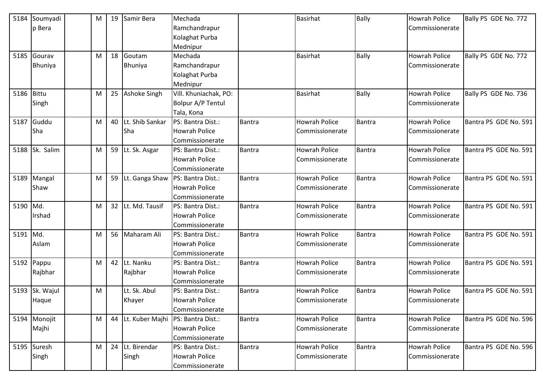| 5184     | Soumyadi       | M |    | 19 Samir Bera      | Mechada               |               | <b>Basirhat</b>      | <b>Bally</b>  | <b>Howrah Police</b> | Bally PS GDE No. 772  |
|----------|----------------|---|----|--------------------|-----------------------|---------------|----------------------|---------------|----------------------|-----------------------|
|          | p Bera         |   |    |                    | Ramchandrapur         |               |                      |               | Commissionerate      |                       |
|          |                |   |    |                    | Kolaghat Purba        |               |                      |               |                      |                       |
|          |                |   |    |                    | Mednipur              |               |                      |               |                      |                       |
| 5185     | Gourav         | M |    | 18 Goutam          | Mechada               |               | <b>Basirhat</b>      | Bally         | <b>Howrah Police</b> | Bally PS GDE No. 772  |
|          | <b>Bhuniya</b> |   |    | Bhuniya            | Ramchandrapur         |               |                      |               | Commissionerate      |                       |
|          |                |   |    |                    | Kolaghat Purba        |               |                      |               |                      |                       |
|          |                |   |    |                    | Mednipur              |               |                      |               |                      |                       |
| 5186     | <b>Bittu</b>   | M |    | 25 Ashoke Singh    | Vill. Khuniachak, PO: |               | <b>Basirhat</b>      | Bally         | <b>Howrah Police</b> | Bally PS GDE No. 736  |
|          | Singh          |   |    |                    | Bolpur A/P Tentul     |               |                      |               | Commissionerate      |                       |
|          |                |   |    |                    | Tala, Kona            |               |                      |               |                      |                       |
| 5187     | Guddu          | M | 40 | Lt. Shib Sankar    | PS: Bantra Dist.:     | <b>Bantra</b> | <b>Howrah Police</b> | <b>Bantra</b> | <b>Howrah Police</b> | Bantra PS GDE No. 591 |
|          | Sha            |   |    | <b>Sha</b>         | <b>Howrah Police</b>  |               | Commissionerate      |               | Commissionerate      |                       |
|          |                |   |    |                    | Commissionerate       |               |                      |               |                      |                       |
| 5188     | Sk. Salim      | M |    | 59 Lt. Sk. Asgar   | PS: Bantra Dist.:     | Bantra        | <b>Howrah Police</b> | <b>Bantra</b> | <b>Howrah Police</b> | Bantra PS GDE No. 591 |
|          |                |   |    |                    | <b>Howrah Police</b>  |               | Commissionerate      |               | Commissionerate      |                       |
|          |                |   |    |                    | Commissionerate       |               |                      |               |                      |                       |
| 5189     | Mangal         | M |    | 59 Lt. Ganga Shaw  | PS: Bantra Dist.:     | Bantra        | <b>Howrah Police</b> | <b>Bantra</b> | <b>Howrah Police</b> | Bantra PS GDE No. 591 |
|          | Shaw           |   |    |                    | <b>Howrah Police</b>  |               | Commissionerate      |               | Commissionerate      |                       |
|          |                |   |    |                    | Commissionerate       |               |                      |               |                      |                       |
| 5190 Md. |                | M |    | 32 Lt. Md. Tausif  | PS: Bantra Dist.:     | <b>Bantra</b> | <b>Howrah Police</b> | <b>Bantra</b> | <b>Howrah Police</b> | Bantra PS GDE No. 591 |
|          | Irshad         |   |    |                    | <b>Howrah Police</b>  |               | Commissionerate      |               | Commissionerate      |                       |
|          |                |   |    |                    | Commissionerate       |               |                      |               |                      |                       |
| 5191     | Md.            | M | 56 | Maharam Ali        | PS: Bantra Dist.:     | <b>Bantra</b> | Howrah Police        | <b>Bantra</b> | <b>Howrah Police</b> | Bantra PS GDE No. 591 |
|          | Aslam          |   |    |                    | <b>Howrah Police</b>  |               | Commissionerate      |               | Commissionerate      |                       |
|          |                |   |    |                    | Commissionerate       |               |                      |               |                      |                       |
| 5192     | Pappu          | M | 42 | Lt. Nanku          | PS: Bantra Dist.:     | Bantra        | <b>Howrah Police</b> | <b>Bantra</b> | <b>Howrah Police</b> | Bantra PS GDE No. 591 |
|          | Rajbhar        |   |    | Rajbhar            | <b>Howrah Police</b>  |               | Commissionerate      |               | Commissionerate      |                       |
|          |                |   |    |                    | Commissionerate       |               |                      |               |                      |                       |
| 5193     | Sk. Wajul      | M |    | Lt. Sk. Abul       | PS: Bantra Dist.:     | Bantra        | <b>Howrah Police</b> | <b>Bantra</b> | <b>Howrah Police</b> | Bantra PS GDE No. 591 |
|          | Haque          |   |    | Khayer             | <b>Howrah Police</b>  |               | Commissionerate      |               | Commissionerate      |                       |
|          |                |   |    |                    | Commissionerate       |               |                      |               |                      |                       |
|          | 5194 Monojit   | M |    | 44 Lt. Kuber Majhi | PS: Bantra Dist.:     | Bantra        | Howrah Police        | <b>Bantra</b> | <b>Howrah Police</b> | Bantra PS GDE No. 596 |
|          | Majhi          |   |    |                    | Howrah Police         |               | Commissionerate      |               | Commissionerate      |                       |
|          |                |   |    |                    | Commissionerate       |               |                      |               |                      |                       |
|          | 5195 Suresh    | M |    | 24 Lt. Birendar    | PS: Bantra Dist.:     | Bantra        | Howrah Police        | <b>Bantra</b> | <b>Howrah Police</b> | Bantra PS GDE No. 596 |
|          | Singh          |   |    | Singh              | <b>Howrah Police</b>  |               | Commissionerate      |               | Commissionerate      |                       |
|          |                |   |    |                    | Commissionerate       |               |                      |               |                      |                       |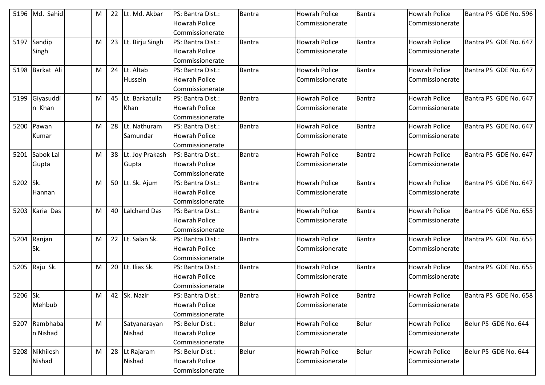|          | 5196 Md. Sahid  | M |    | 22 Lt. Md. Akbar   | PS: Bantra Dist.:    | Bantra        | <b>Howrah Police</b> | <b>Bantra</b> | Howrah Police        | Bantra PS GDE No. 596 |
|----------|-----------------|---|----|--------------------|----------------------|---------------|----------------------|---------------|----------------------|-----------------------|
|          |                 |   |    |                    | Howrah Police        |               | Commissionerate      |               | Commissionerate      |                       |
|          |                 |   |    |                    | Commissionerate      |               |                      |               |                      |                       |
|          | 5197 Sandip     | M |    | 23 Lt. Birju Singh | PS: Bantra Dist.:    | <b>Bantra</b> | <b>Howrah Police</b> | Bantra        | <b>Howrah Police</b> | Bantra PS GDE No. 647 |
|          | Singh           |   |    |                    | <b>Howrah Police</b> |               | Commissionerate      |               | Commissionerate      |                       |
|          |                 |   |    |                    | Commissionerate      |               |                      |               |                      |                       |
|          | 5198 Barkat Ali | M |    | 24 Lt. Altab       | PS: Bantra Dist.:    | Bantra        | <b>Howrah Police</b> | Bantra        | Howrah Police        | Bantra PS GDE No. 647 |
|          |                 |   |    | Hussein            | Howrah Police        |               | Commissionerate      |               | Commissionerate      |                       |
|          |                 |   |    |                    | Commissionerate      |               |                      |               |                      |                       |
| 5199     | Giyasuddi       | M |    | 45 Lt. Barkatulla  | PS: Bantra Dist.:    | Bantra        | <b>Howrah Police</b> | Bantra        | <b>Howrah Police</b> | Bantra PS GDE No. 647 |
|          | n Khan          |   |    | Khan               | <b>Howrah Police</b> |               | Commissionerate      |               | Commissionerate      |                       |
|          |                 |   |    |                    | Commissionerate      |               |                      |               |                      |                       |
| 5200     | Pawan           | M |    | 28 ILt. Nathuram   | PS: Bantra Dist.:    | Bantra        | <b>Howrah Police</b> | Bantra        | <b>Howrah Police</b> | Bantra PS GDE No. 647 |
|          | Kumar           |   |    | Samundar           | <b>Howrah Police</b> |               | Commissionerate      |               | Commissionerate      |                       |
|          |                 |   |    |                    | Commissionerate      |               |                      |               |                      |                       |
|          | 5201 Sabok Lal  | M |    | 38 Lt. Joy Prakash | PS: Bantra Dist.:    | Bantra        | <b>Howrah Police</b> | Bantra        | <b>Howrah Police</b> | Bantra PS GDE No. 647 |
|          | Gupta           |   |    | Gupta              | Howrah Police        |               | Commissionerate      |               | Commissionerate      |                       |
|          |                 |   |    |                    | Commissionerate      |               |                      |               |                      |                       |
| 5202 Sk. |                 | M |    | 50 Lt. Sk. Ajum    | PS: Bantra Dist.:    | Bantra        | <b>Howrah Police</b> | Bantra        | <b>Howrah Police</b> | Bantra PS GDE No. 647 |
|          | Hannan          |   |    |                    | <b>Howrah Police</b> |               | Commissionerate      |               | Commissionerate      |                       |
|          |                 |   |    |                    | Commissionerate      |               |                      |               |                      |                       |
| 5203     | Karia Das       | M | 40 | Lalchand Das       | PS: Bantra Dist.:    | Bantra        | <b>Howrah Police</b> | Bantra        | <b>Howrah Police</b> | Bantra PS GDE No. 655 |
|          |                 |   |    |                    | <b>Howrah Police</b> |               | Commissionerate      |               | Commissionerate      |                       |
|          |                 |   |    |                    | Commissionerate      |               |                      |               |                      |                       |
| 5204     | Ranjan          | M |    | 22 Lt. Salan Sk.   | PS: Bantra Dist.:    | Bantra        | <b>Howrah Police</b> | <b>Bantra</b> | <b>Howrah Police</b> | Bantra PS GDE No. 655 |
|          | Sk.             |   |    |                    | <b>Howrah Police</b> |               | Commissionerate      |               | Commissionerate      |                       |
|          |                 |   |    |                    | Commissionerate      |               |                      |               |                      |                       |
|          | 5205 Raju Sk.   | M |    | 20 Lt. Ilias Sk.   | PS: Bantra Dist.:    | Bantra        | <b>Howrah Police</b> | Bantra        | Howrah Police        | Bantra PS GDE No. 655 |
|          |                 |   |    |                    | <b>Howrah Police</b> |               | Commissionerate      |               | Commissionerate      |                       |
|          |                 |   |    |                    | Commissionerate      |               |                      |               |                      |                       |
| 5206 Sk. |                 | M |    | 42 Sk. Nazir       | PS: Bantra Dist.:    | Bantra        | <b>Howrah Police</b> | Bantra        | <b>Howrah Police</b> | Bantra PS GDE No. 658 |
|          | Mehbub          |   |    |                    | <b>Howrah Police</b> |               | Commissionerate      |               | Commissionerate      |                       |
|          |                 |   |    |                    | Commissionerate      |               |                      |               |                      |                       |
|          | 5207 Rambhaba   | M |    | Satyanarayan       | PS: Belur Dist.:     | <b>Belur</b>  | <b>Howrah Police</b> | Belur         | Howrah Police        | Belur PS GDE No. 644  |
|          | n Nishad        |   |    | Nishad             | <b>Howrah Police</b> |               | Commissionerate      |               | Commissionerate      |                       |
|          |                 |   |    |                    | Commissionerate      |               |                      |               |                      |                       |
|          | 5208 Nikhilesh  | M |    | 28 Lt Rajaram      | PS: Belur Dist.:     | <b>Belur</b>  | <b>Howrah Police</b> | Belur         | Howrah Police        | Belur PS GDE No. 644  |
|          | Nishad          |   |    | Nishad             | <b>Howrah Police</b> |               | Commissionerate      |               | Commissionerate      |                       |
|          |                 |   |    |                    | Commissionerate      |               |                      |               |                      |                       |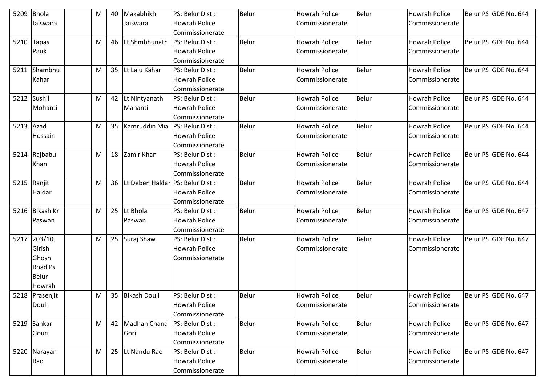| 5209 | <b>Bhola</b>   | M | 40 | Makabhikh                               | PS: Belur Dist.:     | <b>Belur</b> | <b>Howrah Police</b> | Belur | <b>Howrah Police</b> | Belur PS GDE No. 644 |
|------|----------------|---|----|-----------------------------------------|----------------------|--------------|----------------------|-------|----------------------|----------------------|
|      | Jaiswara       |   |    | Jaiswara                                | <b>Howrah Police</b> |              | Commissionerate      |       | Commissionerate      |                      |
|      |                |   |    |                                         | Commissionerate      |              |                      |       |                      |                      |
| 5210 | <b>Tapas</b>   | M | 46 | Lt Shmbhunath                           | PS: Belur Dist.:     | Belur        | <b>Howrah Police</b> | Belur | <b>Howrah Police</b> | Belur PS GDE No. 644 |
|      | Pauk           |   |    |                                         | Howrah Police        |              | Commissionerate      |       | Commissionerate      |                      |
|      |                |   |    |                                         | Commissionerate      |              |                      |       |                      |                      |
|      | 5211 Shambhu   | M |    | 35 Lt Lalu Kahar                        | PS: Belur Dist.:     | <b>Belur</b> | <b>Howrah Police</b> | Belur | <b>Howrah Police</b> | Belur PS GDE No. 644 |
|      | Kahar          |   |    |                                         | Howrah Police        |              | Commissionerate      |       | Commissionerate      |                      |
|      |                |   |    |                                         | Commissionerate      |              |                      |       |                      |                      |
| 5212 | Sushil         | M |    | 42 Lt Nintyanath                        | PS: Belur Dist.:     | Belur        | <b>Howrah Police</b> | Belur | Howrah Police        | Belur PS GDE No. 644 |
|      | Mohanti        |   |    | Mahanti                                 | Howrah Police        |              | Commissionerate      |       | Commissionerate      |                      |
|      |                |   |    |                                         | Commissionerate      |              |                      |       |                      |                      |
| 5213 | Azad           | M |    | 35 Kamruddin Mia                        | PS: Belur Dist.:     | Belur        | <b>Howrah Police</b> | Belur | <b>Howrah Police</b> | Belur PS GDE No. 644 |
|      | Hossain        |   |    |                                         | <b>Howrah Police</b> |              | Commissionerate      |       | Commissionerate      |                      |
|      |                |   |    |                                         | Commissionerate      |              |                      |       |                      |                      |
|      | 5214 Rajbabu   | M |    | 18 Zamir Khan                           | PS: Belur Dist.:     | Belur        | <b>Howrah Police</b> | Belur | <b>Howrah Police</b> | Belur PS GDE No. 644 |
|      | Khan           |   |    |                                         | <b>Howrah Police</b> |              | Commissionerate      |       | Commissionerate      |                      |
|      |                |   |    |                                         | Commissionerate      |              |                      |       |                      |                      |
|      | 5215 Ranjit    | M |    | 36   Lt Deben Haldar   PS: Belur Dist.: |                      | Belur        | <b>Howrah Police</b> | Belur | <b>Howrah Police</b> | Belur PS GDE No. 644 |
|      | Haldar         |   |    |                                         | <b>Howrah Police</b> |              | Commissionerate      |       | Commissionerate      |                      |
|      |                |   |    |                                         | Commissionerate      |              |                      |       |                      |                      |
| 5216 | Bikash Kr      | M |    | 25 Lt Bhola                             | PS: Belur Dist.:     | Belur        | <b>Howrah Police</b> | Belur | <b>Howrah Police</b> | Belur PS GDE No. 647 |
|      | Paswan         |   |    | Paswan                                  | <b>Howrah Police</b> |              | Commissionerate      |       | Commissionerate      |                      |
|      |                |   |    |                                         | Commissionerate      |              |                      |       |                      |                      |
| 5217 | 203/10,        | M |    | 25 Suraj Shaw                           | PS: Belur Dist.:     | Belur        | <b>Howrah Police</b> | Belur | <b>Howrah Police</b> | Belur PS GDE No. 647 |
|      | Girish         |   |    |                                         | <b>Howrah Police</b> |              | Commissionerate      |       | Commissionerate      |                      |
|      | Ghosh          |   |    |                                         | Commissionerate      |              |                      |       |                      |                      |
|      | Road Ps        |   |    |                                         |                      |              |                      |       |                      |                      |
|      | Belur          |   |    |                                         |                      |              |                      |       |                      |                      |
|      | Howrah         |   |    |                                         |                      |              |                      |       |                      |                      |
|      | 5218 Prasenjit | M |    | 35 Bikash Douli                         | PS: Belur Dist.:     | Belur        | <b>Howrah Police</b> | Belur | <b>Howrah Police</b> | Belur PS GDE No. 647 |
|      | Douli          |   |    |                                         | <b>Howrah Police</b> |              | Commissionerate      |       | Commissionerate      |                      |
|      |                |   |    |                                         | Commissionerate      |              |                      |       |                      |                      |
| 5219 | Sankar         | M |    | 42 Madhan Chand                         | PS: Belur Dist.:     | <b>Belur</b> | <b>Howrah Police</b> | Belur | <b>Howrah Police</b> | Belur PS GDE No. 647 |
|      | Gouri          |   |    | Gori                                    | Howrah Police        |              | Commissionerate      |       | Commissionerate      |                      |
|      |                |   |    |                                         | Commissionerate      |              |                      |       |                      |                      |
| 5220 | Narayan        | M |    | 25 Lt Nandu Rao                         | PS: Belur Dist.:     | <b>Belur</b> | <b>Howrah Police</b> | Belur | <b>Howrah Police</b> | Belur PS GDE No. 647 |
|      | Rao            |   |    |                                         | <b>Howrah Police</b> |              | Commissionerate      |       | Commissionerate      |                      |
|      |                |   |    |                                         | Commissionerate      |              |                      |       |                      |                      |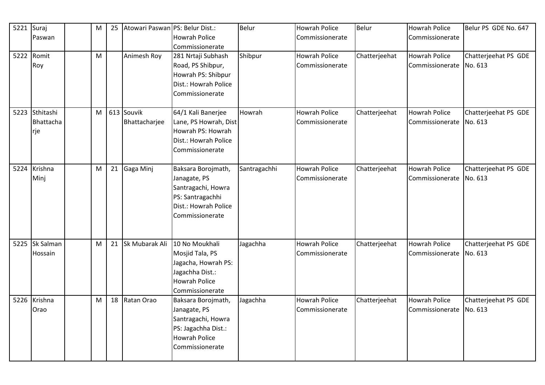| 5221 | Suraj          | M         | 25 | Atowari Paswan PS: Belur Dist.: |                       | Belur        | <b>Howrah Police</b> | Belur         | <b>Howrah Police</b> | Belur PS GDE No. 647 |
|------|----------------|-----------|----|---------------------------------|-----------------------|--------------|----------------------|---------------|----------------------|----------------------|
|      | Paswan         |           |    |                                 | <b>Howrah Police</b>  |              | Commissionerate      |               | Commissionerate      |                      |
|      |                |           |    |                                 | Commissionerate       |              |                      |               |                      |                      |
|      | 5222 Romit     | ${\sf M}$ |    | Animesh Roy                     | 281 Nrtaji Subhash    | Shibpur      | <b>Howrah Police</b> | Chatterjeehat | <b>Howrah Police</b> | Chatterjeehat PS GDE |
|      | Roy            |           |    |                                 | Road, PS Shibpur,     |              | Commissionerate      |               | Commissionerate      | No. 613              |
|      |                |           |    |                                 | Howrah PS: Shibpur    |              |                      |               |                      |                      |
|      |                |           |    |                                 | Dist.: Howrah Police  |              |                      |               |                      |                      |
|      |                |           |    |                                 | Commissionerate       |              |                      |               |                      |                      |
|      |                |           |    |                                 |                       |              |                      |               |                      |                      |
|      | 5223 Sthitashi | M         |    | 613 Souvik                      | 64/1 Kali Banerjee    | Howrah       | <b>Howrah Police</b> | Chatterjeehat | <b>Howrah Police</b> | Chatterjeehat PS GDE |
|      | Bhattacha      |           |    | Bhattacharjee                   | Lane, PS Howrah, Dist |              | Commissionerate      |               | Commissionerate      | No. 613              |
|      | rje            |           |    |                                 | Howrah PS: Howrah     |              |                      |               |                      |                      |
|      |                |           |    |                                 | Dist.: Howrah Police  |              |                      |               |                      |                      |
|      |                |           |    |                                 | Commissionerate       |              |                      |               |                      |                      |
|      |                |           |    |                                 |                       |              |                      |               |                      |                      |
| 5224 | Krishna        | M         | 21 | Gaga Minj                       | Baksara Borojmath,    | Santragachhi | <b>Howrah Police</b> | Chatterjeehat | <b>Howrah Police</b> | Chatterjeehat PS GDE |
|      | Minj           |           |    |                                 | Janagate, PS          |              | Commissionerate      |               | Commissionerate      | No. 613              |
|      |                |           |    |                                 | Santragachi, Howra    |              |                      |               |                      |                      |
|      |                |           |    |                                 | PS: Santragachhi      |              |                      |               |                      |                      |
|      |                |           |    |                                 | Dist.: Howrah Police  |              |                      |               |                      |                      |
|      |                |           |    |                                 | Commissionerate       |              |                      |               |                      |                      |
|      |                |           |    |                                 |                       |              |                      |               |                      |                      |
| 5225 | Sk Salman      | M         | 21 | Sk Mubarak Ali                  | 10 No Moukhali        | Jagachha     | <b>Howrah Police</b> | Chatterjeehat | <b>Howrah Police</b> | Chatterjeehat PS GDE |
|      | Hossain        |           |    |                                 | Mosjid Tala, PS       |              | Commissionerate      |               | Commissionerate      | No. 613              |
|      |                |           |    |                                 | Jagacha, Howrah PS:   |              |                      |               |                      |                      |
|      |                |           |    |                                 | Jagachha Dist.:       |              |                      |               |                      |                      |
|      |                |           |    |                                 | <b>Howrah Police</b>  |              |                      |               |                      |                      |
|      |                |           |    |                                 | Commissionerate       |              |                      |               |                      |                      |
| 5226 | Krishna        | M         | 18 | Ratan Orao                      | Baksara Borojmath,    | Jagachha     | <b>Howrah Police</b> | Chatterjeehat | <b>Howrah Police</b> | Chatterjeehat PS GDE |
|      | Orao           |           |    |                                 | Janagate, PS          |              | Commissionerate      |               | Commissionerate      | No. 613              |
|      |                |           |    |                                 | Santragachi, Howra    |              |                      |               |                      |                      |
|      |                |           |    |                                 | PS: Jagachha Dist.:   |              |                      |               |                      |                      |
|      |                |           |    |                                 | <b>Howrah Police</b>  |              |                      |               |                      |                      |
|      |                |           |    |                                 | Commissionerate       |              |                      |               |                      |                      |
|      |                |           |    |                                 |                       |              |                      |               |                      |                      |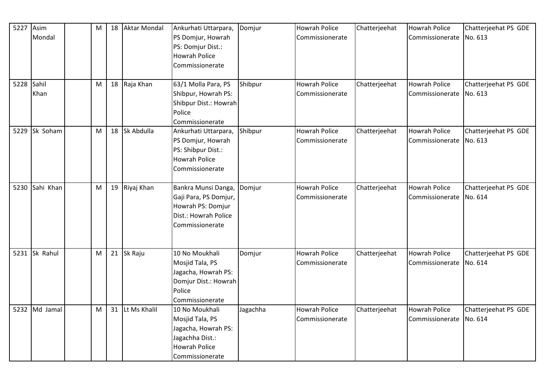| 5227       | Asim          | M | 18 | <b>Aktar Mondal</b> | Ankurhati Uttarpara,  | Domjur   | <b>Howrah Police</b> | Chatterjeehat | <b>Howrah Police</b>    | Chatterjeehat PS GDE |
|------------|---------------|---|----|---------------------|-----------------------|----------|----------------------|---------------|-------------------------|----------------------|
|            | Mondal        |   |    |                     | PS Domjur, Howrah     |          | Commissionerate      |               | Commissionerate No. 613 |                      |
|            |               |   |    |                     | PS: Domjur Dist.:     |          |                      |               |                         |                      |
|            |               |   |    |                     | <b>Howrah Police</b>  |          |                      |               |                         |                      |
|            |               |   |    |                     | Commissionerate       |          |                      |               |                         |                      |
|            |               |   |    |                     |                       |          |                      |               |                         |                      |
| 5228 Sahil |               | M |    | 18 Raja Khan        | 63/1 Molla Para, PS   | Shibpur  | <b>Howrah Police</b> | Chatterjeehat | <b>Howrah Police</b>    | Chatterjeehat PS GDE |
|            | Khan          |   |    |                     | Shibpur, Howrah PS:   |          | Commissionerate      |               | Commissionerate No. 613 |                      |
|            |               |   |    |                     | Shibpur Dist.: Howrah |          |                      |               |                         |                      |
|            |               |   |    |                     | Police                |          |                      |               |                         |                      |
|            |               |   |    |                     | Commissionerate       |          |                      |               |                         |                      |
| 5229       | Sk Soham      | M | 18 | Sk Abdulla          | Ankurhati Uttarpara,  | Shibpur  | <b>Howrah Police</b> | Chatterjeehat | Howrah Police           | Chatterjeehat PS GDE |
|            |               |   |    |                     | PS Domjur, Howrah     |          | Commissionerate      |               | Commissionerate         | No. 613              |
|            |               |   |    |                     | PS: Shibpur Dist.:    |          |                      |               |                         |                      |
|            |               |   |    |                     | Howrah Police         |          |                      |               |                         |                      |
|            |               |   |    |                     | Commissionerate       |          |                      |               |                         |                      |
|            |               |   |    |                     |                       |          |                      |               |                         |                      |
| 5230       | Sahi Khan     | M |    | 19 Riyaj Khan       | Bankra Munsi Danga,   | Domjur   | <b>Howrah Police</b> | Chatterjeehat | <b>Howrah Police</b>    | Chatterjeehat PS GDE |
|            |               |   |    |                     | Gaji Para, PS Domjur, |          | Commissionerate      |               | Commissionerate No. 614 |                      |
|            |               |   |    |                     | Howrah PS: Domjur     |          |                      |               |                         |                      |
|            |               |   |    |                     | Dist.: Howrah Police  |          |                      |               |                         |                      |
|            |               |   |    |                     | Commissionerate       |          |                      |               |                         |                      |
|            |               |   |    |                     |                       |          |                      |               |                         |                      |
|            | 5231 Sk Rahul | M |    | 21 Sk Raju          | 10 No Moukhali        | Domjur   | <b>Howrah Police</b> | Chatterjeehat | <b>Howrah Police</b>    | Chatterjeehat PS GDE |
|            |               |   |    |                     | Mosjid Tala, PS       |          | Commissionerate      |               | Commissionerate         | No. 614              |
|            |               |   |    |                     | Jagacha, Howrah PS:   |          |                      |               |                         |                      |
|            |               |   |    |                     | Domjur Dist.: Howrah  |          |                      |               |                         |                      |
|            |               |   |    |                     | Police                |          |                      |               |                         |                      |
|            |               |   |    |                     | Commissionerate       |          |                      |               |                         |                      |
|            | 5232 Md Jamal | M | 31 | Lt Ms Khalil        | 10 No Moukhali        | Jagachha | <b>Howrah Police</b> | Chatterjeehat | <b>Howrah Police</b>    | Chatterjeehat PS GDE |
|            |               |   |    |                     | Mosjid Tala, PS       |          | Commissionerate      |               | Commissionerate No. 614 |                      |
|            |               |   |    |                     | Jagacha, Howrah PS:   |          |                      |               |                         |                      |
|            |               |   |    |                     | Jagachha Dist.:       |          |                      |               |                         |                      |
|            |               |   |    |                     | <b>Howrah Police</b>  |          |                      |               |                         |                      |
|            |               |   |    |                     | Commissionerate       |          |                      |               |                         |                      |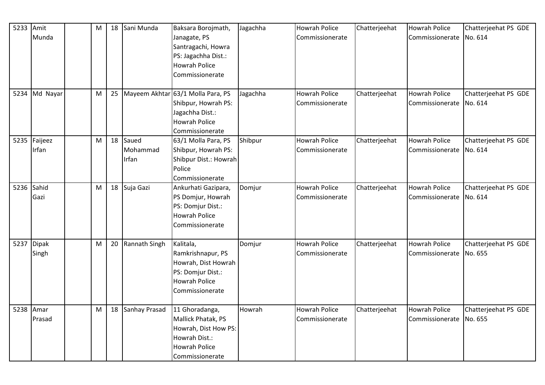| 5233 | Amit          | M |    | 18 Sani Munda | Baksara Borojmath,                | Jagachha | Howrah Police        | Chatterjeehat | <b>Howrah Police</b> | Chatterjeehat PS GDE |
|------|---------------|---|----|---------------|-----------------------------------|----------|----------------------|---------------|----------------------|----------------------|
|      | Munda         |   |    |               | Janagate, PS                      |          | Commissionerate      |               | Commissionerate      | No. 614              |
|      |               |   |    |               | Santragachi, Howra                |          |                      |               |                      |                      |
|      |               |   |    |               | PS: Jagachha Dist.:               |          |                      |               |                      |                      |
|      |               |   |    |               | <b>Howrah Police</b>              |          |                      |               |                      |                      |
|      |               |   |    |               | Commissionerate                   |          |                      |               |                      |                      |
|      |               |   |    |               |                                   |          |                      |               |                      |                      |
|      | 5234 Md Nayar | M | 25 |               | Mayeem Akhtar 63/1 Molla Para, PS | Jagachha | <b>Howrah Police</b> | Chatterjeehat | <b>Howrah Police</b> | Chatterjeehat PS GDE |
|      |               |   |    |               | Shibpur, Howrah PS:               |          | Commissionerate      |               | Commissionerate      | No. 614              |
|      |               |   |    |               | Jagachha Dist.:                   |          |                      |               |                      |                      |
|      |               |   |    |               | <b>Howrah Police</b>              |          |                      |               |                      |                      |
|      |               |   |    |               | Commissionerate                   |          |                      |               |                      |                      |
| 5235 | Faijeez       | M | 18 | Saued         | 63/1 Molla Para, PS               | Shibpur  | <b>Howrah Police</b> | Chatterjeehat | <b>Howrah Police</b> | Chatterjeehat PS GDE |
|      | Irfan         |   |    | Mohammad      | Shibpur, Howrah PS:               |          | Commissionerate      |               | Commissionerate      | No. 614              |
|      |               |   |    | Irfan         | Shibpur Dist.: Howrah             |          |                      |               |                      |                      |
|      |               |   |    |               | Police                            |          |                      |               |                      |                      |
|      |               |   |    |               | Commissionerate                   |          |                      |               |                      |                      |
| 5236 | Sahid         | M |    | 18 Suja Gazi  | Ankurhati Gazipara,               | Domjur   | Howrah Police        | Chatterjeehat | <b>Howrah Police</b> | Chatterjeehat PS GDE |
|      | Gazi          |   |    |               | PS Domjur, Howrah                 |          | Commissionerate      |               | Commissionerate      | No. 614              |
|      |               |   |    |               | PS: Domjur Dist.:                 |          |                      |               |                      |                      |
|      |               |   |    |               | <b>Howrah Police</b>              |          |                      |               |                      |                      |
|      |               |   |    |               | Commissionerate                   |          |                      |               |                      |                      |
|      |               |   |    |               |                                   |          |                      |               |                      |                      |
|      | 5237 Dipak    | M | 20 | Rannath Singh | Kalitala,                         | Domjur   | <b>Howrah Police</b> | Chatterjeehat | <b>Howrah Police</b> | Chatterjeehat PS GDE |
|      | Singh         |   |    |               | Ramkrishnapur, PS                 |          | Commissionerate      |               | Commissionerate      | No. 655              |
|      |               |   |    |               | Howrah, Dist Howrah               |          |                      |               |                      |                      |
|      |               |   |    |               | PS: Domjur Dist.:                 |          |                      |               |                      |                      |
|      |               |   |    |               | <b>Howrah Police</b>              |          |                      |               |                      |                      |
|      |               |   |    |               | Commissionerate                   |          |                      |               |                      |                      |
| 5238 | Amar          | M | 18 | Sanhay Prasad | 11 Ghoradanga,                    | Howrah   | <b>Howrah Police</b> | Chatterjeehat | <b>Howrah Police</b> | Chatterjeehat PS GDE |
|      | Prasad        |   |    |               | Mallick Phatak, PS                |          | Commissionerate      |               | Commissionerate      | No. 655              |
|      |               |   |    |               | Howrah, Dist How PS:              |          |                      |               |                      |                      |
|      |               |   |    |               | Howrah Dist.:                     |          |                      |               |                      |                      |
|      |               |   |    |               | <b>Howrah Police</b>              |          |                      |               |                      |                      |
|      |               |   |    |               |                                   |          |                      |               |                      |                      |
|      |               |   |    |               | Commissionerate                   |          |                      |               |                      |                      |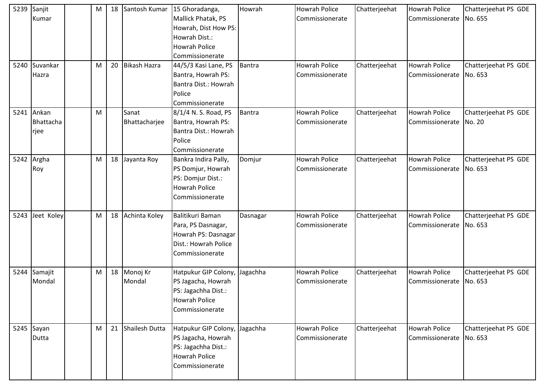| 5239 | Sanjit        | М | 18 | Santosh Kumar       | 15 Ghoradanga,                | Howrah        | <b>Howrah Police</b> | Chatterjeehat | <b>Howrah Police</b>    | Chatterjeehat PS GDE |
|------|---------------|---|----|---------------------|-------------------------------|---------------|----------------------|---------------|-------------------------|----------------------|
|      | Kumar         |   |    |                     | Mallick Phatak, PS            |               | Commissionerate      |               | Commissionerate         | No. 655              |
|      |               |   |    |                     | Howrah, Dist How PS:          |               |                      |               |                         |                      |
|      |               |   |    |                     | Howrah Dist.:                 |               |                      |               |                         |                      |
|      |               |   |    |                     | <b>Howrah Police</b>          |               |                      |               |                         |                      |
|      |               |   |    |                     | Commissionerate               |               |                      |               |                         |                      |
|      | 5240 Suvankar | M | 20 | <b>Bikash Hazra</b> | 44/5/3 Kasi Lane, PS          | <b>Bantra</b> | <b>Howrah Police</b> | Chatterjeehat | <b>Howrah Police</b>    | Chatterjeehat PS GDE |
|      | Hazra         |   |    |                     | Bantra, Howrah PS:            |               | Commissionerate      |               | Commissionerate         | No. 653              |
|      |               |   |    |                     | Bantra Dist.: Howrah          |               |                      |               |                         |                      |
|      |               |   |    |                     | Police                        |               |                      |               |                         |                      |
|      |               |   |    |                     | Commissionerate               |               |                      |               |                         |                      |
|      | 5241 Ankan    | M |    | Sanat               | 8/1/4 N. S. Road, PS          | <b>Bantra</b> | <b>Howrah Police</b> | Chatterjeehat | <b>Howrah Police</b>    | Chatterjeehat PS GDE |
|      | Bhattacha     |   |    | Bhattacharjee       | Bantra, Howrah PS:            |               | Commissionerate      |               | Commissionerate         | No. 20               |
|      | rjee          |   |    |                     | Bantra Dist.: Howrah          |               |                      |               |                         |                      |
|      |               |   |    |                     | Police                        |               |                      |               |                         |                      |
|      |               |   |    |                     | Commissionerate               |               |                      |               |                         |                      |
|      | 5242 Argha    | M | 18 | Jayanta Roy         | Bankra Indira Pally,          | Domjur        | Howrah Police        | Chatterjeehat | <b>Howrah Police</b>    | Chatterjeehat PS GDE |
|      | Roy           |   |    |                     | PS Domjur, Howrah             |               | Commissionerate      |               | Commissionerate         | No. 653              |
|      |               |   |    |                     | PS: Domjur Dist.:             |               |                      |               |                         |                      |
|      |               |   |    |                     | <b>Howrah Police</b>          |               |                      |               |                         |                      |
|      |               |   |    |                     | Commissionerate               |               |                      |               |                         |                      |
|      |               |   |    |                     |                               |               |                      |               |                         |                      |
| 5243 | Jeet Koley    | M | 18 | Achinta Koley       | Balitikuri Baman              | Dasnagar      | <b>Howrah Police</b> | Chatterjeehat | <b>Howrah Police</b>    | Chatterjeehat PS GDE |
|      |               |   |    |                     | Para, PS Dasnagar,            |               | Commissionerate      |               | Commissionerate No. 653 |                      |
|      |               |   |    |                     | Howrah PS: Dasnagar           |               |                      |               |                         |                      |
|      |               |   |    |                     | Dist.: Howrah Police          |               |                      |               |                         |                      |
|      |               |   |    |                     | Commissionerate               |               |                      |               |                         |                      |
|      |               |   |    |                     |                               |               |                      |               |                         |                      |
| 5244 | Samajit       | M | 18 | Monoj Kr            | Hatpukur GIP Colony, Jagachha |               | Howrah Police        | Chatterjeehat | <b>Howrah Police</b>    | Chatterjeehat PS GDE |
|      | Mondal        |   |    | Mondal              | PS Jagacha, Howrah            |               | Commissionerate      |               | Commissionerate         | No. 653              |
|      |               |   |    |                     | PS: Jagachha Dist.:           |               |                      |               |                         |                      |
|      |               |   |    |                     | <b>Howrah Police</b>          |               |                      |               |                         |                      |
|      |               |   |    |                     | Commissionerate               |               |                      |               |                         |                      |
|      |               |   |    |                     |                               |               |                      |               |                         |                      |
|      | 5245 Sayan    | M | 21 | Shailesh Dutta      | Hatpukur GIP Colony, Jagachha |               | Howrah Police        | Chatterjeehat | <b>Howrah Police</b>    | Chatterjeehat PS GDE |
|      | Dutta         |   |    |                     | PS Jagacha, Howrah            |               | Commissionerate      |               | Commissionerate No. 653 |                      |
|      |               |   |    |                     | PS: Jagachha Dist.:           |               |                      |               |                         |                      |
|      |               |   |    |                     | <b>Howrah Police</b>          |               |                      |               |                         |                      |
|      |               |   |    |                     | Commissionerate               |               |                      |               |                         |                      |
|      |               |   |    |                     |                               |               |                      |               |                         |                      |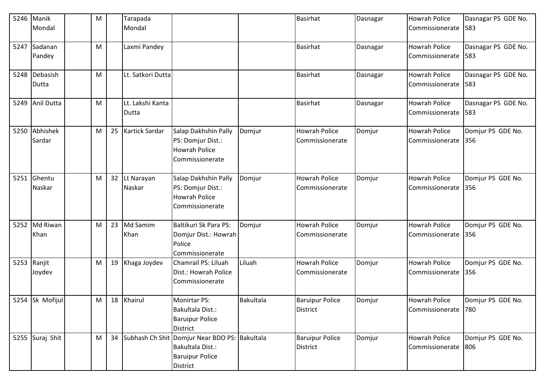|      | 5246 Manik<br>Mondal | M |                 | Tarapada<br>Mondal        |                                                                                                            |           | <b>Basirhat</b>                           | Dasnagar | <b>Howrah Police</b><br>Commissionerate | Dasnagar PS GDE No.<br>583 |
|------|----------------------|---|-----------------|---------------------------|------------------------------------------------------------------------------------------------------------|-----------|-------------------------------------------|----------|-----------------------------------------|----------------------------|
| 5247 | Sadanan<br>Pandey    | M |                 | Laxmi Pandey              |                                                                                                            |           | <b>Basirhat</b>                           | Dasnagar | <b>Howrah Police</b><br>Commissionerate | Dasnagar PS GDE No.<br>583 |
| 5248 | Debasish<br>Dutta    | M |                 | Lt. Satkori Dutta         |                                                                                                            |           | <b>Basirhat</b>                           | Dasnagar | Howrah Police<br>Commissionerate        | Dasnagar PS GDE No.<br>583 |
| 5249 | Anil Dutta           | M |                 | Lt. Lakshi Kanta<br>Dutta |                                                                                                            |           | <b>Basirhat</b>                           | Dasnagar | Howrah Police<br>Commissionerate        | Dasnagar PS GDE No.<br>583 |
| 5250 | Abhishek<br>Sardar   | M |                 | 25 Kartick Sardar         | Salap Dakhshin Pally<br>PS: Domjur Dist.:<br><b>Howrah Police</b><br>Commissionerate                       | Domjur    | <b>Howrah Police</b><br>Commissionerate   | Domjur   | <b>Howrah Police</b><br>Commissionerate | Domjur PS GDE No.<br>356   |
| 5251 | Ghentu<br>Naskar     | M | 32 <sup>2</sup> | Lt Narayan<br>Naskar      | Salap Dakhshin Pally<br>PS: Domjur Dist.:<br><b>Howrah Police</b><br>Commissionerate                       | Domjur    | <b>Howrah Police</b><br>Commissionerate   | Domjur   | <b>Howrah Police</b><br>Commissionerate | Domjur PS GDE No.<br>356   |
| 5252 | Md Riwan<br>Khan     | M | 23              | Md Samim<br>Khan          | Baltikuri Sk Para PS:<br>Domjur Dist.: Howrah<br>Police<br>Commissionerate                                 | Domjur    | <b>Howrah Police</b><br>Commissionerate   | Domjur   | <b>Howrah Police</b><br>Commissionerate | Domjur PS GDE No.<br>356   |
| 5253 | Ranjit<br>Joydev     | M | 19              | Khaga Joydev              | Chamrail PS: Liluah<br>Dist.: Howrah Police<br>Commissionerate                                             | Liluah    | <b>Howrah Police</b><br>Commissionerate   | Domjur   | <b>Howrah Police</b><br>Commissionerate | Domjur PS GDE No.<br>356   |
|      | 5254 Sk Mofijul      | M |                 | 18 Khairul                | Monirtar PS:<br>Bakultala Dist.:<br><b>Baruipur Police</b><br><b>District</b>                              | Bakultala | <b>Baruipur Police</b><br><b>District</b> | Domjur   | <b>Howrah Police</b><br>Commissionerate | Domjur PS GDE No.<br>780   |
|      | 5255 Suraj Shit      | M |                 |                           | 34 Subhash Ch Shit Domjur Near BDO PS: Bakultala<br>Bakultala Dist.:<br><b>Baruipur Police</b><br>District |           | <b>Baruipur Police</b><br>District        | Domjur   | <b>Howrah Police</b><br>Commissionerate | Domjur PS GDE No.<br>806   |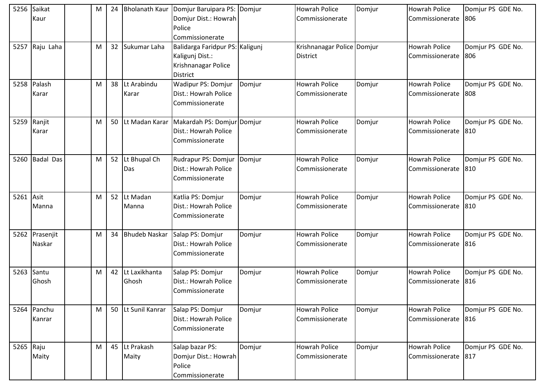| 5256      | Saikat         | М | 24              | <b>Bholanath Kaur</b> | Domjur Baruipara PS: Domjur     |        | <b>Howrah Police</b>       | Domjur | <b>Howrah Police</b> | Domjur PS GDE No. |
|-----------|----------------|---|-----------------|-----------------------|---------------------------------|--------|----------------------------|--------|----------------------|-------------------|
|           | Kaur           |   |                 |                       | Domjur Dist.: Howrah            |        | Commissionerate            |        | Commissionerate      | 806               |
|           |                |   |                 |                       | Police                          |        |                            |        |                      |                   |
|           |                |   |                 |                       | Commissionerate                 |        |                            |        |                      |                   |
|           | 5257 Raju Laha | M | 32 <sup>2</sup> | Sukumar Laha          | Balidarga Faridpur PS: Kaligunj |        | Krishnanagar Police Domjur |        | <b>Howrah Police</b> | Domjur PS GDE No. |
|           |                |   |                 |                       | Kaligunj Dist.:                 |        | <b>District</b>            |        | Commissionerate      | 806               |
|           |                |   |                 |                       | Krishnanagar Police             |        |                            |        |                      |                   |
|           |                |   |                 |                       | District                        |        |                            |        |                      |                   |
| 5258      | Palash         | M | 38              | Lt Arabindu           | <b>Wadipur PS: Domjur</b>       | Domjur | <b>Howrah Police</b>       | Domjur | <b>Howrah Police</b> | Domjur PS GDE No. |
|           | Karar          |   |                 | Karar                 | Dist.: Howrah Police            |        | Commissionerate            |        | Commissionerate      | 808               |
|           |                |   |                 |                       | Commissionerate                 |        |                            |        |                      |                   |
|           |                |   |                 |                       |                                 |        |                            |        |                      |                   |
| 5259      | Ranjit         | M | 50              | Lt Madan Karar        | Makardah PS: Domjur Domjur      |        | <b>Howrah Police</b>       | Domjur | <b>Howrah Police</b> | Domjur PS GDE No. |
|           | Karar          |   |                 |                       | Dist.: Howrah Police            |        | Commissionerate            |        | Commissionerate      | 810               |
|           |                |   |                 |                       | Commissionerate                 |        |                            |        |                      |                   |
|           |                |   |                 |                       |                                 |        |                            |        |                      |                   |
|           | 5260 Badal Das | M | 52              | Lt Bhupal Ch          | Rudrapur PS: Domjur             | Domjur | <b>Howrah Police</b>       | Domjur | <b>Howrah Police</b> | Domjur PS GDE No. |
|           |                |   |                 | Das                   | Dist.: Howrah Police            |        | Commissionerate            |        | Commissionerate      | 810               |
|           |                |   |                 |                       | Commissionerate                 |        |                            |        |                      |                   |
|           |                |   |                 |                       |                                 |        |                            |        |                      |                   |
| 5261 Asit |                | M | 52              | Lt Madan              | Katlia PS: Domjur               | Domjur | <b>Howrah Police</b>       | Domjur | <b>Howrah Police</b> | Domjur PS GDE No. |
|           | Manna          |   |                 | Manna                 | Dist.: Howrah Police            |        | Commissionerate            |        | Commissionerate      | 810               |
|           |                |   |                 |                       | Commissionerate                 |        |                            |        |                      |                   |
|           |                |   |                 |                       |                                 |        |                            |        |                      |                   |
| 5262      | Prasenjit      | M | 34              | <b>Bhudeb Naskar</b>  | Salap PS: Domjur                | Domjur | <b>Howrah Police</b>       | Domjur | <b>Howrah Police</b> | Domjur PS GDE No. |
|           | Naskar         |   |                 |                       | Dist.: Howrah Police            |        | Commissionerate            |        | Commissionerate      | 816               |
|           |                |   |                 |                       | Commissionerate                 |        |                            |        |                      |                   |
|           |                |   |                 |                       |                                 |        |                            |        |                      |                   |
| 5263      | Santu          | M | 42              | Lt Laxikhanta         | Salap PS: Domjur                | Domjur | <b>Howrah Police</b>       | Domjur | <b>Howrah Police</b> | Domjur PS GDE No. |
|           | Ghosh          |   |                 | Ghosh                 | Dist.: Howrah Police            |        | Commissionerate            |        | Commissionerate      | 816               |
|           |                |   |                 |                       | Commissionerate                 |        |                            |        |                      |                   |
|           |                |   |                 |                       |                                 |        |                            |        |                      |                   |
|           | 5264 Panchu    | M | 50              | Lt Sunil Kanrar       | Salap PS: Domjur                | Domjur | <b>Howrah Police</b>       | Domjur | <b>Howrah Police</b> | Domjur PS GDE No. |
|           | Kanrar         |   |                 |                       | Dist.: Howrah Police            |        | Commissionerate            |        | Commissionerate      | 816               |
|           |                |   |                 |                       | Commissionerate                 |        |                            |        |                      |                   |
|           |                |   |                 |                       |                                 |        |                            |        |                      |                   |
| 5265 Raju |                | M | 45              | Lt Prakash            | Salap bazar PS:                 | Domjur | <b>Howrah Police</b>       | Domjur | <b>Howrah Police</b> | Domjur PS GDE No. |
|           | Maity          |   |                 | Maity                 | Domjur Dist.: Howrah            |        | Commissionerate            |        | Commissionerate      | 817               |
|           |                |   |                 |                       | Police                          |        |                            |        |                      |                   |
|           |                |   |                 |                       | Commissionerate                 |        |                            |        |                      |                   |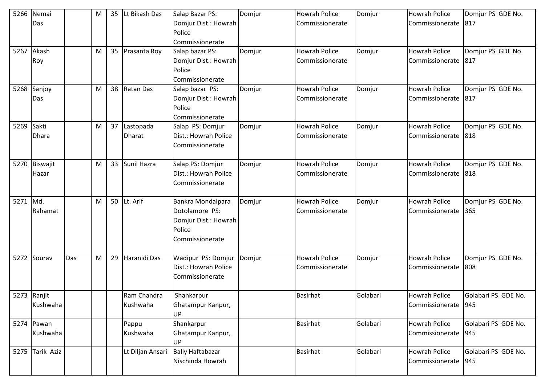| 5266     | Nemai           |     | M | 35 | Lt Bikash Das    | Salap Bazar PS:         | Domjur | <b>Howrah Police</b> | Domjur   | <b>Howrah Police</b> | Domjur PS GDE No.   |
|----------|-----------------|-----|---|----|------------------|-------------------------|--------|----------------------|----------|----------------------|---------------------|
|          | Das             |     |   |    |                  | Domjur Dist.: Howrah    |        | Commissionerate      |          | Commissionerate      | 817                 |
|          |                 |     |   |    |                  | Police                  |        |                      |          |                      |                     |
|          |                 |     |   |    |                  | Commissionerate         |        |                      |          |                      |                     |
| 5267     | Akash           |     | M |    | 35 Prasanta Roy  | Salap bazar PS:         | Domjur | <b>Howrah Police</b> | Domjur   | <b>Howrah Police</b> | Domjur PS GDE No.   |
|          | Roy             |     |   |    |                  | Domjur Dist.: Howrah    |        | Commissionerate      |          | Commissionerate      | 817                 |
|          |                 |     |   |    |                  | Police                  |        |                      |          |                      |                     |
|          |                 |     |   |    |                  | Commissionerate         |        |                      |          |                      |                     |
| 5268     | Sanjoy          |     | M | 38 | Ratan Das        | Salap bazar PS:         | Domjur | <b>Howrah Police</b> | Domjur   | <b>Howrah Police</b> | Domjur PS GDE No.   |
|          | Das             |     |   |    |                  | Domjur Dist.: Howrah    |        | Commissionerate      |          | Commissionerate      | 817                 |
|          |                 |     |   |    |                  | Police                  |        |                      |          |                      |                     |
|          |                 |     |   |    |                  | Commissionerate         |        |                      |          |                      |                     |
| 5269     | Sakti           |     | M | 37 | Lastopada        | Salap PS: Domjur        | Domjur | <b>Howrah Police</b> | Domjur   | <b>Howrah Police</b> | Domjur PS GDE No.   |
|          | Dhara           |     |   |    | <b>Dharat</b>    | Dist.: Howrah Police    |        | Commissionerate      |          | Commissionerate      | 818                 |
|          |                 |     |   |    |                  | Commissionerate         |        |                      |          |                      |                     |
|          |                 |     |   |    |                  |                         |        |                      |          |                      |                     |
|          | 5270 Biswajit   |     | M |    | 33 Sunil Hazra   | Salap PS: Domjur        | Domjur | <b>Howrah Police</b> | Domjur   | <b>Howrah Police</b> | Domjur PS GDE No.   |
|          | Hazar           |     |   |    |                  | Dist.: Howrah Police    |        | Commissionerate      |          | Commissionerate      | 818                 |
|          |                 |     |   |    |                  | Commissionerate         |        |                      |          |                      |                     |
|          |                 |     |   |    |                  |                         |        |                      |          |                      |                     |
| 5271 Md. |                 |     | M |    | 50  Lt. Arif     | Bankra Mondalpara       | Domjur | <b>Howrah Police</b> | Domjur   | <b>Howrah Police</b> | Domjur PS GDE No.   |
|          | Rahamat         |     |   |    |                  | Dotolamore PS:          |        | Commissionerate      |          | Commissionerate      | 365                 |
|          |                 |     |   |    |                  | Domjur Dist.: Howrah    |        |                      |          |                      |                     |
|          |                 |     |   |    |                  | Police                  |        |                      |          |                      |                     |
|          |                 |     |   |    |                  | Commissionerate         |        |                      |          |                      |                     |
|          |                 |     |   |    |                  |                         |        |                      |          |                      |                     |
| 5272     | Sourav          | Das | M | 29 | Haranidi Das     | Wadipur PS: Domjur      | Domjur | <b>Howrah Police</b> | Domjur   | <b>Howrah Police</b> | Domjur PS GDE No.   |
|          |                 |     |   |    |                  | Dist.: Howrah Police    |        | Commissionerate      |          | Commissionerate      | 808                 |
|          |                 |     |   |    |                  | Commissionerate         |        |                      |          |                      |                     |
|          |                 |     |   |    |                  |                         |        |                      |          |                      |                     |
|          | 5273 Ranjit     |     |   |    | Ram Chandra      | Shankarpur              |        | <b>Basirhat</b>      | Golabari | <b>Howrah Police</b> | Golabari PS GDE No. |
|          | Kushwaha        |     |   |    | Kushwaha         | Ghatampur Kanpur,       |        |                      |          | Commissionerate      | 945                 |
|          |                 |     |   |    |                  | UP                      |        |                      |          |                      |                     |
|          | 5274 Pawan      |     |   |    | Pappu            | Shankarpur              |        | <b>Basirhat</b>      | Golabari | <b>Howrah Police</b> | Golabari PS GDE No. |
|          | Kushwaha        |     |   |    | Kushwaha         | Ghatampur Kanpur,       |        |                      |          | Commissionerate      | 945                 |
|          |                 |     |   |    |                  | UP                      |        |                      |          |                      |                     |
|          | 5275 Tarik Aziz |     |   |    | Lt Diljan Ansari | <b>Bally Haftabazar</b> |        | <b>Basirhat</b>      | Golabari | Howrah Police        | Golabari PS GDE No. |
|          |                 |     |   |    |                  | Nischinda Howrah        |        |                      |          | Commissionerate      | 945                 |
|          |                 |     |   |    |                  |                         |        |                      |          |                      |                     |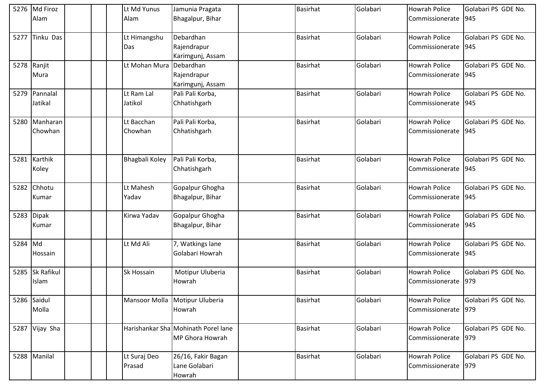|      | 5276 Md Firoz     | Lt Md Yunus    | Jamunia Pragata                     | <b>Basirhat</b> | Golabari | <b>Howrah Police</b> | Golabari PS GDE No. |
|------|-------------------|----------------|-------------------------------------|-----------------|----------|----------------------|---------------------|
|      | Alam              | Alam           | Bhagalpur, Bihar                    |                 |          | Commissionerate      | 945                 |
|      |                   |                |                                     |                 |          |                      |                     |
| 5277 | Tinku Das         | Lt Himangshu   | Debardhan                           | <b>Basirhat</b> | Golabari | <b>Howrah Police</b> | Golabari PS GDE No. |
|      |                   | Das            | Rajendrapur                         |                 |          | Commissionerate      | 945                 |
|      |                   |                | Karimgunj, Assam                    |                 |          |                      |                     |
|      | 5278 Ranjit       | Lt Mohan Mura  | Debardhan                           | <b>Basirhat</b> | Golabari | <b>Howrah Police</b> | Golabari PS GDE No. |
|      | Mura              |                | Rajendrapur                         |                 |          | Commissionerate      | 945                 |
|      |                   |                | Karimgunj, Assam                    |                 |          |                      |                     |
| 5279 | Pannalal          | Lt Ram Lal     | Pali Pali Korba,                    | <b>Basirhat</b> | Golabari | <b>Howrah Police</b> | Golabari PS GDE No. |
|      | Jatikal           | Jatikol        | Chhatishgarh                        |                 |          | Commissionerate      | 945                 |
|      |                   |                |                                     |                 |          |                      |                     |
| 5280 | Manharan          | Lt Bacchan     | Pali Pali Korba,                    | <b>Basirhat</b> | Golabari | <b>Howrah Police</b> | Golabari PS GDE No. |
|      | Chowhan           | Chowhan        | Chhatishgarh                        |                 |          | Commissionerate      | 945                 |
|      |                   |                |                                     |                 |          |                      |                     |
|      |                   |                |                                     |                 |          |                      |                     |
| 5281 | Karthik           | Bhagbali Koley | Pali Pali Korba,                    | <b>Basirhat</b> | Golabari | <b>Howrah Police</b> | Golabari PS GDE No. |
|      | Koley             |                | Chhatishgarh                        |                 |          | Commissionerate      | 945                 |
|      |                   |                |                                     |                 |          |                      |                     |
| 5282 | Chhotu            | Lt Mahesh      | Gopalpur Ghogha                     | <b>Basirhat</b> | Golabari | <b>Howrah Police</b> | Golabari PS GDE No. |
|      | Kumar             | Yadav          | Bhagalpur, Bihar                    |                 |          | Commissionerate      | 945                 |
|      |                   |                |                                     |                 |          |                      |                     |
| 5283 | <b>Dipak</b>      | Kirwa Yadav    | Gopalpur Ghogha                     | Basirhat        | Golabari | <b>Howrah Police</b> | Golabari PS GDE No. |
|      | Kumar             |                | Bhagalpur, Bihar                    |                 |          | Commissionerate      | 945                 |
|      |                   |                |                                     |                 |          |                      |                     |
| 5284 | Md                | Lt Md Ali      | 7, Watkings lane                    | <b>Basirhat</b> | Golabari | <b>Howrah Police</b> | Golabari PS GDE No. |
|      | Hossain           |                | Golabari Howrah                     |                 |          | Commissionerate      | 945                 |
|      |                   |                |                                     |                 |          |                      |                     |
| 5285 | <b>Sk Rafikul</b> | Sk Hossain     | Motipur Uluberia                    | <b>Basirhat</b> | Golabari | <b>Howrah Police</b> | Golabari PS GDE No. |
|      | Islam             |                | Howrah                              |                 |          | Commissionerate      | 979                 |
|      |                   |                |                                     |                 |          |                      |                     |
|      | 5286 Saidul       |                | Mansoor Molla Motipur Uluberia      | <b>Basirhat</b> | Golabari | <b>Howrah Police</b> | Golabari PS GDE No. |
|      | Molla             |                | Howrah                              |                 |          | Commissionerate      | 979                 |
|      |                   |                |                                     |                 |          |                      |                     |
|      | 5287 Vijay Sha    |                | Harishankar Sha Mohinath Porel lane | <b>Basirhat</b> | Golabari | <b>Howrah Police</b> | Golabari PS GDE No. |
|      |                   |                | MP Ghora Howrah                     |                 |          | Commissionerate 979  |                     |
|      |                   |                |                                     |                 |          |                      |                     |
|      | 5288 Manilal      | Lt Suraj Deo   | 26/16, Fakir Bagan                  | <b>Basirhat</b> | Golabari | <b>Howrah Police</b> | Golabari PS GDE No. |
|      |                   | Prasad         | Lane Golabari                       |                 |          | Commissionerate      | 979                 |
|      |                   |                | Howrah                              |                 |          |                      |                     |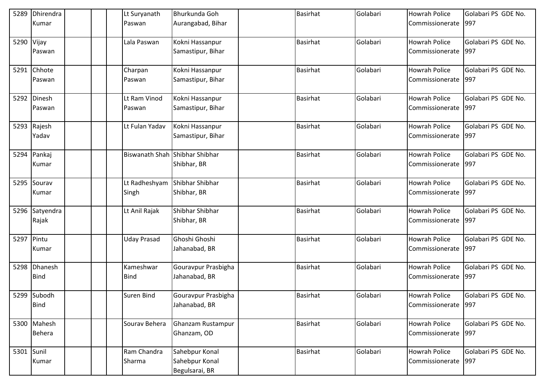| 5289       | Dhirendra   | Lt Suryanath                   | Bhurkunda Goh                    | <b>Basirhat</b> | Golabari | <b>Howrah Police</b> | Golabari PS GDE No. |
|------------|-------------|--------------------------------|----------------------------------|-----------------|----------|----------------------|---------------------|
|            | Kumar       | Paswan                         | Aurangabad, Bihar                |                 |          | Commissionerate      | 997                 |
| 5290       | Vijay       | Lala Paswan                    | Kokni Hassanpur                  | Basirhat        | Golabari | <b>Howrah Police</b> | Golabari PS GDE No. |
|            | Paswan      |                                | Samastipur, Bihar                |                 |          | Commissionerate      | 997                 |
|            | 5291 Chhote | Charpan                        | Kokni Hassanpur                  | <b>Basirhat</b> | Golabari | <b>Howrah Police</b> | Golabari PS GDE No. |
|            | Paswan      | Paswan                         | Samastipur, Bihar                |                 |          | Commissionerate      | 997                 |
|            | 5292 Dinesh | Lt Ram Vinod                   | Kokni Hassanpur                  | <b>Basirhat</b> | Golabari | <b>Howrah Police</b> | Golabari PS GDE No. |
|            | Paswan      | Paswan                         | Samastipur, Bihar                |                 |          | Commissionerate      | 997                 |
| 5293       | Rajesh      | Lt Fulan Yadav                 | Kokni Hassanpur                  | Basirhat        | Golabari | <b>Howrah Police</b> | Golabari PS GDE No. |
|            | Yadav       |                                | Samastipur, Bihar                |                 |          | Commissionerate      | 997                 |
|            | 5294 Pankaj | Biswanath Shah Shibhar Shibhar |                                  | Basirhat        | Golabari | <b>Howrah Police</b> | Golabari PS GDE No. |
|            | Kumar       |                                | Shibhar, BR                      |                 |          | Commissionerate      | 997                 |
| 5295       | Sourav      | Lt Radheshyam                  | Shibhar Shibhar                  | <b>Basirhat</b> | Golabari | <b>Howrah Police</b> | Golabari PS GDE No. |
|            | Kumar       | Singh                          | Shibhar, BR                      |                 |          | Commissionerate      | 997                 |
| 5296       | Satyendra   | Lt Anil Rajak                  | Shibhar Shibhar                  | <b>Basirhat</b> | Golabari | <b>Howrah Police</b> | Golabari PS GDE No. |
|            | Rajak       |                                | Shibhar, BR                      |                 |          | Commissionerate      | 997                 |
| 5297       | Pintu       | <b>Uday Prasad</b>             | Ghoshi Ghoshi                    | Basirhat        | Golabari | <b>Howrah Police</b> | Golabari PS GDE No. |
|            | Kumar       |                                | Jahanabad, BR                    |                 |          | Commissionerate      | 997                 |
| 5298       | Dhanesh     | Kameshwar                      | Gouravpur Prasbigha              | Basirhat        | Golabari | <b>Howrah Police</b> | Golabari PS GDE No. |
|            | <b>Bind</b> | <b>Bind</b>                    | Jahanabad, BR                    |                 |          | Commissionerate      | 997                 |
|            | 5299 Subodh | <b>Suren Bind</b>              | Gouravpur Prasbigha              | Basirhat        | Golabari | <b>Howrah Police</b> | Golabari PS GDE No. |
|            | <b>Bind</b> |                                | Jahanabad, BR                    |                 |          | Commissionerate      | 997                 |
|            | 5300 Mahesh | Sourav Behera                  | Ghanzam Rustampur                | <b>Basirhat</b> | Golabari | Howrah Police        | Golabari PS GDE No. |
|            | Behera      |                                | Ghanzam, OD                      |                 |          | Commissionerate      | 997                 |
| 5301 Sunil |             | Ram Chandra                    | Sahebpur Konal                   | Basirhat        | Golabari | Howrah Police        | Golabari PS GDE No. |
|            | Kumar       | Sharma                         | Sahebpur Konal<br>Begulsarai, BR |                 |          | Commissionerate      | 997                 |
|            |             |                                |                                  |                 |          |                      |                     |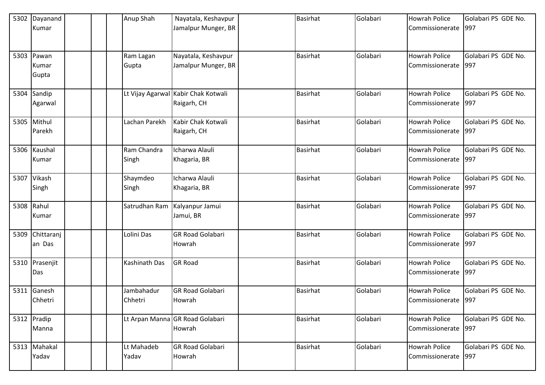| 5302       | Dayanand     |  | Anup Shah     | Nayatala, Keshavpur                 | <b>Basirhat</b> | Golabari | <b>Howrah Police</b> | Golabari PS GDE No. |
|------------|--------------|--|---------------|-------------------------------------|-----------------|----------|----------------------|---------------------|
|            | Kumar        |  |               | Jamalpur Munger, BR                 |                 |          | Commissionerate 997  |                     |
|            |              |  |               |                                     |                 |          |                      |                     |
|            |              |  |               |                                     |                 |          |                      |                     |
|            | 5303 Pawan   |  | Ram Lagan     | Nayatala, Keshavpur                 | <b>Basirhat</b> | Golabari | <b>Howrah Police</b> | Golabari PS GDE No. |
|            | Kumar        |  | Gupta         | Jamalpur Munger, BR                 |                 |          | Commissionerate      | 997                 |
|            | Gupta        |  |               |                                     |                 |          |                      |                     |
|            |              |  |               |                                     |                 |          |                      |                     |
|            | 5304 Sandip  |  |               | Lt Vijay Agarwal Kabir Chak Kotwali | <b>Basirhat</b> | Golabari | <b>Howrah Police</b> | Golabari PS GDE No. |
|            | Agarwal      |  |               | Raigarh, CH                         |                 |          | Commissionerate      | 997                 |
|            |              |  |               |                                     |                 |          |                      |                     |
|            | 5305 Mithul  |  | Lachan Parekh | Kabir Chak Kotwali                  | <b>Basirhat</b> | Golabari | <b>Howrah Police</b> | Golabari PS GDE No. |
|            | Parekh       |  |               | Raigarh, CH                         |                 |          | Commissionerate      | 997                 |
|            |              |  |               |                                     |                 |          |                      |                     |
|            | 5306 Kaushal |  | Ram Chandra   | Icharwa Alauli                      | <b>Basirhat</b> | Golabari | <b>Howrah Police</b> | Golabari PS GDE No. |
|            | Kumar        |  | Singh         | Khagaria, BR                        |                 |          | Commissionerate      | 997                 |
|            |              |  |               |                                     |                 |          |                      |                     |
| 5307       | Vikash       |  | Shaymdeo      | Icharwa Alauli                      | <b>Basirhat</b> | Golabari | <b>Howrah Police</b> | Golabari PS GDE No. |
|            | Singh        |  | Singh         | Khagaria, BR                        |                 |          | Commissionerate      | 997                 |
|            |              |  |               |                                     |                 |          |                      |                     |
| 5308 Rahul |              |  | Satrudhan Ram | Kalyanpur Jamui                     | <b>Basirhat</b> | Golabari | <b>Howrah Police</b> | Golabari PS GDE No. |
|            | Kumar        |  |               | Jamui, BR                           |                 |          | Commissionerate      | 997                 |
|            |              |  |               |                                     |                 |          |                      |                     |
| 5309       | Chittaranj   |  | Lolini Das    | <b>GR Road Golabari</b>             | <b>Basirhat</b> | Golabari | <b>Howrah Police</b> | Golabari PS GDE No. |
|            | an Das       |  |               | Howrah                              |                 |          | Commissionerate      | 997                 |
|            |              |  |               |                                     |                 |          |                      |                     |
| 5310       | Prasenjit    |  | Kashinath Das | <b>GR Road</b>                      | <b>Basirhat</b> | Golabari | <b>Howrah Police</b> | Golabari PS GDE No. |
|            | Das          |  |               |                                     |                 |          | Commissionerate      | 997                 |
|            |              |  |               |                                     |                 |          |                      |                     |
| 5311       | Ganesh       |  | Jambahadur    | <b>GR Road Golabari</b>             | Basirhat        | Golabari | <b>Howrah Police</b> | Golabari PS GDE No. |
|            | Chhetri      |  | Chhetri       | Howrah                              |                 |          | Commissionerate 997  |                     |
|            |              |  |               |                                     |                 |          |                      |                     |
|            | 5312 Pradip  |  |               | Lt Arpan Manna GR Road Golabari     | <b>Basirhat</b> | Golabari | <b>Howrah Police</b> | Golabari PS GDE No. |
|            | Manna        |  |               | Howrah                              |                 |          | Commissionerate 997  |                     |
|            |              |  |               |                                     |                 |          |                      |                     |
|            | 5313 Mahakal |  | Lt Mahadeb    | <b>GR Road Golabari</b>             | <b>Basirhat</b> | Golabari | <b>Howrah Police</b> | Golabari PS GDE No. |
|            | Yadav        |  | Yadav         | Howrah                              |                 |          | Commissionerate 997  |                     |
|            |              |  |               |                                     |                 |          |                      |                     |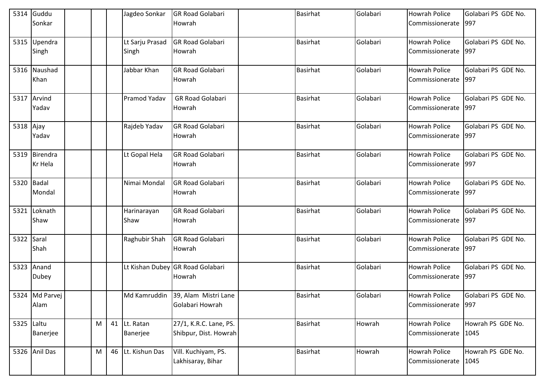|            | 5314 Guddu<br>Sonkar        |   | Jagdeo Sonkar            | <b>GR Road Golabari</b><br>Howrah                    | <b>Basirhat</b> | Golabari | <b>Howrah Police</b><br>Commissionerate | Golabari PS GDE No.<br>997 |
|------------|-----------------------------|---|--------------------------|------------------------------------------------------|-----------------|----------|-----------------------------------------|----------------------------|
|            | 5315 Upendra<br>Singh       |   | Lt Sarju Prasad<br>Singh | <b>GR Road Golabari</b><br>Howrah                    | <b>Basirhat</b> | Golabari | <b>Howrah Police</b><br>Commissionerate | Golabari PS GDE No.<br>997 |
|            | 5316 Naushad<br>Khan        |   | Jabbar Khan              | <b>GR Road Golabari</b><br>Howrah                    | <b>Basirhat</b> | Golabari | <b>Howrah Police</b><br>Commissionerate | Golabari PS GDE No.<br>997 |
|            | 5317 Arvind<br>Yadav        |   | Pramod Yadav             | <b>GR Road Golabari</b><br>Howrah                    | <b>Basirhat</b> | Golabari | Howrah Police<br>Commissionerate        | Golabari PS GDE No.<br>997 |
| 5318 Ajay  | Yadav                       |   | Rajdeb Yadav             | <b>GR Road Golabari</b><br>Howrah                    | <b>Basirhat</b> | Golabari | <b>Howrah Police</b><br>Commissionerate | Golabari PS GDE No.<br>997 |
|            | 5319 Birendra<br>Kr Hela    |   | Lt Gopal Hela            | <b>GR Road Golabari</b><br>Howrah                    | <b>Basirhat</b> | Golabari | <b>Howrah Police</b><br>Commissionerate | Golabari PS GDE No.<br>997 |
|            | 5320 Badal<br><b>Mondal</b> |   | Nimai Mondal             | <b>GR Road Golabari</b><br>Howrah                    | <b>Basirhat</b> | Golabari | <b>Howrah Police</b><br>Commissionerate | Golabari PS GDE No.<br>997 |
| 5321       | Loknath<br>Shaw             |   | Harinarayan<br>Shaw      | <b>GR Road Golabari</b><br>Howrah                    | <b>Basirhat</b> | Golabari | Howrah Police<br>Commissionerate        | Golabari PS GDE No.<br>997 |
| 5322 Saral | Shah                        |   | Raghubir Shah            | <b>GR Road Golabari</b><br>Howrah                    | <b>Basirhat</b> | Golabari | <b>Howrah Police</b><br>Commissionerate | Golabari PS GDE No.<br>997 |
| 5323       | Anand<br><b>Dubey</b>       |   |                          | Lt Kishan Dubey GR Road Golabari<br>Howrah           | Basirhat        | Golabari | Howrah Police<br>Commissionerate        | Golabari PS GDE No.<br>997 |
|            | 5324 Md Parvei<br>Alam      |   |                          | Md Kamruddin 39, Alam Mistri Lane<br>Golabari Howrah | Basirhat        | Golabari | <b>Howrah Police</b><br>Commissionerate | Golabari PS GDE No.<br>997 |
| 5325 Laltu | Banerjee                    | M | 41 Lt. Ratan<br>Banerjee | 27/1, K.R.C. Lane, PS.<br>Shibpur, Dist. Howrah      | <b>Basirhat</b> | Howrah   | Howrah Police<br>Commissionerate        | Howrah PS GDE No.<br>1045  |
|            | 5326 Anil Das               | M | 46 Lt. Kishun Das        | Vill. Kuchiyam, PS.<br>Lakhisaray, Bihar             | <b>Basirhat</b> | Howrah   | Howrah Police<br>Commissionerate        | Howrah PS GDE No.<br>1045  |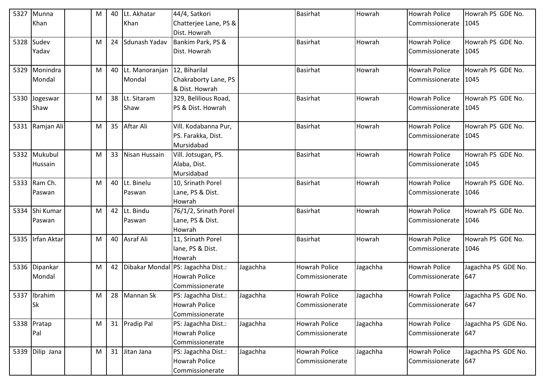| 5327 | Munna            | M | 40 | Lt. Akhatar                     | 44/4, Satkori                      |          | <b>Basirhat</b>      | Howrah   | <b>Howrah Police</b> | Howrah PS GDE No.   |
|------|------------------|---|----|---------------------------------|------------------------------------|----------|----------------------|----------|----------------------|---------------------|
|      | Khan             |   |    | Khan                            | Chatterjee Lane, PS &              |          |                      |          | Commissionerate      | 1045                |
|      |                  |   |    |                                 | Dist. Howrah                       |          |                      |          |                      |                     |
| 5328 | Sudev            | M | 24 | Sdunash Yadav                   | Bankim Park, PS &                  |          | <b>Basirhat</b>      | Howrah   | <b>Howrah Police</b> | Howrah PS GDE No.   |
|      | Yadav            |   |    |                                 | Dist. Howrah                       |          |                      |          | Commissionerate      | 1045                |
|      |                  |   |    |                                 |                                    |          |                      |          |                      |                     |
|      | 5329 Monindra    | M |    | 40 Lt. Manoranjan 12, Biharilal |                                    |          | <b>Basirhat</b>      | Howrah   | <b>Howrah Police</b> | Howrah PS GDE No.   |
|      | Mondal           |   |    | Mondal                          | Chakraborty Lane, PS               |          |                      |          | Commissionerate      | 1045                |
|      |                  |   |    |                                 | & Dist. Howrah                     |          |                      |          |                      |                     |
| 5330 | Jogeswar         | M | 38 | Lt. Sitaram                     | 329, Belilious Road,               |          | <b>Basirhat</b>      | Howrah   | <b>Howrah Police</b> | Howrah PS GDE No.   |
|      | Shaw             |   |    | Shaw                            | PS & Dist. Howrah                  |          |                      |          | Commissionerate      | 1045                |
|      |                  |   |    |                                 |                                    |          |                      |          |                      |                     |
|      | 5331 Ramjan Ali  | M | 35 | Aftar Ali                       | Vill. Kodabanna Pur,               |          | <b>Basirhat</b>      | Howrah   | <b>Howrah Police</b> | Howrah PS GDE No.   |
|      |                  |   |    |                                 | PS. Farakka, Dist.                 |          |                      |          | Commissionerate      | 1045                |
|      |                  |   |    |                                 | Mursidabad                         |          |                      |          |                      |                     |
|      | 5332 Mukubul     | M |    | 33 Nisan Hussain                | Vill. Jotsugan, PS.                |          | <b>Basirhat</b>      | Howrah   | <b>Howrah Police</b> | Howrah PS GDE No.   |
|      | Hussain          |   |    |                                 | Alaba, Dist.                       |          |                      |          | Commissionerate      | 1045                |
|      |                  |   |    |                                 | Mursidabad                         |          |                      |          |                      |                     |
| 5333 | Ram Ch.          | M |    | 40 Lt. Binelu                   | 10, Srinath Porel                  |          | <b>Basirhat</b>      | Howrah   | <b>Howrah Police</b> | Howrah PS GDE No.   |
|      | Paswan           |   |    | Paswan                          | Lane, PS & Dist.                   |          |                      |          | Commissionerate      | 1046                |
|      |                  |   |    |                                 | Howrah                             |          |                      |          |                      |                     |
| 5334 | Shi Kumar        | M |    | 42 Lt. Bindu                    | 76/1/2, Srinath Porel              |          | <b>Basirhat</b>      | Howrah   | <b>Howrah Police</b> | Howrah PS GDE No.   |
|      | Paswan           |   |    | Paswan                          | Lane, PS & Dist.                   |          |                      |          | Commissionerate      | 1046                |
|      |                  |   |    |                                 | Howrah                             |          |                      |          |                      |                     |
|      | 5335 Irfan Aktar | M |    | 40 Asraf Ali                    | 11, Srinath Porel                  |          | <b>Basirhat</b>      | Howrah   | <b>Howrah Police</b> | Howrah PS GDE No.   |
|      |                  |   |    |                                 | lane, PS & Dist.                   |          |                      |          | Commissionerate      | 1046                |
|      |                  |   |    |                                 | Howrah                             |          |                      |          |                      |                     |
| 5336 | Dipankar         | M | 42 |                                 | Dibakar Mondal PS: Jagachha Dist.: | Jagachha | <b>Howrah Police</b> | Jagachha | <b>Howrah Police</b> | Jagachha PS GDE No. |
|      | Mondal           |   |    |                                 | <b>Howrah Police</b>               |          | Commissionerate      |          | Commissionerate      | 647                 |
|      |                  |   |    |                                 | Commissionerate                    |          |                      |          |                      |                     |
|      | 5337 Ibrahim     | M |    | 28 Mannan Sk                    | PS: Jagachha Dist.:                | Jagachha | <b>Howrah Police</b> | Jagachha | <b>Howrah Police</b> | Jagachha PS GDE No. |
|      | Sk               |   |    |                                 | <b>Howrah Police</b>               |          | Commissionerate      |          | Commissionerate      | 647                 |
|      |                  |   |    |                                 | Commissionerate                    |          |                      |          |                      |                     |
|      | 5338 Pratap      | M |    | 31 Pradip Pal                   | PS: Jagachha Dist.:                | Jagachha | <b>Howrah Police</b> | Jagachha | Howrah Police        | Jagachha PS GDE No. |
|      | Pal              |   |    |                                 | <b>Howrah Police</b>               |          | Commissionerate      |          | Commissionerate      | 647                 |
|      |                  |   |    |                                 | Commissionerate                    |          |                      |          |                      |                     |
|      | 5339 Dilip Jana  | M |    | 31 Jitan Jana                   | PS: Jagachha Dist.:                | Jagachha | <b>Howrah Police</b> | Jagachha | Howrah Police        | Jagachha PS GDE No. |
|      |                  |   |    |                                 | <b>Howrah Police</b>               |          | Commissionerate      |          | Commissionerate      | 647                 |
|      |                  |   |    |                                 | Commissionerate                    |          |                      |          |                      |                     |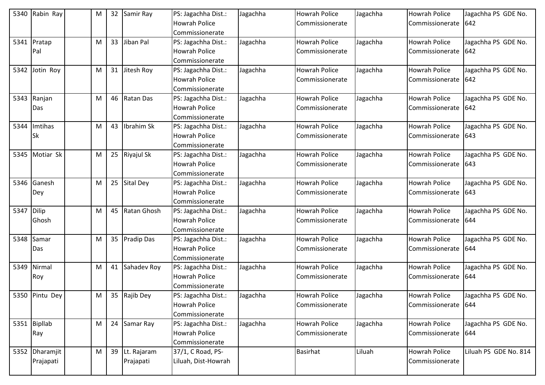| 5340 | Rabin Ray      | M |    | 32 Samir Ray   | PS: Jagachha Dist.:  | Jagachha | <b>Howrah Police</b> | Jagachha | <b>Howrah Police</b> | Jagachha PS GDE No.   |
|------|----------------|---|----|----------------|----------------------|----------|----------------------|----------|----------------------|-----------------------|
|      |                |   |    |                | <b>Howrah Police</b> |          | Commissionerate      |          | Commissionerate      | 642                   |
|      |                |   |    |                | Commissionerate      |          |                      |          |                      |                       |
| 5341 | Pratap         | M | 33 | Jiban Pal      | PS: Jagachha Dist.:  | Jagachha | <b>Howrah Police</b> | Jagachha | <b>Howrah Police</b> | Jagachha PS GDE No.   |
|      | Pal            |   |    |                | <b>Howrah Police</b> |          | Commissionerate      |          | Commissionerate      | 642                   |
|      |                |   |    |                | Commissionerate      |          |                      |          |                      |                       |
| 5342 | Jotin Roy      | M |    | 31 Jitesh Roy  | PS: Jagachha Dist.:  | Jagachha | <b>Howrah Police</b> | Jagachha | <b>Howrah Police</b> | Jagachha PS GDE No.   |
|      |                |   |    |                | <b>Howrah Police</b> |          | Commissionerate      |          | Commissionerate      | 642                   |
|      |                |   |    |                | Commissionerate      |          |                      |          |                      |                       |
| 5343 | Ranjan         | M |    | 46 Ratan Das   | PS: Jagachha Dist.:  | Jagachha | <b>Howrah Police</b> | Jagachha | <b>Howrah Police</b> | Jagachha PS GDE No.   |
|      | Das            |   |    |                | <b>Howrah Police</b> |          | Commissionerate      |          | Commissionerate      | 642                   |
|      |                |   |    |                | Commissionerate      |          |                      |          |                      |                       |
| 5344 | Imtihas        | M | 43 | brahim Sk      | PS: Jagachha Dist.:  | Jagachha | <b>Howrah Police</b> | Jagachha | <b>Howrah Police</b> | Jagachha PS GDE No.   |
|      | <b>Sk</b>      |   |    |                | <b>Howrah Police</b> |          | Commissionerate      |          | Commissionerate      | 643                   |
|      |                |   |    |                | Commissionerate      |          |                      |          |                      |                       |
| 5345 | Motiar Sk      | M |    | 25 Riyajul Sk  | PS: Jagachha Dist.:  | Jagachha | <b>Howrah Police</b> | Jagachha | <b>Howrah Police</b> | Jagachha PS GDE No.   |
|      |                |   |    |                | <b>Howrah Police</b> |          | Commissionerate      |          | Commissionerate      | 643                   |
|      |                |   |    |                | Commissionerate      |          |                      |          |                      |                       |
| 5346 | Ganesh         | M |    | 25 Sital Dey   | PS: Jagachha Dist.:  | Jagachha | <b>Howrah Police</b> | Jagachha | <b>Howrah Police</b> | Jagachha PS GDE No.   |
|      | Dey            |   |    |                | <b>Howrah Police</b> |          | Commissionerate      |          | Commissionerate      | 643                   |
|      |                |   |    |                | Commissionerate      |          |                      |          |                      |                       |
| 5347 | <b>Dilip</b>   | M |    | 45 Ratan Ghosh | PS: Jagachha Dist.:  | Jagachha | <b>Howrah Police</b> | Jagachha | <b>Howrah Police</b> | Jagachha PS GDE No.   |
|      | Ghosh          |   |    |                | <b>Howrah Police</b> |          | Commissionerate      |          | Commissionerate      | 644                   |
|      |                |   |    |                | Commissionerate      |          |                      |          |                      |                       |
| 5348 | Samar          | M |    | 35 Pradip Das  | PS: Jagachha Dist.:  | Jagachha | <b>Howrah Police</b> | Jagachha | <b>Howrah Police</b> | Jagachha PS GDE No.   |
|      | Das            |   |    |                | <b>Howrah Police</b> |          | Commissionerate      |          | Commissionerate      | 644                   |
|      |                |   |    |                | Commissionerate      |          |                      |          |                      |                       |
| 5349 | Nirmal         | M |    | 41 Sahadev Roy | PS: Jagachha Dist.:  | Jagachha | <b>Howrah Police</b> | Jagachha | <b>Howrah Police</b> | Jagachha PS GDE No.   |
|      | Roy            |   |    |                | Howrah Police        |          | Commissionerate      |          | Commissionerate      | 644                   |
|      |                |   |    |                | Commissionerate      |          |                      |          |                      |                       |
|      | 5350 Pintu Dey | M |    | 35 Rajib Dey   | PS: Jagachha Dist.:  | Jagachha | <b>Howrah Police</b> | Jagachha | <b>Howrah Police</b> | Jagachha PS GDE No.   |
|      |                |   |    |                | Howrah Police        |          | Commissionerate      |          | Commissionerate      | 644                   |
|      |                |   |    |                | Commissionerate      |          |                      |          |                      |                       |
|      | 5351 Bipllab   | M |    | 24 Samar Ray   | PS: Jagachha Dist.:  | Jagachha | Howrah Police        | Jagachha | <b>Howrah Police</b> | Jagachha PS GDE No.   |
|      | Ray            |   |    |                | Howrah Police        |          | Commissionerate      |          | Commissionerate      | 644                   |
|      |                |   |    |                | Commissionerate      |          |                      |          |                      |                       |
|      | 5352 Dharamjit | M |    | 39 Lt. Rajaram | 37/1, C Road, PS-    |          | Basirhat             | Liluah   | <b>Howrah Police</b> | Liluah PS GDE No. 814 |
|      | Prajapati      |   |    | Prajapati      | Liluah, Dist-Howrah  |          |                      |          | Commissionerate      |                       |
|      |                |   |    |                |                      |          |                      |          |                      |                       |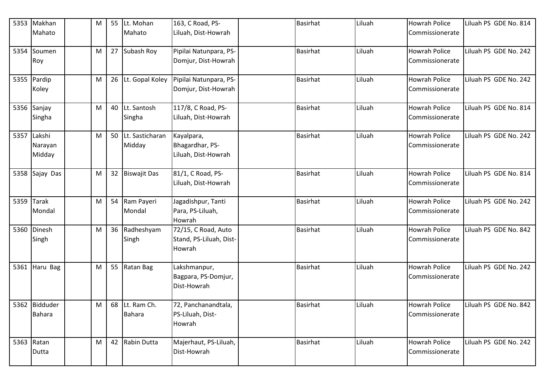|      | 5353 Makhan    | M | 55 | Lt. Mohan          | 163, C Road, PS-                   | <b>Basirhat</b> | Liluah | <b>Howrah Police</b> | Liluah PS GDE No. 814 |
|------|----------------|---|----|--------------------|------------------------------------|-----------------|--------|----------------------|-----------------------|
|      | Mahato         |   |    | Mahato             | Liluah, Dist-Howrah                |                 |        | Commissionerate      |                       |
|      | 5354 Soumen    | M | 27 | Subash Roy         | Pipilai Natunpara, PS-             | <b>Basirhat</b> | Liluah | <b>Howrah Police</b> | Liluah PS GDE No. 242 |
|      | Roy            |   |    |                    | Domjur, Dist-Howrah                |                 |        | Commissionerate      |                       |
|      | 5355 Pardip    | M |    | 26 Lt. Gopal Koley | Pipilai Natunpara, PS-             | <b>Basirhat</b> | Liluah | <b>Howrah Police</b> | Liluah PS GDE No. 242 |
|      | Koley          |   |    |                    | Domjur, Dist-Howrah                |                 |        | Commissionerate      |                       |
|      | 5356 Sanjay    | M |    | 40 Lt. Santosh     | 117/8, C Road, PS-                 | <b>Basirhat</b> | Liluah | <b>Howrah Police</b> | Liluah PS GDE No. 814 |
|      | Singha         |   |    | Singha             | Liluah, Dist-Howrah                |                 |        | Commissionerate      |                       |
| 5357 | Lakshi         | M |    | 50 Lt. Sasticharan | Kayalpara,                         | <b>Basirhat</b> | Liluah | <b>Howrah Police</b> | Liluah PS GDE No. 242 |
|      | Narayan        |   |    | Midday             | Bhagardhar, PS-                    |                 |        | Commissionerate      |                       |
|      | Midday         |   |    |                    | Liluah, Dist-Howrah                |                 |        |                      |                       |
|      | 5358 Sajay Das | M |    | 32 Biswajit Das    | 81/1, C Road, PS-                  | <b>Basirhat</b> | Liluah | <b>Howrah Police</b> | Liluah PS GDE No. 814 |
|      |                |   |    |                    | Liluah, Dist-Howrah                |                 |        | Commissionerate      |                       |
| 5359 | <b>Tarak</b>   | M | 54 | Ram Payeri         | Jagadishpur, Tanti                 | <b>Basirhat</b> | Liluah | <b>Howrah Police</b> | Liluah PS GDE No. 242 |
|      | Mondal         |   |    | Mondal             | Para, PS-Liluah,<br>Howrah         |                 |        | Commissionerate      |                       |
|      | 5360 Dinesh    | M |    | 36 Radheshyam      | 72/15, C Road, Auto                | <b>Basirhat</b> | Liluah | <b>Howrah Police</b> | Liluah PS GDE No. 842 |
|      | Singh          |   |    | Singh              | Stand, PS-Liluah, Dist-            |                 |        | Commissionerate      |                       |
|      |                |   |    |                    | Howrah                             |                 |        |                      |                       |
|      | 5361 Haru Bag  | M |    | 55 Ratan Bag       | Lakshmanpur,                       | <b>Basirhat</b> | Liluah | <b>Howrah Police</b> | Liluah PS GDE No. 242 |
|      |                |   |    |                    | Bagpara, PS-Domjur,<br>Dist-Howrah |                 |        | Commissionerate      |                       |
|      |                |   |    |                    |                                    |                 |        |                      |                       |
|      | 5362 Bidduder  | M |    | 68 Lt. Ram Ch.     | 72, Panchanandtala,                | <b>Basirhat</b> | Liluah | <b>Howrah Police</b> | Liluah PS GDE No. 842 |
|      | <b>Bahara</b>  |   |    | <b>Bahara</b>      | PS-Liluah, Dist-<br>Howrah         |                 |        | Commissionerate      |                       |
|      |                |   |    |                    |                                    |                 |        |                      |                       |
|      | 5363 Ratan     | M |    | 42 Rabin Dutta     | Majerhaut, PS-Liluah,              | <b>Basirhat</b> | Liluah | <b>Howrah Police</b> | Liluah PS GDE No. 242 |
|      | Dutta          |   |    |                    | Dist-Howrah                        |                 |        | Commissionerate      |                       |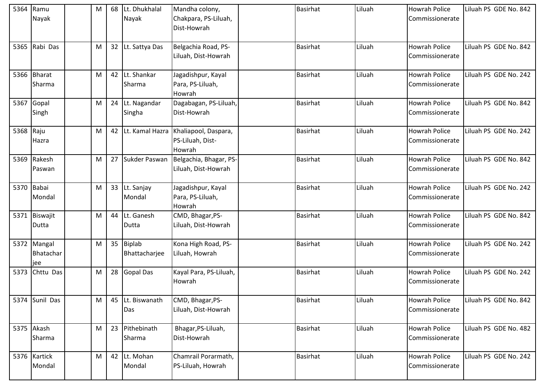| 5364      | Ramu<br>Nayak                   | M | 68 | Lt. Dhukhalal<br>Nayak     | Mandha colony,<br>Chakpara, PS-Liluah,<br>Dist-Howrah | <b>Basirhat</b> | Liluah | <b>Howrah Police</b><br>Commissionerate | Liluah PS GDE No. 842 |
|-----------|---------------------------------|---|----|----------------------------|-------------------------------------------------------|-----------------|--------|-----------------------------------------|-----------------------|
| 5365      | Rabi Das                        | M | 32 | Lt. Sattya Das             | Belgachia Road, PS-<br>Liluah, Dist-Howrah            | <b>Basirhat</b> | Liluah | <b>Howrah Police</b><br>Commissionerate | Liluah PS GDE No. 842 |
| 5366      | <b>Bharat</b><br>Sharma         | M | 42 | Lt. Shankar<br>Sharma      | Jagadishpur, Kayal<br>Para, PS-Liluah,<br>Howrah      | <b>Basirhat</b> | Liluah | <b>Howrah Police</b><br>Commissionerate | Liluah PS GDE No. 242 |
| 5367      | Gopal<br>Singh                  | M | 24 | Lt. Nagandar<br>Singha     | Dagabagan, PS-Liluah,<br>Dist-Howrah                  | <b>Basirhat</b> | Liluah | <b>Howrah Police</b><br>Commissionerate | Liluah PS GDE No. 842 |
| 5368 Raju | Hazra                           | M | 42 | Lt. Kamal Hazra            | Khaliapool, Daspara,<br>PS-Liluah, Dist-<br>Howrah    | <b>Basirhat</b> | Liluah | <b>Howrah Police</b><br>Commissionerate | Liluah PS GDE No. 242 |
|           | 5369 Rakesh<br>Paswan           | M | 27 | Sukder Paswan              | Belgachia, Bhagar, PS-<br>Liluah, Dist-Howrah         | <b>Basirhat</b> | Liluah | <b>Howrah Police</b><br>Commissionerate | Liluah PS GDE No. 842 |
|           | 5370 Babai<br>Mondal            | M | 33 | Lt. Sanjay<br>Mondal       | Jagadishpur, Kayal<br>Para, PS-Liluah,<br>Howrah      | <b>Basirhat</b> | Liluah | <b>Howrah Police</b><br>Commissionerate | Liluah PS GDE No. 242 |
|           | 5371 Biswajit<br>Dutta          | M | 44 | Lt. Ganesh<br>Dutta        | CMD, Bhagar, PS-<br>Liluah, Dist-Howrah               | <b>Basirhat</b> | Liluah | <b>Howrah Police</b><br>Commissionerate | Liluah PS GDE No. 842 |
|           | 5372 Mangal<br>Bhatachar<br>jee | M |    | 35 Biplab<br>Bhattacharjee | Kona High Road, PS-<br>Liluah, Howrah                 | <b>Basirhat</b> | Liluah | <b>Howrah Police</b><br>Commissionerate | Liluah PS GDE No. 242 |
| 5373      | Chttu Das                       | M | 28 | <b>Gopal Das</b>           | Kayal Para, PS-Liluah,<br>Howrah                      | <b>Basirhat</b> | Liluah | <b>Howrah Police</b><br>Commissionerate | Liluah PS GDE No. 242 |
|           | 5374 Sunil Das                  | M | 45 | Lt. Biswanath<br>Das       | CMD, Bhagar, PS-<br>Liluah, Dist-Howrah               | Basirhat        | Liluah | <b>Howrah Police</b><br>Commissionerate | Liluah PS GDE No. 842 |
|           | 5375 Akash<br>Sharma            | M | 23 | Pithebinath<br>Sharma      | Bhagar, PS-Liluah,<br>Dist-Howrah                     | Basirhat        | Liluah | Howrah Police<br>Commissionerate        | Liluah PS GDE No. 482 |
|           | 5376 Kartick<br>Mondal          | M | 42 | Lt. Mohan<br>Mondal        | Chamrail Porarmath,<br>PS-Liluah, Howrah              | Basirhat        | Liluah | <b>Howrah Police</b><br>Commissionerate | Liluah PS GDE No. 242 |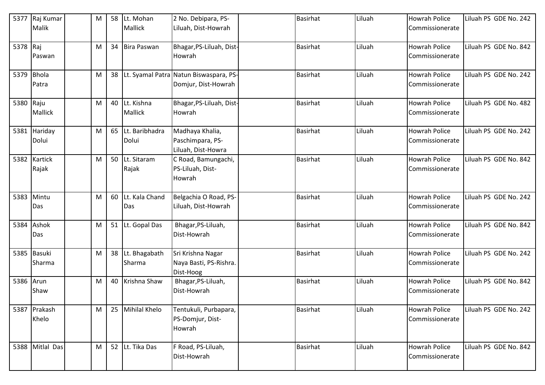| 5377       | Raj Kumar<br>Malik    | M | 58 | Lt. Mohan<br><b>Mallick</b>     | 2 No. Debipara, PS-<br>Liluah, Dist-Howrah                    | <b>Basirhat</b> | Liluah | <b>Howrah Police</b><br>Commissionerate | Liluah PS GDE No. 242 |
|------------|-----------------------|---|----|---------------------------------|---------------------------------------------------------------|-----------------|--------|-----------------------------------------|-----------------------|
| 5378 Raj   | Paswan                | M | 34 | Bira Paswan                     | Bhagar, PS-Liluah, Dist-<br>Howrah                            | <b>Basirhat</b> | Liluah | <b>Howrah Police</b><br>Commissionerate | Liluah PS GDE No. 842 |
| 5379 Bhola | Patra                 | M | 38 |                                 | Lt. Syamal Patra Natun Biswaspara, PS-<br>Domjur, Dist-Howrah | <b>Basirhat</b> | Liluah | <b>Howrah Police</b><br>Commissionerate | Liluah PS GDE No. 242 |
| 5380 Raju  | <b>Mallick</b>        | M |    | 40 Lt. Kishna<br><b>Mallick</b> | Bhagar, PS-Liluah, Dist-<br>Howrah                            | <b>Basirhat</b> | Liluah | <b>Howrah Police</b><br>Commissionerate | Liluah PS GDE No. 482 |
|            | 5381 Hariday<br>Dolui | M | 65 | Lt. Baribhadra<br>Dolui         | Madhaya Khalia,<br>Paschimpara, PS-<br>Liluah, Dist-Howra     | <b>Basirhat</b> | Liluah | <b>Howrah Police</b><br>Commissionerate | Liluah PS GDE No. 242 |
|            | 5382 Kartick<br>Rajak | M |    | 50 Lt. Sitaram<br>Rajak         | C Road, Bamungachi,<br>PS-Liluah, Dist-<br>Howrah             | <b>Basirhat</b> | Liluah | <b>Howrah Police</b><br>Commissionerate | Liluah PS GDE No. 842 |
| 5383       | Mintu<br>Das          | M | 60 | Lt. Kala Chand<br>Das           | Belgachia O Road, PS-<br>Liluah, Dist-Howrah                  | <b>Basirhat</b> | Liluah | <b>Howrah Police</b><br>Commissionerate | Liluah PS GDE No. 242 |
|            | 5384 Ashok<br>Das     | M |    | 51 Lt. Gopal Das                | Bhagar, PS-Liluah,<br>Dist-Howrah                             | <b>Basirhat</b> | Liluah | <b>Howrah Police</b><br>Commissionerate | Liluah PS GDE No. 842 |
|            | 5385 Basuki<br>Sharma | M |    | 38 Lt. Bhagabath<br>Sharma      | Sri Krishna Nagar<br>Naya Basti, PS-Rishra.<br>Dist-Hoog      | <b>Basirhat</b> | Liluah | <b>Howrah Police</b><br>Commissionerate | Liluah PS GDE No. 242 |
| 5386 Arun  | Shaw                  | M | 40 | Krishna Shaw                    | Bhagar, PS-Liluah,<br>Dist-Howrah                             | <b>Basirhat</b> | Liluah | <b>Howrah Police</b><br>Commissionerate | Liluah PS GDE No. 842 |
|            | 5387 Prakash<br>Khelo | M | 25 | <b>Mihilal Khelo</b>            | Tentukuli, Purbapara,<br>PS-Domjur, Dist-<br>Howrah           | Basirhat        | Liluah | <b>Howrah Police</b><br>Commissionerate | Liluah PS GDE No. 242 |
|            | 5388 Mitlal Das       | M |    | 52 Lt. Tika Das                 | F Road, PS-Liluah,<br>Dist-Howrah                             | <b>Basirhat</b> | Liluah | <b>Howrah Police</b><br>Commissionerate | Liluah PS GDE No. 842 |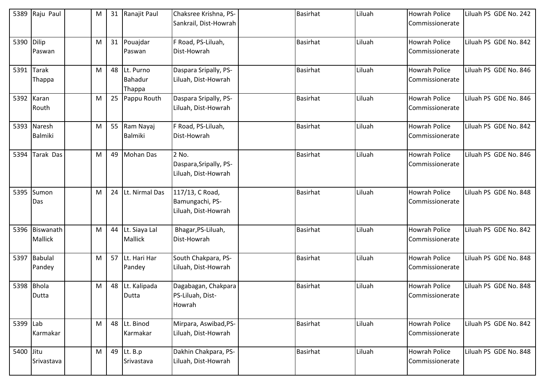| 5389      | Raju Paul                 | M |    | 31 Ranajit Paul                   | Chaksree Krishna, PS-<br>Sankrail, Dist-Howrah            | <b>Basirhat</b> | Liluah | <b>Howrah Police</b><br>Commissionerate | Liluah PS GDE No. 242 |
|-----------|---------------------------|---|----|-----------------------------------|-----------------------------------------------------------|-----------------|--------|-----------------------------------------|-----------------------|
| 5390      | Dilip<br>Paswan           | M |    | 31 Pouajdar<br>Paswan             | F Road, PS-Liluah,<br>Dist-Howrah                         | <b>Basirhat</b> | Liluah | <b>Howrah Police</b><br>Commissionerate | Liluah PS GDE No. 842 |
|           | 5391 Tarak<br>Thappa      | M |    | 48 Lt. Purno<br>Bahadur<br>Thappa | Daspara Sripally, PS-<br>Liluah, Dist-Howrah              | <b>Basirhat</b> | Liluah | <b>Howrah Police</b><br>Commissionerate | Liluah PS GDE No. 846 |
| 5392      | Karan<br>Routh            | M |    | 25 Pappu Routh                    | Daspara Sripally, PS-<br>Liluah, Dist-Howrah              | <b>Basirhat</b> | Liluah | Howrah Police<br>Commissionerate        | Liluah PS GDE No. 846 |
| 5393      | Naresh<br><b>Balmiki</b>  | M |    | 55 Ram Nayaj<br>Balmiki           | F Road, PS-Liluah,<br>Dist-Howrah                         | <b>Basirhat</b> | Liluah | <b>Howrah Police</b><br>Commissionerate | Liluah PS GDE No. 842 |
| 5394      | Tarak Das                 | M |    | 49 Mohan Das                      | 2 No.<br>Daspara, Sripally, PS-<br>Liluah, Dist-Howrah    | <b>Basirhat</b> | Liluah | <b>Howrah Police</b><br>Commissionerate | Liluah PS GDE No. 846 |
| 5395      | Sumon<br>Das              | M | 24 | Lt. Nirmal Das                    | 117/13, C Road,<br>Bamungachi, PS-<br>Liluah, Dist-Howrah | <b>Basirhat</b> | Liluah | <b>Howrah Police</b><br>Commissionerate | Liluah PS GDE No. 848 |
|           | 5396 Biswanath<br>Mallick | M |    | 44 Lt. Siaya Lal<br>Mallick       | Bhagar, PS-Liluah,<br>Dist-Howrah                         | <b>Basirhat</b> | Liluah | <b>Howrah Police</b><br>Commissionerate | Liluah PS GDE No. 842 |
|           | 5397 Babulal<br>Pandey    | M |    | 57 Lt. Hari Har<br>Pandey         | South Chakpara, PS-<br>Liluah, Dist-Howrah                | <b>Basirhat</b> | Liluah | <b>Howrah Police</b><br>Commissionerate | Liluah PS GDE No. 848 |
| 5398      | <b>Bhola</b><br>Dutta     | M |    | 48 Lt. Kalipada<br>Dutta          | Dagabagan, Chakpara<br>PS-Liluah, Dist-<br>Howrah         | <b>Basirhat</b> | Liluah | <b>Howrah Police</b><br>Commissionerate | Liluah PS GDE No. 848 |
| 5399 Lab  | Karmakar                  | M |    | 48 Lt. Binod<br>Karmakar          | Mirpara, Aswibad, PS-<br>Liluah, Dist-Howrah              | <b>Basirhat</b> | Liluah | Howrah Police<br>Commissionerate        | Liluah PS GDE No. 842 |
| 5400 Jitu | Srivastava                | M |    | 49 Lt. B.p<br>Srivastava          | Dakhin Chakpara, PS-<br>Liluah, Dist-Howrah               | <b>Basirhat</b> | Liluah | Howrah Police<br>Commissionerate        | Liluah PS GDE No. 848 |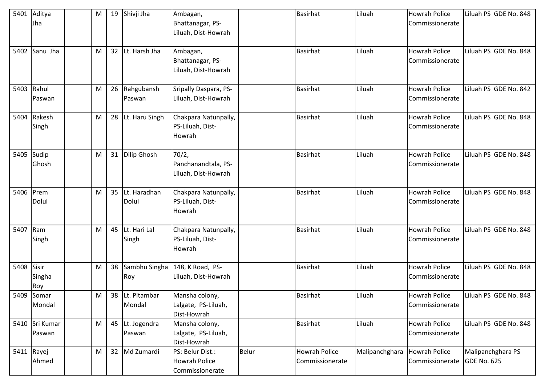| 5401     | Aditya<br>Jha          | M |                 | 19 Shivji Jha             | Ambagan,<br>Bhattanagar, PS-<br>Liluah, Dist-Howrah  |       | <b>Basirhat</b>                  | Liluah         | <b>Howrah Police</b><br>Commissionerate             | Liluah PS GDE No. 848 |
|----------|------------------------|---|-----------------|---------------------------|------------------------------------------------------|-------|----------------------------------|----------------|-----------------------------------------------------|-----------------------|
|          |                        |   |                 |                           |                                                      |       |                                  |                | <b>Howrah Police</b>                                |                       |
| 5402     | Sanu Jha               | M | 32 <sup>2</sup> | Lt. Harsh Jha             | Ambagan,<br>Bhattanagar, PS-<br>Liluah, Dist-Howrah  |       | <b>Basirhat</b>                  | Liluah         | Commissionerate                                     | Liluah PS GDE No. 848 |
| 5403     | Rahul<br>Paswan        | M |                 | 26 Rahgubansh<br>Paswan   | Sripally Daspara, PS-<br>Liluah, Dist-Howrah         |       | <b>Basirhat</b>                  | Liluah         | <b>Howrah Police</b><br>Commissionerate             | Liluah PS GDE No. 842 |
|          | 5404 Rakesh<br>Singh   | M |                 | 28 Lt. Haru Singh         | Chakpara Natunpally,<br>PS-Liluah, Dist-<br>Howrah   |       | <b>Basirhat</b>                  | Liluah         | <b>Howrah Police</b><br>Commissionerate             | Liluah PS GDE No. 848 |
| 5405     | Sudip<br>Ghosh         | M |                 | 31 Dilip Ghosh            | 70/2,<br>Panchanandtala, PS-<br>Liluah, Dist-Howrah  |       | Basirhat                         | Liluah         | <b>Howrah Police</b><br>Commissionerate             | Liluah PS GDE No. 848 |
| 5406     | Prem<br>Dolui          | M |                 | 35 Lt. Haradhan<br>Dolui  | Chakpara Natunpally,<br>PS-Liluah, Dist-<br>Howrah   |       | <b>Basirhat</b>                  | Liluah         | Howrah Police<br>Commissionerate                    | Liluah PS GDE No. 848 |
| 5407 Ram | Singh                  | M |                 | 45 Lt. Hari Lal<br>Singh  | Chakpara Natunpally,<br>PS-Liluah, Dist-<br>Howrah   |       | <b>Basirhat</b>                  | Liluah         | <b>Howrah Police</b><br>Commissionerate             | Liluah PS GDE No. 848 |
| 5408     | Sisir<br>Singha<br>Roy | M |                 | 38 Sambhu Singha<br>Roy   | 148, K Road, PS-<br>Liluah, Dist-Howrah              |       | <b>Basirhat</b>                  | Liluah         | <b>Howrah Police</b><br>Commissionerate             | Liluah PS GDE No. 848 |
|          | 5409 Somar<br>Mondal   | M |                 | 38 Lt. Pitambar<br>Mondal | Mansha colony,<br>Lalgate, PS-Liluah,<br>Dist-Howrah |       | <b>Basirhat</b>                  | Liluah         | <b>Howrah Police</b><br>Commissionerate             | Liluah PS GDE No. 848 |
| 5410     | Sri Kumar<br>Paswan    | M |                 | 45 Lt. Jogendra<br>Paswan | Mansha colony,<br>Lalgate, PS-Liluah,<br>Dist-Howrah |       | <b>Basirhat</b>                  | Liluah         | <b>Howrah Police</b><br>Commissionerate             | Liluah PS GDE No. 848 |
|          | 5411 Rayej<br>Ahmed    | M |                 | 32 Md Zumardi             | PS: Belur Dist.:<br>Howrah Police<br>Commissionerate | Belur | Howrah Police<br>Commissionerate | Malipanchghara | <b>Howrah Police</b><br>Commissionerate GDE No. 625 | Malipanchghara PS     |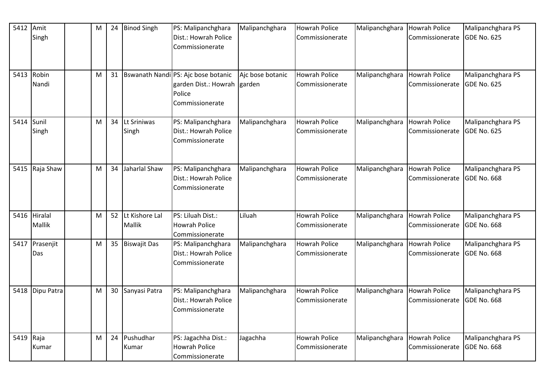| 5412       | Amit<br>Singh            | M | 24              | <b>Binod Singh</b>          | PS: Malipanchghara<br>Dist.: Howrah Police<br>Commissionerate                            | Malipanchghara             | <b>Howrah Police</b><br>Commissionerate | Malipanchghara | Howrah Police<br>Commissionerate        | Malipanchghara PS<br>GDE No. 625        |
|------------|--------------------------|---|-----------------|-----------------------------|------------------------------------------------------------------------------------------|----------------------------|-----------------------------------------|----------------|-----------------------------------------|-----------------------------------------|
| 5413       | Robin<br>Nandi           | M | 31              |                             | Bswanath Nandi PS: Ajc bose botanic<br>garden Dist.: Howrah<br>Police<br>Commissionerate | Ajc bose botanic<br>garden | Howrah Police<br>Commissionerate        | Malipanchghara | <b>Howrah Police</b><br>Commissionerate | Malipanchghara PS<br>GDE No. 625        |
| 5414 Sunil | Singh                    | M | 34              | Lt Sriniwas<br>Singh        | PS: Malipanchghara<br>Dist.: Howrah Police<br>Commissionerate                            | Malipanchghara             | <b>Howrah Police</b><br>Commissionerate | Malipanchghara | <b>Howrah Police</b><br>Commissionerate | Malipanchghara PS<br>GDE No. 625        |
| 5415       | Raja Shaw                | M | 34              | Jaharlal Shaw               | PS: Malipanchghara<br>Dist.: Howrah Police<br>Commissionerate                            | Malipanchghara             | <b>Howrah Police</b><br>Commissionerate | Malipanchghara | <b>Howrah Police</b><br>Commissionerate | Malipanchghara PS<br>GDE No. 668        |
| 5416       | Hiralal<br><b>Mallik</b> | M |                 | 52 Lt Kishore Lal<br>Mallik | PS: Liluah Dist.:<br><b>Howrah Police</b><br>Commissionerate                             | Liluah                     | <b>Howrah Police</b><br>Commissionerate | Malipanchghara | <b>Howrah Police</b><br>Commissionerate | Malipanchghara PS<br>GDE No. 668        |
| 5417       | Prasenjit<br>Das         | M |                 | 35 Biswajit Das             | PS: Malipanchghara<br>Dist.: Howrah Police<br>Commissionerate                            | Malipanchghara             | <b>Howrah Police</b><br>Commissionerate | Malipanchghara | <b>Howrah Police</b><br>Commissionerate | Malipanchghara PS<br><b>GDE No. 668</b> |
|            | 5418   Dipu Patra        | M | 30 <sup>°</sup> | Sanyasi Patra               | PS: Malipanchghara<br>Dist.: Howrah Police<br>Commissionerate                            | Malipanchghara             | <b>Howrah Police</b><br>Commissionerate | Malipanchghara | Howrah Police<br>Commissionerate        | Malipanchghara PS<br><b>GDE No. 668</b> |
| 5419 Raja  | Kumar                    | м | 24              | Pushudhar<br>Kumar          | PS: Jagachha Dist.:<br><b>Howrah Police</b><br>Commissionerate                           | Jagachha                   | <b>Howrah Police</b><br>Commissionerate | Malipanchghara | Howrah Police<br>Commissionerate        | Malipanchghara PS<br><b>GDE No. 668</b> |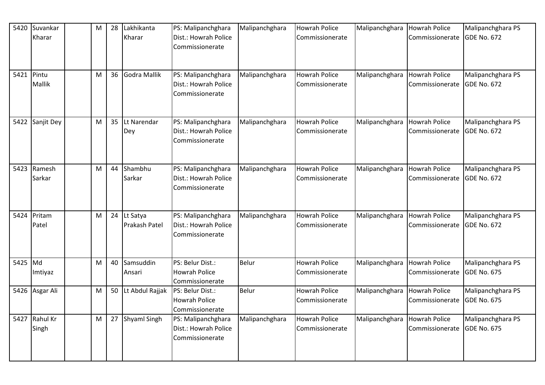| 5420       | Suvankar<br>Kharar | M | 28 | Lakhikanta<br>Kharar         | PS: Malipanchghara<br>Dist.: Howrah Police<br>Commissionerate | Malipanchghara | <b>Howrah Police</b><br>Commissionerate | Malipanchghara | Howrah Police<br>Commissionerate        | Malipanchghara PS<br>GDE No. 672 |
|------------|--------------------|---|----|------------------------------|---------------------------------------------------------------|----------------|-----------------------------------------|----------------|-----------------------------------------|----------------------------------|
| 5421 Pintu | Mallik             | M | 36 | Godra Mallik                 | PS: Malipanchghara<br>Dist.: Howrah Police<br>Commissionerate | Malipanchghara | <b>Howrah Police</b><br>Commissionerate | Malipanchghara | <b>Howrah Police</b><br>Commissionerate | Malipanchghara PS<br>GDE No. 672 |
|            | 5422 Sanjit Dey    | M |    | 35 Lt Narendar<br>Dey        | PS: Malipanchghara<br>Dist.: Howrah Police<br>Commissionerate | Malipanchghara | <b>Howrah Police</b><br>Commissionerate | Malipanchghara | <b>Howrah Police</b><br>Commissionerate | Malipanchghara PS<br>GDE No. 672 |
| 5423       | Ramesh<br>Sarkar   | M |    | 44 Shambhu<br>Sarkar         | PS: Malipanchghara<br>Dist.: Howrah Police<br>Commissionerate | Malipanchghara | <b>Howrah Police</b><br>Commissionerate | Malipanchghara | <b>Howrah Police</b><br>Commissionerate | Malipanchghara PS<br>GDE No. 672 |
| 5424       | Pritam<br>Patel    | M |    | 24 Lt Satya<br>Prakash Patel | PS: Malipanchghara<br>Dist.: Howrah Police<br>Commissionerate | Malipanchghara | <b>Howrah Police</b><br>Commissionerate | Malipanchghara | <b>Howrah Police</b><br>Commissionerate | Malipanchghara PS<br>GDE No. 672 |
| 5425 Md    | Imtiyaz            | M | 40 | Samsuddin<br>Ansari          | PS: Belur Dist.:<br><b>Howrah Police</b><br>Commissionerate   | Belur          | <b>Howrah Police</b><br>Commissionerate | Malipanchghara | <b>Howrah Police</b><br>Commissionerate | Malipanchghara PS<br>GDE No. 675 |
|            | 5426 Asgar Ali     | M |    | 50 Lt Abdul Rajjak           | PS: Belur Dist.:<br><b>Howrah Police</b><br>Commissionerate   | Belur          | <b>Howrah Police</b><br>Commissionerate | Malipanchghara | <b>Howrah Police</b><br>Commissionerate | Malipanchghara PS<br>GDE No. 675 |
| 5427       | Rahul Kr<br>Singh  | M |    | 27 Shyaml Singh              | PS: Malipanchghara<br>Dist.: Howrah Police<br>Commissionerate | Malipanchghara | <b>Howrah Police</b><br>Commissionerate | Malipanchghara | <b>Howrah Police</b><br>Commissionerate | Malipanchghara PS<br>GDE No. 675 |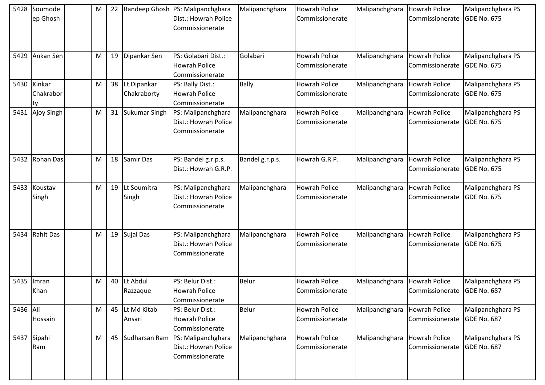| 5428     | Soumode<br>ep Ghosh       | M | 22 |                            | Randeep Ghosh   PS: Malipanchghara<br>Dist.: Howrah Police<br>Commissionerate | Malipanchghara  | <b>Howrah Police</b><br>Commissionerate | Malipanchghara | <b>Howrah Police</b><br>Commissionerate | Malipanchghara PS<br><b>GDE No. 675</b> |
|----------|---------------------------|---|----|----------------------------|-------------------------------------------------------------------------------|-----------------|-----------------------------------------|----------------|-----------------------------------------|-----------------------------------------|
| 5429     | Ankan Sen                 | M | 19 | Dipankar Sen               | PS: Golabari Dist.:<br><b>Howrah Police</b><br>Commissionerate                | Golabari        | <b>Howrah Police</b><br>Commissionerate | Malipanchghara | Howrah Police<br>Commissionerate        | Malipanchghara PS<br><b>GDE No. 675</b> |
| 5430     | Kinkar<br>Chakrabor<br>tv | M | 38 | Lt Dipankar<br>Chakraborty | PS: Bally Dist.:<br><b>Howrah Police</b><br>Commissionerate                   | <b>Bally</b>    | <b>Howrah Police</b><br>Commissionerate | Malipanchghara | <b>Howrah Police</b><br>Commissionerate | Malipanchghara PS<br><b>GDE No. 675</b> |
| 5431     | Ajoy Singh                | M | 31 | <b>Sukumar Singh</b>       | PS: Malipanchghara<br>Dist.: Howrah Police<br>Commissionerate                 | Malipanchghara  | <b>Howrah Police</b><br>Commissionerate | Malipanchghara | <b>Howrah Police</b><br>Commissionerate | Malipanchghara PS<br><b>GDE No. 675</b> |
|          | 5432 Rohan Das            | M | 18 | Samir Das                  | PS: Bandel g.r.p.s.<br>Dist.: Howrah G.R.P.                                   | Bandel g.r.p.s. | Howrah G.R.P.                           | Malipanchghara | <b>Howrah Police</b><br>Commissionerate | Malipanchghara PS<br><b>GDE No. 675</b> |
| 5433     | Koustav<br>Singh          | M | 19 | Lt Soumitra<br>Singh       | PS: Malipanchghara<br>Dist.: Howrah Police<br>Commissionerate                 | Malipanchghara  | <b>Howrah Police</b><br>Commissionerate | Malipanchghara | <b>Howrah Police</b><br>Commissionerate | Malipanchghara PS<br><b>GDE No. 675</b> |
| 5434     | <b>Rahit Das</b>          | M | 19 | Sujal Das                  | PS: Malipanchghara<br>Dist.: Howrah Police<br>Commissionerate                 | Malipanchghara  | Howrah Police<br>Commissionerate        | Malipanchghara | <b>Howrah Police</b><br>Commissionerate | Malipanchghara PS<br><b>GDE No. 675</b> |
| 5435     | Imran<br>Khan             | M | 40 | Lt Abdul<br>Razzaque       | PS: Belur Dist.:<br><b>Howrah Police</b><br>Commissionerate                   | <b>Belur</b>    | <b>Howrah Police</b><br>Commissionerate | Malipanchghara | <b>Howrah Police</b><br>Commissionerate | Malipanchghara PS<br><b>GDE No. 687</b> |
| 5436 Ali | Hossain                   | M | 45 | Lt Md Kitab<br>Ansari      | PS: Belur Dist.:<br>Howrah Police<br>Commissionerate                          | Belur           | <b>Howrah Police</b><br>Commissionerate | Malipanchghara | <b>Howrah Police</b><br>Commissionerate | Malipanchghara PS<br><b>GDE No. 687</b> |
|          | 5437 Sipahi<br>Ram        | M | 45 | Sudharsan Ram              | PS: Malipanchghara<br>Dist.: Howrah Police<br>Commissionerate                 | Malipanchghara  | <b>Howrah Police</b><br>Commissionerate | Malipanchghara | <b>Howrah Police</b><br>Commissionerate | Malipanchghara PS<br><b>GDE No. 687</b> |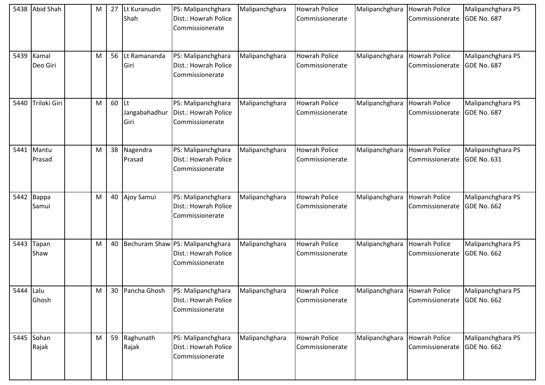|           | 5438 Abid Shah    | М | 27 | Lt Kuranudin<br>Shah        | PS: Malipanchghara<br>Dist.: Howrah Police<br>Commissionerate               | Malipanchghara | <b>Howrah Police</b><br>Commissionerate | Malipanchghara | <b>Howrah Police</b><br>Commissionerate | Malipanchghara PS<br><b>GDE No. 687</b> |
|-----------|-------------------|---|----|-----------------------------|-----------------------------------------------------------------------------|----------------|-----------------------------------------|----------------|-----------------------------------------|-----------------------------------------|
| 5439      | Kamal<br>Deo Giri | M | 56 | Lt Ramananda<br>Giri        | PS: Malipanchghara<br>Dist.: Howrah Police<br>Commissionerate               | Malipanchghara | <b>Howrah Police</b><br>Commissionerate | Malipanchghara | <b>Howrah Police</b><br>Commissionerate | Malipanchghara PS<br><b>GDE No. 687</b> |
| 5440      | Triloki Giri      | M | 60 | Lt<br>Jangabahadhur<br>Giri | PS: Malipanchghara<br>Dist.: Howrah Police<br>Commissionerate               | Malipanchghara | <b>Howrah Police</b><br>Commissionerate | Malipanchghara | <b>Howrah Police</b><br>Commissionerate | Malipanchghara PS<br><b>GDE No. 687</b> |
| 5441      | Mantu<br>Prasad   | M | 38 | Nagendra<br>Prasad          | PS: Malipanchghara<br>Dist.: Howrah Police<br>Commissionerate               | Malipanchghara | <b>Howrah Police</b><br>Commissionerate | Malipanchghara | <b>Howrah Police</b><br>Commissionerate | Malipanchghara PS<br><b>GDE No. 631</b> |
| 5442      | Bappa<br>Samui    | M | 40 | Ajoy Samui                  | PS: Malipanchghara<br>Dist.: Howrah Police<br>Commissionerate               | Malipanchghara | <b>Howrah Police</b><br>Commissionerate | Malipanchghara | Howrah Police<br>Commissionerate        | Malipanchghara PS<br><b>GDE No. 662</b> |
| 5443      | Tapan<br>Shaw     | M | 40 |                             | Bechuram Shaw PS: Malipanchghara<br>Dist.: Howrah Police<br>Commissionerate | Malipanchghara | <b>Howrah Police</b><br>Commissionerate | Malipanchghara | <b>Howrah Police</b><br>Commissionerate | Malipanchghara PS<br><b>GDE No. 662</b> |
| 5444 Lalu | Ghosh             | M |    | 30 Pancha Ghosh             | PS: Malipanchghara<br>Dist.: Howrah Police<br>Commissionerate               | Malipanchghara | <b>Howrah Police</b><br>Commissionerate | Malipanchghara | <b>Howrah Police</b><br>Commissionerate | Malipanchghara PS<br><b>GDE No. 662</b> |
| 5445      | Sohan<br>Rajak    | M | 59 | Raghunath<br>Rajak          | PS: Malipanchghara<br>Dist.: Howrah Police<br>Commissionerate               | Malipanchghara | <b>Howrah Police</b><br>Commissionerate | Malipanchghara | <b>Howrah Police</b><br>Commissionerate | Malipanchghara PS<br><b>GDE No. 662</b> |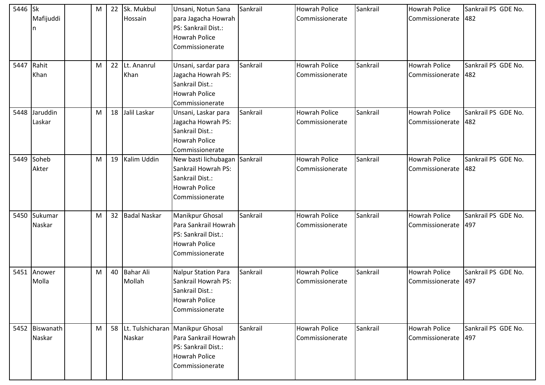| 5446 Sk | Mafijuddi<br>n           | M | 22 | Sk. Mukbul<br>Hossain      | Unsani, Notun Sana<br>para Jagacha Howrah<br>PS: Sankrail Dist.:<br><b>Howrah Police</b><br>Commissionerate                | Sankrail | <b>Howrah Police</b><br>Commissionerate | Sankrail | Howrah Police<br>Commissionerate        | Sankrail PS GDE No.<br>482 |
|---------|--------------------------|---|----|----------------------------|----------------------------------------------------------------------------------------------------------------------------|----------|-----------------------------------------|----------|-----------------------------------------|----------------------------|
| 5447    | Rahit<br>Khan            | M | 22 | Lt. Ananrul<br>Khan        | Unsani, sardar para<br>Jagacha Howrah PS:<br>Sankrail Dist.:<br><b>Howrah Police</b><br>Commissionerate                    | Sankrail | <b>Howrah Police</b><br>Commissionerate | Sankrail | Howrah Police<br>Commissionerate        | Sankrail PS GDE No.<br>482 |
|         | 5448 Jaruddin<br>Laskar  | M | 18 | Jalil Laskar               | Unsani, Laskar para<br>Jagacha Howrah PS:<br>Sankrail Dist.:<br><b>Howrah Police</b><br>Commissionerate                    | Sankrail | <b>Howrah Police</b><br>Commissionerate | Sankrail | Howrah Police<br>Commissionerate        | Sankrail PS GDE No.<br>482 |
| 5449    | Soheb<br>Akter           | M | 19 | Kalim Uddin                | New basti lichubagan<br>Sankrail Howrah PS:<br>Sankrail Dist.:<br><b>Howrah Police</b><br>Commissionerate                  | Sankrail | <b>Howrah Police</b><br>Commissionerate | Sankrail | Howrah Police<br>Commissionerate        | Sankrail PS GDE No.<br>482 |
| 5450    | Sukumar<br>Naskar        | M | 32 | <b>Badal Naskar</b>        | <b>Manikpur Ghosal</b><br>Para Sankrail Howrah<br>PS: Sankrail Dist.:<br><b>Howrah Police</b><br>Commissionerate           | Sankrail | <b>Howrah Police</b><br>Commissionerate | Sankrail | <b>Howrah Police</b><br>Commissionerate | Sankrail PS GDE No.<br>497 |
|         | 5451 Anower<br>Molla     | М | 40 | <b>Bahar Ali</b><br>Mollah | Nalpur Station Para<br>Sankrail Howrah PS:<br>Sankrail Dist.:<br><b>Howrah Police</b><br>Commissionerate                   | Sankrail | <b>Howrah Police</b><br>Commissionerate | Sankrail | Howrah Police<br>Commissionerate        | Sankrail PS GDE No.<br>497 |
|         | 5452 Biswanath<br>Naskar | M | 58 | Naskar                     | Lt. Tulshicharan Manikpur Ghosal<br>Para Sankrail Howrah<br>PS: Sankrail Dist.:<br><b>Howrah Police</b><br>Commissionerate | Sankrail | <b>Howrah Police</b><br>Commissionerate | Sankrail | Howrah Police<br>Commissionerate        | Sankrail PS GDE No.<br>497 |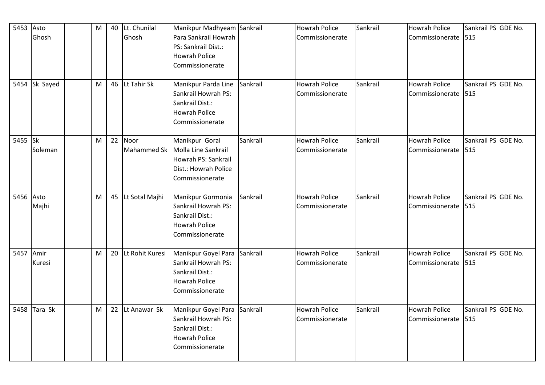| 5453 Asto |               | M | 40 Lt. Chunilal    | Manikpur Madhyeam Sankrail                 |          | <b>Howrah Police</b> | Sankrail | <b>Howrah Police</b> | Sankrail PS GDE No. |
|-----------|---------------|---|--------------------|--------------------------------------------|----------|----------------------|----------|----------------------|---------------------|
|           | Ghosh         |   | Ghosh              | Para Sankrail Howrah                       |          | Commissionerate      |          | Commissionerate 515  |                     |
|           |               |   |                    | PS: Sankrail Dist.:                        |          |                      |          |                      |                     |
|           |               |   |                    | <b>Howrah Police</b>                       |          |                      |          |                      |                     |
|           |               |   |                    | Commissionerate                            |          |                      |          |                      |                     |
|           |               |   |                    |                                            |          |                      |          |                      |                     |
|           | 5454 Sk Sayed | M | 46 Lt Tahir Sk     | Manikpur Parda Line                        | Sankrail | <b>Howrah Police</b> | Sankrail | <b>Howrah Police</b> | Sankrail PS GDE No. |
|           |               |   |                    | Sankrail Howrah PS:                        |          | Commissionerate      |          | Commissionerate      | 515                 |
|           |               |   |                    | Sankrail Dist.:                            |          |                      |          |                      |                     |
|           |               |   |                    | <b>Howrah Police</b>                       |          |                      |          |                      |                     |
|           |               |   |                    | Commissionerate                            |          |                      |          |                      |                     |
|           |               |   |                    |                                            |          |                      |          |                      |                     |
| 5455 Sk   |               | M | 22 Noor            | Manikpur Gorai                             | Sankrail | <b>Howrah Police</b> | Sankrail | <b>Howrah Police</b> | Sankrail PS GDE No. |
|           | Soleman       |   | Mahammed Sk        | Molla Line Sankrail                        |          | Commissionerate      |          | Commissionerate      | 515                 |
|           |               |   |                    | Howrah PS: Sankrail                        |          |                      |          |                      |                     |
|           |               |   |                    | Dist.: Howrah Police                       |          |                      |          |                      |                     |
|           |               |   |                    | Commissionerate                            |          |                      |          |                      |                     |
|           |               |   |                    |                                            |          |                      |          |                      |                     |
| 5456 Asto |               | M | 45 Lt Sotal Majhi  | Manikpur Gormonia                          | Sankrail | <b>Howrah Police</b> | Sankrail | <b>Howrah Police</b> | Sankrail PS GDE No. |
|           | Majhi         |   |                    | Sankrail Howrah PS:                        |          | Commissionerate      |          | Commissionerate      | 1515                |
|           |               |   |                    | Sankrail Dist.:                            |          |                      |          |                      |                     |
|           |               |   |                    | <b>Howrah Police</b>                       |          |                      |          |                      |                     |
|           |               |   |                    | Commissionerate                            |          |                      |          |                      |                     |
| 5457      | Amir          | M | 20 Lt Rohit Kuresi |                                            | Sankrail | <b>Howrah Police</b> | Sankrail | <b>Howrah Police</b> | Sankrail PS GDE No. |
|           | Kuresi        |   |                    | Manikpur Goyel Para<br>Sankrail Howrah PS: |          | Commissionerate      |          |                      | 515                 |
|           |               |   |                    | Sankrail Dist.:                            |          |                      |          | Commissionerate      |                     |
|           |               |   |                    | <b>Howrah Police</b>                       |          |                      |          |                      |                     |
|           |               |   |                    | Commissionerate                            |          |                      |          |                      |                     |
|           |               |   |                    |                                            |          |                      |          |                      |                     |
|           | 5458 Tara Sk  | M | 22 Lt Anawar Sk    | Manikpur Goyel Para                        | Sankrail | <b>Howrah Police</b> | Sankrail | <b>Howrah Police</b> | Sankrail PS GDE No. |
|           |               |   |                    | Sankrail Howrah PS:                        |          | Commissionerate      |          | Commissionerate      | 515                 |
|           |               |   |                    | Sankrail Dist.:                            |          |                      |          |                      |                     |
|           |               |   |                    | <b>Howrah Police</b>                       |          |                      |          |                      |                     |
|           |               |   |                    | Commissionerate                            |          |                      |          |                      |                     |
|           |               |   |                    |                                            |          |                      |          |                      |                     |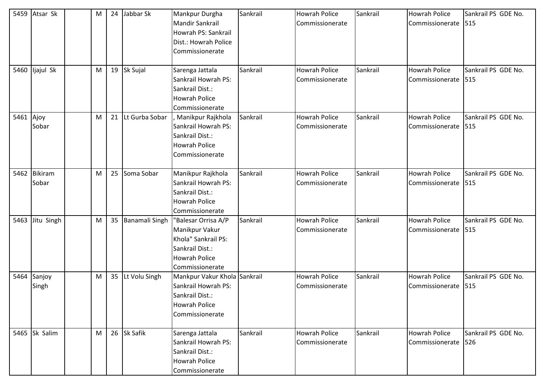| 5459      | Atsar Sk                | M |    | 24 Jabbar Sk      | Mankpur Durgha<br><b>Mandir Sankrail</b><br>Howrah PS: Sankrail<br>Dist.: Howrah Police<br>Commissionerate                 | Sankrail | <b>Howrah Police</b><br>Commissionerate | Sankrail | <b>Howrah Police</b><br>Commissionerate | Sankrail PS GDE No.<br>515  |
|-----------|-------------------------|---|----|-------------------|----------------------------------------------------------------------------------------------------------------------------|----------|-----------------------------------------|----------|-----------------------------------------|-----------------------------|
|           | 5460 ljajul Sk          | M |    | 19 Sk Sujal       | Sarenga Jattala<br>Sankrail Howrah PS:<br>Sankrail Dist.:<br><b>Howrah Police</b><br>Commissionerate                       | Sankrail | <b>Howrah Police</b><br>Commissionerate | Sankrail | <b>Howrah Police</b><br>Commissionerate | Sankrail PS GDE No.<br>515  |
| 5461 Ajoy | Sobar                   | M | 21 | Lt Gurba Sobar    | Manikpur Rajkhola<br>Sankrail Howrah PS:<br>Sankrail Dist.:<br><b>Howrah Police</b><br>Commissionerate                     | Sankrail | <b>Howrah Police</b><br>Commissionerate | Sankrail | <b>Howrah Police</b><br>Commissionerate | Sankrail PS GDE No.<br>515  |
| 5462      | <b>Bikiram</b><br>Sobar | M |    | 25 Soma Sobar     | Manikpur Rajkhola<br>Sankrail Howrah PS:<br>Sankrail Dist.:<br><b>Howrah Police</b><br>Commissionerate                     | Sankrail | <b>Howrah Police</b><br>Commissionerate | Sankrail | <b>Howrah Police</b><br>Commissionerate | Sankrail PS GDE No.<br>1515 |
| 5463      | Jitu Singh              | M |    | 35 Banamali Singh | "Balesar Orrisa A/P<br>Manikpur Vakur<br>Khola" Sankrail PS:<br>Sankrail Dist.:<br><b>Howrah Police</b><br>Commissionerate | Sankrail | <b>Howrah Police</b><br>Commissionerate | Sankrail | <b>Howrah Police</b><br>Commissionerate | Sankrail PS GDE No.<br>515  |
| 5464      | Sanjoy<br>Singh         | M |    | 35 Lt Volu Singh  | Mankpur Vakur Khola Sankrail<br>Sankrail Howrah PS:<br>Sankrail Dist.:<br><b>Howrah Police</b><br>Commissionerate          |          | <b>Howrah Police</b><br>Commissionerate | Sankrail | <b>Howrah Police</b><br>Commissionerate | Sankrail PS GDE No.<br>515  |
|           | 5465 Sk Salim           | M |    | 26 Sk Safik       | Sarenga Jattala<br>Sankrail Howrah PS:<br>Sankrail Dist.:<br>Howrah Police<br>Commissionerate                              | Sankrail | <b>Howrah Police</b><br>Commissionerate | Sankrail | Howrah Police<br>Commissionerate        | Sankrail PS GDE No.<br>526  |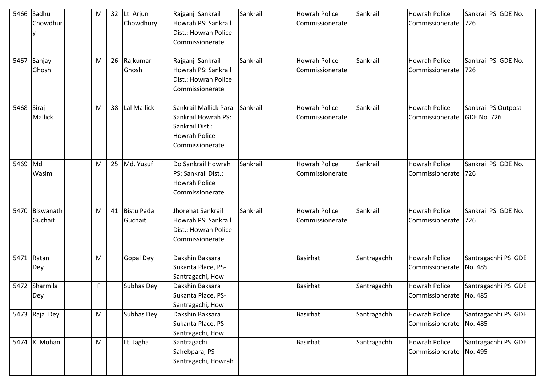|      | 5466 Sadhu<br>Chowdhur | M |    | 32 Lt. Arjun<br>Chowdhury | Rajganj Sankrail<br>Howrah PS: Sankrail<br>Dist.: Howrah Police<br>Commissionerate                         | Sankrail | <b>Howrah Police</b><br>Commissionerate | Sankrail     | <b>Howrah Police</b><br>Commissionerate           | Sankrail PS GDE No.<br>726         |
|------|------------------------|---|----|---------------------------|------------------------------------------------------------------------------------------------------------|----------|-----------------------------------------|--------------|---------------------------------------------------|------------------------------------|
| 5467 | Sanjay<br>Ghosh        | M |    | 26 Rajkumar<br>Ghosh      | Rajganj Sankrail<br>Howrah PS: Sankrail<br>Dist.: Howrah Police<br>Commissionerate                         | Sankrail | <b>Howrah Police</b><br>Commissionerate | Sankrail     | <b>Howrah Police</b><br>Commissionerate           | Sankrail PS GDE No.<br>726         |
| 5468 | Siraj<br>Mallick       | м | 38 | Lal Mallick               | Sankrail Mallick Para<br>Sankrail Howrah PS:<br>Sankrail Dist.:<br><b>Howrah Police</b><br>Commissionerate | Sankrail | <b>Howrah Police</b><br>Commissionerate | Sankrail     | <b>Howrah Police</b><br>Commissionerate           | Sankrail PS Outpost<br>GDE No. 726 |
| 5469 | Md<br>Wasim            | М |    | 25 Md. Yusuf              | Do Sankrail Howrah<br>PS: Sankrail Dist.:<br><b>Howrah Police</b><br>Commissionerate                       | Sankrail | <b>Howrah Police</b><br>Commissionerate | Sankrail     | <b>Howrah Police</b><br>Commissionerate           | Sankrail PS GDE No.<br>726         |
| 5470 | Biswanath<br>Guchait   | M |    | 41 Bistu Pada<br>Guchait  | Jhorehat Sankrail<br>Howrah PS: Sankrail<br>Dist.: Howrah Police<br>Commissionerate                        | Sankrail | <b>Howrah Police</b><br>Commissionerate | Sankrail     | <b>Howrah Police</b><br>Commissionerate           | Sankrail PS GDE No.<br>726         |
| 5471 | Ratan<br>Dey           | M |    | <b>Gopal Dey</b>          | Dakshin Baksara<br>Sukanta Place, PS-<br>Santragachi, How                                                  |          | <b>Basirhat</b>                         | Santragachhi | <b>Howrah Police</b><br>Commissionerate           | Santragachhi PS GDE<br>No. 485     |
| 5472 | Sharmila<br>Dey        | F |    | Subhas Dey                | Dakshin Baksara<br>Sukanta Place, PS-<br>Santragachi, How                                                  |          | <b>Basirhat</b>                         | Santragachhi | <b>Howrah Police</b><br>Commissionerate   No. 485 | Santragachhi PS GDE                |
|      | 5473 Raja Dey          | M |    | Subhas Dey                | Dakshin Baksara<br>Sukanta Place, PS-<br>Santragachi, How                                                  |          | Basirhat                                | Santragachhi | <b>Howrah Police</b><br>Commissionerate           | Santragachhi PS GDE<br>No. 485     |
|      | 5474 $K$ Mohan         | M |    | Lt. Jagha                 | Santragachi<br>Sahebpara, PS-<br>Santragachi, Howrah                                                       |          | <b>Basirhat</b>                         | Santragachhi | <b>Howrah Police</b><br>Commissionerate           | Santragachhi PS GDE<br>No. 495     |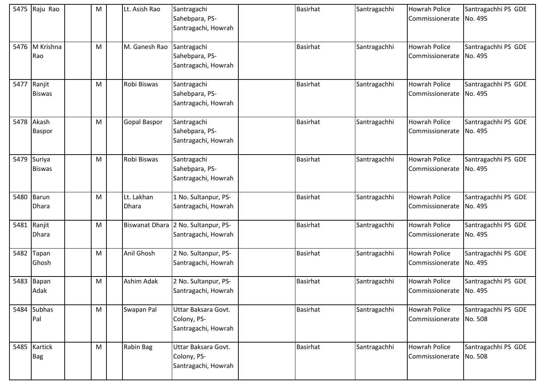| 5475 | Raju Rao                     | M | Lt. Asish Rao       | Santragachi<br>Sahebpara, PS-<br>Santragachi, Howrah       | <b>Basirhat</b> | Santragachhi | <b>Howrah Police</b><br>Commissionerate           | Santragachhi PS GDE<br>No. 495 |
|------|------------------------------|---|---------------------|------------------------------------------------------------|-----------------|--------------|---------------------------------------------------|--------------------------------|
|      | 5476 M Krishna<br>Rao        | M | M. Ganesh Rao       | Santragachi<br>Sahebpara, PS-<br>Santragachi, Howrah       | <b>Basirhat</b> | Santragachhi | <b>Howrah Police</b><br>Commissionerate           | Santragachhi PS GDE<br>No. 495 |
| 5477 | Ranjit<br><b>Biswas</b>      | M | Robi Biswas         | Santragachi<br>Sahebpara, PS-<br>Santragachi, Howrah       | <b>Basirhat</b> | Santragachhi | <b>Howrah Police</b><br>Commissionerate           | Santragachhi PS GDE<br>No. 495 |
| 5478 | Akash<br><b>Baspor</b>       | M | Gopal Baspor        | Santragachi<br>Sahebpara, PS-<br>Santragachi, Howrah       | <b>Basirhat</b> | Santragachhi | <b>Howrah Police</b><br>Commissionerate           | Santragachhi PS GDE<br>No. 495 |
|      | 5479 Suriya<br><b>Biswas</b> | M | Robi Biswas         | Santragachi<br>Sahebpara, PS-<br>Santragachi, Howrah       | <b>Basirhat</b> | Santragachhi | <b>Howrah Police</b><br>Commissionerate           | Santragachhi PS GDE<br>No. 495 |
| 5480 | Barun<br><b>Dhara</b>        | M | Lt. Lakhan<br>Dhara | 1 No. Sultanpur, PS-<br>Santragachi, Howrah                | <b>Basirhat</b> | Santragachhi | <b>Howrah Police</b><br>Commissionerate           | Santragachhi PS GDE<br>No. 495 |
| 5481 | Ranjit<br>Dhara              | M |                     | Biswanat Dhara 2 No. Sultanpur, PS-<br>Santragachi, Howrah | <b>Basirhat</b> | Santragachhi | <b>Howrah Police</b><br>Commissionerate           | Santragachhi PS GDE<br>No. 495 |
| 5482 | Tapan<br>Ghosh               | M | Anil Ghosh          | 2 No. Sultanpur, PS-<br>Santragachi, Howrah                | <b>Basirhat</b> | Santragachhi | <b>Howrah Police</b><br>Commissionerate           | Santragachhi PS GDE<br>No. 495 |
| 5483 | Bapan<br>Adak                | M | Ashim Adak          | 2 No. Sultanpur, PS-<br>Santragachi, Howrah                | <b>Basirhat</b> | Santragachhi | <b>Howrah Police</b><br>Commissionerate   No. 495 | Santragachhi PS GDE            |
|      | 5484 Subhas<br>Pal           | M | Swapan Pal          | Uttar Baksara Govt.<br>Colony, PS-<br>Santragachi, Howrah  | <b>Basirhat</b> | Santragachhi | <b>Howrah Police</b><br>Commissionerate           | Santragachhi PS GDE<br>No. 508 |
|      | 5485 Kartick<br><b>Bag</b>   | M | Rabin Bag           | Uttar Baksara Govt.<br>Colony, PS-<br>Santragachi, Howrah  | <b>Basirhat</b> | Santragachhi | <b>Howrah Police</b><br>Commissionerate No. 508   | Santragachhi PS GDE            |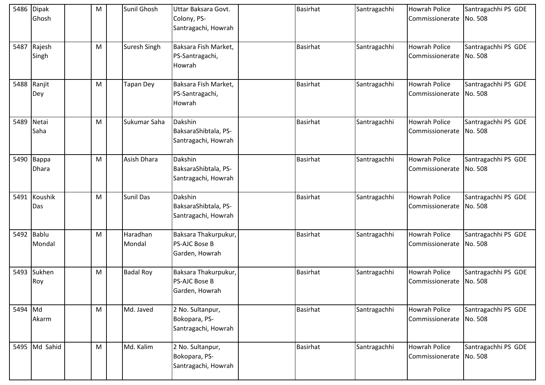|         | 5486 Dipak<br>Ghosh | M | Sunil Ghosh        | Uttar Baksara Govt.<br>Colony, PS-<br>Santragachi, Howrah      | <b>Basirhat</b> | Santragachhi | Howrah Police<br>Commissionerate                | Santragachhi PS GDE<br>No. 508 |
|---------|---------------------|---|--------------------|----------------------------------------------------------------|-----------------|--------------|-------------------------------------------------|--------------------------------|
| 5487    | Rajesh<br>Singh     | M | Suresh Singh       | Baksara Fish Market,<br>PS-Santragachi,<br>Howrah              | <b>Basirhat</b> | Santragachhi | <b>Howrah Police</b><br>Commissionerate         | Santragachhi PS GDE<br>No. 508 |
| 5488    | Ranjit<br>Dey       | M | <b>Tapan Dey</b>   | Baksara Fish Market,<br>PS-Santragachi,<br>Howrah              | <b>Basirhat</b> | Santragachhi | <b>Howrah Police</b><br>Commissionerate No. 508 | Santragachhi PS GDE            |
| 5489    | Netai<br>Saha       | M | Sukumar Saha       | Dakshin<br>BaksaraShibtala, PS-<br>Santragachi, Howrah         | <b>Basirhat</b> | Santragachhi | <b>Howrah Police</b><br>Commissionerate         | Santragachhi PS GDE<br>No. 508 |
|         | 5490 Bappa<br>Dhara | M | Asish Dhara        | Dakshin<br>BaksaraShibtala, PS-<br>Santragachi, Howrah         | <b>Basirhat</b> | Santragachhi | <b>Howrah Police</b><br>Commissionerate         | Santragachhi PS GDE<br>No. 508 |
| 5491    | Koushik<br>Das      | M | Sunil Das          | Dakshin<br>BaksaraShibtala, PS-<br>Santragachi, Howrah         | <b>Basirhat</b> | Santragachhi | <b>Howrah Police</b><br>Commissionerate         | Santragachhi PS GDE<br>No. 508 |
| 5492    | Bablu<br>Mondal     | M | Haradhan<br>Mondal | Baksara Thakurpukur,<br><b>PS-AJC Bose B</b><br>Garden, Howrah | <b>Basirhat</b> | Santragachhi | <b>Howrah Police</b><br>Commissionerate         | Santragachhi PS GDE<br>No. 508 |
| 5493    | Sukhen<br>Roy       | M | <b>Badal Roy</b>   | Baksara Thakurpukur,<br><b>PS-AJC Bose B</b><br>Garden, Howrah | <b>Basirhat</b> | Santragachhi | <b>Howrah Police</b><br>Commissionerate         | Santragachhi PS GDE<br>No. 508 |
| 5494 Md | Akarm               | M | Md. Javed          | 2 No. Sultanpur,<br>Bokopara, PS-<br>Santragachi, Howrah       | <b>Basirhat</b> | Santragachhi | <b>Howrah Police</b><br>Commissionerate         | Santragachhi PS GDE<br>No. 508 |
|         | 5495 Md Sahid       | M | Md. Kalim          | 2 No. Sultanpur,<br>Bokopara, PS-<br>Santragachi, Howrah       | <b>Basirhat</b> | Santragachhi | <b>Howrah Police</b><br>Commissionerate No. 508 | Santragachhi PS GDE            |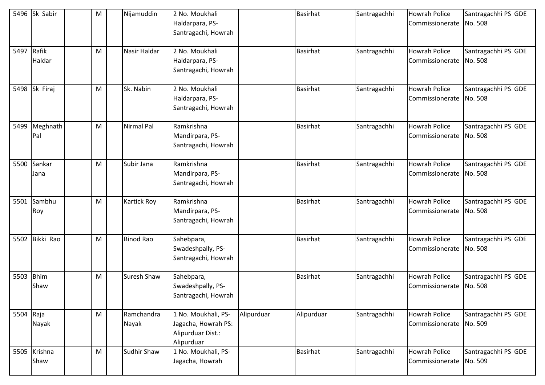|            | 5496 Sk Sabir        | M | Nijamuddin          | 2 No. Moukhali<br>Haldarpara, PS-<br>Santragachi, Howrah                      |            | <b>Basirhat</b> | Santragachhi | <b>Howrah Police</b><br>Commissionerate | Santragachhi PS GDE<br>No. 508 |
|------------|----------------------|---|---------------------|-------------------------------------------------------------------------------|------------|-----------------|--------------|-----------------------------------------|--------------------------------|
| 5497 Rafik | Haldar               | M | Nasir Haldar        | 2 No. Moukhali<br>Haldarpara, PS-<br>Santragachi, Howrah                      |            | <b>Basirhat</b> | Santragachhi | Howrah Police<br>Commissionerate        | Santragachhi PS GDE<br>No. 508 |
|            | 5498 Sk Firaj        | M | Sk. Nabin           | 2 No. Moukhali<br>Haldarpara, PS-<br>Santragachi, Howrah                      |            | <b>Basirhat</b> | Santragachhi | <b>Howrah Police</b><br>Commissionerate | Santragachhi PS GDE<br>No. 508 |
| 5499       | Meghnath<br>Pal      | M | Nirmal Pal          | Ramkrishna<br>Mandirpara, PS-<br>Santragachi, Howrah                          |            | <b>Basirhat</b> | Santragachhi | <b>Howrah Police</b><br>Commissionerate | Santragachhi PS GDE<br>No. 508 |
| 5500       | Sankar<br>Jana       | M | Subir Jana          | Ramkrishna<br>Mandirpara, PS-<br>Santragachi, Howrah                          |            | <b>Basirhat</b> | Santragachhi | Howrah Police<br>Commissionerate        | Santragachhi PS GDE<br>No. 508 |
| 5501       | Sambhu<br>Roy        | M | <b>Kartick Roy</b>  | Ramkrishna<br>Mandirpara, PS-<br>Santragachi, Howrah                          |            | <b>Basirhat</b> | Santragachhi | <b>Howrah Police</b><br>Commissionerate | Santragachhi PS GDE<br>No. 508 |
|            | 5502 Bikki Rao       | M | <b>Binod Rao</b>    | Sahebpara,<br>Swadeshpally, PS-<br>Santragachi, Howrah                        |            | <b>Basirhat</b> | Santragachhi | <b>Howrah Police</b><br>Commissionerate | Santragachhi PS GDE<br>No. 508 |
| 5503       | <b>Bhim</b><br>Shaw  | M | Suresh Shaw         | Sahebpara,<br>Swadeshpally, PS-<br>Santragachi, Howrah                        |            | <b>Basirhat</b> | Santragachhi | <b>Howrah Police</b><br>Commissionerate | Santragachhi PS GDE<br>No. 508 |
| 5504 Raja  | Nayak                | M | Ramchandra<br>Nayak | 1 No. Moukhali, PS-<br>Jagacha, Howrah PS:<br>Alipurduar Dist.:<br>Alipurduar | Alipurduar | Alipurduar      | Santragachhi | Howrah Police<br>Commissionerate        | Santragachhi PS GDE<br>No. 509 |
|            | 5505 Krishna<br>Shaw | M | Sudhir Shaw         | 1 No. Moukhali, PS-<br>Jagacha, Howrah                                        |            | Basirhat        | Santragachhi | Howrah Police<br>Commissionerate        | Santragachhi PS GDE<br>No. 509 |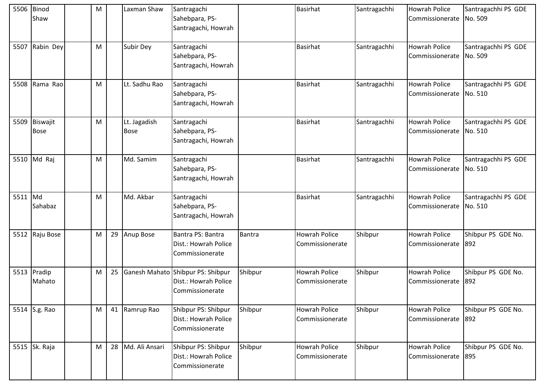| 5506 | Binod<br>Shaw           | M |    | Laxman Shaw                 | Santragachi<br>Sahebpara, PS-<br>Santragachi, Howrah                         |         | Basirhat                                       | Santragachhi | <b>Howrah Police</b><br>Commissionerate         | Santragachhi PS GDE<br>No. 509 |
|------|-------------------------|---|----|-----------------------------|------------------------------------------------------------------------------|---------|------------------------------------------------|--------------|-------------------------------------------------|--------------------------------|
|      | 5507 Rabin Dey          | M |    | Subir Dey                   | Santragachi<br>Sahebpara, PS-<br>Santragachi, Howrah                         |         | <b>Basirhat</b>                                | Santragachhi | <b>Howrah Police</b><br>Commissionerate         | Santragachhi PS GDE<br>No. 509 |
| 5508 | Rama Rao                | M |    | Lt. Sadhu Rao               | Santragachi<br>Sahebpara, PS-<br>Santragachi, Howrah                         |         | <b>Basirhat</b>                                | Santragachhi | <b>Howrah Police</b><br>Commissionerate No. 510 | Santragachhi PS GDE            |
| 5509 | Biswajit<br><b>Bose</b> | M |    | Lt. Jagadish<br><b>Bose</b> | Santragachi<br>Sahebpara, PS-<br>Santragachi, Howrah                         |         | <b>Basirhat</b>                                | Santragachhi | <b>Howrah Police</b><br>Commissionerate No. 510 | Santragachhi PS GDE            |
|      | 5510 Md Raj             | M |    | Md. Samim                   | Santragachi<br>Sahebpara, PS-<br>Santragachi, Howrah                         |         | <b>Basirhat</b>                                | Santragachhi | <b>Howrah Police</b><br>Commissionerate         | Santragachhi PS GDE<br>No. 510 |
| 5511 | Md<br>Sahabaz           | M |    | Md. Akbar                   | Santragachi<br>Sahebpara, PS-<br>Santragachi, Howrah                         |         | <b>Basirhat</b>                                | Santragachhi | <b>Howrah Police</b><br>Commissionerate         | Santragachhi PS GDE<br>No. 510 |
|      | 5512 Raju Bose          | M | 29 | Anup Bose                   | Bantra PS: Bantra<br>Dist.: Howrah Police<br>Commissionerate                 | Bantra  | Howrah Police<br>Commissionerate               | Shibpur      | <b>Howrah Police</b><br>Commissionerate         | Shibpur PS GDE No.<br>892      |
|      | 5513 Pradip<br>Mahato   | M | 25 |                             | Ganesh Mahato Shibpur PS: Shibpur<br>Dist.: Howrah Police<br>Commissionerate | Shibpur | <b>Howrah Police</b><br><b>Commissionerate</b> | Shibpur      | <b>Howrah Police</b><br>Commissionerate         | Shibpur PS GDE No.<br>892      |
|      | 5514 S.g. Rao           | M |    | 41 Ramrup Rao               | Shibpur PS: Shibpur<br>Dist.: Howrah Police<br>Commissionerate               | Shibpur | <b>Howrah Police</b><br>Commissionerate        | Shibpur      | <b>Howrah Police</b><br>Commissionerate         | Shibpur PS GDE No.<br>892      |
|      | 5515 Sk. Raja           | M |    | 28 Md. Ali Ansari           | Shibpur PS: Shibpur<br>Dist.: Howrah Police<br>Commissionerate               | Shibpur | Howrah Police<br>Commissionerate               | Shibpur      | <b>Howrah Police</b><br>Commissionerate 895     | Shibpur PS GDE No.             |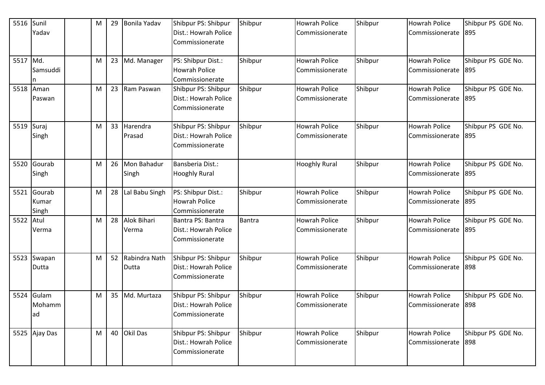| 5516     | Sunil<br>Yadav           | M | 29 | Bonila Yadav              | Shibpur PS: Shibpur<br>Dist.: Howrah Police<br>Commissionerate | Shibpur | <b>Howrah Police</b><br>Commissionerate | Shibpur | <b>Howrah Police</b><br>Commissionerate     | Shibpur PS GDE No.<br>895 |
|----------|--------------------------|---|----|---------------------------|----------------------------------------------------------------|---------|-----------------------------------------|---------|---------------------------------------------|---------------------------|
| 5517 Md. | Samsuddi                 | M | 23 | Md. Manager               | PS: Shibpur Dist.:<br><b>Howrah Police</b><br>Commissionerate  | Shibpur | <b>Howrah Police</b><br>Commissionerate | Shibpur | <b>Howrah Police</b><br>Commissionerate     | Shibpur PS GDE No.<br>895 |
| 5518     | Aman<br>Paswan           | M |    | 23 Ram Paswan             | Shibpur PS: Shibpur<br>Dist.: Howrah Police<br>Commissionerate | Shibpur | <b>Howrah Police</b><br>Commissionerate | Shibpur | <b>Howrah Police</b><br>Commissionerate     | Shibpur PS GDE No.<br>895 |
| 5519     | Suraj<br>Singh           | M | 33 | Harendra<br>Prasad        | Shibpur PS: Shibpur<br>Dist.: Howrah Police<br>Commissionerate | Shibpur | <b>Howrah Police</b><br>Commissionerate | Shibpur | <b>Howrah Police</b><br>Commissionerate     | Shibpur PS GDE No.<br>895 |
| 5520     | Gourab<br>Singh          | M | 26 | Mon Bahadur<br>Singh      | Bansberia Dist.:<br><b>Hooghly Rural</b>                       |         | <b>Hooghly Rural</b>                    | Shibpur | <b>Howrah Police</b><br>Commissionerate     | Shibpur PS GDE No.<br>895 |
| 5521     | Gourab<br>Kumar<br>Singh | M | 28 | Lal Babu Singh            | PS: Shibpur Dist.:<br><b>Howrah Police</b><br>Commissionerate  | Shibpur | <b>Howrah Police</b><br>Commissionerate | Shibpur | <b>Howrah Police</b><br>Commissionerate     | Shibpur PS GDE No.<br>895 |
| 5522     | Atul<br>Verma            | M | 28 | Alok Bihari<br>Verma      | Bantra PS: Bantra<br>Dist.: Howrah Police<br>Commissionerate   | Bantra  | <b>Howrah Police</b><br>Commissionerate | Shibpur | <b>Howrah Police</b><br>Commissionerate     | Shibpur PS GDE No.<br>895 |
| 5523     | Swapan<br>Dutta          | M |    | 52 Rabindra Nath<br>Dutta | Shibpur PS: Shibpur<br>Dist.: Howrah Police<br>Commissionerate | Shibpur | <b>Howrah Police</b><br>Commissionerate | Shibpur | <b>Howrah Police</b><br>Commissionerate     | Shibpur PS GDE No.<br>898 |
| 5524     | Gulam<br>Mohamm<br>lad   | M | 35 | Md. Murtaza               | Shibpur PS: Shibpur<br>Dist.: Howrah Police<br>Commissionerate | Shibpur | <b>Howrah Police</b><br>Commissionerate | Shibpur | <b>Howrah Police</b><br>Commissionerate 898 | Shibpur PS GDE No.        |
|          | 5525 Ajay Das            | M |    | 40 Okil Das               | Shibpur PS: Shibpur<br>Dist.: Howrah Police<br>Commissionerate | Shibpur | <b>Howrah Police</b><br>Commissionerate | Shibpur | <b>Howrah Police</b><br>Commissionerate 898 | Shibpur PS GDE No.        |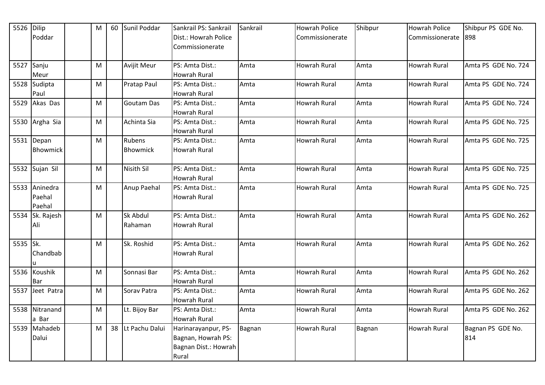| 5526 Dilip |                 | M | 60 | Sunil Poddar       | Sankrail PS: Sankrail | Sankrail | <b>Howrah Police</b> | Shibpur | <b>Howrah Police</b> | Shibpur PS GDE No.  |
|------------|-----------------|---|----|--------------------|-----------------------|----------|----------------------|---------|----------------------|---------------------|
|            | Poddar          |   |    |                    | Dist.: Howrah Police  |          | Commissionerate      |         | Commissionerate      | 898                 |
|            |                 |   |    |                    | Commissionerate       |          |                      |         |                      |                     |
|            |                 |   |    |                    |                       |          |                      |         |                      |                     |
|            | 5527 Sanju      | M |    | <b>Avijit Meur</b> | PS: Amta Dist.:       | Amta     | Howrah Rural         | Amta    | <b>Howrah Rural</b>  | Amta PS GDE No. 724 |
|            | Meur            |   |    |                    | Howrah Rural          |          |                      |         |                      |                     |
|            | 5528 Sudipta    | M |    | Pratap Paul        | PS: Amta Dist.:       | Amta     | Howrah Rural         | Amta    | <b>Howrah Rural</b>  | Amta PS GDE No. 724 |
|            | Paul            |   |    |                    | Howrah Rural          |          |                      |         |                      |                     |
|            | 5529 Akas Das   | M |    | <b>Goutam Das</b>  | PS: Amta Dist.:       | Amta     | Howrah Rural         | Amta    | <b>Howrah Rural</b>  | Amta PS GDE No. 724 |
|            |                 |   |    |                    | Howrah Rural          |          |                      |         |                      |                     |
|            | 5530 Argha Sia  | M |    | Achinta Sia        | PS: Amta Dist.:       | Amta     | <b>Howrah Rural</b>  | Amta    | <b>Howrah Rural</b>  | Amta PS GDE No. 725 |
|            |                 |   |    |                    | <b>Howrah Rural</b>   |          |                      |         |                      |                     |
| 5531       | Depan           | M |    | Rubens             | PS: Amta Dist.:       | Amta     | Howrah Rural         | Amta    | <b>Howrah Rural</b>  | Amta PS GDE No. 725 |
|            | <b>Bhowmick</b> |   |    | <b>Bhowmick</b>    | Howrah Rural          |          |                      |         |                      |                     |
|            |                 |   |    |                    |                       |          |                      |         |                      |                     |
|            | 5532 Sujan Sil  | M |    | <b>Nisith Sil</b>  | PS: Amta Dist.:       | Amta     | Howrah Rural         | Amta    | Howrah Rural         | Amta PS GDE No. 725 |
|            |                 |   |    |                    | Howrah Rural          |          |                      |         |                      |                     |
|            | 5533 Aninedra   | M |    | Anup Paehal        | PS: Amta Dist.:       | Amta     | Howrah Rural         | Amta    | <b>Howrah Rural</b>  | Amta PS GDE No. 725 |
|            | Paehal          |   |    |                    | <b>Howrah Rural</b>   |          |                      |         |                      |                     |
|            | Paehal          |   |    |                    |                       |          |                      |         |                      |                     |
|            | 5534 Sk. Rajesh | M |    | Sk Abdul           | PS: Amta Dist.:       | Amta     | Howrah Rural         | Amta    | <b>Howrah Rural</b>  | Amta PS GDE No. 262 |
|            | Ali             |   |    | Rahaman            | Howrah Rural          |          |                      |         |                      |                     |
|            |                 |   |    |                    |                       |          |                      |         |                      |                     |
| 5535 Sk.   |                 | M |    | Sk. Roshid         | PS: Amta Dist.:       | Amta     | <b>Howrah Rural</b>  | Amta    | <b>Howrah Rural</b>  | Amta PS GDE No. 262 |
|            | Chandbab        |   |    |                    | Howrah Rural          |          |                      |         |                      |                     |
|            |                 |   |    |                    |                       |          |                      |         |                      |                     |
|            | 5536 Koushik    | M |    | Sonnasi Bar        | PS: Amta Dist.:       | Amta     | Howrah Rural         | Amta    | <b>Howrah Rural</b>  | Amta PS GDE No. 262 |
|            | Bar             |   |    |                    | Howrah Rural          |          |                      |         |                      |                     |
| 5537       | Jeet Patra      | M |    | Sorav Patra        | PS: Amta Dist.:       | Amta     | Howrah Rural         | Amta    | Howrah Rural         | Amta PS GDE No. 262 |
|            |                 |   |    |                    | Howrah Rural          |          |                      |         |                      |                     |
|            | 5538 Nitranand  | M |    | Lt. Bijoy Bar      | PS: Amta Dist.:       | Amta     | Howrah Rural         | Amta    | <b>Howrah Rural</b>  | Amta PS GDE No. 262 |
|            | a Bar           |   |    |                    | <b>Howrah Rural</b>   |          |                      |         |                      |                     |
|            | 5539 Mahadeb    | M |    | 38 Lt Pachu Dalui  | Harinarayanpur, PS-   | Bagnan   | Howrah Rural         | Bagnan  | <b>Howrah Rural</b>  | Bagnan PS GDE No.   |
|            | Dalui           |   |    |                    | Bagnan, Howrah PS:    |          |                      |         |                      | 814                 |
|            |                 |   |    |                    | Bagnan Dist.: Howrah  |          |                      |         |                      |                     |
|            |                 |   |    |                    | Rural                 |          |                      |         |                      |                     |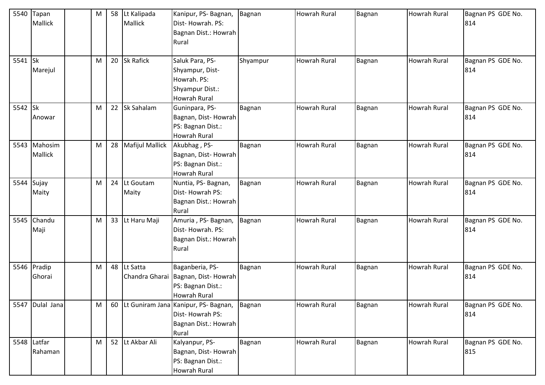| 5540        | Tapan        | M | 58 Lt Kalipada     | Kanipur, PS-Bagnan,                         | Bagnan   | <b>Howrah Rural</b> | Bagnan | Howrah Rural        | Bagnan PS GDE No. |
|-------------|--------------|---|--------------------|---------------------------------------------|----------|---------------------|--------|---------------------|-------------------|
|             | Mallick      |   | Mallick            | Dist-Howrah. PS:                            |          |                     |        |                     | 814               |
|             |              |   |                    | Bagnan Dist.: Howrah                        |          |                     |        |                     |                   |
|             |              |   |                    | Rural                                       |          |                     |        |                     |                   |
|             |              |   |                    |                                             |          |                     |        |                     |                   |
| 5541 Sk     |              | M | 20 Sk Rafick       | Saluk Para, PS-                             | Shyampur | <b>Howrah Rural</b> | Bagnan | Howrah Rural        | Bagnan PS GDE No. |
|             | Marejul      |   |                    | Shyampur, Dist-                             |          |                     |        |                     | 814               |
|             |              |   |                    | Howrah. PS:                                 |          |                     |        |                     |                   |
|             |              |   |                    | Shyampur Dist.:                             |          |                     |        |                     |                   |
|             |              |   |                    | Howrah Rural                                |          |                     |        |                     |                   |
| 5542 Sk     |              | M | 22 Sk Sahalam      | Guninpara, PS-                              | Bagnan   | <b>Howrah Rural</b> | Bagnan | <b>Howrah Rural</b> | Bagnan PS GDE No. |
|             | Anowar       |   |                    | Bagnan, Dist-Howrah                         |          |                     |        |                     | 814               |
|             |              |   |                    | PS: Bagnan Dist.:                           |          |                     |        |                     |                   |
|             |              |   |                    | <b>Howrah Rural</b>                         |          |                     |        |                     |                   |
|             | 5543 Mahosim | M | 28 Mafijul Mallick | Akubhag, PS-                                | Bagnan   | <b>Howrah Rural</b> | Bagnan | <b>Howrah Rural</b> | Bagnan PS GDE No. |
|             | Mallick      |   |                    | Bagnan, Dist-Howrah                         |          |                     |        |                     | 814               |
|             |              |   |                    | PS: Bagnan Dist.:                           |          |                     |        |                     |                   |
|             |              |   |                    | <b>Howrah Rural</b>                         |          |                     |        |                     |                   |
| 5544        | Sujay        | M | 24 Lt Goutam       | Nuntia, PS-Bagnan,                          | Bagnan   | <b>Howrah Rural</b> | Bagnan | Howrah Rural        | Bagnan PS GDE No. |
|             | Maity        |   | Maity              | Dist-Howrah PS:                             |          |                     |        |                     | 814               |
|             |              |   |                    | Bagnan Dist.: Howrah                        |          |                     |        |                     |                   |
|             |              |   |                    | Rural                                       |          |                     |        |                     |                   |
| 5545        | Chandu       | M | 33 Lt Haru Maji    | Amuria, PS-Bagnan,                          | Bagnan   | <b>Howrah Rural</b> | Bagnan | Howrah Rural        | Bagnan PS GDE No. |
|             | Maji         |   |                    | Dist-Howrah. PS:                            |          |                     |        |                     | 814               |
|             |              |   |                    | Bagnan Dist.: Howrah                        |          |                     |        |                     |                   |
|             |              |   |                    | Rural                                       |          |                     |        |                     |                   |
|             |              |   |                    |                                             |          |                     |        |                     |                   |
| 5546        | Pradip       | M | 48 Lt Satta        | Baganberia, PS-                             | Bagnan   | <b>Howrah Rural</b> | Bagnan | Howrah Rural        | Bagnan PS GDE No. |
|             | Ghorai       |   | Chandra Gharai     | Bagnan, Dist-Howrah                         |          |                     |        |                     | 814               |
|             |              |   |                    | PS: Bagnan Dist.:                           |          |                     |        |                     |                   |
|             |              |   |                    | <b>Howrah Rural</b>                         |          |                     |        |                     |                   |
| 5547        | Dulal Jana   | M |                    | 60   Lt Guniram Jana   Kanipur, PS- Bagnan, | Bagnan   | <b>Howrah Rural</b> | Bagnan | Howrah Rural        | Bagnan PS GDE No. |
|             |              |   |                    | Dist-Howrah PS:                             |          |                     |        |                     | 814               |
|             |              |   |                    | Bagnan Dist.: Howrah                        |          |                     |        |                     |                   |
|             |              |   |                    | Rural                                       |          |                     |        |                     |                   |
| 5548 Latfar |              | M | 52 Lt Akbar Ali    | Kalyanpur, PS-                              | Bagnan   | <b>Howrah Rural</b> | Bagnan | Howrah Rural        | Bagnan PS GDE No. |
|             | Rahaman      |   |                    | Bagnan, Dist-Howrah                         |          |                     |        |                     | 815               |
|             |              |   |                    | PS: Bagnan Dist.:                           |          |                     |        |                     |                   |
|             |              |   |                    | Howrah Rural                                |          |                     |        |                     |                   |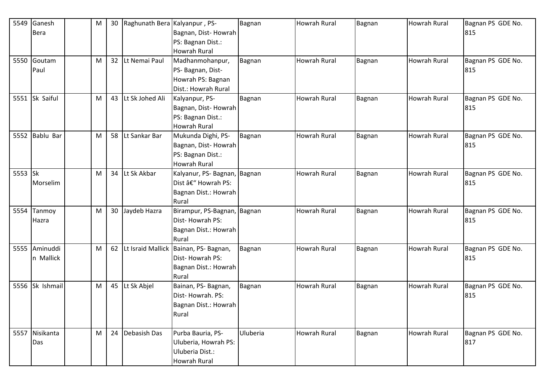| 5549 | Ganesh           | M | 30              | Raghunath Bera Kalyanpur, PS- |                                         | Bagnan   | <b>Howrah Rural</b> | Bagnan | <b>Howrah Rural</b> | Bagnan PS GDE No. |
|------|------------------|---|-----------------|-------------------------------|-----------------------------------------|----------|---------------------|--------|---------------------|-------------------|
|      | <b>Bera</b>      |   |                 |                               | Bagnan, Dist-Howrah                     |          |                     |        |                     | 815               |
|      |                  |   |                 |                               | PS: Bagnan Dist.:                       |          |                     |        |                     |                   |
|      |                  |   |                 |                               | <b>Howrah Rural</b>                     |          |                     |        |                     |                   |
| 5550 | Goutam           | M | 32              | Lt Nemai Paul                 | Madhanmohanpur,                         | Bagnan   | <b>Howrah Rural</b> | Bagnan | <b>Howrah Rural</b> | Bagnan PS GDE No. |
|      | Paul             |   |                 |                               | PS- Bagnan, Dist-                       |          |                     |        |                     | 815               |
|      |                  |   |                 |                               | Howrah PS: Bagnan                       |          |                     |        |                     |                   |
|      |                  |   |                 |                               | Dist.: Howrah Rural                     |          |                     |        |                     |                   |
|      | 5551 Sk Saiful   | M | 43              | Lt Sk Johed Ali               | Kalyanpur, PS-                          | Bagnan   | Howrah Rural        | Bagnan | <b>Howrah Rural</b> | Bagnan PS GDE No. |
|      |                  |   |                 |                               | Bagnan, Dist-Howrah                     |          |                     |        |                     | 815               |
|      |                  |   |                 |                               | PS: Bagnan Dist.:                       |          |                     |        |                     |                   |
|      |                  |   |                 |                               | <b>Howrah Rural</b>                     |          |                     |        |                     |                   |
| 5552 | <b>Bablu Bar</b> | M | 58              | Lt Sankar Bar                 | Mukunda Dighi, PS-                      | Bagnan   | <b>Howrah Rural</b> | Bagnan | <b>Howrah Rural</b> | Bagnan PS GDE No. |
|      |                  |   |                 |                               | Bagnan, Dist-Howrah                     |          |                     |        |                     | 815               |
|      |                  |   |                 |                               | PS: Bagnan Dist.:                       |          |                     |        |                     |                   |
|      |                  |   |                 |                               | <b>Howrah Rural</b>                     |          |                     |        |                     |                   |
| 5553 | $\mathsf{lsk}$   | M | 34              | Lt Sk Akbar                   | Kalyanur, PS- Bagnan, Bagnan            |          | <b>Howrah Rural</b> | Bagnan | <b>Howrah Rural</b> | Bagnan PS GDE No. |
|      | Morselim         |   |                 |                               | Dist – Howrah PS:                       |          |                     |        |                     | 815               |
|      |                  |   |                 |                               | Bagnan Dist.: Howrah                    |          |                     |        |                     |                   |
|      |                  |   |                 |                               | Rural                                   |          |                     |        |                     |                   |
| 5554 | Tanmoy           | M | 30 <sup>°</sup> | Jaydeb Hazra                  | Birampur, PS-Bagnan, Bagnan             |          | <b>Howrah Rural</b> | Bagnan | <b>Howrah Rural</b> | Bagnan PS GDE No. |
|      | Hazra            |   |                 |                               | Dist-Howrah PS:                         |          |                     |        |                     | 815               |
|      |                  |   |                 |                               | Bagnan Dist.: Howrah                    |          |                     |        |                     |                   |
|      |                  |   |                 |                               | Rural                                   |          |                     |        |                     |                   |
| 5555 | Aminuddi         | M | 62              |                               | Lt Israid Mallick   Bainan, PS- Bagnan, | Bagnan   | <b>Howrah Rural</b> | Bagnan | <b>Howrah Rural</b> | Bagnan PS GDE No. |
|      | n Mallick        |   |                 |                               | Dist-Howrah PS:                         |          |                     |        |                     | 815               |
|      |                  |   |                 |                               | Bagnan Dist.: Howrah                    |          |                     |        |                     |                   |
|      |                  |   |                 |                               | Rural                                   |          |                     |        |                     |                   |
|      | 5556 Sk Ishmail  | M | 45              | Lt Sk Abjel                   | Bainan, PS-Bagnan,                      | Bagnan   | Howrah Rural        | Bagnan | Howrah Rural        | Bagnan PS GDE No. |
|      |                  |   |                 |                               | Dist-Howrah. PS:                        |          |                     |        |                     | 815               |
|      |                  |   |                 |                               | Bagnan Dist.: Howrah                    |          |                     |        |                     |                   |
|      |                  |   |                 |                               | Rural                                   |          |                     |        |                     |                   |
|      |                  |   |                 |                               |                                         |          |                     |        |                     |                   |
| 5557 | Nisikanta        | M | 24              | Debasish Das                  | Purba Bauria, PS-                       | Uluberia | <b>Howrah Rural</b> | Bagnan | <b>Howrah Rural</b> | Bagnan PS GDE No. |
|      | Das              |   |                 |                               | Uluberia, Howrah PS:                    |          |                     |        |                     | 817               |
|      |                  |   |                 |                               | Uluberia Dist.:                         |          |                     |        |                     |                   |
|      |                  |   |                 |                               | Howrah Rural                            |          |                     |        |                     |                   |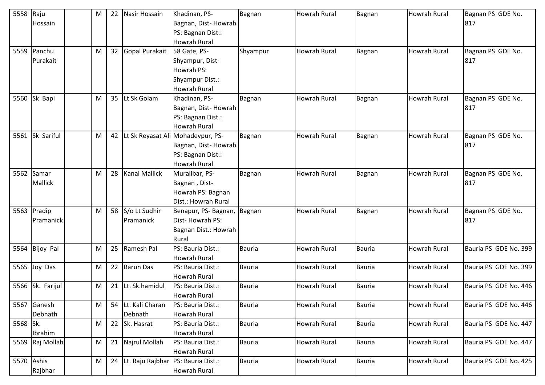| 5558       | Raju             | M | 22 | Nasir Hossain                         | Khadinan, PS-                     | Bagnan        | <b>Howrah Rural</b> | Bagnan        | Howrah Rural        | Bagnan PS GDE No.     |
|------------|------------------|---|----|---------------------------------------|-----------------------------------|---------------|---------------------|---------------|---------------------|-----------------------|
|            | Hossain          |   |    |                                       | Bagnan, Dist-Howrah               |               |                     |               |                     | 817                   |
|            |                  |   |    |                                       | PS: Bagnan Dist.:                 |               |                     |               |                     |                       |
|            |                  |   |    |                                       | <b>Howrah Rural</b>               |               |                     |               |                     |                       |
| 5559       | Panchu           | M | 32 | Gopal Purakait                        | 58 Gate, PS-                      | Shyampur      | <b>Howrah Rural</b> | Bagnan        | Howrah Rural        | Bagnan PS GDE No.     |
|            | Purakait         |   |    |                                       | Shyampur, Dist-                   |               |                     |               |                     | 817                   |
|            |                  |   |    |                                       | Howrah PS:                        |               |                     |               |                     |                       |
|            |                  |   |    |                                       | Shyampur Dist.:                   |               |                     |               |                     |                       |
|            |                  |   |    |                                       | Howrah Rural                      |               |                     |               |                     |                       |
|            | 5560 Sk Bapi     | M | 35 | Lt Sk Golam                           | Khadinan, PS-                     | Bagnan        | <b>Howrah Rural</b> | Bagnan        | Howrah Rural        | Bagnan PS GDE No.     |
|            |                  |   |    |                                       | Bagnan, Dist-Howrah               |               |                     |               |                     | 817                   |
|            |                  |   |    |                                       | PS: Bagnan Dist.:                 |               |                     |               |                     |                       |
|            |                  |   |    |                                       | <b>Howrah Rural</b>               |               |                     |               |                     |                       |
| 5561       | Sk Sariful       | M | 42 |                                       | Lt Sk Reyasat Ali Mohadevpur, PS- | Bagnan        | <b>Howrah Rural</b> | Bagnan        | <b>Howrah Rural</b> | Bagnan PS GDE No.     |
|            |                  |   |    |                                       | Bagnan, Dist-Howrah               |               |                     |               |                     | 817                   |
|            |                  |   |    |                                       | PS: Bagnan Dist.:                 |               |                     |               |                     |                       |
|            |                  |   |    |                                       | <b>Howrah Rural</b>               |               |                     |               |                     |                       |
| 5562       | Samar            | M | 28 | Kanai Mallick                         | Muralibar, PS-                    | Bagnan        | Howrah Rural        | Bagnan        | Howrah Rural        | Bagnan PS GDE No.     |
|            | <b>Mallick</b>   |   |    |                                       | Bagnan, Dist-                     |               |                     |               |                     | 817                   |
|            |                  |   |    |                                       | Howrah PS: Bagnan                 |               |                     |               |                     |                       |
|            |                  |   |    |                                       | Dist.: Howrah Rural               |               |                     |               |                     |                       |
|            | 5563 Pradip      | M |    | 58 S/o Lt Sudhir                      | Benapur, PS- Bagnan,              | Bagnan        | <b>Howrah Rural</b> | <b>Bagnan</b> | Howrah Rural        | Bagnan PS GDE No.     |
|            | Pramanick        |   |    | Pramanick                             | Dist-Howrah PS:                   |               |                     |               |                     | 817                   |
|            |                  |   |    |                                       | Bagnan Dist.: Howrah              |               |                     |               |                     |                       |
|            |                  |   |    |                                       | Rural                             |               |                     |               |                     |                       |
| 5564       | <b>Bijoy Pal</b> | M | 25 | Ramesh Pal                            | PS: Bauria Dist.:                 | Bauria        | <b>Howrah Rural</b> | Bauria        | <b>Howrah Rural</b> | Bauria PS GDE No. 399 |
|            |                  |   |    |                                       | Howrah Rural                      |               |                     |               |                     |                       |
| 5565       | Joy Das          | M | 22 | <b>Barun Das</b>                      | PS: Bauria Dist.:                 | Bauria        | <b>Howrah Rural</b> | <b>Bauria</b> | Howrah Rural        | Bauria PS GDE No. 399 |
|            |                  |   |    |                                       | <b>Howrah Rural</b>               |               |                     |               |                     |                       |
| 5566       | Sk. Farijul      | M | 21 | Lt. Sk.hamidul                        | PS: Bauria Dist.:                 | <b>Bauria</b> | Howrah Rural        | <b>Bauria</b> | Howrah Rural        | Bauria PS GDE No. 446 |
|            |                  |   |    |                                       | Howrah Rural                      |               |                     |               |                     |                       |
| 5567       | Ganesh           | M |    | 54 Lt. Kali Charan                    | PS: Bauria Dist.:                 | <b>Bauria</b> | <b>Howrah Rural</b> | <b>Bauria</b> | Howrah Rural        | Bauria PS GDE No. 446 |
|            | Debnath          |   |    | Debnath                               | Howrah Rural                      |               |                     |               |                     |                       |
| 5568 Sk.   |                  | M | 22 | Sk. Hasrat                            | PS: Bauria Dist.:                 | Bauria        | <b>Howrah Rural</b> | <b>Bauria</b> | Howrah Rural        | Bauria PS GDE No. 447 |
|            | Ibrahim          |   |    |                                       | Howrah Rural                      |               |                     |               |                     |                       |
|            | 5569 Raj Mollah  | M |    | 21 Najrul Mollah                      | PS: Bauria Dist.:                 | <b>Bauria</b> | <b>Howrah Rural</b> | <b>Bauria</b> | Howrah Rural        | Bauria PS GDE No. 447 |
|            |                  |   |    |                                       | <b>Howrah Rural</b>               |               |                     |               |                     |                       |
| 5570 Ashis |                  | M |    | 24 Lt. Raju Rajbhar PS: Bauria Dist.: |                                   | Bauria        | Howrah Rural        | <b>Bauria</b> | Howrah Rural        | Bauria PS GDE No. 425 |
|            | Rajbhar          |   |    |                                       | Howrah Rural                      |               |                     |               |                     |                       |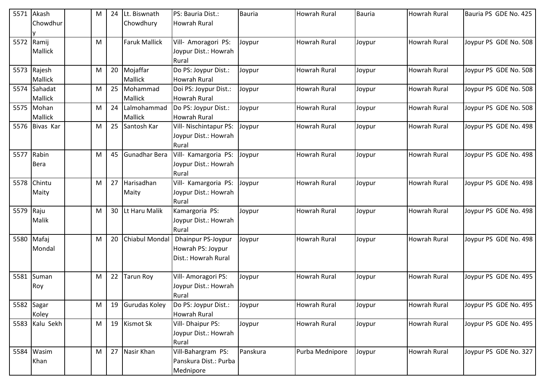| 5571 | Akash            | M | 24 | Lt. Biswnath         | PS: Bauria Dist.:                           | <b>Bauria</b> | <b>Howrah Rural</b> | Bauria | <b>Howrah Rural</b> | Bauria PS GDE No. 425 |
|------|------------------|---|----|----------------------|---------------------------------------------|---------------|---------------------|--------|---------------------|-----------------------|
|      | Chowdhur         |   |    | Chowdhury            | <b>Howrah Rural</b>                         |               |                     |        |                     |                       |
| 5572 | Ramij            |   |    | <b>Faruk Mallick</b> |                                             |               | <b>Howrah Rural</b> |        | <b>Howrah Rural</b> | Joypur PS GDE No. 508 |
|      | Mallick          | M |    |                      | Vill- Amoragori PS:<br>Joypur Dist.: Howrah | Joypur        |                     | Joypur |                     |                       |
|      |                  |   |    |                      | Rural                                       |               |                     |        |                     |                       |
|      | 5573 Rajesh      | M |    | 20 Mojaffar          | Do PS: Joypur Dist.:                        | Joypur        | Howrah Rural        | Joypur | <b>Howrah Rural</b> | Joypur PS GDE No. 508 |
|      | Mallick          |   |    | Mallick              | <b>Howrah Rural</b>                         |               |                     |        |                     |                       |
| 5574 | Sahadat          | M |    | 25 Mohammad          | Doi PS: Joypur Dist.:                       | Joypur        | <b>Howrah Rural</b> | Joypur | <b>Howrah Rural</b> | Joypur PS GDE No. 508 |
|      | Mallick          |   |    | Mallick              | <b>Howrah Rural</b>                         |               |                     |        |                     |                       |
|      | 5575 Mohan       | M | 24 | Lalmohammad          | Do PS: Joypur Dist.:                        | Joypur        | Howrah Rural        | Joypur | <b>Howrah Rural</b> | Joypur PS GDE No. 508 |
|      | Mallick          |   |    | Mallick              | <b>Howrah Rural</b>                         |               |                     |        |                     |                       |
| 5576 | <b>Bivas Kar</b> | M | 25 | Santosh Kar          | Vill- Nischintapur PS:                      | Joypur        | <b>Howrah Rural</b> | Joypur | <b>Howrah Rural</b> | Joypur PS GDE No. 498 |
|      |                  |   |    |                      | Joypur Dist.: Howrah                        |               |                     |        |                     |                       |
| 5577 | Rabin            | M | 45 | Gunadhar Bera        | Rural<br>Vill- Kamargoria PS:               | Joypur        | <b>Howrah Rural</b> | Joypur | <b>Howrah Rural</b> | Joypur PS GDE No. 498 |
|      | Bera             |   |    |                      | Joypur Dist.: Howrah                        |               |                     |        |                     |                       |
|      |                  |   |    |                      | Rural                                       |               |                     |        |                     |                       |
| 5578 | Chintu           | M | 27 | Harisadhan           | Vill- Kamargoria PS:                        | Joypur        | <b>Howrah Rural</b> | Joypur | <b>Howrah Rural</b> | Joypur PS GDE No. 498 |
|      | Maity            |   |    | Maity                | Joypur Dist.: Howrah                        |               |                     |        |                     |                       |
|      |                  |   |    |                      | Rural                                       |               |                     |        |                     |                       |
| 5579 | Raju             | M | 30 | Lt Haru Malik        | Kamargoria PS:                              | Joypur        | <b>Howrah Rural</b> | Joypur | Howrah Rural        | Joypur PS GDE No. 498 |
|      | Malik            |   |    |                      | Joypur Dist.: Howrah                        |               |                     |        |                     |                       |
|      |                  |   |    |                      | Rural                                       |               |                     |        |                     |                       |
|      | 5580 Mafaj       | M | 20 | Chiabul Mondal       | Dhainpur PS-Joypur                          | Joypur        | <b>Howrah Rural</b> | Joypur | <b>Howrah Rural</b> | Joypur PS GDE No. 498 |
|      | Mondal           |   |    |                      | Howrah PS: Joypur                           |               |                     |        |                     |                       |
|      |                  |   |    |                      | Dist.: Howrah Rural                         |               |                     |        |                     |                       |
|      | Suman            |   | 22 |                      | Vill- Amoragori PS:                         |               | Howrah Rural        |        | Howrah Rural        |                       |
| 5581 | Roy              | M |    | <b>Tarun Roy</b>     | Joypur Dist.: Howrah                        | Joypur        |                     | Joypur |                     | Joypur PS GDE No. 495 |
|      |                  |   |    |                      | Rural                                       |               |                     |        |                     |                       |
| 5582 | Sagar            | M |    | 19 Gurudas Koley     | Do PS: Joypur Dist.:                        | Joypur        | Howrah Rural        | Joypur | <b>Howrah Rural</b> | Joypur PS GDE No. 495 |
|      | Koley            |   |    |                      | Howrah Rural                                |               |                     |        |                     |                       |
| 5583 | Kalu Sekh        | M |    | 19 Kismot Sk         | Vill- Dhaipur PS:                           | Joypur        | Howrah Rural        | Joypur | <b>Howrah Rural</b> | Joypur PS GDE No. 495 |
|      |                  |   |    |                      | Joypur Dist.: Howrah                        |               |                     |        |                     |                       |
|      |                  |   |    |                      | Rural                                       |               |                     |        |                     |                       |
|      | 5584 Wasim       | M |    | 27 Nasir Khan        | Vill-Bahargram PS:                          | Panskura      | Purba Mednipore     | Joypur | <b>Howrah Rural</b> | Joypur PS GDE No. 327 |
|      | Khan             |   |    |                      | Panskura Dist.: Purba                       |               |                     |        |                     |                       |
|      |                  |   |    |                      | Mednipore                                   |               |                     |        |                     |                       |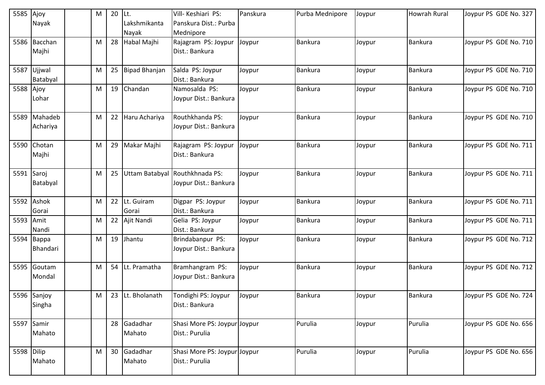| 5585       | Ajoy                          | M | 20 | ILt.                  | Vill-Keshiari PS:                         | Panskura | Purba Mednipore | Joypur | <b>Howrah Rural</b> | Joypur PS GDE No. 327 |
|------------|-------------------------------|---|----|-----------------------|-------------------------------------------|----------|-----------------|--------|---------------------|-----------------------|
|            | Nayak                         |   |    | Lakshmikanta<br>Nayak | Panskura Dist.: Purba<br>Mednipore        |          |                 |        |                     |                       |
|            | 5586 Bacchan                  | M | 28 | Habal Majhi           | Rajagram PS: Joypur                       | Joypur   | <b>Bankura</b>  | Joypur | <b>Bankura</b>      | Joypur PS GDE No. 710 |
|            | Majhi                         |   |    |                       | Dist.: Bankura                            |          |                 |        |                     |                       |
|            | 5587 Ujjwal                   | M | 25 | Bipad Bhanjan         | Salda PS: Joypur                          | Joypur   | Bankura         | Joypur | <b>Bankura</b>      | Joypur PS GDE No. 710 |
| 5588 Ajoy  | Batabyal                      | M | 19 | Chandan               | Dist.: Bankura<br>Namosalda PS:           | Joypur   | <b>Bankura</b>  | Joypur | <b>Bankura</b>      | Joypur PS GDE No. 710 |
|            | Lohar                         |   |    |                       | Joypur Dist.: Bankura                     |          |                 |        |                     |                       |
|            | 5589 Mahadeb<br>Achariya      | M |    | 22 Haru Achariya      | Routhkhanda PS:<br>Joypur Dist.: Bankura  | Joypur   | <b>Bankura</b>  | Joypur | <b>Bankura</b>      | Joypur PS GDE No. 710 |
|            | 5590 Chotan<br>Majhi          | M | 29 | Makar Majhi           | Rajagram PS: Joypur<br>Dist.: Bankura     | Joypur   | Bankura         | Joypur | <b>Bankura</b>      | Joypur PS GDE No. 711 |
| 5591 Saroj |                               | M | 25 |                       | Uttam Batabyal Routhkhnada PS:            | Joypur   | <b>Bankura</b>  | Joypur | <b>Bankura</b>      | Joypur PS GDE No. 711 |
|            | Batabyal                      |   |    |                       | Joypur Dist.: Bankura                     |          |                 |        |                     |                       |
|            | 5592 Ashok                    | M | 22 | Lt. Guiram            | Digpar PS: Joypur                         | Joypur   | Bankura         | Joypur | <b>Bankura</b>      | Joypur PS GDE No. 711 |
|            | Gorai                         |   |    | Gorai                 | Dist.: Bankura                            |          |                 |        |                     |                       |
| 5593 Amit  | Nandi                         | M | 22 | Ajit Nandi            | Gelia PS: Joypur<br>Dist.: Bankura        | Joypur   | Bankura         | Joypur | <b>Bankura</b>      | Joypur PS GDE No. 711 |
|            | 5594 Bappa<br><b>Bhandari</b> | M | 19 | Jhantu                | Brindabanpur PS:<br>Joypur Dist.: Bankura | Joypur   | <b>Bankura</b>  | Joypur | <b>Bankura</b>      | Joypur PS GDE No. 712 |
|            | 5595 Goutam<br>Mondal         | M | 54 | Lt. Pramatha          | Bramhangram PS:<br>Joypur Dist.: Bankura  | Joypur   | <b>Bankura</b>  | Joypur | <b>Bankura</b>      | Joypur PS GDE No. 712 |
|            |                               |   |    |                       |                                           |          |                 |        |                     |                       |
|            | 5596 Sanjoy                   | M |    | 23 Lt. Bholanath      | Tondighi PS: Joypur                       | Joypur   | <b>Bankura</b>  | Joypur | <b>Bankura</b>      | Joypur PS GDE No. 724 |
|            | Singha                        |   |    |                       | Dist.: Bankura                            |          |                 |        |                     |                       |
| 5597 Samir |                               |   |    | 28 Gadadhar           | Shasi More PS: Joypur Joypur              |          | Purulia         | Joypur | Purulia             | Joypur PS GDE No. 656 |
|            | Mahato                        |   |    | Mahato                | Dist.: Purulia                            |          |                 |        |                     |                       |
| 5598 Dilip |                               | M |    | 30 Gadadhar           | Shasi More PS: Joypur Joypur              |          | Purulia         | Joypur | Purulia             | Joypur PS GDE No. 656 |
|            | Mahato                        |   |    | Mahato                | Dist.: Purulia                            |          |                 |        |                     |                       |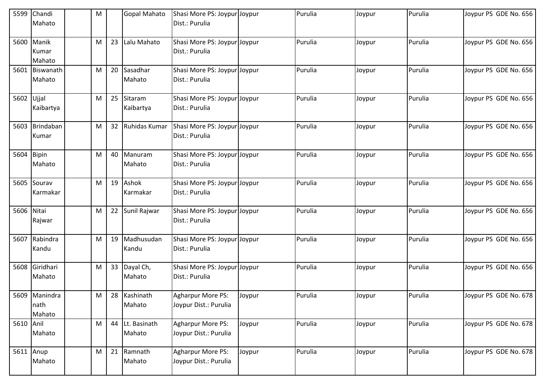|            | 5599 Chandi<br>Mahato           | M |    | <b>Gopal Mahato</b>     | Shasi More PS: Joypur Joypur<br>Dist.: Purulia |        | Purulia | Joypur | Purulia | Joypur PS GDE No. 656 |
|------------|---------------------------------|---|----|-------------------------|------------------------------------------------|--------|---------|--------|---------|-----------------------|
|            | 5600 Manik<br>Kumar<br>Mahato   | M | 23 | Lalu Mahato             | Shasi More PS: Joypur Joypur<br>Dist.: Purulia |        | Purulia | Joypur | Purulia | Joypur PS GDE No. 656 |
|            | 5601 Biswanath<br>Mahato        | M | 20 | Sasadhar<br>Mahato      | Shasi More PS: Joypur Joypur<br>Dist.: Purulia |        | Purulia | Joypur | Purulia | Joypur PS GDE No. 656 |
| 5602 Ujjal | Kaibartya                       | M |    | 25 Sitaram<br>Kaibartya | Shasi More PS: Joypur Joypur<br>Dist.: Purulia |        | Purulia | Joypur | Purulia | Joypur PS GDE No. 656 |
|            | 5603 Brindaban<br>Kumar         | M |    | 32 Ruhidas Kumar        | Shasi More PS: Joypur Joypur<br>Dist.: Purulia |        | Purulia | Joypur | Purulia | Joypur PS GDE No. 656 |
| 5604 Bipin | Mahato                          | M | 40 | Manuram<br>Mahato       | Shasi More PS: Joypur Joypur<br>Dist.: Purulia |        | Purulia | Joypur | Purulia | Joypur PS GDE No. 656 |
|            | 5605 Sourav<br>Karmakar         | M |    | 19 Ashok<br>Karmakar    | Shasi More PS: Joypur Joypur<br>Dist.: Purulia |        | Purulia | Joypur | Purulia | Joypur PS GDE No. 656 |
| 5606 Nitai | Rajwar                          | M | 22 | Sunil Rajwar            | Shasi More PS: Joypur Joypur<br>Dist.: Purulia |        | Purulia | Joypur | Purulia | Joypur PS GDE No. 656 |
|            | 5607 Rabindra<br>Kandu          | M |    | 19 Madhusudan<br>Kandu  | Shasi More PS: Joypur Joypur<br>Dist.: Purulia |        | Purulia | Joypur | Purulia | Joypur PS GDE No. 656 |
|            | 5608 Giridhari<br>Mahato        | M |    | 33 Dayal Ch,<br>Mahato  | Shasi More PS: Joypur Joypur<br>Dist.: Purulia |        | Purulia | Joypur | Purulia | Joypur PS GDE No. 656 |
|            | 5609 Manindra<br>nath<br>Mahato | M |    | 28 Kashinath<br>Mahato  | Agharpur More PS:<br>Joypur Dist.: Purulia     | Joypur | Purulia | Joypur | Purulia | Joypur PS GDE No. 678 |
| 5610 Anil  | Mahato                          | M | 44 | Lt. Basinath<br>Mahato  | Agharpur More PS:<br>Joypur Dist.: Purulia     | Joypur | Purulia | Joypur | Purulia | Joypur PS GDE No. 678 |
| 5611 Anup  | Mahato                          | M |    | 21 Ramnath<br>Mahato    | Agharpur More PS:<br>Joypur Dist.: Purulia     | Joypur | Purulia | Joypur | Purulia | Joypur PS GDE No. 678 |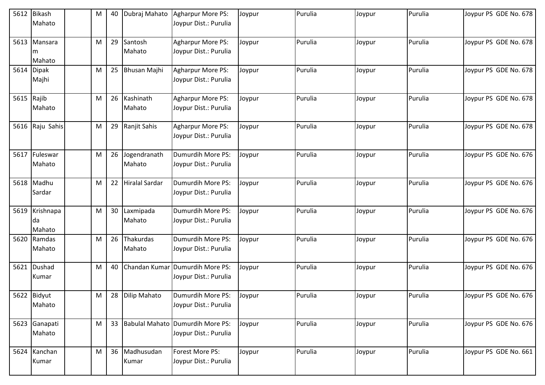| 5612 | <b>Bikash</b><br>Mahato   | M | 40 | Dubraj Mahato             | <b>Agharpur More PS:</b><br>Joypur Dist.: Purulia        | Joypur | Purulia | Joypur | Purulia | Joypur PS GDE No. 678 |
|------|---------------------------|---|----|---------------------------|----------------------------------------------------------|--------|---------|--------|---------|-----------------------|
| 5613 | Mansara<br>m<br>Mahato    | M | 29 | Santosh<br>Mahato         | Agharpur More PS:<br>Joypur Dist.: Purulia               | Joypur | Purulia | Joypur | Purulia | Joypur PS GDE No. 678 |
|      | 5614 Dipak<br>Majhi       | M | 25 | <b>Bhusan Majhi</b>       | Agharpur More PS:<br>Joypur Dist.: Purulia               | Joypur | Purulia | Joypur | Purulia | Joypur PS GDE No. 678 |
| 5615 | Rajib<br>Mahato           | M |    | 26 Kashinath<br>Mahato    | Agharpur More PS:<br>Joypur Dist.: Purulia               | Joypur | Purulia | Joypur | Purulia | Joypur PS GDE No. 678 |
| 5616 | Raju Sahis                | M |    | 29 Ranjit Sahis           | <b>Agharpur More PS:</b><br>Joypur Dist.: Purulia        | Joypur | Purulia | Joypur | Purulia | Joypur PS GDE No. 678 |
| 5617 | Fuleswar<br>Mahato        | M |    | 26 Jogendranath<br>Mahato | Dumurdih More PS:<br>Joypur Dist.: Purulia               | Joypur | Purulia | Joypur | Purulia | Joypur PS GDE No. 676 |
|      | 5618 Madhu<br>Sardar      | M | 22 | <b>Hiralal Sardar</b>     | Dumurdih More PS:<br>Joypur Dist.: Purulia               | Joypur | Purulia | Joypur | Purulia | Joypur PS GDE No. 676 |
| 5619 | Krishnapa<br>da<br>Mahato | M | 30 | Laxmipada<br>Mahato       | Dumurdih More PS:<br>Joypur Dist.: Purulia               | Joypur | Purulia | Joypur | Purulia | Joypur PS GDE No. 676 |
| 5620 | Ramdas<br>Mahato          | M | 26 | Thakurdas<br>Mahato       | Dumurdih More PS:<br>Joypur Dist.: Purulia               | Joypur | Purulia | Joypur | Purulia | Joypur PS GDE No. 676 |
| 5621 | Dushad<br>Kumar           | M | 40 |                           | Chandan Kumar Dumurdih More PS:<br>Joypur Dist.: Purulia | Joypur | Purulia | Joypur | Purulia | Joypur PS GDE No. 676 |
|      | 5622 Bidyut<br>Mahato     | M | 28 | <b>Dilip Mahato</b>       | Dumurdih More PS:<br>Joypur Dist.: Purulia               | Joypur | Purulia | Joypur | Purulia | Joypur PS GDE No. 676 |
|      | 5623 Ganapati<br>Mahato   | M |    | 33 Babulal Mahato         | Dumurdih More PS:<br>Joypur Dist.: Purulia               | Joypur | Purulia | Joypur | Purulia | Joypur PS GDE No. 676 |
| 5624 | Kanchan<br>Kumar          | M |    | 36 Madhusudan<br>Kumar    | Forest More PS:<br>Joypur Dist.: Purulia                 | Joypur | Purulia | Joypur | Purulia | Joypur PS GDE No. 661 |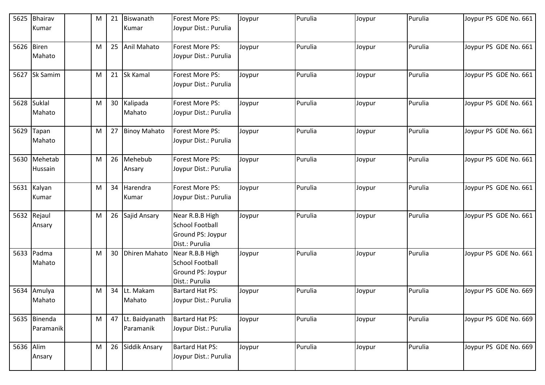| 5625       | Bhairav<br>Kumar          | M | 21 | Biswanath<br>Kumar             | Forest More PS:<br>Joypur Dist.: Purulia                                         | Joypur | Purulia | Joypur | Purulia | Joypur PS GDE No. 661 |
|------------|---------------------------|---|----|--------------------------------|----------------------------------------------------------------------------------|--------|---------|--------|---------|-----------------------|
|            |                           |   |    |                                |                                                                                  |        |         |        |         |                       |
| 5626 Biren | Mahato                    | M | 25 | Anil Mahato                    | Forest More PS:<br>Joypur Dist.: Purulia                                         | Joypur | Purulia | Joypur | Purulia | Joypur PS GDE No. 661 |
|            | 5627 Sk Samim             | M |    | 21 Sk Kamal                    | Forest More PS:<br>Joypur Dist.: Purulia                                         | Joypur | Purulia | Joypur | Purulia | Joypur PS GDE No. 661 |
|            | 5628 Suklal<br>Mahato     | M |    | 30 Kalipada<br>Mahato          | Forest More PS:<br>Joypur Dist.: Purulia                                         | Joypur | Purulia | Joypur | Purulia | Joypur PS GDE No. 661 |
| 5629       | Tapan<br>Mahato           | M |    | 27 Binoy Mahato                | Forest More PS:<br>Joypur Dist.: Purulia                                         | Joypur | Purulia | Joypur | Purulia | Joypur PS GDE No. 661 |
|            | 5630 Mehetab<br>Hussain   | M |    | 26 Mehebub<br>Ansary           | Forest More PS:<br>Joypur Dist.: Purulia                                         | Joypur | Purulia | Joypur | Purulia | Joypur PS GDE No. 661 |
|            | 5631 Kalyan<br>Kumar      | M | 34 | Harendra<br>Kumar              | Forest More PS:<br>Joypur Dist.: Purulia                                         | Joypur | Purulia | Joypur | Purulia | Joypur PS GDE No. 661 |
|            | 5632 Rejaul<br>Ansary     | M | 26 | Sajid Ansary                   | Near R.B.B High<br><b>School Football</b><br>Ground PS: Joypur<br>Dist.: Purulia | Joypur | Purulia | Joypur | Purulia | Joypur PS GDE No. 661 |
|            | 5633 Padma<br>Mahato      | M | 30 | <b>Dhiren Mahato</b>           | Near R.B.B High<br><b>School Football</b><br>Ground PS: Joypur<br>Dist.: Purulia | Joypur | Purulia | Joypur | Purulia | Joypur PS GDE No. 661 |
|            | 5634 Amulya<br>Mahato     | M | 34 | Lt. Makam<br>Mahato            | <b>Bartard Hat PS:</b><br>Joypur Dist.: Purulia                                  | Joypur | Purulia | Joypur | Purulia | Joypur PS GDE No. 669 |
|            | 5635 Binenda<br>Paramanik | M |    | 47 Lt. Baidyanath<br>Paramanik | <b>Bartard Hat PS:</b><br>Joypur Dist.: Purulia                                  | Joypur | Purulia | Joypur | Purulia | Joypur PS GDE No. 669 |
| 5636 Alim  | Ansary                    | M |    | 26 Siddik Ansary               | <b>Bartard Hat PS:</b><br>Joypur Dist.: Purulia                                  | Joypur | Purulia | Joypur | Purulia | Joypur PS GDE No. 669 |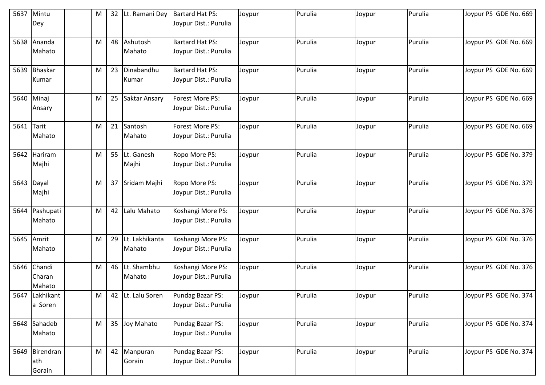| 5637       | Mintu<br>Dey                    | M | 32              | Lt. Ramani Dey           | Bartard Hat PS:<br>Joypur Dist.: Purulia        | Joypur | Purulia | Joypur | Purulia | Joypur PS GDE No. 669 |
|------------|---------------------------------|---|-----------------|--------------------------|-------------------------------------------------|--------|---------|--------|---------|-----------------------|
|            | 5638 Ananda<br>Mahato           | M | 48              | Ashutosh<br>Mahato       | <b>Bartard Hat PS:</b><br>Joypur Dist.: Purulia | Joypur | Purulia | Joypur | Purulia | Joypur PS GDE No. 669 |
|            | 5639 Bhaskar<br>Kumar           | M | 23              | Dinabandhu<br>Kumar      | <b>Bartard Hat PS:</b><br>Joypur Dist.: Purulia | Joypur | Purulia | Joypur | Purulia | Joypur PS GDE No. 669 |
|            | 5640 Minaj<br>Ansary            | M | 25              | <b>Saktar Ansary</b>     | Forest More PS:<br>Joypur Dist.: Purulia        | Joypur | Purulia | Joypur | Purulia | Joypur PS GDE No. 669 |
| 5641       | Tarit<br>Mahato                 | M | 21              | Santosh<br>Mahato        | Forest More PS:<br>Joypur Dist.: Purulia        | Joypur | Purulia | Joypur | Purulia | Joypur PS GDE No. 669 |
|            | 5642 Hariram<br>Majhi           | M |                 | 55 Lt. Ganesh<br>Majhi   | Ropo More PS:<br>Joypur Dist.: Purulia          | Joypur | Purulia | Joypur | Purulia | Joypur PS GDE No. 379 |
| 5643 Dayal | Majhi                           | M | 37              | Sridam Majhi             | Ropo More PS:<br>Joypur Dist.: Purulia          | Joypur | Purulia | Joypur | Purulia | Joypur PS GDE No. 379 |
|            | 5644 Pashupati<br>Mahato        | M | 42              | Lalu Mahato              | Koshangi More PS:<br>Joypur Dist.: Purulia      | Joypur | Purulia | Joypur | Purulia | Joypur PS GDE No. 376 |
|            | 5645 Amrit<br>Mahato            | M | 29              | Lt. Lakhikanta<br>Mahato | Koshangi More PS:<br>Joypur Dist.: Purulia      | Joypur | Purulia | Joypur | Purulia | Joypur PS GDE No. 376 |
|            | 5646 Chandi<br>Charan<br>Mahato | M |                 | 46 Lt. Shambhu<br>Mahato | Koshangi More PS:<br>Joypur Dist.: Purulia      | Joypur | Purulia | Joypur | Purulia | Joypur PS GDE No. 376 |
|            | 5647 Lakhikant<br>a Soren       | M |                 | 42 Lt. Lalu Soren        | Pundag Bazar PS:<br>Joypur Dist.: Purulia       | Joypur | Purulia | Joypur | Purulia | Joypur PS GDE No. 374 |
|            | 5648 Sahadeb<br>Mahato          | M | 35 <sub>2</sub> | Joy Mahato               | Pundag Bazar PS:<br>Joypur Dist.: Purulia       | Joypur | Purulia | Joypur | Purulia | Joypur PS GDE No. 374 |
|            | 5649 Birendran<br>ath<br>Gorain | M |                 | 42 Manpuran<br>Gorain    | Pundag Bazar PS:<br>Joypur Dist.: Purulia       | Joypur | Purulia | Joypur | Purulia | Joypur PS GDE No. 374 |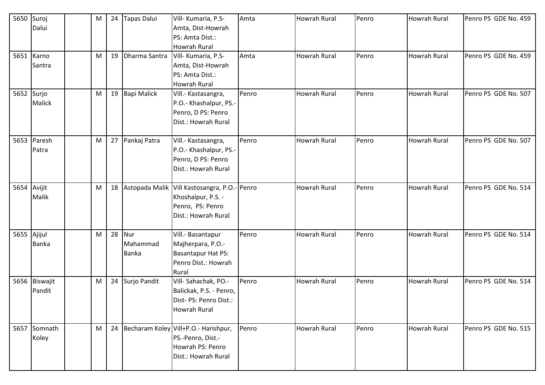| 5650        | Suroj         | M |    | 24 Tapas Dalui    | Vill- Kumaria, P.S-                     | Amta  | <b>Howrah Rural</b> | Penro | <b>Howrah Rural</b> | Penro PS GDE No. 459 |
|-------------|---------------|---|----|-------------------|-----------------------------------------|-------|---------------------|-------|---------------------|----------------------|
|             | Dalui         |   |    |                   | Amta, Dist-Howrah                       |       |                     |       |                     |                      |
|             |               |   |    |                   | PS: Amta Dist.:                         |       |                     |       |                     |                      |
|             |               |   |    |                   | <b>Howrah Rural</b>                     |       |                     |       |                     |                      |
|             | 5651 Karno    | M | 19 | Dharma Santra     | Vill- Kumaria, P.S-                     | Amta  | <b>Howrah Rural</b> | Penro | <b>Howrah Rural</b> | Penro PS GDE No. 459 |
|             | Santra        |   |    |                   | Amta, Dist-Howrah                       |       |                     |       |                     |                      |
|             |               |   |    |                   | PS: Amta Dist.:                         |       |                     |       |                     |                      |
|             |               |   |    |                   | <b>Howrah Rural</b>                     |       |                     |       |                     |                      |
| 5652 Surjo  |               | M |    | 19 Bapi Malick    | Vill.- Kastasangra,                     | Penro | <b>Howrah Rural</b> | Penro | Howrah Rural        | Penro PS GDE No. 507 |
|             | <b>Malick</b> |   |    |                   | P.O.- Khashalpur, PS.-                  |       |                     |       |                     |                      |
|             |               |   |    |                   | Penro, D PS: Penro                      |       |                     |       |                     |                      |
|             |               |   |    |                   | Dist.: Howrah Rural                     |       |                     |       |                     |                      |
|             |               |   |    |                   |                                         |       |                     |       |                     |                      |
|             | 5653 Paresh   | M |    | 27 Pankaj Patra   | Vill.- Kastasangra,                     | Penro | <b>Howrah Rural</b> | Penro | <b>Howrah Rural</b> | Penro PS GDE No. 507 |
|             | Patra         |   |    |                   | P.O.- Khashalpur, PS.-                  |       |                     |       |                     |                      |
|             |               |   |    |                   | Penro, D PS: Penro                      |       |                     |       |                     |                      |
|             |               |   |    |                   | Dist.: Howrah Rural                     |       |                     |       |                     |                      |
|             |               |   |    |                   |                                         |       |                     |       |                     |                      |
| 5654 Avijit |               | M |    | 18 Astopada Malik | Vill Kastosangra, P.O.- Penro           |       | <b>Howrah Rural</b> | Penro | Howrah Rural        | Penro PS GDE No. 514 |
|             | Malik         |   |    |                   | Khoshalpur, P.S. -                      |       |                     |       |                     |                      |
|             |               |   |    |                   | Penro, PS: Penro                        |       |                     |       |                     |                      |
|             |               |   |    |                   | Dist.: Howrah Rural                     |       |                     |       |                     |                      |
|             |               |   |    |                   |                                         |       |                     |       |                     |                      |
| 5655 Ajijul |               | M |    | 28 Nur            | Vill.- Basantapur                       | Penro | <b>Howrah Rural</b> | Penro | <b>Howrah Rural</b> | Penro PS GDE No. 514 |
|             | <b>Banka</b>  |   |    | Mahammad          | Majherpara, P.O.-                       |       |                     |       |                     |                      |
|             |               |   |    | <b>Banka</b>      | <b>Basantapur Hat PS:</b>               |       |                     |       |                     |                      |
|             |               |   |    |                   | Penro Dist.: Howrah                     |       |                     |       |                     |                      |
|             |               |   |    |                   | Rural                                   |       |                     |       |                     |                      |
|             | 5656 Biswajit | M |    | 24 Surjo Pandit   | Vill-Sahachak, PO .-                    | Penro | <b>Howrah Rural</b> | Penro | <b>Howrah Rural</b> | Penro PS GDE No. 514 |
|             | Pandit        |   |    |                   | Balickak, P.S. - Penro,                 |       |                     |       |                     |                      |
|             |               |   |    |                   | Dist- PS: Penro Dist.:                  |       |                     |       |                     |                      |
|             |               |   |    |                   | Howrah Rural                            |       |                     |       |                     |                      |
|             |               |   |    |                   |                                         |       |                     |       |                     |                      |
|             | 5657 Somnath  | M |    |                   | 24 Becharam Koley Vill+P.O.- Harishpur, | Penro | <b>Howrah Rural</b> | Penro | <b>Howrah Rural</b> | Penro PS GDE No. 515 |
|             | Koley         |   |    |                   | PS.-Penro, Dist.-                       |       |                     |       |                     |                      |
|             |               |   |    |                   | Howrah PS: Penro                        |       |                     |       |                     |                      |
|             |               |   |    |                   | Dist.: Howrah Rural                     |       |                     |       |                     |                      |
|             |               |   |    |                   |                                         |       |                     |       |                     |                      |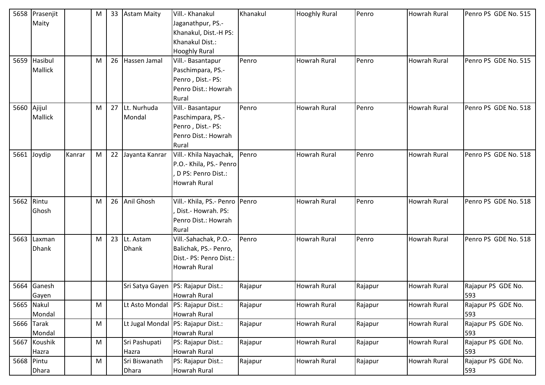|            | 5658 Prasenjit |        | M |    | 33 Astam Maity    | Vill.- Khanakul                | Khanakul | <b>Hooghly Rural</b> | Penro   | <b>Howrah Rural</b> | Penro PS GDE No. 515 |
|------------|----------------|--------|---|----|-------------------|--------------------------------|----------|----------------------|---------|---------------------|----------------------|
|            | Maity          |        |   |    |                   | Jaganathpur, PS.-              |          |                      |         |                     |                      |
|            |                |        |   |    |                   | Khanakul, Dist.-H PS:          |          |                      |         |                     |                      |
|            |                |        |   |    |                   | Khanakul Dist.:                |          |                      |         |                     |                      |
|            |                |        |   |    |                   | <b>Hooghly Rural</b>           |          |                      |         |                     |                      |
| 5659       | Hasibul        |        | M | 26 | Hassen Jamal      | Vill.- Basantapur              | Penro    | Howrah Rural         | Penro   | Howrah Rural        | Penro PS GDE No. 515 |
|            | <b>Mallick</b> |        |   |    |                   | Paschimpara, PS.-              |          |                      |         |                     |                      |
|            |                |        |   |    |                   | Penro, Dist.- PS:              |          |                      |         |                     |                      |
|            |                |        |   |    |                   | Penro Dist.: Howrah            |          |                      |         |                     |                      |
|            |                |        |   |    |                   | Rural                          |          |                      |         |                     |                      |
| 5660       | Ajijul         |        | M |    | 27 Lt. Nurhuda    | Vill.- Basantapur              | Penro    | Howrah Rural         | Penro   | Howrah Rural        | Penro PS GDE No. 518 |
|            | <b>Mallick</b> |        |   |    | Mondal            | Paschimpara, PS.-              |          |                      |         |                     |                      |
|            |                |        |   |    |                   | Penro, Dist.- PS:              |          |                      |         |                     |                      |
|            |                |        |   |    |                   | Penro Dist.: Howrah            |          |                      |         |                     |                      |
|            |                |        |   |    |                   | Rural                          |          |                      |         |                     |                      |
| 5661       | Joydip         | Kanrar | M |    | 22 Jayanta Kanrar | Vill.- Khila Nayachak,         | Penro    | <b>Howrah Rural</b>  | Penro   | <b>Howrah Rural</b> | Penro PS GDE No. 518 |
|            |                |        |   |    |                   | P.O.- Khila, PS.- Penro        |          |                      |         |                     |                      |
|            |                |        |   |    |                   | D PS: Penro Dist.:             |          |                      |         |                     |                      |
|            |                |        |   |    |                   | <b>Howrah Rural</b>            |          |                      |         |                     |                      |
|            |                |        |   |    |                   |                                |          |                      |         |                     |                      |
| 5662 Rintu |                |        | M |    | 26 Anil Ghosh     | Vill.- Khila, PS.- Penro Penro |          | <b>Howrah Rural</b>  | Penro   | <b>Howrah Rural</b> | Penro PS GDE No. 518 |
|            | Ghosh          |        |   |    |                   | Dist.- Howrah. PS:             |          |                      |         |                     |                      |
|            |                |        |   |    |                   | Penro Dist.: Howrah            |          |                      |         |                     |                      |
|            |                |        |   |    |                   | Rural                          |          |                      |         |                     |                      |
| 5663       | Laxman         |        | M |    | 23 Lt. Astam      | Vill.-Sahachak, P.O.-          | Penro    | Howrah Rural         | Penro   | Howrah Rural        | Penro PS GDE No. 518 |
|            | <b>Dhank</b>   |        |   |    | <b>Dhank</b>      | Balichak, PS.- Penro,          |          |                      |         |                     |                      |
|            |                |        |   |    |                   | Dist.- PS: Penro Dist.:        |          |                      |         |                     |                      |
|            |                |        |   |    |                   | <b>Howrah Rural</b>            |          |                      |         |                     |                      |
|            |                |        |   |    |                   |                                |          |                      |         |                     |                      |
| 5664       | Ganesh         |        |   |    | Sri Satya Gayen   | PS: Rajapur Dist.:             | Rajapur  | Howrah Rural         | Rajapur | Howrah Rural        | Rajapur PS GDE No.   |
|            | Gayen          |        |   |    |                   | <b>Howrah Rural</b>            |          |                      |         |                     | 593                  |
|            | 5665 Nakul     |        | M |    | Lt Asto Mondal    | PS: Rajapur Dist.:             | Rajapur  | <b>Howrah Rural</b>  | Rajapur | <b>Howrah Rural</b> | Rajapur PS GDE No.   |
|            | Mondal         |        |   |    |                   | <b>Howrah Rural</b>            |          |                      |         |                     | 593                  |
|            | 5666 Tarak     |        | M |    | Lt Jugal Mondal   | PS: Rajapur Dist.:             | Rajapur  | <b>Howrah Rural</b>  | Rajapur | <b>Howrah Rural</b> | Rajapur PS GDE No.   |
|            | Mondal         |        |   |    |                   | <b>Howrah Rural</b>            |          |                      |         |                     | 593                  |
|            | 5667 Koushik   |        | M |    | Sri Pashupati     | PS: Rajapur Dist.:             | Rajapur  | Howrah Rural         | Rajapur | Howrah Rural        | Rajapur PS GDE No.   |
|            | Hazra          |        |   |    | Hazra             | Howrah Rural                   |          |                      |         |                     | 593                  |
| 5668 Pintu |                |        | M |    | Sri Biswanath     | PS: Rajapur Dist.:             | Rajapur  | <b>Howrah Rural</b>  | Rajapur | <b>Howrah Rural</b> | Rajapur PS GDE No.   |
|            | <b>Dhara</b>   |        |   |    | <b>Dhara</b>      | Howrah Rural                   |          |                      |         |                     | 593                  |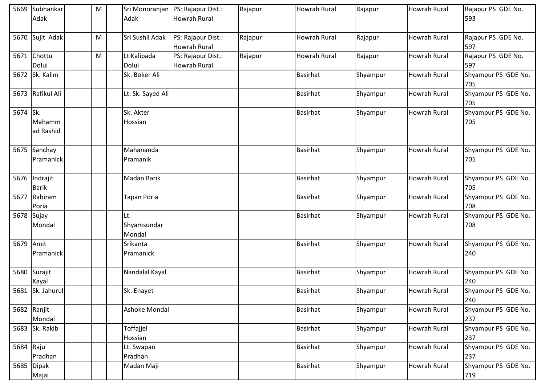| 5669      | Subhankar<br>Adak        | M | Adak                         | Sri Monoranjan   PS: Rajapur Dist.:<br><b>Howrah Rural</b> | Rajapur | Howrah Rural        | Rajapur  | <b>Howrah Rural</b> | Rajapur PS GDE No.<br>593  |
|-----------|--------------------------|---|------------------------------|------------------------------------------------------------|---------|---------------------|----------|---------------------|----------------------------|
| 5670      | Sujit Adak               | M | Sri Sushil Adak              | PS: Rajapur Dist.:<br><b>Howrah Rural</b>                  | Rajapur | <b>Howrah Rural</b> | Rajapur  | <b>Howrah Rural</b> | Rajapur PS GDE No.<br>597  |
| 5671      | Chottu<br>Dolui          | M | Lt Kalipada<br>Dolui         | PS: Rajapur Dist.:<br><b>Howrah Rural</b>                  | Rajapur | Howrah Rural        | Rajapur  | Howrah Rural        | Rajapur PS GDE No.<br>597  |
| 5672      | Sk. Kalim                |   | Sk. Boker Ali                |                                                            |         | <b>Basirhat</b>     | Shyampur | <b>Howrah Rural</b> | Shyampur PS GDE No.<br>705 |
|           | 5673 Rafikul Ali         |   | Lt. Sk. Sayed Ali            |                                                            |         | <b>Basirhat</b>     | Shyampur | <b>Howrah Rural</b> | Shyampur PS GDE No.<br>705 |
| 5674 Sk.  | Mahamm<br>ad Rashid      |   | Sk. Akter<br>Hossian         |                                                            |         | <b>Basirhat</b>     | Shyampur | <b>Howrah Rural</b> | Shyampur PS GDE No.<br>705 |
| 5675      | Sanchay<br>Pramanick     |   | Mahananda<br>Pramanik        |                                                            |         | <b>Basirhat</b>     | Shyampur | <b>Howrah Rural</b> | Shyampur PS GDE No.<br>705 |
| 5676      | Indrajit<br><b>Barik</b> |   | Madan Barik                  |                                                            |         | <b>Basirhat</b>     | Shyampur | <b>Howrah Rural</b> | Shyampur PS GDE No.<br>705 |
| 5677      | Rabiram<br>Poria         |   | <b>Tapan Poria</b>           |                                                            |         | <b>Basirhat</b>     | Shyampur | <b>Howrah Rural</b> | Shyampur PS GDE No.<br>708 |
| 5678      | Sujay<br>Mondal          |   | Lt.<br>Shyamsundar<br>Mondal |                                                            |         | <b>Basirhat</b>     | Shyampur | Howrah Rural        | Shyampur PS GDE No.<br>708 |
| 5679 Amit | Pramanick                |   | Srikanta<br>Pramanick        |                                                            |         | <b>Basirhat</b>     | Shyampur | <b>Howrah Rural</b> | Shyampur PS GDE No.<br>240 |
| 5680      | Surajit<br>Kayal         |   | Nandalal Kayal               |                                                            |         | <b>Basirhat</b>     | Shyampur | <b>Howrah Rural</b> | Shyampur PS GDE No.<br>240 |
|           | 5681 Sk. Jahurul         |   | Sk. Enayet                   |                                                            |         | <b>Basirhat</b>     | Shyampur | <b>Howrah Rural</b> | Shyampur PS GDE No.<br>240 |
|           | 5682 Ranjit<br>Mondal    |   | Ashoke Mondal                |                                                            |         | <b>Basirhat</b>     | Shyampur | <b>Howrah Rural</b> | Shyampur PS GDE No.<br>237 |
|           | 5683 Sk. Rakib           |   | Toffajjel<br>Hossian         |                                                            |         | <b>Basirhat</b>     | Shyampur | <b>Howrah Rural</b> | Shyampur PS GDE No.<br>237 |
| 5684 Raju | Pradhan                  |   | Lt. Swapan<br>Pradhan        |                                                            |         | <b>Basirhat</b>     | Shyampur | <b>Howrah Rural</b> | Shyampur PS GDE No.<br>237 |
| 5685      | <b>Dipak</b><br>Majai    |   | Madan Maji                   |                                                            |         | <b>Basirhat</b>     | Shyampur | <b>Howrah Rural</b> | Shyampur PS GDE No.<br>719 |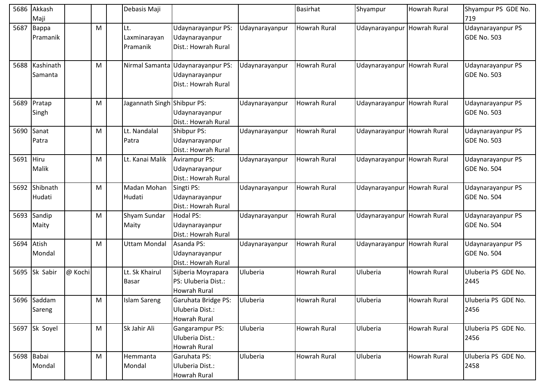| 5686       | Akkash<br>Maji        |         |   | Debasis Maji                    |                                                                            |                | <b>Basirhat</b>     | Shyampur                    | Howrah Rural        | Shyampur PS GDE No.<br>719              |
|------------|-----------------------|---------|---|---------------------------------|----------------------------------------------------------------------------|----------------|---------------------|-----------------------------|---------------------|-----------------------------------------|
| 5687       | Bappa<br>Pramanik     |         | M | Lt.<br>Laxminarayan<br>Pramanik | Udaynarayanpur PS:<br>Udaynarayanpur<br>Dist.: Howrah Rural                | Udaynarayanpur | <b>Howrah Rural</b> | Udaynarayanpur Howrah Rural |                     | Udaynarayanpur PS<br>GDE No. 503        |
| 5688       | Kashinath<br>Samanta  |         | M |                                 | Nirmal Samanta Udaynarayanpur PS:<br>Udaynarayanpur<br>Dist.: Howrah Rural | Udaynarayanpur | <b>Howrah Rural</b> | Udaynarayanpur Howrah Rural |                     | Udaynarayanpur PS<br><b>GDE No. 503</b> |
| 5689       | Pratap<br>Singh       |         | M | Jagannath Singh Shibpur PS:     | Udaynarayanpur<br>Dist.: Howrah Rural                                      | Udaynarayanpur | <b>Howrah Rural</b> | Udaynarayanpur Howrah Rural |                     | Udaynarayanpur PS<br>GDE No. 503        |
| 5690       | Sanat<br>Patra        |         | M | Lt. Nandalal<br>Patra           | Shibpur PS:<br>Udaynarayanpur<br>Dist.: Howrah Rural                       | Udaynarayanpur | <b>Howrah Rural</b> | Udaynarayanpur Howrah Rural |                     | Udaynarayanpur PS<br><b>GDE No. 503</b> |
| 5691 Hiru  | Malik                 |         | M | Lt. Kanai Malik                 | <b>Avirampur PS:</b><br>Udaynarayanpur<br>Dist.: Howrah Rural              | Udaynarayanpur | <b>Howrah Rural</b> | Udaynarayanpur Howrah Rural |                     | Udaynarayanpur PS<br><b>GDE No. 504</b> |
| 5692       | Shibnath<br>Hudati    |         | M | Madan Mohan<br>Hudati           | Singti PS:<br>Udaynarayanpur<br>Dist.: Howrah Rural                        | Udaynarayanpur | Howrah Rural        | Udaynarayanpur              | Howrah Rural        | Udaynarayanpur PS<br>GDE No. 504        |
| 5693       | Sandip<br>Maity       |         | M | Shyam Sundar<br>Maity           | <b>Hodal PS:</b><br>Udaynarayanpur<br>Dist.: Howrah Rural                  | Udaynarayanpur | <b>Howrah Rural</b> | Udaynarayanpur Howrah Rural |                     | Udaynarayanpur PS<br>GDE No. 504        |
| 5694 Atish | Mondal                |         | M | <b>Uttam Mondal</b>             | Asanda PS:<br>Udaynarayanpur<br>Dist.: Howrah Rural                        | Udaynarayanpur | <b>Howrah Rural</b> | Udaynarayanpur Howrah Rural |                     | Udaynarayanpur PS<br><b>GDE No. 504</b> |
| 5695       | Sk Sabir              | @ Kochi |   | Lt. Sk Khairul<br>Basar         | Sijberia Moyrapara<br>PS: Uluberia Dist.:<br>Howrah Rural                  | Uluberia       | <b>Howrah Rural</b> | Uluberia                    | <b>Howrah Rural</b> | Uluberia PS GDE No.<br>2445             |
|            | 5696 Saddam<br>Sareng |         | M | <b>Islam Sareng</b>             | Garuhata Bridge PS:<br>Uluberia Dist.:<br><b>Howrah Rural</b>              | Uluberia       | <b>Howrah Rural</b> | Uluberia                    | Howrah Rural        | Uluberia PS GDE No.<br>2456             |
|            | 5697 Sk Soyel         |         | M | Sk Jahir Ali                    | Gangarampur PS:<br>Uluberia Dist.:<br>Howrah Rural                         | Uluberia       | <b>Howrah Rural</b> | Uluberia                    | <b>Howrah Rural</b> | Uluberia PS GDE No.<br>2456             |
|            | 5698 Babai<br>Mondal  |         | M | Hemmanta<br>Mondal              | Garuhata PS:<br>Uluberia Dist.:<br>Howrah Rural                            | Uluberia       | <b>Howrah Rural</b> | Uluberia                    | Howrah Rural        | Uluberia PS GDE No.<br>2458             |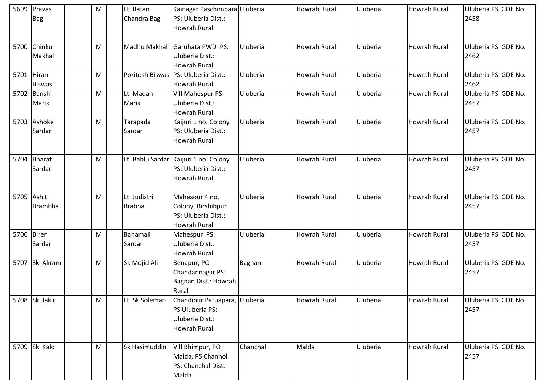| 5699       | Pravas<br><b>Bag</b>    | M | Lt. Ratan<br>Chandra Bag      | Kainagar Paschimpara Uluberia<br>PS: Uluberia Dist.:                                |          | <b>Howrah Rural</b> | Uluberia | <b>Howrah Rural</b> | Uluberia PS GDE No.<br>2458 |
|------------|-------------------------|---|-------------------------------|-------------------------------------------------------------------------------------|----------|---------------------|----------|---------------------|-----------------------------|
|            |                         |   |                               | Howrah Rural                                                                        |          |                     |          |                     |                             |
|            | 5700 Chinku<br>Makhal   | M | Madhu Makhal                  | Garuhata PWD PS:<br>Uluberia Dist.:<br><b>Howrah Rural</b>                          | Uluberia | <b>Howrah Rural</b> | Uluberia | <b>Howrah Rural</b> | Uluberia PS GDE No.<br>2462 |
| 5701       | Hiran<br><b>Biswas</b>  | M |                               | Poritosh Biswas   PS: Uluberia Dist.:<br><b>Howrah Rural</b>                        | Uluberia | <b>Howrah Rural</b> | Uluberia | <b>Howrah Rural</b> | Uluberia PS GDE No.<br>2462 |
| 5702       | Banshi<br>Marik         | M | Lt. Madan<br>Marik            | Vill Mahespur PS:<br>Uluberia Dist.:<br>Howrah Rural                                | Uluberia | <b>Howrah Rural</b> | Uluberia | <b>Howrah Rural</b> | Uluberia PS GDE No.<br>2457 |
| 5703       | Ashoke<br>Sardar        | M | Tarapada<br>Sardar            | Kaijuri 1 no. Colony<br>PS: Uluberia Dist.:<br><b>Howrah Rural</b>                  | Uluberia | <b>Howrah Rural</b> | Uluberia | <b>Howrah Rural</b> | Uluberia PS GDE No.<br>2457 |
| 5704       | <b>Bharat</b><br>Sardar | M | Lt. Bablu Sardar              | Kaijuri 1 no. Colony<br>PS: Uluberia Dist.:<br><b>Howrah Rural</b>                  | Uluberia | <b>Howrah Rural</b> | Uluberia | <b>Howrah Rural</b> | Uluberia PS GDE No.<br>2457 |
| 5705 Ashit | <b>Brambha</b>          | M | Lt. Judistri<br><b>Brabha</b> | Mahesour 4 no.<br>Colony, Birshibpur<br>PS: Uluberia Dist.:<br><b>Howrah Rural</b>  | Uluberia | <b>Howrah Rural</b> | Uluberia | <b>Howrah Rural</b> | Uluberia PS GDE No.<br>2457 |
| 5706       | Biren<br>Sardar         | M | Banamali<br>Sardar            | Mahespur PS:<br>Uluberia Dist.:<br><b>Howrah Rural</b>                              | Uluberia | Howrah Rural        | Uluberia | <b>Howrah Rural</b> | Uluberia PS GDE No.<br>2457 |
|            | 5707 Sk Akram           | M | Sk Mojid Ali                  | Benapur, PO<br>Chandannagar PS:<br>Bagnan Dist.: Howrah<br>Rural                    | Bagnan   | <b>Howrah Rural</b> | Uluberia | <b>Howrah Rural</b> | Uluberia PS GDE No.<br>2457 |
|            | 5708 Sk Jakir           | M | Lt. Sk Soleman                | Chandipur Patuapara, Uluberia<br>PS Uluberia PS:<br>Uluberia Dist.:<br>Howrah Rural |          | <b>Howrah Rural</b> | Uluberia | <b>Howrah Rural</b> | Uluberia PS GDE No.<br>2457 |
|            | 5709 Sk Kalo            | M | Sk Hasimuddin                 | Vill Bhimpur, PO<br>Malda, PS Chanhol<br>PS: Chanchal Dist.:<br>Malda               | Chanchal | Malda               | Uluberia | <b>Howrah Rural</b> | Uluberia PS GDE No.<br>2457 |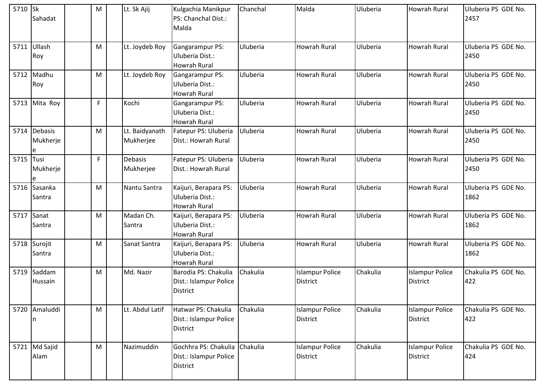| 5710 Sk   | Sahadat                         | M | Lt. Sk Ajij                 | Kulgachia Manikpur<br>PS: Chanchal Dist.:<br>Malda                | Chanchal | Malda                                     | Uluberia | <b>Howrah Rural</b>                       | Uluberia PS GDE No.<br>2457 |
|-----------|---------------------------------|---|-----------------------------|-------------------------------------------------------------------|----------|-------------------------------------------|----------|-------------------------------------------|-----------------------------|
|           | 5711 Ullash<br>Roy              | M | Lt. Joydeb Roy              | Gangarampur PS:<br>Uluberia Dist.:<br><b>Howrah Rural</b>         | Uluberia | <b>Howrah Rural</b>                       | Uluberia | <b>Howrah Rural</b>                       | Uluberia PS GDE No.<br>2450 |
| 5712      | Madhu<br>Roy                    | M | Lt. Joydeb Roy              | Gangarampur PS:<br>Uluberia Dist.:<br><b>Howrah Rural</b>         | Uluberia | <b>Howrah Rural</b>                       | Uluberia | <b>Howrah Rural</b>                       | Uluberia PS GDE No.<br>2450 |
| 5713      | Mita Roy                        | F | Kochi                       | Gangarampur PS:<br>Uluberia Dist.:<br>Howrah Rural                | Uluberia | Howrah Rural                              | Uluberia | <b>Howrah Rural</b>                       | Uluberia PS GDE No.<br>2450 |
| 5714      | <b>Debasis</b><br>Mukherje<br>e | M | Lt. Baidyanath<br>Mukherjee | Fatepur PS: Uluberia<br>Dist.: Howrah Rural                       | Uluberia | <b>Howrah Rural</b>                       | Uluberia | <b>Howrah Rural</b>                       | Uluberia PS GDE No.<br>2450 |
| 5715 Tusi | Mukherje                        | F | <b>Debasis</b><br>Mukherjee | Fatepur PS: Uluberia<br>Dist.: Howrah Rural                       | Uluberia | <b>Howrah Rural</b>                       | Uluberia | Howrah Rural                              | Uluberia PS GDE No.<br>2450 |
| 5716      | Sasanka<br>Santra               | M | Nantu Santra                | Kaijuri, Berapara PS:<br>Uluberia Dist.:<br>Howrah Rural          | Uluberia | <b>Howrah Rural</b>                       | Uluberia | <b>Howrah Rural</b>                       | Uluberia PS GDE No.<br>1862 |
| 5717      | Sanat<br>Santra                 | M | Madan Ch.<br>Santra         | Kaijuri, Berapara PS:<br>Uluberia Dist.:<br>Howrah Rural          | Uluberia | <b>Howrah Rural</b>                       | Uluberia | <b>Howrah Rural</b>                       | Uluberia PS GDE No.<br>1862 |
|           | 5718 Surojit<br>Santra          | M | Sanat Santra                | Kaijuri, Berapara PS:<br>Uluberia Dist.:<br><b>Howrah Rural</b>   | Uluberia | <b>Howrah Rural</b>                       | Uluberia | <b>Howrah Rural</b>                       | Uluberia PS GDE No.<br>1862 |
| 5719      | Saddam<br>Hussain               | м | Md. Nazir                   | Barodia PS: Chakulia<br>Dist.: Islampur Police<br><b>District</b> | Chakulia | <b>Islampur Police</b><br><b>District</b> | Chakulia | <b>Islampur Police</b><br><b>District</b> | Chakulia PS GDE No.<br>422  |
|           | 5720 Amaluddi<br>In             | M | Lt. Abdul Latif             | Hatwar PS: Chakulia<br>Dist.: Islampur Police<br><b>District</b>  | Chakulia | <b>Islampur Police</b><br><b>District</b> | Chakulia | <b>Islampur Police</b><br><b>District</b> | Chakulia PS GDE No.<br>422  |
|           | 5721 Md Sajid<br>Alam           | M | Nazimuddin                  | Gochhra PS: Chakulia<br>Dist.: Islampur Police<br><b>District</b> | Chakulia | <b>Islampur Police</b><br><b>District</b> | Chakulia | <b>Islampur Police</b><br><b>District</b> | Chakulia PS GDE No.<br>424  |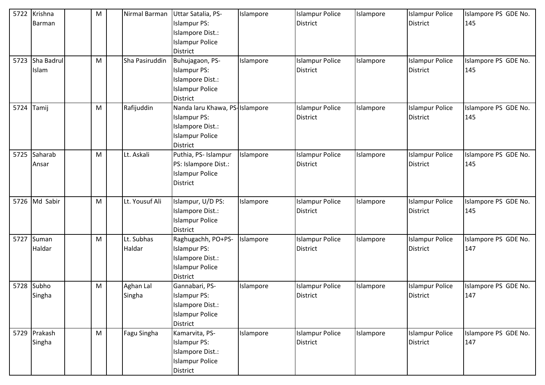| 5722 | Krishna<br>Barman      | M | Nirmal Barman        | Uttar Satalia, PS-<br><b>Islampur PS:</b><br>Islampore Dist.:<br><b>Islampur Police</b><br><b>District</b>             | Islampore | <b>Islampur Police</b><br><b>District</b> | Islampore | <b>Islampur Police</b><br><b>District</b> | Islampore PS GDE No.<br>145 |
|------|------------------------|---|----------------------|------------------------------------------------------------------------------------------------------------------------|-----------|-------------------------------------------|-----------|-------------------------------------------|-----------------------------|
| 5723 | Sha Badrul<br>Islam    | M | Sha Pasiruddin       | Buhujagaon, PS-<br><b>Islampur PS:</b><br>Islampore Dist.:<br><b>Islampur Police</b><br><b>District</b>                | Islampore | <b>Islampur Police</b><br><b>District</b> | Islampore | <b>Islampur Police</b><br><b>District</b> | Islampore PS GDE No.<br>145 |
| 5724 | Tamij                  | M | Rafijuddin           | Nanda laru Khawa, PS-Islampore<br><b>Islampur PS:</b><br>Islampore Dist.:<br><b>Islampur Police</b><br><b>District</b> |           | <b>Islampur Police</b><br>District        | Islampore | <b>Islampur Police</b><br><b>District</b> | Islampore PS GDE No.<br>145 |
| 5725 | Saharab<br>Ansar       | M | Lt. Askali           | Puthia, PS- Islampur<br>PS: Islampore Dist.:<br><b>Islampur Police</b><br><b>District</b>                              | Islampore | <b>Islampur Police</b><br>District        | Islampore | <b>Islampur Police</b><br><b>District</b> | Islampore PS GDE No.<br>145 |
|      | 5726 Md Sabir          | M | Lt. Yousuf Ali       | Islampur, U/D PS:<br>Islampore Dist.:<br><b>Islampur Police</b><br><b>District</b>                                     | Islampore | <b>Islampur Police</b><br><b>District</b> | Islampore | <b>Islampur Police</b><br><b>District</b> | Islampore PS GDE No.<br>145 |
| 5727 | Suman<br>Haldar        | M | Lt. Subhas<br>Haldar | Raghugachh, PO+PS-<br><b>Islampur PS:</b><br>Islampore Dist.:<br><b>Islampur Police</b><br><b>District</b>             | Islampore | <b>Islampur Police</b><br><b>District</b> | Islampore | <b>Islampur Police</b><br><b>District</b> | Islampore PS GDE No.<br>147 |
| 5728 | Subho<br>Singha        | M | Aghan Lal<br>Singha  | Gannabari, PS-<br><b>Islampur PS:</b><br>Islampore Dist.:<br><b>Islampur Police</b><br>District                        | Islampore | <b>Islampur Police</b><br><b>District</b> | Islampore | <b>Islampur Police</b><br><b>District</b> | Islampore PS GDE No.<br>147 |
|      | 5729 Prakash<br>Singha | M | Fagu Singha          | Kamarvita, PS-<br><b>Islampur PS:</b><br>Islampore Dist.:<br><b>Islampur Police</b><br>District                        | Islampore | <b>Islampur Police</b><br>District        | Islampore | <b>Islampur Police</b><br><b>District</b> | Islampore PS GDE No.<br>147 |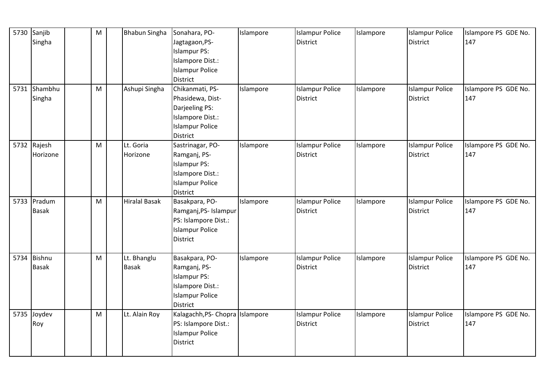| 5730 | Sanjib<br>Singha              | M | <b>Bhabun Singha</b>        | Sonahara, PO-<br>Jagtagaon, PS-<br><b>Islampur PS:</b><br>Islampore Dist.:                                               | Islampore | <b>Islampur Police</b><br><b>District</b> | Islampore | <b>Islampur Police</b><br><b>District</b> | Islampore PS GDE No.<br>147 |
|------|-------------------------------|---|-----------------------------|--------------------------------------------------------------------------------------------------------------------------|-----------|-------------------------------------------|-----------|-------------------------------------------|-----------------------------|
|      |                               |   |                             | <b>Islampur Police</b><br>District                                                                                       |           |                                           |           |                                           |                             |
|      | 5731 Shambhu<br>Singha        | M | Ashupi Singha               | Chikanmati, PS-<br>Phasidewa, Dist-<br>Darjeeling PS:<br>Islampore Dist.:<br><b>Islampur Police</b><br>District          | Islampore | <b>Islampur Police</b><br><b>District</b> | Islampore | <b>Islampur Police</b><br><b>District</b> | Islampore PS GDE No.<br>147 |
|      | 5732 Rajesh<br>Horizone       | M | Lt. Goria<br>Horizone       | Sastrinagar, PO-<br>Ramganj, PS-<br><b>Islampur PS:</b><br>Islampore Dist.:<br><b>Islampur Police</b><br><b>District</b> | Islampore | <b>Islampur Police</b><br><b>District</b> | Islampore | <b>Islampur Police</b><br>District        | Islampore PS GDE No.<br>147 |
|      | 5733 Pradum<br><b>Basak</b>   | M | <b>Hiralal Basak</b>        | Basakpara, PO-<br>Ramganj, PS- Islampur<br>PS: Islampore Dist.:<br><b>Islampur Police</b><br><b>District</b>             | Islampore | <b>Islampur Police</b><br>District        | Islampore | <b>Islampur Police</b><br><b>District</b> | Islampore PS GDE No.<br>147 |
| 5734 | <b>Bishnu</b><br><b>Basak</b> | M | Lt. Bhanglu<br><b>Basak</b> | Basakpara, PO-<br>Ramganj, PS-<br><b>Islampur PS:</b><br>Islampore Dist.:<br><b>Islampur Police</b><br><b>District</b>   | Islampore | <b>Islampur Police</b><br><b>District</b> | Islampore | <b>Islampur Police</b><br><b>District</b> | Islampore PS GDE No.<br>147 |
|      | 5735 Joydev<br>Roy            | M | Lt. Alain Roy               | Kalagachh, PS- Chopra Islampore<br>PS: Islampore Dist.:<br><b>Islampur Police</b><br>District                            |           | <b>Islampur Police</b><br><b>District</b> | Islampore | <b>Islampur Police</b><br>District        | Islampore PS GDE No.<br>147 |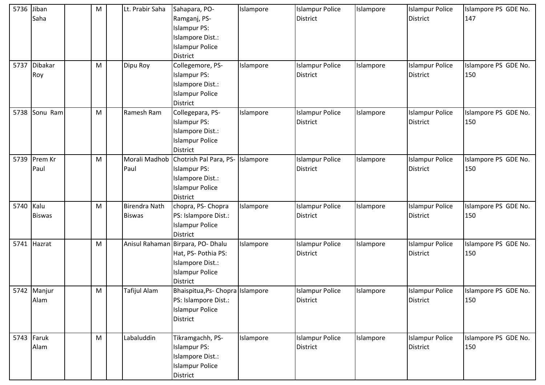| 5736      | Jiban<br>Saha         | M | Lt. Prabir Saha                       | Sahapara, PO-<br>Ramganj, PS-<br><b>Islampur PS:</b><br>Islampore Dist.:<br><b>Islampur Police</b><br>District               | Islampore | <b>Islampur Police</b><br><b>District</b> | Islampore | <b>Islampur Police</b><br><b>District</b> | Islampore PS GDE No.<br>147 |
|-----------|-----------------------|---|---------------------------------------|------------------------------------------------------------------------------------------------------------------------------|-----------|-------------------------------------------|-----------|-------------------------------------------|-----------------------------|
| 5737      | <b>Dibakar</b><br>Roy | M | Dipu Roy                              | Collegemore, PS-<br><b>Islampur PS:</b><br>Islampore Dist.:<br><b>Islampur Police</b><br><b>District</b>                     | Islampore | <b>Islampur Police</b><br><b>District</b> | Islampore | <b>Islampur Police</b><br><b>District</b> | Islampore PS GDE No.<br>150 |
| 5738      | Sonu Ram              | M | Ramesh Ram                            | Collegepara, PS-<br><b>Islampur PS:</b><br>Islampore Dist.:<br><b>Islampur Police</b><br><b>District</b>                     | Islampore | <b>Islampur Police</b><br><b>District</b> | Islampore | <b>Islampur Police</b><br><b>District</b> | Islampore PS GDE No.<br>150 |
| 5739      | Prem Kr<br>Paul       | M | Paul                                  | Morali Madhob Chotrish Pal Para, PS-<br><b>Islampur PS:</b><br>Islampore Dist.:<br><b>Islampur Police</b><br><b>District</b> | Islampore | <b>Islampur Police</b><br><b>District</b> | Islampore | <b>Islampur Police</b><br><b>District</b> | Islampore PS GDE No.<br>150 |
| 5740 Kalu | <b>Biswas</b>         | M | <b>Birendra Nath</b><br><b>Biswas</b> | chopra, PS- Chopra<br>PS: Islampore Dist.:<br><b>Islampur Police</b><br><b>District</b>                                      | Islampore | <b>Islampur Police</b><br><b>District</b> | Islampore | <b>Islampur Police</b><br><b>District</b> | Islampore PS GDE No.<br>150 |
| 5741      | Hazrat                | M |                                       | Anisul Rahaman Birpara, PO- Dhalu<br>Hat, PS- Pothia PS:<br>Islampore Dist.:<br><b>Islampur Police</b><br><b>District</b>    | Islampore | <b>Islampur Police</b><br><b>District</b> | Islampore | <b>Islampur Police</b><br><b>District</b> | Islampore PS GDE No.<br>150 |
|           | 5742 Manjur<br>Alam   | M | Tafijul Alam                          | Bhaispitua, Ps- Chopra   Islampore<br>PS: Islampore Dist.:<br><b>Islampur Police</b><br><b>District</b>                      |           | <b>Islampur Police</b><br><b>District</b> | Islampore | <b>Islampur Police</b><br><b>District</b> | Islampore PS GDE No.<br>150 |
|           | 5743 Faruk<br>Alam    | M | Labaluddin                            | Tikramgachh, PS-<br><b>Islampur PS:</b><br>Islampore Dist.:<br><b>Islampur Police</b><br>District                            | Islampore | <b>Islampur Police</b><br><b>District</b> | Islampore | <b>Islampur Police</b><br>District        | Islampore PS GDE No.<br>150 |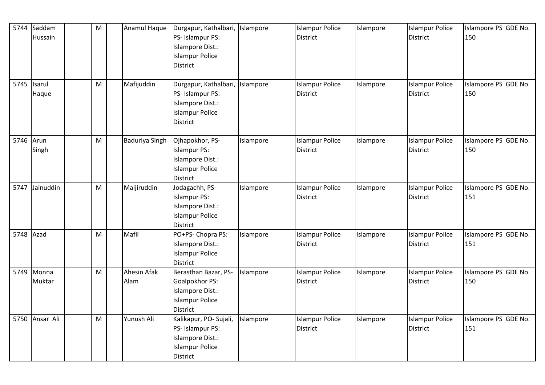| 5744      | Saddam<br>Hussain    | $\mathsf{M}% _{T}=\mathsf{M}_{T}\!\left( a,b\right) ,\ \mathsf{M}_{T}=\mathsf{M}_{T}\!\left( a,b\right) ,$ | Anamul Haque        | Durgapur, Kathalbari, Islampore<br>PS- Islampur PS:<br>Islampore Dist.:<br><b>Islampur Police</b><br><b>District</b> |           | <b>Islampur Police</b><br><b>District</b> | Islampore | <b>Islampur Police</b><br><b>District</b> | Islampore PS GDE No.<br>150 |
|-----------|----------------------|------------------------------------------------------------------------------------------------------------|---------------------|----------------------------------------------------------------------------------------------------------------------|-----------|-------------------------------------------|-----------|-------------------------------------------|-----------------------------|
|           | 5745 Isarul<br>Haque | M                                                                                                          | Mafijuddin          | Durgapur, Kathalbari, Islampore<br>PS-Islampur PS:<br>Islampore Dist.:<br><b>Islampur Police</b><br><b>District</b>  |           | <b>Islampur Police</b><br><b>District</b> | Islampore | <b>Islampur Police</b><br><b>District</b> | Islampore PS GDE No.<br>150 |
| 5746 Arun | Singh                | M                                                                                                          | Baduriya Singh      | Ojhapokhor, PS-<br><b>Islampur PS:</b><br>Islampore Dist.:<br><b>Islampur Police</b><br><b>District</b>              | Islampore | <b>Islampur Police</b><br><b>District</b> | Islampore | <b>Islampur Police</b><br><b>District</b> | Islampore PS GDE No.<br>150 |
| 5747      | Jainuddin            | M                                                                                                          | Maijiruddin         | Jodagachh, PS-<br><b>Islampur PS:</b><br>Islampore Dist.:<br><b>Islampur Police</b><br>District                      | Islampore | <b>Islampur Police</b><br><b>District</b> | Islampore | <b>Islampur Police</b><br><b>District</b> | Islampore PS GDE No.<br>151 |
| 5748 Azad |                      | M                                                                                                          | Mafil               | PO+PS- Chopra PS:<br>Islampore Dist.:<br><b>Islampur Police</b><br>District                                          | Islampore | <b>Islampur Police</b><br>District        | Islampore | <b>Islampur Police</b><br>District        | Islampore PS GDE No.<br>151 |
|           | 5749 Monna<br>Muktar | M                                                                                                          | Ahesin Afak<br>Alam | Berasthan Bazar, PS-<br>Goalpokhor PS:<br>Islampore Dist.:<br><b>Islampur Police</b><br><b>District</b>              | Islampore | <b>Islampur Police</b><br><b>District</b> | Islampore | <b>Islampur Police</b><br><b>District</b> | Islampore PS GDE No.<br>150 |
|           | 5750 Ansar Ali       | M                                                                                                          | Yunush Ali          | Kalikapur, PO- Sujali,<br>PS- Islampur PS:<br>Islampore Dist.:<br><b>Islampur Police</b><br><b>District</b>          | Islampore | <b>Islampur Police</b><br>District        | Islampore | <b>Islampur Police</b><br><b>District</b> | Islampore PS GDE No.<br>151 |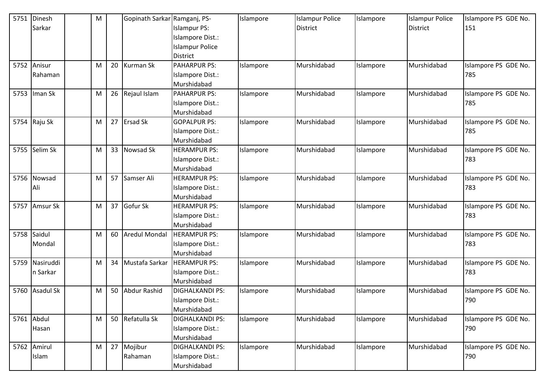| 5751 | Dinesh           | ${\sf M}$ |    | Gopinath Sarkar Ramganj, PS- |                        | Islampore | <b>Islampur Police</b> | Islampore | <b>Islampur Police</b> | Islampore PS GDE No. |
|------|------------------|-----------|----|------------------------------|------------------------|-----------|------------------------|-----------|------------------------|----------------------|
|      | Sarkar           |           |    |                              | <b>Islampur PS:</b>    |           | <b>District</b>        |           | District               | 151                  |
|      |                  |           |    |                              | Islampore Dist.:       |           |                        |           |                        |                      |
|      |                  |           |    |                              | <b>Islampur Police</b> |           |                        |           |                        |                      |
|      |                  |           |    |                              | <b>District</b>        |           |                        |           |                        |                      |
| 5752 | Anisur           | M         | 20 | <b>Kurman Sk</b>             | <b>PAHARPUR PS:</b>    | Islampore | Murshidabad            | Islampore | Murshidabad            | Islampore PS GDE No. |
|      | Rahaman          |           |    |                              | Islampore Dist.:       |           |                        |           |                        | 785                  |
|      |                  |           |    |                              | Murshidabad            |           |                        |           |                        |                      |
| 5753 | Iman Sk          | M         | 26 | Rejaul Islam                 | <b>PAHARPUR PS:</b>    | Islampore | Murshidabad            | Islampore | Murshidabad            | Islampore PS GDE No. |
|      |                  |           |    |                              | Islampore Dist.:       |           |                        |           |                        | 785                  |
|      |                  |           |    |                              | Murshidabad            |           |                        |           |                        |                      |
| 5754 | Raju Sk          | M         | 27 | Ersad Sk                     | <b>GOPALPUR PS:</b>    | Islampore | Murshidabad            | Islampore | Murshidabad            | Islampore PS GDE No. |
|      |                  |           |    |                              | Islampore Dist.:       |           |                        |           |                        | 785                  |
|      |                  |           |    |                              | Murshidabad            |           |                        |           |                        |                      |
| 5755 | Selim Sk         | M         | 33 | Nowsad Sk                    | <b>HERAMPUR PS:</b>    | Islampore | Murshidabad            | Islampore | Murshidabad            | Islampore PS GDE No. |
|      |                  |           |    |                              | Islampore Dist.:       |           |                        |           |                        | 783                  |
|      |                  |           |    |                              | Murshidabad            |           |                        |           |                        |                      |
| 5756 | Nowsad           | M         | 57 | Samser Ali                   | <b>HERAMPUR PS:</b>    | Islampore | Murshidabad            | Islampore | Murshidabad            | Islampore PS GDE No. |
|      | Ali              |           |    |                              | Islampore Dist.:       |           |                        |           |                        | 783                  |
|      |                  |           |    |                              | Murshidabad            |           |                        |           |                        |                      |
| 5757 | Amsur Sk         | М         | 37 | Gofur Sk                     | <b>HERAMPUR PS:</b>    | Islampore | Murshidabad            | Islampore | Murshidabad            | Islampore PS GDE No. |
|      |                  |           |    |                              | Islampore Dist.:       |           |                        |           |                        | 783                  |
|      |                  |           |    |                              | Murshidabad            |           |                        |           |                        |                      |
| 5758 | Saidul           | M         | 60 | <b>Aredul Mondal</b>         | <b>HERAMPUR PS:</b>    | Islampore | Murshidabad            | Islampore | Murshidabad            | Islampore PS GDE No. |
|      | Mondal           |           |    |                              | Islampore Dist.:       |           |                        |           |                        | 783                  |
|      |                  |           |    |                              | Murshidabad            |           |                        |           |                        |                      |
| 5759 | Nasiruddi        | M         | 34 | Mustafa Sarkar               | <b>HERAMPUR PS:</b>    | Islampore | Murshidabad            | Islampore | Murshidabad            | Islampore PS GDE No. |
|      | n Sarkar         |           |    |                              | Islampore Dist.:       |           |                        |           |                        | 783                  |
|      |                  |           |    |                              | Murshidabad            |           |                        |           |                        |                      |
| 5760 | <b>Asadul Sk</b> | M         | 50 | Abdur Rashid                 | <b>DIGHALKANDI PS:</b> | Islampore | Murshidabad            | Islampore | Murshidabad            | Islampore PS GDE No. |
|      |                  |           |    |                              | Islampore Dist.:       |           |                        |           |                        | 790                  |
|      |                  |           |    |                              | Murshidabad            |           |                        |           |                        |                      |
|      | 5761 Abdul       | M         | 50 | Refatulla Sk                 | <b>DIGHALKANDI PS:</b> | Islampore | Murshidabad            | Islampore | Murshidabad            | Islampore PS GDE No. |
|      | Hasan            |           |    |                              | Islampore Dist.:       |           |                        |           |                        | 790                  |
|      |                  |           |    |                              | Murshidabad            |           |                        |           |                        |                      |
|      | 5762 Amirul      | M         | 27 | Mojibur                      | <b>DIGHALKANDI PS:</b> | Islampore | Murshidabad            | Islampore | Murshidabad            | Islampore PS GDE No. |
|      | Islam            |           |    | Rahaman                      | Islampore Dist.:       |           |                        |           |                        | 790                  |
|      |                  |           |    |                              | Murshidabad            |           |                        |           |                        |                      |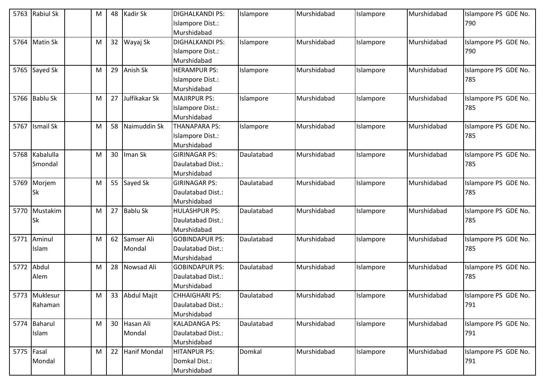| 5763       | <b>Rabiul Sk</b> | M | 48              | Kadir Sk            | <b>DIGHALKANDI PS:</b> | Islampore  | Murshidabad | Islampore | Murshidabad | Islampore PS GDE No. |
|------------|------------------|---|-----------------|---------------------|------------------------|------------|-------------|-----------|-------------|----------------------|
|            |                  |   |                 |                     | Islampore Dist.:       |            |             |           |             | 790                  |
|            |                  |   |                 |                     | Murshidabad            |            |             |           |             |                      |
| 5764       | <b>Matin Sk</b>  | M | 32 <sup>2</sup> | Wayaj Sk            | <b>DIGHALKANDI PS:</b> | Islampore  | Murshidabad | Islampore | Murshidabad | Islampore PS GDE No. |
|            |                  |   |                 |                     | Islampore Dist.:       |            |             |           |             | 790                  |
|            |                  |   |                 |                     | Murshidabad            |            |             |           |             |                      |
|            | 5765 Sayed Sk    | M | 29              | Anish Sk            | <b>HERAMPUR PS:</b>    | Islampore  | Murshidabad | Islampore | Murshidabad | Islampore PS GDE No. |
|            |                  |   |                 |                     | Islampore Dist.:       |            |             |           |             | 785                  |
|            |                  |   |                 |                     | Murshidabad            |            |             |           |             |                      |
|            | 5766 Bablu Sk    | M | 27              | Julfikakar Sk       | MAJIRPUR PS:           | Islampore  | Murshidabad | Islampore | Murshidabad | Islampore PS GDE No. |
|            |                  |   |                 |                     | Islampore Dist.:       |            |             |           |             | 785                  |
|            |                  |   |                 |                     | Murshidabad            |            |             |           |             |                      |
| 5767       | <b>Ismail Sk</b> | M | 58              | Naimuddin Sk        | <b>THANAPARA PS:</b>   | Islampore  | Murshidabad | Islampore | Murshidabad | Islampore PS GDE No. |
|            |                  |   |                 |                     | Islampore Dist.:       |            |             |           |             | 785                  |
|            |                  |   |                 |                     | Murshidabad            |            |             |           |             |                      |
| 5768       | Kabalulla        | M | 30              | Iman Sk             | <b>GIRINAGAR PS:</b>   | Daulatabad | Murshidabad | Islampore | Murshidabad | Islampore PS GDE No. |
|            | Smondal          |   |                 |                     | Daulatabad Dist.:      |            |             |           |             | 785                  |
|            |                  |   |                 |                     | Murshidabad            |            |             |           |             |                      |
| 5769       | Morjem           | M | 55              | Sayed Sk            | <b>GIRINAGAR PS:</b>   | Daulatabad | Murshidabad | Islampore | Murshidabad | Islampore PS GDE No. |
|            | Sk               |   |                 |                     | Daulatabad Dist.:      |            |             |           |             | 785                  |
|            |                  |   |                 |                     | Murshidabad            |            |             |           |             |                      |
| 5770       | Mustakim         | M | 27              | <b>Bablu Sk</b>     | <b>HULASHPUR PS:</b>   | Daulatabad | Murshidabad | Islampore | Murshidabad | Islampore PS GDE No. |
|            | Sk               |   |                 |                     | Daulatabad Dist.:      |            |             |           |             | 785                  |
|            |                  |   |                 |                     | Murshidabad            |            |             |           |             |                      |
| 5771       | Aminul           | M | 62              | Samser Ali          | <b>GOBINDAPUR PS:</b>  | Daulatabad | Murshidabad | Islampore | Murshidabad | Islampore PS GDE No. |
|            | Islam            |   |                 | Mondal              | Daulatabad Dist.:      |            |             |           |             | 785                  |
|            |                  |   |                 |                     | Murshidabad            |            |             |           |             |                      |
| 5772       | Abdul            | M | 28              | Nowsad Ali          | <b>GOBINDAPUR PS:</b>  | Daulatabad | Murshidabad | Islampore | Murshidabad | Islampore PS GDE No. |
|            | Alem             |   |                 |                     | Daulatabad Dist.:      |            |             |           |             | 785                  |
|            |                  |   |                 |                     | Murshidabad            |            |             |           |             |                      |
|            | 5773 Muklesur    | М |                 | 33 Abdul Majit      | <b>CHHAIGHARI PS:</b>  | Daulatabad | Murshidabad | Islampore | Murshidabad | Islampore PS GDE No. |
|            | Rahaman          |   |                 |                     | Daulatabad Dist.:      |            |             |           |             | 791                  |
|            |                  |   |                 |                     | Murshidabad            |            |             |           |             |                      |
|            | 5774 Baharul     | M |                 | 30 Hasan Ali        | <b>KALADANGA PS:</b>   | Daulatabad | Murshidabad | Islampore | Murshidabad | Islampore PS GDE No. |
|            | Islam            |   |                 | Mondal              | Daulatabad Dist.:      |            |             |           |             | 791                  |
|            |                  |   |                 |                     | Murshidabad            |            |             |           |             |                      |
| 5775 Fasal |                  | M | 22              | <b>Hanif Mondal</b> | HITANPUR PS:           | Domkal     | Murshidabad | Islampore | Murshidabad | Islampore PS GDE No. |
|            | Mondal           |   |                 |                     | Domkal Dist.:          |            |             |           |             | 791                  |
|            |                  |   |                 |                     | Murshidabad            |            |             |           |             |                      |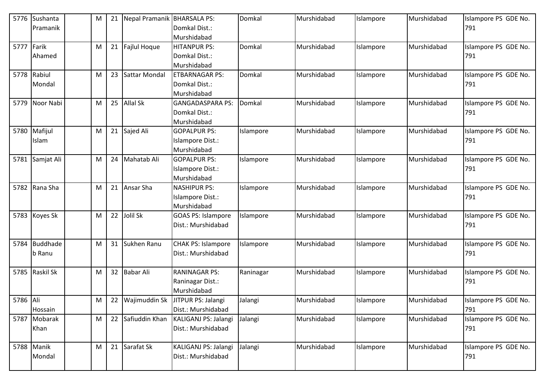| 5776       | Sushanta        | М | 21 | Nepal Pramanik BHARSALA PS: |                           | Domkal    | Murshidabad | Islampore | Murshidabad | Islampore PS GDE No. |
|------------|-----------------|---|----|-----------------------------|---------------------------|-----------|-------------|-----------|-------------|----------------------|
|            | Pramanik        |   |    |                             | Domkal Dist.:             |           |             |           |             | 791                  |
|            |                 |   |    |                             | Murshidabad               |           |             |           |             |                      |
| 5777 Farik |                 | M | 21 | Fajlul Hoque                | <b>HITANPUR PS:</b>       | Domkal    | Murshidabad | Islampore | Murshidabad | Islampore PS GDE No. |
|            | Ahamed          |   |    |                             | Domkal Dist.:             |           |             |           |             | 791                  |
|            |                 |   |    |                             | Murshidabad               |           |             |           |             |                      |
| 5778       | Rabiul          | M | 23 | Sattar Mondal               | <b>ETBARNAGAR PS:</b>     | Domkal    | Murshidabad | Islampore | Murshidabad | Islampore PS GDE No. |
|            | Mondal          |   |    |                             | Domkal Dist.:             |           |             |           |             | 791                  |
|            |                 |   |    |                             | Murshidabad               |           |             |           |             |                      |
| 5779       | Noor Nabi       | м | 25 | <b>Allal Sk</b>             | <b>GANGADASPARA PS:</b>   | Domkal    | Murshidabad | Islampore | Murshidabad | Islampore PS GDE No. |
|            |                 |   |    |                             | Domkal Dist.:             |           |             |           |             | 791                  |
|            |                 |   |    |                             | Murshidabad               |           |             |           |             |                      |
| 5780       | Mafijul         | м | 21 | Sajed Ali                   | <b>GOPALPUR PS:</b>       | Islampore | Murshidabad | Islampore | Murshidabad | Islampore PS GDE No. |
|            | Islam           |   |    |                             | Islampore Dist.:          |           |             |           |             | 791                  |
|            |                 |   |    |                             | Murshidabad               |           |             |           |             |                      |
|            | 5781 Samjat Ali | м | 24 | Mahatab Ali                 | <b>GOPALPUR PS:</b>       | Islampore | Murshidabad | Islampore | Murshidabad | Islampore PS GDE No. |
|            |                 |   |    |                             | Islampore Dist.:          |           |             |           |             | 791                  |
|            |                 |   |    |                             | Murshidabad               |           |             |           |             |                      |
| 5782       | Rana Sha        | м | 21 | Ansar Sha                   | <b>NASHIPUR PS:</b>       | Islampore | Murshidabad | Islampore | Murshidabad | Islampore PS GDE No. |
|            |                 |   |    |                             | Islampore Dist.:          |           |             |           |             | 791                  |
|            |                 |   |    |                             | Murshidabad               |           |             |           |             |                      |
| 5783       | Koyes Sk        | м | 22 | Jolil Sk                    | <b>GOAS PS: Islampore</b> | Islampore | Murshidabad | Islampore | Murshidabad | Islampore PS GDE No. |
|            |                 |   |    |                             | Dist.: Murshidabad        |           |             |           |             | 791                  |
|            |                 |   |    |                             |                           |           |             |           |             |                      |
| 5784       | <b>Buddhade</b> | M | 31 | Sukhen Ranu                 | <b>CHAK PS: Islampore</b> | Islampore | Murshidabad | Islampore | Murshidabad | Islampore PS GDE No. |
|            | b Ranu          |   |    |                             | Dist.: Murshidabad        |           |             |           |             | 791                  |
|            |                 |   |    |                             |                           |           |             |           |             |                      |
|            | 5785 Raskil Sk  | M | 32 | <b>Babar Ali</b>            | <b>RANINAGAR PS:</b>      | Raninagar | Murshidabad | Islampore | Murshidabad | Islampore PS GDE No. |
|            |                 |   |    |                             | Raninagar Dist.:          |           |             |           |             | 791                  |
|            |                 |   |    |                             | Murshidabad               |           |             |           |             |                      |
| 5786 Ali   |                 | M | 22 | Wajimuddin Sk               | JITPUR PS: Jalangi        | Jalangi   | Murshidabad | Islampore | Murshidabad | Islampore PS GDE No. |
|            | Hossain         |   |    |                             | Dist.: Murshidabad        |           |             |           |             | 791                  |
|            | 5787 Mobarak    | M |    | 22 Safiuddin Khan           | KALIGANJ PS: Jalangi      | Jalangi   | Murshidabad | Islampore | Murshidabad | Islampore PS GDE No. |
|            | Khan            |   |    |                             | Dist.: Murshidabad        |           |             |           |             | 791                  |
|            |                 |   |    |                             |                           |           |             |           |             |                      |
|            | 5788 Manik      | M |    | 21 Sarafat Sk               | KALIGANJ PS: Jalangi      | Jalangi   | Murshidabad | Islampore | Murshidabad | Islampore PS GDE No. |
|            | Mondal          |   |    |                             | Dist.: Murshidabad        |           |             |           |             | 791                  |
|            |                 |   |    |                             |                           |           |             |           |             |                      |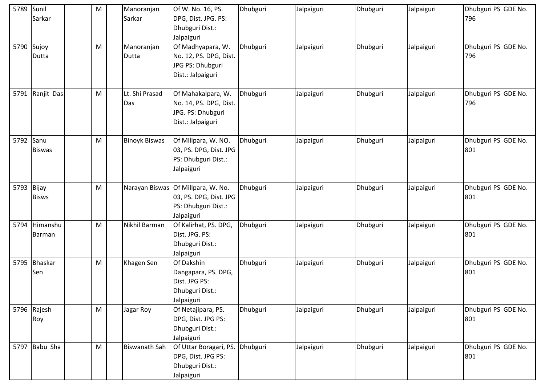| 5789       | Sunil<br>Sarkar     | M | Manoranjan<br>Sarkar  | Of W. No. 16, PS.<br>DPG, Dist. JPG. PS:<br>Dhubguri Dist.:<br>Jalpaiguri                         | Dhubguri | Jalpaiguri | Dhubguri | Jalpaiguri | Dhubguri PS GDE No.<br>796 |
|------------|---------------------|---|-----------------------|---------------------------------------------------------------------------------------------------|----------|------------|----------|------------|----------------------------|
|            | 5790 Sujoy<br>Dutta | M | Manoranjan<br>Dutta   | Of Madhyapara, W.<br>No. 12, PS. DPG, Dist.<br>JPG PS: Dhubguri<br>Dist.: Jalpaiguri              | Dhubguri | Jalpaiguri | Dhubguri | Jalpaiguri | Dhubguri PS GDE No.<br>796 |
|            | 5791 Ranjit Das     | M | Lt. Shi Prasad<br>Das | Of Mahakalpara, W.<br>No. 14, PS. DPG, Dist.<br>JPG. PS: Dhubguri<br>Dist.: Jalpaiguri            | Dhubguri | Jalpaiguri | Dhubguri | Jalpaiguri | Dhubguri PS GDE No.<br>796 |
| 5792 Sanu  | <b>Biswas</b>       | M | <b>Binoyk Biswas</b>  | Of Millpara, W. NO.<br>03, PS. DPG, Dist. JPG<br>PS: Dhubguri Dist.:<br>Jalpaiguri                | Dhubguri | Jalpaiguri | Dhubguri | Jalpaiguri | Dhubguri PS GDE No.<br>801 |
| 5793 Bijay | <b>Bisws</b>        | M |                       | Narayan Biswas Of Millpara, W. No.<br>03, PS. DPG, Dist. JPG<br>PS: Dhubguri Dist.:<br>Jalpaiguri | Dhubguri | Jalpaiguri | Dhubguri | Jalpaiguri | Dhubguri PS GDE No.<br>801 |
| 5794       | Himanshu<br>Barman  | M | Nikhil Barman         | Of Kalirhat, PS. DPG,<br>Dist. JPG. PS:<br>Dhubguri Dist.:<br>Jalpaiguri                          | Dhubguri | Jalpaiguri | Dhubguri | Jalpaiguri | Dhubguri PS GDE No.<br>801 |
|            | 5795 Bhaskar<br>Sen | M | Khagen Sen            | Of Dakshin<br>Dangapara, PS. DPG,<br>Dist. JPG PS:<br>Dhubguri Dist.:<br>Jalpaiguri               | Dhubguri | Jalpaiguri | Dhubguri | Jalpaiguri | Dhubguri PS GDE No.<br>801 |
|            | 5796 Rajesh<br>Roy  | M | Jagar Roy             | Of Netajipara, PS.<br>DPG, Dist. JPG PS:<br>Dhubguri Dist.:<br>Jalpaiguri                         | Dhubguri | Jalpaiguri | Dhubguri | Jalpaiguri | Dhubguri PS GDE No.<br>801 |
|            | 5797 Babu Sha       | M | <b>Biswanath Sah</b>  | Of Uttar Boragari, PS.<br>DPG, Dist. JPG PS:<br>Dhubguri Dist.:<br>Jalpaiguri                     | Dhubguri | Jalpaiguri | Dhubguri | Jalpaiguri | Dhubguri PS GDE No.<br>801 |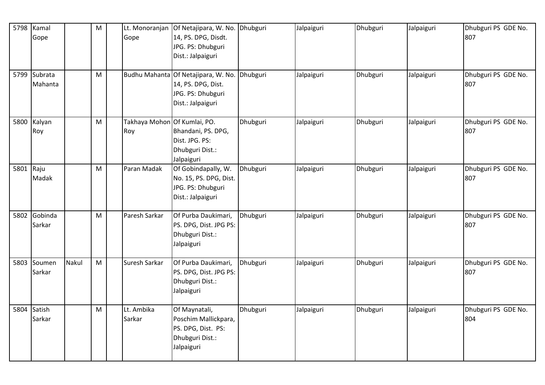| 5798      | Kamal<br>Gope           |       | M         | Lt. Monoranjan<br>Gope              | Of Netajipara, W. No.<br>14, PS. DPG, Disdt.<br>JPG. PS: Dhubguri<br>Dist.: Jalpaiguri              | Dhubguri | Jalpaiguri | Dhubguri | Jalpaiguri | Dhubguri PS GDE No.<br>807 |
|-----------|-------------------------|-------|-----------|-------------------------------------|-----------------------------------------------------------------------------------------------------|----------|------------|----------|------------|----------------------------|
|           | 5799 Subrata<br>Mahanta |       | M         |                                     | Budhu Mahanta Of Netajipara, W. No.<br>14, PS. DPG, Dist.<br>JPG. PS: Dhubguri<br>Dist.: Jalpaiguri | Dhubguri | Jalpaiguri | Dhubguri | Jalpaiguri | Dhubguri PS GDE No.<br>807 |
| 5800      | Kalyan<br>Roy           |       | M         | Takhaya Mohon Of Kumlai, PO.<br>Roy | Bhandani, PS. DPG,<br>Dist. JPG. PS:<br>Dhubguri Dist.:<br>Jalpaiguri                               | Dhubguri | Jalpaiguri | Dhubguri | Jalpaiguri | Dhubguri PS GDE No.<br>807 |
| 5801 Raju | Madak                   |       | ${\sf M}$ | Paran Madak                         | Of Gobindapally, W.<br>No. 15, PS. DPG, Dist.<br>JPG. PS: Dhubguri<br>Dist.: Jalpaiguri             | Dhubguri | Jalpaiguri | Dhubguri | Jalpaiguri | Dhubguri PS GDE No.<br>807 |
|           | 5802 Gobinda<br>Sarkar  |       | M         | Paresh Sarkar                       | Of Purba Daukimari,<br>PS. DPG, Dist. JPG PS:<br>Dhubguri Dist.:<br>Jalpaiguri                      | Dhubguri | Jalpaiguri | Dhubguri | Jalpaiguri | Dhubguri PS GDE No.<br>807 |
| 5803      | Soumen<br>Sarkar        | Nakul | M         | Suresh Sarkar                       | Of Purba Daukimari,<br>PS. DPG, Dist. JPG PS:<br>Dhubguri Dist.:<br>Jalpaiguri                      | Dhubguri | Jalpaiguri | Dhubguri | Jalpaiguri | Dhubguri PS GDE No.<br>807 |
|           | 5804 Satish<br>Sarkar   |       | M         | Lt. Ambika<br>Sarkar                | Of Maynatali,<br>Poschim Mallickpara,<br>PS. DPG, Dist. PS:<br>Dhubguri Dist.:<br>Jalpaiguri        | Dhubguri | Jalpaiguri | Dhubguri | Jalpaiguri | Dhubguri PS GDE No.<br>804 |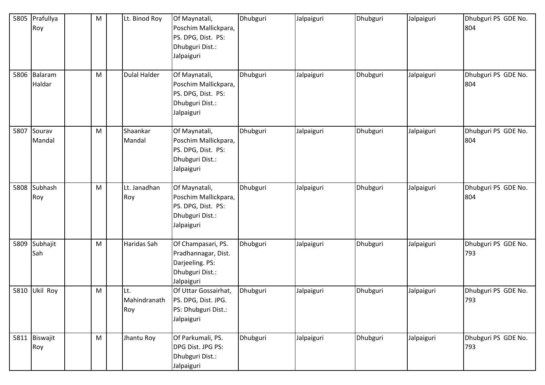| 5805 | Prafullya<br>Roy       | M | Lt. Binod Roy              | Of Maynatali,<br>Poschim Mallickpara,<br>PS. DPG, Dist. PS:<br>Dhubguri Dist.:<br>Jalpaiguri  | Dhubguri | Jalpaiguri | Dhubguri | Jalpaiguri | Dhubguri PS GDE No.<br>804 |
|------|------------------------|---|----------------------------|-----------------------------------------------------------------------------------------------|----------|------------|----------|------------|----------------------------|
|      | 5806 Balaram<br>Haldar | M | <b>Dulal Halder</b>        | Of Maynatali,<br>Poschim Mallickpara,<br>PS. DPG, Dist. PS:<br>Dhubguri Dist.:<br>Jalpaiguri  | Dhubguri | Jalpaiguri | Dhubguri | Jalpaiguri | Dhubguri PS GDE No.<br>804 |
| 5807 | Sourav<br>Mandal       | M | Shaankar<br>Mandal         | Of Maynatali,<br>Poschim Mallickpara,<br>PS. DPG, Dist. PS:<br>Dhubguri Dist.:<br>Jalpaiguri  | Dhubguri | Jalpaiguri | Dhubguri | Jalpaiguri | Dhubguri PS GDE No.<br>804 |
| 5808 | Subhash<br>Roy         | M | Lt. Janadhan<br>Roy        | Of Maynatali,<br>Poschim Mallickpara,<br>PS. DPG, Dist. PS:<br>Dhubguri Dist.:<br>Jalpaiguri  | Dhubguri | Jalpaiguri | Dhubguri | Jalpaiguri | Dhubguri PS GDE No.<br>804 |
| 5809 | Subhajit<br>Sah        | M | Haridas Sah                | Of Champasari, PS.<br>Pradhannagar, Dist.<br>Darjeeling. PS:<br>Dhubguri Dist.:<br>Jalpaiguri | Dhubguri | Jalpaiguri | Dhubguri | Jalpaiguri | Dhubguri PS GDE No.<br>793 |
| 5810 | Ukil Roy               | M | Lt.<br>Mahindranath<br>Roy | Of Uttar Gossairhat,<br>PS. DPG, Dist. JPG.<br>PS: Dhubguri Dist.:<br>Jalpaiguri              | Dhubguri | Jalpaiguri | Dhubguri | Jalpaiguri | Dhubguri PS GDE No.<br>793 |
|      | 5811 Biswajit<br>Roy   | M | Jhantu Roy                 | Of Parkumali, PS.<br>DPG Dist. JPG PS:<br>Dhubguri Dist.:<br>Jalpaiguri                       | Dhubguri | Jalpaiguri | Dhubguri | Jalpaiguri | Dhubguri PS GDE No.<br>793 |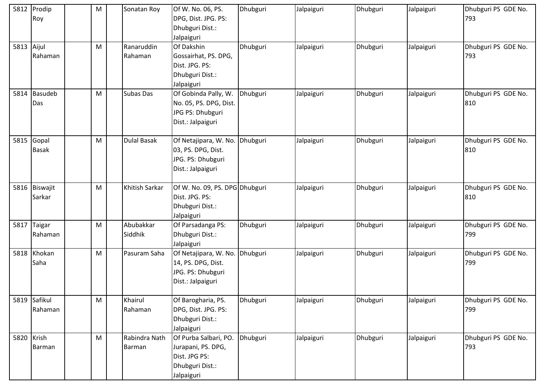| 5812       | Prodip<br>Roy            | M | Sonatan Roy             | Of W. No. 06, PS.<br>DPG, Dist. JPG. PS:<br>Dhubguri Dist.:                                         | Dhubguri | Jalpaiguri | Dhubguri | Jalpaiguri | Dhubguri PS GDE No.<br>793 |
|------------|--------------------------|---|-------------------------|-----------------------------------------------------------------------------------------------------|----------|------------|----------|------------|----------------------------|
| 5813 Aijul | Rahaman                  | M | Ranaruddin<br>Rahaman   | Jalpaiguri<br>Of Dakshin<br>Gossairhat, PS. DPG,<br>Dist. JPG. PS:<br>Dhubguri Dist.:<br>Jalpaiguri | Dhubguri | Jalpaiguri | Dhubguri | Jalpaiguri | Dhubguri PS GDE No.<br>793 |
| 5814       | Basudeb<br>Das           | M | Subas Das               | Of Gobinda Pally, W.<br>No. 05, PS. DPG, Dist.<br>JPG PS: Dhubguri<br>Dist.: Jalpaiguri             | Dhubguri | Jalpaiguri | Dhubguri | Jalpaiguri | Dhubguri PS GDE No.<br>810 |
| 5815       | Gopal<br><b>Basak</b>    | M | <b>Dulal Basak</b>      | Of Netajipara, W. No.<br>03, PS. DPG, Dist.<br>JPG. PS: Dhubguri<br>Dist.: Jalpaiguri               | Dhubguri | Jalpaiguri | Dhubguri | Jalpaiguri | Dhubguri PS GDE No.<br>810 |
|            | 5816 Biswajit<br>Sarkar  | M | Khitish Sarkar          | Of W. No. 09, PS. DPG Dhubguri<br>Dist. JPG. PS:<br>Dhubguri Dist.:<br>Jalpaiguri                   |          | Jalpaiguri | Dhubguri | Jalpaiguri | Dhubguri PS GDE No.<br>810 |
| 5817       | <b>Taigar</b><br>Rahaman | M | Abubakkar<br>Siddhik    | Of Parsadanga PS:<br>Dhubguri Dist.:<br>Jalpaiguri                                                  | Dhubguri | Jalpaiguri | Dhubguri | Jalpaiguri | Dhubguri PS GDE No.<br>799 |
|            | 5818 Khokan<br>Saha      | M | Pasuram Saha            | Of Netajipara, W. No.<br>14, PS. DPG, Dist.<br>JPG. PS: Dhubguri<br>Dist.: Jalpaiguri               | Dhubguri | Jalpaiguri | Dhubguri | Jalpaiguri | Dhubguri PS GDE No.<br>799 |
|            | 5819 Safikul<br>Rahaman  | M | Khairul<br>Rahaman      | Of Barogharia, PS.<br>DPG, Dist. JPG. PS:<br>Dhubguri Dist.:<br>Jalpaiguri                          | Dhubguri | Jalpaiguri | Dhubguri | Jalpaiguri | Dhubguri PS GDE No.<br>799 |
| 5820 Krish | Barman                   | M | Rabindra Nath<br>Barman | Of Purba Salbari, PO.<br>Jurapani, PS. DPG,<br>Dist. JPG PS:<br>Dhubguri Dist.:<br>Jalpaiguri       | Dhubguri | Jalpaiguri | Dhubguri | Jalpaiguri | Dhubguri PS GDE No.<br>793 |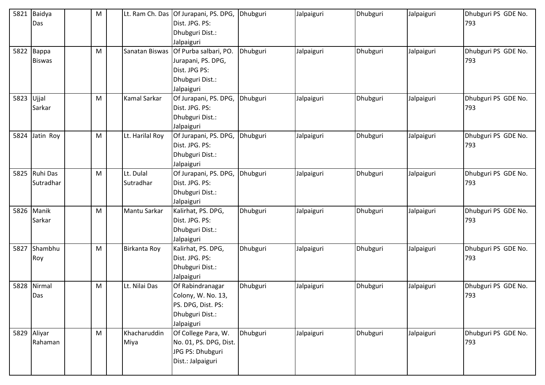| 5821 | Baidya<br>Das          | M | Lt. Ram Ch. Das        | Of Jurapani, PS. DPG,<br>Dist. JPG. PS:<br>Dhubguri Dist.:                                                  | Dhubguri | Jalpaiguri | Dhubguri | Jalpaiguri | Dhubguri PS GDE No.<br>793 |
|------|------------------------|---|------------------------|-------------------------------------------------------------------------------------------------------------|----------|------------|----------|------------|----------------------------|
| 5822 | Bappa<br><b>Biswas</b> | M | Sanatan Biswas         | Jalpaiguri<br>Of Purba salbari, PO.<br>Jurapani, PS. DPG,<br>Dist. JPG PS:<br>Dhubguri Dist.:<br>Jalpaiguri | Dhubguri | Jalpaiguri | Dhubguri | Jalpaiguri | Dhubguri PS GDE No.<br>793 |
| 5823 | Ujjal<br>Sarkar        | M | Kamal Sarkar           | Of Jurapani, PS. DPG,<br>Dist. JPG. PS:<br>Dhubguri Dist.:<br>Jalpaiguri                                    | Dhubguri | Jalpaiguri | Dhubguri | Jalpaiguri | Dhubguri PS GDE No.<br>793 |
| 5824 | Jatin Roy              | M | Lt. Harilal Roy        | Of Jurapani, PS. DPG,<br>Dist. JPG. PS:<br>Dhubguri Dist.:<br>Jalpaiguri                                    | Dhubguri | Jalpaiguri | Dhubguri | Jalpaiguri | Dhubguri PS GDE No.<br>793 |
| 5825 | Ruhi Das<br>Sutradhar  | M | Lt. Dulal<br>Sutradhar | Of Jurapani, PS. DPG,<br>Dist. JPG. PS:<br>Dhubguri Dist.:<br>Jalpaiguri                                    | Dhubguri | Jalpaiguri | Dhubguri | Jalpaiguri | Dhubguri PS GDE No.<br>793 |
| 5826 | Manik<br>Sarkar        | M | Mantu Sarkar           | Kalirhat, PS. DPG,<br>Dist. JPG. PS:<br>Dhubguri Dist.:<br>Jalpaiguri                                       | Dhubguri | Jalpaiguri | Dhubguri | Jalpaiguri | Dhubguri PS GDE No.<br>793 |
| 5827 | Shambhu<br>Roy         | M | Birkanta Roy           | Kalirhat, PS. DPG,<br>Dist. JPG. PS:<br>Dhubguri Dist.:<br>Jalpaiguri                                       | Dhubguri | Jalpaiguri | Dhubguri | Jalpaiguri | Dhubguri PS GDE No.<br>793 |
| 5828 | Nirmal<br>Das          | M | Lt. Nilai Das          | Of Rabindranagar<br>Colony, W. No. 13,<br>PS. DPG, Dist. PS:<br>Dhubguri Dist.:<br>Jalpaiguri               | Dhubguri | Jalpaiguri | Dhubguri | Jalpaiguri | Dhubguri PS GDE No.<br>793 |
|      | 5829 Aliyar<br>Rahaman | M | Khacharuddin<br>Miya   | Of College Para, W.<br>No. 01, PS. DPG, Dist.<br>JPG PS: Dhubguri<br>Dist.: Jalpaiguri                      | Dhubguri | Jalpaiguri | Dhubguri | Jalpaiguri | Dhubguri PS GDE No.<br>793 |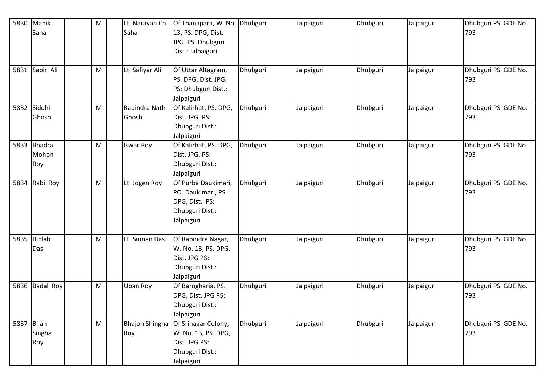| 5830 | Manik          | M | Lt. Narayan Ch.       | Of Thanapara, W. No. Dhubguri |          | Jalpaiguri | Dhubguri | Jalpaiguri | Dhubguri PS GDE No. |
|------|----------------|---|-----------------------|-------------------------------|----------|------------|----------|------------|---------------------|
|      | Saha           |   | Saha                  | 13, PS. DPG, Dist.            |          |            |          |            | 793                 |
|      |                |   |                       | JPG. PS: Dhubguri             |          |            |          |            |                     |
|      |                |   |                       | Dist.: Jalpaiguri             |          |            |          |            |                     |
|      |                |   |                       |                               |          |            |          |            |                     |
|      | 5831 Sabir Ali | M | Lt. Safiyar Ali       | Of Uttar Altagram,            | Dhubguri | Jalpaiguri | Dhubguri | Jalpaiguri | Dhubguri PS GDE No. |
|      |                |   |                       | PS. DPG, Dist. JPG.           |          |            |          |            | 793                 |
|      |                |   |                       | PS: Dhubguri Dist.:           |          |            |          |            |                     |
|      |                |   |                       | Jalpaiguri                    |          |            |          |            |                     |
|      | 5832 Siddhi    | M | Rabindra Nath         | Of Kalirhat, PS. DPG,         | Dhubguri | Jalpaiguri | Dhubguri | Jalpaiguri | Dhubguri PS GDE No. |
|      | Ghosh          |   | Ghosh                 | Dist. JPG. PS:                |          |            |          |            | 793                 |
|      |                |   |                       | Dhubguri Dist.:               |          |            |          |            |                     |
|      |                |   |                       | Jalpaiguri                    |          |            |          |            |                     |
|      | 5833 Bhadra    | M | Iswar Roy             | Of Kalirhat, PS. DPG,         | Dhubguri | Jalpaiguri | Dhubguri | Jalpaiguri | Dhubguri PS GDE No. |
|      | Mohon          |   |                       | Dist. JPG. PS:                |          |            |          |            | 793                 |
|      | Roy            |   |                       | Dhubguri Dist.:               |          |            |          |            |                     |
|      |                |   |                       | Jalpaiguri                    |          |            |          |            |                     |
| 5834 | Rabi Roy       | M | Lt. Jogen Roy         | Of Purba Daukimari,           | Dhubguri | Jalpaiguri | Dhubguri | Jalpaiguri | Dhubguri PS GDE No. |
|      |                |   |                       | PO. Daukimari, PS.            |          |            |          |            | 793                 |
|      |                |   |                       | DPG, Dist. PS:                |          |            |          |            |                     |
|      |                |   |                       | Dhubguri Dist.:               |          |            |          |            |                     |
|      |                |   |                       | Jalpaiguri                    |          |            |          |            |                     |
|      |                |   |                       |                               |          |            |          |            |                     |
|      | 5835 Biplab    | M | Lt. Suman Das         | Of Rabindra Nagar,            | Dhubguri | Jalpaiguri | Dhubguri | Jalpaiguri | Dhubguri PS GDE No. |
|      | Das            |   |                       | W. No. 13, PS. DPG,           |          |            |          |            | 793                 |
|      |                |   |                       | Dist. JPG PS:                 |          |            |          |            |                     |
|      |                |   |                       | Dhubguri Dist.:               |          |            |          |            |                     |
|      |                |   |                       | Jalpaiguri                    |          |            |          |            |                     |
|      | 5836 Badal Roy | M | Upan Roy              | Of Barogharia, PS.            | Dhubguri | Jalpaiguri | Dhubguri | Jalpaiguri | Dhubguri PS GDE No. |
|      |                |   |                       | DPG, Dist. JPG PS:            |          |            |          |            | 793                 |
|      |                |   |                       | Dhubguri Dist.:               |          |            |          |            |                     |
|      |                |   |                       | Jalpaiguri                    |          |            |          |            |                     |
|      | 5837 Bijan     | M | <b>Bhajon Shingha</b> | Of Srinagar Colony,           | Dhubguri | Jalpaiguri | Dhubguri | Jalpaiguri | Dhubguri PS GDE No. |
|      | Singha         |   | Roy                   | W. No. 13, PS. DPG,           |          |            |          |            | 793                 |
|      | Roy            |   |                       | Dist. JPG PS:                 |          |            |          |            |                     |
|      |                |   |                       | Dhubguri Dist.:               |          |            |          |            |                     |
|      |                |   |                       | Jalpaiguri                    |          |            |          |            |                     |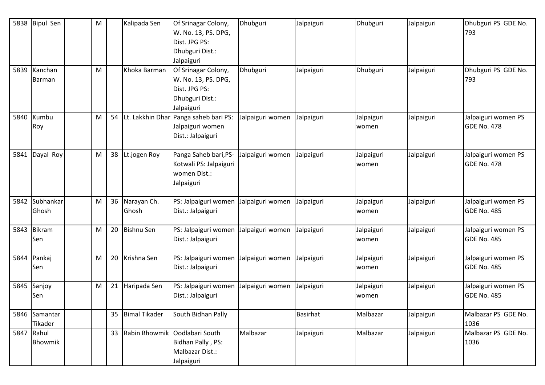| 5838 | <b>Bipul Sen</b>         | M |    | Kalipada Sen            | Of Srinagar Colony,<br>W. No. 13, PS. DPG,<br>Dist. JPG PS:<br>Dhubguri Dist.:<br>Jalpaiguri | Dhubguri         | Jalpaiguri      | Dhubguri            | Jalpaiguri | Dhubguri PS GDE No.<br>793                |
|------|--------------------------|---|----|-------------------------|----------------------------------------------------------------------------------------------|------------------|-----------------|---------------------|------------|-------------------------------------------|
| 5839 | Kanchan<br>Barman        | M |    | Khoka Barman            | Of Srinagar Colony,<br>W. No. 13, PS. DPG,<br>Dist. JPG PS:<br>Dhubguri Dist.:<br>Jalpaiguri | Dhubguri         | Jalpaiguri      | Dhubguri            | Jalpaiguri | Dhubguri PS GDE No.<br>793                |
| 5840 | Kumbu<br>Roy             | M |    |                         | 54 Lt. Lakkhin Dhar Panga saheb bari PS:<br>Jalpaiguri women<br>Dist.: Jalpaiguri            | Jalpaiguri women | Jalpaiguri      | Jalpaiguri<br>women | Jalpaiguri | Jalpaiguri women PS<br><b>GDE No. 478</b> |
| 5841 | Dayal Roy                | M | 38 | Lt.jogen Roy            | Panga Saheb bari, PS-<br>Kotwali PS: Jalpaiguri<br>women Dist.:<br>Jalpaiguri                | Jalpaiguri women | Jalpaiguri      | Jalpaiguri<br>women | Jalpaiguri | Jalpaiguri women PS<br>GDE No. 478        |
| 5842 | Subhankar<br>Ghosh       | M |    | 36 Narayan Ch.<br>Ghosh | PS: Jalpaiguri women<br>Dist.: Jalpaiguri                                                    | Jalpaiguri women | Jalpaiguri      | Jalpaiguri<br>women | Jalpaiguri | Jalpaiguri women PS<br><b>GDE No. 485</b> |
| 5843 | <b>Bikram</b><br>Sen     | M | 20 | <b>Bishnu Sen</b>       | PS: Jalpaiguri women<br>Dist.: Jalpaiguri                                                    | Jalpaiguri women | Jalpaiguri      | Jalpaiguri<br>women | Jalpaiguri | Jalpaiguri women PS<br><b>GDE No. 485</b> |
| 5844 | Pankaj<br>Sen            | M | 20 | Krishna Sen             | PS: Jalpaiguri women<br>Dist.: Jalpaiguri                                                    | Jalpaiguri women | Jalpaiguri      | Jalpaiguri<br>women | Jalpaiguri | Jalpaiguri women PS<br><b>GDE No. 485</b> |
| 5845 | Sanjoy<br>Sen            | M | 21 | Haripada Sen            | PS: Jalpaiguri women<br>Dist.: Jalpaiguri                                                    | Jalpaiguri women | Jalpaiguri      | Jalpaiguri<br>women | Jalpaiguri | Jalpaiguri women PS<br><b>GDE No. 485</b> |
|      | 5846 Samantar<br>Tikader |   |    | 35 Bimal Tikader        | South Bidhan Pally                                                                           |                  | <b>Basirhat</b> | Malbazar            | Jalpaiguri | Malbazar PS GDE No.<br>1036               |
| 5847 | Rahul<br>Bhowmik         |   |    | 33 Rabin Bhowmik        | Oodlabari South<br>Bidhan Pally, PS:<br>Malbazar Dist.:<br>Jalpaiguri                        | Malbazar         | Jalpaiguri      | Malbazar            | Jalpaiguri | Malbazar PS GDE No.<br>1036               |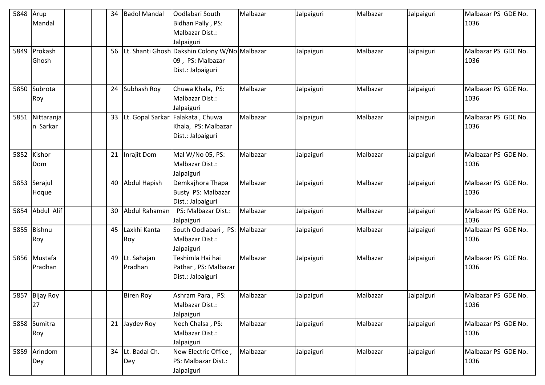| 5848 | Arup<br>Mandal         | 34 | <b>Badol Mandal</b>       | Oodlabari South<br>Bidhan Pally, PS:<br>Malbazar Dist.:<br>Jalpaiguri                  | Malbazar | Jalpaiguri | Malbazar | Jalpaiguri | Malbazar PS GDE No.<br>1036 |
|------|------------------------|----|---------------------------|----------------------------------------------------------------------------------------|----------|------------|----------|------------|-----------------------------|
|      | 5849 Prokash<br>Ghosh  | 56 |                           | Lt. Shanti Ghosh Dakshin Colony W/No Malbazar<br>09, PS: Malbazar<br>Dist.: Jalpaiguri |          | Jalpaiguri | Malbazar | Jalpaiguri | Malbazar PS GDE No.<br>1036 |
| 5850 | Subrota<br>Roy         |    | 24 Subhash Roy            | Chuwa Khala, PS:<br>Malbazar Dist.:<br>Jalpaiguri                                      | Malbazar | Jalpaiguri | Malbazar | Jalpaiguri | Malbazar PS GDE No.<br>1036 |
| 5851 | Nittaranja<br>n Sarkar | 33 |                           | Lt. Gopal Sarkar Falakata, Chuwa<br>Khala, PS: Malbazar<br>Dist.: Jalpaiguri           | Malbazar | Jalpaiguri | Malbazar | Jalpaiguri | Malbazar PS GDE No.<br>1036 |
| 5852 | Kishor<br>Dom          |    | 21 Inrajit Dom            | Mal W/No 05, PS:<br>Malbazar Dist.:<br>Jalpaiguri                                      | Malbazar | Jalpaiguri | Malbazar | Jalpaiguri | Malbazar PS GDE No.<br>1036 |
| 5853 | Serajul<br>Hoque       |    | 40 Abdul Hapish           | Demkajhora Thapa<br>Busty PS: Malbazar<br>Dist.: Jalpaiguri                            | Malbazar | Jalpaiguri | Malbazar | Jalpaiguri | Malbazar PS GDE No.<br>1036 |
|      | 5854 Abdul Alif        | 30 | Abdul Rahaman             | PS: Malbazar Dist.:<br>Jalpaiguri                                                      | Malbazar | Jalpaiguri | Malbazar | Jalpaiguri | Malbazar PS GDE No.<br>1036 |
| 5855 | <b>Bishnu</b><br>Roy   | 45 | Laxkhi Kanta<br>Roy       | South Oodlabari, PS: Malbazar<br>Malbazar Dist.:<br>Jalpaiguri                         |          | Jalpaiguri | Malbazar | Jalpaiguri | Malbazar PS GDE No.<br>1036 |
| 5856 | Mustafa<br>Pradhan     |    | 49 Lt. Sahajan<br>Pradhan | Teshimla Hai hai<br>Pathar, PS: Malbazar<br>Dist.: Jalpaiguri                          | Malbazar | Jalpaiguri | Malbazar | Jalpaiguri | Malbazar PS GDE No.<br>1036 |
|      | 5857 Bijay Roy<br>27   |    | <b>Biren Roy</b>          | Ashram Para, PS:<br>Malbazar Dist.:<br>Jalpaiguri                                      | Malbazar | Jalpaiguri | Malbazar | Jalpaiguri | Malbazar PS GDE No.<br>1036 |
|      | 5858 Sumitra<br>Roy    |    | 21 Jaydev Roy             | Nech Chalsa, PS:<br>Malbazar Dist.:<br>Jalpaiguri                                      | Malbazar | Jalpaiguri | Malbazar | Jalpaiguri | Malbazar PS GDE No.<br>1036 |
| 5859 | Arindom<br>Dey         | 34 | Lt. Badal Ch.<br>Dey      | New Electric Office,<br>PS: Malbazar Dist.:<br>Jalpaiguri                              | Malbazar | Jalpaiguri | Malbazar | Jalpaiguri | Malbazar PS GDE No.<br>1036 |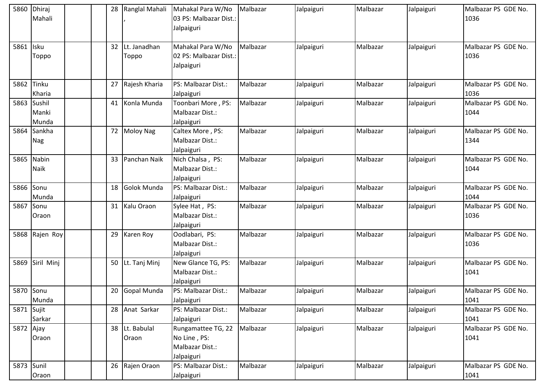| 5860       | Dhiraj<br>Mahali          |    | 28 Ranglal Mahali        | Mahakal Para W/No<br>03 PS: Malbazar Dist.:<br>Jalpaiguri           | Malbazar | Jalpaiguri | Malbazar | Jalpaiguri | Malbazar PS GDE No.<br>1036 |
|------------|---------------------------|----|--------------------------|---------------------------------------------------------------------|----------|------------|----------|------------|-----------------------------|
| 5861 Isku  | Toppo                     |    | 32 Lt. Janadhan<br>Toppo | Mahakal Para W/No<br>02 PS: Malbazar Dist.:<br>Jalpaiguri           | Malbazar | Jalpaiguri | Malbazar | Jalpaiguri | Malbazar PS GDE No.<br>1036 |
| 5862       | Tinku<br>Kharia           |    | 27 Rajesh Kharia         | PS: Malbazar Dist.:<br>Jalpaiguri                                   | Malbazar | Jalpaiguri | Malbazar | Jalpaiguri | Malbazar PS GDE No.<br>1036 |
| 5863       | Sushil<br>Manki<br>Munda  | 41 | Konla Munda              | Toonbari More, PS:<br>Malbazar Dist.:<br>Jalpaiguri                 | Malbazar | Jalpaiguri | Malbazar | Jalpaiguri | Malbazar PS GDE No.<br>1044 |
| 5864       | Sankha<br><b>Nag</b>      |    | 72 Moloy Nag             | Caltex More, PS:<br>Malbazar Dist.:<br>Jalpaiguri                   | Malbazar | Jalpaiguri | Malbazar | Jalpaiguri | Malbazar PS GDE No.<br>1344 |
|            | 5865 Nabin<br><b>Naik</b> |    | 33 Panchan Naik          | Nich Chalsa, PS:<br>Malbazar Dist.:<br>Jalpaiguri                   | Malbazar | Jalpaiguri | Malbazar | Jalpaiguri | Malbazar PS GDE No.<br>1044 |
| 5866       | Sonu<br>Munda             | 18 | Golok Munda              | PS: Malbazar Dist.:<br>Jalpaiguri                                   | Malbazar | Jalpaiguri | Malbazar | Jalpaiguri | Malbazar PS GDE No.<br>1044 |
| 5867 Sonu  | Oraon                     |    | 31 Kalu Oraon            | Sylee Hat, PS:<br>Malbazar Dist.:<br>Jalpaiguri                     | Malbazar | Jalpaiguri | Malbazar | Jalpaiguri | Malbazar PS GDE No.<br>1036 |
|            | 5868 Rajen Roy            |    | 29 Karen Roy             | Oodlabari, PS:<br>Malbazar Dist.:<br>Jalpaiguri                     | Malbazar | Jalpaiguri | Malbazar | Jalpaiguri | Malbazar PS GDE No.<br>1036 |
| 5869       | Siril Minj                |    | 50 Lt. Tanj Minj         | New Glance TG, PS:<br>Malbazar Dist.:<br>Jalpaiguri                 | Malbazar | Jalpaiguri | Malbazar | Jalpaiguri | Malbazar PS GDE No.<br>1041 |
| 5870 Sonu  | Munda                     |    | 20 Gopal Munda           | PS: Malbazar Dist.:<br>Jalpaiguri                                   | Malbazar | Jalpaiguri | Malbazar | Jalpaiguri | Malbazar PS GDE No.<br>1041 |
| 5871 Sujit | Sarkar                    |    | 28 Anat Sarkar           | PS: Malbazar Dist.:<br>Jalpaiguri                                   | Malbazar | Jalpaiguri | Malbazar | Jalpaiguri | Malbazar PS GDE No.<br>1041 |
| 5872 Ajay  | Oraon                     | 38 | Lt. Babulal<br>Oraon     | Rungamattee TG, 22<br>No Line, PS:<br>Malbazar Dist.:<br>Jalpaiguri | Malbazar | Jalpaiguri | Malbazar | Jalpaiguri | Malbazar PS GDE No.<br>1041 |
| 5873 Sunil | Oraon                     |    | 26 Rajen Oraon           | PS: Malbazar Dist.:<br>Jalpaiguri                                   | Malbazar | Jalpaiguri | Malbazar | Jalpaiguri | Malbazar PS GDE No.<br>1041 |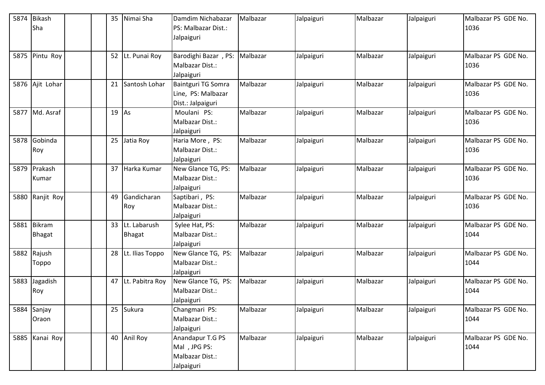| 5874 | <b>Bikash</b>   |  | Nimai Sha<br>35     | Damdim Nichabazar    | Malbazar | Jalpaiguri | Malbazar | Jalpaiguri | Malbazar PS GDE No. |
|------|-----------------|--|---------------------|----------------------|----------|------------|----------|------------|---------------------|
|      | Sha             |  |                     | PS: Malbazar Dist.:  |          |            |          |            | 1036                |
|      |                 |  |                     | Jalpaiguri           |          |            |          |            |                     |
|      |                 |  |                     |                      |          |            |          |            |                     |
| 5875 | Pintu Roy       |  | 52 Lt. Punai Roy    | Barodighi Bazar, PS: | Malbazar | Jalpaiguri | Malbazar | Jalpaiguri | Malbazar PS GDE No. |
|      |                 |  |                     | Malbazar Dist.:      |          |            |          |            | 1036                |
|      |                 |  |                     | Jalpaiguri           |          |            |          |            |                     |
|      | 5876 Ajit Lohar |  | 21<br>Santosh Lohar | Baintguri TG Somra   | Malbazar | Jalpaiguri | Malbazar | Jalpaiguri | Malbazar PS GDE No. |
|      |                 |  |                     | Line, PS: Malbazar   |          |            |          |            | 1036                |
|      |                 |  |                     | Dist.: Jalpaiguri    |          |            |          |            |                     |
|      | 5877 Md. Asraf  |  | $19$ As             | Moulani PS:          | Malbazar | Jalpaiguri | Malbazar | Jalpaiguri | Malbazar PS GDE No. |
|      |                 |  |                     | Malbazar Dist.:      |          |            |          |            | 1036                |
|      |                 |  |                     | Jalpaiguri           |          |            |          |            |                     |
| 5878 | Gobinda         |  | 25 Jatia Roy        | Haria More, PS:      | Malbazar | Jalpaiguri | Malbazar | Jalpaiguri | Malbazar PS GDE No. |
|      | Roy             |  |                     | Malbazar Dist.:      |          |            |          |            | 1036                |
|      |                 |  |                     | Jalpaiguri           |          |            |          |            |                     |
| 5879 | Prakash         |  | 37 Harka Kumar      | New Glance TG, PS:   | Malbazar | Jalpaiguri | Malbazar | Jalpaiguri | Malbazar PS GDE No. |
|      | Kumar           |  |                     | Malbazar Dist.:      |          |            |          |            | 1036                |
|      |                 |  |                     | Jalpaiguri           |          |            |          |            |                     |
| 5880 | Ranjit Roy      |  | Gandicharan<br>49   | Saptibari, PS:       | Malbazar | Jalpaiguri | Malbazar | Jalpaiguri | Malbazar PS GDE No. |
|      |                 |  | Roy                 | Malbazar Dist.:      |          |            |          |            | 1036                |
|      |                 |  |                     | Jalpaiguri           |          |            |          |            |                     |
| 5881 | Bikram          |  | 33 Lt. Labarush     | Sylee Hat, PS:       | Malbazar | Jalpaiguri | Malbazar | Jalpaiguri | Malbazar PS GDE No. |
|      | <b>Bhagat</b>   |  | <b>Bhagat</b>       | Malbazar Dist.:      |          |            |          |            | 1044                |
|      |                 |  |                     | Jalpaiguri           |          |            |          |            |                     |
|      | 5882 Rajush     |  | 28 Lt. Ilias Toppo  | New Glance TG, PS:   | Malbazar | Jalpaiguri | Malbazar | Jalpaiguri | Malbazar PS GDE No. |
|      | Toppo           |  |                     | Malbazar Dist.:      |          |            |          |            | 1044                |
|      |                 |  |                     | Jalpaiguri           |          |            |          |            |                     |
| 5883 | Jagadish        |  | 47 Lt. Pabitra Roy  | New Glance TG, PS:   | Malbazar | Jalpaiguri | Malbazar | Jalpaiguri | Malbazar PS GDE No. |
|      | Roy             |  |                     | Malbazar Dist.:      |          |            |          |            | 1044                |
|      |                 |  |                     | Jalpaiguri           |          |            |          |            |                     |
| 5884 | Sanjay          |  | 25 Sukura           | Changmari PS:        | Malbazar | Jalpaiguri | Malbazar | Jalpaiguri | Malbazar PS GDE No. |
|      | Oraon           |  |                     | Malbazar Dist.:      |          |            |          |            | 1044                |
|      |                 |  |                     | Jalpaiguri           |          |            |          |            |                     |
| 5885 | Kanai Roy       |  | 40 Anil Roy         | Anandapur T.G PS     | Malbazar | Jalpaiguri | Malbazar | Jalpaiguri | Malbazar PS GDE No. |
|      |                 |  |                     | Mal, JPG PS:         |          |            |          |            | 1044                |
|      |                 |  |                     | Malbazar Dist.:      |          |            |          |            |                     |
|      |                 |  |                     | Jalpaiguri           |          |            |          |            |                     |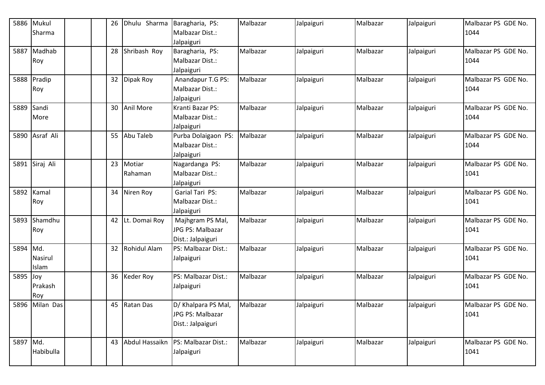|          | 5886 Mukul<br>Sharma |  | Dhulu Sharma<br>26      | Baragharia, PS:<br>Malbazar Dist.:                             | Malbazar | Jalpaiguri | Malbazar | Jalpaiguri | Malbazar PS GDE No.<br>1044 |
|----------|----------------------|--|-------------------------|----------------------------------------------------------------|----------|------------|----------|------------|-----------------------------|
| 5887     | Madhab<br>Roy        |  | 28<br>Shribash Roy      | Jalpaiguri<br>Baragharia, PS:<br>Malbazar Dist.:<br>Jalpaiguri | Malbazar | Jalpaiguri | Malbazar | Jalpaiguri | Malbazar PS GDE No.<br>1044 |
|          | 5888 Pradip<br>Roy   |  | 32<br>Dipak Roy         | Anandapur T.G PS:<br>Malbazar Dist.:<br>Jalpaiguri             | Malbazar | Jalpaiguri | Malbazar | Jalpaiguri | Malbazar PS GDE No.<br>1044 |
|          | 5889 Sandi<br>More   |  | 30<br>Anil More         | Kranti Bazar PS:<br>Malbazar Dist.:<br>Jalpaiguri              | Malbazar | Jalpaiguri | Malbazar | Jalpaiguri | Malbazar PS GDE No.<br>1044 |
|          | 5890 Asraf Ali       |  | Abu Taleb<br>55         | Purba Dolaigaon PS:<br>Malbazar Dist.:<br>Jalpaiguri           | Malbazar | Jalpaiguri | Malbazar | Jalpaiguri | Malbazar PS GDE No.<br>1044 |
|          | 5891 Siraj Ali       |  | 23<br>Motiar<br>Rahaman | Nagardanga PS:<br>Malbazar Dist.:<br>Jalpaiguri                | Malbazar | Jalpaiguri | Malbazar | Jalpaiguri | Malbazar PS GDE No.<br>1041 |
|          | 5892 Kamal<br>Roy    |  | 34<br>Niren Roy         | Garial Tari PS:<br>Malbazar Dist.:<br>Jalpaiguri               | Malbazar | Jalpaiguri | Malbazar | Jalpaiguri | Malbazar PS GDE No.<br>1041 |
| 5893     | Shamdhu<br>Roy       |  | 42<br>Lt. Domai Roy     | Majhgram PS Mal,<br>JPG PS: Malbazar<br>Dist.: Jalpaiguri      | Malbazar | Jalpaiguri | Malbazar | Jalpaiguri | Malbazar PS GDE No.<br>1041 |
| 5894 Md. | Nasirul<br>Islam     |  | 32<br>Rohidul Alam      | PS: Malbazar Dist.:<br>Jalpaiguri                              | Malbazar | Jalpaiguri | Malbazar | Jalpaiguri | Malbazar PS GDE No.<br>1041 |
| 5895 Joy | Prakash<br>Roy       |  | 36 Keder Roy            | PS: Malbazar Dist.:<br>Jalpaiguri                              | Malbazar | Jalpaiguri | Malbazar | Jalpaiguri | Malbazar PS GDE No.<br>1041 |
|          | 5896 Milan Das       |  | 45 Ratan Das            | D/ Khalpara PS Mal,<br>JPG PS: Malbazar<br>Dist.: Jalpaiguri   | Malbazar | Jalpaiguri | Malbazar | Jalpaiguri | Malbazar PS GDE No.<br>1041 |
| 5897 Md. | Habibulla            |  | 43<br>Abdul Hassaikn    | PS: Malbazar Dist.:<br>Jalpaiguri                              | Malbazar | Jalpaiguri | Malbazar | Jalpaiguri | Malbazar PS GDE No.<br>1041 |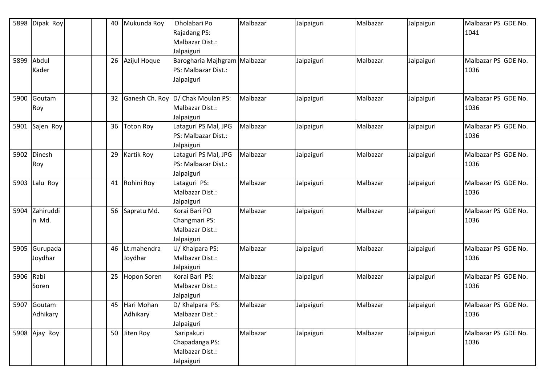| 5898      | Dipak Roy               | 40 | Mukunda Roy               | Dholabari Po<br>Rajadang PS:<br>Malbazar Dist.:<br>Jalpaiguri         | Malbazar | Jalpaiguri | Malbazar | Jalpaiguri | Malbazar PS GDE No.<br>1041 |
|-----------|-------------------------|----|---------------------------|-----------------------------------------------------------------------|----------|------------|----------|------------|-----------------------------|
| 5899      | Abdul<br>Kader          |    | 26<br>Azijul Hoque        | Barogharia Majhgram Malbazar<br>PS: Malbazar Dist.:<br>Jalpaiguri     |          | Jalpaiguri | Malbazar | Jalpaiguri | Malbazar PS GDE No.<br>1036 |
| 5900      | Goutam<br>Roy           |    |                           | 32 Ganesh Ch. Roy D/ Chak Moulan PS:<br>Malbazar Dist.:<br>Jalpaiguri | Malbazar | Jalpaiguri | Malbazar | Jalpaiguri | Malbazar PS GDE No.<br>1036 |
| 5901      | Sajen Roy               | 36 | <b>Toton Roy</b>          | Lataguri PS Mal, JPG<br>PS: Malbazar Dist.:<br>Jalpaiguri             | Malbazar | Jalpaiguri | Malbazar | Jalpaiguri | Malbazar PS GDE No.<br>1036 |
| 5902      | Dinesh<br>Roy           | 29 | <b>Kartik Roy</b>         | Lataguri PS Mal, JPG<br>PS: Malbazar Dist.:<br>Jalpaiguri             | Malbazar | Jalpaiguri | Malbazar | Jalpaiguri | Malbazar PS GDE No.<br>1036 |
| 5903      | Lalu Roy                | 41 | Rohini Roy                | Lataguri PS:<br>Malbazar Dist.:<br>Jalpaiguri                         | Malbazar | Jalpaiguri | Malbazar | Jalpaiguri | Malbazar PS GDE No.<br>1036 |
| 5904      | Zahiruddi<br>n Md.      |    | 56 Sapratu Md.            | Korai Bari PO<br>Changmari PS:<br>Malbazar Dist.:<br>Jalpaiguri       | Malbazar | Jalpaiguri | Malbazar | Jalpaiguri | Malbazar PS GDE No.<br>1036 |
| 5905      | Gurupada<br>Joydhar     | 46 | Lt.mahendra<br>Joydhar    | U/ Khalpara PS:<br>Malbazar Dist.:<br>Jalpaiguri                      | Malbazar | Jalpaiguri | Malbazar | Jalpaiguri | Malbazar PS GDE No.<br>1036 |
| 5906 Rabi | Soren                   |    | 25 Hopon Soren            | Korai Bari PS:<br>Malbazar Dist.:<br>Jalpaiguri                       | Malbazar | Jalpaiguri | Malbazar | Jalpaiguri | Malbazar PS GDE No.<br>1036 |
|           | 5907 Goutam<br>Adhikary |    | 45 Hari Mohan<br>Adhikary | D/ Khalpara PS:<br>Malbazar Dist.:<br>Jalpaiguri                      | Malbazar | Jalpaiguri | Malbazar | Jalpaiguri | Malbazar PS GDE No.<br>1036 |
|           | 5908 Ajay Roy           |    | 50 Jiten Roy              | Saripakuri<br>Chapadanga PS:<br>Malbazar Dist.:<br>Jalpaiguri         | Malbazar | Jalpaiguri | Malbazar | Jalpaiguri | Malbazar PS GDE No.<br>1036 |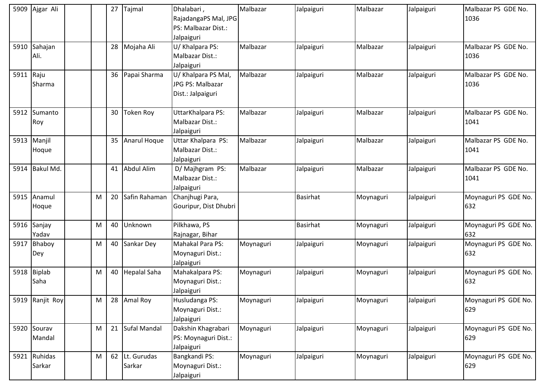|           | 5909 Ajgar Ali         |   | 27 | Tajmal                   | Dhalabari,<br>RajadangaPS Mal, JPG<br>PS: Malbazar Dist.:<br>Jalpaiguri | Malbazar  | Jalpaiguri      | Malbazar  | Jalpaiguri | Malbazar PS GDE No.<br>1036 |
|-----------|------------------------|---|----|--------------------------|-------------------------------------------------------------------------|-----------|-----------------|-----------|------------|-----------------------------|
|           | 5910 Sahajan<br>Ali.   |   |    | 28 Mojaha Ali            | U/ Khalpara PS:<br>Malbazar Dist.:<br>Jalpaiguri                        | Malbazar  | Jalpaiguri      | Malbazar  | Jalpaiguri | Malbazar PS GDE No.<br>1036 |
| 5911 Raju | Sharma                 |   |    | 36 Papai Sharma          | U/ Khalpara PS Mal,<br>JPG PS: Malbazar<br>Dist.: Jalpaiguri            | Malbazar  | Jalpaiguri      | Malbazar  | Jalpaiguri | Malbazar PS GDE No.<br>1036 |
|           | 5912 Sumanto<br>Roy    |   | 30 | <b>Token Roy</b>         | UttarKhalpara PS:<br>Malbazar Dist.:<br>Jalpaiguri                      | Malbazar  | Jalpaiguri      | Malbazar  | Jalpaiguri | Malbazar PS GDE No.<br>1041 |
|           | 5913 Manjil<br>Hoque   |   | 35 | Anarul Hoque             | Uttar Khalpara PS:<br>Malbazar Dist.:<br>Jalpaiguri                     | Malbazar  | Jalpaiguri      | Malbazar  | Jalpaiguri | Malbazar PS GDE No.<br>1041 |
|           | 5914 Bakul Md.         |   | 41 | Abdul Alim               | D/ Majhgram PS:<br>Malbazar Dist.:<br>Jalpaiguri                        | Malbazar  | Jalpaiguri      | Malbazar  | Jalpaiguri | Malbazar PS GDE No.<br>1041 |
|           | 5915 Anamul<br>Hoque   | M | 20 | Safin Rahaman            | Chanjhugi Para,<br>Gouripur, Dist Dhubri                                |           | <b>Basirhat</b> | Moynaguri | Jalpaiguri | Moynaguri PS GDE No.<br>632 |
|           | 5916 Sanjay<br>Yadav   | M | 40 | Unknown                  | Pilkhawa, PS<br>Rajnagar, Bihar                                         |           | <b>Basirhat</b> | Moynaguri | Jalpaiguri | Moynaguri PS GDE No.<br>632 |
|           | 5917 Bhaboy<br>Dey     | M |    | 40 Sankar Dey            | Mahakal Para PS:<br>Moynaguri Dist.:<br>Jalpaiguri                      | Moynaguri | Jalpaiguri      | Moynaguri | Jalpaiguri | Moynaguri PS GDE No.<br>632 |
|           | 5918 Biplab<br>Saha    | M | 40 | <b>Hepalal Saha</b>      | Mahakalpara PS:<br>Moynaguri Dist.:<br>Jalpaiguri                       | Moynaguri | Jalpaiguri      | Moynaguri | Jalpaiguri | Moynaguri PS GDE No.<br>632 |
|           | 5919 Ranjit Roy        | M | 28 | Amal Roy                 | Husludanga PS:<br>Moynaguri Dist.:<br>Jalpaiguri                        | Moynaguri | Jalpaiguri      | Moynaguri | Jalpaiguri | Moynaguri PS GDE No.<br>629 |
|           | 5920 Sourav<br>Mandal  | M |    | 21 Sufal Mandal          | Dakshin Khagrabari<br>PS: Moynaguri Dist.:<br>Jalpaiguri                | Moynaguri | Jalpaiguri      | Moynaguri | Jalpaiguri | Moynaguri PS GDE No.<br>629 |
|           | 5921 Ruhidas<br>Sarkar | M |    | 62 Lt. Gurudas<br>Sarkar | Bangkandi PS:<br>Moynaguri Dist.:<br>Jalpaiguri                         | Moynaguri | Jalpaiguri      | Moynaguri | Jalpaiguri | Moynaguri PS GDE No.<br>629 |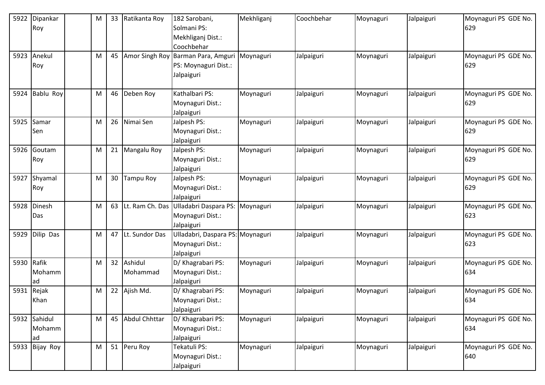| 5922 | Dipankar     | M | 33 | Ratikanta Roy    | 182 Sarobani,                    | Mekhliganj | Coochbehar | Moynaguri | Jalpaiguri | Moynaguri PS GDE No. |
|------|--------------|---|----|------------------|----------------------------------|------------|------------|-----------|------------|----------------------|
|      | Roy          |   |    |                  | Solmani PS:                      |            |            |           |            | 629                  |
|      |              |   |    |                  | Mekhliganj Dist.:                |            |            |           |            |                      |
|      |              |   |    |                  | Coochbehar                       |            |            |           |            |                      |
| 5923 | Anekul       | M | 45 | Amor Singh Roy   | Barman Para, Amguri              | Moynaguri  | Jalpaiguri | Moynaguri | Jalpaiguri | Moynaguri PS GDE No. |
|      | Roy          |   |    |                  | PS: Moynaguri Dist.:             |            |            |           |            | 629                  |
|      |              |   |    |                  | Jalpaiguri                       |            |            |           |            |                      |
|      |              |   |    |                  |                                  |            |            |           |            |                      |
| 5924 | Bablu Roy    | M | 46 | Deben Roy        | Kathalbari PS:                   | Moynaguri  | Jalpaiguri | Moynaguri | Jalpaiguri | Moynaguri PS GDE No. |
|      |              |   |    |                  | Moynaguri Dist.:                 |            |            |           |            | 629                  |
|      |              |   |    |                  | Jalpaiguri                       |            |            |           |            |                      |
| 5925 | Samar        | M | 26 | Nimai Sen        | Jalpesh PS:                      | Moynaguri  | Jalpaiguri | Moynaguri | Jalpaiguri | Moynaguri PS GDE No. |
|      | Sen          |   |    |                  | Moynaguri Dist.:                 |            |            |           |            | 629                  |
|      |              |   |    |                  | Jalpaiguri                       |            |            |           |            |                      |
| 5926 | Goutam       | M | 21 | Mangalu Roy      | Jalpesh PS:                      | Moynaguri  | Jalpaiguri | Moynaguri | Jalpaiguri | Moynaguri PS GDE No. |
|      | Roy          |   |    |                  | Moynaguri Dist.:                 |            |            |           |            | 629                  |
|      |              |   |    |                  | Jalpaiguri                       |            |            |           |            |                      |
| 5927 | Shyamal      | M | 30 | Tampu Roy        | Jalpesh PS:                      | Moynaguri  | Jalpaiguri | Moynaguri | Jalpaiguri | Moynaguri PS GDE No. |
|      | Roy          |   |    |                  | Moynaguri Dist.:                 |            |            |           |            | 629                  |
|      |              |   |    |                  | Jalpaiguri                       |            |            |           |            |                      |
| 5928 | Dinesh       | M | 63 | Lt. Ram Ch. Das  | Ulladabri Daspara PS:            | Moynaguri  | Jalpaiguri | Moynaguri | Jalpaiguri | Moynaguri PS GDE No. |
|      | Das          |   |    |                  | Moynaguri Dist.:                 |            |            |           |            | 623                  |
|      |              |   |    |                  | Jalpaiguri                       |            |            |           |            |                      |
| 5929 | Dilip Das    | M | 47 | Lt. Sundor Das   | Ulladabri, Daspara PS: Moynaguri |            | Jalpaiguri | Moynaguri | Jalpaiguri | Moynaguri PS GDE No. |
|      |              |   |    |                  | Moynaguri Dist.:                 |            |            |           |            | 623                  |
|      |              |   |    |                  | Jalpaiguri                       |            |            |           |            |                      |
| 5930 | Rafik        | M |    | 32 Ashidul       | D/ Khagrabari PS:                | Moynaguri  | Jalpaiguri | Moynaguri | Jalpaiguri | Moynaguri PS GDE No. |
|      | Mohamm       |   |    | Mohammad         | Moynaguri Dist.:                 |            |            |           |            | 634                  |
|      | ad           |   |    |                  | Jalpaiguri                       |            |            |           |            |                      |
| 5931 | Rejak        | M | 22 | Ajish Md.        | D/ Khagrabari PS:                | Moynaguri  | Jalpaiguri | Moynaguri | Jalpaiguri | Moynaguri PS GDE No. |
|      | Khan         |   |    |                  | Moynaguri Dist.:                 |            |            |           |            | 634                  |
|      |              |   |    |                  | Jalpaiguri                       |            |            |           |            |                      |
|      | 5932 Sahidul | M |    | 45 Abdul Chhttar | D/ Khagrabari PS:                | Moynaguri  | Jalpaiguri | Moynaguri | Jalpaiguri | Moynaguri PS GDE No. |
|      | Mohamm       |   |    |                  | Moynaguri Dist.:                 |            |            |           |            | 634                  |
|      | ad           |   |    |                  | Jalpaiguri                       |            |            |           |            |                      |
| 5933 | Bijay Roy    | M |    | 51 Peru Roy      | Tekatuli PS:                     | Moynaguri  | Jalpaiguri | Moynaguri | Jalpaiguri | Moynaguri PS GDE No. |
|      |              |   |    |                  | Moynaguri Dist.:                 |            |            |           |            | 640                  |
|      |              |   |    |                  | Jalpaiguri                       |            |            |           |            |                      |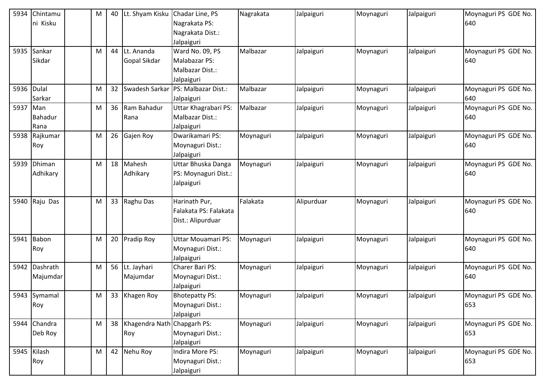| 5934 | Chintamu      | M | 40 | Lt. Shyam Kisku                | Chadar Line, PS           | Nagrakata | Jalpaiguri | Moynaguri | Jalpaiguri | Moynaguri PS GDE No. |
|------|---------------|---|----|--------------------------------|---------------------------|-----------|------------|-----------|------------|----------------------|
|      | ni Kisku      |   |    |                                | Nagrakata PS:             |           |            |           |            | 640                  |
|      |               |   |    |                                | Nagrakata Dist.:          |           |            |           |            |                      |
|      |               |   |    |                                | Jalpaiguri                |           |            |           |            |                      |
|      | 5935 Sankar   | M | 44 | Lt. Ananda                     | Ward No. 09, PS           | Malbazar  | Jalpaiguri | Moynaguri | Jalpaiguri | Moynaguri PS GDE No. |
|      | Sikdar        |   |    | Gopal Sikdar                   | Malabazar PS:             |           |            |           |            | 640                  |
|      |               |   |    |                                | Malbazar Dist.:           |           |            |           |            |                      |
|      |               |   |    |                                | Jalpaiguri                |           |            |           |            |                      |
| 5936 | <b>Dulal</b>  | M | 32 | Swadesh Sarkar                 | PS: Malbazar Dist.:       | Malbazar  | Jalpaiguri | Moynaguri | Jalpaiguri | Moynaguri PS GDE No. |
|      | Sarkar        |   |    |                                | Jalpaiguri                |           |            |           |            | 640                  |
| 5937 | Man           | M |    | 36 Ram Bahadur                 | Uttar Khagrabari PS:      | Malbazar  | Jalpaiguri | Moynaguri | Jalpaiguri | Moynaguri PS GDE No. |
|      | Bahadur       |   |    | Rana                           | Malbazar Dist.:           |           |            |           |            | 640                  |
|      | Rana          |   |    |                                | Jalpaiguri                |           |            |           |            |                      |
|      | 5938 Rajkumar | M |    | 26 Gajen Roy                   | Dwarikamari PS:           | Moynaguri | Jalpaiguri | Moynaguri | Jalpaiguri | Moynaguri PS GDE No. |
|      | Roy           |   |    |                                | Moynaguri Dist.:          |           |            |           |            | 640                  |
|      |               |   |    |                                | Jalpaiguri                |           |            |           |            |                      |
|      | 5939 Dhiman   | M |    | 18 Mahesh                      | Uttar Bhuska Danga        | Moynaguri | Jalpaiguri | Moynaguri | Jalpaiguri | Moynaguri PS GDE No. |
|      | Adhikary      |   |    | Adhikary                       | PS: Moynaguri Dist.:      |           |            |           |            | 640                  |
|      |               |   |    |                                | Jalpaiguri                |           |            |           |            |                      |
|      |               |   |    |                                |                           |           |            |           |            |                      |
|      | 5940 Raju Das | M |    | 33 Raghu Das                   | Harinath Pur,             | Falakata  | Alipurduar | Moynaguri | Jalpaiguri | Moynaguri PS GDE No. |
|      |               |   |    |                                | Falakata PS: Falakata     |           |            |           |            | 640                  |
|      |               |   |    |                                | Dist.: Alipurduar         |           |            |           |            |                      |
|      |               |   |    |                                |                           |           |            |           |            |                      |
| 5941 | Babon         | M | 20 | <b>Pradip Roy</b>              | <b>Uttar Mouamari PS:</b> | Moynaguri | Jalpaiguri | Moynaguri | Jalpaiguri | Moynaguri PS GDE No. |
|      | Roy           |   |    |                                | Moynaguri Dist.:          |           |            |           |            | 640                  |
|      |               |   |    |                                | Jalpaiguri                |           |            |           |            |                      |
| 5942 | Dashrath      | M |    | 56 Lt. Jayhari                 | Charer Bari PS:           | Moynaguri | Jalpaiguri | Moynaguri | Jalpaiguri | Moynaguri PS GDE No. |
|      | Majumdar      |   |    | Majumdar                       | Moynaguri Dist.:          |           |            |           |            | 640                  |
|      |               |   |    |                                | Jalpaiguri                |           |            |           |            |                      |
|      | 5943 Symamal  | M |    | 33 Khagen Roy                  | <b>Bhotepatty PS:</b>     | Moynaguri | Jalpaiguri | Moynaguri | Jalpaiguri | Moynaguri PS GDE No. |
|      | Roy           |   |    |                                | Moynaguri Dist.:          |           |            |           |            | 653                  |
|      |               |   |    |                                | Jalpaiguri                |           |            |           |            |                      |
|      | 5944 Chandra  | M |    | 38 Khagendra Nath Chapgarh PS: |                           | Moynaguri | Jalpaiguri | Moynaguri | Jalpaiguri | Moynaguri PS GDE No. |
|      | Deb Roy       |   |    | Roy                            | Moynaguri Dist.:          |           |            |           |            | 653                  |
|      |               |   |    |                                | Jalpaiguri                |           |            |           |            |                      |
|      | 5945 Kilash   | M |    | 42 Nehu Roy                    | Indira More PS:           | Moynaguri | Jalpaiguri | Moynaguri | Jalpaiguri | Moynaguri PS GDE No. |
|      | Roy           |   |    |                                | Moynaguri Dist.:          |           |            |           |            | 653                  |
|      |               |   |    |                                | Jalpaiguri                |           |            |           |            |                      |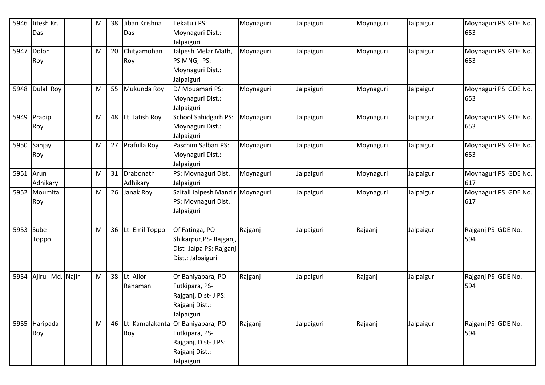| 5946      | Jitesh Kr.       | M | 38 | Jiban Krishna     | Tekatuli PS:                          | Moynaguri | Jalpaiguri | Moynaguri | Jalpaiguri | Moynaguri PS GDE No. |
|-----------|------------------|---|----|-------------------|---------------------------------------|-----------|------------|-----------|------------|----------------------|
|           | Das              |   |    | Das               | Moynaguri Dist.:                      |           |            |           |            | 653                  |
|           |                  |   |    |                   | Jalpaiguri                            |           |            |           |            |                      |
| 5947      | Dolon            | M | 20 | Chityamohan       | Jalpesh Melar Math,                   | Moynaguri | Jalpaiguri | Moynaguri | Jalpaiguri | Moynaguri PS GDE No. |
|           | Roy              |   |    | Roy               | PS MNG, PS:                           |           |            |           |            | 653                  |
|           |                  |   |    |                   | Moynaguri Dist.:                      |           |            |           |            |                      |
|           |                  |   |    |                   | Jalpaiguri                            |           |            |           |            |                      |
| 5948      | Dulal Roy        | M |    | 55 Mukunda Roy    | D/ Mouamari PS:                       | Moynaguri | Jalpaiguri | Moynaguri | Jalpaiguri | Moynaguri PS GDE No. |
|           |                  |   |    |                   | Moynaguri Dist.:                      |           |            |           |            | 653                  |
|           |                  |   |    |                   | Jalpaiguri                            |           |            |           |            |                      |
|           | 5949 Pradip      | M | 48 | Lt. Jatish Roy    | School Sahidgarh PS:                  | Moynaguri | Jalpaiguri | Moynaguri | Jalpaiguri | Moynaguri PS GDE No. |
|           | Roy              |   |    |                   | Moynaguri Dist.:                      |           |            |           |            | 653                  |
|           |                  |   |    |                   | Jalpaiguri                            |           |            |           |            |                      |
|           | 5950 Sanjay      | M | 27 | Prafulla Roy      | Paschim Salbari PS:                   | Moynaguri | Jalpaiguri | Moynaguri | Jalpaiguri | Moynaguri PS GDE No. |
|           | Roy              |   |    |                   | Moynaguri Dist.:                      |           |            |           |            | 653                  |
|           |                  |   |    |                   | Jalpaiguri                            |           |            |           |            |                      |
| 5951 Arun |                  | M | 31 | Drabonath         | PS: Moynaguri Dist.:                  | Moynaguri | Jalpaiguri | Moynaguri | Jalpaiguri | Moynaguri PS GDE No. |
|           | Adhikary         |   |    | Adhikary          | Jalpaiguri                            |           |            |           |            | 617                  |
| 5952      | Moumita          | M | 26 | Janak Roy         | Saltali Jalpesh Mandir Moynaguri      |           | Jalpaiguri | Moynaguri | Jalpaiguri | Moynaguri PS GDE No. |
|           | Roy              |   |    |                   | PS: Moynaguri Dist.:                  |           |            |           |            | 617                  |
|           |                  |   |    |                   | Jalpaiguri                            |           |            |           |            |                      |
|           |                  |   |    |                   |                                       |           |            |           |            |                      |
| 5953 Sube |                  | M |    | 36 Lt. Emil Toppo | Of Fatinga, PO-                       | Rajganj   | Jalpaiguri | Rajganj   | Jalpaiguri | Rajganj PS GDE No.   |
|           | Toppo            |   |    |                   | Shikarpur, PS-Rajganj,                |           |            |           |            | 594                  |
|           |                  |   |    |                   | Dist- Jalpa PS: Rajganj               |           |            |           |            |                      |
|           |                  |   |    |                   | Dist.: Jalpaiguri                     |           |            |           |            |                      |
|           |                  |   |    |                   |                                       |           |            |           |            |                      |
| 5954      | Ajirul Md. Najir | M | 38 | Lt. Alior         | Of Baniyapara, PO-                    | Rajganj   | Jalpaiguri | Rajganj   | Jalpaiguri | Rajganj PS GDE No.   |
|           |                  |   |    | Rahaman           | Futkipara, PS-                        |           |            |           |            | 594                  |
|           |                  |   |    |                   | Rajganj, Dist- J PS:                  |           |            |           |            |                      |
|           |                  |   |    |                   | Rajganj Dist.:                        |           |            |           |            |                      |
|           |                  |   |    |                   | Jalpaiguri                            |           |            |           |            |                      |
|           | 5955 Haripada    | M |    |                   | 46 Lt. Kamalakanta Of Baniyapara, PO- | Rajganj   | Jalpaiguri | Rajganj   | Jalpaiguri | Rajganj PS GDE No.   |
|           | Roy              |   |    | Roy               | Futkipara, PS-                        |           |            |           |            | 594                  |
|           |                  |   |    |                   | Rajganj, Dist- J PS:                  |           |            |           |            |                      |
|           |                  |   |    |                   | Rajganj Dist.:                        |           |            |           |            |                      |
|           |                  |   |    |                   | Jalpaiguri                            |           |            |           |            |                      |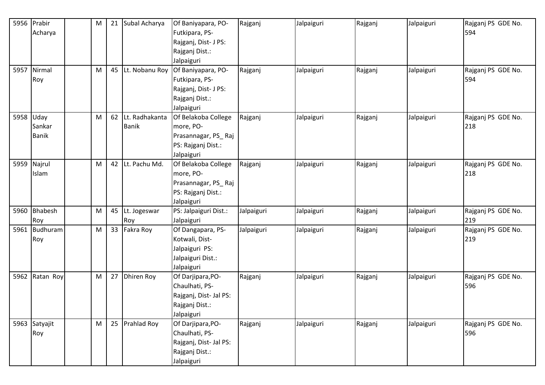| 5956      | Prabir          | M |    | 21 Subal Acharya | Of Baniyapara, PO-     | Rajganj    | Jalpaiguri | Rajganj | Jalpaiguri | Rajganj PS GDE No. |
|-----------|-----------------|---|----|------------------|------------------------|------------|------------|---------|------------|--------------------|
|           | Acharya         |   |    |                  | Futkipara, PS-         |            |            |         |            | 594                |
|           |                 |   |    |                  | Rajganj, Dist- J PS:   |            |            |         |            |                    |
|           |                 |   |    |                  | Rajganj Dist.:         |            |            |         |            |                    |
|           |                 |   |    |                  | Jalpaiguri             |            |            |         |            |                    |
| 5957      | Nirmal          | M | 45 | Lt. Nobanu Roy   | Of Baniyapara, PO-     | Rajganj    | Jalpaiguri | Rajganj | Jalpaiguri | Rajganj PS GDE No. |
|           | Roy             |   |    |                  | Futkipara, PS-         |            |            |         |            | 594                |
|           |                 |   |    |                  | Rajganj, Dist- J PS:   |            |            |         |            |                    |
|           |                 |   |    |                  | Rajganj Dist.:         |            |            |         |            |                    |
|           |                 |   |    |                  | Jalpaiguri             |            |            |         |            |                    |
| 5958 Uday |                 | M | 62 | Lt. Radhakanta   | Of Belakoba College    | Rajganj    | Jalpaiguri | Rajganj | Jalpaiguri | Rajganj PS GDE No. |
|           | Sankar          |   |    | <b>Banik</b>     | more, PO-              |            |            |         |            | 218                |
|           | <b>Banik</b>    |   |    |                  | Prasannagar, PS_Raj    |            |            |         |            |                    |
|           |                 |   |    |                  | PS: Rajganj Dist.:     |            |            |         |            |                    |
|           |                 |   |    |                  | Jalpaiguri             |            |            |         |            |                    |
| 5959      | Najrul          | M |    | 42 Lt. Pachu Md. | Of Belakoba College    | Rajganj    | Jalpaiguri | Rajganj | Jalpaiguri | Rajganj PS GDE No. |
|           | Islam           |   |    |                  | more, PO-              |            |            |         |            | 218                |
|           |                 |   |    |                  | Prasannagar, PS_Raj    |            |            |         |            |                    |
|           |                 |   |    |                  | PS: Rajganj Dist.:     |            |            |         |            |                    |
|           |                 |   |    |                  | Jalpaiguri             |            |            |         |            |                    |
| 5960      | Bhabesh         | M |    | 45 Lt. Jogeswar  | PS: Jalpaiguri Dist.:  | Jalpaiguri | Jalpaiguri | Rajganj | Jalpaiguri | Rajganj PS GDE No. |
|           | Roy             |   |    | Roy              | Jalpaiguri             |            |            |         |            | 219                |
| 5961      | <b>Budhuram</b> | M |    | 33 Fakra Roy     | Of Dangapara, PS-      | Jalpaiguri | Jalpaiguri | Rajganj | Jalpaiguri | Rajganj PS GDE No. |
|           | Roy             |   |    |                  | Kotwali, Dist-         |            |            |         |            | 219                |
|           |                 |   |    |                  | Jalpaiguri PS:         |            |            |         |            |                    |
|           |                 |   |    |                  | Jalpaiguri Dist.:      |            |            |         |            |                    |
|           |                 |   |    |                  | Jalpaiguri             |            |            |         |            |                    |
| 5962      | Ratan Roy       | M |    | 27 Dhiren Roy    | Of Darjipara, PO-      | Rajganj    | Jalpaiguri | Rajganj | Jalpaiguri | Rajganj PS GDE No. |
|           |                 |   |    |                  | Chaulhati, PS-         |            |            |         |            | 596                |
|           |                 |   |    |                  | Rajganj, Dist- Jal PS: |            |            |         |            |                    |
|           |                 |   |    |                  | Rajganj Dist.:         |            |            |         |            |                    |
|           |                 |   |    |                  | Jalpaiguri             |            |            |         |            |                    |
|           | 5963 Satyajit   | M |    | 25 Prahlad Roy   | Of Darjipara, PO-      | Rajganj    | Jalpaiguri | Rajganj | Jalpaiguri | Rajganj PS GDE No. |
|           | Roy             |   |    |                  | Chaulhati, PS-         |            |            |         |            | 596                |
|           |                 |   |    |                  | Rajganj, Dist- Jal PS: |            |            |         |            |                    |
|           |                 |   |    |                  | Rajganj Dist.:         |            |            |         |            |                    |
|           |                 |   |    |                  | Jalpaiguri             |            |            |         |            |                    |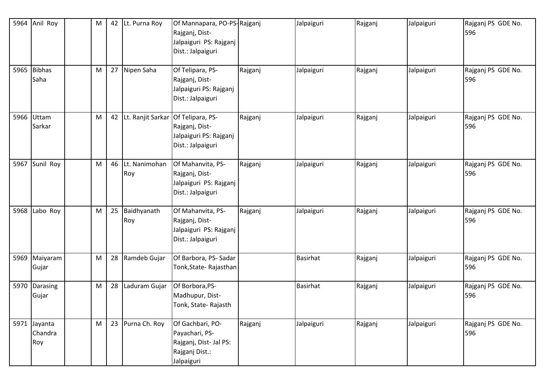| 5964 | Anil Roy                       | M |    | 42 Lt. Purna Roy     | Of Mannapara, PO-PS-Rajganj<br>Rajganj, Dist-<br>Jalpaiguri PS: Rajganj<br>Dist.: Jalpaiguri |         | Jalpaiguri      | Rajganj | Jalpaiguri | Rajganj PS GDE No.<br>596 |
|------|--------------------------------|---|----|----------------------|----------------------------------------------------------------------------------------------|---------|-----------------|---------|------------|---------------------------|
| 5965 | <b>Bibhas</b><br>Saha          | M | 27 | Nipen Saha           | Of Telipara, PS-<br>Rajganj, Dist-<br>Jalpaiguri PS: Rajganj<br>Dist.: Jalpaiguri            | Rajganj | Jalpaiguri      | Rajganj | Jalpaiguri | Rajganj PS GDE No.<br>596 |
|      | 5966 Uttam<br>Sarkar           | м |    | 42 Lt. Ranjit Sarkar | Of Telipara, PS-<br>Rajganj, Dist-<br>Jalpaiguri PS: Rajganj<br>Dist.: Jalpaiguri            | Rajganj | Jalpaiguri      | Rajganj | Jalpaiguri | Rajganj PS GDE No.<br>596 |
| 5967 | Sunil Roy                      | M | 46 | Lt. Nanimohan<br>Roy | Of Mahanvita, PS-<br>Rajganj, Dist-<br>Jalpaiguri PS: Rajganj<br>Dist.: Jalpaiguri           | Rajganj | Jalpaiguri      | Rajganj | Jalpaiguri | Rajganj PS GDE No.<br>596 |
| 5968 | Labo Roy                       | M | 25 | Baidhyanath<br>Roy   | Of Mahanvita, PS-<br>Rajganj, Dist-<br>Jalpaiguri PS: Rajganj<br>Dist.: Jalpaiguri           | Rajganj | Jalpaiguri      | Rajganj | Jalpaiguri | Rajganj PS GDE No.<br>596 |
| 5969 | Maiyaram<br>Gujar              | M | 28 | Ramdeb Gujar         | Of Barbora, PS- Sadar<br>Tonk, State-Rajasthan                                               |         | <b>Basirhat</b> | Rajganj | Jalpaiguri | Rajganj PS GDE No.<br>596 |
| 5970 | Darasing<br>Gujar              | M | 28 | Laduram Gujar        | Of Borbora, PS-<br>Madhupur, Dist-<br>Tonk, State-Rajasth                                    |         | <b>Basirhat</b> | Rajganj | Jalpaiguri | Rajganj PS GDE No.<br>596 |
|      | 5971 Jayanta<br>Chandra<br>Roy | M |    | 23 Purna Ch. Roy     | Of Gachbari, PO-<br>Payachari, PS-<br>Rajganj, Dist- Jal PS:<br>Rajganj Dist.:<br>Jalpaiguri | Rajganj | Jalpaiguri      | Rajganj | Jalpaiguri | Rajganj PS GDE No.<br>596 |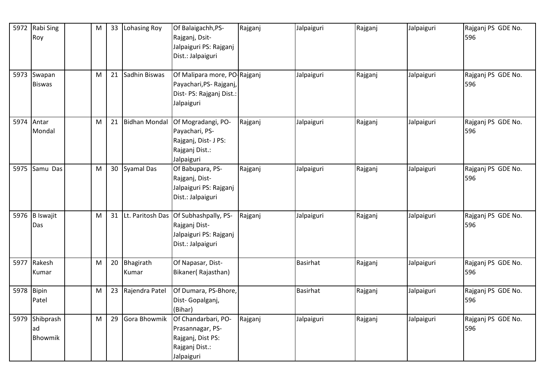|            | 5972 Rabi Sing<br>Roy        | M         | 33 | Lohasing Roy         | Of Balaigachh, PS-<br>Rajganj, Dsit-                                                             | Rajganj | Jalpaiguri      | Rajganj | Jalpaiguri | Rajganj PS GDE No.<br>596 |
|------------|------------------------------|-----------|----|----------------------|--------------------------------------------------------------------------------------------------|---------|-----------------|---------|------------|---------------------------|
|            |                              |           |    |                      | Jalpaiguri PS: Rajganj<br>Dist.: Jalpaiguri                                                      |         |                 |         |            |                           |
|            | 5973 Swapan<br><b>Biswas</b> | ${\sf M}$ | 21 | Sadhin Biswas        | Of Malipara more, PO-Rajganj<br>Payachari, PS-Rajganj,<br>Dist- PS: Rajganj Dist.:<br>Jalpaiguri |         | Jalpaiguri      | Rajganj | Jalpaiguri | Rajganj PS GDE No.<br>596 |
| 5974       | Antar<br>Mondal              | M         | 21 | <b>Bidhan Mondal</b> | Of Mogradangi, PO-<br>Payachari, PS-<br>Rajganj, Dist- J PS:<br>Rajganj Dist.:<br>Jalpaiguri     | Rajganj | Jalpaiguri      | Rajganj | Jalpaiguri | Rajganj PS GDE No.<br>596 |
| 5975       | Samu Das                     | M         | 30 | Syamal Das           | Of Babupara, PS-<br>Rajganj, Dist-<br>Jalpaiguri PS: Rajganj<br>Dist.: Jalpaiguri                | Rajganj | Jalpaiguri      | Rajganj | Jalpaiguri | Rajganj PS GDE No.<br>596 |
|            | 5976 B Iswajit<br>Das        | M         |    | 31 Lt. Paritosh Das  | Of Subhashpally, PS-<br>Rajganj Dist-<br>Jalpaiguri PS: Rajganj<br>Dist.: Jalpaiguri             | Rajganj | Jalpaiguri      | Rajganj | Jalpaiguri | Rajganj PS GDE No.<br>596 |
|            | 5977 Rakesh<br>Kumar         | M         | 20 | Bhagirath<br>Kumar   | Of Napasar, Dist-<br>Bikaner(Rajasthan)                                                          |         | <b>Basirhat</b> | Rajganj | Jalpaiguri | Rajganj PS GDE No.<br>596 |
| 5978 Bipin | Patel                        | M         | 23 | Rajendra Patel       | Of Dumara, PS-Bhore,<br>Dist-Gopalganj,<br>(Bihar)                                               |         | <b>Basirhat</b> | Rajganj | Jalpaiguri | Rajganj PS GDE No.<br>596 |
| 5979       | Shibprash<br>ad<br>Bhowmik   | ${\sf M}$ | 29 | Gora Bhowmik         | Of Chandarbari, PO-<br>Prasannagar, PS-<br>Rajganj, Dist PS:<br>Rajganj Dist.:<br>Jalpaiguri     | Rajganj | Jalpaiguri      | Rajganj | Jalpaiguri | Rajganj PS GDE No.<br>596 |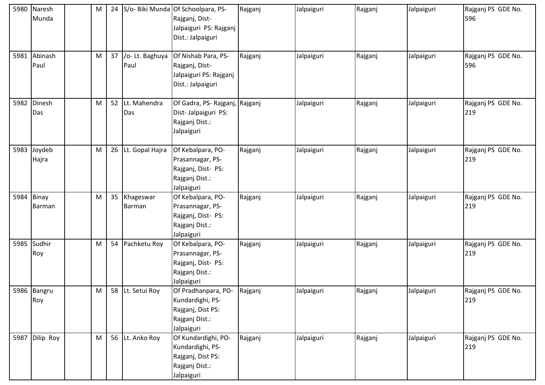| 5980 | Naresh<br>Munda        | ${\sf M}$ | 24 |                         | S/o- Biki Munda Of Schoolpara, PS-<br>Rajganj, Dist-<br>Jalpaiguri PS: Rajganj<br>Dist.: Jalpaiguri | Rajganj | Jalpaiguri | Rajganj | Jalpaiguri | Rajganj PS GDE No.<br>596 |
|------|------------------------|-----------|----|-------------------------|-----------------------------------------------------------------------------------------------------|---------|------------|---------|------------|---------------------------|
| 5981 | Abinash<br>Paul        | M         | 37 | /o- Lt. Baghuya<br>Paul | Of Nishab Para, PS-<br>Rajganj, Dist-<br>Jalpaiguri PS: Rajganj<br>Dist.: Jalpaiguri                | Rajganj | Jalpaiguri | Rajganj | Jalpaiguri | Rajganj PS GDE No.<br>596 |
| 5982 | Dinesh<br>Das          | M         | 52 | Lt. Mahendra<br>Das     | Of Gadra, PS-Rajganj,<br>Dist-Jalpaiguri PS:<br>Rajganj Dist.:<br>Jalpaiguri                        | Rajganj | Jalpaiguri | Rajganj | Jalpaiguri | Rajganj PS GDE No.<br>219 |
| 5983 | Joydeb<br>Hajra        | M         | 26 | Lt. Gopal Hajra         | Of Kebalpara, PO-<br>Prasannagar, PS-<br>Rajganj, Dist- PS:<br>Rajganj Dist.:<br>Jalpaiguri         | Rajganj | Jalpaiguri | Rajganj | Jalpaiguri | Rajganj PS GDE No.<br>219 |
| 5984 | <b>Binay</b><br>Barman | M         | 35 | Khageswar<br>Barman     | Of Kebalpara, PO-<br>Prasannagar, PS-<br>Rajganj, Dist- PS:<br>Rajganj Dist.:<br>Jalpaiguri         | Rajganj | Jalpaiguri | Rajganj | Jalpaiguri | Rajganj PS GDE No.<br>219 |
| 5985 | Sudhir<br>Roy          | M         | 54 | Pachketu Roy            | Of Kebalpara, PO-<br>Prasannagar, PS-<br>Rajganj, Dist- PS:<br>Rajganj Dist.:<br>Jalpaiguri         | Rajganj | Jalpaiguri | Rajganj | Jalpaiguri | Rajganj PS GDE No.<br>219 |
|      | 5986 Bangru<br>Roy     | M         |    | 58 Lt. Setui Roy        | Of Pradhanpara, PO-<br>Kundardighi, PS-<br>Rajganj, Dist PS:<br>Rajganj Dist.:<br>Jalpaiguri        | Rajganj | Jalpaiguri | Rajganj | Jalpaiguri | Rajganj PS GDE No.<br>219 |
|      | 5987 Dilip Roy         | M         |    | 56 Lt. Anko Roy         | Of Kundardighi, PO-<br>Kundardighi, PS-<br>Rajganj, Dist PS:<br>Rajganj Dist.:<br>Jalpaiguri        | Rajganj | Jalpaiguri | Rajganj | Jalpaiguri | Rajganj PS GDE No.<br>219 |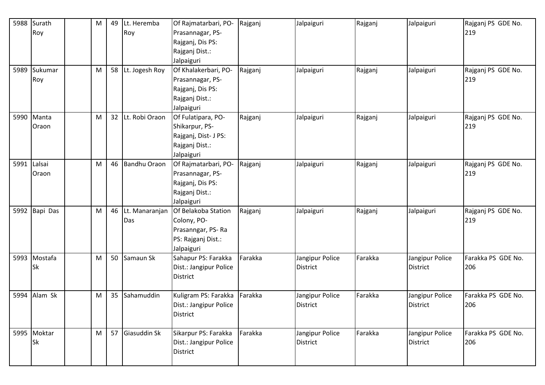| 5988        | Surath      | M | 49 | Lt. Heremba         | Of Rajmatarbari, PO-   | Rajganj | Jalpaiguri      | Rajganj | Jalpaiguri      | Rajganj PS GDE No. |
|-------------|-------------|---|----|---------------------|------------------------|---------|-----------------|---------|-----------------|--------------------|
|             | Roy         |   |    | Roy                 | Prasannagar, PS-       |         |                 |         |                 | 219                |
|             |             |   |    |                     | Rajganj, Dis PS:       |         |                 |         |                 |                    |
|             |             |   |    |                     | Rajganj Dist.:         |         |                 |         |                 |                    |
|             |             |   |    |                     | Jalpaiguri             |         |                 |         |                 |                    |
| 5989        | Sukumar     | M |    | 58 Lt. Jogesh Roy   | Of Khalakerbari, PO-   | Rajganj | Jalpaiguri      | Rajganj | Jalpaiguri      | Rajganj PS GDE No. |
|             | Roy         |   |    |                     | Prasannagar, PS-       |         |                 |         |                 | 219                |
|             |             |   |    |                     | Rajganj, Dis PS:       |         |                 |         |                 |                    |
|             |             |   |    |                     | Rajganj Dist.:         |         |                 |         |                 |                    |
|             |             |   |    |                     | Jalpaiguri             |         |                 |         |                 |                    |
|             | 5990 Manta  | M |    | 32 Lt. Robi Oraon   | Of Fulatipara, PO-     | Rajganj | Jalpaiguri      | Rajganj | Jalpaiguri      | Rajganj PS GDE No. |
|             | Oraon       |   |    |                     | Shikarpur, PS-         |         |                 |         |                 | 219                |
|             |             |   |    |                     | Rajganj, Dist- J PS:   |         |                 |         |                 |                    |
|             |             |   |    |                     | Rajganj Dist.:         |         |                 |         |                 |                    |
|             |             |   |    |                     | Jalpaiguri             |         |                 |         |                 |                    |
| 5991 Lalsai |             | м | 46 | <b>Bandhu Oraon</b> | Of Rajmatarbari, PO-   | Rajganj | Jalpaiguri      | Rajganj | Jalpaiguri      | Rajganj PS GDE No. |
|             | Oraon       |   |    |                     | Prasannagar, PS-       |         |                 |         |                 | 219                |
|             |             |   |    |                     | Rajganj, Dis PS:       |         |                 |         |                 |                    |
|             |             |   |    |                     | Rajganj Dist.:         |         |                 |         |                 |                    |
|             |             |   |    |                     | Jalpaiguri             |         |                 |         |                 |                    |
| 5992        | Bapi Das    | M | 46 | Lt. Manaranjan      | Of Belakoba Station    | Rajganj | Jalpaiguri      | Rajganj | Jalpaiguri      | Rajganj PS GDE No. |
|             |             |   |    | Das                 | Colony, PO-            |         |                 |         |                 | 219                |
|             |             |   |    |                     | Prasanngar, PS-Ra      |         |                 |         |                 |                    |
|             |             |   |    |                     | PS: Rajganj Dist.:     |         |                 |         |                 |                    |
|             |             |   |    |                     | Jalpaiguri             |         |                 |         |                 |                    |
| 5993        | Mostafa     | M | 50 | Samaun Sk           | Sahapur PS: Farakka    | Farakka | Jangipur Police | Farakka | Jangipur Police | Farakka PS GDE No. |
|             | Sk          |   |    |                     | Dist.: Jangipur Police |         | <b>District</b> |         | <b>District</b> | 206                |
|             |             |   |    |                     | <b>District</b>        |         |                 |         |                 |                    |
|             |             |   |    |                     |                        |         |                 |         |                 |                    |
| 5994        | Alam Sk     | M | 35 | Sahamuddin          | Kuligram PS: Farakka   | Farakka | Jangipur Police | Farakka | Jangipur Police | Farakka PS GDE No. |
|             |             |   |    |                     | Dist.: Jangipur Police |         | <b>District</b> |         | District        | 206                |
|             |             |   |    |                     | District               |         |                 |         |                 |                    |
|             | 5995 Moktar | M |    | 57 Giasuddin Sk     | Sikarpur PS: Farakka   | Farakka | Jangipur Police | Farakka | Jangipur Police | Farakka PS GDE No. |
|             | Sk          |   |    |                     | Dist.: Jangipur Police |         | <b>District</b> |         | <b>District</b> | 206                |
|             |             |   |    |                     | District               |         |                 |         |                 |                    |
|             |             |   |    |                     |                        |         |                 |         |                 |                    |
|             |             |   |    |                     |                        |         |                 |         |                 |                    |